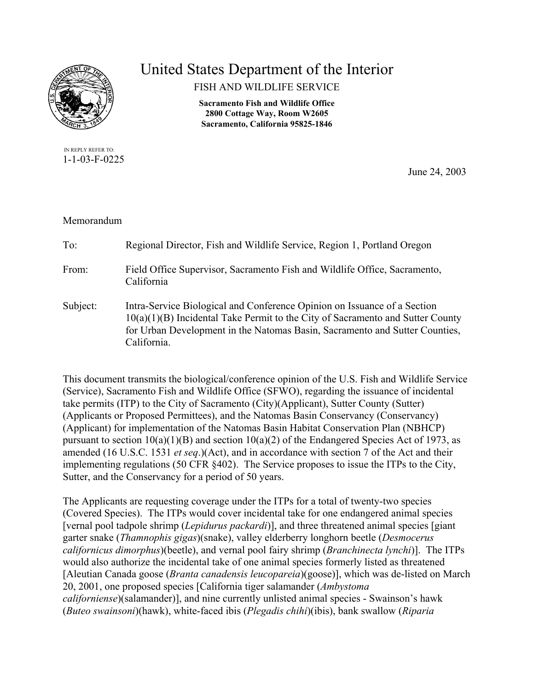

 IN REPLY REFER TO: 1-1-03-F-0225

# United States Department of the Interior

FISH AND WILDLIFE SERVICE

**Sacramento Fish and Wildlife Office 2800 Cottage Way, Room W2605 Sacramento, California 95825-1846**

June 24, 2003

# Memorandum

To: Regional Director, Fish and Wildlife Service, Region 1, Portland Oregon

- From: Field Office Supervisor, Sacramento Fish and Wildlife Office, Sacramento, California
- Subject: Intra-Service Biological and Conference Opinion on Issuance of a Section 10(a)(1)(B) Incidental Take Permit to the City of Sacramento and Sutter County for Urban Development in the Natomas Basin, Sacramento and Sutter Counties, California.

This document transmits the biological/conference opinion of the U.S. Fish and Wildlife Service (Service), Sacramento Fish and Wildlife Office (SFWO), regarding the issuance of incidental take permits (ITP) to the City of Sacramento (City)(Applicant), Sutter County (Sutter) (Applicants or Proposed Permittees), and the Natomas Basin Conservancy (Conservancy) (Applicant) for implementation of the Natomas Basin Habitat Conservation Plan (NBHCP) pursuant to section  $10(a)(1)(B)$  and section  $10(a)(2)$  of the Endangered Species Act of 1973, as amended (16 U.S.C. 1531 *et seq*.)(Act), and in accordance with section 7 of the Act and their implementing regulations (50 CFR §402). The Service proposes to issue the ITPs to the City, Sutter, and the Conservancy for a period of 50 years.

The Applicants are requesting coverage under the ITPs for a total of twenty-two species (Covered Species). The ITPs would cover incidental take for one endangered animal species [vernal pool tadpole shrimp (*Lepidurus packardi*)], and three threatened animal species [giant garter snake (*Thamnophis gigas*)(snake), valley elderberry longhorn beetle (*Desmocerus californicus dimorphus*)(beetle), and vernal pool fairy shrimp (*Branchinecta lynchi*)]. The ITPs would also authorize the incidental take of one animal species formerly listed as threatened [Aleutian Canada goose (*Branta canadensis leucopareia*)(goose)], which was de-listed on March 20, 2001, one proposed species [California tiger salamander (*Ambystoma californiense*)(salamander)], and nine currently unlisted animal species - Swainson's hawk (*Buteo swainsoni*)(hawk), white-faced ibis (*Plegadis chihi*)(ibis), bank swallow (*Riparia*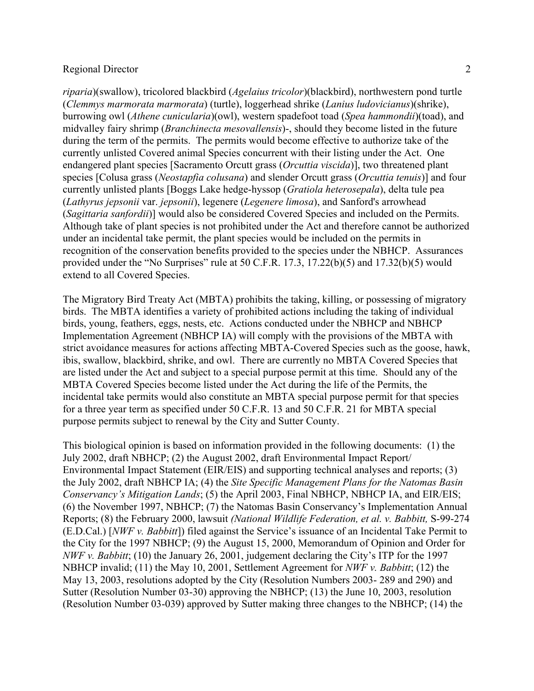*riparia*)(swallow), tricolored blackbird (*Agelaius tricolor*)(blackbird), northwestern pond turtle (*Clemmys marmorata marmorata*) (turtle), loggerhead shrike (*Lanius ludovicianus*)(shrike), burrowing owl (*Athene cunicularia*)(owl), western spadefoot toad (*Spea hammondii*)(toad), and midvalley fairy shrimp (*Branchinecta mesovallensis*)-, should they become listed in the future during the term of the permits. The permits would become effective to authorize take of the currently unlisted Covered animal Species concurrent with their listing under the Act. One endangered plant species [Sacramento Orcutt grass (*Orcuttia viscida*)], two threatened plant species [Colusa grass (*Neostapfia colusana*) and slender Orcutt grass (*Orcuttia tenuis*)] and four currently unlisted plants [Boggs Lake hedge-hyssop (*Gratiola heterosepala*), delta tule pea (*Lathyrus jepsonii* var. *jepsonii*), legenere (*Legenere limosa*), and Sanford's arrowhead (*Sagittaria sanfordii*)] would also be considered Covered Species and included on the Permits. Although take of plant species is not prohibited under the Act and therefore cannot be authorized under an incidental take permit, the plant species would be included on the permits in recognition of the conservation benefits provided to the species under the NBHCP. Assurances provided under the "No Surprises" rule at 50 C.F.R. 17.3, 17.22(b)(5) and 17.32(b)(5) would extend to all Covered Species.

The Migratory Bird Treaty Act (MBTA) prohibits the taking, killing, or possessing of migratory birds. The MBTA identifies a variety of prohibited actions including the taking of individual birds, young, feathers, eggs, nests, etc. Actions conducted under the NBHCP and NBHCP Implementation Agreement (NBHCP IA) will comply with the provisions of the MBTA with strict avoidance measures for actions affecting MBTA-Covered Species such as the goose, hawk, ibis, swallow, blackbird, shrike, and owl. There are currently no MBTA Covered Species that are listed under the Act and subject to a special purpose permit at this time. Should any of the MBTA Covered Species become listed under the Act during the life of the Permits, the incidental take permits would also constitute an MBTA special purpose permit for that species for a three year term as specified under 50 C.F.R. 13 and 50 C.F.R. 21 for MBTA special purpose permits subject to renewal by the City and Sutter County.

This biological opinion is based on information provided in the following documents: (1) the July 2002, draft NBHCP; (2) the August 2002, draft Environmental Impact Report/ Environmental Impact Statement (EIR/EIS) and supporting technical analyses and reports; (3) the July 2002, draft NBHCP IA; (4) the *Site Specific Management Plans for the Natomas Basin Conservancy's Mitigation Lands*; (5) the April 2003, Final NBHCP, NBHCP IA, and EIR/EIS; (6) the November 1997, NBHCP; (7) the Natomas Basin Conservancy's Implementation Annual Reports; (8) the February 2000, lawsuit *(National Wildlife Federation, et al. v. Babbitt,* S-99-274 (E.D.Cal.) [*NWF v. Babbitt*]) filed against the Service's issuance of an Incidental Take Permit to the City for the 1997 NBHCP; (9) the August 15, 2000, Memorandum of Opinion and Order for *NWF v. Babbitt*; (10) the January 26, 2001, judgement declaring the City's ITP for the 1997 NBHCP invalid; (11) the May 10, 2001, Settlement Agreement for *NWF v. Babbitt*; (12) the May 13, 2003, resolutions adopted by the City (Resolution Numbers 2003- 289 and 290) and Sutter (Resolution Number 03-30) approving the NBHCP; (13) the June 10, 2003, resolution (Resolution Number 03-039) approved by Sutter making three changes to the NBHCP; (14) the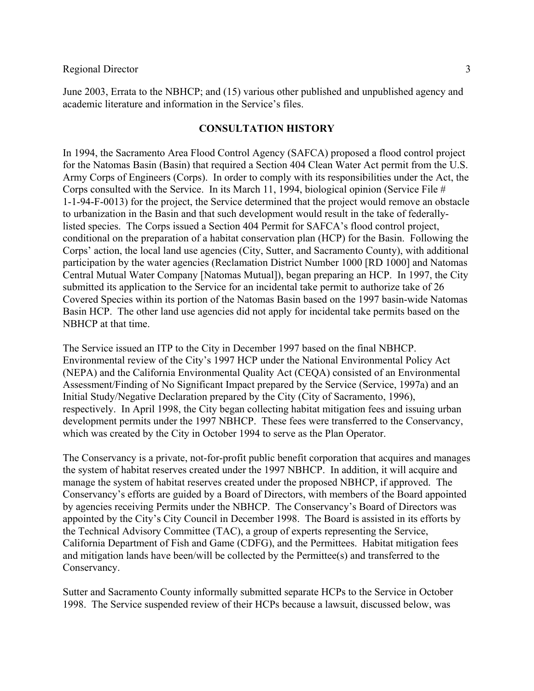June 2003, Errata to the NBHCP; and (15) various other published and unpublished agency and academic literature and information in the Service's files.

#### **CONSULTATION HISTORY**

In 1994, the Sacramento Area Flood Control Agency (SAFCA) proposed a flood control project for the Natomas Basin (Basin) that required a Section 404 Clean Water Act permit from the U.S. Army Corps of Engineers (Corps). In order to comply with its responsibilities under the Act, the Corps consulted with the Service. In its March 11, 1994, biological opinion (Service File # 1-1-94-F-0013) for the project, the Service determined that the project would remove an obstacle to urbanization in the Basin and that such development would result in the take of federallylisted species. The Corps issued a Section 404 Permit for SAFCA's flood control project, conditional on the preparation of a habitat conservation plan (HCP) for the Basin. Following the Corps' action, the local land use agencies (City, Sutter, and Sacramento County), with additional participation by the water agencies (Reclamation District Number 1000 [RD 1000] and Natomas Central Mutual Water Company [Natomas Mutual]), began preparing an HCP. In 1997, the City submitted its application to the Service for an incidental take permit to authorize take of 26 Covered Species within its portion of the Natomas Basin based on the 1997 basin-wide Natomas Basin HCP. The other land use agencies did not apply for incidental take permits based on the NBHCP at that time.

The Service issued an ITP to the City in December 1997 based on the final NBHCP. Environmental review of the City's 1997 HCP under the National Environmental Policy Act (NEPA) and the California Environmental Quality Act (CEQA) consisted of an Environmental Assessment/Finding of No Significant Impact prepared by the Service (Service, 1997a) and an Initial Study/Negative Declaration prepared by the City (City of Sacramento, 1996), respectively. In April 1998, the City began collecting habitat mitigation fees and issuing urban development permits under the 1997 NBHCP. These fees were transferred to the Conservancy, which was created by the City in October 1994 to serve as the Plan Operator.

The Conservancy is a private, not-for-profit public benefit corporation that acquires and manages the system of habitat reserves created under the 1997 NBHCP. In addition, it will acquire and manage the system of habitat reserves created under the proposed NBHCP, if approved. The Conservancy's efforts are guided by a Board of Directors, with members of the Board appointed by agencies receiving Permits under the NBHCP. The Conservancy's Board of Directors was appointed by the City's City Council in December 1998. The Board is assisted in its efforts by the Technical Advisory Committee (TAC), a group of experts representing the Service, California Department of Fish and Game (CDFG), and the Permittees. Habitat mitigation fees and mitigation lands have been/will be collected by the Permittee(s) and transferred to the Conservancy.

Sutter and Sacramento County informally submitted separate HCPs to the Service in October 1998. The Service suspended review of their HCPs because a lawsuit, discussed below, was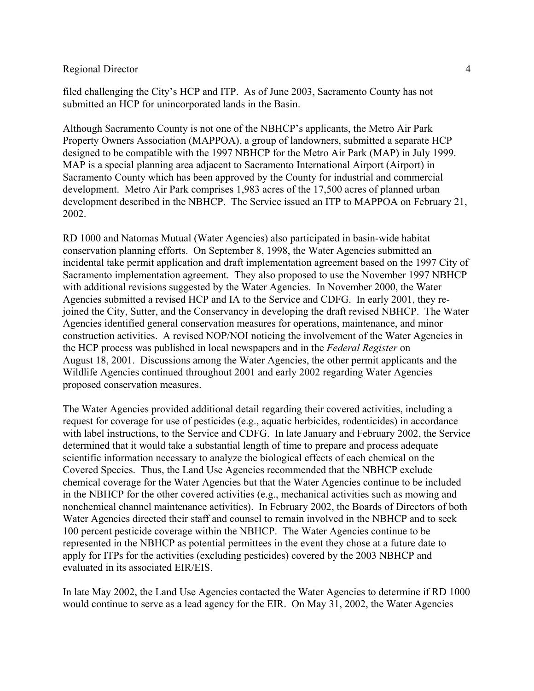filed challenging the City's HCP and ITP. As of June 2003, Sacramento County has not submitted an HCP for unincorporated lands in the Basin.

Although Sacramento County is not one of the NBHCP's applicants, the Metro Air Park Property Owners Association (MAPPOA), a group of landowners, submitted a separate HCP designed to be compatible with the 1997 NBHCP for the Metro Air Park (MAP) in July 1999. MAP is a special planning area adjacent to Sacramento International Airport (Airport) in Sacramento County which has been approved by the County for industrial and commercial development. Metro Air Park comprises 1,983 acres of the 17,500 acres of planned urban development described in the NBHCP. The Service issued an ITP to MAPPOA on February 21, 2002.

RD 1000 and Natomas Mutual (Water Agencies) also participated in basin-wide habitat conservation planning efforts. On September 8, 1998, the Water Agencies submitted an incidental take permit application and draft implementation agreement based on the 1997 City of Sacramento implementation agreement. They also proposed to use the November 1997 NBHCP with additional revisions suggested by the Water Agencies. In November 2000, the Water Agencies submitted a revised HCP and IA to the Service and CDFG. In early 2001, they rejoined the City, Sutter, and the Conservancy in developing the draft revised NBHCP. The Water Agencies identified general conservation measures for operations, maintenance, and minor construction activities. A revised NOP/NOI noticing the involvement of the Water Agencies in the HCP process was published in local newspapers and in the *Federal Register* on August 18, 2001. Discussions among the Water Agencies, the other permit applicants and the Wildlife Agencies continued throughout 2001 and early 2002 regarding Water Agencies proposed conservation measures.

The Water Agencies provided additional detail regarding their covered activities, including a request for coverage for use of pesticides (e.g., aquatic herbicides, rodenticides) in accordance with label instructions, to the Service and CDFG. In late January and February 2002, the Service determined that it would take a substantial length of time to prepare and process adequate scientific information necessary to analyze the biological effects of each chemical on the Covered Species. Thus, the Land Use Agencies recommended that the NBHCP exclude chemical coverage for the Water Agencies but that the Water Agencies continue to be included in the NBHCP for the other covered activities (e.g., mechanical activities such as mowing and nonchemical channel maintenance activities). In February 2002, the Boards of Directors of both Water Agencies directed their staff and counsel to remain involved in the NBHCP and to seek 100 percent pesticide coverage within the NBHCP. The Water Agencies continue to be represented in the NBHCP as potential permittees in the event they chose at a future date to apply for ITPs for the activities (excluding pesticides) covered by the 2003 NBHCP and evaluated in its associated EIR/EIS.

In late May 2002, the Land Use Agencies contacted the Water Agencies to determine if RD 1000 would continue to serve as a lead agency for the EIR. On May 31, 2002, the Water Agencies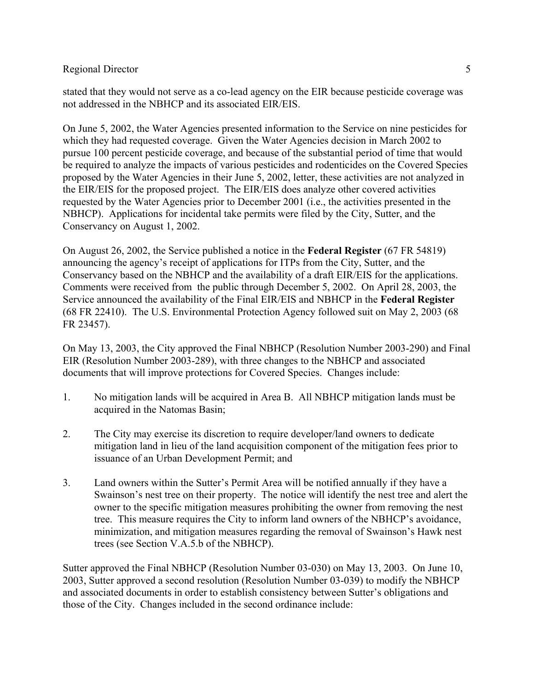stated that they would not serve as a co-lead agency on the EIR because pesticide coverage was not addressed in the NBHCP and its associated EIR/EIS.

On June 5, 2002, the Water Agencies presented information to the Service on nine pesticides for which they had requested coverage. Given the Water Agencies decision in March 2002 to pursue 100 percent pesticide coverage, and because of the substantial period of time that would be required to analyze the impacts of various pesticides and rodenticides on the Covered Species proposed by the Water Agencies in their June 5, 2002, letter, these activities are not analyzed in the EIR/EIS for the proposed project. The EIR/EIS does analyze other covered activities requested by the Water Agencies prior to December 2001 (i.e., the activities presented in the NBHCP). Applications for incidental take permits were filed by the City, Sutter, and the Conservancy on August 1, 2002.

On August 26, 2002, the Service published a notice in the **Federal Register** (67 FR 54819) announcing the agency's receipt of applications for ITPs from the City, Sutter, and the Conservancy based on the NBHCP and the availability of a draft EIR/EIS for the applications. Comments were received from the public through December 5, 2002. On April 28, 2003, the Service announced the availability of the Final EIR/EIS and NBHCP in the **Federal Register** (68 FR 22410).The U.S. Environmental Protection Agency followed suit on May 2, 2003 (68 FR 23457).

On May 13, 2003, the City approved the Final NBHCP (Resolution Number 2003-290) and Final EIR (Resolution Number 2003-289), with three changes to the NBHCP and associated documents that will improve protections for Covered Species. Changes include:

- 1. No mitigation lands will be acquired in Area B. All NBHCP mitigation lands must be acquired in the Natomas Basin;
- 2. The City may exercise its discretion to require developer/land owners to dedicate mitigation land in lieu of the land acquisition component of the mitigation fees prior to issuance of an Urban Development Permit; and
- 3. Land owners within the Sutter's Permit Area will be notified annually if they have a Swainson's nest tree on their property. The notice will identify the nest tree and alert the owner to the specific mitigation measures prohibiting the owner from removing the nest tree. This measure requires the City to inform land owners of the NBHCP's avoidance, minimization, and mitigation measures regarding the removal of Swainson's Hawk nest trees (see Section V.A.5.b of the NBHCP).

Sutter approved the Final NBHCP (Resolution Number 03-030) on May 13, 2003. On June 10, 2003, Sutter approved a second resolution (Resolution Number 03-039) to modify the NBHCP and associated documents in order to establish consistency between Sutter's obligations and those of the City. Changes included in the second ordinance include: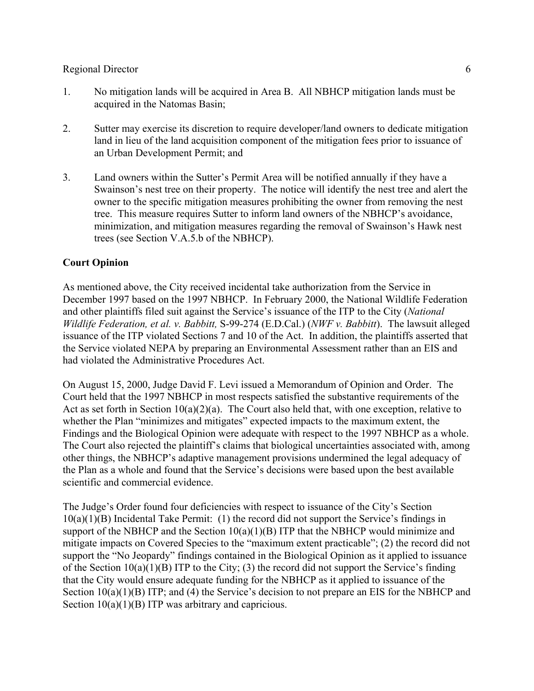- 1. No mitigation lands will be acquired in Area B. All NBHCP mitigation lands must be acquired in the Natomas Basin;
- 2. Sutter may exercise its discretion to require developer/land owners to dedicate mitigation land in lieu of the land acquisition component of the mitigation fees prior to issuance of an Urban Development Permit; and
- 3. Land owners within the Sutter's Permit Area will be notified annually if they have a Swainson's nest tree on their property. The notice will identify the nest tree and alert the owner to the specific mitigation measures prohibiting the owner from removing the nest tree. This measure requires Sutter to inform land owners of the NBHCP's avoidance, minimization, and mitigation measures regarding the removal of Swainson's Hawk nest trees (see Section V.A.5.b of the NBHCP).

# **Court Opinion**

As mentioned above, the City received incidental take authorization from the Service in December 1997 based on the 1997 NBHCP. In February 2000, the National Wildlife Federation and other plaintiffs filed suit against the Service's issuance of the ITP to the City (*National Wildlife Federation, et al. v. Babbitt,* S-99-274 (E.D.Cal.) (*NWF v. Babbitt*). The lawsuit alleged issuance of the ITP violated Sections 7 and 10 of the Act. In addition, the plaintiffs asserted that the Service violated NEPA by preparing an Environmental Assessment rather than an EIS and had violated the Administrative Procedures Act.

On August 15, 2000, Judge David F. Levi issued a Memorandum of Opinion and Order. The Court held that the 1997 NBHCP in most respects satisfied the substantive requirements of the Act as set forth in Section 10(a)(2)(a). The Court also held that, with one exception, relative to whether the Plan "minimizes and mitigates" expected impacts to the maximum extent, the Findings and the Biological Opinion were adequate with respect to the 1997 NBHCP as a whole. The Court also rejected the plaintiff's claims that biological uncertainties associated with, among other things, the NBHCP's adaptive management provisions undermined the legal adequacy of the Plan as a whole and found that the Service's decisions were based upon the best available scientific and commercial evidence.

The Judge's Order found four deficiencies with respect to issuance of the City's Section 10(a)(1)(B) Incidental Take Permit: (1) the record did not support the Service's findings in support of the NBHCP and the Section  $10(a)(1)(B)$  ITP that the NBHCP would minimize and mitigate impacts on Covered Species to the "maximum extent practicable"; (2) the record did not support the "No Jeopardy" findings contained in the Biological Opinion as it applied to issuance of the Section  $10(a)(1)(B)$  ITP to the City; (3) the record did not support the Service's finding that the City would ensure adequate funding for the NBHCP as it applied to issuance of the Section  $10(a)(1)(B)$  ITP; and (4) the Service's decision to not prepare an EIS for the NBHCP and Section  $10(a)(1)(B)$  ITP was arbitrary and capricious.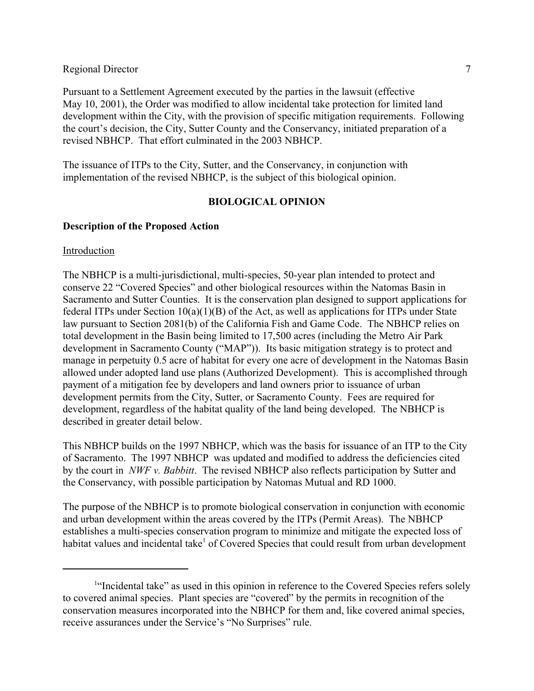Pursuant to a Settlement Agreement executed by the parties in the lawsuit (effective May 10, 2001), the Order was modified to allow incidental take protection for limited land development within the City, with the provision of specific mitigation requirements. Following the court's decision, the City, Sutter County and the Conservancy, initiated preparation of a revised NBHCP. That effort culminated in the 2003 NBHCP.

The issuance of ITPs to the City, Sutter, and the Conservancy, in conjunction with implementation of the revised NBHCP, is the subject of this biological opinion.

# **BIOLOGICAL OPINION**

## **Description of the Proposed Action**

#### Introduction

The NBHCP is a multi-jurisdictional, multi-species, 50-year plan intended to protect and conserve 22 "Covered Species" and other biological resources within the Natomas Basin in Sacramento and Sutter Counties. It is the conservation plan designed to support applications for federal ITPs under Section 10(a)(1)(B) of the Act, as well as applications for ITPs under State law pursuant to Section 2081(b) of the California Fish and Game Code. The NBHCP relies on total development in the Basin being limited to 17,500 acres (including the Metro Air Park development in Sacramento County ("MAP")). Its basic mitigation strategy is to protect and manage in perpetuity 0.5 acre of habitat for every one acre of development in the Natomas Basin allowed under adopted land use plans (Authorized Development). This is accomplished through payment of a mitigation fee by developers and land owners prior to issuance of urban development permits from the City, Sutter, or Sacramento County. Fees are required for development, regardless of the habitat quality of the land being developed. The NBHCP is described in greater detail below.

This NBHCP builds on the 1997 NBHCP, which was the basis for issuance of an ITP to the City of Sacramento. The 1997 NBHCP was updated and modified to address the deficiencies cited by the court in *NWF v. Babbitt*. The revised NBHCP also reflects participation by Sutter and the Conservancy, with possible participation by Natomas Mutual and RD 1000.

The purpose of the NBHCP is to promote biological conservation in conjunction with economic and urban development within the areas covered by the ITPs (Permit Areas). The NBHCP establishes a multi-species conservation program to minimize and mitigate the expected loss of habitat values and incidental take<sup>1</sup> of Covered Species that could result from urban development

<sup>&</sup>lt;sup>1</sup>"Incidental take" as used in this opinion in reference to the Covered Species refers solely to covered animal species. Plant species are "covered" by the permits in recognition of the conservation measures incorporated into the NBHCP for them and, like covered animal species, receive assurances under the Service's "No Surprises" rule.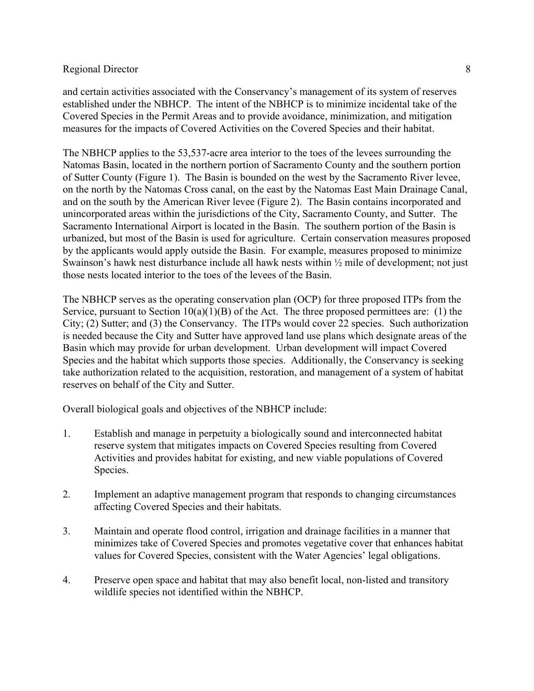and certain activities associated with the Conservancy's management of its system of reserves established under the NBHCP. The intent of the NBHCP is to minimize incidental take of the Covered Species in the Permit Areas and to provide avoidance, minimization, and mitigation measures for the impacts of Covered Activities on the Covered Species and their habitat.

The NBHCP applies to the 53,537-acre area interior to the toes of the levees surrounding the Natomas Basin, located in the northern portion of Sacramento County and the southern portion of Sutter County (Figure 1). The Basin is bounded on the west by the Sacramento River levee, on the north by the Natomas Cross canal, on the east by the Natomas East Main Drainage Canal, and on the south by the American River levee (Figure 2). The Basin contains incorporated and unincorporated areas within the jurisdictions of the City, Sacramento County, and Sutter. The Sacramento International Airport is located in the Basin. The southern portion of the Basin is urbanized, but most of the Basin is used for agriculture. Certain conservation measures proposed by the applicants would apply outside the Basin. For example, measures proposed to minimize Swainson's hawk nest disturbance include all hawk nests within ½ mile of development; not just those nests located interior to the toes of the levees of the Basin.

The NBHCP serves as the operating conservation plan (OCP) for three proposed ITPs from the Service, pursuant to Section  $10(a)(1)(B)$  of the Act. The three proposed permittees are: (1) the City; (2) Sutter; and (3) the Conservancy. The ITPs would cover 22 species. Such authorization is needed because the City and Sutter have approved land use plans which designate areas of the Basin which may provide for urban development. Urban development will impact Covered Species and the habitat which supports those species. Additionally, the Conservancy is seeking take authorization related to the acquisition, restoration, and management of a system of habitat reserves on behalf of the City and Sutter.

Overall biological goals and objectives of the NBHCP include:

- 1. Establish and manage in perpetuity a biologically sound and interconnected habitat reserve system that mitigates impacts on Covered Species resulting from Covered Activities and provides habitat for existing, and new viable populations of Covered Species.
- 2. Implement an adaptive management program that responds to changing circumstances affecting Covered Species and their habitats.
- 3. Maintain and operate flood control, irrigation and drainage facilities in a manner that minimizes take of Covered Species and promotes vegetative cover that enhances habitat values for Covered Species, consistent with the Water Agencies' legal obligations.
- 4. Preserve open space and habitat that may also benefit local, non-listed and transitory wildlife species not identified within the NBHCP.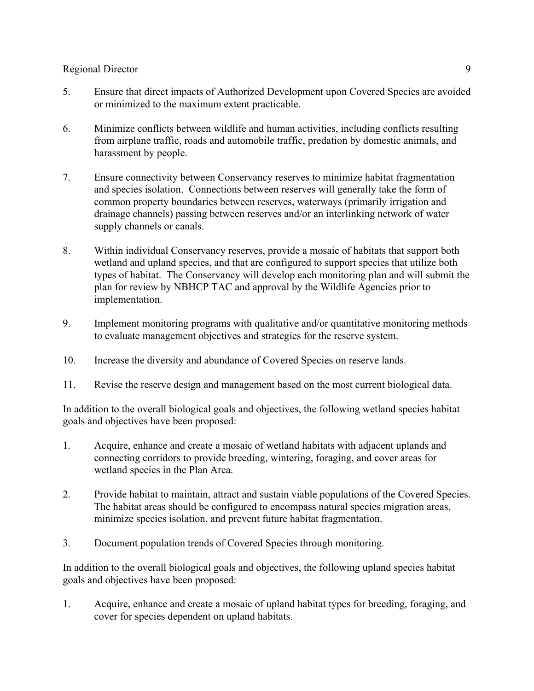- 5. Ensure that direct impacts of Authorized Development upon Covered Species are avoided or minimized to the maximum extent practicable.
- 6. Minimize conflicts between wildlife and human activities, including conflicts resulting from airplane traffic, roads and automobile traffic, predation by domestic animals, and harassment by people.
- 7. Ensure connectivity between Conservancy reserves to minimize habitat fragmentation and species isolation. Connections between reserves will generally take the form of common property boundaries between reserves, waterways (primarily irrigation and drainage channels) passing between reserves and/or an interlinking network of water supply channels or canals.
- 8. Within individual Conservancy reserves, provide a mosaic of habitats that support both wetland and upland species, and that are configured to support species that utilize both types of habitat. The Conservancy will develop each monitoring plan and will submit the plan for review by NBHCP TAC and approval by the Wildlife Agencies prior to implementation.
- 9. Implement monitoring programs with qualitative and/or quantitative monitoring methods to evaluate management objectives and strategies for the reserve system.
- 10. Increase the diversity and abundance of Covered Species on reserve lands.
- 11. Revise the reserve design and management based on the most current biological data.

In addition to the overall biological goals and objectives, the following wetland species habitat goals and objectives have been proposed:

- 1. Acquire, enhance and create a mosaic of wetland habitats with adjacent uplands and connecting corridors to provide breeding, wintering, foraging, and cover areas for wetland species in the Plan Area.
- 2. Provide habitat to maintain, attract and sustain viable populations of the Covered Species. The habitat areas should be configured to encompass natural species migration areas, minimize species isolation, and prevent future habitat fragmentation.
- 3. Document population trends of Covered Species through monitoring.

In addition to the overall biological goals and objectives, the following upland species habitat goals and objectives have been proposed:

1. Acquire, enhance and create a mosaic of upland habitat types for breeding, foraging, and cover for species dependent on upland habitats.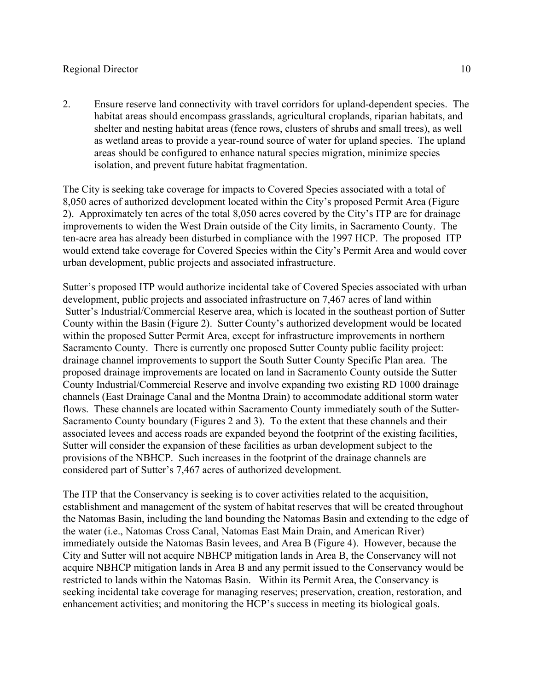2. Ensure reserve land connectivity with travel corridors for upland-dependent species. The habitat areas should encompass grasslands, agricultural croplands, riparian habitats, and shelter and nesting habitat areas (fence rows, clusters of shrubs and small trees), as well as wetland areas to provide a year-round source of water for upland species. The upland areas should be configured to enhance natural species migration, minimize species isolation, and prevent future habitat fragmentation.

The City is seeking take coverage for impacts to Covered Species associated with a total of 8,050 acres of authorized development located within the City's proposed Permit Area (Figure 2). Approximately ten acres of the total 8,050 acres covered by the City's ITP are for drainage improvements to widen the West Drain outside of the City limits, in Sacramento County. The ten-acre area has already been disturbed in compliance with the 1997 HCP. The proposed ITP would extend take coverage for Covered Species within the City's Permit Area and would cover urban development, public projects and associated infrastructure.

Sutter's proposed ITP would authorize incidental take of Covered Species associated with urban development, public projects and associated infrastructure on 7,467 acres of land within Sutter's Industrial/Commercial Reserve area, which is located in the southeast portion of Sutter County within the Basin (Figure 2). Sutter County's authorized development would be located within the proposed Sutter Permit Area, except for infrastructure improvements in northern Sacramento County. There is currently one proposed Sutter County public facility project: drainage channel improvements to support the South Sutter County Specific Plan area. The proposed drainage improvements are located on land in Sacramento County outside the Sutter County Industrial/Commercial Reserve and involve expanding two existing RD 1000 drainage channels (East Drainage Canal and the Montna Drain) to accommodate additional storm water flows. These channels are located within Sacramento County immediately south of the Sutter-Sacramento County boundary (Figures 2 and 3). To the extent that these channels and their associated levees and access roads are expanded beyond the footprint of the existing facilities, Sutter will consider the expansion of these facilities as urban development subject to the provisions of the NBHCP. Such increases in the footprint of the drainage channels are considered part of Sutter's 7,467 acres of authorized development.

The ITP that the Conservancy is seeking is to cover activities related to the acquisition, establishment and management of the system of habitat reserves that will be created throughout the Natomas Basin, including the land bounding the Natomas Basin and extending to the edge of the water (i.e., Natomas Cross Canal, Natomas East Main Drain, and American River) immediately outside the Natomas Basin levees, and Area B (Figure 4). However, because the City and Sutter will not acquire NBHCP mitigation lands in Area B, the Conservancy will not acquire NBHCP mitigation lands in Area B and any permit issued to the Conservancy would be restricted to lands within the Natomas Basin. Within its Permit Area, the Conservancy is seeking incidental take coverage for managing reserves; preservation, creation, restoration, and enhancement activities; and monitoring the HCP's success in meeting its biological goals.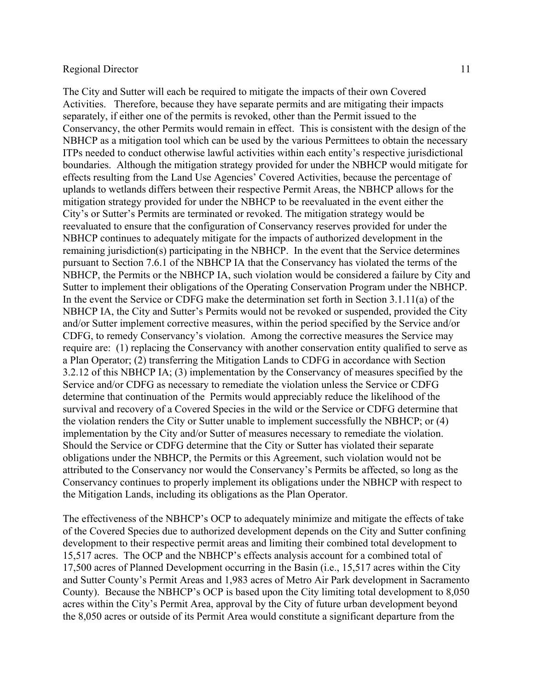The City and Sutter will each be required to mitigate the impacts of their own Covered Activities. Therefore, because they have separate permits and are mitigating their impacts separately, if either one of the permits is revoked, other than the Permit issued to the Conservancy, the other Permits would remain in effect. This is consistent with the design of the NBHCP as a mitigation tool which can be used by the various Permittees to obtain the necessary ITPs needed to conduct otherwise lawful activities within each entity's respective jurisdictional boundaries. Although the mitigation strategy provided for under the NBHCP would mitigate for effects resulting from the Land Use Agencies' Covered Activities, because the percentage of uplands to wetlands differs between their respective Permit Areas, the NBHCP allows for the mitigation strategy provided for under the NBHCP to be reevaluated in the event either the City's or Sutter's Permits are terminated or revoked. The mitigation strategy would be reevaluated to ensure that the configuration of Conservancy reserves provided for under the NBHCP continues to adequately mitigate for the impacts of authorized development in the remaining jurisdiction(s) participating in the NBHCP. In the event that the Service determines pursuant to Section 7.6.1 of the NBHCP IA that the Conservancy has violated the terms of the NBHCP, the Permits or the NBHCP IA, such violation would be considered a failure by City and Sutter to implement their obligations of the Operating Conservation Program under the NBHCP. In the event the Service or CDFG make the determination set forth in Section 3.1.11(a) of the NBHCP IA, the City and Sutter's Permits would not be revoked or suspended, provided the City and/or Sutter implement corrective measures, within the period specified by the Service and/or CDFG, to remedy Conservancy's violation. Among the corrective measures the Service may require are: (1) replacing the Conservancy with another conservation entity qualified to serve as a Plan Operator; (2) transferring the Mitigation Lands to CDFG in accordance with Section 3.2.12 of this NBHCP IA; (3) implementation by the Conservancy of measures specified by the Service and/or CDFG as necessary to remediate the violation unless the Service or CDFG determine that continuation of the Permits would appreciably reduce the likelihood of the survival and recovery of a Covered Species in the wild or the Service or CDFG determine that the violation renders the City or Sutter unable to implement successfully the NBHCP; or (4) implementation by the City and/or Sutter of measures necessary to remediate the violation. Should the Service or CDFG determine that the City or Sutter has violated their separate obligations under the NBHCP, the Permits or this Agreement, such violation would not be attributed to the Conservancy nor would the Conservancy's Permits be affected, so long as the Conservancy continues to properly implement its obligations under the NBHCP with respect to the Mitigation Lands, including its obligations as the Plan Operator.

The effectiveness of the NBHCP's OCP to adequately minimize and mitigate the effects of take of the Covered Species due to authorized development depends on the City and Sutter confining development to their respective permit areas and limiting their combined total development to 15,517 acres. The OCP and the NBHCP's effects analysis account for a combined total of 17,500 acres of Planned Development occurring in the Basin (i.e., 15,517 acres within the City and Sutter County's Permit Areas and 1,983 acres of Metro Air Park development in Sacramento County). Because the NBHCP's OCP is based upon the City limiting total development to 8,050 acres within the City's Permit Area, approval by the City of future urban development beyond the 8,050 acres or outside of its Permit Area would constitute a significant departure from the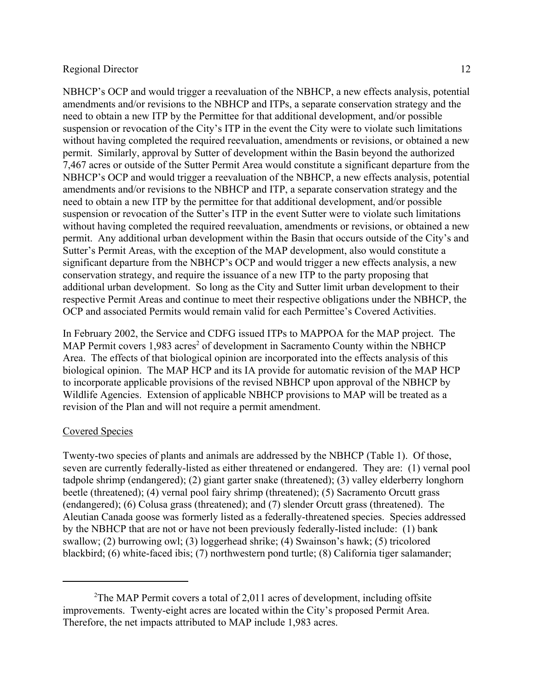NBHCP's OCP and would trigger a reevaluation of the NBHCP, a new effects analysis, potential amendments and/or revisions to the NBHCP and ITPs, a separate conservation strategy and the need to obtain a new ITP by the Permittee for that additional development, and/or possible suspension or revocation of the City's ITP in the event the City were to violate such limitations without having completed the required reevaluation, amendments or revisions, or obtained a new permit. Similarly, approval by Sutter of development within the Basin beyond the authorized 7,467 acres or outside of the Sutter Permit Area would constitute a significant departure from the NBHCP's OCP and would trigger a reevaluation of the NBHCP, a new effects analysis, potential amendments and/or revisions to the NBHCP and ITP, a separate conservation strategy and the need to obtain a new ITP by the permittee for that additional development, and/or possible suspension or revocation of the Sutter's ITP in the event Sutter were to violate such limitations without having completed the required reevaluation, amendments or revisions, or obtained a new permit. Any additional urban development within the Basin that occurs outside of the City's and Sutter's Permit Areas, with the exception of the MAP development, also would constitute a significant departure from the NBHCP's OCP and would trigger a new effects analysis, a new conservation strategy, and require the issuance of a new ITP to the party proposing that additional urban development. So long as the City and Sutter limit urban development to their respective Permit Areas and continue to meet their respective obligations under the NBHCP, the OCP and associated Permits would remain valid for each Permittee's Covered Activities.

In February 2002, the Service and CDFG issued ITPs to MAPPOA for the MAP project. The MAP Permit covers 1,983 acres<sup>2</sup> of development in Sacramento County within the NBHCP Area. The effects of that biological opinion are incorporated into the effects analysis of this biological opinion. The MAP HCP and its IA provide for automatic revision of the MAP HCP to incorporate applicable provisions of the revised NBHCP upon approval of the NBHCP by Wildlife Agencies. Extension of applicable NBHCP provisions to MAP will be treated as a revision of the Plan and will not require a permit amendment.

# Covered Species

Twenty-two species of plants and animals are addressed by the NBHCP (Table 1). Of those, seven are currently federally-listed as either threatened or endangered. They are: (1) vernal pool tadpole shrimp (endangered); (2) giant garter snake (threatened); (3) valley elderberry longhorn beetle (threatened); (4) vernal pool fairy shrimp (threatened); (5) Sacramento Orcutt grass (endangered); (6) Colusa grass (threatened); and (7) slender Orcutt grass (threatened). The Aleutian Canada goose was formerly listed as a federally-threatened species. Species addressed by the NBHCP that are not or have not been previously federally-listed include: (1) bank swallow; (2) burrowing owl; (3) loggerhead shrike; (4) Swainson's hawk; (5) tricolored blackbird; (6) white-faced ibis; (7) northwestern pond turtle; (8) California tiger salamander;

 $2$ The MAP Permit covers a total of 2,011 acres of development, including offsite improvements. Twenty-eight acres are located within the City's proposed Permit Area. Therefore, the net impacts attributed to MAP include 1,983 acres.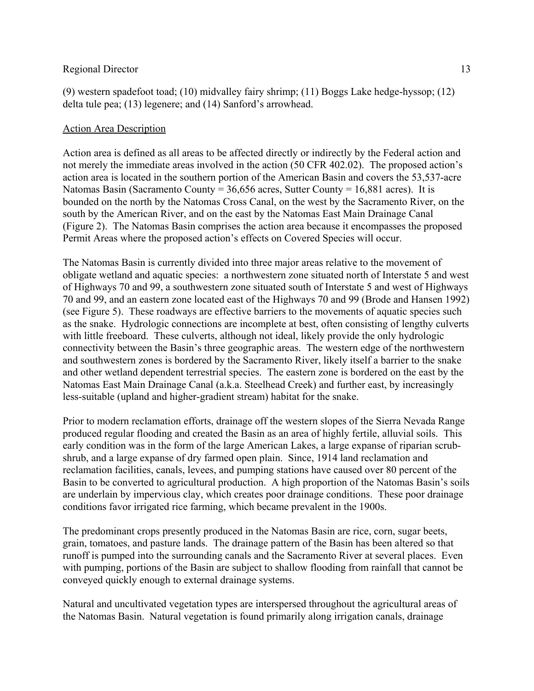(9) western spadefoot toad; (10) midvalley fairy shrimp; (11) Boggs Lake hedge-hyssop; (12) delta tule pea; (13) legenere; and (14) Sanford's arrowhead.

# Action Area Description

Action area is defined as all areas to be affected directly or indirectly by the Federal action and not merely the immediate areas involved in the action (50 CFR 402.02). The proposed action's action area is located in the southern portion of the American Basin and covers the 53,537-acre Natomas Basin (Sacramento County =  $36,656$  acres, Sutter County =  $16,881$  acres). It is bounded on the north by the Natomas Cross Canal, on the west by the Sacramento River, on the south by the American River, and on the east by the Natomas East Main Drainage Canal (Figure 2). The Natomas Basin comprises the action area because it encompasses the proposed Permit Areas where the proposed action's effects on Covered Species will occur.

The Natomas Basin is currently divided into three major areas relative to the movement of obligate wetland and aquatic species: a northwestern zone situated north of Interstate 5 and west of Highways 70 and 99, a southwestern zone situated south of Interstate 5 and west of Highways 70 and 99, and an eastern zone located east of the Highways 70 and 99 (Brode and Hansen 1992) (see Figure 5). These roadways are effective barriers to the movements of aquatic species such as the snake. Hydrologic connections are incomplete at best, often consisting of lengthy culverts with little freeboard. These culverts, although not ideal, likely provide the only hydrologic connectivity between the Basin's three geographic areas. The western edge of the northwestern and southwestern zones is bordered by the Sacramento River, likely itself a barrier to the snake and other wetland dependent terrestrial species. The eastern zone is bordered on the east by the Natomas East Main Drainage Canal (a.k.a. Steelhead Creek) and further east, by increasingly less-suitable (upland and higher-gradient stream) habitat for the snake.

Prior to modern reclamation efforts, drainage off the western slopes of the Sierra Nevada Range produced regular flooding and created the Basin as an area of highly fertile, alluvial soils. This early condition was in the form of the large American Lakes, a large expanse of riparian scrubshrub, and a large expanse of dry farmed open plain. Since, 1914 land reclamation and reclamation facilities, canals, levees, and pumping stations have caused over 80 percent of the Basin to be converted to agricultural production. A high proportion of the Natomas Basin's soils are underlain by impervious clay, which creates poor drainage conditions. These poor drainage conditions favor irrigated rice farming, which became prevalent in the 1900s.

The predominant crops presently produced in the Natomas Basin are rice, corn, sugar beets, grain, tomatoes, and pasture lands. The drainage pattern of the Basin has been altered so that runoff is pumped into the surrounding canals and the Sacramento River at several places. Even with pumping, portions of the Basin are subject to shallow flooding from rainfall that cannot be conveyed quickly enough to external drainage systems.

Natural and uncultivated vegetation types are interspersed throughout the agricultural areas of the Natomas Basin. Natural vegetation is found primarily along irrigation canals, drainage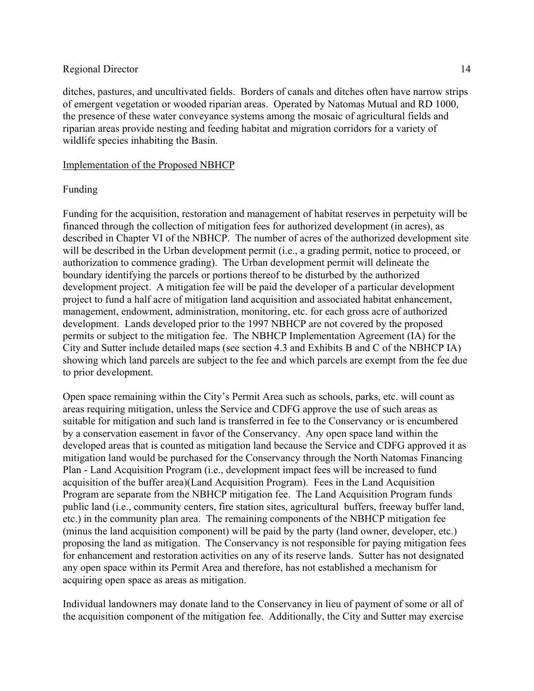ditches, pastures, and uncultivated fields. Borders of canals and ditches often have narrow strips of emergent vegetation or wooded riparian areas. Operated by Natomas Mutual and RD 1000, the presence of these water conveyance systems among the mosaic of agricultural fields and riparian areas provide nesting and feeding habitat and migration corridors for a variety of wildlife species inhabiting the Basin.

#### Implementation of the Proposed NBHCP

#### Funding

Funding for the acquisition, restoration and management of habitat reserves in perpetuity will be financed through the collection of mitigation fees for authorized development (in acres), as described in Chapter VI of the NBHCP. The number of acres of the authorized development site will be described in the Urban development permit (i.e., a grading permit, notice to proceed, or authorization to commence grading). The Urban development permit will delineate the boundary identifying the parcels or portions thereof to be disturbed by the authorized development project. A mitigation fee will be paid the developer of a particular development project to fund a half acre of mitigation land acquisition and associated habitat enhancement, management, endowment, administration, monitoring, etc. for each gross acre of authorized development. Lands developed prior to the 1997 NBHCP are not covered by the proposed permits or subject to the mitigation fee. The NBHCP Implementation Agreement (IA) for the City and Sutter include detailed maps (see section 4.3 and Exhibits B and C of the NBHCP IA) showing which land parcels are subject to the fee and which parcels are exempt from the fee due to prior development.

Open space remaining within the City's Permit Area such as schools, parks, etc. will count as areas requiring mitigation, unless the Service and CDFG approve the use of such areas as suitable for mitigation and such land is transferred in fee to the Conservancy or is encumbered by a conservation easement in favor of the Conservancy. Any open space land within the developed areas that is counted as mitigation land because the Service and CDFG approved it as mitigation land would be purchased for the Conservancy through the North Natomas Financing Plan - Land Acquisition Program (i.e., development impact fees will be increased to fund acquisition of the buffer area)(Land Acquisition Program). Fees in the Land Acquisition Program are separate from the NBHCP mitigation fee. The Land Acquisition Program funds public land (i.e., community centers, fire station sites, agricultural buffers, freeway buffer land, etc.) in the community plan area. The remaining components of the NBHCP mitigation fee (minus the land acquisition component) will be paid by the party (land owner, developer, etc.) proposing the land as mitigation. The Conservancy is not responsible for paying mitigation fees for enhancement and restoration activities on any of its reserve lands. Sutter has not designated any open space within its Permit Area and therefore, has not established a mechanism for acquiring open space as areas as mitigation.

Individual landowners may donate land to the Conservancy in lieu of payment of some or all of the acquisition component of the mitigation fee. Additionally, the City and Sutter may exercise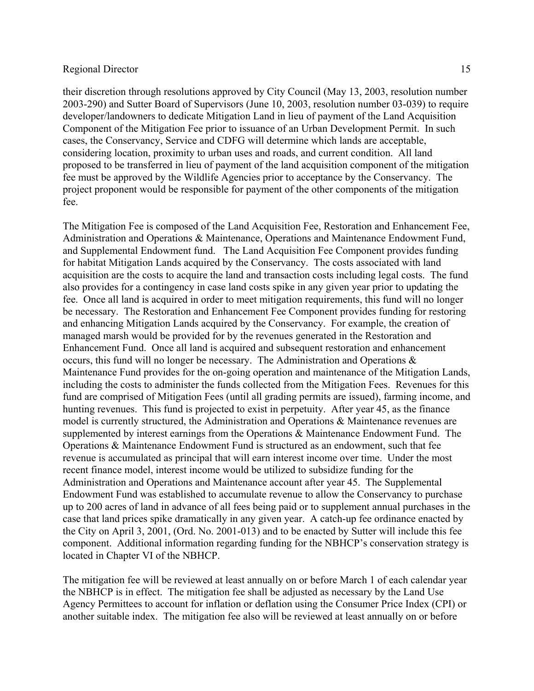their discretion through resolutions approved by City Council (May 13, 2003, resolution number 2003-290) and Sutter Board of Supervisors (June 10, 2003, resolution number 03-039) to require developer/landowners to dedicate Mitigation Land in lieu of payment of the Land Acquisition Component of the Mitigation Fee prior to issuance of an Urban Development Permit. In such cases, the Conservancy, Service and CDFG will determine which lands are acceptable, considering location, proximity to urban uses and roads, and current condition. All land proposed to be transferred in lieu of payment of the land acquisition component of the mitigation fee must be approved by the Wildlife Agencies prior to acceptance by the Conservancy. The project proponent would be responsible for payment of the other components of the mitigation fee.

The Mitigation Fee is composed of the Land Acquisition Fee, Restoration and Enhancement Fee, Administration and Operations & Maintenance, Operations and Maintenance Endowment Fund, and Supplemental Endowment fund. The Land Acquisition Fee Component provides funding for habitat Mitigation Lands acquired by the Conservancy. The costs associated with land acquisition are the costs to acquire the land and transaction costs including legal costs. The fund also provides for a contingency in case land costs spike in any given year prior to updating the fee. Once all land is acquired in order to meet mitigation requirements, this fund will no longer be necessary. The Restoration and Enhancement Fee Component provides funding for restoring and enhancing Mitigation Lands acquired by the Conservancy. For example, the creation of managed marsh would be provided for by the revenues generated in the Restoration and Enhancement Fund. Once all land is acquired and subsequent restoration and enhancement occurs, this fund will no longer be necessary. The Administration and Operations & Maintenance Fund provides for the on-going operation and maintenance of the Mitigation Lands, including the costs to administer the funds collected from the Mitigation Fees. Revenues for this fund are comprised of Mitigation Fees (until all grading permits are issued), farming income, and hunting revenues. This fund is projected to exist in perpetuity. After year 45, as the finance model is currently structured, the Administration and Operations & Maintenance revenues are supplemented by interest earnings from the Operations & Maintenance Endowment Fund. The Operations & Maintenance Endowment Fund is structured as an endowment, such that fee revenue is accumulated as principal that will earn interest income over time. Under the most recent finance model, interest income would be utilized to subsidize funding for the Administration and Operations and Maintenance account after year 45. The Supplemental Endowment Fund was established to accumulate revenue to allow the Conservancy to purchase up to 200 acres of land in advance of all fees being paid or to supplement annual purchases in the case that land prices spike dramatically in any given year. A catch-up fee ordinance enacted by the City on April 3, 2001, (Ord. No. 2001-013) and to be enacted by Sutter will include this fee component. Additional information regarding funding for the NBHCP's conservation strategy is located in Chapter VI of the NBHCP.

The mitigation fee will be reviewed at least annually on or before March 1 of each calendar year the NBHCP is in effect. The mitigation fee shall be adjusted as necessary by the Land Use Agency Permittees to account for inflation or deflation using the Consumer Price Index (CPI) or another suitable index. The mitigation fee also will be reviewed at least annually on or before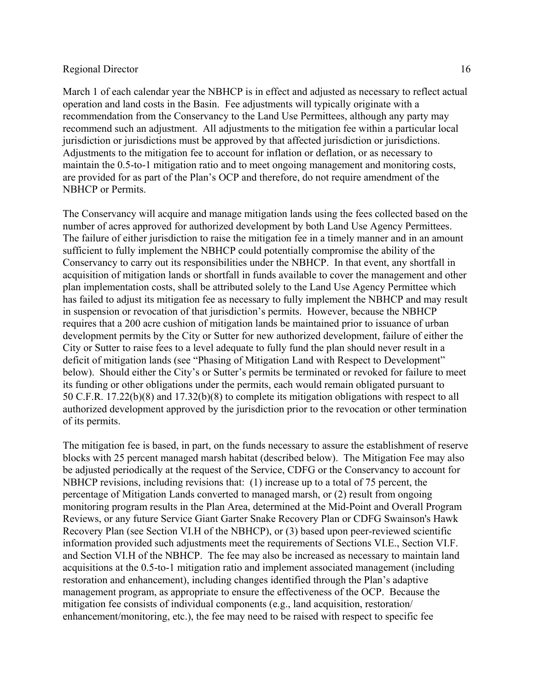March 1 of each calendar year the NBHCP is in effect and adjusted as necessary to reflect actual operation and land costs in the Basin. Fee adjustments will typically originate with a recommendation from the Conservancy to the Land Use Permittees, although any party may recommend such an adjustment. All adjustments to the mitigation fee within a particular local jurisdiction or jurisdictions must be approved by that affected jurisdiction or jurisdictions. Adjustments to the mitigation fee to account for inflation or deflation, or as necessary to maintain the 0.5-to-1 mitigation ratio and to meet ongoing management and monitoring costs, are provided for as part of the Plan's OCP and therefore, do not require amendment of the NBHCP or Permits.

The Conservancy will acquire and manage mitigation lands using the fees collected based on the number of acres approved for authorized development by both Land Use Agency Permittees. The failure of either jurisdiction to raise the mitigation fee in a timely manner and in an amount sufficient to fully implement the NBHCP could potentially compromise the ability of the Conservancy to carry out its responsibilities under the NBHCP. In that event, any shortfall in acquisition of mitigation lands or shortfall in funds available to cover the management and other plan implementation costs, shall be attributed solely to the Land Use Agency Permittee which has failed to adjust its mitigation fee as necessary to fully implement the NBHCP and may result in suspension or revocation of that jurisdiction's permits. However, because the NBHCP requires that a 200 acre cushion of mitigation lands be maintained prior to issuance of urban development permits by the City or Sutter for new authorized development, failure of either the City or Sutter to raise fees to a level adequate to fully fund the plan should never result in a deficit of mitigation lands (see "Phasing of Mitigation Land with Respect to Development" below). Should either the City's or Sutter's permits be terminated or revoked for failure to meet its funding or other obligations under the permits, each would remain obligated pursuant to 50 C.F.R. 17.22(b)(8) and 17.32(b)(8) to complete its mitigation obligations with respect to all authorized development approved by the jurisdiction prior to the revocation or other termination of its permits.

The mitigation fee is based, in part, on the funds necessary to assure the establishment of reserve blocks with 25 percent managed marsh habitat (described below). The Mitigation Fee may also be adjusted periodically at the request of the Service, CDFG or the Conservancy to account for NBHCP revisions, including revisions that: (1) increase up to a total of 75 percent, the percentage of Mitigation Lands converted to managed marsh, or (2) result from ongoing monitoring program results in the Plan Area, determined at the Mid-Point and Overall Program Reviews, or any future Service Giant Garter Snake Recovery Plan or CDFG Swainson's Hawk Recovery Plan (see Section VI.H of the NBHCP), or (3) based upon peer-reviewed scientific information provided such adjustments meet the requirements of Sections VI.E., Section VI.F. and Section VI.H of the NBHCP. The fee may also be increased as necessary to maintain land acquisitions at the 0.5-to-1 mitigation ratio and implement associated management (including restoration and enhancement), including changes identified through the Plan's adaptive management program, as appropriate to ensure the effectiveness of the OCP. Because the mitigation fee consists of individual components (e.g., land acquisition, restoration/ enhancement/monitoring, etc.), the fee may need to be raised with respect to specific fee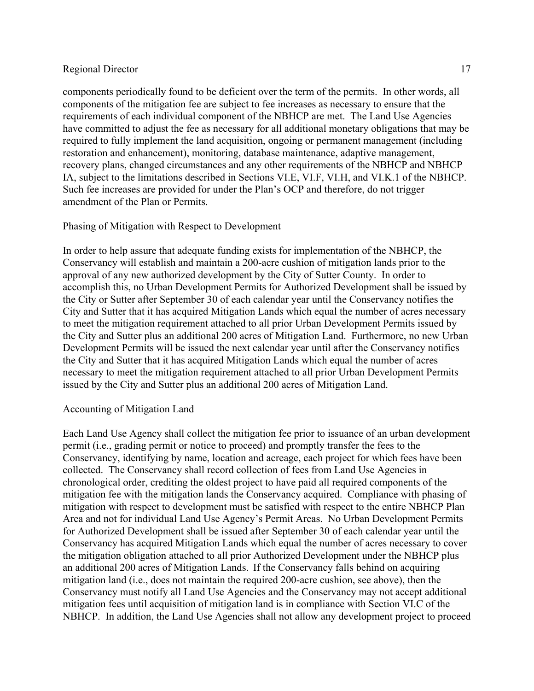components periodically found to be deficient over the term of the permits. In other words, all components of the mitigation fee are subject to fee increases as necessary to ensure that the requirements of each individual component of the NBHCP are met. The Land Use Agencies have committed to adjust the fee as necessary for all additional monetary obligations that may be required to fully implement the land acquisition, ongoing or permanent management (including restoration and enhancement), monitoring, database maintenance, adaptive management, recovery plans, changed circumstances and any other requirements of the NBHCP and NBHCP IA, subject to the limitations described in Sections VI.E, VI.F, VI.H, and VI.K.1 of the NBHCP. Such fee increases are provided for under the Plan's OCP and therefore, do not trigger amendment of the Plan or Permits.

# Phasing of Mitigation with Respect to Development

In order to help assure that adequate funding exists for implementation of the NBHCP, the Conservancy will establish and maintain a 200-acre cushion of mitigation lands prior to the approval of any new authorized development by the City of Sutter County. In order to accomplish this, no Urban Development Permits for Authorized Development shall be issued by the City or Sutter after September 30 of each calendar year until the Conservancy notifies the City and Sutter that it has acquired Mitigation Lands which equal the number of acres necessary to meet the mitigation requirement attached to all prior Urban Development Permits issued by the City and Sutter plus an additional 200 acres of Mitigation Land. Furthermore, no new Urban Development Permits will be issued the next calendar year until after the Conservancy notifies the City and Sutter that it has acquired Mitigation Lands which equal the number of acres necessary to meet the mitigation requirement attached to all prior Urban Development Permits issued by the City and Sutter plus an additional 200 acres of Mitigation Land.

## Accounting of Mitigation Land

Each Land Use Agency shall collect the mitigation fee prior to issuance of an urban development permit (i.e., grading permit or notice to proceed) and promptly transfer the fees to the Conservancy, identifying by name, location and acreage, each project for which fees have been collected. The Conservancy shall record collection of fees from Land Use Agencies in chronological order, crediting the oldest project to have paid all required components of the mitigation fee with the mitigation lands the Conservancy acquired. Compliance with phasing of mitigation with respect to development must be satisfied with respect to the entire NBHCP Plan Area and not for individual Land Use Agency's Permit Areas. No Urban Development Permits for Authorized Development shall be issued after September 30 of each calendar year until the Conservancy has acquired Mitigation Lands which equal the number of acres necessary to cover the mitigation obligation attached to all prior Authorized Development under the NBHCP plus an additional 200 acres of Mitigation Lands. If the Conservancy falls behind on acquiring mitigation land (i.e., does not maintain the required 200-acre cushion, see above), then the Conservancy must notify all Land Use Agencies and the Conservancy may not accept additional mitigation fees until acquisition of mitigation land is in compliance with Section VI.C of the NBHCP. In addition, the Land Use Agencies shall not allow any development project to proceed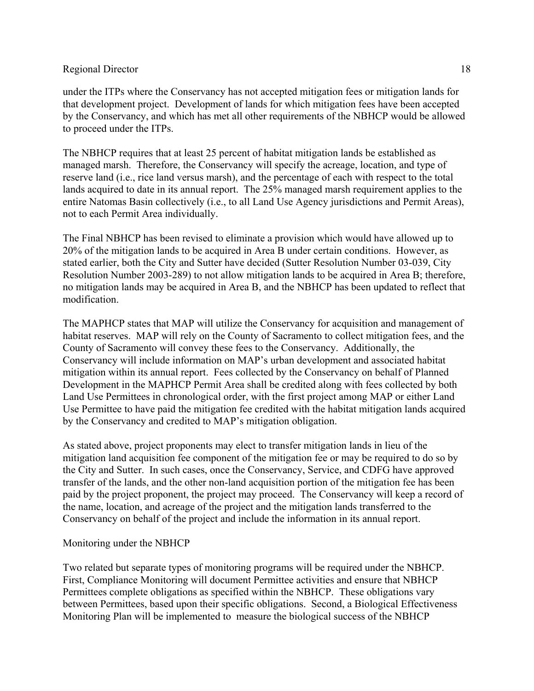under the ITPs where the Conservancy has not accepted mitigation fees or mitigation lands for that development project. Development of lands for which mitigation fees have been accepted by the Conservancy, and which has met all other requirements of the NBHCP would be allowed to proceed under the ITPs.

The NBHCP requires that at least 25 percent of habitat mitigation lands be established as managed marsh. Therefore, the Conservancy will specify the acreage, location, and type of reserve land (i.e., rice land versus marsh), and the percentage of each with respect to the total lands acquired to date in its annual report. The 25% managed marsh requirement applies to the entire Natomas Basin collectively (i.e., to all Land Use Agency jurisdictions and Permit Areas), not to each Permit Area individually.

The Final NBHCP has been revised to eliminate a provision which would have allowed up to 20% of the mitigation lands to be acquired in Area B under certain conditions. However, as stated earlier, both the City and Sutter have decided (Sutter Resolution Number 03-039, City Resolution Number 2003-289) to not allow mitigation lands to be acquired in Area B; therefore, no mitigation lands may be acquired in Area B, and the NBHCP has been updated to reflect that modification.

The MAPHCP states that MAP will utilize the Conservancy for acquisition and management of habitat reserves. MAP will rely on the County of Sacramento to collect mitigation fees, and the County of Sacramento will convey these fees to the Conservancy. Additionally, the Conservancy will include information on MAP's urban development and associated habitat mitigation within its annual report. Fees collected by the Conservancy on behalf of Planned Development in the MAPHCP Permit Area shall be credited along with fees collected by both Land Use Permittees in chronological order, with the first project among MAP or either Land Use Permittee to have paid the mitigation fee credited with the habitat mitigation lands acquired by the Conservancy and credited to MAP's mitigation obligation.

As stated above, project proponents may elect to transfer mitigation lands in lieu of the mitigation land acquisition fee component of the mitigation fee or may be required to do so by the City and Sutter. In such cases, once the Conservancy, Service, and CDFG have approved transfer of the lands, and the other non-land acquisition portion of the mitigation fee has been paid by the project proponent, the project may proceed. The Conservancy will keep a record of the name, location, and acreage of the project and the mitigation lands transferred to the Conservancy on behalf of the project and include the information in its annual report.

## Monitoring under the NBHCP

Two related but separate types of monitoring programs will be required under the NBHCP. First, Compliance Monitoring will document Permittee activities and ensure that NBHCP Permittees complete obligations as specified within the NBHCP. These obligations vary between Permittees, based upon their specific obligations. Second, a Biological Effectiveness Monitoring Plan will be implemented to measure the biological success of the NBHCP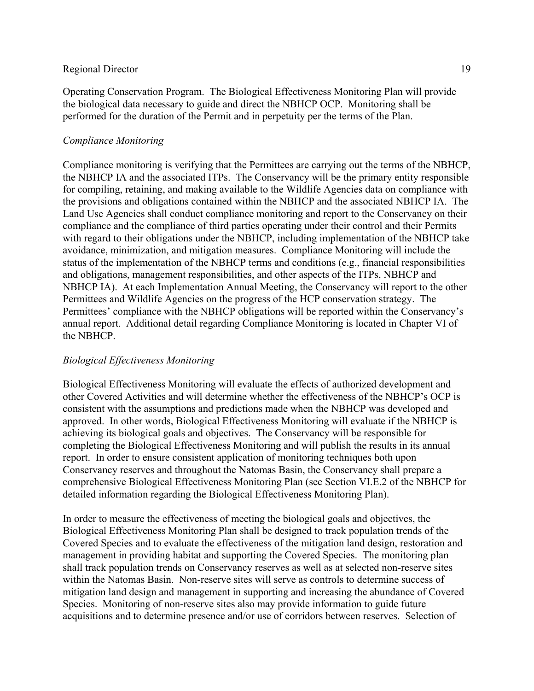Operating Conservation Program. The Biological Effectiveness Monitoring Plan will provide the biological data necessary to guide and direct the NBHCP OCP. Monitoring shall be performed for the duration of the Permit and in perpetuity per the terms of the Plan.

## *Compliance Monitoring*

Compliance monitoring is verifying that the Permittees are carrying out the terms of the NBHCP, the NBHCP IA and the associated ITPs. The Conservancy will be the primary entity responsible for compiling, retaining, and making available to the Wildlife Agencies data on compliance with the provisions and obligations contained within the NBHCP and the associated NBHCP IA. The Land Use Agencies shall conduct compliance monitoring and report to the Conservancy on their compliance and the compliance of third parties operating under their control and their Permits with regard to their obligations under the NBHCP, including implementation of the NBHCP take avoidance, minimization, and mitigation measures. Compliance Monitoring will include the status of the implementation of the NBHCP terms and conditions (e.g., financial responsibilities and obligations, management responsibilities, and other aspects of the ITPs, NBHCP and NBHCP IA). At each Implementation Annual Meeting, the Conservancy will report to the other Permittees and Wildlife Agencies on the progress of the HCP conservation strategy. The Permittees' compliance with the NBHCP obligations will be reported within the Conservancy's annual report. Additional detail regarding Compliance Monitoring is located in Chapter VI of the NBHCP.

## *Biological Effectiveness Monitoring*

Biological Effectiveness Monitoring will evaluate the effects of authorized development and other Covered Activities and will determine whether the effectiveness of the NBHCP's OCP is consistent with the assumptions and predictions made when the NBHCP was developed and approved. In other words, Biological Effectiveness Monitoring will evaluate if the NBHCP is achieving its biological goals and objectives. The Conservancy will be responsible for completing the Biological Effectiveness Monitoring and will publish the results in its annual report. In order to ensure consistent application of monitoring techniques both upon Conservancy reserves and throughout the Natomas Basin, the Conservancy shall prepare a comprehensive Biological Effectiveness Monitoring Plan (see Section VI.E.2 of the NBHCP for detailed information regarding the Biological Effectiveness Monitoring Plan).

In order to measure the effectiveness of meeting the biological goals and objectives, the Biological Effectiveness Monitoring Plan shall be designed to track population trends of the Covered Species and to evaluate the effectiveness of the mitigation land design, restoration and management in providing habitat and supporting the Covered Species. The monitoring plan shall track population trends on Conservancy reserves as well as at selected non-reserve sites within the Natomas Basin. Non-reserve sites will serve as controls to determine success of mitigation land design and management in supporting and increasing the abundance of Covered Species. Monitoring of non-reserve sites also may provide information to guide future acquisitions and to determine presence and/or use of corridors between reserves. Selection of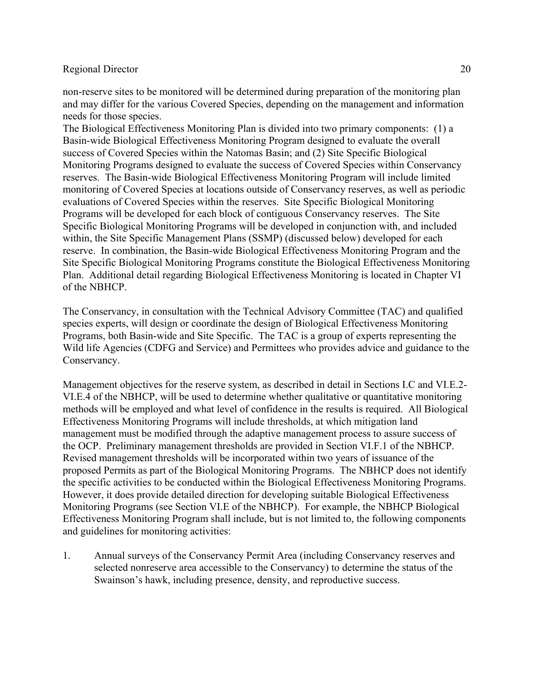non-reserve sites to be monitored will be determined during preparation of the monitoring plan and may differ for the various Covered Species, depending on the management and information needs for those species.

The Biological Effectiveness Monitoring Plan is divided into two primary components: (1) a Basin-wide Biological Effectiveness Monitoring Program designed to evaluate the overall success of Covered Species within the Natomas Basin; and (2) Site Specific Biological Monitoring Programs designed to evaluate the success of Covered Species within Conservancy reserves. The Basin-wide Biological Effectiveness Monitoring Program will include limited monitoring of Covered Species at locations outside of Conservancy reserves, as well as periodic evaluations of Covered Species within the reserves. Site Specific Biological Monitoring Programs will be developed for each block of contiguous Conservancy reserves. The Site Specific Biological Monitoring Programs will be developed in conjunction with, and included within, the Site Specific Management Plans (SSMP) (discussed below) developed for each reserve. In combination, the Basin-wide Biological Effectiveness Monitoring Program and the Site Specific Biological Monitoring Programs constitute the Biological Effectiveness Monitoring Plan. Additional detail regarding Biological Effectiveness Monitoring is located in Chapter VI of the NBHCP.

The Conservancy, in consultation with the Technical Advisory Committee (TAC) and qualified species experts, will design or coordinate the design of Biological Effectiveness Monitoring Programs, both Basin-wide and Site Specific. The TAC is a group of experts representing the Wild life Agencies (CDFG and Service) and Permittees who provides advice and guidance to the Conservancy.

Management objectives for the reserve system, as described in detail in Sections I.C and VI.E.2- VI.E.4 of the NBHCP, will be used to determine whether qualitative or quantitative monitoring methods will be employed and what level of confidence in the results is required. All Biological Effectiveness Monitoring Programs will include thresholds, at which mitigation land management must be modified through the adaptive management process to assure success of the OCP. Preliminary management thresholds are provided in Section VI.F.1 of the NBHCP. Revised management thresholds will be incorporated within two years of issuance of the proposed Permits as part of the Biological Monitoring Programs. The NBHCP does not identify the specific activities to be conducted within the Biological Effectiveness Monitoring Programs. However, it does provide detailed direction for developing suitable Biological Effectiveness Monitoring Programs (see Section VI.E of the NBHCP). For example, the NBHCP Biological Effectiveness Monitoring Program shall include, but is not limited to, the following components and guidelines for monitoring activities:

1. Annual surveys of the Conservancy Permit Area (including Conservancy reserves and selected nonreserve area accessible to the Conservancy) to determine the status of the Swainson's hawk, including presence, density, and reproductive success.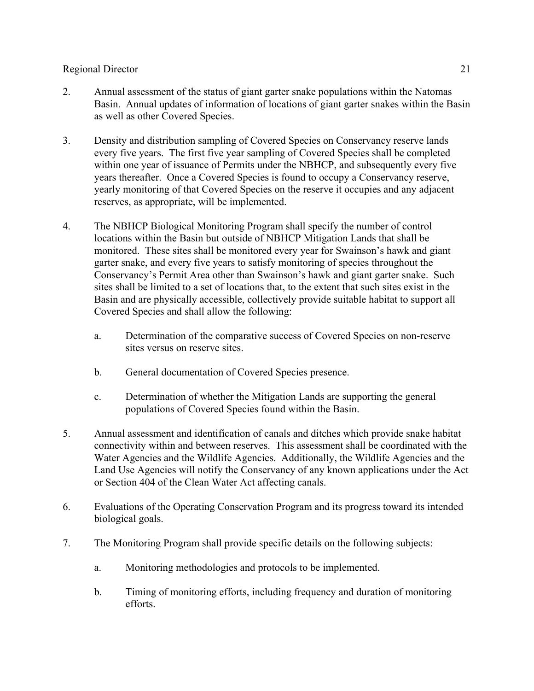- 2. Annual assessment of the status of giant garter snake populations within the Natomas Basin. Annual updates of information of locations of giant garter snakes within the Basin as well as other Covered Species.
- 3. Density and distribution sampling of Covered Species on Conservancy reserve lands every five years. The first five year sampling of Covered Species shall be completed within one year of issuance of Permits under the NBHCP, and subsequently every five years thereafter. Once a Covered Species is found to occupy a Conservancy reserve, yearly monitoring of that Covered Species on the reserve it occupies and any adjacent reserves, as appropriate, will be implemented.
- 4. The NBHCP Biological Monitoring Program shall specify the number of control locations within the Basin but outside of NBHCP Mitigation Lands that shall be monitored. These sites shall be monitored every year for Swainson's hawk and giant garter snake, and every five years to satisfy monitoring of species throughout the Conservancy's Permit Area other than Swainson's hawk and giant garter snake. Such sites shall be limited to a set of locations that, to the extent that such sites exist in the Basin and are physically accessible, collectively provide suitable habitat to support all Covered Species and shall allow the following:
	- a. Determination of the comparative success of Covered Species on non-reserve sites versus on reserve sites.
	- b. General documentation of Covered Species presence.
	- c. Determination of whether the Mitigation Lands are supporting the general populations of Covered Species found within the Basin.
- 5. Annual assessment and identification of canals and ditches which provide snake habitat connectivity within and between reserves. This assessment shall be coordinated with the Water Agencies and the Wildlife Agencies. Additionally, the Wildlife Agencies and the Land Use Agencies will notify the Conservancy of any known applications under the Act or Section 404 of the Clean Water Act affecting canals.
- 6. Evaluations of the Operating Conservation Program and its progress toward its intended biological goals.
- 7. The Monitoring Program shall provide specific details on the following subjects:
	- a. Monitoring methodologies and protocols to be implemented.
	- b. Timing of monitoring efforts, including frequency and duration of monitoring efforts.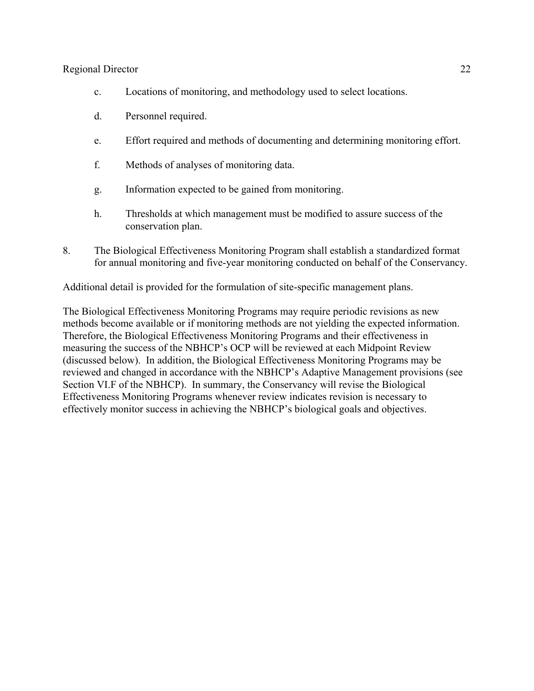- c. Locations of monitoring, and methodology used to select locations.
- d. Personnel required.
- e. Effort required and methods of documenting and determining monitoring effort.
- f. Methods of analyses of monitoring data.
- g. Information expected to be gained from monitoring.
- h. Thresholds at which management must be modified to assure success of the conservation plan.
- 8. The Biological Effectiveness Monitoring Program shall establish a standardized format for annual monitoring and five-year monitoring conducted on behalf of the Conservancy.

Additional detail is provided for the formulation of site-specific management plans.

The Biological Effectiveness Monitoring Programs may require periodic revisions as new methods become available or if monitoring methods are not yielding the expected information. Therefore, the Biological Effectiveness Monitoring Programs and their effectiveness in measuring the success of the NBHCP's OCP will be reviewed at each Midpoint Review (discussed below). In addition, the Biological Effectiveness Monitoring Programs may be reviewed and changed in accordance with the NBHCP's Adaptive Management provisions (see Section VI.F of the NBHCP). In summary, the Conservancy will revise the Biological Effectiveness Monitoring Programs whenever review indicates revision is necessary to effectively monitor success in achieving the NBHCP's biological goals and objectives.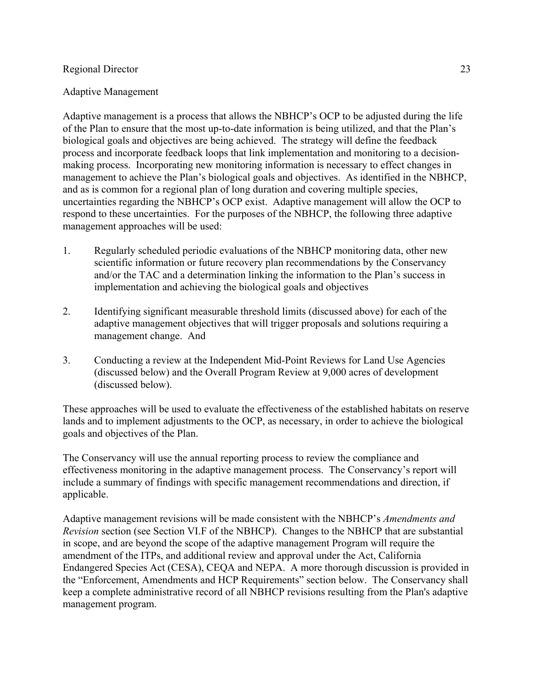## Adaptive Management

Adaptive management is a process that allows the NBHCP's OCP to be adjusted during the life of the Plan to ensure that the most up-to-date information is being utilized, and that the Plan's biological goals and objectives are being achieved. The strategy will define the feedback process and incorporate feedback loops that link implementation and monitoring to a decisionmaking process. Incorporating new monitoring information is necessary to effect changes in management to achieve the Plan's biological goals and objectives. As identified in the NBHCP, and as is common for a regional plan of long duration and covering multiple species, uncertainties regarding the NBHCP's OCP exist. Adaptive management will allow the OCP to respond to these uncertainties. For the purposes of the NBHCP, the following three adaptive management approaches will be used:

- 1. Regularly scheduled periodic evaluations of the NBHCP monitoring data, other new scientific information or future recovery plan recommendations by the Conservancy and/or the TAC and a determination linking the information to the Plan's success in implementation and achieving the biological goals and objectives
- 2. Identifying significant measurable threshold limits (discussed above) for each of the adaptive management objectives that will trigger proposals and solutions requiring a management change. And
- 3. Conducting a review at the Independent Mid-Point Reviews for Land Use Agencies (discussed below) and the Overall Program Review at 9,000 acres of development (discussed below).

These approaches will be used to evaluate the effectiveness of the established habitats on reserve lands and to implement adjustments to the OCP, as necessary, in order to achieve the biological goals and objectives of the Plan.

The Conservancy will use the annual reporting process to review the compliance and effectiveness monitoring in the adaptive management process. The Conservancy's report will include a summary of findings with specific management recommendations and direction, if applicable.

Adaptive management revisions will be made consistent with the NBHCP's *Amendments and Revision* section (see Section VI.F of the NBHCP). Changes to the NBHCP that are substantial in scope, and are beyond the scope of the adaptive management Program will require the amendment of the ITPs, and additional review and approval under the Act, California Endangered Species Act (CESA), CEQA and NEPA. A more thorough discussion is provided in the "Enforcement, Amendments and HCP Requirements" section below. The Conservancy shall keep a complete administrative record of all NBHCP revisions resulting from the Plan's adaptive management program.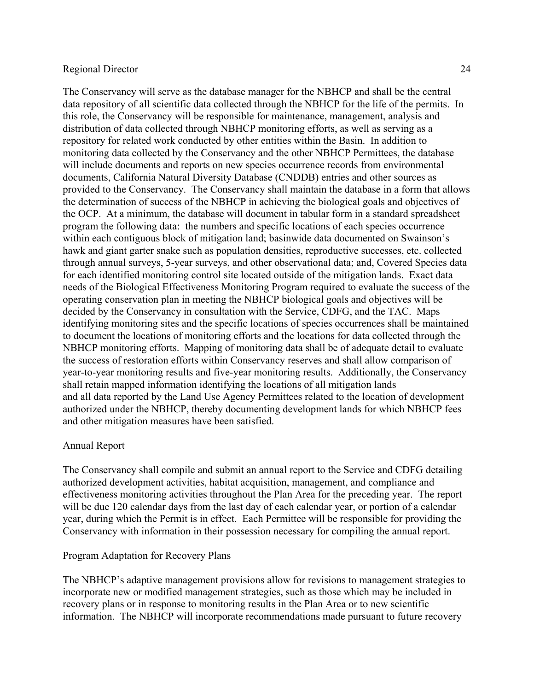The Conservancy will serve as the database manager for the NBHCP and shall be the central data repository of all scientific data collected through the NBHCP for the life of the permits. In this role, the Conservancy will be responsible for maintenance, management, analysis and distribution of data collected through NBHCP monitoring efforts, as well as serving as a repository for related work conducted by other entities within the Basin. In addition to monitoring data collected by the Conservancy and the other NBHCP Permittees, the database will include documents and reports on new species occurrence records from environmental documents, California Natural Diversity Database (CNDDB) entries and other sources as provided to the Conservancy. The Conservancy shall maintain the database in a form that allows the determination of success of the NBHCP in achieving the biological goals and objectives of the OCP. At a minimum, the database will document in tabular form in a standard spreadsheet program the following data: the numbers and specific locations of each species occurrence within each contiguous block of mitigation land; basinwide data documented on Swainson's hawk and giant garter snake such as population densities, reproductive successes, etc. collected through annual surveys, 5-year surveys, and other observational data; and, Covered Species data for each identified monitoring control site located outside of the mitigation lands. Exact data needs of the Biological Effectiveness Monitoring Program required to evaluate the success of the operating conservation plan in meeting the NBHCP biological goals and objectives will be decided by the Conservancy in consultation with the Service, CDFG, and the TAC. Maps identifying monitoring sites and the specific locations of species occurrences shall be maintained to document the locations of monitoring efforts and the locations for data collected through the NBHCP monitoring efforts. Mapping of monitoring data shall be of adequate detail to evaluate the success of restoration efforts within Conservancy reserves and shall allow comparison of year-to-year monitoring results and five-year monitoring results. Additionally, the Conservancy shall retain mapped information identifying the locations of all mitigation lands and all data reported by the Land Use Agency Permittees related to the location of development authorized under the NBHCP, thereby documenting development lands for which NBHCP fees and other mitigation measures have been satisfied.

#### Annual Report

The Conservancy shall compile and submit an annual report to the Service and CDFG detailing authorized development activities, habitat acquisition, management, and compliance and effectiveness monitoring activities throughout the Plan Area for the preceding year. The report will be due 120 calendar days from the last day of each calendar year, or portion of a calendar year, during which the Permit is in effect. Each Permittee will be responsible for providing the Conservancy with information in their possession necessary for compiling the annual report.

#### Program Adaptation for Recovery Plans

The NBHCP's adaptive management provisions allow for revisions to management strategies to incorporate new or modified management strategies, such as those which may be included in recovery plans or in response to monitoring results in the Plan Area or to new scientific information. The NBHCP will incorporate recommendations made pursuant to future recovery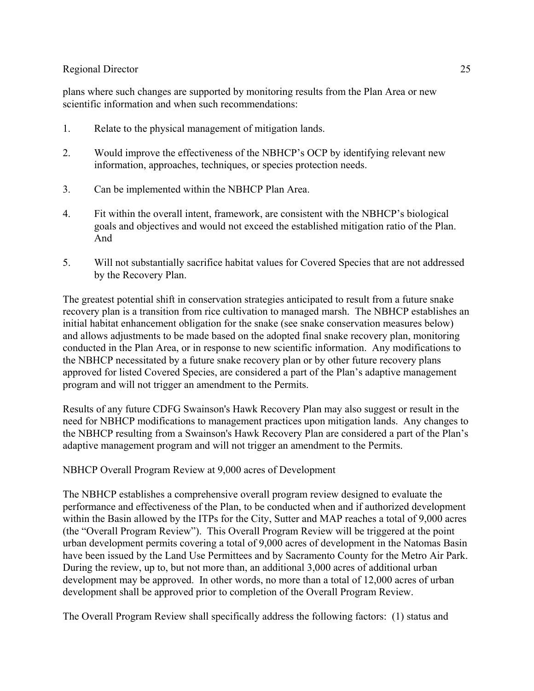plans where such changes are supported by monitoring results from the Plan Area or new scientific information and when such recommendations:

- 1. Relate to the physical management of mitigation lands.
- 2. Would improve the effectiveness of the NBHCP's OCP by identifying relevant new information, approaches, techniques, or species protection needs.
- 3. Can be implemented within the NBHCP Plan Area.
- 4. Fit within the overall intent, framework, are consistent with the NBHCP's biological goals and objectives and would not exceed the established mitigation ratio of the Plan. And
- 5. Will not substantially sacrifice habitat values for Covered Species that are not addressed by the Recovery Plan.

The greatest potential shift in conservation strategies anticipated to result from a future snake recovery plan is a transition from rice cultivation to managed marsh. The NBHCP establishes an initial habitat enhancement obligation for the snake (see snake conservation measures below) and allows adjustments to be made based on the adopted final snake recovery plan, monitoring conducted in the Plan Area, or in response to new scientific information. Any modifications to the NBHCP necessitated by a future snake recovery plan or by other future recovery plans approved for listed Covered Species, are considered a part of the Plan's adaptive management program and will not trigger an amendment to the Permits.

Results of any future CDFG Swainson's Hawk Recovery Plan may also suggest or result in the need for NBHCP modifications to management practices upon mitigation lands. Any changes to the NBHCP resulting from a Swainson's Hawk Recovery Plan are considered a part of the Plan's adaptive management program and will not trigger an amendment to the Permits.

NBHCP Overall Program Review at 9,000 acres of Development

The NBHCP establishes a comprehensive overall program review designed to evaluate the performance and effectiveness of the Plan, to be conducted when and if authorized development within the Basin allowed by the ITPs for the City, Sutter and MAP reaches a total of 9,000 acres (the "Overall Program Review"). This Overall Program Review will be triggered at the point urban development permits covering a total of 9,000 acres of development in the Natomas Basin have been issued by the Land Use Permittees and by Sacramento County for the Metro Air Park. During the review, up to, but not more than, an additional 3,000 acres of additional urban development may be approved. In other words, no more than a total of 12,000 acres of urban development shall be approved prior to completion of the Overall Program Review.

The Overall Program Review shall specifically address the following factors: (1) status and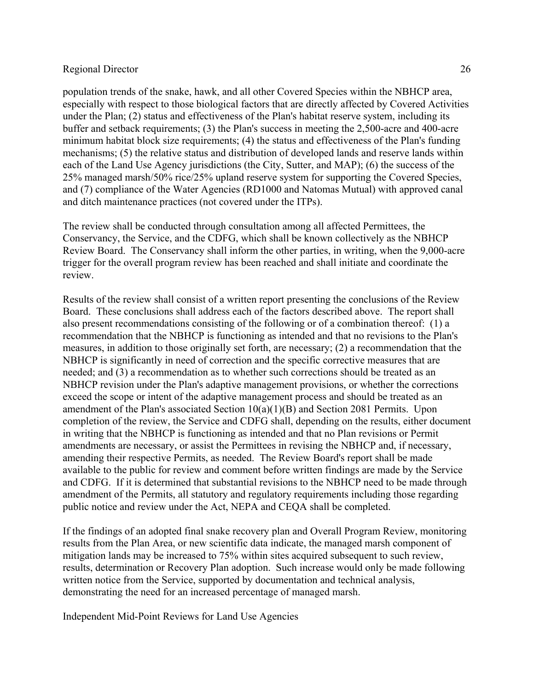population trends of the snake, hawk, and all other Covered Species within the NBHCP area, especially with respect to those biological factors that are directly affected by Covered Activities under the Plan; (2) status and effectiveness of the Plan's habitat reserve system, including its buffer and setback requirements; (3) the Plan's success in meeting the 2,500-acre and 400-acre minimum habitat block size requirements; (4) the status and effectiveness of the Plan's funding mechanisms; (5) the relative status and distribution of developed lands and reserve lands within each of the Land Use Agency jurisdictions (the City, Sutter, and MAP); (6) the success of the 25% managed marsh/50% rice/25% upland reserve system for supporting the Covered Species, and (7) compliance of the Water Agencies (RD1000 and Natomas Mutual) with approved canal and ditch maintenance practices (not covered under the ITPs).

The review shall be conducted through consultation among all affected Permittees, the Conservancy, the Service, and the CDFG, which shall be known collectively as the NBHCP Review Board. The Conservancy shall inform the other parties, in writing, when the 9,000-acre trigger for the overall program review has been reached and shall initiate and coordinate the review.

Results of the review shall consist of a written report presenting the conclusions of the Review Board. These conclusions shall address each of the factors described above. The report shall also present recommendations consisting of the following or of a combination thereof: (1) a recommendation that the NBHCP is functioning as intended and that no revisions to the Plan's measures, in addition to those originally set forth, are necessary; (2) a recommendation that the NBHCP is significantly in need of correction and the specific corrective measures that are needed; and (3) a recommendation as to whether such corrections should be treated as an NBHCP revision under the Plan's adaptive management provisions, or whether the corrections exceed the scope or intent of the adaptive management process and should be treated as an amendment of the Plan's associated Section 10(a)(1)(B) and Section 2081 Permits. Upon completion of the review, the Service and CDFG shall, depending on the results, either document in writing that the NBHCP is functioning as intended and that no Plan revisions or Permit amendments are necessary, or assist the Permittees in revising the NBHCP and, if necessary, amending their respective Permits, as needed. The Review Board's report shall be made available to the public for review and comment before written findings are made by the Service and CDFG. If it is determined that substantial revisions to the NBHCP need to be made through amendment of the Permits, all statutory and regulatory requirements including those regarding public notice and review under the Act, NEPA and CEQA shall be completed.

If the findings of an adopted final snake recovery plan and Overall Program Review, monitoring results from the Plan Area, or new scientific data indicate, the managed marsh component of mitigation lands may be increased to 75% within sites acquired subsequent to such review, results, determination or Recovery Plan adoption. Such increase would only be made following written notice from the Service, supported by documentation and technical analysis, demonstrating the need for an increased percentage of managed marsh.

Independent Mid-Point Reviews for Land Use Agencies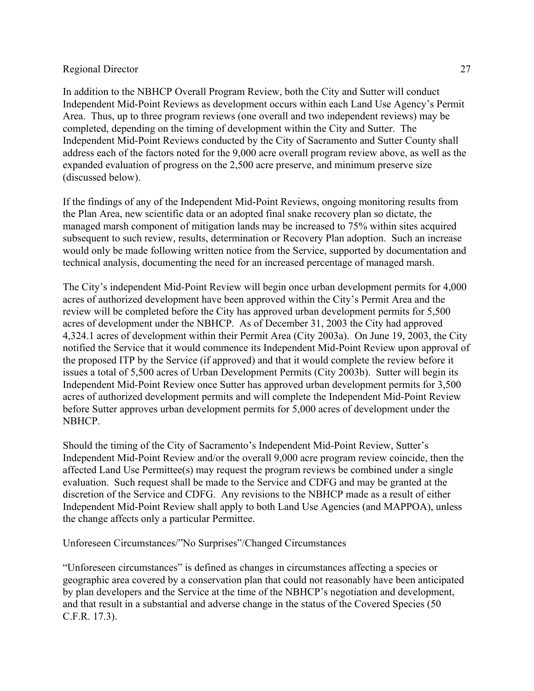In addition to the NBHCP Overall Program Review, both the City and Sutter will conduct Independent Mid-Point Reviews as development occurs within each Land Use Agency's Permit Area. Thus, up to three program reviews (one overall and two independent reviews) may be completed, depending on the timing of development within the City and Sutter. The Independent Mid-Point Reviews conducted by the City of Sacramento and Sutter County shall address each of the factors noted for the 9,000 acre overall program review above, as well as the expanded evaluation of progress on the 2,500 acre preserve, and minimum preserve size (discussed below).

If the findings of any of the Independent Mid-Point Reviews, ongoing monitoring results from the Plan Area, new scientific data or an adopted final snake recovery plan so dictate, the managed marsh component of mitigation lands may be increased to 75% within sites acquired subsequent to such review, results, determination or Recovery Plan adoption. Such an increase would only be made following written notice from the Service, supported by documentation and technical analysis, documenting the need for an increased percentage of managed marsh.

The City's independent Mid-Point Review will begin once urban development permits for 4,000 acres of authorized development have been approved within the City's Permit Area and the review will be completed before the City has approved urban development permits for 5,500 acres of development under the NBHCP. As of December 31, 2003 the City had approved 4,324.1 acres of development within their Permit Area (City 2003a). On June 19, 2003, the City notified the Service that it would commence its Independent Mid-Point Review upon approval of the proposed ITP by the Service (if approved) and that it would complete the review before it issues a total of 5,500 acres of Urban Development Permits (City 2003b). Sutter will begin its Independent Mid-Point Review once Sutter has approved urban development permits for 3,500 acres of authorized development permits and will complete the Independent Mid-Point Review before Sutter approves urban development permits for 5,000 acres of development under the NBHCP.

Should the timing of the City of Sacramento's Independent Mid-Point Review, Sutter's Independent Mid-Point Review and/or the overall 9,000 acre program review coincide, then the affected Land Use Permittee(s) may request the program reviews be combined under a single evaluation. Such request shall be made to the Service and CDFG and may be granted at the discretion of the Service and CDFG. Any revisions to the NBHCP made as a result of either Independent Mid-Point Review shall apply to both Land Use Agencies (and MAPPOA), unless the change affects only a particular Permittee.

Unforeseen Circumstances/"No Surprises"/Changed Circumstances

"Unforeseen circumstances" is defined as changes in circumstances affecting a species or geographic area covered by a conservation plan that could not reasonably have been anticipated by plan developers and the Service at the time of the NBHCP's negotiation and development, and that result in a substantial and adverse change in the status of the Covered Species (50 C.F.R. 17.3).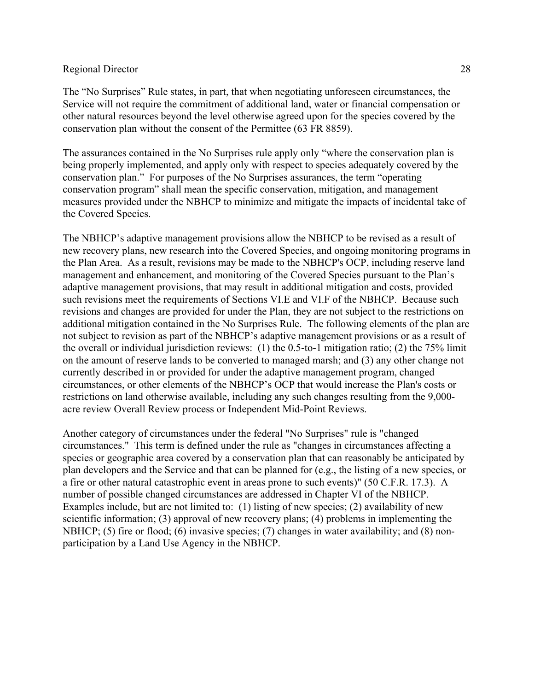The "No Surprises" Rule states, in part, that when negotiating unforeseen circumstances, the Service will not require the commitment of additional land, water or financial compensation or other natural resources beyond the level otherwise agreed upon for the species covered by the conservation plan without the consent of the Permittee (63 FR 8859).

The assurances contained in the No Surprises rule apply only "where the conservation plan is being properly implemented, and apply only with respect to species adequately covered by the conservation plan." For purposes of the No Surprises assurances, the term "operating conservation program" shall mean the specific conservation, mitigation, and management measures provided under the NBHCP to minimize and mitigate the impacts of incidental take of the Covered Species.

The NBHCP's adaptive management provisions allow the NBHCP to be revised as a result of new recovery plans, new research into the Covered Species, and ongoing monitoring programs in the Plan Area. As a result, revisions may be made to the NBHCP's OCP, including reserve land management and enhancement, and monitoring of the Covered Species pursuant to the Plan's adaptive management provisions, that may result in additional mitigation and costs, provided such revisions meet the requirements of Sections VI.E and VI.F of the NBHCP. Because such revisions and changes are provided for under the Plan, they are not subject to the restrictions on additional mitigation contained in the No Surprises Rule. The following elements of the plan are not subject to revision as part of the NBHCP's adaptive management provisions or as a result of the overall or individual jurisdiction reviews: (1) the 0.5-to-1 mitigation ratio; (2) the 75% limit on the amount of reserve lands to be converted to managed marsh; and (3) any other change not currently described in or provided for under the adaptive management program, changed circumstances, or other elements of the NBHCP's OCP that would increase the Plan's costs or restrictions on land otherwise available, including any such changes resulting from the 9,000 acre review Overall Review process or Independent Mid-Point Reviews.

Another category of circumstances under the federal "No Surprises" rule is "changed circumstances." This term is defined under the rule as "changes in circumstances affecting a species or geographic area covered by a conservation plan that can reasonably be anticipated by plan developers and the Service and that can be planned for (e.g., the listing of a new species, or a fire or other natural catastrophic event in areas prone to such events)" (50 C.F.R. 17.3). A number of possible changed circumstances are addressed in Chapter VI of the NBHCP. Examples include, but are not limited to: (1) listing of new species; (2) availability of new scientific information; (3) approval of new recovery plans; (4) problems in implementing the NBHCP; (5) fire or flood; (6) invasive species; (7) changes in water availability; and (8) nonparticipation by a Land Use Agency in the NBHCP.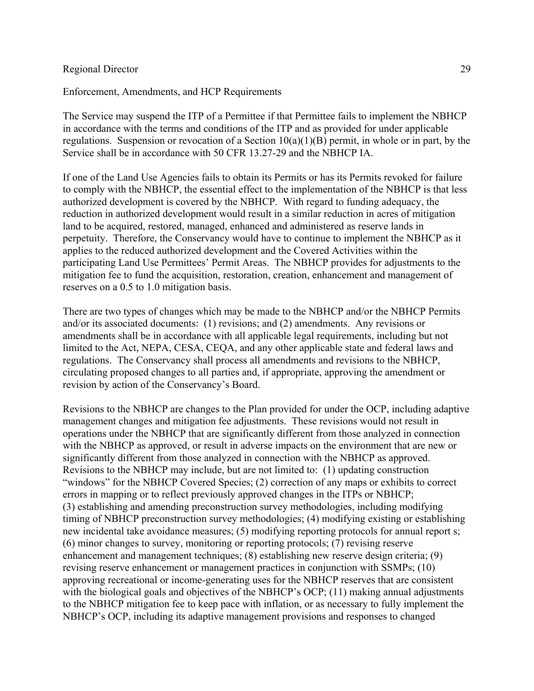Enforcement, Amendments, and HCP Requirements

The Service may suspend the ITP of a Permittee if that Permittee fails to implement the NBHCP in accordance with the terms and conditions of the ITP and as provided for under applicable regulations. Suspension or revocation of a Section  $10(a)(1)(B)$  permit, in whole or in part, by the Service shall be in accordance with 50 CFR 13.27-29 and the NBHCP IA.

If one of the Land Use Agencies fails to obtain its Permits or has its Permits revoked for failure to comply with the NBHCP, the essential effect to the implementation of the NBHCP is that less authorized development is covered by the NBHCP. With regard to funding adequacy, the reduction in authorized development would result in a similar reduction in acres of mitigation land to be acquired, restored, managed, enhanced and administered as reserve lands in perpetuity. Therefore, the Conservancy would have to continue to implement the NBHCP as it applies to the reduced authorized development and the Covered Activities within the participating Land Use Permittees' Permit Areas. The NBHCP provides for adjustments to the mitigation fee to fund the acquisition, restoration, creation, enhancement and management of reserves on a 0.5 to 1.0 mitigation basis.

There are two types of changes which may be made to the NBHCP and/or the NBHCP Permits and/or its associated documents: (1) revisions; and (2) amendments. Any revisions or amendments shall be in accordance with all applicable legal requirements, including but not limited to the Act, NEPA, CESA, CEQA, and any other applicable state and federal laws and regulations. The Conservancy shall process all amendments and revisions to the NBHCP, circulating proposed changes to all parties and, if appropriate, approving the amendment or revision by action of the Conservancy's Board.

Revisions to the NBHCP are changes to the Plan provided for under the OCP, including adaptive management changes and mitigation fee adjustments. These revisions would not result in operations under the NBHCP that are significantly different from those analyzed in connection with the NBHCP as approved, or result in adverse impacts on the environment that are new or significantly different from those analyzed in connection with the NBHCP as approved. Revisions to the NBHCP may include, but are not limited to: (1) updating construction "windows" for the NBHCP Covered Species; (2) correction of any maps or exhibits to correct errors in mapping or to reflect previously approved changes in the ITPs or NBHCP; (3) establishing and amending preconstruction survey methodologies, including modifying timing of NBHCP preconstruction survey methodologies; (4) modifying existing or establishing new incidental take avoidance measures; (5) modifying reporting protocols for annual report s; (6) minor changes to survey, monitoring or reporting protocols; (7) revising reserve enhancement and management techniques; (8) establishing new reserve design criteria; (9) revising reserve enhancement or management practices in conjunction with SSMPs; (10) approving recreational or income-generating uses for the NBHCP reserves that are consistent with the biological goals and objectives of the NBHCP's OCP; (11) making annual adjustments to the NBHCP mitigation fee to keep pace with inflation, or as necessary to fully implement the NBHCP's OCP, including its adaptive management provisions and responses to changed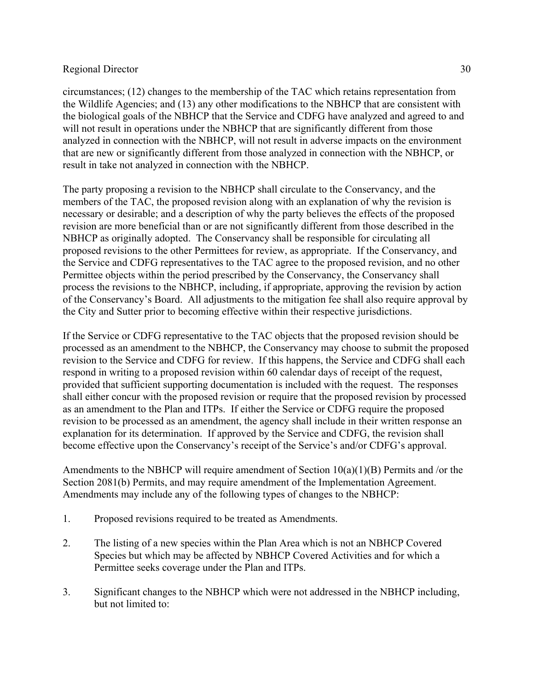circumstances; (12) changes to the membership of the TAC which retains representation from the Wildlife Agencies; and (13) any other modifications to the NBHCP that are consistent with the biological goals of the NBHCP that the Service and CDFG have analyzed and agreed to and will not result in operations under the NBHCP that are significantly different from those analyzed in connection with the NBHCP, will not result in adverse impacts on the environment that are new or significantly different from those analyzed in connection with the NBHCP, or result in take not analyzed in connection with the NBHCP.

The party proposing a revision to the NBHCP shall circulate to the Conservancy, and the members of the TAC, the proposed revision along with an explanation of why the revision is necessary or desirable; and a description of why the party believes the effects of the proposed revision are more beneficial than or are not significantly different from those described in the NBHCP as originally adopted. The Conservancy shall be responsible for circulating all proposed revisions to the other Permittees for review, as appropriate. If the Conservancy, and the Service and CDFG representatives to the TAC agree to the proposed revision, and no other Permittee objects within the period prescribed by the Conservancy, the Conservancy shall process the revisions to the NBHCP, including, if appropriate, approving the revision by action of the Conservancy's Board. All adjustments to the mitigation fee shall also require approval by the City and Sutter prior to becoming effective within their respective jurisdictions.

If the Service or CDFG representative to the TAC objects that the proposed revision should be processed as an amendment to the NBHCP, the Conservancy may choose to submit the proposed revision to the Service and CDFG for review. If this happens, the Service and CDFG shall each respond in writing to a proposed revision within 60 calendar days of receipt of the request, provided that sufficient supporting documentation is included with the request. The responses shall either concur with the proposed revision or require that the proposed revision by processed as an amendment to the Plan and ITPs. If either the Service or CDFG require the proposed revision to be processed as an amendment, the agency shall include in their written response an explanation for its determination. If approved by the Service and CDFG, the revision shall become effective upon the Conservancy's receipt of the Service's and/or CDFG's approval.

Amendments to the NBHCP will require amendment of Section  $10(a)(1)(B)$  Permits and /or the Section 2081(b) Permits, and may require amendment of the Implementation Agreement. Amendments may include any of the following types of changes to the NBHCP:

- 1. Proposed revisions required to be treated as Amendments.
- 2. The listing of a new species within the Plan Area which is not an NBHCP Covered Species but which may be affected by NBHCP Covered Activities and for which a Permittee seeks coverage under the Plan and ITPs.
- 3. Significant changes to the NBHCP which were not addressed in the NBHCP including, but not limited to: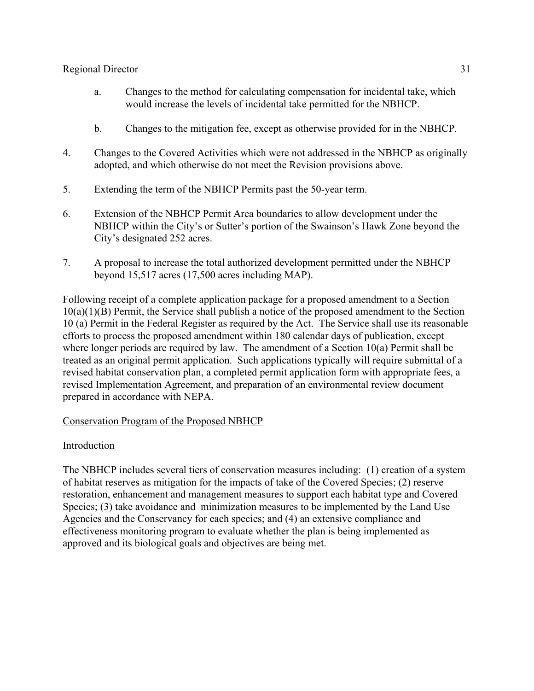- a. Changes to the method for calculating compensation for incidental take, which would increase the levels of incidental take permitted for the NBHCP.
- b. Changes to the mitigation fee, except as otherwise provided for in the NBHCP.
- 4. Changes to the Covered Activities which were not addressed in the NBHCP as originally adopted, and which otherwise do not meet the Revision provisions above.
- 5. Extending the term of the NBHCP Permits past the 50-year term.
- 6. Extension of the NBHCP Permit Area boundaries to allow development under the NBHCP within the City's or Sutter's portion of the Swainson's Hawk Zone beyond the City's designated 252 acres.
- 7. A proposal to increase the total authorized development permitted under the NBHCP beyond 15,517 acres (17,500 acres including MAP).

Following receipt of a complete application package for a proposed amendment to a Section 10(a)(1)(B) Permit, the Service shall publish a notice of the proposed amendment to the Section 10 (a) Permit in the Federal Register as required by the Act. The Service shall use its reasonable efforts to process the proposed amendment within 180 calendar days of publication, except where longer periods are required by law. The amendment of a Section 10(a) Permit shall be treated as an original permit application. Such applications typically will require submittal of a revised habitat conservation plan, a completed permit application form with appropriate fees, a revised Implementation Agreement, and preparation of an environmental review document prepared in accordance with NEPA.

# Conservation Program of the Proposed NBHCP

# Introduction

The NBHCP includes several tiers of conservation measures including: (1) creation of a system of habitat reserves as mitigation for the impacts of take of the Covered Species; (2) reserve restoration, enhancement and management measures to support each habitat type and Covered Species; (3) take avoidance and minimization measures to be implemented by the Land Use Agencies and the Conservancy for each species; and (4) an extensive compliance and effectiveness monitoring program to evaluate whether the plan is being implemented as approved and its biological goals and objectives are being met.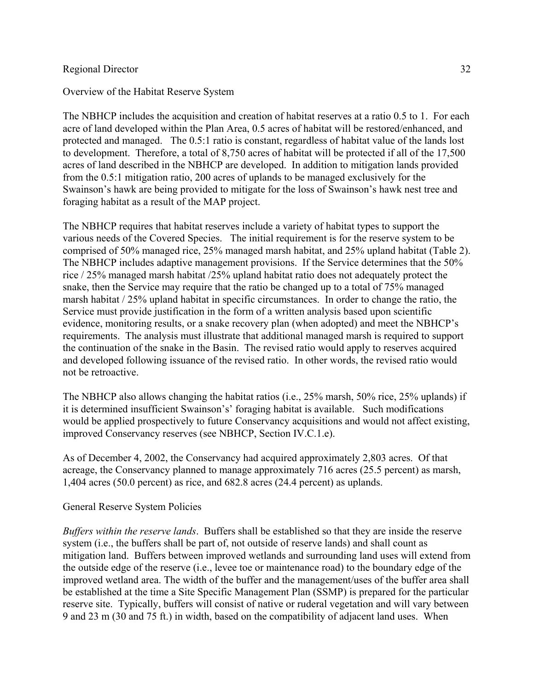Overview of the Habitat Reserve System

The NBHCP includes the acquisition and creation of habitat reserves at a ratio 0.5 to 1. For each acre of land developed within the Plan Area, 0.5 acres of habitat will be restored/enhanced, and protected and managed. The 0.5:1 ratio is constant, regardless of habitat value of the lands lost to development. Therefore, a total of 8,750 acres of habitat will be protected if all of the 17,500 acres of land described in the NBHCP are developed. In addition to mitigation lands provided from the 0.5:1 mitigation ratio, 200 acres of uplands to be managed exclusively for the Swainson's hawk are being provided to mitigate for the loss of Swainson's hawk nest tree and foraging habitat as a result of the MAP project.

The NBHCP requires that habitat reserves include a variety of habitat types to support the various needs of the Covered Species. The initial requirement is for the reserve system to be comprised of 50% managed rice, 25% managed marsh habitat, and 25% upland habitat (Table 2). The NBHCP includes adaptive management provisions. If the Service determines that the 50% rice / 25% managed marsh habitat /25% upland habitat ratio does not adequately protect the snake, then the Service may require that the ratio be changed up to a total of 75% managed marsh habitat / 25% upland habitat in specific circumstances. In order to change the ratio, the Service must provide justification in the form of a written analysis based upon scientific evidence, monitoring results, or a snake recovery plan (when adopted) and meet the NBHCP's requirements. The analysis must illustrate that additional managed marsh is required to support the continuation of the snake in the Basin. The revised ratio would apply to reserves acquired and developed following issuance of the revised ratio. In other words, the revised ratio would not be retroactive.

The NBHCP also allows changing the habitat ratios (i.e., 25% marsh, 50% rice, 25% uplands) if it is determined insufficient Swainson's' foraging habitat is available. Such modifications would be applied prospectively to future Conservancy acquisitions and would not affect existing, improved Conservancy reserves (see NBHCP, Section IV.C.1.e).

As of December 4, 2002, the Conservancy had acquired approximately 2,803 acres. Of that acreage, the Conservancy planned to manage approximately 716 acres (25.5 percent) as marsh, 1,404 acres (50.0 percent) as rice, and 682.8 acres (24.4 percent) as uplands.

## General Reserve System Policies

*Buffers within the reserve lands*. Buffers shall be established so that they are inside the reserve system (i.e., the buffers shall be part of, not outside of reserve lands) and shall count as mitigation land. Buffers between improved wetlands and surrounding land uses will extend from the outside edge of the reserve (i.e., levee toe or maintenance road) to the boundary edge of the improved wetland area. The width of the buffer and the management/uses of the buffer area shall be established at the time a Site Specific Management Plan (SSMP) is prepared for the particular reserve site. Typically, buffers will consist of native or ruderal vegetation and will vary between 9 and 23 m (30 and 75 ft.) in width, based on the compatibility of adjacent land uses. When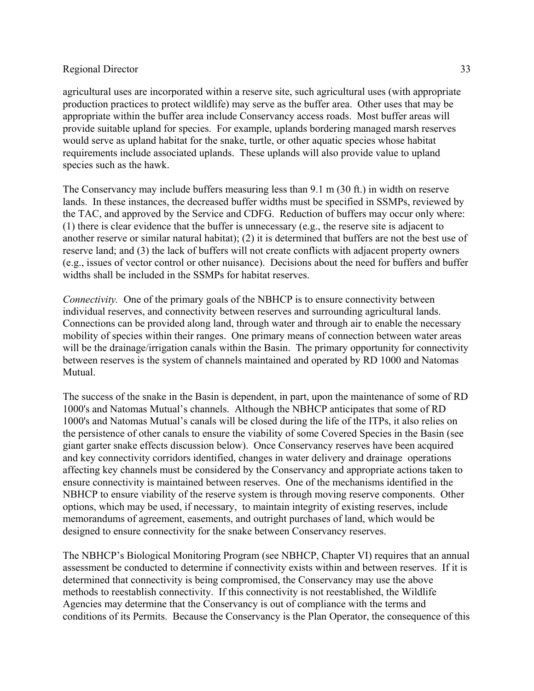agricultural uses are incorporated within a reserve site, such agricultural uses (with appropriate production practices to protect wildlife) may serve as the buffer area. Other uses that may be appropriate within the buffer area include Conservancy access roads. Most buffer areas will provide suitable upland for species. For example, uplands bordering managed marsh reserves would serve as upland habitat for the snake, turtle, or other aquatic species whose habitat requirements include associated uplands. These uplands will also provide value to upland species such as the hawk.

The Conservancy may include buffers measuring less than 9.1 m (30 ft.) in width on reserve lands. In these instances, the decreased buffer widths must be specified in SSMPs, reviewed by the TAC, and approved by the Service and CDFG. Reduction of buffers may occur only where: (1) there is clear evidence that the buffer is unnecessary (e.g., the reserve site is adjacent to another reserve or similar natural habitat); (2) it is determined that buffers are not the best use of reserve land; and (3) the lack of buffers will not create conflicts with adjacent property owners (e.g., issues of vector control or other nuisance). Decisions about the need for buffers and buffer widths shall be included in the SSMPs for habitat reserves.

*Connectivity.* One of the primary goals of the NBHCP is to ensure connectivity between individual reserves, and connectivity between reserves and surrounding agricultural lands. Connections can be provided along land, through water and through air to enable the necessary mobility of species within their ranges. One primary means of connection between water areas will be the drainage/irrigation canals within the Basin. The primary opportunity for connectivity between reserves is the system of channels maintained and operated by RD 1000 and Natomas Mutual.

The success of the snake in the Basin is dependent, in part, upon the maintenance of some of RD 1000's and Natomas Mutual's channels. Although the NBHCP anticipates that some of RD 1000's and Natomas Mutual's canals will be closed during the life of the ITPs, it also relies on the persistence of other canals to ensure the viability of some Covered Species in the Basin (see giant garter snake effects discussion below). Once Conservancy reserves have been acquired and key connectivity corridors identified, changes in water delivery and drainage operations affecting key channels must be considered by the Conservancy and appropriate actions taken to ensure connectivity is maintained between reserves. One of the mechanisms identified in the NBHCP to ensure viability of the reserve system is through moving reserve components. Other options, which may be used, if necessary, to maintain integrity of existing reserves, include memorandums of agreement, easements, and outright purchases of land, which would be designed to ensure connectivity for the snake between Conservancy reserves.

The NBHCP's Biological Monitoring Program (see NBHCP, Chapter VI) requires that an annual assessment be conducted to determine if connectivity exists within and between reserves. If it is determined that connectivity is being compromised, the Conservancy may use the above methods to reestablish connectivity. If this connectivity is not reestablished, the Wildlife Agencies may determine that the Conservancy is out of compliance with the terms and conditions of its Permits. Because the Conservancy is the Plan Operator, the consequence of this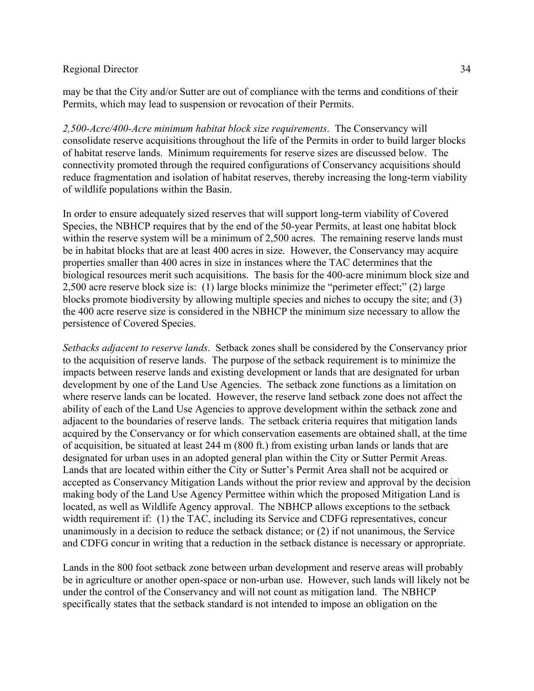may be that the City and/or Sutter are out of compliance with the terms and conditions of their Permits, which may lead to suspension or revocation of their Permits.

*2,500-Acre/400-Acre minimum habitat block size requirements*. The Conservancy will consolidate reserve acquisitions throughout the life of the Permits in order to build larger blocks of habitat reserve lands. Minimum requirements for reserve sizes are discussed below. The connectivity promoted through the required configurations of Conservancy acquisitions should reduce fragmentation and isolation of habitat reserves, thereby increasing the long-term viability of wildlife populations within the Basin.

In order to ensure adequately sized reserves that will support long-term viability of Covered Species, the NBHCP requires that by the end of the 50-year Permits, at least one habitat block within the reserve system will be a minimum of 2,500 acres. The remaining reserve lands must be in habitat blocks that are at least 400 acres in size. However, the Conservancy may acquire properties smaller than 400 acres in size in instances where the TAC determines that the biological resources merit such acquisitions. The basis for the 400-acre minimum block size and 2,500 acre reserve block size is: (1) large blocks minimize the "perimeter effect;" (2) large blocks promote biodiversity by allowing multiple species and niches to occupy the site; and (3) the 400 acre reserve size is considered in the NBHCP the minimum size necessary to allow the persistence of Covered Species.

*Setbacks adjacent to reserve lands*. Setback zones shall be considered by the Conservancy prior to the acquisition of reserve lands. The purpose of the setback requirement is to minimize the impacts between reserve lands and existing development or lands that are designated for urban development by one of the Land Use Agencies. The setback zone functions as a limitation on where reserve lands can be located. However, the reserve land setback zone does not affect the ability of each of the Land Use Agencies to approve development within the setback zone and adjacent to the boundaries of reserve lands.The setback criteria requires that mitigation lands acquired by the Conservancy or for which conservation easements are obtained shall, at the time of acquisition, be situated at least 244 m (800 ft.) from existing urban lands or lands that are designated for urban uses in an adopted general plan within the City or Sutter Permit Areas. Lands that are located within either the City or Sutter's Permit Area shall not be acquired or accepted as Conservancy Mitigation Lands without the prior review and approval by the decision making body of the Land Use Agency Permittee within which the proposed Mitigation Land is located, as well as Wildlife Agency approval. The NBHCP allows exceptions to the setback width requirement if: (1) the TAC, including its Service and CDFG representatives, concur unanimously in a decision to reduce the setback distance; or (2) if not unanimous, the Service and CDFG concur in writing that a reduction in the setback distance is necessary or appropriate.

Lands in the 800 foot setback zone between urban development and reserve areas will probably be in agriculture or another open-space or non-urban use. However, such lands will likely not be under the control of the Conservancy and will not count as mitigation land. The NBHCP specifically states that the setback standard is not intended to impose an obligation on the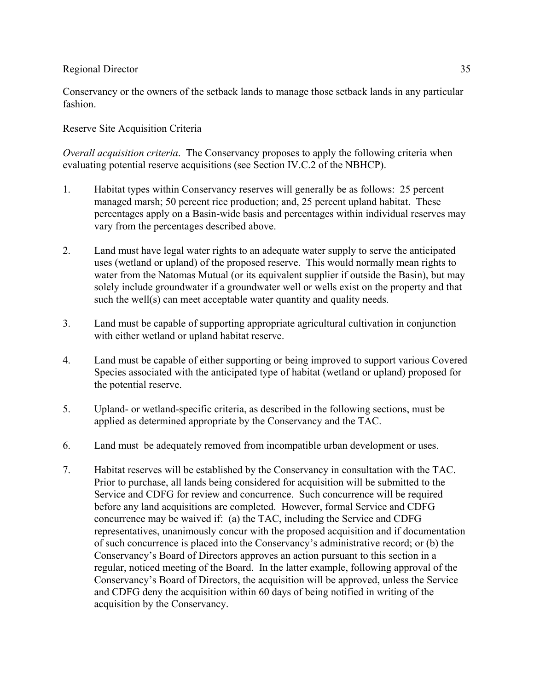Conservancy or the owners of the setback lands to manage those setback lands in any particular fashion.

# Reserve Site Acquisition Criteria

*Overall acquisition criteria*. The Conservancy proposes to apply the following criteria when evaluating potential reserve acquisitions (see Section IV.C.2 of the NBHCP).

- 1. Habitat types within Conservancy reserves will generally be as follows: 25 percent managed marsh; 50 percent rice production; and, 25 percent upland habitat. These percentages apply on a Basin-wide basis and percentages within individual reserves may vary from the percentages described above.
- 2. Land must have legal water rights to an adequate water supply to serve the anticipated uses (wetland or upland) of the proposed reserve. This would normally mean rights to water from the Natomas Mutual (or its equivalent supplier if outside the Basin), but may solely include groundwater if a groundwater well or wells exist on the property and that such the well(s) can meet acceptable water quantity and quality needs.
- 3. Land must be capable of supporting appropriate agricultural cultivation in conjunction with either wetland or upland habitat reserve.
- 4. Land must be capable of either supporting or being improved to support various Covered Species associated with the anticipated type of habitat (wetland or upland) proposed for the potential reserve.
- 5. Upland- or wetland-specific criteria, as described in the following sections, must be applied as determined appropriate by the Conservancy and the TAC.
- 6. Land must be adequately removed from incompatible urban development or uses.
- 7. Habitat reserves will be established by the Conservancy in consultation with the TAC. Prior to purchase, all lands being considered for acquisition will be submitted to the Service and CDFG for review and concurrence. Such concurrence will be required before any land acquisitions are completed. However, formal Service and CDFG concurrence may be waived if: (a) the TAC, including the Service and CDFG representatives, unanimously concur with the proposed acquisition and if documentation of such concurrence is placed into the Conservancy's administrative record; or (b) the Conservancy's Board of Directors approves an action pursuant to this section in a regular, noticed meeting of the Board. In the latter example, following approval of the Conservancy's Board of Directors, the acquisition will be approved, unless the Service and CDFG deny the acquisition within 60 days of being notified in writing of the acquisition by the Conservancy.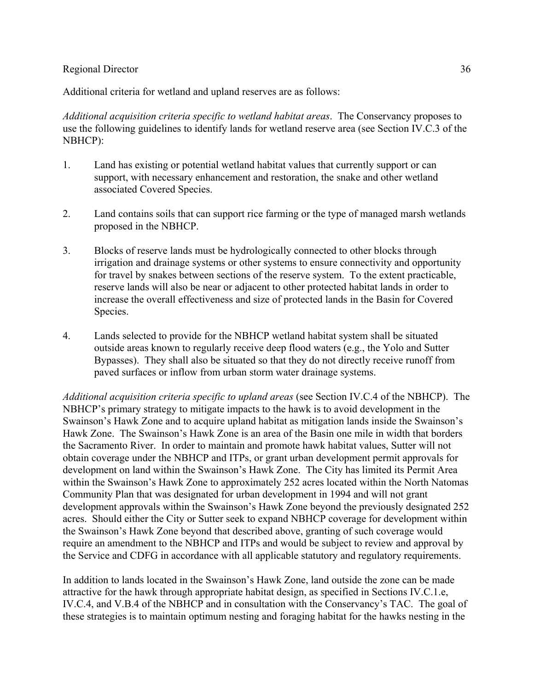Additional criteria for wetland and upland reserves are as follows:

*Additional acquisition criteria specific to wetland habitat areas*. The Conservancy proposes to use the following guidelines to identify lands for wetland reserve area (see Section IV.C.3 of the NBHCP):

- 1. Land has existing or potential wetland habitat values that currently support or can support, with necessary enhancement and restoration, the snake and other wetland associated Covered Species.
- 2. Land contains soils that can support rice farming or the type of managed marsh wetlands proposed in the NBHCP.
- 3. Blocks of reserve lands must be hydrologically connected to other blocks through irrigation and drainage systems or other systems to ensure connectivity and opportunity for travel by snakes between sections of the reserve system. To the extent practicable, reserve lands will also be near or adjacent to other protected habitat lands in order to increase the overall effectiveness and size of protected lands in the Basin for Covered Species.
- 4. Lands selected to provide for the NBHCP wetland habitat system shall be situated outside areas known to regularly receive deep flood waters (e.g., the Yolo and Sutter Bypasses). They shall also be situated so that they do not directly receive runoff from paved surfaces or inflow from urban storm water drainage systems.

*Additional acquisition criteria specific to upland areas* (see Section IV.C.4 of the NBHCP). The NBHCP's primary strategy to mitigate impacts to the hawk is to avoid development in the Swainson's Hawk Zone and to acquire upland habitat as mitigation lands inside the Swainson's Hawk Zone. The Swainson's Hawk Zone is an area of the Basin one mile in width that borders the Sacramento River. In order to maintain and promote hawk habitat values, Sutter will not obtain coverage under the NBHCP and ITPs, or grant urban development permit approvals for development on land within the Swainson's Hawk Zone. The City has limited its Permit Area within the Swainson's Hawk Zone to approximately 252 acres located within the North Natomas Community Plan that was designated for urban development in 1994 and will not grant development approvals within the Swainson's Hawk Zone beyond the previously designated 252 acres. Should either the City or Sutter seek to expand NBHCP coverage for development within the Swainson's Hawk Zone beyond that described above, granting of such coverage would require an amendment to the NBHCP and ITPs and would be subject to review and approval by the Service and CDFG in accordance with all applicable statutory and regulatory requirements.

In addition to lands located in the Swainson's Hawk Zone, land outside the zone can be made attractive for the hawk through appropriate habitat design, as specified in Sections IV.C.1.e, IV.C.4, and V.B.4 of the NBHCP and in consultation with the Conservancy's TAC. The goal of these strategies is to maintain optimum nesting and foraging habitat for the hawks nesting in the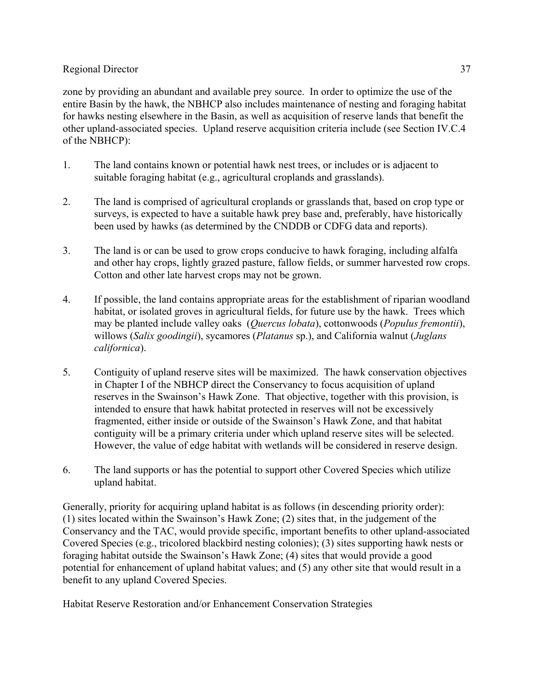zone by providing an abundant and available prey source. In order to optimize the use of the entire Basin by the hawk, the NBHCP also includes maintenance of nesting and foraging habitat for hawks nesting elsewhere in the Basin, as well as acquisition of reserve lands that benefit the other upland-associated species. Upland reserve acquisition criteria include (see Section IV.C.4 of the NBHCP):

- 1. The land contains known or potential hawk nest trees, or includes or is adjacent to suitable foraging habitat (e.g., agricultural croplands and grasslands).
- 2. The land is comprised of agricultural croplands or grasslands that, based on crop type or surveys, is expected to have a suitable hawk prey base and, preferably, have historically been used by hawks (as determined by the CNDDB or CDFG data and reports).
- 3. The land is or can be used to grow crops conducive to hawk foraging, including alfalfa and other hay crops, lightly grazed pasture, fallow fields, or summer harvested row crops. Cotton and other late harvest crops may not be grown.
- 4. If possible, the land contains appropriate areas for the establishment of riparian woodland habitat, or isolated groves in agricultural fields, for future use by the hawk. Trees which may be planted include valley oaks (*Quercus lobata*), cottonwoods (*Populus fremontii*), willows (*Salix goodingii*), sycamores (*Platanus* sp.), and California walnut (*Juglans californica*).
- 5. Contiguity of upland reserve sites will be maximized. The hawk conservation objectives in Chapter I of the NBHCP direct the Conservancy to focus acquisition of upland reserves in the Swainson's Hawk Zone. That objective, together with this provision, is intended to ensure that hawk habitat protected in reserves will not be excessively fragmented, either inside or outside of the Swainson's Hawk Zone, and that habitat contiguity will be a primary criteria under which upland reserve sites will be selected. However, the value of edge habitat with wetlands will be considered in reserve design.
- 6. The land supports or has the potential to support other Covered Species which utilize upland habitat.

Generally, priority for acquiring upland habitat is as follows (in descending priority order): (1) sites located within the Swainson's Hawk Zone; (2) sites that, in the judgement of the Conservancy and the TAC, would provide specific, important benefits to other upland-associated Covered Species (e.g., tricolored blackbird nesting colonies); (3) sites supporting hawk nests or foraging habitat outside the Swainson's Hawk Zone; (4) sites that would provide a good potential for enhancement of upland habitat values; and (5) any other site that would result in a benefit to any upland Covered Species.

Habitat Reserve Restoration and/or Enhancement Conservation Strategies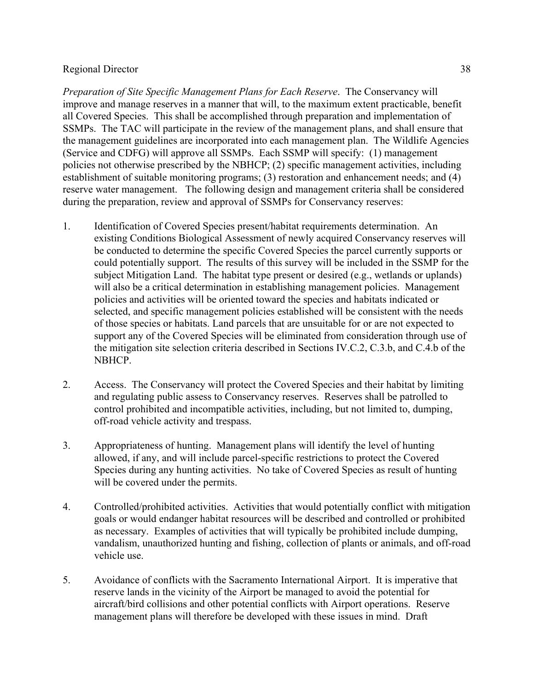*Preparation of Site Specific Management Plans for Each Reserve*. The Conservancy will improve and manage reserves in a manner that will, to the maximum extent practicable, benefit all Covered Species. This shall be accomplished through preparation and implementation of SSMPs. The TAC will participate in the review of the management plans, and shall ensure that the management guidelines are incorporated into each management plan. The Wildlife Agencies (Service and CDFG) will approve all SSMPs. Each SSMP will specify: (1) management policies not otherwise prescribed by the NBHCP; (2) specific management activities, including establishment of suitable monitoring programs; (3) restoration and enhancement needs; and (4) reserve water management. The following design and management criteria shall be considered during the preparation, review and approval of SSMPs for Conservancy reserves:

- 1. Identification of Covered Species present/habitat requirements determination. An existing Conditions Biological Assessment of newly acquired Conservancy reserves will be conducted to determine the specific Covered Species the parcel currently supports or could potentially support. The results of this survey will be included in the SSMP for the subject Mitigation Land. The habitat type present or desired (e.g., wetlands or uplands) will also be a critical determination in establishing management policies. Management policies and activities will be oriented toward the species and habitats indicated or selected, and specific management policies established will be consistent with the needs of those species or habitats. Land parcels that are unsuitable for or are not expected to support any of the Covered Species will be eliminated from consideration through use of the mitigation site selection criteria described in Sections IV.C.2, C.3.b, and C.4.b of the NBHCP.
- 2. Access. The Conservancy will protect the Covered Species and their habitat by limiting and regulating public assess to Conservancy reserves. Reserves shall be patrolled to control prohibited and incompatible activities, including, but not limited to, dumping, off-road vehicle activity and trespass.
- 3. Appropriateness of hunting. Management plans will identify the level of hunting allowed, if any, and will include parcel-specific restrictions to protect the Covered Species during any hunting activities. No take of Covered Species as result of hunting will be covered under the permits.
- 4. Controlled/prohibited activities. Activities that would potentially conflict with mitigation goals or would endanger habitat resources will be described and controlled or prohibited as necessary. Examples of activities that will typically be prohibited include dumping, vandalism, unauthorized hunting and fishing, collection of plants or animals, and off-road vehicle use.
- 5. Avoidance of conflicts with the Sacramento International Airport. It is imperative that reserve lands in the vicinity of the Airport be managed to avoid the potential for aircraft/bird collisions and other potential conflicts with Airport operations. Reserve management plans will therefore be developed with these issues in mind. Draft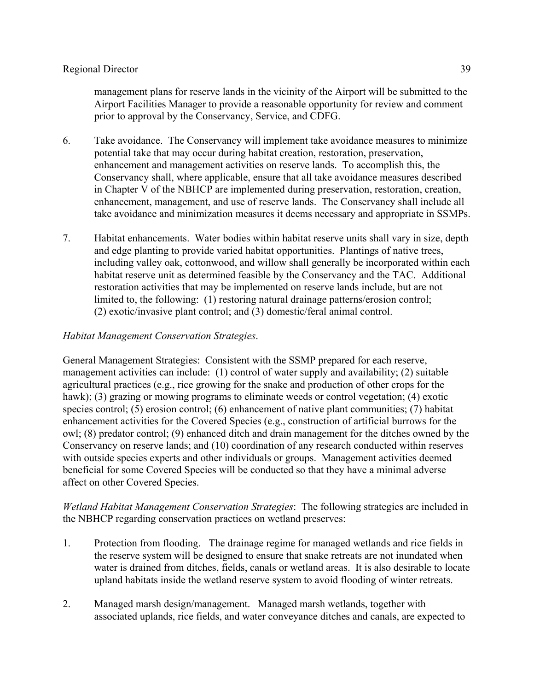management plans for reserve lands in the vicinity of the Airport will be submitted to the Airport Facilities Manager to provide a reasonable opportunity for review and comment prior to approval by the Conservancy, Service, and CDFG.

- 6. Take avoidance. The Conservancy will implement take avoidance measures to minimize potential take that may occur during habitat creation, restoration, preservation, enhancement and management activities on reserve lands. To accomplish this, the Conservancy shall, where applicable, ensure that all take avoidance measures described in Chapter V of the NBHCP are implemented during preservation, restoration, creation, enhancement, management, and use of reserve lands. The Conservancy shall include all take avoidance and minimization measures it deems necessary and appropriate in SSMPs.
- 7. Habitat enhancements. Water bodies within habitat reserve units shall vary in size, depth and edge planting to provide varied habitat opportunities. Plantings of native trees, including valley oak, cottonwood, and willow shall generally be incorporated within each habitat reserve unit as determined feasible by the Conservancy and the TAC. Additional restoration activities that may be implemented on reserve lands include, but are not limited to, the following: (1) restoring natural drainage patterns/erosion control; (2) exotic/invasive plant control; and (3) domestic/feral animal control.

# *Habitat Management Conservation Strategies*.

General Management Strategies: Consistent with the SSMP prepared for each reserve, management activities can include: (1) control of water supply and availability; (2) suitable agricultural practices (e.g., rice growing for the snake and production of other crops for the hawk); (3) grazing or mowing programs to eliminate weeds or control vegetation; (4) exotic species control; (5) erosion control; (6) enhancement of native plant communities; (7) habitat enhancement activities for the Covered Species (e.g., construction of artificial burrows for the owl; (8) predator control; (9) enhanced ditch and drain management for the ditches owned by the Conservancy on reserve lands; and (10) coordination of any research conducted within reserves with outside species experts and other individuals or groups. Management activities deemed beneficial for some Covered Species will be conducted so that they have a minimal adverse affect on other Covered Species.

*Wetland Habitat Management Conservation Strategies*: The following strategies are included in the NBHCP regarding conservation practices on wetland preserves:

- 1. Protection from flooding. The drainage regime for managed wetlands and rice fields in the reserve system will be designed to ensure that snake retreats are not inundated when water is drained from ditches, fields, canals or wetland areas. It is also desirable to locate upland habitats inside the wetland reserve system to avoid flooding of winter retreats.
- 2. Managed marsh design/management. Managed marsh wetlands, together with associated uplands, rice fields, and water conveyance ditches and canals, are expected to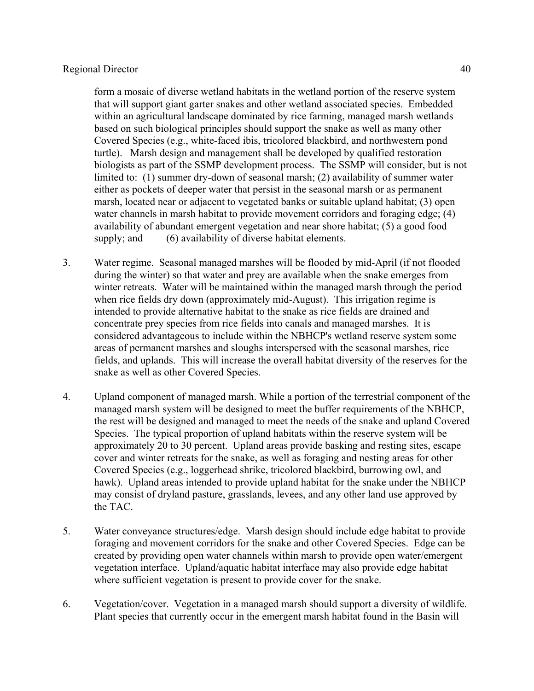form a mosaic of diverse wetland habitats in the wetland portion of the reserve system that will support giant garter snakes and other wetland associated species. Embedded within an agricultural landscape dominated by rice farming, managed marsh wetlands based on such biological principles should support the snake as well as many other Covered Species (e.g., white-faced ibis, tricolored blackbird, and northwestern pond turtle). Marsh design and management shall be developed by qualified restoration biologists as part of the SSMP development process. The SSMP will consider, but is not limited to: (1) summer dry-down of seasonal marsh; (2) availability of summer water either as pockets of deeper water that persist in the seasonal marsh or as permanent marsh, located near or adjacent to vegetated banks or suitable upland habitat; (3) open water channels in marsh habitat to provide movement corridors and foraging edge; (4) availability of abundant emergent vegetation and near shore habitat; (5) a good food supply; and (6) availability of diverse habitat elements.

- 3. Water regime. Seasonal managed marshes will be flooded by mid-April (if not flooded during the winter) so that water and prey are available when the snake emerges from winter retreats. Water will be maintained within the managed marsh through the period when rice fields dry down (approximately mid-August). This irrigation regime is intended to provide alternative habitat to the snake as rice fields are drained and concentrate prey species from rice fields into canals and managed marshes. It is considered advantageous to include within the NBHCP's wetland reserve system some areas of permanent marshes and sloughs interspersed with the seasonal marshes, rice fields, and uplands. This will increase the overall habitat diversity of the reserves for the snake as well as other Covered Species.
- 4. Upland component of managed marsh. While a portion of the terrestrial component of the managed marsh system will be designed to meet the buffer requirements of the NBHCP, the rest will be designed and managed to meet the needs of the snake and upland Covered Species. The typical proportion of upland habitats within the reserve system will be approximately 20 to 30 percent. Upland areas provide basking and resting sites, escape cover and winter retreats for the snake, as well as foraging and nesting areas for other Covered Species (e.g., loggerhead shrike, tricolored blackbird, burrowing owl, and hawk). Upland areas intended to provide upland habitat for the snake under the NBHCP may consist of dryland pasture, grasslands, levees, and any other land use approved by the TAC.
- 5. Water conveyance structures/edge. Marsh design should include edge habitat to provide foraging and movement corridors for the snake and other Covered Species. Edge can be created by providing open water channels within marsh to provide open water/emergent vegetation interface. Upland/aquatic habitat interface may also provide edge habitat where sufficient vegetation is present to provide cover for the snake.
- 6. Vegetation/cover. Vegetation in a managed marsh should support a diversity of wildlife. Plant species that currently occur in the emergent marsh habitat found in the Basin will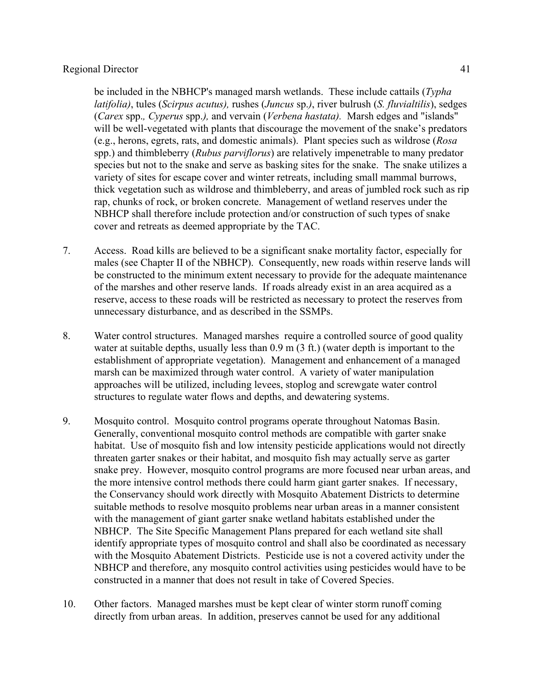be included in the NBHCP's managed marsh wetlands. These include cattails (*Typha latifolia)*, tules (*Scirpus acutus),* rushes (*Juncus* sp.*)*, river bulrush (*S. fluvialtilis*), sedges (*Carex* spp.*, Cyperus* spp.*),* and vervain (*Verbena hastata).* Marsh edges and "islands" will be well-vegetated with plants that discourage the movement of the snake's predators (e.g., herons, egrets, rats, and domestic animals). Plant species such as wildrose (*Rosa* spp.) and thimbleberry (*Rubus parviflorus*) are relatively impenetrable to many predator species but not to the snake and serve as basking sites for the snake. The snake utilizes a variety of sites for escape cover and winter retreats, including small mammal burrows, thick vegetation such as wildrose and thimbleberry, and areas of jumbled rock such as rip rap, chunks of rock, or broken concrete. Management of wetland reserves under the NBHCP shall therefore include protection and/or construction of such types of snake cover and retreats as deemed appropriate by the TAC.

- 7. Access. Road kills are believed to be a significant snake mortality factor, especially for males (see Chapter II of the NBHCP). Consequently, new roads within reserve lands will be constructed to the minimum extent necessary to provide for the adequate maintenance of the marshes and other reserve lands. If roads already exist in an area acquired as a reserve, access to these roads will be restricted as necessary to protect the reserves from unnecessary disturbance, and as described in the SSMPs.
- 8. Water control structures. Managed marshes require a controlled source of good quality water at suitable depths, usually less than 0.9 m (3 ft.) (water depth is important to the establishment of appropriate vegetation). Management and enhancement of a managed marsh can be maximized through water control. A variety of water manipulation approaches will be utilized, including levees, stoplog and screwgate water control structures to regulate water flows and depths, and dewatering systems.
- 9. Mosquito control. Mosquito control programs operate throughout Natomas Basin. Generally, conventional mosquito control methods are compatible with garter snake habitat. Use of mosquito fish and low intensity pesticide applications would not directly threaten garter snakes or their habitat, and mosquito fish may actually serve as garter snake prey. However, mosquito control programs are more focused near urban areas, and the more intensive control methods there could harm giant garter snakes. If necessary, the Conservancy should work directly with Mosquito Abatement Districts to determine suitable methods to resolve mosquito problems near urban areas in a manner consistent with the management of giant garter snake wetland habitats established under the NBHCP. The Site Specific Management Plans prepared for each wetland site shall identify appropriate types of mosquito control and shall also be coordinated as necessary with the Mosquito Abatement Districts. Pesticide use is not a covered activity under the NBHCP and therefore, any mosquito control activities using pesticides would have to be constructed in a manner that does not result in take of Covered Species.
- 10. Other factors. Managed marshes must be kept clear of winter storm runoff coming directly from urban areas. In addition, preserves cannot be used for any additional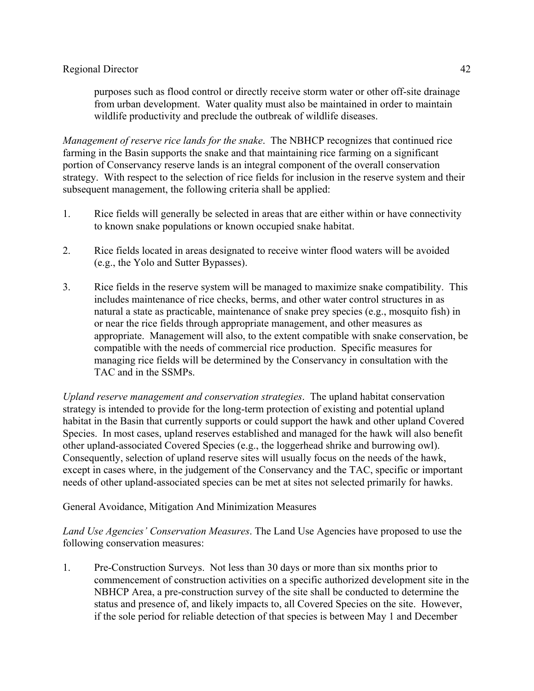purposes such as flood control or directly receive storm water or other off-site drainage from urban development. Water quality must also be maintained in order to maintain wildlife productivity and preclude the outbreak of wildlife diseases.

*Management of reserve rice lands for the snake*. The NBHCP recognizes that continued rice farming in the Basin supports the snake and that maintaining rice farming on a significant portion of Conservancy reserve lands is an integral component of the overall conservation strategy. With respect to the selection of rice fields for inclusion in the reserve system and their subsequent management, the following criteria shall be applied:

- 1. Rice fields will generally be selected in areas that are either within or have connectivity to known snake populations or known occupied snake habitat.
- 2. Rice fields located in areas designated to receive winter flood waters will be avoided (e.g., the Yolo and Sutter Bypasses).
- 3. Rice fields in the reserve system will be managed to maximize snake compatibility. This includes maintenance of rice checks, berms, and other water control structures in as natural a state as practicable, maintenance of snake prey species (e.g., mosquito fish) in or near the rice fields through appropriate management, and other measures as appropriate. Management will also, to the extent compatible with snake conservation, be compatible with the needs of commercial rice production. Specific measures for managing rice fields will be determined by the Conservancy in consultation with the TAC and in the SSMPs.

*Upland reserve management and conservation strategies*. The upland habitat conservation strategy is intended to provide for the long-term protection of existing and potential upland habitat in the Basin that currently supports or could support the hawk and other upland Covered Species. In most cases, upland reserves established and managed for the hawk will also benefit other upland-associated Covered Species (e.g., the loggerhead shrike and burrowing owl). Consequently, selection of upland reserve sites will usually focus on the needs of the hawk, except in cases where, in the judgement of the Conservancy and the TAC, specific or important needs of other upland-associated species can be met at sites not selected primarily for hawks.

General Avoidance, Mitigation And Minimization Measures

*Land Use Agencies' Conservation Measures*. The Land Use Agencies have proposed to use the following conservation measures:

1. Pre-Construction Surveys. Not less than 30 days or more than six months prior to commencement of construction activities on a specific authorized development site in the NBHCP Area, a pre-construction survey of the site shall be conducted to determine the status and presence of, and likely impacts to, all Covered Species on the site. However, if the sole period for reliable detection of that species is between May 1 and December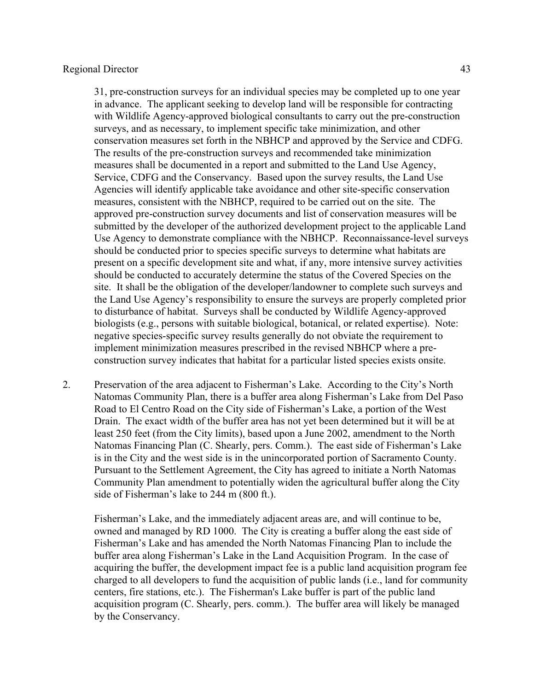31, pre-construction surveys for an individual species may be completed up to one year in advance. The applicant seeking to develop land will be responsible for contracting with Wildlife Agency-approved biological consultants to carry out the pre-construction surveys, and as necessary, to implement specific take minimization, and other conservation measures set forth in the NBHCP and approved by the Service and CDFG. The results of the pre-construction surveys and recommended take minimization measures shall be documented in a report and submitted to the Land Use Agency, Service, CDFG and the Conservancy. Based upon the survey results, the Land Use Agencies will identify applicable take avoidance and other site-specific conservation measures, consistent with the NBHCP, required to be carried out on the site. The approved pre-construction survey documents and list of conservation measures will be submitted by the developer of the authorized development project to the applicable Land Use Agency to demonstrate compliance with the NBHCP. Reconnaissance-level surveys should be conducted prior to species specific surveys to determine what habitats are present on a specific development site and what, if any, more intensive survey activities should be conducted to accurately determine the status of the Covered Species on the site. It shall be the obligation of the developer/landowner to complete such surveys and the Land Use Agency's responsibility to ensure the surveys are properly completed prior to disturbance of habitat. Surveys shall be conducted by Wildlife Agency-approved biologists (e.g., persons with suitable biological, botanical, or related expertise). Note: negative species-specific survey results generally do not obviate the requirement to implement minimization measures prescribed in the revised NBHCP where a preconstruction survey indicates that habitat for a particular listed species exists onsite.

2. Preservation of the area adjacent to Fisherman's Lake. According to the City's North Natomas Community Plan, there is a buffer area along Fisherman's Lake from Del Paso Road to El Centro Road on the City side of Fisherman's Lake, a portion of the West Drain. The exact width of the buffer area has not yet been determined but it will be at least 250 feet (from the City limits), based upon a June 2002, amendment to the North Natomas Financing Plan (C. Shearly, pers. Comm.). The east side of Fisherman's Lake is in the City and the west side is in the unincorporated portion of Sacramento County. Pursuant to the Settlement Agreement, the City has agreed to initiate a North Natomas Community Plan amendment to potentially widen the agricultural buffer along the City side of Fisherman's lake to 244 m (800 ft.).

Fisherman's Lake, and the immediately adjacent areas are, and will continue to be, owned and managed by RD 1000. The City is creating a buffer along the east side of Fisherman's Lake and has amended the North Natomas Financing Plan to include the buffer area along Fisherman's Lake in the Land Acquisition Program. In the case of acquiring the buffer, the development impact fee is a public land acquisition program fee charged to all developers to fund the acquisition of public lands (i.e., land for community centers, fire stations, etc.). The Fisherman's Lake buffer is part of the public land acquisition program (C. Shearly, pers. comm.). The buffer area will likely be managed by the Conservancy.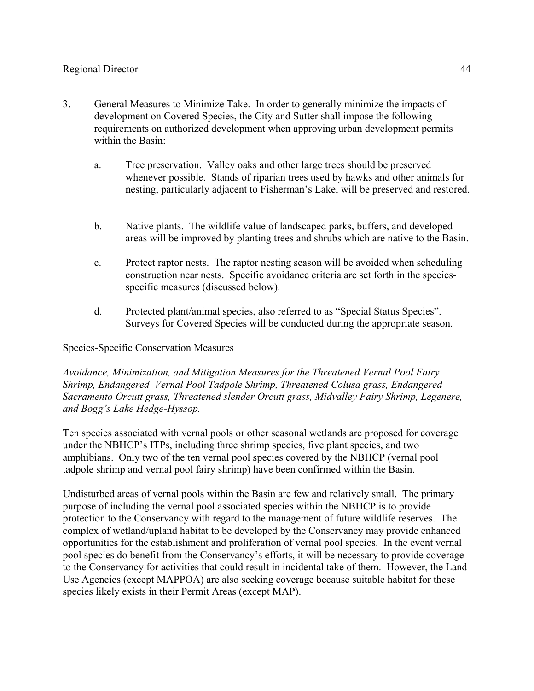- 3. General Measures to Minimize Take. In order to generally minimize the impacts of development on Covered Species, the City and Sutter shall impose the following requirements on authorized development when approving urban development permits within the Basin:
	- a. Tree preservation. Valley oaks and other large trees should be preserved whenever possible. Stands of riparian trees used by hawks and other animals for nesting, particularly adjacent to Fisherman's Lake, will be preserved and restored.
	- b. Native plants. The wildlife value of landscaped parks, buffers, and developed areas will be improved by planting trees and shrubs which are native to the Basin.
	- c. Protect raptor nests. The raptor nesting season will be avoided when scheduling construction near nests. Specific avoidance criteria are set forth in the speciesspecific measures (discussed below).
	- d. Protected plant/animal species, also referred to as "Special Status Species". Surveys for Covered Species will be conducted during the appropriate season.

# Species-Specific Conservation Measures

*Avoidance, Minimization, and Mitigation Measures for the Threatened Vernal Pool Fairy Shrimp, Endangered Vernal Pool Tadpole Shrimp, Threatened Colusa grass, Endangered Sacramento Orcutt grass, Threatened slender Orcutt grass, Midvalley Fairy Shrimp, Legenere, and Bogg's Lake Hedge-Hyssop.* 

Ten species associated with vernal pools or other seasonal wetlands are proposed for coverage under the NBHCP's ITPs, including three shrimp species, five plant species, and two amphibians. Only two of the ten vernal pool species covered by the NBHCP (vernal pool tadpole shrimp and vernal pool fairy shrimp) have been confirmed within the Basin.

Undisturbed areas of vernal pools within the Basin are few and relatively small. The primary purpose of including the vernal pool associated species within the NBHCP is to provide protection to the Conservancy with regard to the management of future wildlife reserves. The complex of wetland/upland habitat to be developed by the Conservancy may provide enhanced opportunities for the establishment and proliferation of vernal pool species. In the event vernal pool species do benefit from the Conservancy's efforts, it will be necessary to provide coverage to the Conservancy for activities that could result in incidental take of them. However, the Land Use Agencies (except MAPPOA) are also seeking coverage because suitable habitat for these species likely exists in their Permit Areas (except MAP).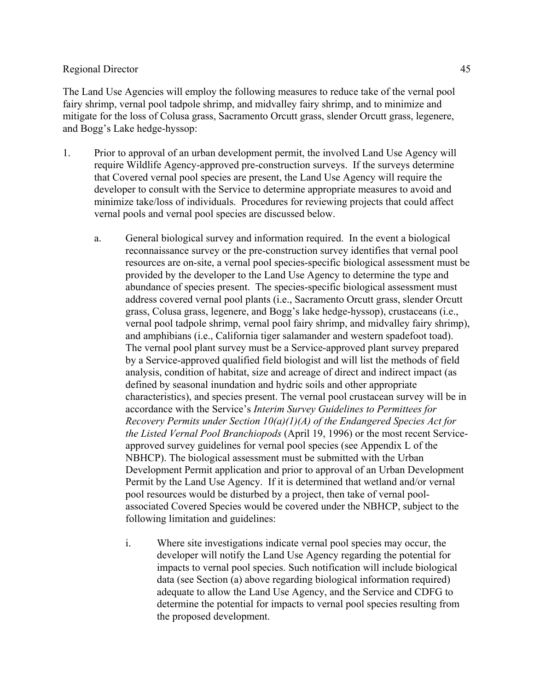The Land Use Agencies will employ the following measures to reduce take of the vernal pool fairy shrimp, vernal pool tadpole shrimp, and midvalley fairy shrimp, and to minimize and mitigate for the loss of Colusa grass, Sacramento Orcutt grass, slender Orcutt grass, legenere, and Bogg's Lake hedge-hyssop:

- 1. Prior to approval of an urban development permit, the involved Land Use Agency will require Wildlife Agency-approved pre-construction surveys. If the surveys determine that Covered vernal pool species are present, the Land Use Agency will require the developer to consult with the Service to determine appropriate measures to avoid and minimize take/loss of individuals. Procedures for reviewing projects that could affect vernal pools and vernal pool species are discussed below.
	- a. General biological survey and information required. In the event a biological reconnaissance survey or the pre-construction survey identifies that vernal pool resources are on-site, a vernal pool species-specific biological assessment must be provided by the developer to the Land Use Agency to determine the type and abundance of species present. The species-specific biological assessment must address covered vernal pool plants (i.e., Sacramento Orcutt grass, slender Orcutt grass, Colusa grass, legenere, and Bogg's lake hedge-hyssop), crustaceans (i.e., vernal pool tadpole shrimp, vernal pool fairy shrimp, and midvalley fairy shrimp), and amphibians (i.e., California tiger salamander and western spadefoot toad). The vernal pool plant survey must be a Service-approved plant survey prepared by a Service-approved qualified field biologist and will list the methods of field analysis, condition of habitat, size and acreage of direct and indirect impact (as defined by seasonal inundation and hydric soils and other appropriate characteristics), and species present. The vernal pool crustacean survey will be in accordance with the Service's *Interim Survey Guidelines to Permittees for Recovery Permits under Section 10(a)(1)(A) of the Endangered Species Act for the Listed Vernal Pool Branchiopods* (April 19, 1996) or the most recent Serviceapproved survey guidelines for vernal pool species (see Appendix L of the NBHCP). The biological assessment must be submitted with the Urban Development Permit application and prior to approval of an Urban Development Permit by the Land Use Agency. If it is determined that wetland and/or vernal pool resources would be disturbed by a project, then take of vernal poolassociated Covered Species would be covered under the NBHCP, subject to the following limitation and guidelines:
		- i. Where site investigations indicate vernal pool species may occur, the developer will notify the Land Use Agency regarding the potential for impacts to vernal pool species. Such notification will include biological data (see Section (a) above regarding biological information required) adequate to allow the Land Use Agency, and the Service and CDFG to determine the potential for impacts to vernal pool species resulting from the proposed development.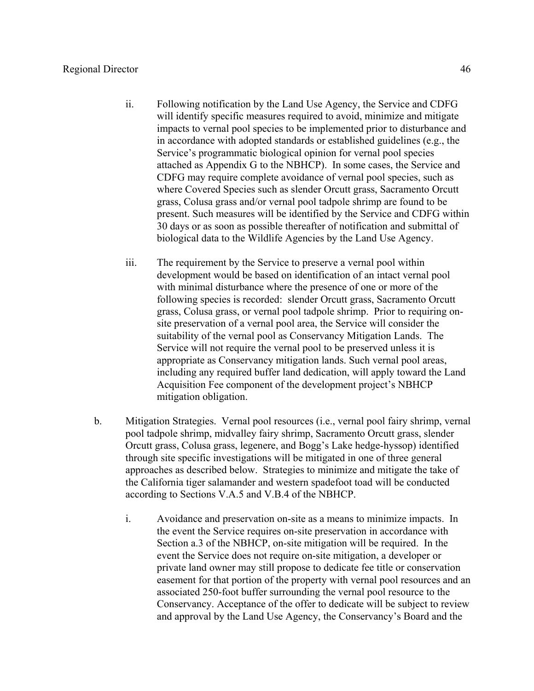- ii. Following notification by the Land Use Agency, the Service and CDFG will identify specific measures required to avoid, minimize and mitigate impacts to vernal pool species to be implemented prior to disturbance and in accordance with adopted standards or established guidelines (e.g., the Service's programmatic biological opinion for vernal pool species attached as Appendix G to the NBHCP). In some cases, the Service and CDFG may require complete avoidance of vernal pool species, such as where Covered Species such as slender Orcutt grass, Sacramento Orcutt grass, Colusa grass and/or vernal pool tadpole shrimp are found to be present. Such measures will be identified by the Service and CDFG within 30 days or as soon as possible thereafter of notification and submittal of biological data to the Wildlife Agencies by the Land Use Agency.
- iii. The requirement by the Service to preserve a vernal pool within development would be based on identification of an intact vernal pool with minimal disturbance where the presence of one or more of the following species is recorded: slender Orcutt grass, Sacramento Orcutt grass, Colusa grass, or vernal pool tadpole shrimp. Prior to requiring onsite preservation of a vernal pool area, the Service will consider the suitability of the vernal pool as Conservancy Mitigation Lands. The Service will not require the vernal pool to be preserved unless it is appropriate as Conservancy mitigation lands. Such vernal pool areas, including any required buffer land dedication, will apply toward the Land Acquisition Fee component of the development project's NBHCP mitigation obligation.
- b. Mitigation Strategies. Vernal pool resources (i.e., vernal pool fairy shrimp, vernal pool tadpole shrimp, midvalley fairy shrimp, Sacramento Orcutt grass, slender Orcutt grass, Colusa grass, legenere, and Bogg's Lake hedge-hyssop) identified through site specific investigations will be mitigated in one of three general approaches as described below. Strategies to minimize and mitigate the take of the California tiger salamander and western spadefoot toad will be conducted according to Sections V.A.5 and V.B.4 of the NBHCP.
	- i. Avoidance and preservation on-site as a means to minimize impacts. In the event the Service requires on-site preservation in accordance with Section a.3 of the NBHCP, on-site mitigation will be required. In the event the Service does not require on-site mitigation, a developer or private land owner may still propose to dedicate fee title or conservation easement for that portion of the property with vernal pool resources and an associated 250-foot buffer surrounding the vernal pool resource to the Conservancy. Acceptance of the offer to dedicate will be subject to review and approval by the Land Use Agency, the Conservancy's Board and the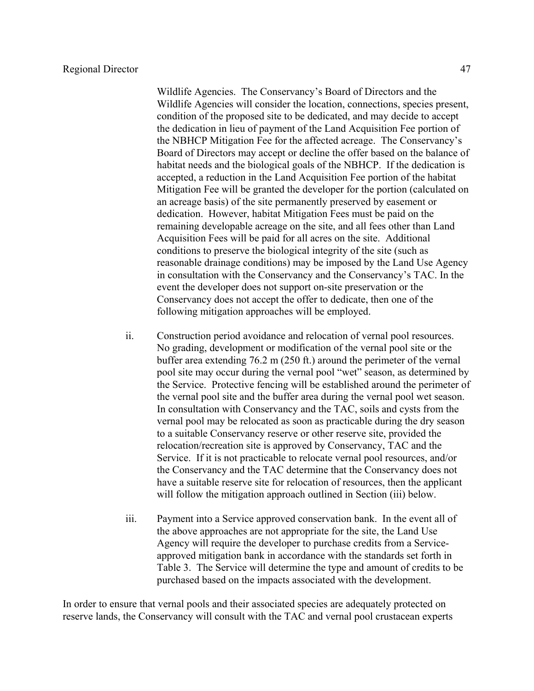Wildlife Agencies. The Conservancy's Board of Directors and the Wildlife Agencies will consider the location, connections, species present, condition of the proposed site to be dedicated, and may decide to accept the dedication in lieu of payment of the Land Acquisition Fee portion of the NBHCP Mitigation Fee for the affected acreage. The Conservancy's Board of Directors may accept or decline the offer based on the balance of habitat needs and the biological goals of the NBHCP. If the dedication is accepted, a reduction in the Land Acquisition Fee portion of the habitat Mitigation Fee will be granted the developer for the portion (calculated on an acreage basis) of the site permanently preserved by easement or dedication. However, habitat Mitigation Fees must be paid on the remaining developable acreage on the site, and all fees other than Land Acquisition Fees will be paid for all acres on the site. Additional conditions to preserve the biological integrity of the site (such as reasonable drainage conditions) may be imposed by the Land Use Agency in consultation with the Conservancy and the Conservancy's TAC. In the event the developer does not support on-site preservation or the Conservancy does not accept the offer to dedicate, then one of the following mitigation approaches will be employed.

- ii. Construction period avoidance and relocation of vernal pool resources. No grading, development or modification of the vernal pool site or the buffer area extending 76.2 m (250 ft.) around the perimeter of the vernal pool site may occur during the vernal pool "wet" season, as determined by the Service. Protective fencing will be established around the perimeter of the vernal pool site and the buffer area during the vernal pool wet season. In consultation with Conservancy and the TAC, soils and cysts from the vernal pool may be relocated as soon as practicable during the dry season to a suitable Conservancy reserve or other reserve site, provided the relocation/recreation site is approved by Conservancy, TAC and the Service. If it is not practicable to relocate vernal pool resources, and/or the Conservancy and the TAC determine that the Conservancy does not have a suitable reserve site for relocation of resources, then the applicant will follow the mitigation approach outlined in Section (iii) below.
- iii. Payment into a Service approved conservation bank. In the event all of the above approaches are not appropriate for the site, the Land Use Agency will require the developer to purchase credits from a Serviceapproved mitigation bank in accordance with the standards set forth in Table 3. The Service will determine the type and amount of credits to be purchased based on the impacts associated with the development.

In order to ensure that vernal pools and their associated species are adequately protected on reserve lands, the Conservancy will consult with the TAC and vernal pool crustacean experts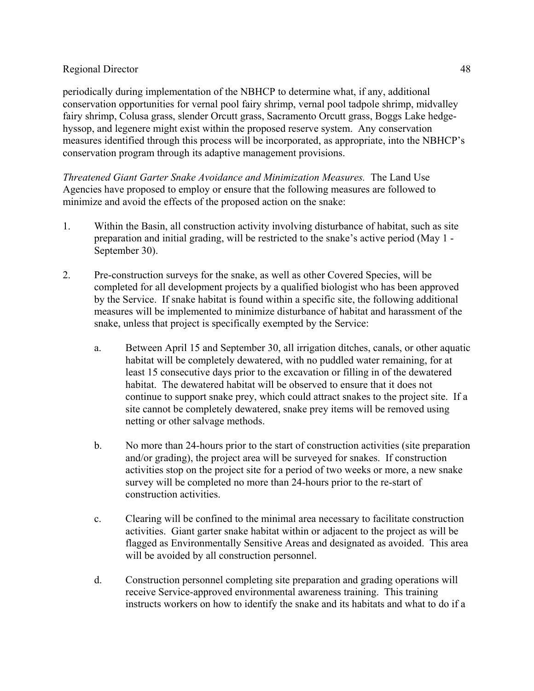periodically during implementation of the NBHCP to determine what, if any, additional conservation opportunities for vernal pool fairy shrimp, vernal pool tadpole shrimp, midvalley fairy shrimp, Colusa grass, slender Orcutt grass, Sacramento Orcutt grass, Boggs Lake hedgehyssop, and legenere might exist within the proposed reserve system. Any conservation measures identified through this process will be incorporated, as appropriate, into the NBHCP's conservation program through its adaptive management provisions.

*Threatened Giant Garter Snake Avoidance and Minimization Measures.* The Land Use Agencies have proposed to employ or ensure that the following measures are followed to minimize and avoid the effects of the proposed action on the snake:

- 1. Within the Basin, all construction activity involving disturbance of habitat, such as site preparation and initial grading, will be restricted to the snake's active period (May 1 - September 30).
- 2. Pre-construction surveys for the snake, as well as other Covered Species, will be completed for all development projects by a qualified biologist who has been approved by the Service. If snake habitat is found within a specific site, the following additional measures will be implemented to minimize disturbance of habitat and harassment of the snake, unless that project is specifically exempted by the Service:
	- a. Between April 15 and September 30, all irrigation ditches, canals, or other aquatic habitat will be completely dewatered, with no puddled water remaining, for at least 15 consecutive days prior to the excavation or filling in of the dewatered habitat. The dewatered habitat will be observed to ensure that it does not continue to support snake prey, which could attract snakes to the project site. If a site cannot be completely dewatered, snake prey items will be removed using netting or other salvage methods.
	- b. No more than 24-hours prior to the start of construction activities (site preparation and/or grading), the project area will be surveyed for snakes. If construction activities stop on the project site for a period of two weeks or more, a new snake survey will be completed no more than 24-hours prior to the re-start of construction activities.
	- c. Clearing will be confined to the minimal area necessary to facilitate construction activities. Giant garter snake habitat within or adjacent to the project as will be flagged as Environmentally Sensitive Areas and designated as avoided. This area will be avoided by all construction personnel.
	- d. Construction personnel completing site preparation and grading operations will receive Service-approved environmental awareness training. This training instructs workers on how to identify the snake and its habitats and what to do if a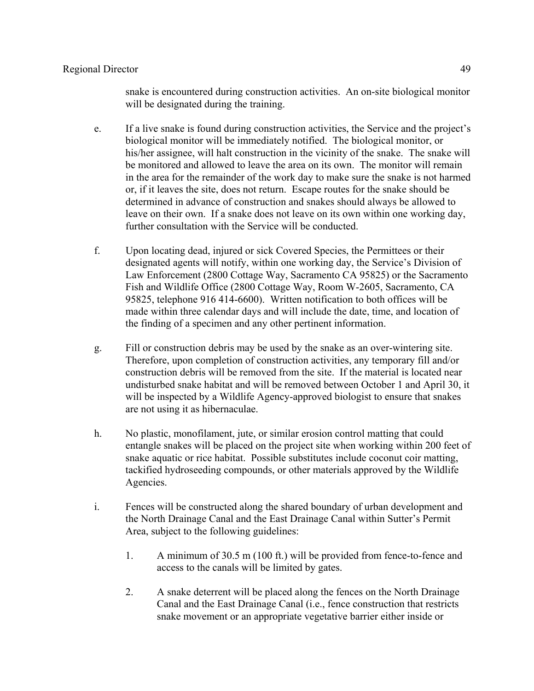snake is encountered during construction activities. An on-site biological monitor will be designated during the training.

- e. If a live snake is found during construction activities, the Service and the project's biological monitor will be immediately notified. The biological monitor, or his/her assignee, will halt construction in the vicinity of the snake. The snake will be monitored and allowed to leave the area on its own. The monitor will remain in the area for the remainder of the work day to make sure the snake is not harmed or, if it leaves the site, does not return. Escape routes for the snake should be determined in advance of construction and snakes should always be allowed to leave on their own. If a snake does not leave on its own within one working day, further consultation with the Service will be conducted.
- f. Upon locating dead, injured or sick Covered Species, the Permittees or their designated agents will notify, within one working day, the Service's Division of Law Enforcement (2800 Cottage Way, Sacramento CA 95825) or the Sacramento Fish and Wildlife Office (2800 Cottage Way, Room W-2605, Sacramento, CA 95825, telephone 916 414-6600). Written notification to both offices will be made within three calendar days and will include the date, time, and location of the finding of a specimen and any other pertinent information.
- g. Fill or construction debris may be used by the snake as an over-wintering site. Therefore, upon completion of construction activities, any temporary fill and/or construction debris will be removed from the site. If the material is located near undisturbed snake habitat and will be removed between October 1 and April 30, it will be inspected by a Wildlife Agency-approved biologist to ensure that snakes are not using it as hibernaculae.
- h. No plastic, monofilament, jute, or similar erosion control matting that could entangle snakes will be placed on the project site when working within 200 feet of snake aquatic or rice habitat. Possible substitutes include coconut coir matting, tackified hydroseeding compounds, or other materials approved by the Wildlife Agencies.
- i. Fences will be constructed along the shared boundary of urban development and the North Drainage Canal and the East Drainage Canal within Sutter's Permit Area, subject to the following guidelines:
	- 1. A minimum of 30.5 m (100 ft.) will be provided from fence-to-fence and access to the canals will be limited by gates.
	- 2. A snake deterrent will be placed along the fences on the North Drainage Canal and the East Drainage Canal (i.e., fence construction that restricts snake movement or an appropriate vegetative barrier either inside or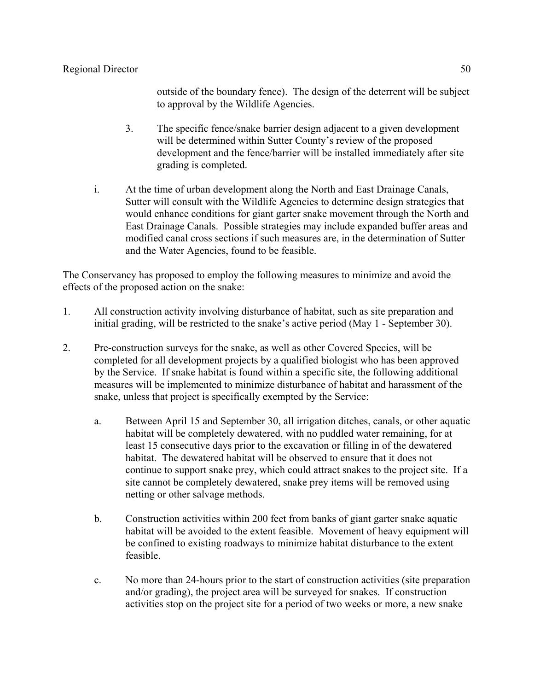outside of the boundary fence). The design of the deterrent will be subject to approval by the Wildlife Agencies.

- 3. The specific fence/snake barrier design adjacent to a given development will be determined within Sutter County's review of the proposed development and the fence/barrier will be installed immediately after site grading is completed.
- i. At the time of urban development along the North and East Drainage Canals, Sutter will consult with the Wildlife Agencies to determine design strategies that would enhance conditions for giant garter snake movement through the North and East Drainage Canals. Possible strategies may include expanded buffer areas and modified canal cross sections if such measures are, in the determination of Sutter and the Water Agencies, found to be feasible.

The Conservancy has proposed to employ the following measures to minimize and avoid the effects of the proposed action on the snake:

- 1. All construction activity involving disturbance of habitat, such as site preparation and initial grading, will be restricted to the snake's active period (May 1 - September 30).
- 2. Pre-construction surveys for the snake, as well as other Covered Species, will be completed for all development projects by a qualified biologist who has been approved by the Service. If snake habitat is found within a specific site, the following additional measures will be implemented to minimize disturbance of habitat and harassment of the snake, unless that project is specifically exempted by the Service:
	- a. Between April 15 and September 30, all irrigation ditches, canals, or other aquatic habitat will be completely dewatered, with no puddled water remaining, for at least 15 consecutive days prior to the excavation or filling in of the dewatered habitat. The dewatered habitat will be observed to ensure that it does not continue to support snake prey, which could attract snakes to the project site. If a site cannot be completely dewatered, snake prey items will be removed using netting or other salvage methods.
	- b. Construction activities within 200 feet from banks of giant garter snake aquatic habitat will be avoided to the extent feasible. Movement of heavy equipment will be confined to existing roadways to minimize habitat disturbance to the extent feasible.
	- c. No more than 24-hours prior to the start of construction activities (site preparation and/or grading), the project area will be surveyed for snakes. If construction activities stop on the project site for a period of two weeks or more, a new snake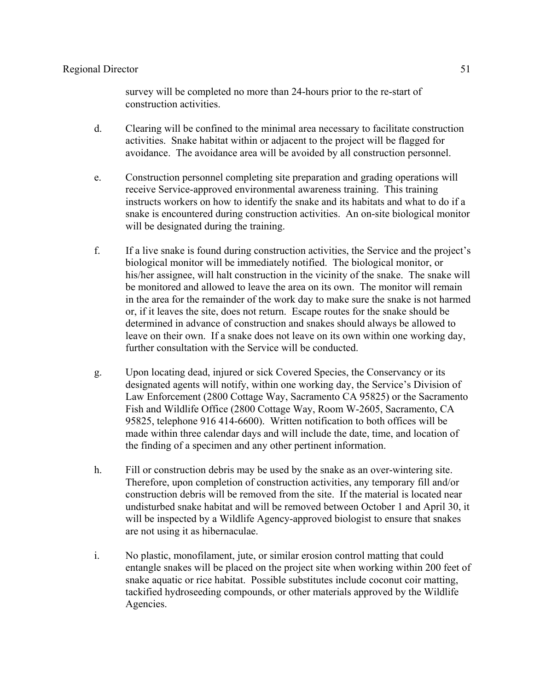survey will be completed no more than 24-hours prior to the re-start of construction activities.

- d. Clearing will be confined to the minimal area necessary to facilitate construction activities. Snake habitat within or adjacent to the project will be flagged for avoidance. The avoidance area will be avoided by all construction personnel.
- e. Construction personnel completing site preparation and grading operations will receive Service-approved environmental awareness training. This training instructs workers on how to identify the snake and its habitats and what to do if a snake is encountered during construction activities. An on-site biological monitor will be designated during the training.
- f. If a live snake is found during construction activities, the Service and the project's biological monitor will be immediately notified. The biological monitor, or his/her assignee, will halt construction in the vicinity of the snake. The snake will be monitored and allowed to leave the area on its own. The monitor will remain in the area for the remainder of the work day to make sure the snake is not harmed or, if it leaves the site, does not return. Escape routes for the snake should be determined in advance of construction and snakes should always be allowed to leave on their own. If a snake does not leave on its own within one working day, further consultation with the Service will be conducted.
- g. Upon locating dead, injured or sick Covered Species, the Conservancy or its designated agents will notify, within one working day, the Service's Division of Law Enforcement (2800 Cottage Way, Sacramento CA 95825) or the Sacramento Fish and Wildlife Office (2800 Cottage Way, Room W-2605, Sacramento, CA 95825, telephone 916 414-6600). Written notification to both offices will be made within three calendar days and will include the date, time, and location of the finding of a specimen and any other pertinent information.
- h. Fill or construction debris may be used by the snake as an over-wintering site. Therefore, upon completion of construction activities, any temporary fill and/or construction debris will be removed from the site. If the material is located near undisturbed snake habitat and will be removed between October 1 and April 30, it will be inspected by a Wildlife Agency-approved biologist to ensure that snakes are not using it as hibernaculae.
- i. No plastic, monofilament, jute, or similar erosion control matting that could entangle snakes will be placed on the project site when working within 200 feet of snake aquatic or rice habitat. Possible substitutes include coconut coir matting, tackified hydroseeding compounds, or other materials approved by the Wildlife Agencies.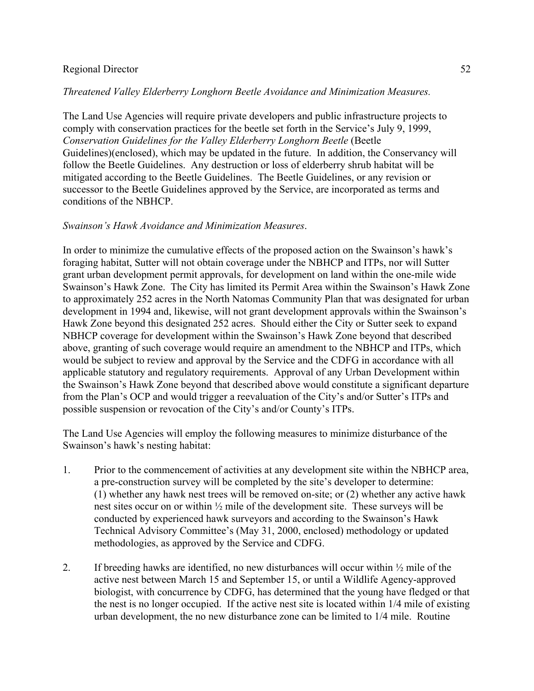## *Threatened Valley Elderberry Longhorn Beetle Avoidance and Minimization Measures.*

The Land Use Agencies will require private developers and public infrastructure projects to comply with conservation practices for the beetle set forth in the Service's July 9, 1999, *Conservation Guidelines for the Valley Elderberry Longhorn Beetle* (Beetle Guidelines)(enclosed), which may be updated in the future. In addition, the Conservancy will follow the Beetle Guidelines. Any destruction or loss of elderberry shrub habitat will be mitigated according to the Beetle Guidelines. The Beetle Guidelines, or any revision or successor to the Beetle Guidelines approved by the Service, are incorporated as terms and conditions of the NBHCP.

### *Swainson's Hawk Avoidance and Minimization Measures*.

In order to minimize the cumulative effects of the proposed action on the Swainson's hawk's foraging habitat, Sutter will not obtain coverage under the NBHCP and ITPs, nor will Sutter grant urban development permit approvals, for development on land within the one-mile wide Swainson's Hawk Zone. The City has limited its Permit Area within the Swainson's Hawk Zone to approximately 252 acres in the North Natomas Community Plan that was designated for urban development in 1994 and, likewise, will not grant development approvals within the Swainson's Hawk Zone beyond this designated 252 acres. Should either the City or Sutter seek to expand NBHCP coverage for development within the Swainson's Hawk Zone beyond that described above, granting of such coverage would require an amendment to the NBHCP and ITPs, which would be subject to review and approval by the Service and the CDFG in accordance with all applicable statutory and regulatory requirements. Approval of any Urban Development within the Swainson's Hawk Zone beyond that described above would constitute a significant departure from the Plan's OCP and would trigger a reevaluation of the City's and/or Sutter's ITPs and possible suspension or revocation of the City's and/or County's ITPs.

The Land Use Agencies will employ the following measures to minimize disturbance of the Swainson's hawk's nesting habitat:

- 1. Prior to the commencement of activities at any development site within the NBHCP area, a pre-construction survey will be completed by the site's developer to determine: (1) whether any hawk nest trees will be removed on-site; or (2) whether any active hawk nest sites occur on or within ½ mile of the development site. These surveys will be conducted by experienced hawk surveyors and according to the Swainson's Hawk Technical Advisory Committee's (May 31, 2000, enclosed) methodology or updated methodologies, as approved by the Service and CDFG.
- 2. If breeding hawks are identified, no new disturbances will occur within  $\frac{1}{2}$  mile of the active nest between March 15 and September 15, or until a Wildlife Agency-approved biologist, with concurrence by CDFG, has determined that the young have fledged or that the nest is no longer occupied. If the active nest site is located within 1/4 mile of existing urban development, the no new disturbance zone can be limited to 1/4 mile. Routine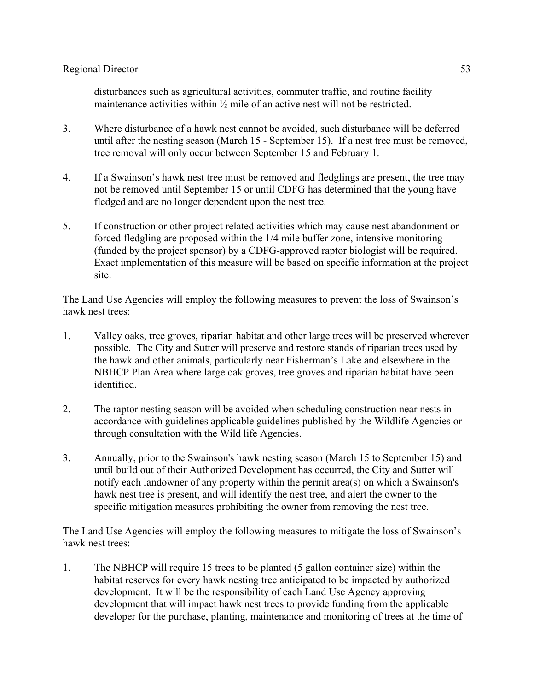disturbances such as agricultural activities, commuter traffic, and routine facility maintenance activities within  $\frac{1}{2}$  mile of an active nest will not be restricted.

- 3. Where disturbance of a hawk nest cannot be avoided, such disturbance will be deferred until after the nesting season (March 15 - September 15). If a nest tree must be removed, tree removal will only occur between September 15 and February 1.
- 4. If a Swainson's hawk nest tree must be removed and fledglings are present, the tree may not be removed until September 15 or until CDFG has determined that the young have fledged and are no longer dependent upon the nest tree.
- 5. If construction or other project related activities which may cause nest abandonment or forced fledgling are proposed within the 1/4 mile buffer zone, intensive monitoring (funded by the project sponsor) by a CDFG-approved raptor biologist will be required. Exact implementation of this measure will be based on specific information at the project site.

The Land Use Agencies will employ the following measures to prevent the loss of Swainson's hawk nest trees:

- 1. Valley oaks, tree groves, riparian habitat and other large trees will be preserved wherever possible. The City and Sutter will preserve and restore stands of riparian trees used by the hawk and other animals, particularly near Fisherman's Lake and elsewhere in the NBHCP Plan Area where large oak groves, tree groves and riparian habitat have been identified.
- 2. The raptor nesting season will be avoided when scheduling construction near nests in accordance with guidelines applicable guidelines published by the Wildlife Agencies or through consultation with the Wild life Agencies.
- 3. Annually, prior to the Swainson's hawk nesting season (March 15 to September 15) and until build out of their Authorized Development has occurred, the City and Sutter will notify each landowner of any property within the permit area(s) on which a Swainson's hawk nest tree is present, and will identify the nest tree, and alert the owner to the specific mitigation measures prohibiting the owner from removing the nest tree.

The Land Use Agencies will employ the following measures to mitigate the loss of Swainson's hawk nest trees:

1. The NBHCP will require 15 trees to be planted (5 gallon container size) within the habitat reserves for every hawk nesting tree anticipated to be impacted by authorized development. It will be the responsibility of each Land Use Agency approving development that will impact hawk nest trees to provide funding from the applicable developer for the purchase, planting, maintenance and monitoring of trees at the time of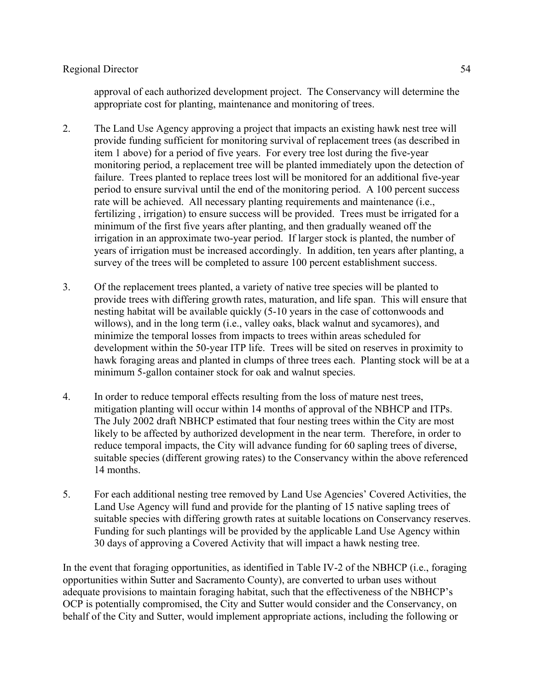approval of each authorized development project. The Conservancy will determine the appropriate cost for planting, maintenance and monitoring of trees.

- 2. The Land Use Agency approving a project that impacts an existing hawk nest tree will provide funding sufficient for monitoring survival of replacement trees (as described in item 1 above) for a period of five years. For every tree lost during the five-year monitoring period, a replacement tree will be planted immediately upon the detection of failure. Trees planted to replace trees lost will be monitored for an additional five-year period to ensure survival until the end of the monitoring period. A 100 percent success rate will be achieved. All necessary planting requirements and maintenance (i.e., fertilizing , irrigation) to ensure success will be provided. Trees must be irrigated for a minimum of the first five years after planting, and then gradually weaned off the irrigation in an approximate two-year period. If larger stock is planted, the number of years of irrigation must be increased accordingly. In addition, ten years after planting, a survey of the trees will be completed to assure 100 percent establishment success.
- 3. Of the replacement trees planted, a variety of native tree species will be planted to provide trees with differing growth rates, maturation, and life span. This will ensure that nesting habitat will be available quickly (5-10 years in the case of cottonwoods and willows), and in the long term (i.e., valley oaks, black walnut and sycamores), and minimize the temporal losses from impacts to trees within areas scheduled for development within the 50-year ITP life. Trees will be sited on reserves in proximity to hawk foraging areas and planted in clumps of three trees each. Planting stock will be at a minimum 5-gallon container stock for oak and walnut species.
- 4. In order to reduce temporal effects resulting from the loss of mature nest trees, mitigation planting will occur within 14 months of approval of the NBHCP and ITPs. The July 2002 draft NBHCP estimated that four nesting trees within the City are most likely to be affected by authorized development in the near term. Therefore, in order to reduce temporal impacts, the City will advance funding for 60 sapling trees of diverse, suitable species (different growing rates) to the Conservancy within the above referenced 14 months.
- 5. For each additional nesting tree removed by Land Use Agencies' Covered Activities, the Land Use Agency will fund and provide for the planting of 15 native sapling trees of suitable species with differing growth rates at suitable locations on Conservancy reserves. Funding for such plantings will be provided by the applicable Land Use Agency within 30 days of approving a Covered Activity that will impact a hawk nesting tree.

In the event that foraging opportunities, as identified in Table IV-2 of the NBHCP (i.e., foraging opportunities within Sutter and Sacramento County), are converted to urban uses without adequate provisions to maintain foraging habitat, such that the effectiveness of the NBHCP's OCP is potentially compromised, the City and Sutter would consider and the Conservancy, on behalf of the City and Sutter, would implement appropriate actions, including the following or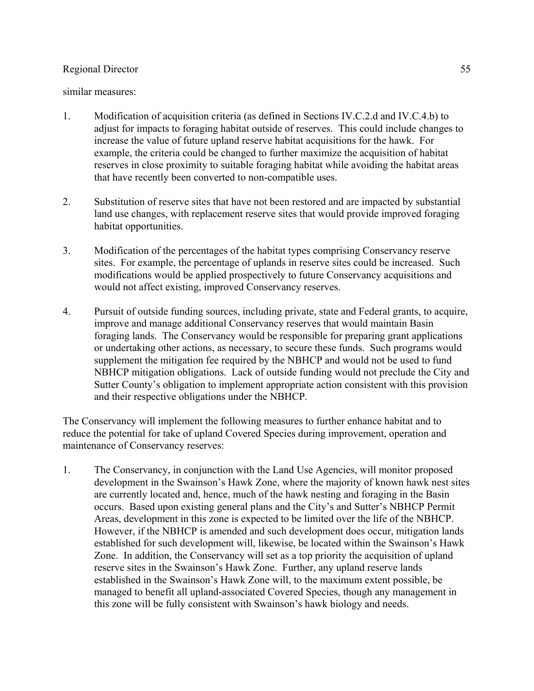similar measures:

- 1. Modification of acquisition criteria (as defined in Sections IV.C.2.d and IV.C.4.b) to adjust for impacts to foraging habitat outside of reserves. This could include changes to increase the value of future upland reserve habitat acquisitions for the hawk. For example, the criteria could be changed to further maximize the acquisition of habitat reserves in close proximity to suitable foraging habitat while avoiding the habitat areas that have recently been converted to non-compatible uses.
- 2. Substitution of reserve sites that have not been restored and are impacted by substantial land use changes, with replacement reserve sites that would provide improved foraging habitat opportunities.
- 3. Modification of the percentages of the habitat types comprising Conservancy reserve sites. For example, the percentage of uplands in reserve sites could be increased. Such modifications would be applied prospectively to future Conservancy acquisitions and would not affect existing, improved Conservancy reserves.
- 4. Pursuit of outside funding sources, including private, state and Federal grants, to acquire, improve and manage additional Conservancy reserves that would maintain Basin foraging lands. The Conservancy would be responsible for preparing grant applications or undertaking other actions, as necessary, to secure these funds. Such programs would supplement the mitigation fee required by the NBHCP and would not be used to fund NBHCP mitigation obligations. Lack of outside funding would not preclude the City and Sutter County's obligation to implement appropriate action consistent with this provision and their respective obligations under the NBHCP.

The Conservancy will implement the following measures to further enhance habitat and to reduce the potential for take of upland Covered Species during improvement, operation and maintenance of Conservancy reserves:

1. The Conservancy, in conjunction with the Land Use Agencies, will monitor proposed development in the Swainson's Hawk Zone, where the majority of known hawk nest sites are currently located and, hence, much of the hawk nesting and foraging in the Basin occurs. Based upon existing general plans and the City's and Sutter's NBHCP Permit Areas, development in this zone is expected to be limited over the life of the NBHCP. However, if the NBHCP is amended and such development does occur, mitigation lands established for such development will, likewise, be located within the Swainson's Hawk Zone. In addition, the Conservancy will set as a top priority the acquisition of upland reserve sites in the Swainson's Hawk Zone. Further, any upland reserve lands established in the Swainson's Hawk Zone will, to the maximum extent possible, be managed to benefit all upland-associated Covered Species, though any management in this zone will be fully consistent with Swainson's hawk biology and needs.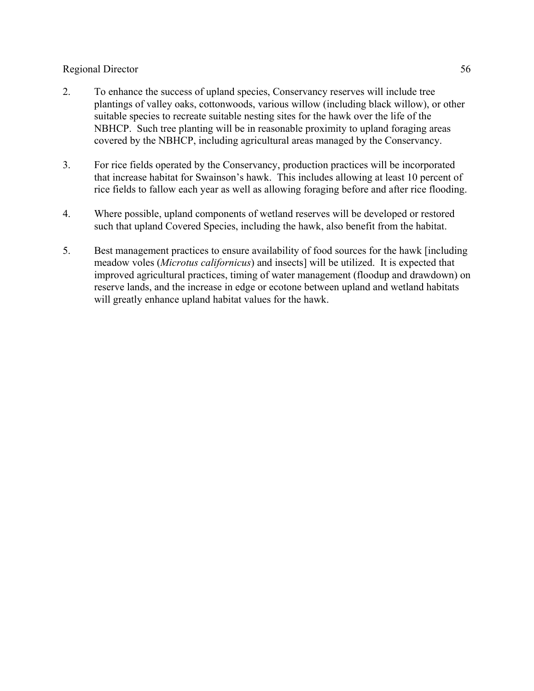- 2. To enhance the success of upland species, Conservancy reserves will include tree plantings of valley oaks, cottonwoods, various willow (including black willow), or other suitable species to recreate suitable nesting sites for the hawk over the life of the NBHCP. Such tree planting will be in reasonable proximity to upland foraging areas covered by the NBHCP, including agricultural areas managed by the Conservancy.
- 3. For rice fields operated by the Conservancy, production practices will be incorporated that increase habitat for Swainson's hawk. This includes allowing at least 10 percent of rice fields to fallow each year as well as allowing foraging before and after rice flooding.
- 4. Where possible, upland components of wetland reserves will be developed or restored such that upland Covered Species, including the hawk, also benefit from the habitat.
- 5. Best management practices to ensure availability of food sources for the hawk [including meadow voles (*Microtus californicus*) and insects] will be utilized. It is expected that improved agricultural practices, timing of water management (floodup and drawdown) on reserve lands, and the increase in edge or ecotone between upland and wetland habitats will greatly enhance upland habitat values for the hawk.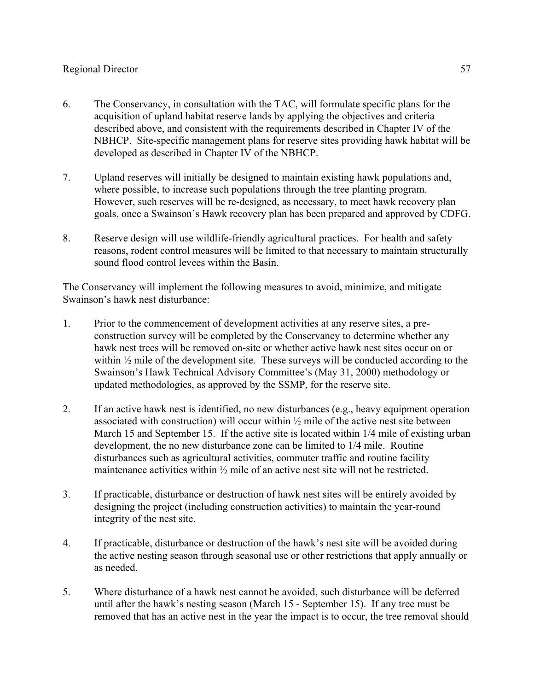- 6. The Conservancy, in consultation with the TAC, will formulate specific plans for the acquisition of upland habitat reserve lands by applying the objectives and criteria described above, and consistent with the requirements described in Chapter IV of the NBHCP. Site-specific management plans for reserve sites providing hawk habitat will be developed as described in Chapter IV of the NBHCP.
- 7. Upland reserves will initially be designed to maintain existing hawk populations and, where possible, to increase such populations through the tree planting program. However, such reserves will be re-designed, as necessary, to meet hawk recovery plan goals, once a Swainson's Hawk recovery plan has been prepared and approved by CDFG.
- 8. Reserve design will use wildlife-friendly agricultural practices. For health and safety reasons, rodent control measures will be limited to that necessary to maintain structurally sound flood control levees within the Basin.

The Conservancy will implement the following measures to avoid, minimize, and mitigate Swainson's hawk nest disturbance:

- 1. Prior to the commencement of development activities at any reserve sites, a preconstruction survey will be completed by the Conservancy to determine whether any hawk nest trees will be removed on-site or whether active hawk nest sites occur on or within ½ mile of the development site. These surveys will be conducted according to the Swainson's Hawk Technical Advisory Committee's (May 31, 2000) methodology or updated methodologies, as approved by the SSMP, for the reserve site.
- 2. If an active hawk nest is identified, no new disturbances (e.g., heavy equipment operation associated with construction) will occur within  $\frac{1}{2}$  mile of the active nest site between March 15 and September 15. If the active site is located within 1/4 mile of existing urban development, the no new disturbance zone can be limited to 1/4 mile. Routine disturbances such as agricultural activities, commuter traffic and routine facility maintenance activities within  $\frac{1}{2}$  mile of an active nest site will not be restricted.
- 3. If practicable, disturbance or destruction of hawk nest sites will be entirely avoided by designing the project (including construction activities) to maintain the year-round integrity of the nest site.
- 4. If practicable, disturbance or destruction of the hawk's nest site will be avoided during the active nesting season through seasonal use or other restrictions that apply annually or as needed.
- 5. Where disturbance of a hawk nest cannot be avoided, such disturbance will be deferred until after the hawk's nesting season (March 15 - September 15). If any tree must be removed that has an active nest in the year the impact is to occur, the tree removal should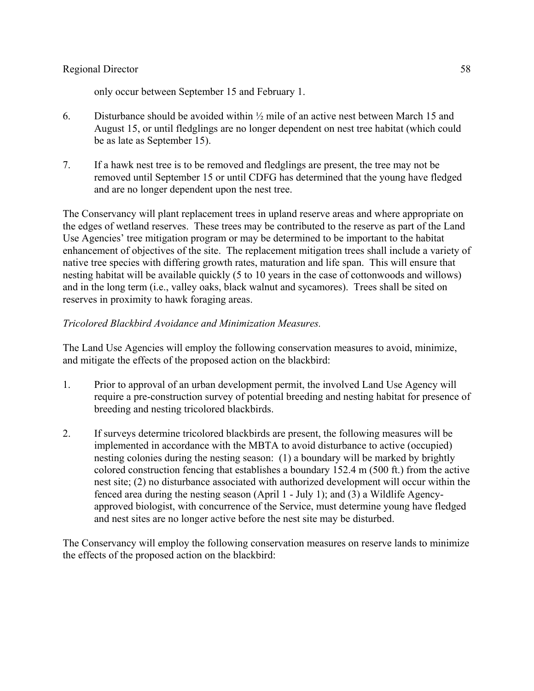only occur between September 15 and February 1.

- 6. Disturbance should be avoided within  $\frac{1}{2}$  mile of an active nest between March 15 and August 15, or until fledglings are no longer dependent on nest tree habitat (which could be as late as September 15).
- 7. If a hawk nest tree is to be removed and fledglings are present, the tree may not be removed until September 15 or until CDFG has determined that the young have fledged and are no longer dependent upon the nest tree.

The Conservancy will plant replacement trees in upland reserve areas and where appropriate on the edges of wetland reserves. These trees may be contributed to the reserve as part of the Land Use Agencies' tree mitigation program or may be determined to be important to the habitat enhancement of objectives of the site. The replacement mitigation trees shall include a variety of native tree species with differing growth rates, maturation and life span. This will ensure that nesting habitat will be available quickly (5 to 10 years in the case of cottonwoods and willows) and in the long term (i.e., valley oaks, black walnut and sycamores). Trees shall be sited on reserves in proximity to hawk foraging areas.

# *Tricolored Blackbird Avoidance and Minimization Measures.*

The Land Use Agencies will employ the following conservation measures to avoid, minimize, and mitigate the effects of the proposed action on the blackbird:

- 1. Prior to approval of an urban development permit, the involved Land Use Agency will require a pre-construction survey of potential breeding and nesting habitat for presence of breeding and nesting tricolored blackbirds.
- 2. If surveys determine tricolored blackbirds are present, the following measures will be implemented in accordance with the MBTA to avoid disturbance to active (occupied) nesting colonies during the nesting season: (1) a boundary will be marked by brightly colored construction fencing that establishes a boundary 152.4 m (500 ft.) from the active nest site; (2) no disturbance associated with authorized development will occur within the fenced area during the nesting season (April 1 - July 1); and (3) a Wildlife Agencyapproved biologist, with concurrence of the Service, must determine young have fledged and nest sites are no longer active before the nest site may be disturbed.

The Conservancy will employ the following conservation measures on reserve lands to minimize the effects of the proposed action on the blackbird: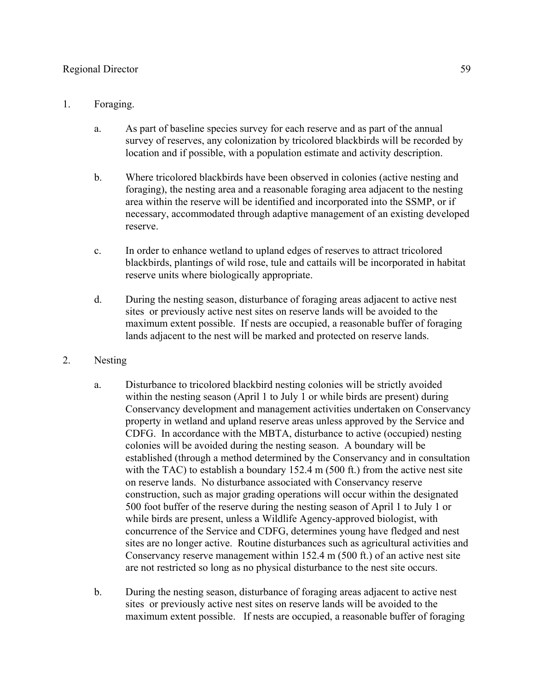# 1. Foraging.

- a. As part of baseline species survey for each reserve and as part of the annual survey of reserves, any colonization by tricolored blackbirds will be recorded by location and if possible, with a population estimate and activity description.
- b. Where tricolored blackbirds have been observed in colonies (active nesting and foraging), the nesting area and a reasonable foraging area adjacent to the nesting area within the reserve will be identified and incorporated into the SSMP, or if necessary, accommodated through adaptive management of an existing developed reserve.
- c. In order to enhance wetland to upland edges of reserves to attract tricolored blackbirds, plantings of wild rose, tule and cattails will be incorporated in habitat reserve units where biologically appropriate.
- d. During the nesting season, disturbance of foraging areas adjacent to active nest sites or previously active nest sites on reserve lands will be avoided to the maximum extent possible. If nests are occupied, a reasonable buffer of foraging lands adjacent to the nest will be marked and protected on reserve lands.
- 2. Nesting
	- a. Disturbance to tricolored blackbird nesting colonies will be strictly avoided within the nesting season (April 1 to July 1 or while birds are present) during Conservancy development and management activities undertaken on Conservancy property in wetland and upland reserve areas unless approved by the Service and CDFG. In accordance with the MBTA, disturbance to active (occupied) nesting colonies will be avoided during the nesting season. A boundary will be established (through a method determined by the Conservancy and in consultation with the TAC) to establish a boundary 152.4 m (500 ft.) from the active nest site on reserve lands. No disturbance associated with Conservancy reserve construction, such as major grading operations will occur within the designated 500 foot buffer of the reserve during the nesting season of April 1 to July 1 or while birds are present, unless a Wildlife Agency-approved biologist, with concurrence of the Service and CDFG, determines young have fledged and nest sites are no longer active. Routine disturbances such as agricultural activities and Conservancy reserve management within 152.4 m (500 ft.) of an active nest site are not restricted so long as no physical disturbance to the nest site occurs.
	- b. During the nesting season, disturbance of foraging areas adjacent to active nest sites or previously active nest sites on reserve lands will be avoided to the maximum extent possible. If nests are occupied, a reasonable buffer of foraging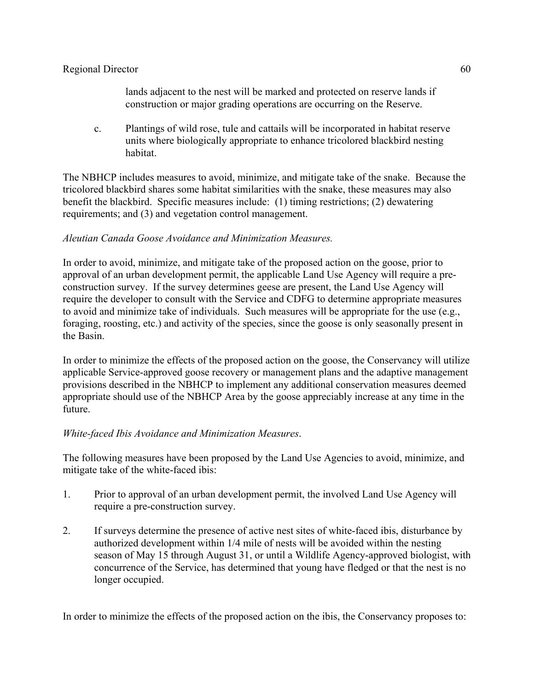lands adjacent to the nest will be marked and protected on reserve lands if construction or major grading operations are occurring on the Reserve.

c. Plantings of wild rose, tule and cattails will be incorporated in habitat reserve units where biologically appropriate to enhance tricolored blackbird nesting habitat.

The NBHCP includes measures to avoid, minimize, and mitigate take of the snake. Because the tricolored blackbird shares some habitat similarities with the snake, these measures may also benefit the blackbird. Specific measures include: (1) timing restrictions; (2) dewatering requirements; and (3) and vegetation control management.

# *Aleutian Canada Goose Avoidance and Minimization Measures.*

In order to avoid, minimize, and mitigate take of the proposed action on the goose, prior to approval of an urban development permit, the applicable Land Use Agency will require a preconstruction survey. If the survey determines geese are present, the Land Use Agency will require the developer to consult with the Service and CDFG to determine appropriate measures to avoid and minimize take of individuals. Such measures will be appropriate for the use (e.g., foraging, roosting, etc.) and activity of the species, since the goose is only seasonally present in the Basin.

In order to minimize the effects of the proposed action on the goose, the Conservancy will utilize applicable Service-approved goose recovery or management plans and the adaptive management provisions described in the NBHCP to implement any additional conservation measures deemed appropriate should use of the NBHCP Area by the goose appreciably increase at any time in the future.

# *White-faced Ibis Avoidance and Minimization Measures*.

The following measures have been proposed by the Land Use Agencies to avoid, minimize, and mitigate take of the white-faced ibis:

- 1. Prior to approval of an urban development permit, the involved Land Use Agency will require a pre-construction survey.
- 2. If surveys determine the presence of active nest sites of white-faced ibis, disturbance by authorized development within 1/4 mile of nests will be avoided within the nesting season of May 15 through August 31, or until a Wildlife Agency-approved biologist, with concurrence of the Service, has determined that young have fledged or that the nest is no longer occupied.

In order to minimize the effects of the proposed action on the ibis, the Conservancy proposes to: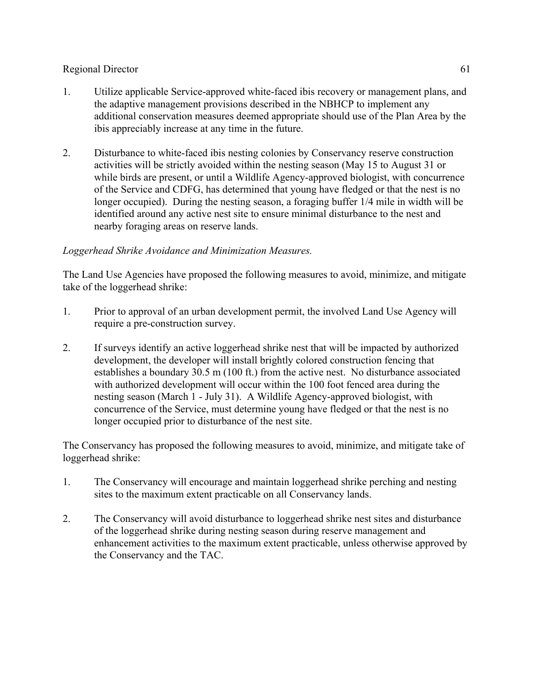- 1. Utilize applicable Service-approved white-faced ibis recovery or management plans, and the adaptive management provisions described in the NBHCP to implement any additional conservation measures deemed appropriate should use of the Plan Area by the ibis appreciably increase at any time in the future.
- 2. Disturbance to white-faced ibis nesting colonies by Conservancy reserve construction activities will be strictly avoided within the nesting season (May 15 to August 31 or while birds are present, or until a Wildlife Agency-approved biologist, with concurrence of the Service and CDFG, has determined that young have fledged or that the nest is no longer occupied). During the nesting season, a foraging buffer 1/4 mile in width will be identified around any active nest site to ensure minimal disturbance to the nest and nearby foraging areas on reserve lands.

# *Loggerhead Shrike Avoidance and Minimization Measures.*

The Land Use Agencies have proposed the following measures to avoid, minimize, and mitigate take of the loggerhead shrike:

- 1. Prior to approval of an urban development permit, the involved Land Use Agency will require a pre-construction survey.
- 2. If surveys identify an active loggerhead shrike nest that will be impacted by authorized development, the developer will install brightly colored construction fencing that establishes a boundary 30.5 m (100 ft.) from the active nest. No disturbance associated with authorized development will occur within the 100 foot fenced area during the nesting season (March 1 - July 31). A Wildlife Agency-approved biologist, with concurrence of the Service, must determine young have fledged or that the nest is no longer occupied prior to disturbance of the nest site.

The Conservancy has proposed the following measures to avoid, minimize, and mitigate take of loggerhead shrike:

- 1. The Conservancy will encourage and maintain loggerhead shrike perching and nesting sites to the maximum extent practicable on all Conservancy lands.
- 2. The Conservancy will avoid disturbance to loggerhead shrike nest sites and disturbance of the loggerhead shrike during nesting season during reserve management and enhancement activities to the maximum extent practicable, unless otherwise approved by the Conservancy and the TAC.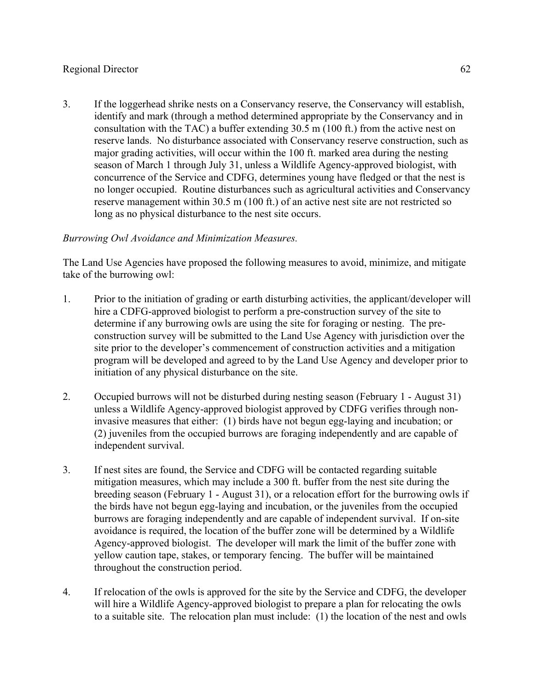3. If the loggerhead shrike nests on a Conservancy reserve, the Conservancy will establish, identify and mark (through a method determined appropriate by the Conservancy and in consultation with the TAC) a buffer extending 30.5 m (100 ft.) from the active nest on reserve lands. No disturbance associated with Conservancy reserve construction, such as major grading activities, will occur within the 100 ft. marked area during the nesting season of March 1 through July 31, unless a Wildlife Agency-approved biologist, with concurrence of the Service and CDFG, determines young have fledged or that the nest is no longer occupied. Routine disturbances such as agricultural activities and Conservancy reserve management within 30.5 m (100 ft.) of an active nest site are not restricted so long as no physical disturbance to the nest site occurs.

# *Burrowing Owl Avoidance and Minimization Measures.*

The Land Use Agencies have proposed the following measures to avoid, minimize, and mitigate take of the burrowing owl:

- 1. Prior to the initiation of grading or earth disturbing activities, the applicant/developer will hire a CDFG-approved biologist to perform a pre-construction survey of the site to determine if any burrowing owls are using the site for foraging or nesting. The preconstruction survey will be submitted to the Land Use Agency with jurisdiction over the site prior to the developer's commencement of construction activities and a mitigation program will be developed and agreed to by the Land Use Agency and developer prior to initiation of any physical disturbance on the site.
- 2. Occupied burrows will not be disturbed during nesting season (February 1 August 31) unless a Wildlife Agency-approved biologist approved by CDFG verifies through noninvasive measures that either: (1) birds have not begun egg-laying and incubation; or (2) juveniles from the occupied burrows are foraging independently and are capable of independent survival.
- 3. If nest sites are found, the Service and CDFG will be contacted regarding suitable mitigation measures, which may include a 300 ft. buffer from the nest site during the breeding season (February 1 - August 31), or a relocation effort for the burrowing owls if the birds have not begun egg-laying and incubation, or the juveniles from the occupied burrows are foraging independently and are capable of independent survival. If on-site avoidance is required, the location of the buffer zone will be determined by a Wildlife Agency-approved biologist. The developer will mark the limit of the buffer zone with yellow caution tape, stakes, or temporary fencing. The buffer will be maintained throughout the construction period.
- 4. If relocation of the owls is approved for the site by the Service and CDFG, the developer will hire a Wildlife Agency-approved biologist to prepare a plan for relocating the owls to a suitable site. The relocation plan must include: (1) the location of the nest and owls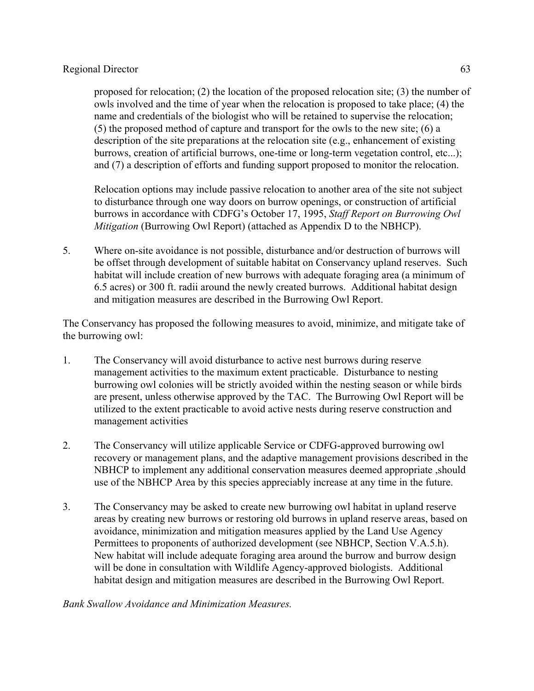proposed for relocation; (2) the location of the proposed relocation site; (3) the number of owls involved and the time of year when the relocation is proposed to take place; (4) the name and credentials of the biologist who will be retained to supervise the relocation; (5) the proposed method of capture and transport for the owls to the new site; (6) a description of the site preparations at the relocation site (e.g., enhancement of existing burrows, creation of artificial burrows, one-time or long-term vegetation control, etc...); and (7) a description of efforts and funding support proposed to monitor the relocation.

Relocation options may include passive relocation to another area of the site not subject to disturbance through one way doors on burrow openings, or construction of artificial burrows in accordance with CDFG's October 17, 1995, *Staff Report on Burrowing Owl Mitigation* (Burrowing Owl Report) (attached as Appendix D to the NBHCP).

5. Where on-site avoidance is not possible, disturbance and/or destruction of burrows will be offset through development of suitable habitat on Conservancy upland reserves. Such habitat will include creation of new burrows with adequate foraging area (a minimum of 6.5 acres) or 300 ft. radii around the newly created burrows. Additional habitat design and mitigation measures are described in the Burrowing Owl Report.

The Conservancy has proposed the following measures to avoid, minimize, and mitigate take of the burrowing owl:

- 1. The Conservancy will avoid disturbance to active nest burrows during reserve management activities to the maximum extent practicable. Disturbance to nesting burrowing owl colonies will be strictly avoided within the nesting season or while birds are present, unless otherwise approved by the TAC. The Burrowing Owl Report will be utilized to the extent practicable to avoid active nests during reserve construction and management activities
- 2. The Conservancy will utilize applicable Service or CDFG-approved burrowing owl recovery or management plans, and the adaptive management provisions described in the NBHCP to implement any additional conservation measures deemed appropriate ,should use of the NBHCP Area by this species appreciably increase at any time in the future.
- 3. The Conservancy may be asked to create new burrowing owl habitat in upland reserve areas by creating new burrows or restoring old burrows in upland reserve areas, based on avoidance, minimization and mitigation measures applied by the Land Use Agency Permittees to proponents of authorized development (see NBHCP, Section V.A.5.h). New habitat will include adequate foraging area around the burrow and burrow design will be done in consultation with Wildlife Agency-approved biologists. Additional habitat design and mitigation measures are described in the Burrowing Owl Report.

*Bank Swallow Avoidance and Minimization Measures.*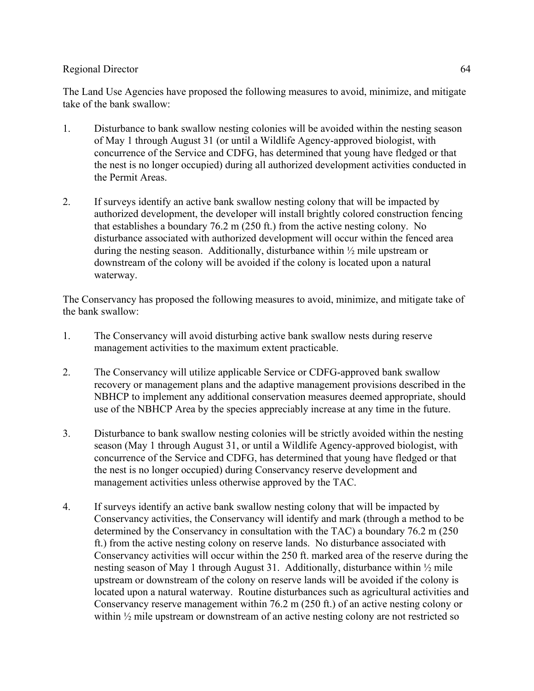The Land Use Agencies have proposed the following measures to avoid, minimize, and mitigate take of the bank swallow:

- 1. Disturbance to bank swallow nesting colonies will be avoided within the nesting season of May 1 through August 31 (or until a Wildlife Agency-approved biologist, with concurrence of the Service and CDFG, has determined that young have fledged or that the nest is no longer occupied) during all authorized development activities conducted in the Permit Areas.
- 2. If surveys identify an active bank swallow nesting colony that will be impacted by authorized development, the developer will install brightly colored construction fencing that establishes a boundary 76.2 m (250 ft.) from the active nesting colony. No disturbance associated with authorized development will occur within the fenced area during the nesting season. Additionally, disturbance within ½ mile upstream or downstream of the colony will be avoided if the colony is located upon a natural waterway.

The Conservancy has proposed the following measures to avoid, minimize, and mitigate take of the bank swallow:

- 1. The Conservancy will avoid disturbing active bank swallow nests during reserve management activities to the maximum extent practicable.
- 2. The Conservancy will utilize applicable Service or CDFG-approved bank swallow recovery or management plans and the adaptive management provisions described in the NBHCP to implement any additional conservation measures deemed appropriate, should use of the NBHCP Area by the species appreciably increase at any time in the future.
- 3. Disturbance to bank swallow nesting colonies will be strictly avoided within the nesting season (May 1 through August 31, or until a Wildlife Agency-approved biologist, with concurrence of the Service and CDFG, has determined that young have fledged or that the nest is no longer occupied) during Conservancy reserve development and management activities unless otherwise approved by the TAC.
- 4. If surveys identify an active bank swallow nesting colony that will be impacted by Conservancy activities, the Conservancy will identify and mark (through a method to be determined by the Conservancy in consultation with the TAC) a boundary 76.2 m (250 ft.) from the active nesting colony on reserve lands. No disturbance associated with Conservancy activities will occur within the 250 ft. marked area of the reserve during the nesting season of May 1 through August 31. Additionally, disturbance within ½ mile upstream or downstream of the colony on reserve lands will be avoided if the colony is located upon a natural waterway. Routine disturbances such as agricultural activities and Conservancy reserve management within 76.2 m (250 ft.) of an active nesting colony or within  $\frac{1}{2}$  mile upstream or downstream of an active nesting colony are not restricted so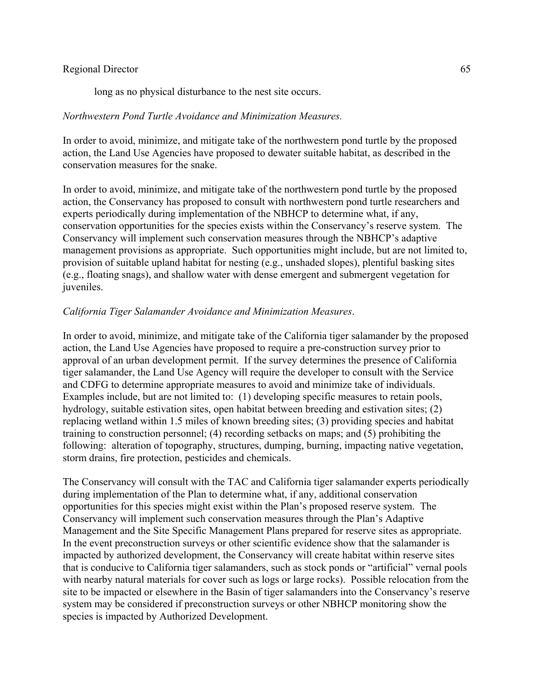long as no physical disturbance to the nest site occurs.

## *Northwestern Pond Turtle Avoidance and Minimization Measures.*

In order to avoid, minimize, and mitigate take of the northwestern pond turtle by the proposed action, the Land Use Agencies have proposed to dewater suitable habitat, as described in the conservation measures for the snake.

In order to avoid, minimize, and mitigate take of the northwestern pond turtle by the proposed action, the Conservancy has proposed to consult with northwestern pond turtle researchers and experts periodically during implementation of the NBHCP to determine what, if any, conservation opportunities for the species exists within the Conservancy's reserve system. The Conservancy will implement such conservation measures through the NBHCP's adaptive management provisions as appropriate. Such opportunities might include, but are not limited to, provision of suitable upland habitat for nesting (e.g., unshaded slopes), plentiful basking sites (e.g., floating snags), and shallow water with dense emergent and submergent vegetation for juveniles.

# *California Tiger Salamander Avoidance and Minimization Measures*.

In order to avoid, minimize, and mitigate take of the California tiger salamander by the proposed action, the Land Use Agencies have proposed to require a pre-construction survey prior to approval of an urban development permit. If the survey determines the presence of California tiger salamander, the Land Use Agency will require the developer to consult with the Service and CDFG to determine appropriate measures to avoid and minimize take of individuals. Examples include, but are not limited to: (1) developing specific measures to retain pools, hydrology, suitable estivation sites, open habitat between breeding and estivation sites; (2) replacing wetland within 1.5 miles of known breeding sites; (3) providing species and habitat training to construction personnel; (4) recording setbacks on maps; and (5) prohibiting the following: alteration of topography, structures, dumping, burning, impacting native vegetation, storm drains, fire protection, pesticides and chemicals.

The Conservancy will consult with the TAC and California tiger salamander experts periodically during implementation of the Plan to determine what, if any, additional conservation opportunities for this species might exist within the Plan's proposed reserve system. The Conservancy will implement such conservation measures through the Plan's Adaptive Management and the Site Specific Management Plans prepared for reserve sites as appropriate. In the event preconstruction surveys or other scientific evidence show that the salamander is impacted by authorized development, the Conservancy will create habitat within reserve sites that is conducive to California tiger salamanders, such as stock ponds or "artificial" vernal pools with nearby natural materials for cover such as logs or large rocks). Possible relocation from the site to be impacted or elsewhere in the Basin of tiger salamanders into the Conservancy's reserve system may be considered if preconstruction surveys or other NBHCP monitoring show the species is impacted by Authorized Development.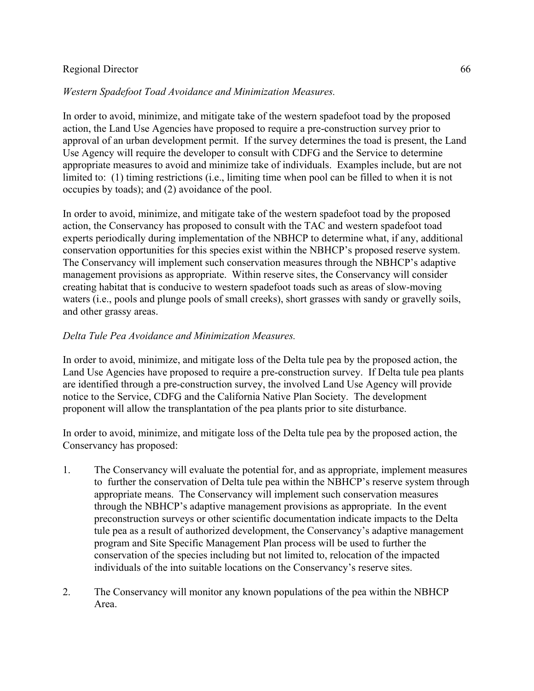## *Western Spadefoot Toad Avoidance and Minimization Measures.*

In order to avoid, minimize, and mitigate take of the western spadefoot toad by the proposed action, the Land Use Agencies have proposed to require a pre-construction survey prior to approval of an urban development permit. If the survey determines the toad is present, the Land Use Agency will require the developer to consult with CDFG and the Service to determine appropriate measures to avoid and minimize take of individuals. Examples include, but are not limited to: (1) timing restrictions (i.e., limiting time when pool can be filled to when it is not occupies by toads); and (2) avoidance of the pool.

In order to avoid, minimize, and mitigate take of the western spadefoot toad by the proposed action, the Conservancy has proposed to consult with the TAC and western spadefoot toad experts periodically during implementation of the NBHCP to determine what, if any, additional conservation opportunities for this species exist within the NBHCP's proposed reserve system. The Conservancy will implement such conservation measures through the NBHCP's adaptive management provisions as appropriate. Within reserve sites, the Conservancy will consider creating habitat that is conducive to western spadefoot toads such as areas of slow-moving waters (i.e., pools and plunge pools of small creeks), short grasses with sandy or gravelly soils, and other grassy areas.

## *Delta Tule Pea Avoidance and Minimization Measures.*

In order to avoid, minimize, and mitigate loss of the Delta tule pea by the proposed action, the Land Use Agencies have proposed to require a pre-construction survey. If Delta tule pea plants are identified through a pre-construction survey, the involved Land Use Agency will provide notice to the Service, CDFG and the California Native Plan Society. The development proponent will allow the transplantation of the pea plants prior to site disturbance.

In order to avoid, minimize, and mitigate loss of the Delta tule pea by the proposed action, the Conservancy has proposed:

- 1. The Conservancy will evaluate the potential for, and as appropriate, implement measures to further the conservation of Delta tule pea within the NBHCP's reserve system through appropriate means. The Conservancy will implement such conservation measures through the NBHCP's adaptive management provisions as appropriate. In the event preconstruction surveys or other scientific documentation indicate impacts to the Delta tule pea as a result of authorized development, the Conservancy's adaptive management program and Site Specific Management Plan process will be used to further the conservation of the species including but not limited to, relocation of the impacted individuals of the into suitable locations on the Conservancy's reserve sites.
- 2. The Conservancy will monitor any known populations of the pea within the NBHCP Area.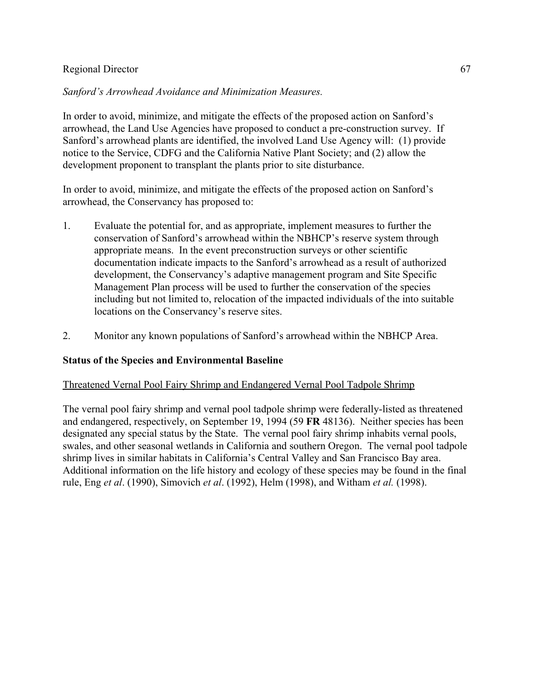## *Sanford's Arrowhead Avoidance and Minimization Measures.*

In order to avoid, minimize, and mitigate the effects of the proposed action on Sanford's arrowhead, the Land Use Agencies have proposed to conduct a pre-construction survey. If Sanford's arrowhead plants are identified, the involved Land Use Agency will: (1) provide notice to the Service, CDFG and the California Native Plant Society; and (2) allow the development proponent to transplant the plants prior to site disturbance.

In order to avoid, minimize, and mitigate the effects of the proposed action on Sanford's arrowhead, the Conservancy has proposed to:

- 1. Evaluate the potential for, and as appropriate, implement measures to further the conservation of Sanford's arrowhead within the NBHCP's reserve system through appropriate means. In the event preconstruction surveys or other scientific documentation indicate impacts to the Sanford's arrowhead as a result of authorized development, the Conservancy's adaptive management program and Site Specific Management Plan process will be used to further the conservation of the species including but not limited to, relocation of the impacted individuals of the into suitable locations on the Conservancy's reserve sites.
- 2. Monitor any known populations of Sanford's arrowhead within the NBHCP Area.

## **Status of the Species and Environmental Baseline**

#### Threatened Vernal Pool Fairy Shrimp and Endangered Vernal Pool Tadpole Shrimp

The vernal pool fairy shrimp and vernal pool tadpole shrimp were federally-listed as threatened and endangered, respectively, on September 19, 1994 (59 **FR** 48136). Neither species has been designated any special status by the State. The vernal pool fairy shrimp inhabits vernal pools, swales, and other seasonal wetlands in California and southern Oregon. The vernal pool tadpole shrimp lives in similar habitats in California's Central Valley and San Francisco Bay area. Additional information on the life history and ecology of these species may be found in the final rule, Eng *et al*. (1990), Simovich *et al*. (1992), Helm (1998), and Witham *et al.* (1998).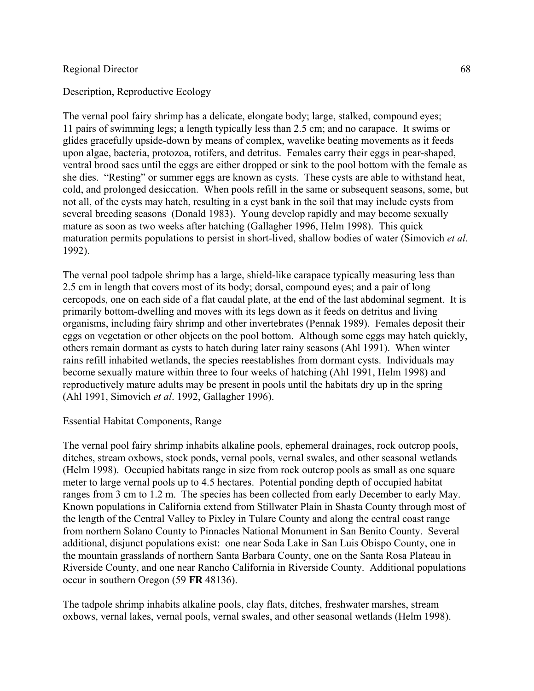## Description, Reproductive Ecology

The vernal pool fairy shrimp has a delicate, elongate body; large, stalked, compound eyes; 11 pairs of swimming legs; a length typically less than 2.5 cm; and no carapace. It swims or glides gracefully upside-down by means of complex, wavelike beating movements as it feeds upon algae, bacteria, protozoa, rotifers, and detritus. Females carry their eggs in pear-shaped, ventral brood sacs until the eggs are either dropped or sink to the pool bottom with the female as she dies. "Resting" or summer eggs are known as cysts. These cysts are able to withstand heat, cold, and prolonged desiccation. When pools refill in the same or subsequent seasons, some, but not all, of the cysts may hatch, resulting in a cyst bank in the soil that may include cysts from several breeding seasons (Donald 1983). Young develop rapidly and may become sexually mature as soon as two weeks after hatching (Gallagher 1996, Helm 1998). This quick maturation permits populations to persist in short-lived, shallow bodies of water (Simovich *et al*. 1992).

The vernal pool tadpole shrimp has a large, shield-like carapace typically measuring less than 2.5 cm in length that covers most of its body; dorsal, compound eyes; and a pair of long cercopods, one on each side of a flat caudal plate, at the end of the last abdominal segment. It is primarily bottom-dwelling and moves with its legs down as it feeds on detritus and living organisms, including fairy shrimp and other invertebrates (Pennak 1989). Females deposit their eggs on vegetation or other objects on the pool bottom. Although some eggs may hatch quickly, others remain dormant as cysts to hatch during later rainy seasons (Ahl 1991). When winter rains refill inhabited wetlands, the species reestablishes from dormant cysts. Individuals may become sexually mature within three to four weeks of hatching (Ahl 1991, Helm 1998) and reproductively mature adults may be present in pools until the habitats dry up in the spring (Ahl 1991, Simovich *et al*. 1992, Gallagher 1996).

#### Essential Habitat Components, Range

The vernal pool fairy shrimp inhabits alkaline pools, ephemeral drainages, rock outcrop pools, ditches, stream oxbows, stock ponds, vernal pools, vernal swales, and other seasonal wetlands (Helm 1998). Occupied habitats range in size from rock outcrop pools as small as one square meter to large vernal pools up to 4.5 hectares. Potential ponding depth of occupied habitat ranges from 3 cm to 1.2 m. The species has been collected from early December to early May. Known populations in California extend from Stillwater Plain in Shasta County through most of the length of the Central Valley to Pixley in Tulare County and along the central coast range from northern Solano County to Pinnacles National Monument in San Benito County. Several additional, disjunct populations exist: one near Soda Lake in San Luis Obispo County, one in the mountain grasslands of northern Santa Barbara County, one on the Santa Rosa Plateau in Riverside County, and one near Rancho California in Riverside County. Additional populations occur in southern Oregon (59 **FR** 48136).

The tadpole shrimp inhabits alkaline pools, clay flats, ditches, freshwater marshes, stream oxbows, vernal lakes, vernal pools, vernal swales, and other seasonal wetlands (Helm 1998).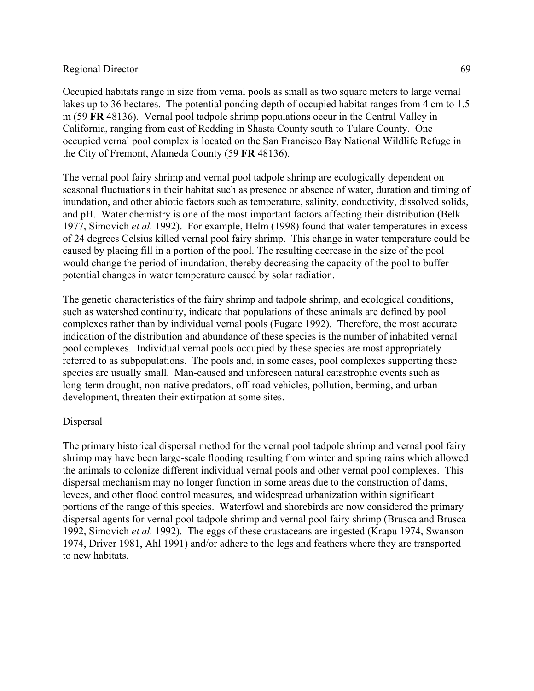Occupied habitats range in size from vernal pools as small as two square meters to large vernal lakes up to 36 hectares. The potential ponding depth of occupied habitat ranges from 4 cm to 1.5 m (59 **FR** 48136). Vernal pool tadpole shrimp populations occur in the Central Valley in California, ranging from east of Redding in Shasta County south to Tulare County. One occupied vernal pool complex is located on the San Francisco Bay National Wildlife Refuge in the City of Fremont, Alameda County (59 **FR** 48136).

The vernal pool fairy shrimp and vernal pool tadpole shrimp are ecologically dependent on seasonal fluctuations in their habitat such as presence or absence of water, duration and timing of inundation, and other abiotic factors such as temperature, salinity, conductivity, dissolved solids, and pH. Water chemistry is one of the most important factors affecting their distribution (Belk 1977, Simovich *et al.* 1992). For example, Helm (1998) found that water temperatures in excess of 24 degrees Celsius killed vernal pool fairy shrimp. This change in water temperature could be caused by placing fill in a portion of the pool. The resulting decrease in the size of the pool would change the period of inundation, thereby decreasing the capacity of the pool to buffer potential changes in water temperature caused by solar radiation.

The genetic characteristics of the fairy shrimp and tadpole shrimp, and ecological conditions, such as watershed continuity, indicate that populations of these animals are defined by pool complexes rather than by individual vernal pools (Fugate 1992). Therefore, the most accurate indication of the distribution and abundance of these species is the number of inhabited vernal pool complexes. Individual vernal pools occupied by these species are most appropriately referred to as subpopulations. The pools and, in some cases, pool complexes supporting these species are usually small. Man-caused and unforeseen natural catastrophic events such as long-term drought, non-native predators, off-road vehicles, pollution, berming, and urban development, threaten their extirpation at some sites.

## Dispersal

The primary historical dispersal method for the vernal pool tadpole shrimp and vernal pool fairy shrimp may have been large-scale flooding resulting from winter and spring rains which allowed the animals to colonize different individual vernal pools and other vernal pool complexes. This dispersal mechanism may no longer function in some areas due to the construction of dams, levees, and other flood control measures, and widespread urbanization within significant portions of the range of this species. Waterfowl and shorebirds are now considered the primary dispersal agents for vernal pool tadpole shrimp and vernal pool fairy shrimp (Brusca and Brusca 1992, Simovich *et al.* 1992). The eggs of these crustaceans are ingested (Krapu 1974, Swanson 1974, Driver 1981, Ahl 1991) and/or adhere to the legs and feathers where they are transported to new habitats.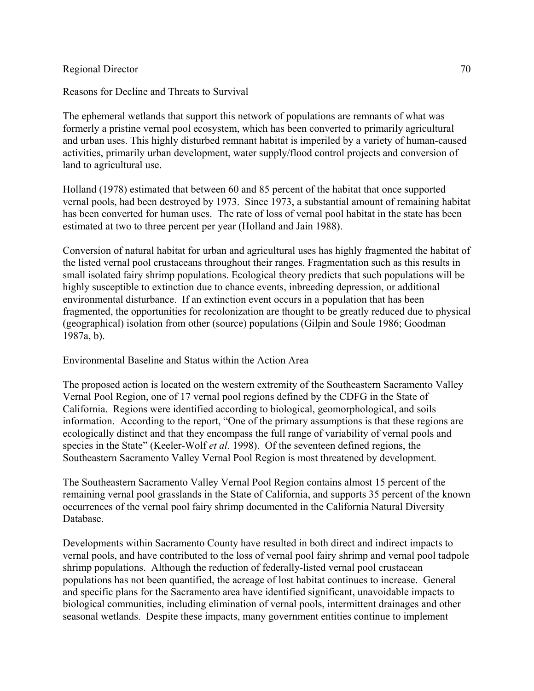Reasons for Decline and Threats to Survival

The ephemeral wetlands that support this network of populations are remnants of what was formerly a pristine vernal pool ecosystem, which has been converted to primarily agricultural and urban uses. This highly disturbed remnant habitat is imperiled by a variety of human-caused activities, primarily urban development, water supply/flood control projects and conversion of land to agricultural use.

Holland (1978) estimated that between 60 and 85 percent of the habitat that once supported vernal pools, had been destroyed by 1973. Since 1973, a substantial amount of remaining habitat has been converted for human uses. The rate of loss of vernal pool habitat in the state has been estimated at two to three percent per year (Holland and Jain 1988).

Conversion of natural habitat for urban and agricultural uses has highly fragmented the habitat of the listed vernal pool crustaceans throughout their ranges. Fragmentation such as this results in small isolated fairy shrimp populations. Ecological theory predicts that such populations will be highly susceptible to extinction due to chance events, inbreeding depression, or additional environmental disturbance. If an extinction event occurs in a population that has been fragmented, the opportunities for recolonization are thought to be greatly reduced due to physical (geographical) isolation from other (source) populations (Gilpin and Soule 1986; Goodman 1987a, b).

Environmental Baseline and Status within the Action Area

The proposed action is located on the western extremity of the Southeastern Sacramento Valley Vernal Pool Region, one of 17 vernal pool regions defined by the CDFG in the State of California. Regions were identified according to biological, geomorphological, and soils information. According to the report, "One of the primary assumptions is that these regions are ecologically distinct and that they encompass the full range of variability of vernal pools and species in the State" (Keeler-Wolf *et al.* 1998). Of the seventeen defined regions, the Southeastern Sacramento Valley Vernal Pool Region is most threatened by development.

The Southeastern Sacramento Valley Vernal Pool Region contains almost 15 percent of the remaining vernal pool grasslands in the State of California, and supports 35 percent of the known occurrences of the vernal pool fairy shrimp documented in the California Natural Diversity Database.

Developments within Sacramento County have resulted in both direct and indirect impacts to vernal pools, and have contributed to the loss of vernal pool fairy shrimp and vernal pool tadpole shrimp populations. Although the reduction of federally-listed vernal pool crustacean populations has not been quantified, the acreage of lost habitat continues to increase. General and specific plans for the Sacramento area have identified significant, unavoidable impacts to biological communities, including elimination of vernal pools, intermittent drainages and other seasonal wetlands. Despite these impacts, many government entities continue to implement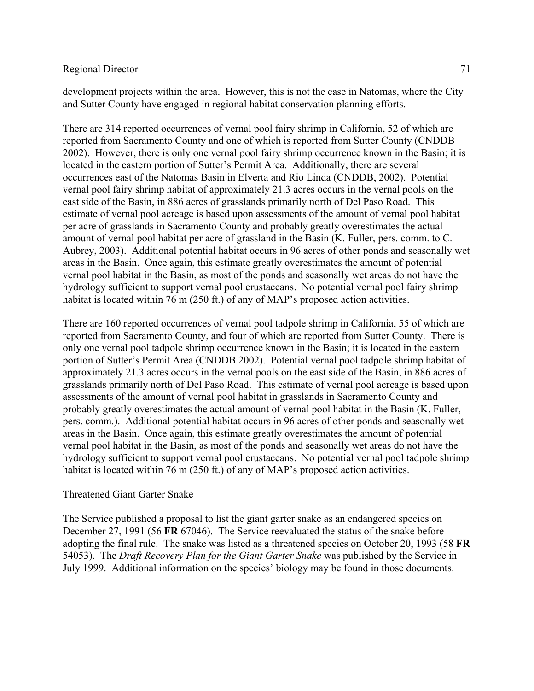development projects within the area. However, this is not the case in Natomas, where the City and Sutter County have engaged in regional habitat conservation planning efforts.

There are 314 reported occurrences of vernal pool fairy shrimp in California, 52 of which are reported from Sacramento County and one of which is reported from Sutter County (CNDDB 2002). However, there is only one vernal pool fairy shrimp occurrence known in the Basin; it is located in the eastern portion of Sutter's Permit Area. Additionally, there are several occurrences east of the Natomas Basin in Elverta and Rio Linda (CNDDB, 2002). Potential vernal pool fairy shrimp habitat of approximately 21.3 acres occurs in the vernal pools on the east side of the Basin, in 886 acres of grasslands primarily north of Del Paso Road. This estimate of vernal pool acreage is based upon assessments of the amount of vernal pool habitat per acre of grasslands in Sacramento County and probably greatly overestimates the actual amount of vernal pool habitat per acre of grassland in the Basin (K. Fuller, pers. comm. to C. Aubrey, 2003). Additional potential habitat occurs in 96 acres of other ponds and seasonally wet areas in the Basin. Once again, this estimate greatly overestimates the amount of potential vernal pool habitat in the Basin, as most of the ponds and seasonally wet areas do not have the hydrology sufficient to support vernal pool crustaceans. No potential vernal pool fairy shrimp habitat is located within 76 m (250 ft.) of any of MAP's proposed action activities.

There are 160 reported occurrences of vernal pool tadpole shrimp in California, 55 of which are reported from Sacramento County, and four of which are reported from Sutter County. There is only one vernal pool tadpole shrimp occurrence known in the Basin; it is located in the eastern portion of Sutter's Permit Area (CNDDB 2002). Potential vernal pool tadpole shrimp habitat of approximately 21.3 acres occurs in the vernal pools on the east side of the Basin, in 886 acres of grasslands primarily north of Del Paso Road. This estimate of vernal pool acreage is based upon assessments of the amount of vernal pool habitat in grasslands in Sacramento County and probably greatly overestimates the actual amount of vernal pool habitat in the Basin (K. Fuller, pers. comm.). Additional potential habitat occurs in 96 acres of other ponds and seasonally wet areas in the Basin. Once again, this estimate greatly overestimates the amount of potential vernal pool habitat in the Basin, as most of the ponds and seasonally wet areas do not have the hydrology sufficient to support vernal pool crustaceans. No potential vernal pool tadpole shrimp habitat is located within 76 m (250 ft.) of any of MAP's proposed action activities.

## Threatened Giant Garter Snake

The Service published a proposal to list the giant garter snake as an endangered species on December 27, 1991 (56 **FR** 67046). The Service reevaluated the status of the snake before adopting the final rule. The snake was listed as a threatened species on October 20, 1993 (58 **FR** 54053). The *Draft Recovery Plan for the Giant Garter Snake* was published by the Service in July 1999. Additional information on the species' biology may be found in those documents.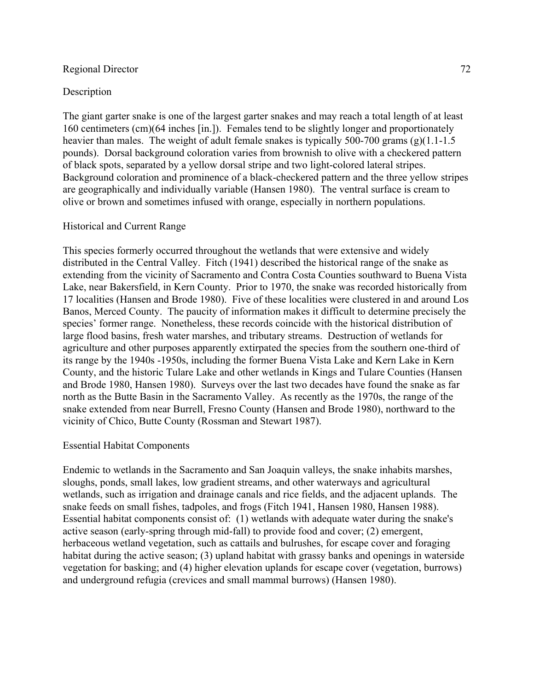#### **Description**

The giant garter snake is one of the largest garter snakes and may reach a total length of at least 160 centimeters (cm)(64 inches [in.]). Females tend to be slightly longer and proportionately heavier than males. The weight of adult female snakes is typically 500-700 grams (g)(1.1-1.5 pounds). Dorsal background coloration varies from brownish to olive with a checkered pattern of black spots, separated by a yellow dorsal stripe and two light-colored lateral stripes. Background coloration and prominence of a black-checkered pattern and the three yellow stripes are geographically and individually variable (Hansen 1980). The ventral surface is cream to olive or brown and sometimes infused with orange, especially in northern populations.

#### Historical and Current Range

This species formerly occurred throughout the wetlands that were extensive and widely distributed in the Central Valley. Fitch (1941) described the historical range of the snake as extending from the vicinity of Sacramento and Contra Costa Counties southward to Buena Vista Lake, near Bakersfield, in Kern County. Prior to 1970, the snake was recorded historically from 17 localities (Hansen and Brode 1980). Five of these localities were clustered in and around Los Banos, Merced County. The paucity of information makes it difficult to determine precisely the species' former range. Nonetheless, these records coincide with the historical distribution of large flood basins, fresh water marshes, and tributary streams. Destruction of wetlands for agriculture and other purposes apparently extirpated the species from the southern one-third of its range by the 1940s -1950s, including the former Buena Vista Lake and Kern Lake in Kern County, and the historic Tulare Lake and other wetlands in Kings and Tulare Counties (Hansen and Brode 1980, Hansen 1980). Surveys over the last two decades have found the snake as far north as the Butte Basin in the Sacramento Valley. As recently as the 1970s, the range of the snake extended from near Burrell, Fresno County (Hansen and Brode 1980), northward to the vicinity of Chico, Butte County (Rossman and Stewart 1987).

#### Essential Habitat Components

Endemic to wetlands in the Sacramento and San Joaquin valleys, the snake inhabits marshes, sloughs, ponds, small lakes, low gradient streams, and other waterways and agricultural wetlands, such as irrigation and drainage canals and rice fields, and the adjacent uplands. The snake feeds on small fishes, tadpoles, and frogs (Fitch 1941, Hansen 1980, Hansen 1988). Essential habitat components consist of: (1) wetlands with adequate water during the snake's active season (early-spring through mid-fall) to provide food and cover; (2) emergent, herbaceous wetland vegetation, such as cattails and bulrushes, for escape cover and foraging habitat during the active season; (3) upland habitat with grassy banks and openings in waterside vegetation for basking; and (4) higher elevation uplands for escape cover (vegetation, burrows) and underground refugia (crevices and small mammal burrows) (Hansen 1980).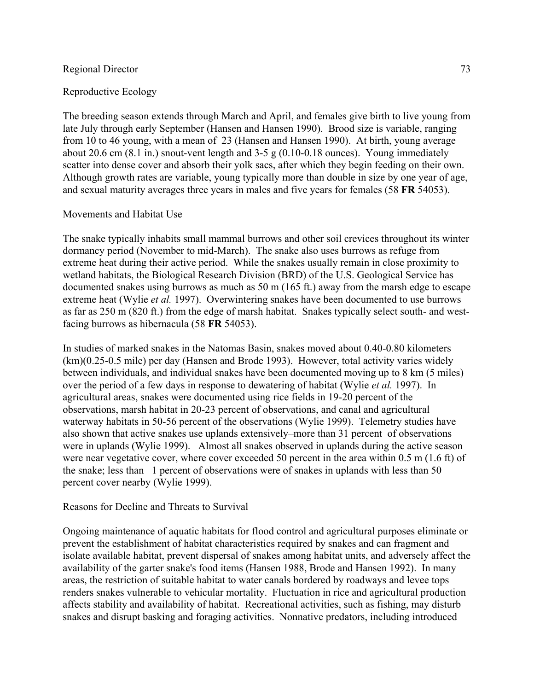#### Reproductive Ecology

The breeding season extends through March and April, and females give birth to live young from late July through early September (Hansen and Hansen 1990). Brood size is variable, ranging from 10 to 46 young, with a mean of 23 (Hansen and Hansen 1990). At birth, young average about 20.6 cm (8.1 in.) snout-vent length and 3-5 g (0.10-0.18 ounces). Young immediately scatter into dense cover and absorb their yolk sacs, after which they begin feeding on their own. Although growth rates are variable, young typically more than double in size by one year of age, and sexual maturity averages three years in males and five years for females (58 **FR** 54053).

#### Movements and Habitat Use

The snake typically inhabits small mammal burrows and other soil crevices throughout its winter dormancy period (November to mid-March). The snake also uses burrows as refuge from extreme heat during their active period. While the snakes usually remain in close proximity to wetland habitats, the Biological Research Division (BRD) of the U.S. Geological Service has documented snakes using burrows as much as 50 m (165 ft.) away from the marsh edge to escape extreme heat (Wylie *et al.* 1997). Overwintering snakes have been documented to use burrows as far as 250 m (820 ft.) from the edge of marsh habitat. Snakes typically select south- and westfacing burrows as hibernacula (58 **FR** 54053).

In studies of marked snakes in the Natomas Basin, snakes moved about 0.40-0.80 kilometers (km)(0.25-0.5 mile) per day (Hansen and Brode 1993). However, total activity varies widely between individuals, and individual snakes have been documented moving up to 8 km (5 miles) over the period of a few days in response to dewatering of habitat (Wylie *et al.* 1997). In agricultural areas, snakes were documented using rice fields in 19-20 percent of the observations, marsh habitat in 20-23 percent of observations, and canal and agricultural waterway habitats in 50-56 percent of the observations (Wylie 1999). Telemetry studies have also shown that active snakes use uplands extensively–more than 31 percent of observations were in uplands (Wylie 1999). Almost all snakes observed in uplands during the active season were near vegetative cover, where cover exceeded 50 percent in the area within 0.5 m (1.6 ft) of the snake; less than 1 percent of observations were of snakes in uplands with less than 50 percent cover nearby (Wylie 1999).

#### Reasons for Decline and Threats to Survival

Ongoing maintenance of aquatic habitats for flood control and agricultural purposes eliminate or prevent the establishment of habitat characteristics required by snakes and can fragment and isolate available habitat, prevent dispersal of snakes among habitat units, and adversely affect the availability of the garter snake's food items (Hansen 1988, Brode and Hansen 1992). In many areas, the restriction of suitable habitat to water canals bordered by roadways and levee tops renders snakes vulnerable to vehicular mortality. Fluctuation in rice and agricultural production affects stability and availability of habitat. Recreational activities, such as fishing, may disturb snakes and disrupt basking and foraging activities. Nonnative predators, including introduced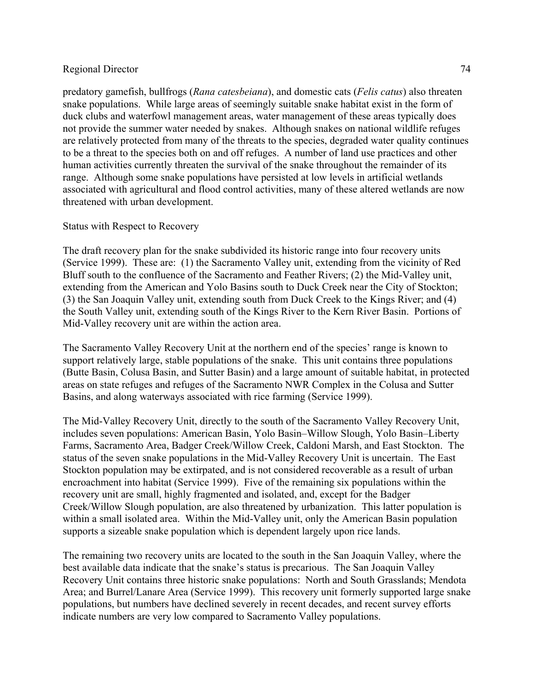predatory gamefish, bullfrogs (*Rana catesbeiana*), and domestic cats (*Felis catus*) also threaten snake populations. While large areas of seemingly suitable snake habitat exist in the form of duck clubs and waterfowl management areas, water management of these areas typically does not provide the summer water needed by snakes. Although snakes on national wildlife refuges are relatively protected from many of the threats to the species, degraded water quality continues to be a threat to the species both on and off refuges. A number of land use practices and other human activities currently threaten the survival of the snake throughout the remainder of its range. Although some snake populations have persisted at low levels in artificial wetlands associated with agricultural and flood control activities, many of these altered wetlands are now threatened with urban development.

#### Status with Respect to Recovery

The draft recovery plan for the snake subdivided its historic range into four recovery units (Service 1999). These are: (1) the Sacramento Valley unit, extending from the vicinity of Red Bluff south to the confluence of the Sacramento and Feather Rivers; (2) the Mid-Valley unit, extending from the American and Yolo Basins south to Duck Creek near the City of Stockton; (3) the San Joaquin Valley unit, extending south from Duck Creek to the Kings River; and (4) the South Valley unit, extending south of the Kings River to the Kern River Basin. Portions of Mid-Valley recovery unit are within the action area.

The Sacramento Valley Recovery Unit at the northern end of the species' range is known to support relatively large, stable populations of the snake. This unit contains three populations (Butte Basin, Colusa Basin, and Sutter Basin) and a large amount of suitable habitat, in protected areas on state refuges and refuges of the Sacramento NWR Complex in the Colusa and Sutter Basins, and along waterways associated with rice farming (Service 1999).

The Mid-Valley Recovery Unit, directly to the south of the Sacramento Valley Recovery Unit, includes seven populations: American Basin, Yolo Basin–Willow Slough, Yolo Basin–Liberty Farms, Sacramento Area, Badger Creek/Willow Creek, Caldoni Marsh, and East Stockton. The status of the seven snake populations in the Mid-Valley Recovery Unit is uncertain. The East Stockton population may be extirpated, and is not considered recoverable as a result of urban encroachment into habitat (Service 1999). Five of the remaining six populations within the recovery unit are small, highly fragmented and isolated, and, except for the Badger Creek/Willow Slough population, are also threatened by urbanization. This latter population is within a small isolated area. Within the Mid-Valley unit, only the American Basin population supports a sizeable snake population which is dependent largely upon rice lands.

The remaining two recovery units are located to the south in the San Joaquin Valley, where the best available data indicate that the snake's status is precarious. The San Joaquin Valley Recovery Unit contains three historic snake populations: North and South Grasslands; Mendota Area; and Burrel/Lanare Area (Service 1999). This recovery unit formerly supported large snake populations, but numbers have declined severely in recent decades, and recent survey efforts indicate numbers are very low compared to Sacramento Valley populations.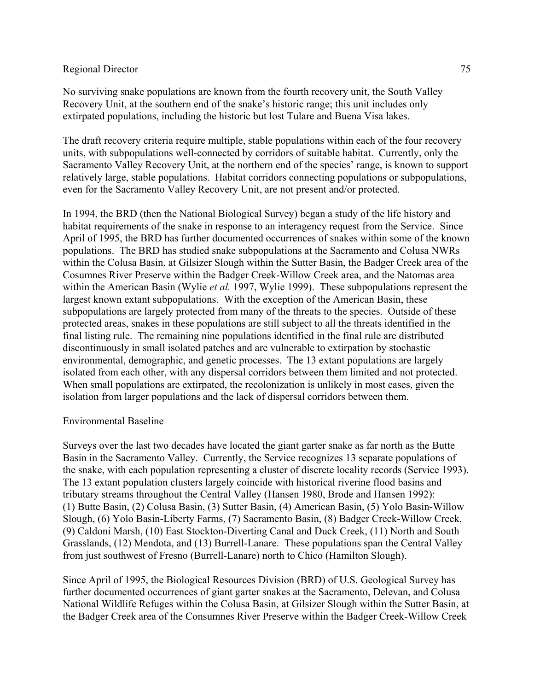No surviving snake populations are known from the fourth recovery unit, the South Valley Recovery Unit, at the southern end of the snake's historic range; this unit includes only extirpated populations, including the historic but lost Tulare and Buena Visa lakes.

The draft recovery criteria require multiple, stable populations within each of the four recovery units, with subpopulations well-connected by corridors of suitable habitat. Currently, only the Sacramento Valley Recovery Unit, at the northern end of the species' range, is known to support relatively large, stable populations. Habitat corridors connecting populations or subpopulations, even for the Sacramento Valley Recovery Unit, are not present and/or protected.

In 1994, the BRD (then the National Biological Survey) began a study of the life history and habitat requirements of the snake in response to an interagency request from the Service. Since April of 1995, the BRD has further documented occurrences of snakes within some of the known populations. The BRD has studied snake subpopulations at the Sacramento and Colusa NWRs within the Colusa Basin, at Gilsizer Slough within the Sutter Basin, the Badger Creek area of the Cosumnes River Preserve within the Badger Creek-Willow Creek area, and the Natomas area within the American Basin (Wylie *et al.* 1997, Wylie 1999). These subpopulations represent the largest known extant subpopulations. With the exception of the American Basin, these subpopulations are largely protected from many of the threats to the species. Outside of these protected areas, snakes in these populations are still subject to all the threats identified in the final listing rule. The remaining nine populations identified in the final rule are distributed discontinuously in small isolated patches and are vulnerable to extirpation by stochastic environmental, demographic, and genetic processes. The 13 extant populations are largely isolated from each other, with any dispersal corridors between them limited and not protected. When small populations are extirpated, the recolonization is unlikely in most cases, given the isolation from larger populations and the lack of dispersal corridors between them.

# Environmental Baseline

Surveys over the last two decades have located the giant garter snake as far north as the Butte Basin in the Sacramento Valley. Currently, the Service recognizes 13 separate populations of the snake, with each population representing a cluster of discrete locality records (Service 1993). The 13 extant population clusters largely coincide with historical riverine flood basins and tributary streams throughout the Central Valley (Hansen 1980, Brode and Hansen 1992): (1) Butte Basin, (2) Colusa Basin, (3) Sutter Basin, (4) American Basin, (5) Yolo Basin-Willow Slough, (6) Yolo Basin-Liberty Farms, (7) Sacramento Basin, (8) Badger Creek-Willow Creek, (9) Caldoni Marsh, (10) East Stockton-Diverting Canal and Duck Creek, (11) North and South Grasslands, (12) Mendota, and (13) Burrell-Lanare. These populations span the Central Valley from just southwest of Fresno (Burrell-Lanare) north to Chico (Hamilton Slough).

Since April of 1995, the Biological Resources Division (BRD) of U.S. Geological Survey has further documented occurrences of giant garter snakes at the Sacramento, Delevan, and Colusa National Wildlife Refuges within the Colusa Basin, at Gilsizer Slough within the Sutter Basin, at the Badger Creek area of the Consumnes River Preserve within the Badger Creek-Willow Creek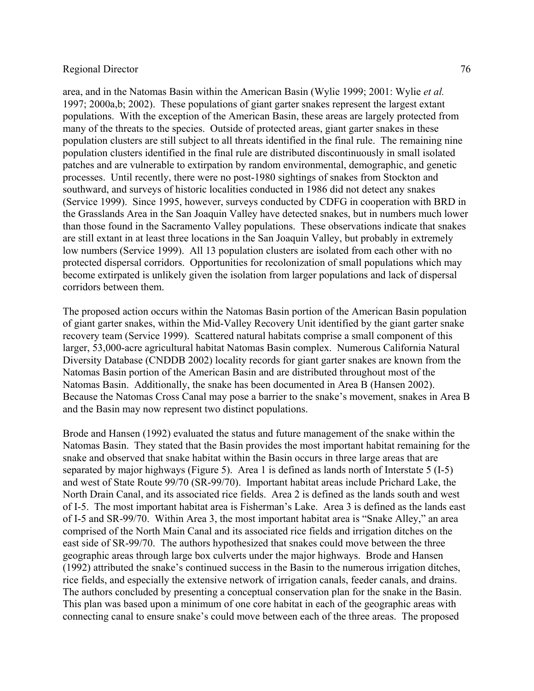area, and in the Natomas Basin within the American Basin (Wylie 1999; 2001: Wylie *et al.* 1997; 2000a,b; 2002). These populations of giant garter snakes represent the largest extant populations. With the exception of the American Basin, these areas are largely protected from many of the threats to the species. Outside of protected areas, giant garter snakes in these population clusters are still subject to all threats identified in the final rule. The remaining nine population clusters identified in the final rule are distributed discontinuously in small isolated patches and are vulnerable to extirpation by random environmental, demographic, and genetic processes. Until recently, there were no post-1980 sightings of snakes from Stockton and southward, and surveys of historic localities conducted in 1986 did not detect any snakes (Service 1999). Since 1995, however, surveys conducted by CDFG in cooperation with BRD in the Grasslands Area in the San Joaquin Valley have detected snakes, but in numbers much lower than those found in the Sacramento Valley populations. These observations indicate that snakes are still extant in at least three locations in the San Joaquin Valley, but probably in extremely low numbers (Service 1999). All 13 population clusters are isolated from each other with no protected dispersal corridors. Opportunities for recolonization of small populations which may become extirpated is unlikely given the isolation from larger populations and lack of dispersal corridors between them.

The proposed action occurs within the Natomas Basin portion of the American Basin population of giant garter snakes, within the Mid-Valley Recovery Unit identified by the giant garter snake recovery team (Service 1999). Scattered natural habitats comprise a small component of this larger, 53,000-acre agricultural habitat Natomas Basin complex. Numerous California Natural Diversity Database (CNDDB 2002) locality records for giant garter snakes are known from the Natomas Basin portion of the American Basin and are distributed throughout most of the Natomas Basin. Additionally, the snake has been documented in Area B (Hansen 2002). Because the Natomas Cross Canal may pose a barrier to the snake's movement, snakes in Area B and the Basin may now represent two distinct populations.

Brode and Hansen (1992) evaluated the status and future management of the snake within the Natomas Basin. They stated that the Basin provides the most important habitat remaining for the snake and observed that snake habitat within the Basin occurs in three large areas that are separated by major highways (Figure 5). Area 1 is defined as lands north of Interstate 5 (I-5) and west of State Route 99/70 (SR-99/70). Important habitat areas include Prichard Lake, the North Drain Canal, and its associated rice fields. Area 2 is defined as the lands south and west of I-5. The most important habitat area is Fisherman's Lake. Area 3 is defined as the lands east of I-5 and SR-99/70. Within Area 3, the most important habitat area is "Snake Alley," an area comprised of the North Main Canal and its associated rice fields and irrigation ditches on the east side of SR-99/70. The authors hypothesized that snakes could move between the three geographic areas through large box culverts under the major highways. Brode and Hansen (1992) attributed the snake's continued success in the Basin to the numerous irrigation ditches, rice fields, and especially the extensive network of irrigation canals, feeder canals, and drains. The authors concluded by presenting a conceptual conservation plan for the snake in the Basin. This plan was based upon a minimum of one core habitat in each of the geographic areas with connecting canal to ensure snake's could move between each of the three areas. The proposed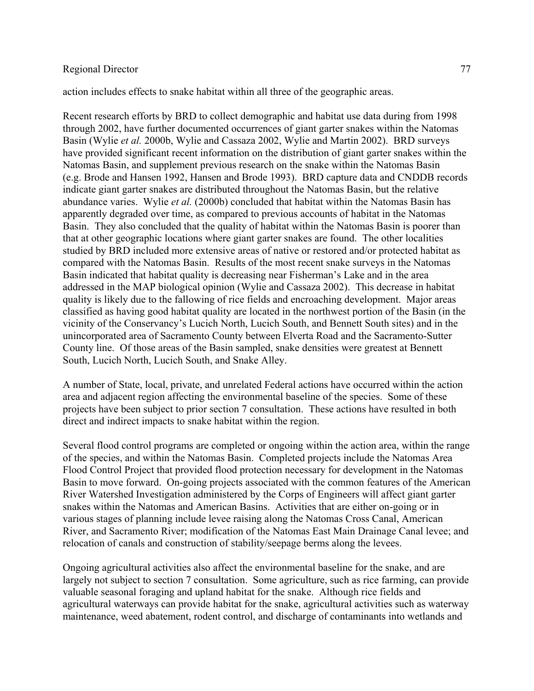action includes effects to snake habitat within all three of the geographic areas.

Recent research efforts by BRD to collect demographic and habitat use data during from 1998 through 2002, have further documented occurrences of giant garter snakes within the Natomas Basin (Wylie *et al.* 2000b, Wylie and Cassaza 2002, Wylie and Martin 2002). BRD surveys have provided significant recent information on the distribution of giant garter snakes within the Natomas Basin, and supplement previous research on the snake within the Natomas Basin (e.g. Brode and Hansen 1992, Hansen and Brode 1993). BRD capture data and CNDDB records indicate giant garter snakes are distributed throughout the Natomas Basin, but the relative abundance varies. Wylie *et al.* (2000b) concluded that habitat within the Natomas Basin has apparently degraded over time, as compared to previous accounts of habitat in the Natomas Basin. They also concluded that the quality of habitat within the Natomas Basin is poorer than that at other geographic locations where giant garter snakes are found. The other localities studied by BRD included more extensive areas of native or restored and/or protected habitat as compared with the Natomas Basin. Results of the most recent snake surveys in the Natomas Basin indicated that habitat quality is decreasing near Fisherman's Lake and in the area addressed in the MAP biological opinion (Wylie and Cassaza 2002). This decrease in habitat quality is likely due to the fallowing of rice fields and encroaching development. Major areas classified as having good habitat quality are located in the northwest portion of the Basin (in the vicinity of the Conservancy's Lucich North, Lucich South, and Bennett South sites) and in the unincorporated area of Sacramento County between Elverta Road and the Sacramento-Sutter County line. Of those areas of the Basin sampled, snake densities were greatest at Bennett South, Lucich North, Lucich South, and Snake Alley.

A number of State, local, private, and unrelated Federal actions have occurred within the action area and adjacent region affecting the environmental baseline of the species. Some of these projects have been subject to prior section 7 consultation. These actions have resulted in both direct and indirect impacts to snake habitat within the region.

Several flood control programs are completed or ongoing within the action area, within the range of the species, and within the Natomas Basin. Completed projects include the Natomas Area Flood Control Project that provided flood protection necessary for development in the Natomas Basin to move forward. On-going projects associated with the common features of the American River Watershed Investigation administered by the Corps of Engineers will affect giant garter snakes within the Natomas and American Basins. Activities that are either on-going or in various stages of planning include levee raising along the Natomas Cross Canal, American River, and Sacramento River; modification of the Natomas East Main Drainage Canal levee; and relocation of canals and construction of stability/seepage berms along the levees.

Ongoing agricultural activities also affect the environmental baseline for the snake, and are largely not subject to section 7 consultation. Some agriculture, such as rice farming, can provide valuable seasonal foraging and upland habitat for the snake. Although rice fields and agricultural waterways can provide habitat for the snake, agricultural activities such as waterway maintenance, weed abatement, rodent control, and discharge of contaminants into wetlands and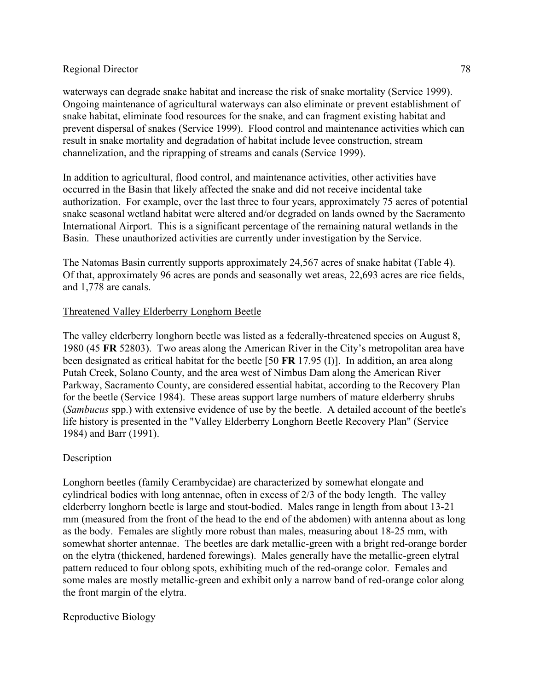waterways can degrade snake habitat and increase the risk of snake mortality (Service 1999). Ongoing maintenance of agricultural waterways can also eliminate or prevent establishment of snake habitat, eliminate food resources for the snake, and can fragment existing habitat and prevent dispersal of snakes (Service 1999). Flood control and maintenance activities which can result in snake mortality and degradation of habitat include levee construction, stream channelization, and the riprapping of streams and canals (Service 1999).

In addition to agricultural, flood control, and maintenance activities, other activities have occurred in the Basin that likely affected the snake and did not receive incidental take authorization. For example, over the last three to four years, approximately 75 acres of potential snake seasonal wetland habitat were altered and/or degraded on lands owned by the Sacramento International Airport. This is a significant percentage of the remaining natural wetlands in the Basin. These unauthorized activities are currently under investigation by the Service.

The Natomas Basin currently supports approximately 24,567 acres of snake habitat (Table 4). Of that, approximately 96 acres are ponds and seasonally wet areas, 22,693 acres are rice fields, and 1,778 are canals.

# Threatened Valley Elderberry Longhorn Beetle

The valley elderberry longhorn beetle was listed as a federally-threatened species on August 8, 1980 (45 **FR** 52803). Two areas along the American River in the City's metropolitan area have been designated as critical habitat for the beetle [50 **FR** 17.95 (I)]. In addition, an area along Putah Creek, Solano County, and the area west of Nimbus Dam along the American River Parkway, Sacramento County, are considered essential habitat, according to the Recovery Plan for the beetle (Service 1984). These areas support large numbers of mature elderberry shrubs (*Sambucus* spp.) with extensive evidence of use by the beetle. A detailed account of the beetle's life history is presented in the "Valley Elderberry Longhorn Beetle Recovery Plan" (Service 1984) and Barr (1991).

# Description

Longhorn beetles (family Cerambycidae) are characterized by somewhat elongate and cylindrical bodies with long antennae, often in excess of 2/3 of the body length. The valley elderberry longhorn beetle is large and stout-bodied. Males range in length from about 13-21 mm (measured from the front of the head to the end of the abdomen) with antenna about as long as the body. Females are slightly more robust than males, measuring about 18-25 mm, with somewhat shorter antennae. The beetles are dark metallic-green with a bright red-orange border on the elytra (thickened, hardened forewings). Males generally have the metallic-green elytral pattern reduced to four oblong spots, exhibiting much of the red-orange color. Females and some males are mostly metallic-green and exhibit only a narrow band of red-orange color along the front margin of the elytra.

# Reproductive Biology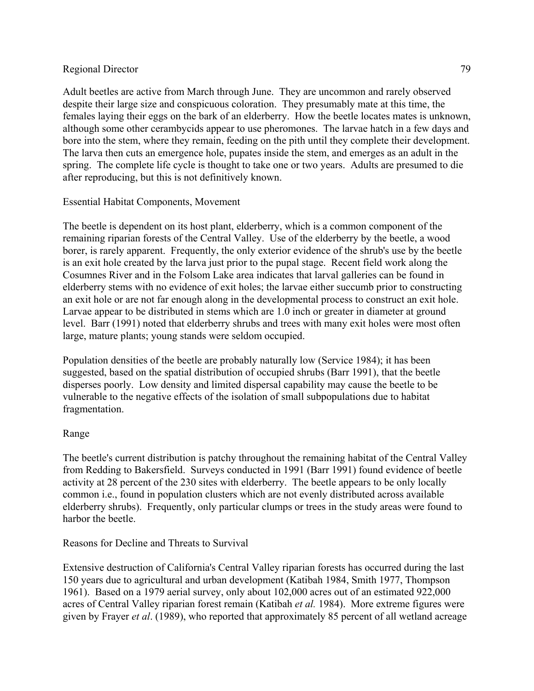Adult beetles are active from March through June. They are uncommon and rarely observed despite their large size and conspicuous coloration. They presumably mate at this time, the females laying their eggs on the bark of an elderberry. How the beetle locates mates is unknown, although some other cerambycids appear to use pheromones. The larvae hatch in a few days and bore into the stem, where they remain, feeding on the pith until they complete their development. The larva then cuts an emergence hole, pupates inside the stem, and emerges as an adult in the spring. The complete life cycle is thought to take one or two years. Adults are presumed to die after reproducing, but this is not definitively known.

# Essential Habitat Components, Movement

The beetle is dependent on its host plant, elderberry, which is a common component of the remaining riparian forests of the Central Valley. Use of the elderberry by the beetle, a wood borer, is rarely apparent. Frequently, the only exterior evidence of the shrub's use by the beetle is an exit hole created by the larva just prior to the pupal stage. Recent field work along the Cosumnes River and in the Folsom Lake area indicates that larval galleries can be found in elderberry stems with no evidence of exit holes; the larvae either succumb prior to constructing an exit hole or are not far enough along in the developmental process to construct an exit hole. Larvae appear to be distributed in stems which are 1.0 inch or greater in diameter at ground level. Barr (1991) noted that elderberry shrubs and trees with many exit holes were most often large, mature plants; young stands were seldom occupied.

Population densities of the beetle are probably naturally low (Service 1984); it has been suggested, based on the spatial distribution of occupied shrubs (Barr 1991), that the beetle disperses poorly. Low density and limited dispersal capability may cause the beetle to be vulnerable to the negative effects of the isolation of small subpopulations due to habitat fragmentation.

# Range

The beetle's current distribution is patchy throughout the remaining habitat of the Central Valley from Redding to Bakersfield. Surveys conducted in 1991 (Barr 1991) found evidence of beetle activity at 28 percent of the 230 sites with elderberry. The beetle appears to be only locally common i.e., found in population clusters which are not evenly distributed across available elderberry shrubs). Frequently, only particular clumps or trees in the study areas were found to harbor the beetle.

Reasons for Decline and Threats to Survival

Extensive destruction of California's Central Valley riparian forests has occurred during the last 150 years due to agricultural and urban development (Katibah 1984, Smith 1977, Thompson 1961). Based on a 1979 aerial survey, only about 102,000 acres out of an estimated 922,000 acres of Central Valley riparian forest remain (Katibah *et al.* 1984). More extreme figures were given by Frayer *et al*. (1989), who reported that approximately 85 percent of all wetland acreage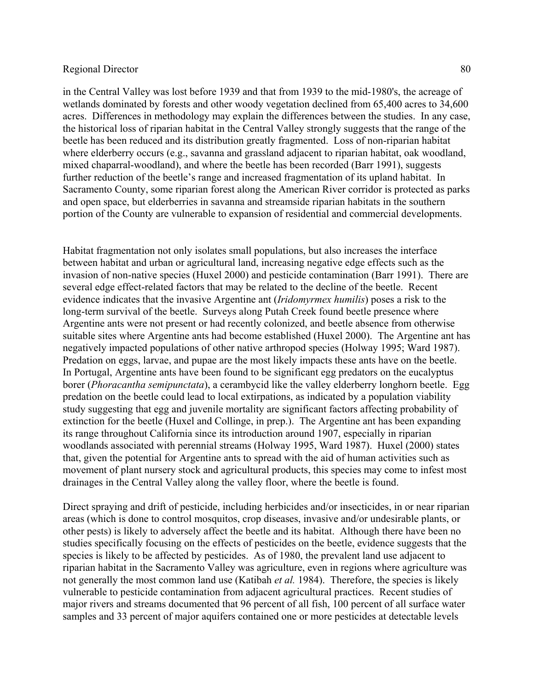in the Central Valley was lost before 1939 and that from 1939 to the mid-1980's, the acreage of wetlands dominated by forests and other woody vegetation declined from 65,400 acres to 34,600 acres. Differences in methodology may explain the differences between the studies. In any case, the historical loss of riparian habitat in the Central Valley strongly suggests that the range of the beetle has been reduced and its distribution greatly fragmented. Loss of non-riparian habitat where elderberry occurs (e.g., savanna and grassland adjacent to riparian habitat, oak woodland, mixed chaparral-woodland), and where the beetle has been recorded (Barr 1991), suggests further reduction of the beetle's range and increased fragmentation of its upland habitat. In Sacramento County, some riparian forest along the American River corridor is protected as parks and open space, but elderberries in savanna and streamside riparian habitats in the southern portion of the County are vulnerable to expansion of residential and commercial developments.

Habitat fragmentation not only isolates small populations, but also increases the interface between habitat and urban or agricultural land, increasing negative edge effects such as the invasion of non-native species (Huxel 2000) and pesticide contamination (Barr 1991). There are several edge effect-related factors that may be related to the decline of the beetle. Recent evidence indicates that the invasive Argentine ant (*Iridomyrmex humilis*) poses a risk to the long-term survival of the beetle. Surveys along Putah Creek found beetle presence where Argentine ants were not present or had recently colonized, and beetle absence from otherwise suitable sites where Argentine ants had become established (Huxel 2000). The Argentine ant has negatively impacted populations of other native arthropod species (Holway 1995; Ward 1987). Predation on eggs, larvae, and pupae are the most likely impacts these ants have on the beetle. In Portugal, Argentine ants have been found to be significant egg predators on the eucalyptus borer (*Phoracantha semipunctata*), a cerambycid like the valley elderberry longhorn beetle. Egg predation on the beetle could lead to local extirpations, as indicated by a population viability study suggesting that egg and juvenile mortality are significant factors affecting probability of extinction for the beetle (Huxel and Collinge, in prep.). The Argentine ant has been expanding its range throughout California since its introduction around 1907, especially in riparian woodlands associated with perennial streams (Holway 1995, Ward 1987). Huxel (2000) states that, given the potential for Argentine ants to spread with the aid of human activities such as movement of plant nursery stock and agricultural products, this species may come to infest most drainages in the Central Valley along the valley floor, where the beetle is found.

Direct spraying and drift of pesticide, including herbicides and/or insecticides, in or near riparian areas (which is done to control mosquitos, crop diseases, invasive and/or undesirable plants, or other pests) is likely to adversely affect the beetle and its habitat. Although there have been no studies specifically focusing on the effects of pesticides on the beetle, evidence suggests that the species is likely to be affected by pesticides. As of 1980, the prevalent land use adjacent to riparian habitat in the Sacramento Valley was agriculture, even in regions where agriculture was not generally the most common land use (Katibah *et al.* 1984). Therefore, the species is likely vulnerable to pesticide contamination from adjacent agricultural practices. Recent studies of major rivers and streams documented that 96 percent of all fish, 100 percent of all surface water samples and 33 percent of major aquifers contained one or more pesticides at detectable levels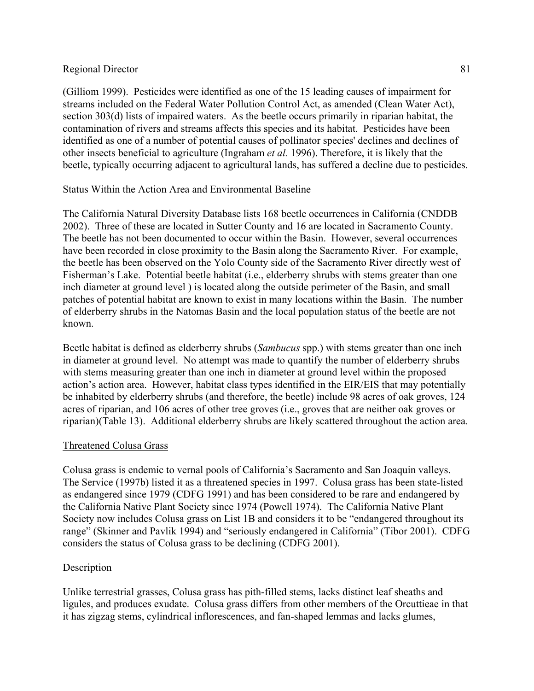(Gilliom 1999). Pesticides were identified as one of the 15 leading causes of impairment for streams included on the Federal Water Pollution Control Act, as amended (Clean Water Act), section 303(d) lists of impaired waters. As the beetle occurs primarily in riparian habitat, the contamination of rivers and streams affects this species and its habitat. Pesticides have been identified as one of a number of potential causes of pollinator species' declines and declines of other insects beneficial to agriculture (Ingraham *et al.* 1996). Therefore, it is likely that the beetle, typically occurring adjacent to agricultural lands, has suffered a decline due to pesticides.

# Status Within the Action Area and Environmental Baseline

The California Natural Diversity Database lists 168 beetle occurrences in California (CNDDB 2002). Three of these are located in Sutter County and 16 are located in Sacramento County. The beetle has not been documented to occur within the Basin. However, several occurrences have been recorded in close proximity to the Basin along the Sacramento River. For example, the beetle has been observed on the Yolo County side of the Sacramento River directly west of Fisherman's Lake. Potential beetle habitat (i.e., elderberry shrubs with stems greater than one inch diameter at ground level ) is located along the outside perimeter of the Basin, and small patches of potential habitat are known to exist in many locations within the Basin. The number of elderberry shrubs in the Natomas Basin and the local population status of the beetle are not known.

Beetle habitat is defined as elderberry shrubs (*Sambucus* spp.) with stems greater than one inch in diameter at ground level. No attempt was made to quantify the number of elderberry shrubs with stems measuring greater than one inch in diameter at ground level within the proposed action's action area. However, habitat class types identified in the EIR/EIS that may potentially be inhabited by elderberry shrubs (and therefore, the beetle) include 98 acres of oak groves, 124 acres of riparian, and 106 acres of other tree groves (i.e., groves that are neither oak groves or riparian)(Table 13). Additional elderberry shrubs are likely scattered throughout the action area.

# Threatened Colusa Grass

Colusa grass is endemic to vernal pools of California's Sacramento and San Joaquin valleys. The Service (1997b) listed it as a threatened species in 1997. Colusa grass has been state-listed as endangered since 1979 (CDFG 1991) and has been considered to be rare and endangered by the California Native Plant Society since 1974 (Powell 1974). The California Native Plant Society now includes Colusa grass on List 1B and considers it to be "endangered throughout its range" (Skinner and Pavlik 1994) and "seriously endangered in California" (Tibor 2001). CDFG considers the status of Colusa grass to be declining (CDFG 2001).

# Description

Unlike terrestrial grasses, Colusa grass has pith-filled stems, lacks distinct leaf sheaths and ligules, and produces exudate. Colusa grass differs from other members of the Orcuttieae in that it has zigzag stems, cylindrical inflorescences, and fan-shaped lemmas and lacks glumes,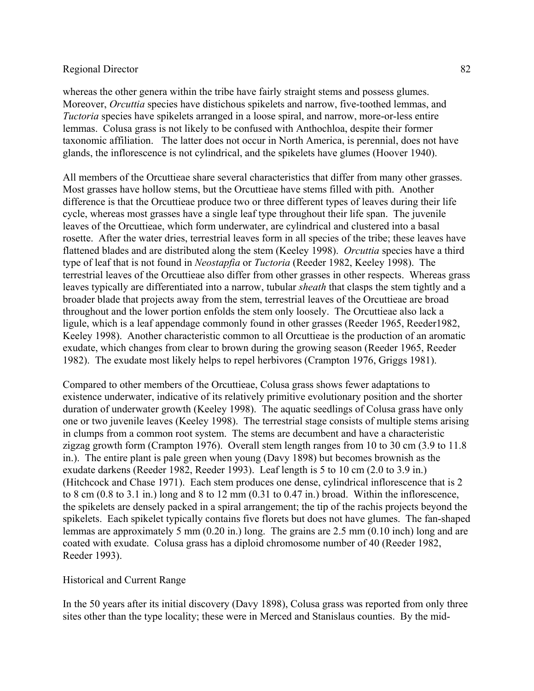whereas the other genera within the tribe have fairly straight stems and possess glumes. Moreover, *Orcuttia* species have distichous spikelets and narrow, five-toothed lemmas, and *Tuctoria* species have spikelets arranged in a loose spiral, and narrow, more-or-less entire lemmas. Colusa grass is not likely to be confused with Anthochloa, despite their former taxonomic affiliation. The latter does not occur in North America, is perennial, does not have glands, the inflorescence is not cylindrical, and the spikelets have glumes (Hoover 1940).

All members of the Orcuttieae share several characteristics that differ from many other grasses. Most grasses have hollow stems, but the Orcuttieae have stems filled with pith. Another difference is that the Orcuttieae produce two or three different types of leaves during their life cycle, whereas most grasses have a single leaf type throughout their life span. The juvenile leaves of the Orcuttieae, which form underwater, are cylindrical and clustered into a basal rosette. After the water dries, terrestrial leaves form in all species of the tribe; these leaves have flattened blades and are distributed along the stem (Keeley 1998). *Orcuttia* species have a third type of leaf that is not found in *Neostapfia* or *Tuctoria* (Reeder 1982, Keeley 1998). The terrestrial leaves of the Orcuttieae also differ from other grasses in other respects. Whereas grass leaves typically are differentiated into a narrow, tubular *sheath* that clasps the stem tightly and a broader blade that projects away from the stem, terrestrial leaves of the Orcuttieae are broad throughout and the lower portion enfolds the stem only loosely. The Orcuttieae also lack a ligule, which is a leaf appendage commonly found in other grasses (Reeder 1965, Reeder1982, Keeley 1998). Another characteristic common to all Orcuttieae is the production of an aromatic exudate, which changes from clear to brown during the growing season (Reeder 1965, Reeder 1982). The exudate most likely helps to repel herbivores (Crampton 1976, Griggs 1981).

Compared to other members of the Orcuttieae, Colusa grass shows fewer adaptations to existence underwater, indicative of its relatively primitive evolutionary position and the shorter duration of underwater growth (Keeley 1998). The aquatic seedlings of Colusa grass have only one or two juvenile leaves (Keeley 1998). The terrestrial stage consists of multiple stems arising in clumps from a common root system. The stems are decumbent and have a characteristic zigzag growth form (Crampton 1976). Overall stem length ranges from 10 to 30 cm (3.9 to 11.8 in.). The entire plant is pale green when young (Davy 1898) but becomes brownish as the exudate darkens (Reeder 1982, Reeder 1993). Leaf length is 5 to 10 cm (2.0 to 3.9 in.) (Hitchcock and Chase 1971). Each stem produces one dense, cylindrical inflorescence that is 2 to 8 cm (0.8 to 3.1 in.) long and 8 to 12 mm (0.31 to 0.47 in.) broad. Within the inflorescence, the spikelets are densely packed in a spiral arrangement; the tip of the rachis projects beyond the spikelets. Each spikelet typically contains five florets but does not have glumes. The fan-shaped lemmas are approximately 5 mm (0.20 in.) long. The grains are 2.5 mm (0.10 inch) long and are coated with exudate. Colusa grass has a diploid chromosome number of 40 (Reeder 1982, Reeder 1993).

#### Historical and Current Range

In the 50 years after its initial discovery (Davy 1898), Colusa grass was reported from only three sites other than the type locality; these were in Merced and Stanislaus counties. By the mid-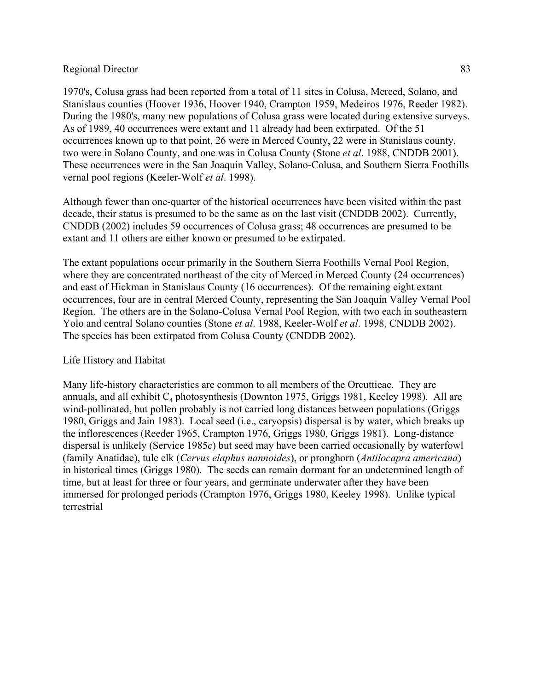1970's, Colusa grass had been reported from a total of 11 sites in Colusa, Merced, Solano, and Stanislaus counties (Hoover 1936, Hoover 1940, Crampton 1959, Medeiros 1976, Reeder 1982). During the 1980's, many new populations of Colusa grass were located during extensive surveys. As of 1989, 40 occurrences were extant and 11 already had been extirpated. Of the 51 occurrences known up to that point, 26 were in Merced County, 22 were in Stanislaus county, two were in Solano County, and one was in Colusa County (Stone *et al*. 1988, CNDDB 2001). These occurrences were in the San Joaquin Valley, Solano-Colusa, and Southern Sierra Foothills vernal pool regions (Keeler-Wolf *et al*. 1998).

Although fewer than one-quarter of the historical occurrences have been visited within the past decade, their status is presumed to be the same as on the last visit (CNDDB 2002). Currently, CNDDB (2002) includes 59 occurrences of Colusa grass; 48 occurrences are presumed to be extant and 11 others are either known or presumed to be extirpated.

The extant populations occur primarily in the Southern Sierra Foothills Vernal Pool Region, where they are concentrated northeast of the city of Merced in Merced County (24 occurrences) and east of Hickman in Stanislaus County (16 occurrences). Of the remaining eight extant occurrences, four are in central Merced County, representing the San Joaquin Valley Vernal Pool Region. The others are in the Solano-Colusa Vernal Pool Region, with two each in southeastern Yolo and central Solano counties (Stone *et al*. 1988, Keeler-Wolf *et al*. 1998, CNDDB 2002). The species has been extirpated from Colusa County (CNDDB 2002).

# Life History and Habitat

Many life-history characteristics are common to all members of the Orcuttieae. They are annuals, and all exhibit  $C_4$  photosynthesis (Downton 1975, Griggs 1981, Keeley 1998). All are wind-pollinated, but pollen probably is not carried long distances between populations (Griggs 1980, Griggs and Jain 1983). Local seed (i.e., caryopsis) dispersal is by water, which breaks up the inflorescences (Reeder 1965, Crampton 1976, Griggs 1980, Griggs 1981). Long-distance dispersal is unlikely (Service 1985*c*) but seed may have been carried occasionally by waterfowl (family Anatidae), tule elk (*Cervus elaphus nannoides*), or pronghorn (*Antilocapra americana*) in historical times (Griggs 1980). The seeds can remain dormant for an undetermined length of time, but at least for three or four years, and germinate underwater after they have been immersed for prolonged periods (Crampton 1976, Griggs 1980, Keeley 1998). Unlike typical terrestrial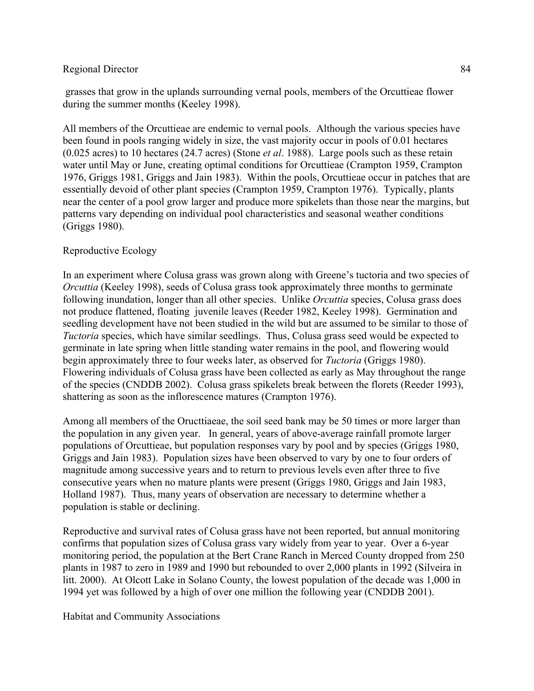grasses that grow in the uplands surrounding vernal pools, members of the Orcuttieae flower during the summer months (Keeley 1998).

All members of the Orcuttieae are endemic to vernal pools. Although the various species have been found in pools ranging widely in size, the vast majority occur in pools of 0.01 hectares (0.025 acres) to 10 hectares (24.7 acres) (Stone *et al*. 1988). Large pools such as these retain water until May or June, creating optimal conditions for Orcuttieae (Crampton 1959, Crampton 1976, Griggs 1981, Griggs and Jain 1983). Within the pools, Orcuttieae occur in patches that are essentially devoid of other plant species (Crampton 1959, Crampton 1976). Typically, plants near the center of a pool grow larger and produce more spikelets than those near the margins, but patterns vary depending on individual pool characteristics and seasonal weather conditions (Griggs 1980).

# Reproductive Ecology

In an experiment where Colusa grass was grown along with Greene's tuctoria and two species of *Orcuttia* (Keeley 1998), seeds of Colusa grass took approximately three months to germinate following inundation, longer than all other species. Unlike *Orcuttia* species, Colusa grass does not produce flattened, floating juvenile leaves (Reeder 1982, Keeley 1998). Germination and seedling development have not been studied in the wild but are assumed to be similar to those of *Tuctoria* species, which have similar seedlings. Thus, Colusa grass seed would be expected to germinate in late spring when little standing water remains in the pool, and flowering would begin approximately three to four weeks later, as observed for *Tuctoria* (Griggs 1980). Flowering individuals of Colusa grass have been collected as early as May throughout the range of the species (CNDDB 2002). Colusa grass spikelets break between the florets (Reeder 1993), shattering as soon as the inflorescence matures (Crampton 1976).

Among all members of the Oructtiaeae, the soil seed bank may be 50 times or more larger than the population in any given year. In general, years of above-average rainfall promote larger populations of Orcuttieae, but population responses vary by pool and by species (Griggs 1980, Griggs and Jain 1983). Population sizes have been observed to vary by one to four orders of magnitude among successive years and to return to previous levels even after three to five consecutive years when no mature plants were present (Griggs 1980, Griggs and Jain 1983, Holland 1987). Thus, many years of observation are necessary to determine whether a population is stable or declining.

Reproductive and survival rates of Colusa grass have not been reported, but annual monitoring confirms that population sizes of Colusa grass vary widely from year to year. Over a 6-year monitoring period, the population at the Bert Crane Ranch in Merced County dropped from 250 plants in 1987 to zero in 1989 and 1990 but rebounded to over 2,000 plants in 1992 (Silveira in litt. 2000). At Olcott Lake in Solano County, the lowest population of the decade was 1,000 in 1994 yet was followed by a high of over one million the following year (CNDDB 2001).

Habitat and Community Associations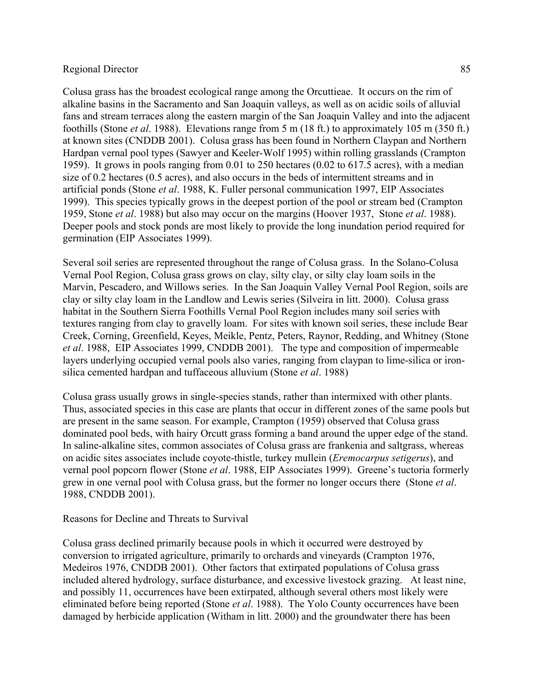Colusa grass has the broadest ecological range among the Orcuttieae. It occurs on the rim of alkaline basins in the Sacramento and San Joaquin valleys, as well as on acidic soils of alluvial fans and stream terraces along the eastern margin of the San Joaquin Valley and into the adjacent foothills (Stone *et al*. 1988). Elevations range from 5 m (18 ft.) to approximately 105 m (350 ft.) at known sites (CNDDB 2001). Colusa grass has been found in Northern Claypan and Northern Hardpan vernal pool types (Sawyer and Keeler-Wolf 1995) within rolling grasslands (Crampton 1959). It grows in pools ranging from 0.01 to 250 hectares (0.02 to 617.5 acres), with a median size of 0.2 hectares (0.5 acres), and also occurs in the beds of intermittent streams and in artificial ponds (Stone *et al*. 1988, K. Fuller personal communication 1997, EIP Associates 1999). This species typically grows in the deepest portion of the pool or stream bed (Crampton 1959, Stone *et al*. 1988) but also may occur on the margins (Hoover 1937, Stone *et al*. 1988). Deeper pools and stock ponds are most likely to provide the long inundation period required for germination (EIP Associates 1999).

Several soil series are represented throughout the range of Colusa grass. In the Solano-Colusa Vernal Pool Region, Colusa grass grows on clay, silty clay, or silty clay loam soils in the Marvin, Pescadero, and Willows series. In the San Joaquin Valley Vernal Pool Region, soils are clay or silty clay loam in the Landlow and Lewis series (Silveira in litt. 2000). Colusa grass habitat in the Southern Sierra Foothills Vernal Pool Region includes many soil series with textures ranging from clay to gravelly loam. For sites with known soil series, these include Bear Creek, Corning, Greenfield, Keyes, Meikle, Pentz, Peters, Raynor, Redding, and Whitney (Stone *et al*. 1988, EIP Associates 1999, CNDDB 2001). The type and composition of impermeable layers underlying occupied vernal pools also varies, ranging from claypan to lime-silica or ironsilica cemented hardpan and tuffaceous alluvium (Stone *et al*. 1988)

Colusa grass usually grows in single-species stands, rather than intermixed with other plants. Thus, associated species in this case are plants that occur in different zones of the same pools but are present in the same season. For example, Crampton (1959) observed that Colusa grass dominated pool beds, with hairy Orcutt grass forming a band around the upper edge of the stand. In saline-alkaline sites, common associates of Colusa grass are frankenia and saltgrass, whereas on acidic sites associates include coyote-thistle, turkey mullein (*Eremocarpus setigerus*), and vernal pool popcorn flower (Stone *et al*. 1988, EIP Associates 1999). Greene's tuctoria formerly grew in one vernal pool with Colusa grass, but the former no longer occurs there (Stone *et al*. 1988, CNDDB 2001).

Reasons for Decline and Threats to Survival

Colusa grass declined primarily because pools in which it occurred were destroyed by conversion to irrigated agriculture, primarily to orchards and vineyards (Crampton 1976, Medeiros 1976, CNDDB 2001). Other factors that extirpated populations of Colusa grass included altered hydrology, surface disturbance, and excessive livestock grazing. At least nine, and possibly 11, occurrences have been extirpated, although several others most likely were eliminated before being reported (Stone *et al*. 1988). The Yolo County occurrences have been damaged by herbicide application (Witham in litt. 2000) and the groundwater there has been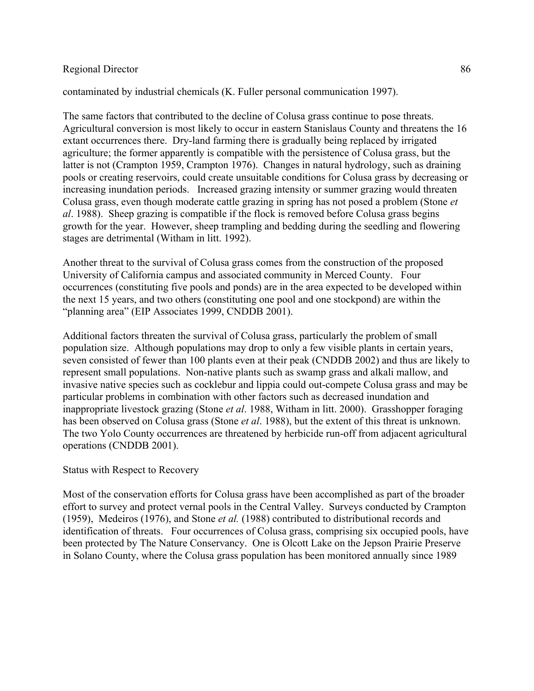# contaminated by industrial chemicals (K. Fuller personal communication 1997).

The same factors that contributed to the decline of Colusa grass continue to pose threats. Agricultural conversion is most likely to occur in eastern Stanislaus County and threatens the 16 extant occurrences there. Dry-land farming there is gradually being replaced by irrigated agriculture; the former apparently is compatible with the persistence of Colusa grass, but the latter is not (Crampton 1959, Crampton 1976). Changes in natural hydrology, such as draining pools or creating reservoirs, could create unsuitable conditions for Colusa grass by decreasing or increasing inundation periods. Increased grazing intensity or summer grazing would threaten Colusa grass, even though moderate cattle grazing in spring has not posed a problem (Stone *et al*. 1988). Sheep grazing is compatible if the flock is removed before Colusa grass begins growth for the year. However, sheep trampling and bedding during the seedling and flowering stages are detrimental (Witham in litt. 1992).

Another threat to the survival of Colusa grass comes from the construction of the proposed University of California campus and associated community in Merced County. Four occurrences (constituting five pools and ponds) are in the area expected to be developed within the next 15 years, and two others (constituting one pool and one stockpond) are within the "planning area" (EIP Associates 1999, CNDDB 2001).

Additional factors threaten the survival of Colusa grass, particularly the problem of small population size. Although populations may drop to only a few visible plants in certain years, seven consisted of fewer than 100 plants even at their peak (CNDDB 2002) and thus are likely to represent small populations. Non-native plants such as swamp grass and alkali mallow, and invasive native species such as cocklebur and lippia could out-compete Colusa grass and may be particular problems in combination with other factors such as decreased inundation and inappropriate livestock grazing (Stone *et al*. 1988, Witham in litt. 2000). Grasshopper foraging has been observed on Colusa grass (Stone *et al*. 1988), but the extent of this threat is unknown. The two Yolo County occurrences are threatened by herbicide run-off from adjacent agricultural operations (CNDDB 2001).

# Status with Respect to Recovery

Most of the conservation efforts for Colusa grass have been accomplished as part of the broader effort to survey and protect vernal pools in the Central Valley. Surveys conducted by Crampton (1959), Medeiros (1976), and Stone *et al.* (1988) contributed to distributional records and identification of threats. Four occurrences of Colusa grass, comprising six occupied pools, have been protected by The Nature Conservancy. One is Olcott Lake on the Jepson Prairie Preserve in Solano County, where the Colusa grass population has been monitored annually since 1989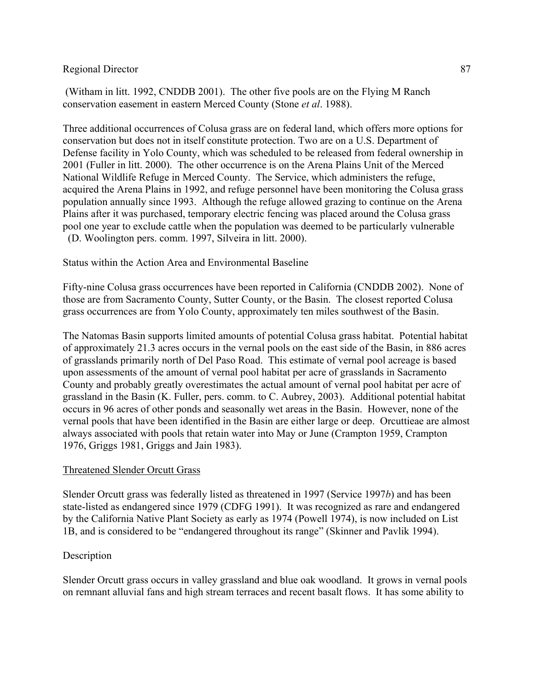(Witham in litt. 1992, CNDDB 2001). The other five pools are on the Flying M Ranch conservation easement in eastern Merced County (Stone *et al*. 1988).

Three additional occurrences of Colusa grass are on federal land, which offers more options for conservation but does not in itself constitute protection. Two are on a U.S. Department of Defense facility in Yolo County, which was scheduled to be released from federal ownership in 2001 (Fuller in litt. 2000). The other occurrence is on the Arena Plains Unit of the Merced National Wildlife Refuge in Merced County. The Service, which administers the refuge, acquired the Arena Plains in 1992, and refuge personnel have been monitoring the Colusa grass population annually since 1993. Although the refuge allowed grazing to continue on the Arena Plains after it was purchased, temporary electric fencing was placed around the Colusa grass pool one year to exclude cattle when the population was deemed to be particularly vulnerable (D. Woolington pers. comm. 1997, Silveira in litt. 2000).

# Status within the Action Area and Environmental Baseline

Fifty-nine Colusa grass occurrences have been reported in California (CNDDB 2002). None of those are from Sacramento County, Sutter County, or the Basin. The closest reported Colusa grass occurrences are from Yolo County, approximately ten miles southwest of the Basin.

The Natomas Basin supports limited amounts of potential Colusa grass habitat. Potential habitat of approximately 21.3 acres occurs in the vernal pools on the east side of the Basin, in 886 acres of grasslands primarily north of Del Paso Road. This estimate of vernal pool acreage is based upon assessments of the amount of vernal pool habitat per acre of grasslands in Sacramento County and probably greatly overestimates the actual amount of vernal pool habitat per acre of grassland in the Basin (K. Fuller, pers. comm. to C. Aubrey, 2003). Additional potential habitat occurs in 96 acres of other ponds and seasonally wet areas in the Basin. However, none of the vernal pools that have been identified in the Basin are either large or deep. Orcuttieae are almost always associated with pools that retain water into May or June (Crampton 1959, Crampton 1976, Griggs 1981, Griggs and Jain 1983).

# Threatened Slender Orcutt Grass

Slender Orcutt grass was federally listed as threatened in 1997 (Service 1997*b*) and has been state-listed as endangered since 1979 (CDFG 1991). It was recognized as rare and endangered by the California Native Plant Society as early as 1974 (Powell 1974), is now included on List 1B, and is considered to be "endangered throughout its range" (Skinner and Pavlik 1994).

# Description

Slender Orcutt grass occurs in valley grassland and blue oak woodland. It grows in vernal pools on remnant alluvial fans and high stream terraces and recent basalt flows. It has some ability to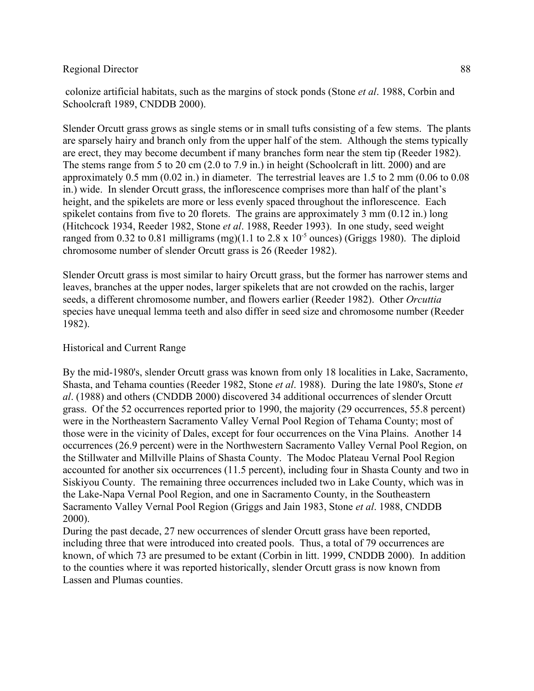colonize artificial habitats, such as the margins of stock ponds (Stone *et al*. 1988, Corbin and Schoolcraft 1989, CNDDB 2000).

Slender Orcutt grass grows as single stems or in small tufts consisting of a few stems. The plants are sparsely hairy and branch only from the upper half of the stem. Although the stems typically are erect, they may become decumbent if many branches form near the stem tip (Reeder 1982). The stems range from 5 to 20 cm (2.0 to 7.9 in.) in height (Schoolcraft in litt. 2000) and are approximately 0.5 mm (0.02 in.) in diameter. The terrestrial leaves are 1.5 to 2 mm (0.06 to 0.08 in.) wide. In slender Orcutt grass, the inflorescence comprises more than half of the plant's height, and the spikelets are more or less evenly spaced throughout the inflorescence. Each spikelet contains from five to 20 florets. The grains are approximately 3 mm (0.12 in.) long (Hitchcock 1934, Reeder 1982, Stone *et al*. 1988, Reeder 1993). In one study, seed weight ranged from 0.32 to 0.81 milligrams (mg)(1.1 to 2.8 x  $10^{-5}$  ounces) (Griggs 1980). The diploid chromosome number of slender Orcutt grass is 26 (Reeder 1982).

Slender Orcutt grass is most similar to hairy Orcutt grass, but the former has narrower stems and leaves, branches at the upper nodes, larger spikelets that are not crowded on the rachis, larger seeds, a different chromosome number, and flowers earlier (Reeder 1982). Other *Orcuttia* species have unequal lemma teeth and also differ in seed size and chromosome number (Reeder 1982).

#### Historical and Current Range

By the mid-1980's, slender Orcutt grass was known from only 18 localities in Lake, Sacramento, Shasta, and Tehama counties (Reeder 1982, Stone *et al*. 1988). During the late 1980's, Stone *et al*. (1988) and others (CNDDB 2000) discovered 34 additional occurrences of slender Orcutt grass. Of the 52 occurrences reported prior to 1990, the majority (29 occurrences, 55.8 percent) were in the Northeastern Sacramento Valley Vernal Pool Region of Tehama County; most of those were in the vicinity of Dales, except for four occurrences on the Vina Plains. Another 14 occurrences (26.9 percent) were in the Northwestern Sacramento Valley Vernal Pool Region, on the Stillwater and Millville Plains of Shasta County. The Modoc Plateau Vernal Pool Region accounted for another six occurrences (11.5 percent), including four in Shasta County and two in Siskiyou County. The remaining three occurrences included two in Lake County, which was in the Lake-Napa Vernal Pool Region, and one in Sacramento County, in the Southeastern Sacramento Valley Vernal Pool Region (Griggs and Jain 1983, Stone *et al*. 1988, CNDDB 2000).

During the past decade, 27 new occurrences of slender Orcutt grass have been reported, including three that were introduced into created pools. Thus, a total of 79 occurrences are known, of which 73 are presumed to be extant (Corbin in litt. 1999, CNDDB 2000). In addition to the counties where it was reported historically, slender Orcutt grass is now known from Lassen and Plumas counties.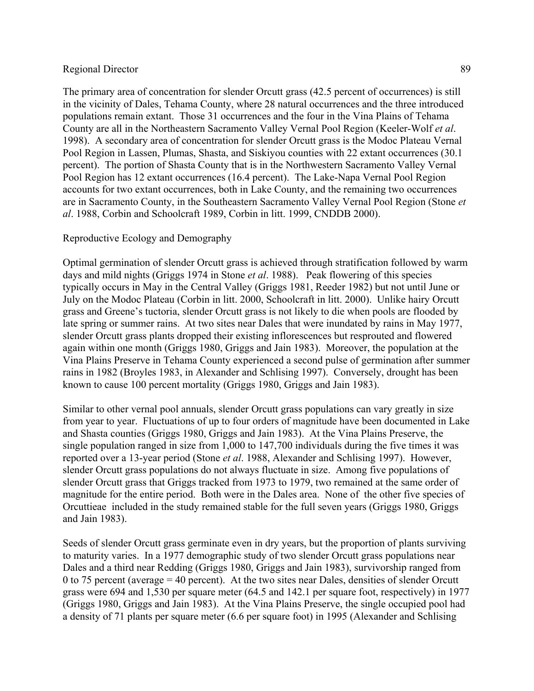The primary area of concentration for slender Orcutt grass (42.5 percent of occurrences) is still in the vicinity of Dales, Tehama County, where 28 natural occurrences and the three introduced populations remain extant. Those 31 occurrences and the four in the Vina Plains of Tehama County are all in the Northeastern Sacramento Valley Vernal Pool Region (Keeler-Wolf *et al*. 1998). A secondary area of concentration for slender Orcutt grass is the Modoc Plateau Vernal Pool Region in Lassen, Plumas, Shasta, and Siskiyou counties with 22 extant occurrences (30.1 percent). The portion of Shasta County that is in the Northwestern Sacramento Valley Vernal Pool Region has 12 extant occurrences (16.4 percent). The Lake-Napa Vernal Pool Region accounts for two extant occurrences, both in Lake County, and the remaining two occurrences are in Sacramento County, in the Southeastern Sacramento Valley Vernal Pool Region (Stone *et al*. 1988, Corbin and Schoolcraft 1989, Corbin in litt. 1999, CNDDB 2000).

#### Reproductive Ecology and Demography

Optimal germination of slender Orcutt grass is achieved through stratification followed by warm days and mild nights (Griggs 1974 in Stone *et al*. 1988). Peak flowering of this species typically occurs in May in the Central Valley (Griggs 1981, Reeder 1982) but not until June or July on the Modoc Plateau (Corbin in litt. 2000, Schoolcraft in litt. 2000). Unlike hairy Orcutt grass and Greene's tuctoria, slender Orcutt grass is not likely to die when pools are flooded by late spring or summer rains. At two sites near Dales that were inundated by rains in May 1977, slender Orcutt grass plants dropped their existing inflorescences but resprouted and flowered again within one month (Griggs 1980, Griggs and Jain 1983). Moreover, the population at the Vina Plains Preserve in Tehama County experienced a second pulse of germination after summer rains in 1982 (Broyles 1983, in Alexander and Schlising 1997). Conversely, drought has been known to cause 100 percent mortality (Griggs 1980, Griggs and Jain 1983).

Similar to other vernal pool annuals, slender Orcutt grass populations can vary greatly in size from year to year. Fluctuations of up to four orders of magnitude have been documented in Lake and Shasta counties (Griggs 1980, Griggs and Jain 1983). At the Vina Plains Preserve, the single population ranged in size from 1,000 to 147,700 individuals during the five times it was reported over a 13-year period (Stone *et al*. 1988, Alexander and Schlising 1997). However, slender Orcutt grass populations do not always fluctuate in size. Among five populations of slender Orcutt grass that Griggs tracked from 1973 to 1979, two remained at the same order of magnitude for the entire period. Both were in the Dales area. None of the other five species of Orcuttieae included in the study remained stable for the full seven years (Griggs 1980, Griggs and Jain 1983).

Seeds of slender Orcutt grass germinate even in dry years, but the proportion of plants surviving to maturity varies. In a 1977 demographic study of two slender Orcutt grass populations near Dales and a third near Redding (Griggs 1980, Griggs and Jain 1983), survivorship ranged from 0 to 75 percent (average = 40 percent). At the two sites near Dales, densities of slender Orcutt grass were 694 and 1,530 per square meter (64.5 and 142.1 per square foot, respectively) in 1977 (Griggs 1980, Griggs and Jain 1983). At the Vina Plains Preserve, the single occupied pool had a density of 71 plants per square meter (6.6 per square foot) in 1995 (Alexander and Schlising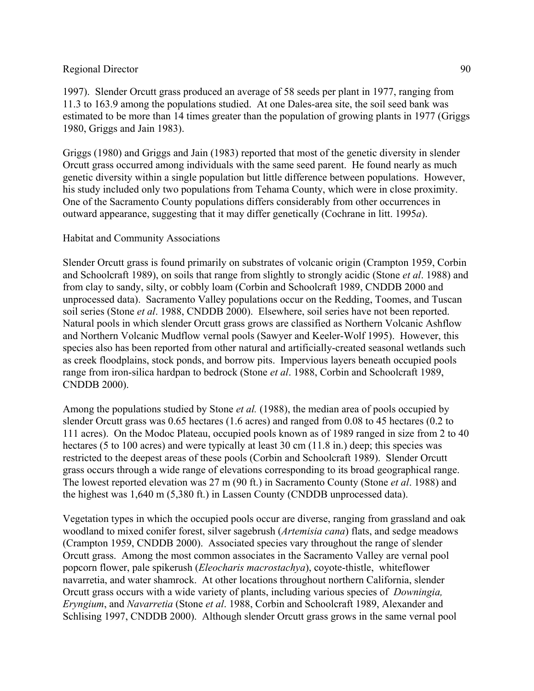1997). Slender Orcutt grass produced an average of 58 seeds per plant in 1977, ranging from 11.3 to 163.9 among the populations studied. At one Dales-area site, the soil seed bank was estimated to be more than 14 times greater than the population of growing plants in 1977 (Griggs 1980, Griggs and Jain 1983).

Griggs (1980) and Griggs and Jain (1983) reported that most of the genetic diversity in slender Orcutt grass occurred among individuals with the same seed parent. He found nearly as much genetic diversity within a single population but little difference between populations. However, his study included only two populations from Tehama County, which were in close proximity. One of the Sacramento County populations differs considerably from other occurrences in outward appearance, suggesting that it may differ genetically (Cochrane in litt. 1995*a*).

# Habitat and Community Associations

Slender Orcutt grass is found primarily on substrates of volcanic origin (Crampton 1959, Corbin and Schoolcraft 1989), on soils that range from slightly to strongly acidic (Stone *et al*. 1988) and from clay to sandy, silty, or cobbly loam (Corbin and Schoolcraft 1989, CNDDB 2000 and unprocessed data). Sacramento Valley populations occur on the Redding, Toomes, and Tuscan soil series (Stone *et al*. 1988, CNDDB 2000). Elsewhere, soil series have not been reported. Natural pools in which slender Orcutt grass grows are classified as Northern Volcanic Ashflow and Northern Volcanic Mudflow vernal pools (Sawyer and Keeler-Wolf 1995). However, this species also has been reported from other natural and artificially-created seasonal wetlands such as creek floodplains, stock ponds, and borrow pits. Impervious layers beneath occupied pools range from iron-silica hardpan to bedrock (Stone *et al*. 1988, Corbin and Schoolcraft 1989, CNDDB 2000).

Among the populations studied by Stone *et al.* (1988), the median area of pools occupied by slender Orcutt grass was 0.65 hectares (1.6 acres) and ranged from 0.08 to 45 hectares (0.2 to 111 acres). On the Modoc Plateau, occupied pools known as of 1989 ranged in size from 2 to 40 hectares (5 to 100 acres) and were typically at least 30 cm (11.8 in.) deep; this species was restricted to the deepest areas of these pools (Corbin and Schoolcraft 1989). Slender Orcutt grass occurs through a wide range of elevations corresponding to its broad geographical range. The lowest reported elevation was 27 m (90 ft.) in Sacramento County (Stone *et al*. 1988) and the highest was 1,640 m (5,380 ft.) in Lassen County (CNDDB unprocessed data).

Vegetation types in which the occupied pools occur are diverse, ranging from grassland and oak woodland to mixed conifer forest, silver sagebrush (*Artemisia cana*) flats, and sedge meadows (Crampton 1959, CNDDB 2000). Associated species vary throughout the range of slender Orcutt grass. Among the most common associates in the Sacramento Valley are vernal pool popcorn flower, pale spikerush (*Eleocharis macrostachya*), coyote-thistle, whiteflower navarretia, and water shamrock. At other locations throughout northern California, slender Orcutt grass occurs with a wide variety of plants, including various species of *Downingia, Eryngium*, and *Navarretia* (Stone *et al*. 1988, Corbin and Schoolcraft 1989, Alexander and Schlising 1997, CNDDB 2000). Although slender Orcutt grass grows in the same vernal pool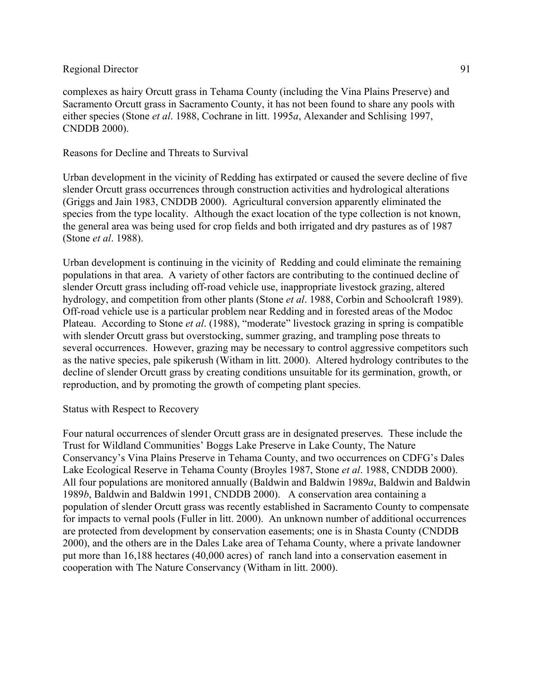complexes as hairy Orcutt grass in Tehama County (including the Vina Plains Preserve) and Sacramento Orcutt grass in Sacramento County, it has not been found to share any pools with either species (Stone *et al*. 1988, Cochrane in litt. 1995*a*, Alexander and Schlising 1997, CNDDB 2000).

# Reasons for Decline and Threats to Survival

Urban development in the vicinity of Redding has extirpated or caused the severe decline of five slender Orcutt grass occurrences through construction activities and hydrological alterations (Griggs and Jain 1983, CNDDB 2000). Agricultural conversion apparently eliminated the species from the type locality. Although the exact location of the type collection is not known, the general area was being used for crop fields and both irrigated and dry pastures as of 1987 (Stone *et al*. 1988).

Urban development is continuing in the vicinity of Redding and could eliminate the remaining populations in that area. A variety of other factors are contributing to the continued decline of slender Orcutt grass including off-road vehicle use, inappropriate livestock grazing, altered hydrology, and competition from other plants (Stone *et al*. 1988, Corbin and Schoolcraft 1989). Off-road vehicle use is a particular problem near Redding and in forested areas of the Modoc Plateau. According to Stone *et al*. (1988), "moderate" livestock grazing in spring is compatible with slender Orcutt grass but overstocking, summer grazing, and trampling pose threats to several occurrences. However, grazing may be necessary to control aggressive competitors such as the native species, pale spikerush (Witham in litt. 2000). Altered hydrology contributes to the decline of slender Orcutt grass by creating conditions unsuitable for its germination, growth, or reproduction, and by promoting the growth of competing plant species.

# Status with Respect to Recovery

Four natural occurrences of slender Orcutt grass are in designated preserves. These include the Trust for Wildland Communities' Boggs Lake Preserve in Lake County, The Nature Conservancy's Vina Plains Preserve in Tehama County, and two occurrences on CDFG's Dales Lake Ecological Reserve in Tehama County (Broyles 1987, Stone *et al*. 1988, CNDDB 2000). All four populations are monitored annually (Baldwin and Baldwin 1989*a*, Baldwin and Baldwin 1989*b*, Baldwin and Baldwin 1991, CNDDB 2000). A conservation area containing a population of slender Orcutt grass was recently established in Sacramento County to compensate for impacts to vernal pools (Fuller in litt. 2000). An unknown number of additional occurrences are protected from development by conservation easements; one is in Shasta County (CNDDB 2000), and the others are in the Dales Lake area of Tehama County, where a private landowner put more than 16,188 hectares (40,000 acres) of ranch land into a conservation easement in cooperation with The Nature Conservancy (Witham in litt. 2000).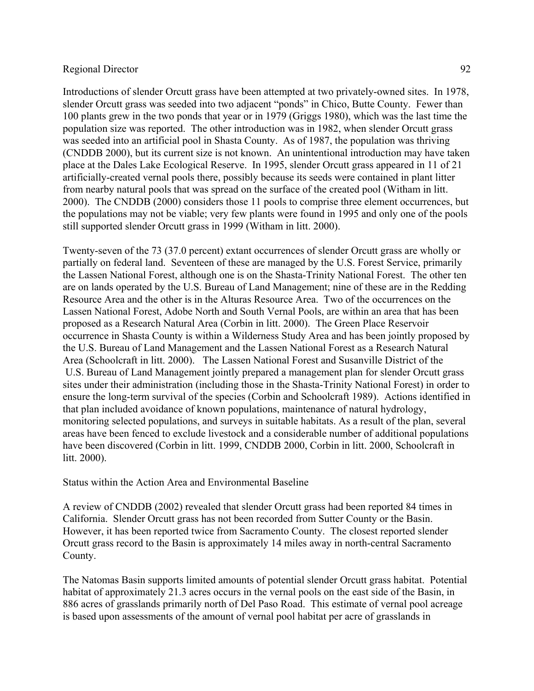Introductions of slender Orcutt grass have been attempted at two privately-owned sites. In 1978, slender Orcutt grass was seeded into two adjacent "ponds" in Chico, Butte County. Fewer than 100 plants grew in the two ponds that year or in 1979 (Griggs 1980), which was the last time the population size was reported. The other introduction was in 1982, when slender Orcutt grass was seeded into an artificial pool in Shasta County. As of 1987, the population was thriving (CNDDB 2000), but its current size is not known. An unintentional introduction may have taken place at the Dales Lake Ecological Reserve. In 1995, slender Orcutt grass appeared in 11 of 21 artificially-created vernal pools there, possibly because its seeds were contained in plant litter from nearby natural pools that was spread on the surface of the created pool (Witham in litt. 2000). The CNDDB (2000) considers those 11 pools to comprise three element occurrences, but the populations may not be viable; very few plants were found in 1995 and only one of the pools still supported slender Orcutt grass in 1999 (Witham in litt. 2000).

Twenty-seven of the 73 (37.0 percent) extant occurrences of slender Orcutt grass are wholly or partially on federal land. Seventeen of these are managed by the U.S. Forest Service, primarily the Lassen National Forest, although one is on the Shasta-Trinity National Forest. The other ten are on lands operated by the U.S. Bureau of Land Management; nine of these are in the Redding Resource Area and the other is in the Alturas Resource Area. Two of the occurrences on the Lassen National Forest, Adobe North and South Vernal Pools, are within an area that has been proposed as a Research Natural Area (Corbin in litt. 2000). The Green Place Reservoir occurrence in Shasta County is within a Wilderness Study Area and has been jointly proposed by the U.S. Bureau of Land Management and the Lassen National Forest as a Research Natural Area (Schoolcraft in litt. 2000). The Lassen National Forest and Susanville District of the U.S. Bureau of Land Management jointly prepared a management plan for slender Orcutt grass sites under their administration (including those in the Shasta-Trinity National Forest) in order to ensure the long-term survival of the species (Corbin and Schoolcraft 1989). Actions identified in that plan included avoidance of known populations, maintenance of natural hydrology, monitoring selected populations, and surveys in suitable habitats. As a result of the plan, several areas have been fenced to exclude livestock and a considerable number of additional populations have been discovered (Corbin in litt. 1999, CNDDB 2000, Corbin in litt. 2000, Schoolcraft in litt. 2000).

Status within the Action Area and Environmental Baseline

A review of CNDDB (2002) revealed that slender Orcutt grass had been reported 84 times in California. Slender Orcutt grass has not been recorded from Sutter County or the Basin. However, it has been reported twice from Sacramento County. The closest reported slender Orcutt grass record to the Basin is approximately 14 miles away in north-central Sacramento County.

The Natomas Basin supports limited amounts of potential slender Orcutt grass habitat. Potential habitat of approximately 21.3 acres occurs in the vernal pools on the east side of the Basin, in 886 acres of grasslands primarily north of Del Paso Road. This estimate of vernal pool acreage is based upon assessments of the amount of vernal pool habitat per acre of grasslands in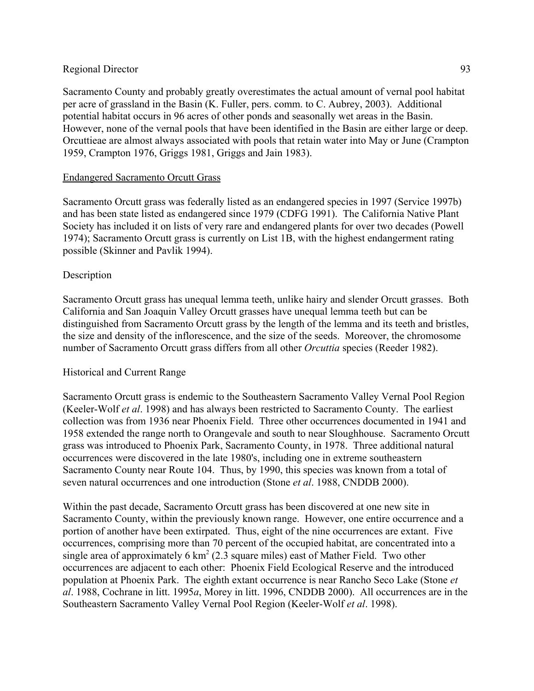Sacramento County and probably greatly overestimates the actual amount of vernal pool habitat per acre of grassland in the Basin (K. Fuller, pers. comm. to C. Aubrey, 2003). Additional potential habitat occurs in 96 acres of other ponds and seasonally wet areas in the Basin. However, none of the vernal pools that have been identified in the Basin are either large or deep. Orcuttieae are almost always associated with pools that retain water into May or June (Crampton 1959, Crampton 1976, Griggs 1981, Griggs and Jain 1983).

# Endangered Sacramento Orcutt Grass

Sacramento Orcutt grass was federally listed as an endangered species in 1997 (Service 1997b) and has been state listed as endangered since 1979 (CDFG 1991). The California Native Plant Society has included it on lists of very rare and endangered plants for over two decades (Powell 1974); Sacramento Orcutt grass is currently on List 1B, with the highest endangerment rating possible (Skinner and Pavlik 1994).

#### Description

Sacramento Orcutt grass has unequal lemma teeth, unlike hairy and slender Orcutt grasses. Both California and San Joaquin Valley Orcutt grasses have unequal lemma teeth but can be distinguished from Sacramento Orcutt grass by the length of the lemma and its teeth and bristles, the size and density of the inflorescence, and the size of the seeds. Moreover, the chromosome number of Sacramento Orcutt grass differs from all other *Orcuttia* species (Reeder 1982).

# Historical and Current Range

Sacramento Orcutt grass is endemic to the Southeastern Sacramento Valley Vernal Pool Region (Keeler-Wolf *et al*. 1998) and has always been restricted to Sacramento County. The earliest collection was from 1936 near Phoenix Field. Three other occurrences documented in 1941 and 1958 extended the range north to Orangevale and south to near Sloughhouse. Sacramento Orcutt grass was introduced to Phoenix Park, Sacramento County, in 1978. Three additional natural occurrences were discovered in the late 1980's, including one in extreme southeastern Sacramento County near Route 104. Thus, by 1990, this species was known from a total of seven natural occurrences and one introduction (Stone *et al*. 1988, CNDDB 2000).

Within the past decade, Sacramento Orcutt grass has been discovered at one new site in Sacramento County, within the previously known range. However, one entire occurrence and a portion of another have been extirpated. Thus, eight of the nine occurrences are extant. Five occurrences, comprising more than 70 percent of the occupied habitat, are concentrated into a single area of approximately 6  $km^2$  (2.3 square miles) east of Mather Field. Two other occurrences are adjacent to each other: Phoenix Field Ecological Reserve and the introduced population at Phoenix Park. The eighth extant occurrence is near Rancho Seco Lake (Stone *et al*. 1988, Cochrane in litt. 1995*a*, Morey in litt. 1996, CNDDB 2000). All occurrences are in the Southeastern Sacramento Valley Vernal Pool Region (Keeler-Wolf *et al*. 1998).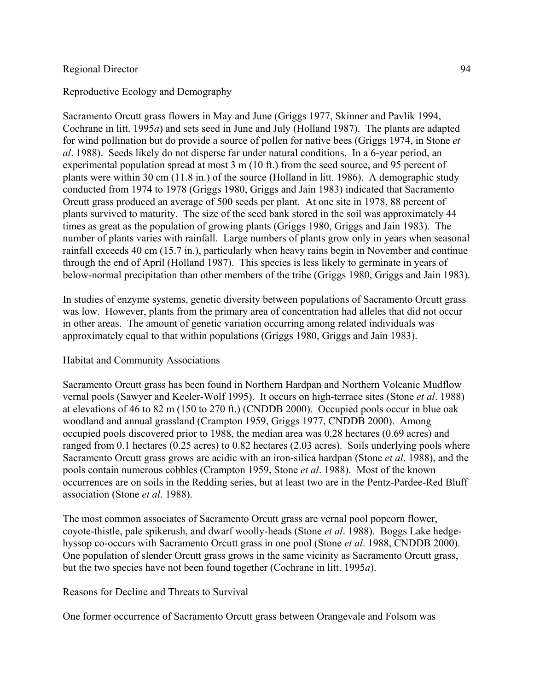# Reproductive Ecology and Demography

Sacramento Orcutt grass flowers in May and June (Griggs 1977, Skinner and Pavlik 1994, Cochrane in litt. 1995*a*) and sets seed in June and July (Holland 1987). The plants are adapted for wind pollination but do provide a source of pollen for native bees (Griggs 1974, in Stone *et al*. 1988). Seeds likely do not disperse far under natural conditions. In a 6-year period, an experimental population spread at most 3 m (10 ft.) from the seed source, and 95 percent of plants were within 30 cm (11.8 in.) of the source (Holland in litt. 1986). A demographic study conducted from 1974 to 1978 (Griggs 1980, Griggs and Jain 1983) indicated that Sacramento Orcutt grass produced an average of 500 seeds per plant. At one site in 1978, 88 percent of plants survived to maturity. The size of the seed bank stored in the soil was approximately 44 times as great as the population of growing plants (Griggs 1980, Griggs and Jain 1983). The number of plants varies with rainfall. Large numbers of plants grow only in years when seasonal rainfall exceeds 40 cm (15.7 in.), particularly when heavy rains begin in November and continue through the end of April (Holland 1987). This species is less likely to germinate in years of below-normal precipitation than other members of the tribe (Griggs 1980, Griggs and Jain 1983).

In studies of enzyme systems, genetic diversity between populations of Sacramento Orcutt grass was low. However, plants from the primary area of concentration had alleles that did not occur in other areas. The amount of genetic variation occurring among related individuals was approximately equal to that within populations (Griggs 1980, Griggs and Jain 1983).

# Habitat and Community Associations

Sacramento Orcutt grass has been found in Northern Hardpan and Northern Volcanic Mudflow vernal pools (Sawyer and Keeler-Wolf 1995). It occurs on high-terrace sites (Stone *et al*. 1988) at elevations of 46 to 82 m (150 to 270 ft.) (CNDDB 2000). Occupied pools occur in blue oak woodland and annual grassland (Crampton 1959, Griggs 1977, CNDDB 2000). Among occupied pools discovered prior to 1988, the median area was 0.28 hectares (0.69 acres) and ranged from 0.1 hectares (0.25 acres) to 0.82 hectares (2.03 acres). Soils underlying pools where Sacramento Orcutt grass grows are acidic with an iron-silica hardpan (Stone *et al*. 1988), and the pools contain numerous cobbles (Crampton 1959, Stone *et al*. 1988). Most of the known occurrences are on soils in the Redding series, but at least two are in the Pentz-Pardee-Red Bluff association (Stone *et al*. 1988).

The most common associates of Sacramento Orcutt grass are vernal pool popcorn flower, coyote-thistle, pale spikerush, and dwarf woolly-heads (Stone *et al*. 1988). Boggs Lake hedgehyssop co-occurs with Sacramento Orcutt grass in one pool (Stone *et al*. 1988, CNDDB 2000). One population of slender Orcutt grass grows in the same vicinity as Sacramento Orcutt grass, but the two species have not been found together (Cochrane in litt. 1995*a*).

# Reasons for Decline and Threats to Survival

One former occurrence of Sacramento Orcutt grass between Orangevale and Folsom was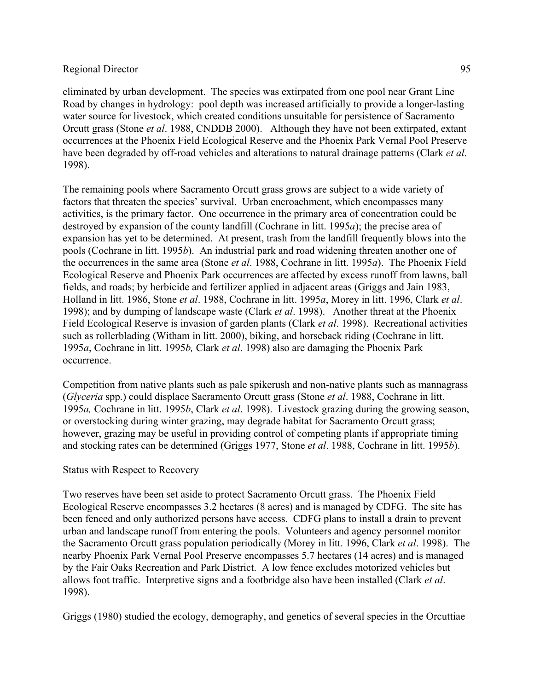eliminated by urban development. The species was extirpated from one pool near Grant Line Road by changes in hydrology: pool depth was increased artificially to provide a longer-lasting water source for livestock, which created conditions unsuitable for persistence of Sacramento Orcutt grass (Stone *et al*. 1988, CNDDB 2000). Although they have not been extirpated, extant occurrences at the Phoenix Field Ecological Reserve and the Phoenix Park Vernal Pool Preserve have been degraded by off-road vehicles and alterations to natural drainage patterns (Clark *et al*. 1998).

The remaining pools where Sacramento Orcutt grass grows are subject to a wide variety of factors that threaten the species' survival. Urban encroachment, which encompasses many activities, is the primary factor. One occurrence in the primary area of concentration could be destroyed by expansion of the county landfill (Cochrane in litt. 1995*a*); the precise area of expansion has yet to be determined. At present, trash from the landfill frequently blows into the pools (Cochrane in litt. 1995*b*). An industrial park and road widening threaten another one of the occurrences in the same area (Stone *et al*. 1988, Cochrane in litt. 1995*a*). The Phoenix Field Ecological Reserve and Phoenix Park occurrences are affected by excess runoff from lawns, ball fields, and roads; by herbicide and fertilizer applied in adjacent areas (Griggs and Jain 1983, Holland in litt. 1986, Stone *et al*. 1988, Cochrane in litt. 1995*a*, Morey in litt. 1996, Clark *et al*. 1998); and by dumping of landscape waste (Clark *et al*. 1998). Another threat at the Phoenix Field Ecological Reserve is invasion of garden plants (Clark *et al*. 1998). Recreational activities such as rollerblading (Witham in litt. 2000), biking, and horseback riding (Cochrane in litt. 1995*a*, Cochrane in litt. 1995*b,* Clark *et al*. 1998) also are damaging the Phoenix Park occurrence.

Competition from native plants such as pale spikerush and non-native plants such as mannagrass (*Glyceria* spp.) could displace Sacramento Orcutt grass (Stone *et al*. 1988, Cochrane in litt. 1995*a,* Cochrane in litt. 1995*b*, Clark *et al*. 1998). Livestock grazing during the growing season, or overstocking during winter grazing, may degrade habitat for Sacramento Orcutt grass; however, grazing may be useful in providing control of competing plants if appropriate timing and stocking rates can be determined (Griggs 1977, Stone *et al*. 1988, Cochrane in litt. 1995*b*).

# Status with Respect to Recovery

Two reserves have been set aside to protect Sacramento Orcutt grass. The Phoenix Field Ecological Reserve encompasses 3.2 hectares (8 acres) and is managed by CDFG. The site has been fenced and only authorized persons have access. CDFG plans to install a drain to prevent urban and landscape runoff from entering the pools. Volunteers and agency personnel monitor the Sacramento Orcutt grass population periodically (Morey in litt. 1996, Clark *et al*. 1998). The nearby Phoenix Park Vernal Pool Preserve encompasses 5.7 hectares (14 acres) and is managed by the Fair Oaks Recreation and Park District. A low fence excludes motorized vehicles but allows foot traffic. Interpretive signs and a footbridge also have been installed (Clark *et al*. 1998).

Griggs (1980) studied the ecology, demography, and genetics of several species in the Orcuttiae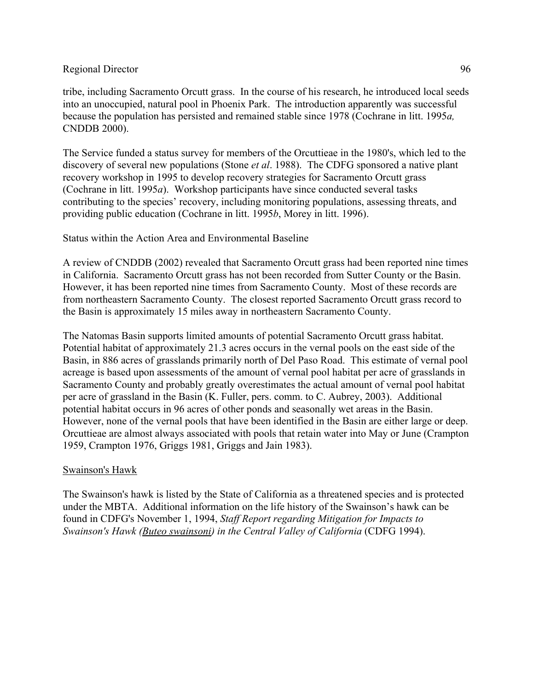tribe, including Sacramento Orcutt grass. In the course of his research, he introduced local seeds into an unoccupied, natural pool in Phoenix Park. The introduction apparently was successful because the population has persisted and remained stable since 1978 (Cochrane in litt. 1995*a,* CNDDB 2000).

The Service funded a status survey for members of the Orcuttieae in the 1980's, which led to the discovery of several new populations (Stone *et al*. 1988). The CDFG sponsored a native plant recovery workshop in 1995 to develop recovery strategies for Sacramento Orcutt grass (Cochrane in litt. 1995*a*). Workshop participants have since conducted several tasks contributing to the species' recovery, including monitoring populations, assessing threats, and providing public education (Cochrane in litt. 1995*b*, Morey in litt. 1996).

# Status within the Action Area and Environmental Baseline

A review of CNDDB (2002) revealed that Sacramento Orcutt grass had been reported nine times in California. Sacramento Orcutt grass has not been recorded from Sutter County or the Basin. However, it has been reported nine times from Sacramento County. Most of these records are from northeastern Sacramento County. The closest reported Sacramento Orcutt grass record to the Basin is approximately 15 miles away in northeastern Sacramento County.

The Natomas Basin supports limited amounts of potential Sacramento Orcutt grass habitat. Potential habitat of approximately 21.3 acres occurs in the vernal pools on the east side of the Basin, in 886 acres of grasslands primarily north of Del Paso Road. This estimate of vernal pool acreage is based upon assessments of the amount of vernal pool habitat per acre of grasslands in Sacramento County and probably greatly overestimates the actual amount of vernal pool habitat per acre of grassland in the Basin (K. Fuller, pers. comm. to C. Aubrey, 2003). Additional potential habitat occurs in 96 acres of other ponds and seasonally wet areas in the Basin. However, none of the vernal pools that have been identified in the Basin are either large or deep. Orcuttieae are almost always associated with pools that retain water into May or June (Crampton 1959, Crampton 1976, Griggs 1981, Griggs and Jain 1983).

# Swainson's Hawk

The Swainson's hawk is listed by the State of California as a threatened species and is protected under the MBTA. Additional information on the life history of the Swainson's hawk can be found in CDFG's November 1, 1994, *Staff Report regarding Mitigation for Impacts to Swainson's Hawk (Buteo swainsoni) in the Central Valley of California* (CDFG 1994).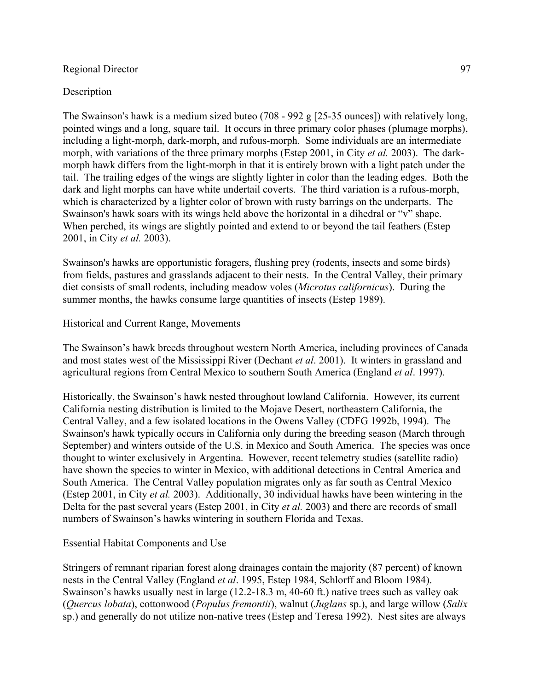#### Description

The Swainson's hawk is a medium sized buteo (708 - 992 g [25-35 ounces]) with relatively long, pointed wings and a long, square tail. It occurs in three primary color phases (plumage morphs), including a light-morph, dark-morph, and rufous-morph. Some individuals are an intermediate morph, with variations of the three primary morphs (Estep 2001, in City *et al.* 2003). The darkmorph hawk differs from the light-morph in that it is entirely brown with a light patch under the tail. The trailing edges of the wings are slightly lighter in color than the leading edges. Both the dark and light morphs can have white undertail coverts. The third variation is a rufous-morph, which is characterized by a lighter color of brown with rusty barrings on the underparts. The Swainson's hawk soars with its wings held above the horizontal in a dihedral or "v" shape. When perched, its wings are slightly pointed and extend to or beyond the tail feathers (Estep 2001, in City *et al.* 2003).

Swainson's hawks are opportunistic foragers, flushing prey (rodents, insects and some birds) from fields, pastures and grasslands adjacent to their nests. In the Central Valley, their primary diet consists of small rodents, including meadow voles (*Microtus californicus*). During the summer months, the hawks consume large quantities of insects (Estep 1989).

#### Historical and Current Range, Movements

The Swainson's hawk breeds throughout western North America, including provinces of Canada and most states west of the Mississippi River (Dechant *et al*. 2001). It winters in grassland and agricultural regions from Central Mexico to southern South America (England *et al*. 1997).

Historically, the Swainson's hawk nested throughout lowland California. However, its current California nesting distribution is limited to the Mojave Desert, northeastern California, the Central Valley, and a few isolated locations in the Owens Valley (CDFG 1992b, 1994). The Swainson's hawk typically occurs in California only during the breeding season (March through September) and winters outside of the U.S. in Mexico and South America. The species was once thought to winter exclusively in Argentina. However, recent telemetry studies (satellite radio) have shown the species to winter in Mexico, with additional detections in Central America and South America. The Central Valley population migrates only as far south as Central Mexico (Estep 2001, in City *et al.* 2003). Additionally, 30 individual hawks have been wintering in the Delta for the past several years (Estep 2001, in City *et al.* 2003) and there are records of small numbers of Swainson's hawks wintering in southern Florida and Texas.

# Essential Habitat Components and Use

Stringers of remnant riparian forest along drainages contain the majority (87 percent) of known nests in the Central Valley (England *et al*. 1995, Estep 1984, Schlorff and Bloom 1984). Swainson's hawks usually nest in large (12.2-18.3 m, 40-60 ft.) native trees such as valley oak (*Quercus lobata*), cottonwood (*Populus fremontii*), walnut (*Juglans* sp.), and large willow (*Salix* sp.) and generally do not utilize non-native trees (Estep and Teresa 1992). Nest sites are always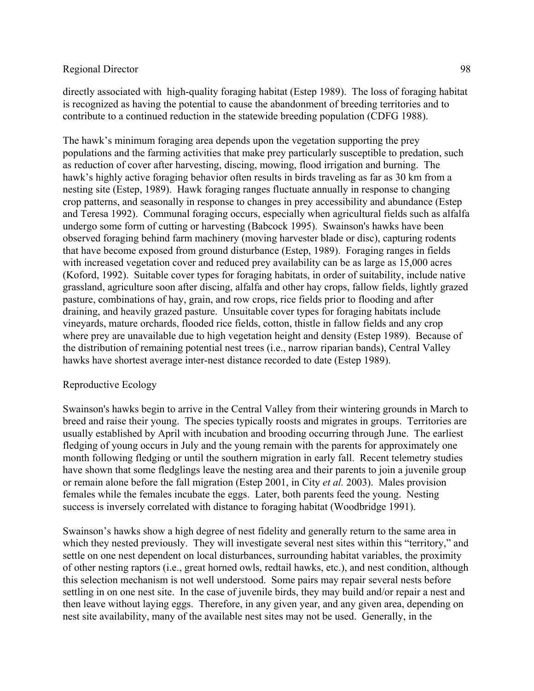directly associated with high-quality foraging habitat (Estep 1989). The loss of foraging habitat is recognized as having the potential to cause the abandonment of breeding territories and to contribute to a continued reduction in the statewide breeding population (CDFG 1988).

The hawk's minimum foraging area depends upon the vegetation supporting the prey populations and the farming activities that make prey particularly susceptible to predation, such as reduction of cover after harvesting, discing, mowing, flood irrigation and burning. The hawk's highly active foraging behavior often results in birds traveling as far as 30 km from a nesting site (Estep, 1989). Hawk foraging ranges fluctuate annually in response to changing crop patterns, and seasonally in response to changes in prey accessibility and abundance (Estep and Teresa 1992). Communal foraging occurs, especially when agricultural fields such as alfalfa undergo some form of cutting or harvesting (Babcock 1995). Swainson's hawks have been observed foraging behind farm machinery (moving harvester blade or disc), capturing rodents that have become exposed from ground disturbance (Estep, 1989). Foraging ranges in fields with increased vegetation cover and reduced prey availability can be as large as 15,000 acres (Koford, 1992). Suitable cover types for foraging habitats, in order of suitability, include native grassland, agriculture soon after discing, alfalfa and other hay crops, fallow fields, lightly grazed pasture, combinations of hay, grain, and row crops, rice fields prior to flooding and after draining, and heavily grazed pasture. Unsuitable cover types for foraging habitats include vineyards, mature orchards, flooded rice fields, cotton, thistle in fallow fields and any crop where prey are unavailable due to high vegetation height and density (Estep 1989). Because of the distribution of remaining potential nest trees (i.e., narrow riparian bands), Central Valley hawks have shortest average inter-nest distance recorded to date (Estep 1989).

# Reproductive Ecology

Swainson's hawks begin to arrive in the Central Valley from their wintering grounds in March to breed and raise their young. The species typically roosts and migrates in groups. Territories are usually established by April with incubation and brooding occurring through June. The earliest fledging of young occurs in July and the young remain with the parents for approximately one month following fledging or until the southern migration in early fall. Recent telemetry studies have shown that some fledglings leave the nesting area and their parents to join a juvenile group or remain alone before the fall migration (Estep 2001, in City *et al.* 2003). Males provision females while the females incubate the eggs. Later, both parents feed the young. Nesting success is inversely correlated with distance to foraging habitat (Woodbridge 1991).

Swainson's hawks show a high degree of nest fidelity and generally return to the same area in which they nested previously. They will investigate several nest sites within this "territory," and settle on one nest dependent on local disturbances, surrounding habitat variables, the proximity of other nesting raptors (i.e., great horned owls, redtail hawks, etc.), and nest condition, although this selection mechanism is not well understood. Some pairs may repair several nests before settling in on one nest site. In the case of juvenile birds, they may build and/or repair a nest and then leave without laying eggs. Therefore, in any given year, and any given area, depending on nest site availability, many of the available nest sites may not be used. Generally, in the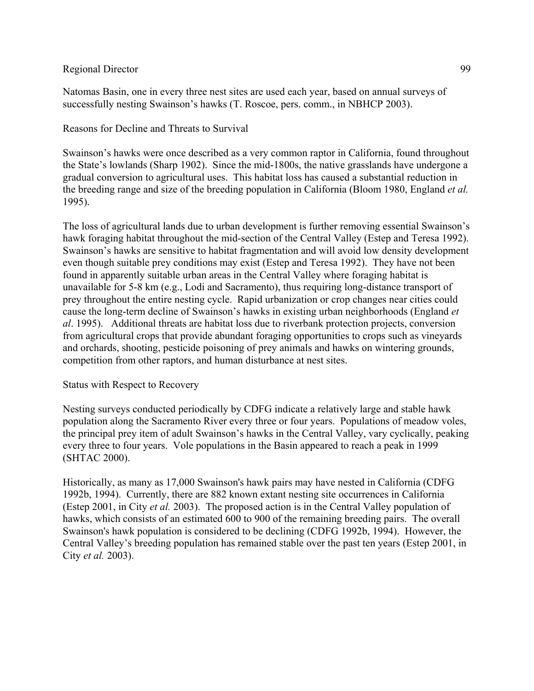Natomas Basin, one in every three nest sites are used each year, based on annual surveys of successfully nesting Swainson's hawks (T. Roscoe, pers. comm., in NBHCP 2003).

Reasons for Decline and Threats to Survival

Swainson's hawks were once described as a very common raptor in California, found throughout the State's lowlands (Sharp 1902). Since the mid-1800s, the native grasslands have undergone a gradual conversion to agricultural uses. This habitat loss has caused a substantial reduction in the breeding range and size of the breeding population in California (Bloom 1980, England *et al.* 1995).

The loss of agricultural lands due to urban development is further removing essential Swainson's hawk foraging habitat throughout the mid-section of the Central Valley (Estep and Teresa 1992). Swainson's hawks are sensitive to habitat fragmentation and will avoid low density development even though suitable prey conditions may exist (Estep and Teresa 1992). They have not been found in apparently suitable urban areas in the Central Valley where foraging habitat is unavailable for 5-8 km (e.g., Lodi and Sacramento), thus requiring long-distance transport of prey throughout the entire nesting cycle. Rapid urbanization or crop changes near cities could cause the long-term decline of Swainson's hawks in existing urban neighborhoods (England *et al*. 1995). Additional threats are habitat loss due to riverbank protection projects, conversion from agricultural crops that provide abundant foraging opportunities to crops such as vineyards and orchards, shooting, pesticide poisoning of prey animals and hawks on wintering grounds, competition from other raptors, and human disturbance at nest sites.

# Status with Respect to Recovery

Nesting surveys conducted periodically by CDFG indicate a relatively large and stable hawk population along the Sacramento River every three or four years. Populations of meadow voles, the principal prey item of adult Swainson's hawks in the Central Valley, vary cyclically, peaking every three to four years. Vole populations in the Basin appeared to reach a peak in 1999 (SHTAC 2000).

Historically, as many as 17,000 Swainson's hawk pairs may have nested in California (CDFG 1992b, 1994). Currently, there are 882 known extant nesting site occurrences in California (Estep 2001, in City *et al.* 2003). The proposed action is in the Central Valley population of hawks, which consists of an estimated 600 to 900 of the remaining breeding pairs. The overall Swainson's hawk population is considered to be declining (CDFG 1992b, 1994). However, the Central Valley's breeding population has remained stable over the past ten years (Estep 2001, in City *et al.* 2003).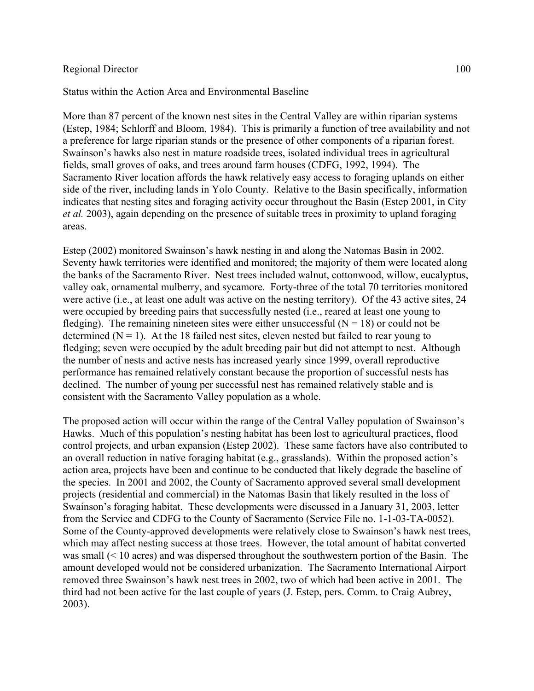#### Status within the Action Area and Environmental Baseline

More than 87 percent of the known nest sites in the Central Valley are within riparian systems (Estep, 1984; Schlorff and Bloom, 1984). This is primarily a function of tree availability and not a preference for large riparian stands or the presence of other components of a riparian forest. Swainson's hawks also nest in mature roadside trees, isolated individual trees in agricultural fields, small groves of oaks, and trees around farm houses (CDFG, 1992, 1994). The Sacramento River location affords the hawk relatively easy access to foraging uplands on either side of the river, including lands in Yolo County. Relative to the Basin specifically, information indicates that nesting sites and foraging activity occur throughout the Basin (Estep 2001, in City *et al.* 2003), again depending on the presence of suitable trees in proximity to upland foraging areas.

Estep (2002) monitored Swainson's hawk nesting in and along the Natomas Basin in 2002. Seventy hawk territories were identified and monitored; the majority of them were located along the banks of the Sacramento River. Nest trees included walnut, cottonwood, willow, eucalyptus, valley oak, ornamental mulberry, and sycamore. Forty-three of the total 70 territories monitored were active (i.e., at least one adult was active on the nesting territory). Of the 43 active sites, 24 were occupied by breeding pairs that successfully nested (i.e., reared at least one young to fledging). The remaining nineteen sites were either unsuccessful  $(N = 18)$  or could not be determined ( $N = 1$ ). At the 18 failed nest sites, eleven nested but failed to rear young to fledging; seven were occupied by the adult breeding pair but did not attempt to nest. Although the number of nests and active nests has increased yearly since 1999, overall reproductive performance has remained relatively constant because the proportion of successful nests has declined. The number of young per successful nest has remained relatively stable and is consistent with the Sacramento Valley population as a whole.

The proposed action will occur within the range of the Central Valley population of Swainson's Hawks. Much of this population's nesting habitat has been lost to agricultural practices, flood control projects, and urban expansion (Estep 2002). These same factors have also contributed to an overall reduction in native foraging habitat (e.g., grasslands). Within the proposed action's action area, projects have been and continue to be conducted that likely degrade the baseline of the species. In 2001 and 2002, the County of Sacramento approved several small development projects (residential and commercial) in the Natomas Basin that likely resulted in the loss of Swainson's foraging habitat. These developments were discussed in a January 31, 2003, letter from the Service and CDFG to the County of Sacramento (Service File no. 1-1-03-TA-0052). Some of the County-approved developments were relatively close to Swainson's hawk nest trees, which may affect nesting success at those trees. However, the total amount of habitat converted was small (< 10 acres) and was dispersed throughout the southwestern portion of the Basin. The amount developed would not be considered urbanization. The Sacramento International Airport removed three Swainson's hawk nest trees in 2002, two of which had been active in 2001. The third had not been active for the last couple of years (J. Estep, pers. Comm. to Craig Aubrey, 2003).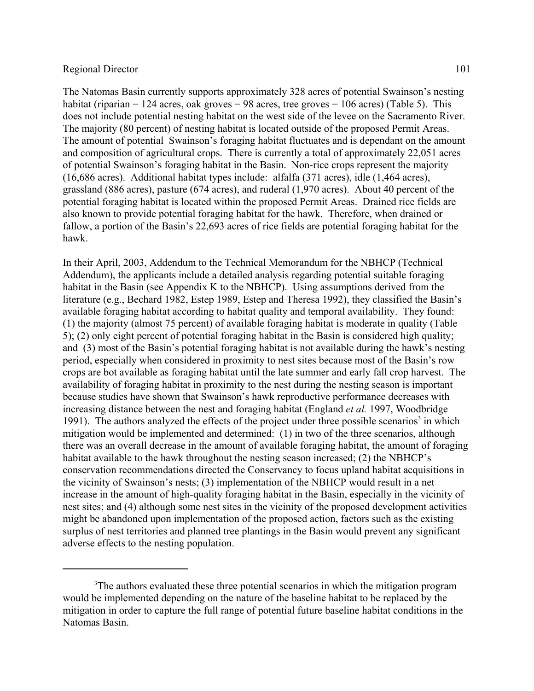The Natomas Basin currently supports approximately 328 acres of potential Swainson's nesting habitat (riparian = 124 acres, oak groves = 98 acres, tree groves = 106 acres) (Table 5). This does not include potential nesting habitat on the west side of the levee on the Sacramento River. The majority (80 percent) of nesting habitat is located outside of the proposed Permit Areas. The amount of potential Swainson's foraging habitat fluctuates and is dependant on the amount and composition of agricultural crops. There is currently a total of approximately 22,051 acres of potential Swainson's foraging habitat in the Basin. Non-rice crops represent the majority (16,686 acres). Additional habitat types include: alfalfa (371 acres), idle (1,464 acres), grassland (886 acres), pasture (674 acres), and ruderal (1,970 acres). About 40 percent of the potential foraging habitat is located within the proposed Permit Areas. Drained rice fields are also known to provide potential foraging habitat for the hawk. Therefore, when drained or fallow, a portion of the Basin's 22,693 acres of rice fields are potential foraging habitat for the hawk.

In their April, 2003, Addendum to the Technical Memorandum for the NBHCP (Technical Addendum), the applicants include a detailed analysis regarding potential suitable foraging habitat in the Basin (see Appendix K to the NBHCP). Using assumptions derived from the literature (e.g., Bechard 1982, Estep 1989, Estep and Theresa 1992), they classified the Basin's available foraging habitat according to habitat quality and temporal availability. They found: (1) the majority (almost 75 percent) of available foraging habitat is moderate in quality (Table 5); (2) only eight percent of potential foraging habitat in the Basin is considered high quality; and (3) most of the Basin's potential foraging habitat is not available during the hawk's nesting period, especially when considered in proximity to nest sites because most of the Basin's row crops are bot available as foraging habitat until the late summer and early fall crop harvest. The availability of foraging habitat in proximity to the nest during the nesting season is important because studies have shown that Swainson's hawk reproductive performance decreases with increasing distance between the nest and foraging habitat (England *et al.* 1997, Woodbridge 1991). The authors analyzed the effects of the project under three possible scenarios<sup>3</sup> in which mitigation would be implemented and determined: (1) in two of the three scenarios, although there was an overall decrease in the amount of available foraging habitat, the amount of foraging habitat available to the hawk throughout the nesting season increased; (2) the NBHCP's conservation recommendations directed the Conservancy to focus upland habitat acquisitions in the vicinity of Swainson's nests; (3) implementation of the NBHCP would result in a net increase in the amount of high-quality foraging habitat in the Basin, especially in the vicinity of nest sites; and (4) although some nest sites in the vicinity of the proposed development activities might be abandoned upon implementation of the proposed action, factors such as the existing surplus of nest territories and planned tree plantings in the Basin would prevent any significant adverse effects to the nesting population.

<sup>&</sup>lt;sup>3</sup>The authors evaluated these three potential scenarios in which the mitigation program would be implemented depending on the nature of the baseline habitat to be replaced by the mitigation in order to capture the full range of potential future baseline habitat conditions in the Natomas Basin.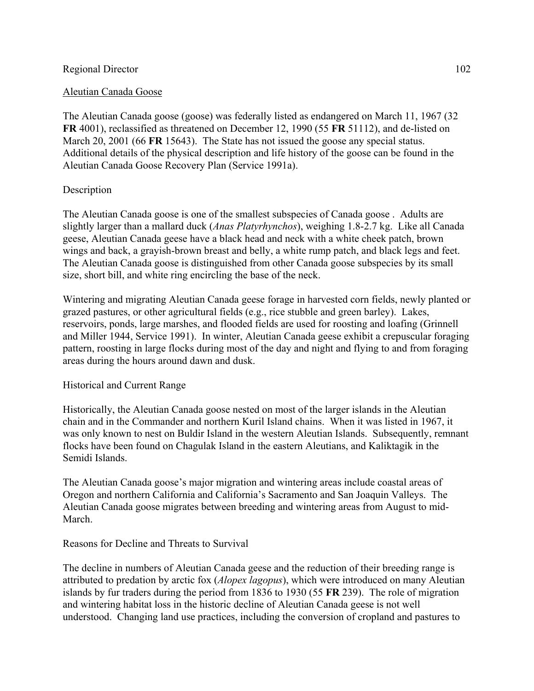#### Aleutian Canada Goose

The Aleutian Canada goose (goose) was federally listed as endangered on March 11, 1967 (32 **FR** 4001), reclassified as threatened on December 12, 1990 (55 **FR** 51112), and de-listed on March 20, 2001 (66 **FR** 15643). The State has not issued the goose any special status. Additional details of the physical description and life history of the goose can be found in the Aleutian Canada Goose Recovery Plan (Service 1991a).

# Description

The Aleutian Canada goose is one of the smallest subspecies of Canada goose . Adults are slightly larger than a mallard duck (*Anas Platyrhynchos*), weighing 1.8-2.7 kg. Like all Canada geese, Aleutian Canada geese have a black head and neck with a white cheek patch, brown wings and back, a grayish-brown breast and belly, a white rump patch, and black legs and feet. The Aleutian Canada goose is distinguished from other Canada goose subspecies by its small size, short bill, and white ring encircling the base of the neck.

Wintering and migrating Aleutian Canada geese forage in harvested corn fields, newly planted or grazed pastures, or other agricultural fields (e.g., rice stubble and green barley). Lakes, reservoirs, ponds, large marshes, and flooded fields are used for roosting and loafing (Grinnell and Miller 1944, Service 1991). In winter, Aleutian Canada geese exhibit a crepuscular foraging pattern, roosting in large flocks during most of the day and night and flying to and from foraging areas during the hours around dawn and dusk.

# Historical and Current Range

Historically, the Aleutian Canada goose nested on most of the larger islands in the Aleutian chain and in the Commander and northern Kuril Island chains. When it was listed in 1967, it was only known to nest on Buldir Island in the western Aleutian Islands. Subsequently, remnant flocks have been found on Chagulak Island in the eastern Aleutians, and Kaliktagik in the Semidi Islands.

The Aleutian Canada goose's major migration and wintering areas include coastal areas of Oregon and northern California and California's Sacramento and San Joaquin Valleys. The Aleutian Canada goose migrates between breeding and wintering areas from August to mid-March.

Reasons for Decline and Threats to Survival

The decline in numbers of Aleutian Canada geese and the reduction of their breeding range is attributed to predation by arctic fox (*Alopex lagopus*), which were introduced on many Aleutian islands by fur traders during the period from 1836 to 1930 (55 **FR** 239). The role of migration and wintering habitat loss in the historic decline of Aleutian Canada geese is not well understood. Changing land use practices, including the conversion of cropland and pastures to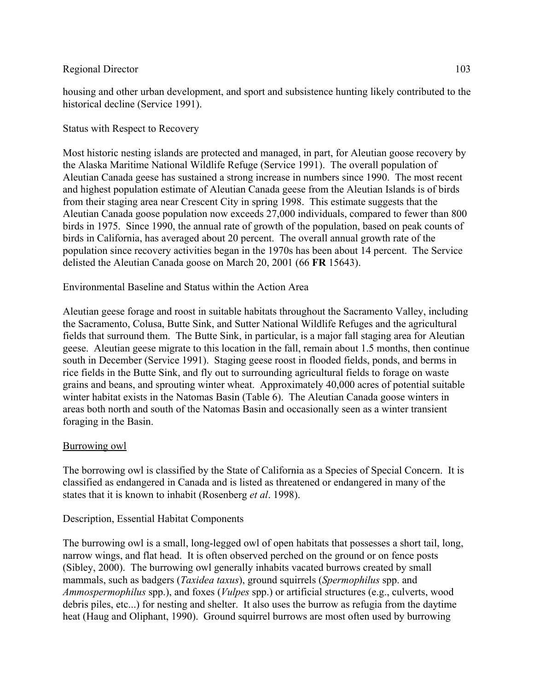housing and other urban development, and sport and subsistence hunting likely contributed to the historical decline (Service 1991).

# Status with Respect to Recovery

Most historic nesting islands are protected and managed, in part, for Aleutian goose recovery by the Alaska Maritime National Wildlife Refuge (Service 1991). The overall population of Aleutian Canada geese has sustained a strong increase in numbers since 1990. The most recent and highest population estimate of Aleutian Canada geese from the Aleutian Islands is of birds from their staging area near Crescent City in spring 1998. This estimate suggests that the Aleutian Canada goose population now exceeds 27,000 individuals, compared to fewer than 800 birds in 1975. Since 1990, the annual rate of growth of the population, based on peak counts of birds in California, has averaged about 20 percent. The overall annual growth rate of the population since recovery activities began in the 1970s has been about 14 percent. The Service delisted the Aleutian Canada goose on March 20, 2001 (66 **FR** 15643).

# Environmental Baseline and Status within the Action Area

Aleutian geese forage and roost in suitable habitats throughout the Sacramento Valley, including the Sacramento, Colusa, Butte Sink, and Sutter National Wildlife Refuges and the agricultural fields that surround them. The Butte Sink, in particular, is a major fall staging area for Aleutian geese. Aleutian geese migrate to this location in the fall, remain about 1.5 months, then continue south in December (Service 1991). Staging geese roost in flooded fields, ponds, and berms in rice fields in the Butte Sink, and fly out to surrounding agricultural fields to forage on waste grains and beans, and sprouting winter wheat. Approximately 40,000 acres of potential suitable winter habitat exists in the Natomas Basin (Table 6). The Aleutian Canada goose winters in areas both north and south of the Natomas Basin and occasionally seen as a winter transient foraging in the Basin.

# Burrowing owl

The borrowing owl is classified by the State of California as a Species of Special Concern. It is classified as endangered in Canada and is listed as threatened or endangered in many of the states that it is known to inhabit (Rosenberg *et al*. 1998).

# Description, Essential Habitat Components

The burrowing owl is a small, long-legged owl of open habitats that possesses a short tail, long, narrow wings, and flat head. It is often observed perched on the ground or on fence posts (Sibley, 2000). The burrowing owl generally inhabits vacated burrows created by small mammals, such as badgers (*Taxidea taxus*), ground squirrels (*Spermophilus* spp. and *Ammospermophilus* spp.), and foxes (*Vulpes* spp.) or artificial structures (e.g., culverts, wood debris piles, etc...) for nesting and shelter. It also uses the burrow as refugia from the daytime heat (Haug and Oliphant, 1990). Ground squirrel burrows are most often used by burrowing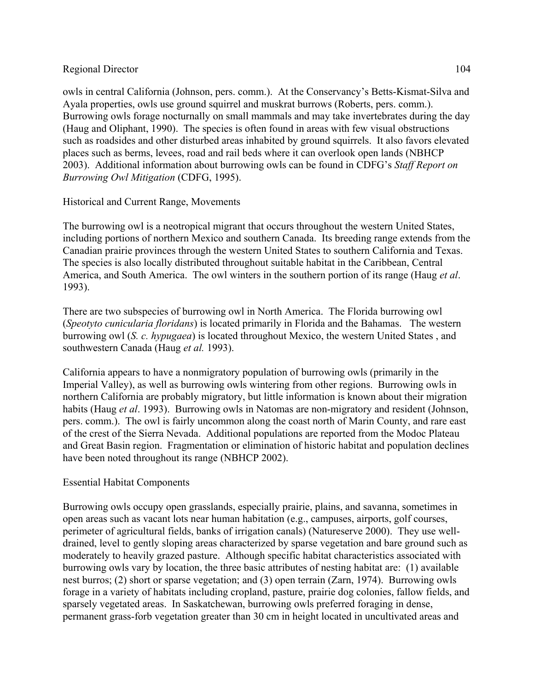owls in central California (Johnson, pers. comm.). At the Conservancy's Betts-Kismat-Silva and Ayala properties, owls use ground squirrel and muskrat burrows (Roberts, pers. comm.). Burrowing owls forage nocturnally on small mammals and may take invertebrates during the day (Haug and Oliphant, 1990). The species is often found in areas with few visual obstructions such as roadsides and other disturbed areas inhabited by ground squirrels. It also favors elevated places such as berms, levees, road and rail beds where it can overlook open lands (NBHCP 2003). Additional information about burrowing owls can be found in CDFG's *Staff Report on Burrowing Owl Mitigation* (CDFG, 1995).

# Historical and Current Range, Movements

The burrowing owl is a neotropical migrant that occurs throughout the western United States, including portions of northern Mexico and southern Canada. Its breeding range extends from the Canadian prairie provinces through the western United States to southern California and Texas. The species is also locally distributed throughout suitable habitat in the Caribbean, Central America, and South America. The owl winters in the southern portion of its range (Haug *et al*. 1993).

There are two subspecies of burrowing owl in North America. The Florida burrowing owl (*Speotyto cunicularia floridans*) is located primarily in Florida and the Bahamas. The western burrowing owl (*S. c. hypugaea*) is located throughout Mexico, the western United States , and southwestern Canada (Haug *et al.* 1993).

California appears to have a nonmigratory population of burrowing owls (primarily in the Imperial Valley), as well as burrowing owls wintering from other regions. Burrowing owls in northern California are probably migratory, but little information is known about their migration habits (Haug *et al*. 1993). Burrowing owls in Natomas are non-migratory and resident (Johnson, pers. comm.). The owl is fairly uncommon along the coast north of Marin County, and rare east of the crest of the Sierra Nevada. Additional populations are reported from the Modoc Plateau and Great Basin region. Fragmentation or elimination of historic habitat and population declines have been noted throughout its range (NBHCP 2002).

# Essential Habitat Components

Burrowing owls occupy open grasslands, especially prairie, plains, and savanna, sometimes in open areas such as vacant lots near human habitation (e.g., campuses, airports, golf courses, perimeter of agricultural fields, banks of irrigation canals) (Natureserve 2000). They use welldrained, level to gently sloping areas characterized by sparse vegetation and bare ground such as moderately to heavily grazed pasture. Although specific habitat characteristics associated with burrowing owls vary by location, the three basic attributes of nesting habitat are: (1) available nest burros; (2) short or sparse vegetation; and (3) open terrain (Zarn, 1974). Burrowing owls forage in a variety of habitats including cropland, pasture, prairie dog colonies, fallow fields, and sparsely vegetated areas. In Saskatchewan, burrowing owls preferred foraging in dense, permanent grass-forb vegetation greater than 30 cm in height located in uncultivated areas and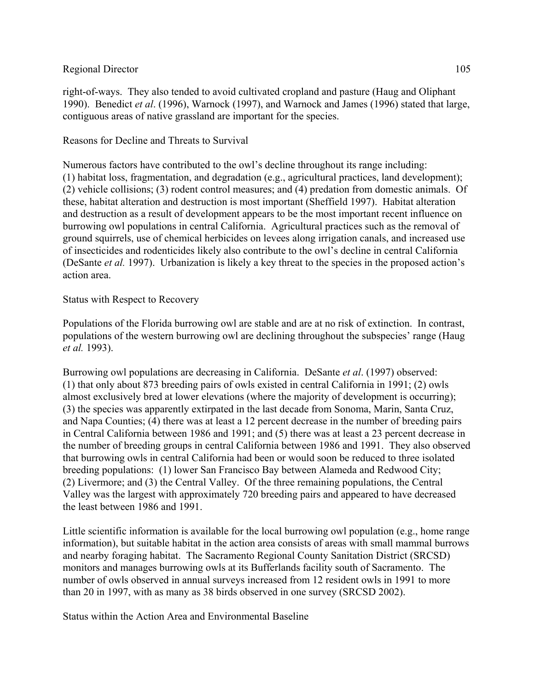right-of-ways. They also tended to avoid cultivated cropland and pasture (Haug and Oliphant 1990). Benedict *et al*. (1996), Warnock (1997), and Warnock and James (1996) stated that large, contiguous areas of native grassland are important for the species.

# Reasons for Decline and Threats to Survival

Numerous factors have contributed to the owl's decline throughout its range including: (1) habitat loss, fragmentation, and degradation (e.g., agricultural practices, land development); (2) vehicle collisions; (3) rodent control measures; and (4) predation from domestic animals. Of these, habitat alteration and destruction is most important (Sheffield 1997). Habitat alteration and destruction as a result of development appears to be the most important recent influence on burrowing owl populations in central California. Agricultural practices such as the removal of ground squirrels, use of chemical herbicides on levees along irrigation canals, and increased use of insecticides and rodenticides likely also contribute to the owl's decline in central California (DeSante *et al.* 1997). Urbanization is likely a key threat to the species in the proposed action's action area.

# Status with Respect to Recovery

Populations of the Florida burrowing owl are stable and are at no risk of extinction. In contrast, populations of the western burrowing owl are declining throughout the subspecies' range (Haug *et al.* 1993).

Burrowing owl populations are decreasing in California. DeSante *et al*. (1997) observed: (1) that only about 873 breeding pairs of owls existed in central California in 1991; (2) owls almost exclusively bred at lower elevations (where the majority of development is occurring); (3) the species was apparently extirpated in the last decade from Sonoma, Marin, Santa Cruz, and Napa Counties; (4) there was at least a 12 percent decrease in the number of breeding pairs in Central California between 1986 and 1991; and (5) there was at least a 23 percent decrease in the number of breeding groups in central California between 1986 and 1991. They also observed that burrowing owls in central California had been or would soon be reduced to three isolated breeding populations: (1) lower San Francisco Bay between Alameda and Redwood City; (2) Livermore; and (3) the Central Valley. Of the three remaining populations, the Central Valley was the largest with approximately 720 breeding pairs and appeared to have decreased the least between 1986 and 1991.

Little scientific information is available for the local burrowing owl population (e.g., home range information), but suitable habitat in the action area consists of areas with small mammal burrows and nearby foraging habitat. The Sacramento Regional County Sanitation District (SRCSD) monitors and manages burrowing owls at its Bufferlands facility south of Sacramento. The number of owls observed in annual surveys increased from 12 resident owls in 1991 to more than 20 in 1997, with as many as 38 birds observed in one survey (SRCSD 2002).

Status within the Action Area and Environmental Baseline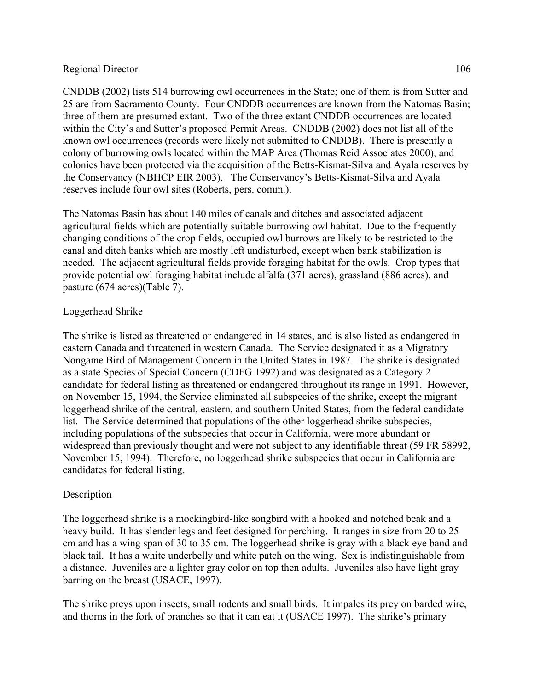CNDDB (2002) lists 514 burrowing owl occurrences in the State; one of them is from Sutter and 25 are from Sacramento County. Four CNDDB occurrences are known from the Natomas Basin; three of them are presumed extant. Two of the three extant CNDDB occurrences are located within the City's and Sutter's proposed Permit Areas. CNDDB (2002) does not list all of the known owl occurrences (records were likely not submitted to CNDDB). There is presently a colony of burrowing owls located within the MAP Area (Thomas Reid Associates 2000), and colonies have been protected via the acquisition of the Betts-Kismat-Silva and Ayala reserves by the Conservancy (NBHCP EIR 2003). The Conservancy's Betts-Kismat-Silva and Ayala reserves include four owl sites (Roberts, pers. comm.).

The Natomas Basin has about 140 miles of canals and ditches and associated adjacent agricultural fields which are potentially suitable burrowing owl habitat. Due to the frequently changing conditions of the crop fields, occupied owl burrows are likely to be restricted to the canal and ditch banks which are mostly left undisturbed, except when bank stabilization is needed. The adjacent agricultural fields provide foraging habitat for the owls. Crop types that provide potential owl foraging habitat include alfalfa (371 acres), grassland (886 acres), and pasture (674 acres)(Table 7).

# Loggerhead Shrike

The shrike is listed as threatened or endangered in 14 states, and is also listed as endangered in eastern Canada and threatened in western Canada. The Service designated it as a Migratory Nongame Bird of Management Concern in the United States in 1987. The shrike is designated as a state Species of Special Concern (CDFG 1992) and was designated as a Category 2 candidate for federal listing as threatened or endangered throughout its range in 1991. However, on November 15, 1994, the Service eliminated all subspecies of the shrike, except the migrant loggerhead shrike of the central, eastern, and southern United States, from the federal candidate list. The Service determined that populations of the other loggerhead shrike subspecies, including populations of the subspecies that occur in California, were more abundant or widespread than previously thought and were not subject to any identifiable threat (59 FR 58992, November 15, 1994). Therefore, no loggerhead shrike subspecies that occur in California are candidates for federal listing.

# Description

The loggerhead shrike is a mockingbird-like songbird with a hooked and notched beak and a heavy build. It has slender legs and feet designed for perching. It ranges in size from 20 to 25 cm and has a wing span of 30 to 35 cm. The loggerhead shrike is gray with a black eye band and black tail. It has a white underbelly and white patch on the wing. Sex is indistinguishable from a distance. Juveniles are a lighter gray color on top then adults. Juveniles also have light gray barring on the breast (USACE, 1997).

The shrike preys upon insects, small rodents and small birds. It impales its prey on barded wire, and thorns in the fork of branches so that it can eat it (USACE 1997). The shrike's primary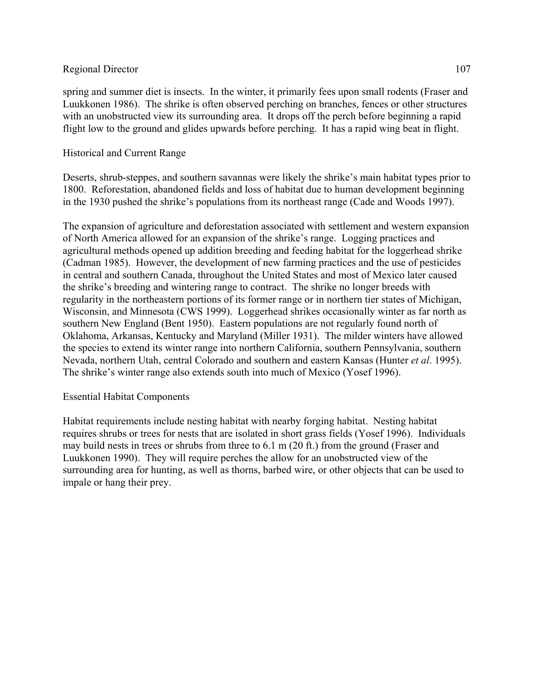spring and summer diet is insects. In the winter, it primarily fees upon small rodents (Fraser and Luukkonen 1986). The shrike is often observed perching on branches, fences or other structures with an unobstructed view its surrounding area. It drops off the perch before beginning a rapid flight low to the ground and glides upwards before perching. It has a rapid wing beat in flight.

# Historical and Current Range

Deserts, shrub-steppes, and southern savannas were likely the shrike's main habitat types prior to 1800. Reforestation, abandoned fields and loss of habitat due to human development beginning in the 1930 pushed the shrike's populations from its northeast range (Cade and Woods 1997).

The expansion of agriculture and deforestation associated with settlement and western expansion of North America allowed for an expansion of the shrike's range. Logging practices and agricultural methods opened up addition breeding and feeding habitat for the loggerhead shrike (Cadman 1985). However, the development of new farming practices and the use of pesticides in central and southern Canada, throughout the United States and most of Mexico later caused the shrike's breeding and wintering range to contract. The shrike no longer breeds with regularity in the northeastern portions of its former range or in northern tier states of Michigan, Wisconsin, and Minnesota (CWS 1999). Loggerhead shrikes occasionally winter as far north as southern New England (Bent 1950). Eastern populations are not regularly found north of Oklahoma, Arkansas, Kentucky and Maryland (Miller 1931). The milder winters have allowed the species to extend its winter range into northern California, southern Pennsylvania, southern Nevada, northern Utah, central Colorado and southern and eastern Kansas (Hunter *et al*. 1995). The shrike's winter range also extends south into much of Mexico (Yosef 1996).

# Essential Habitat Components

Habitat requirements include nesting habitat with nearby forging habitat. Nesting habitat requires shrubs or trees for nests that are isolated in short grass fields (Yosef 1996). Individuals may build nests in trees or shrubs from three to 6.1 m (20 ft.) from the ground (Fraser and Luukkonen 1990). They will require perches the allow for an unobstructed view of the surrounding area for hunting, as well as thorns, barbed wire, or other objects that can be used to impale or hang their prey.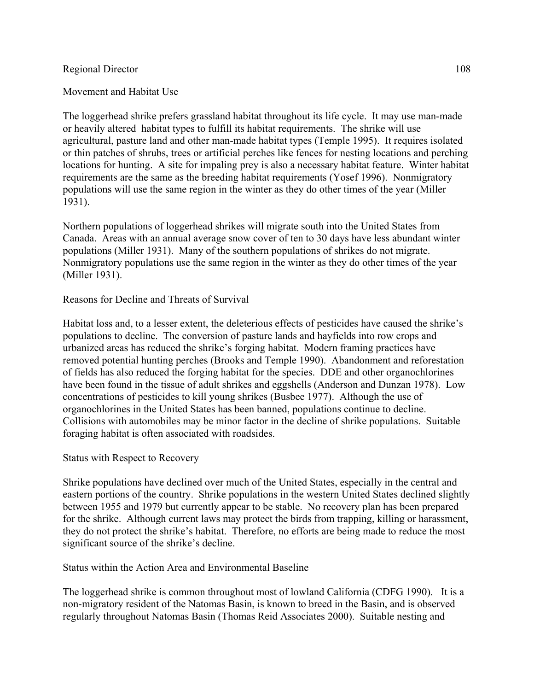Movement and Habitat Use

The loggerhead shrike prefers grassland habitat throughout its life cycle. It may use man-made or heavily altered habitat types to fulfill its habitat requirements. The shrike will use agricultural, pasture land and other man-made habitat types (Temple 1995). It requires isolated or thin patches of shrubs, trees or artificial perches like fences for nesting locations and perching locations for hunting. A site for impaling prey is also a necessary habitat feature. Winter habitat requirements are the same as the breeding habitat requirements (Yosef 1996). Nonmigratory populations will use the same region in the winter as they do other times of the year (Miller 1931).

Northern populations of loggerhead shrikes will migrate south into the United States from Canada. Areas with an annual average snow cover of ten to 30 days have less abundant winter populations (Miller 1931). Many of the southern populations of shrikes do not migrate. Nonmigratory populations use the same region in the winter as they do other times of the year (Miller 1931).

# Reasons for Decline and Threats of Survival

Habitat loss and, to a lesser extent, the deleterious effects of pesticides have caused the shrike's populations to decline. The conversion of pasture lands and hayfields into row crops and urbanized areas has reduced the shrike's forging habitat. Modern framing practices have removed potential hunting perches (Brooks and Temple 1990). Abandonment and reforestation of fields has also reduced the forging habitat for the species. DDE and other organochlorines have been found in the tissue of adult shrikes and eggshells (Anderson and Dunzan 1978). Low concentrations of pesticides to kill young shrikes (Busbee 1977). Although the use of organochlorines in the United States has been banned, populations continue to decline. Collisions with automobiles may be minor factor in the decline of shrike populations. Suitable foraging habitat is often associated with roadsides.

# Status with Respect to Recovery

Shrike populations have declined over much of the United States, especially in the central and eastern portions of the country. Shrike populations in the western United States declined slightly between 1955 and 1979 but currently appear to be stable. No recovery plan has been prepared for the shrike. Although current laws may protect the birds from trapping, killing or harassment, they do not protect the shrike's habitat. Therefore, no efforts are being made to reduce the most significant source of the shrike's decline.

# Status within the Action Area and Environmental Baseline

The loggerhead shrike is common throughout most of lowland California (CDFG 1990). It is a non-migratory resident of the Natomas Basin, is known to breed in the Basin, and is observed regularly throughout Natomas Basin (Thomas Reid Associates 2000). Suitable nesting and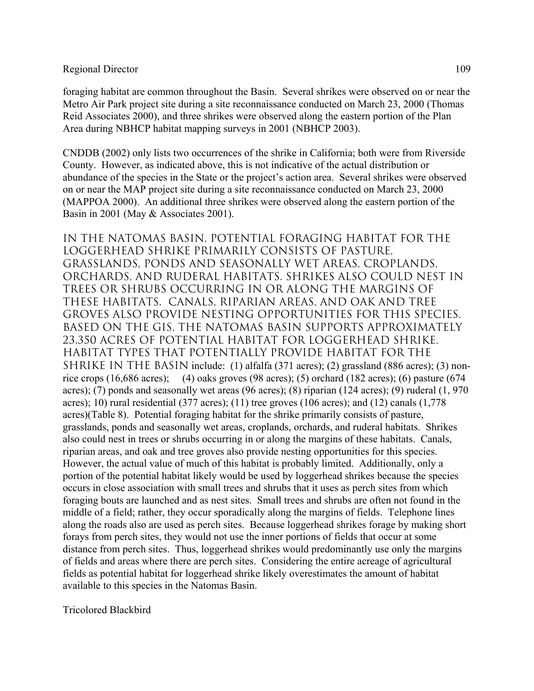foraging habitat are common throughout the Basin. Several shrikes were observed on or near the Metro Air Park project site during a site reconnaissance conducted on March 23, 2000 (Thomas Reid Associates 2000), and three shrikes were observed along the eastern portion of the Plan Area during NBHCP habitat mapping surveys in 2001 (NBHCP 2003).

CNDDB (2002) only lists two occurrences of the shrike in California; both were from Riverside County. However, as indicated above, this is not indicative of the actual distribution or abundance of the species in the State or the project's action area. Several shrikes were observed on or near the MAP project site during a site reconnaissance conducted on March 23, 2000 (MAPPOA 2000). An additional three shrikes were observed along the eastern portion of the Basin in 2001 (May & Associates 2001).

In the Natomas Basin, potential foraging habitat for the loggerhead shrike primarily consists of pasture, grasslands, ponds and seasonally wet areas, croplands, orchards, and ruderal habitats. Shrikes also could nest in trees or shrubs occurring in or along the margins of these habitats. Canals, riparian areas, and oak and tree groves also provide nesting opportunities for this species. Based on the GIS, the Natomas Basin supports approximately 23,350 acres of potential habitat for loggerhead shrike. Habitat types that potentially provide habitat for the SHRIKE IN THE BASIN include: (1) alfalfa (371 acres); (2) grassland (886 acres); (3) nonrice crops (16,686 acres); (4) oaks groves (98 acres); (5) orchard (182 acres); (6) pasture (674 acres); (7) ponds and seasonally wet areas (96 acres); (8) riparian (124 acres); (9) ruderal (1, 970 acres); 10) rural residential (377 acres); (11) tree groves (106 acres); and (12) canals (1,778 acres)(Table 8). Potential foraging habitat for the shrike primarily consists of pasture, grasslands, ponds and seasonally wet areas, croplands, orchards, and ruderal habitats. Shrikes also could nest in trees or shrubs occurring in or along the margins of these habitats. Canals, riparian areas, and oak and tree groves also provide nesting opportunities for this species. However, the actual value of much of this habitat is probably limited. Additionally, only a portion of the potential habitat likely would be used by loggerhead shrikes because the species occurs in close association with small trees and shrubs that it uses as perch sites from which foraging bouts are launched and as nest sites. Small trees and shrubs are often not found in the middle of a field; rather, they occur sporadically along the margins of fields. Telephone lines along the roads also are used as perch sites. Because loggerhead shrikes forage by making short forays from perch sites, they would not use the inner portions of fields that occur at some distance from perch sites. Thus, loggerhead shrikes would predominantly use only the margins of fields and areas where there are perch sites. Considering the entire acreage of agricultural fields as potential habitat for loggerhead shrike likely overestimates the amount of habitat available to this species in the Natomas Basin.

# Tricolored Blackbird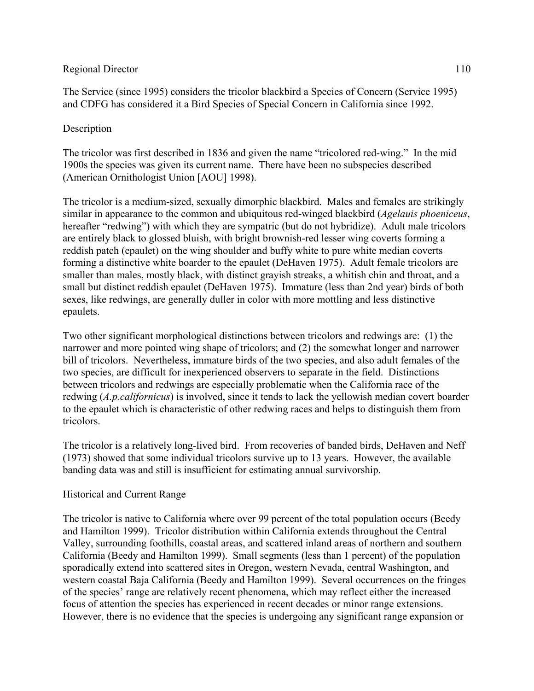The Service (since 1995) considers the tricolor blackbird a Species of Concern (Service 1995) and CDFG has considered it a Bird Species of Special Concern in California since 1992.

# Description

The tricolor was first described in 1836 and given the name "tricolored red-wing." In the mid 1900s the species was given its current name. There have been no subspecies described (American Ornithologist Union [AOU] 1998).

The tricolor is a medium-sized, sexually dimorphic blackbird. Males and females are strikingly similar in appearance to the common and ubiquitous red-winged blackbird (*Agelauis phoeniceus*, hereafter "redwing") with which they are sympatric (but do not hybridize). Adult male tricolors are entirely black to glossed bluish, with bright brownish-red lesser wing coverts forming a reddish patch (epaulet) on the wing shoulder and buffy white to pure white median coverts forming a distinctive white boarder to the epaulet (DeHaven 1975). Adult female tricolors are smaller than males, mostly black, with distinct grayish streaks, a whitish chin and throat, and a small but distinct reddish epaulet (DeHaven 1975). Immature (less than 2nd year) birds of both sexes, like redwings, are generally duller in color with more mottling and less distinctive epaulets.

Two other significant morphological distinctions between tricolors and redwings are: (1) the narrower and more pointed wing shape of tricolors; and (2) the somewhat longer and narrower bill of tricolors. Nevertheless, immature birds of the two species, and also adult females of the two species, are difficult for inexperienced observers to separate in the field. Distinctions between tricolors and redwings are especially problematic when the California race of the redwing (*A.p.californicus*) is involved, since it tends to lack the yellowish median covert boarder to the epaulet which is characteristic of other redwing races and helps to distinguish them from tricolors.

The tricolor is a relatively long-lived bird. From recoveries of banded birds, DeHaven and Neff (1973) showed that some individual tricolors survive up to 13 years. However, the available banding data was and still is insufficient for estimating annual survivorship.

# Historical and Current Range

The tricolor is native to California where over 99 percent of the total population occurs (Beedy and Hamilton 1999). Tricolor distribution within California extends throughout the Central Valley, surrounding foothills, coastal areas, and scattered inland areas of northern and southern California (Beedy and Hamilton 1999). Small segments (less than 1 percent) of the population sporadically extend into scattered sites in Oregon, western Nevada, central Washington, and western coastal Baja California (Beedy and Hamilton 1999). Several occurrences on the fringes of the species' range are relatively recent phenomena, which may reflect either the increased focus of attention the species has experienced in recent decades or minor range extensions. However, there is no evidence that the species is undergoing any significant range expansion or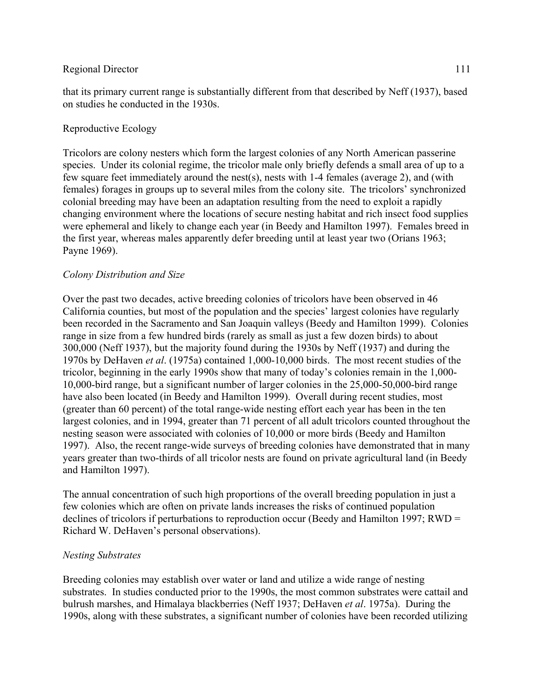that its primary current range is substantially different from that described by Neff (1937), based on studies he conducted in the 1930s.

# Reproductive Ecology

Tricolors are colony nesters which form the largest colonies of any North American passerine species. Under its colonial regime, the tricolor male only briefly defends a small area of up to a few square feet immediately around the nest(s), nests with 1-4 females (average 2), and (with females) forages in groups up to several miles from the colony site. The tricolors' synchronized colonial breeding may have been an adaptation resulting from the need to exploit a rapidly changing environment where the locations of secure nesting habitat and rich insect food supplies were ephemeral and likely to change each year (in Beedy and Hamilton 1997). Females breed in the first year, whereas males apparently defer breeding until at least year two (Orians 1963; Payne 1969).

# *Colony Distribution and Size*

Over the past two decades, active breeding colonies of tricolors have been observed in 46 California counties, but most of the population and the species' largest colonies have regularly been recorded in the Sacramento and San Joaquin valleys (Beedy and Hamilton 1999). Colonies range in size from a few hundred birds (rarely as small as just a few dozen birds) to about 300,000 (Neff 1937), but the majority found during the 1930s by Neff (1937) and during the 1970s by DeHaven *et al*. (1975a) contained 1,000-10,000 birds. The most recent studies of the tricolor, beginning in the early 1990s show that many of today's colonies remain in the 1,000- 10,000-bird range, but a significant number of larger colonies in the 25,000-50,000-bird range have also been located (in Beedy and Hamilton 1999). Overall during recent studies, most (greater than 60 percent) of the total range-wide nesting effort each year has been in the ten largest colonies, and in 1994, greater than 71 percent of all adult tricolors counted throughout the nesting season were associated with colonies of 10,000 or more birds (Beedy and Hamilton 1997). Also, the recent range-wide surveys of breeding colonies have demonstrated that in many years greater than two-thirds of all tricolor nests are found on private agricultural land (in Beedy and Hamilton 1997).

The annual concentration of such high proportions of the overall breeding population in just a few colonies which are often on private lands increases the risks of continued population declines of tricolors if perturbations to reproduction occur (Beedy and Hamilton 1997; RWD = Richard W. DeHaven's personal observations).

# *Nesting Substrates*

Breeding colonies may establish over water or land and utilize a wide range of nesting substrates. In studies conducted prior to the 1990s, the most common substrates were cattail and bulrush marshes, and Himalaya blackberries (Neff 1937; DeHaven *et al*. 1975a). During the 1990s, along with these substrates, a significant number of colonies have been recorded utilizing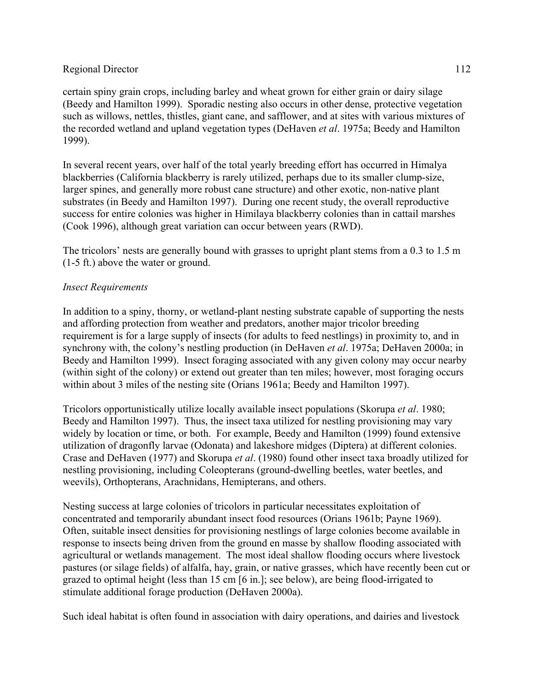certain spiny grain crops, including barley and wheat grown for either grain or dairy silage (Beedy and Hamilton 1999). Sporadic nesting also occurs in other dense, protective vegetation such as willows, nettles, thistles, giant cane, and safflower, and at sites with various mixtures of the recorded wetland and upland vegetation types (DeHaven *et al*. 1975a; Beedy and Hamilton 1999).

In several recent years, over half of the total yearly breeding effort has occurred in Himalya blackberries (California blackberry is rarely utilized, perhaps due to its smaller clump-size, larger spines, and generally more robust cane structure) and other exotic, non-native plant substrates (in Beedy and Hamilton 1997). During one recent study, the overall reproductive success for entire colonies was higher in Himilaya blackberry colonies than in cattail marshes (Cook 1996), although great variation can occur between years (RWD).

The tricolors' nests are generally bound with grasses to upright plant stems from a 0.3 to 1.5 m (1-5 ft.) above the water or ground.

# *Insect Requirements*

In addition to a spiny, thorny, or wetland-plant nesting substrate capable of supporting the nests and affording protection from weather and predators, another major tricolor breeding requirement is for a large supply of insects (for adults to feed nestlings) in proximity to, and in synchrony with, the colony's nestling production (in DeHaven *et al*. 1975a; DeHaven 2000a; in Beedy and Hamilton 1999). Insect foraging associated with any given colony may occur nearby (within sight of the colony) or extend out greater than ten miles; however, most foraging occurs within about 3 miles of the nesting site (Orians 1961a; Beedy and Hamilton 1997).

Tricolors opportunistically utilize locally available insect populations (Skorupa *et al*. 1980; Beedy and Hamilton 1997). Thus, the insect taxa utilized for nestling provisioning may vary widely by location or time, or both. For example, Beedy and Hamilton (1999) found extensive utilization of dragonfly larvae (Odonata) and lakeshore midges (Diptera) at different colonies. Crase and DeHaven (1977) and Skorupa *et al*. (1980) found other insect taxa broadly utilized for nestling provisioning, including Coleopterans (ground-dwelling beetles, water beetles, and weevils), Orthopterans, Arachnidans, Hemipterans, and others.

Nesting success at large colonies of tricolors in particular necessitates exploitation of concentrated and temporarily abundant insect food resources (Orians 1961b; Payne 1969). Often, suitable insect densities for provisioning nestlings of large colonies become available in response to insects being driven from the ground en masse by shallow flooding associated with agricultural or wetlands management. The most ideal shallow flooding occurs where livestock pastures (or silage fields) of alfalfa, hay, grain, or native grasses, which have recently been cut or grazed to optimal height (less than 15 cm [6 in.]; see below), are being flood-irrigated to stimulate additional forage production (DeHaven 2000a).

Such ideal habitat is often found in association with dairy operations, and dairies and livestock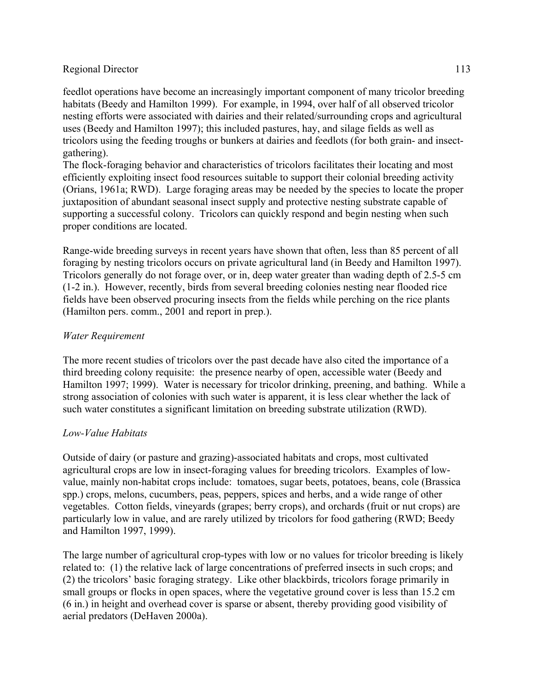feedlot operations have become an increasingly important component of many tricolor breeding habitats (Beedy and Hamilton 1999). For example, in 1994, over half of all observed tricolor nesting efforts were associated with dairies and their related/surrounding crops and agricultural uses (Beedy and Hamilton 1997); this included pastures, hay, and silage fields as well as tricolors using the feeding troughs or bunkers at dairies and feedlots (for both grain- and insectgathering).

The flock-foraging behavior and characteristics of tricolors facilitates their locating and most efficiently exploiting insect food resources suitable to support their colonial breeding activity (Orians, 1961a; RWD). Large foraging areas may be needed by the species to locate the proper juxtaposition of abundant seasonal insect supply and protective nesting substrate capable of supporting a successful colony. Tricolors can quickly respond and begin nesting when such proper conditions are located.

Range-wide breeding surveys in recent years have shown that often, less than 85 percent of all foraging by nesting tricolors occurs on private agricultural land (in Beedy and Hamilton 1997). Tricolors generally do not forage over, or in, deep water greater than wading depth of 2.5-5 cm (1-2 in.). However, recently, birds from several breeding colonies nesting near flooded rice fields have been observed procuring insects from the fields while perching on the rice plants (Hamilton pers. comm., 2001 and report in prep.).

# *Water Requirement*

The more recent studies of tricolors over the past decade have also cited the importance of a third breeding colony requisite: the presence nearby of open, accessible water (Beedy and Hamilton 1997; 1999). Water is necessary for tricolor drinking, preening, and bathing. While a strong association of colonies with such water is apparent, it is less clear whether the lack of such water constitutes a significant limitation on breeding substrate utilization (RWD).

# *Low-Value Habitats*

Outside of dairy (or pasture and grazing)-associated habitats and crops, most cultivated agricultural crops are low in insect-foraging values for breeding tricolors. Examples of lowvalue, mainly non-habitat crops include: tomatoes, sugar beets, potatoes, beans, cole (Brassica spp.) crops, melons, cucumbers, peas, peppers, spices and herbs, and a wide range of other vegetables. Cotton fields, vineyards (grapes; berry crops), and orchards (fruit or nut crops) are particularly low in value, and are rarely utilized by tricolors for food gathering (RWD; Beedy and Hamilton 1997, 1999).

The large number of agricultural crop-types with low or no values for tricolor breeding is likely related to: (1) the relative lack of large concentrations of preferred insects in such crops; and (2) the tricolors' basic foraging strategy. Like other blackbirds, tricolors forage primarily in small groups or flocks in open spaces, where the vegetative ground cover is less than 15.2 cm (6 in.) in height and overhead cover is sparse or absent, thereby providing good visibility of aerial predators (DeHaven 2000a).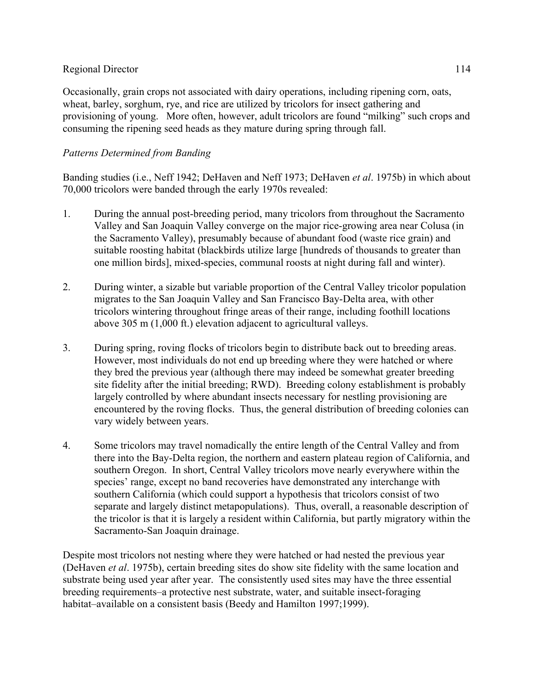Occasionally, grain crops not associated with dairy operations, including ripening corn, oats, wheat, barley, sorghum, rye, and rice are utilized by tricolors for insect gathering and provisioning of young. More often, however, adult tricolors are found "milking" such crops and consuming the ripening seed heads as they mature during spring through fall.

# *Patterns Determined from Banding*

Banding studies (i.e., Neff 1942; DeHaven and Neff 1973; DeHaven *et al*. 1975b) in which about 70,000 tricolors were banded through the early 1970s revealed:

- 1. During the annual post-breeding period, many tricolors from throughout the Sacramento Valley and San Joaquin Valley converge on the major rice-growing area near Colusa (in the Sacramento Valley), presumably because of abundant food (waste rice grain) and suitable roosting habitat (blackbirds utilize large [hundreds of thousands to greater than one million birds], mixed-species, communal roosts at night during fall and winter).
- 2. During winter, a sizable but variable proportion of the Central Valley tricolor population migrates to the San Joaquin Valley and San Francisco Bay-Delta area, with other tricolors wintering throughout fringe areas of their range, including foothill locations above 305 m (1,000 ft.) elevation adjacent to agricultural valleys.
- 3. During spring, roving flocks of tricolors begin to distribute back out to breeding areas. However, most individuals do not end up breeding where they were hatched or where they bred the previous year (although there may indeed be somewhat greater breeding site fidelity after the initial breeding; RWD). Breeding colony establishment is probably largely controlled by where abundant insects necessary for nestling provisioning are encountered by the roving flocks. Thus, the general distribution of breeding colonies can vary widely between years.
- 4. Some tricolors may travel nomadically the entire length of the Central Valley and from there into the Bay-Delta region, the northern and eastern plateau region of California, and southern Oregon. In short, Central Valley tricolors move nearly everywhere within the species' range, except no band recoveries have demonstrated any interchange with southern California (which could support a hypothesis that tricolors consist of two separate and largely distinct metapopulations). Thus, overall, a reasonable description of the tricolor is that it is largely a resident within California, but partly migratory within the Sacramento-San Joaquin drainage.

Despite most tricolors not nesting where they were hatched or had nested the previous year (DeHaven *et al*. 1975b), certain breeding sites do show site fidelity with the same location and substrate being used year after year. The consistently used sites may have the three essential breeding requirements–a protective nest substrate, water, and suitable insect-foraging habitat–available on a consistent basis (Beedy and Hamilton 1997;1999).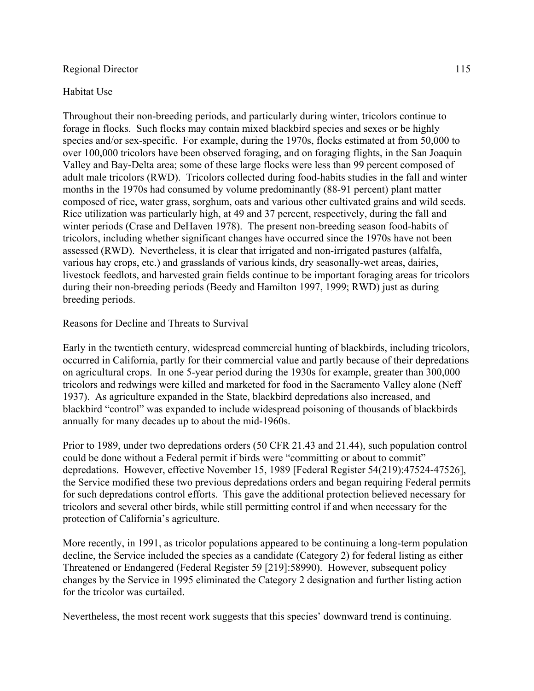### Habitat Use

Throughout their non-breeding periods, and particularly during winter, tricolors continue to forage in flocks. Such flocks may contain mixed blackbird species and sexes or be highly species and/or sex-specific. For example, during the 1970s, flocks estimated at from 50,000 to over 100,000 tricolors have been observed foraging, and on foraging flights, in the San Joaquin Valley and Bay-Delta area; some of these large flocks were less than 99 percent composed of adult male tricolors (RWD). Tricolors collected during food-habits studies in the fall and winter months in the 1970s had consumed by volume predominantly (88-91 percent) plant matter composed of rice, water grass, sorghum, oats and various other cultivated grains and wild seeds. Rice utilization was particularly high, at 49 and 37 percent, respectively, during the fall and winter periods (Crase and DeHaven 1978). The present non-breeding season food-habits of tricolors, including whether significant changes have occurred since the 1970s have not been assessed (RWD). Nevertheless, it is clear that irrigated and non-irrigated pastures (alfalfa, various hay crops, etc.) and grasslands of various kinds, dry seasonally-wet areas, dairies, livestock feedlots, and harvested grain fields continue to be important foraging areas for tricolors during their non-breeding periods (Beedy and Hamilton 1997, 1999; RWD) just as during breeding periods.

# Reasons for Decline and Threats to Survival

Early in the twentieth century, widespread commercial hunting of blackbirds, including tricolors, occurred in California, partly for their commercial value and partly because of their depredations on agricultural crops. In one 5-year period during the 1930s for example, greater than 300,000 tricolors and redwings were killed and marketed for food in the Sacramento Valley alone (Neff 1937). As agriculture expanded in the State, blackbird depredations also increased, and blackbird "control" was expanded to include widespread poisoning of thousands of blackbirds annually for many decades up to about the mid-1960s.

Prior to 1989, under two depredations orders (50 CFR 21.43 and 21.44), such population control could be done without a Federal permit if birds were "committing or about to commit" depredations. However, effective November 15, 1989 [Federal Register 54(219):47524-47526], the Service modified these two previous depredations orders and began requiring Federal permits for such depredations control efforts. This gave the additional protection believed necessary for tricolors and several other birds, while still permitting control if and when necessary for the protection of California's agriculture.

More recently, in 1991, as tricolor populations appeared to be continuing a long-term population decline, the Service included the species as a candidate (Category 2) for federal listing as either Threatened or Endangered (Federal Register 59 [219]:58990). However, subsequent policy changes by the Service in 1995 eliminated the Category 2 designation and further listing action for the tricolor was curtailed.

Nevertheless, the most recent work suggests that this species' downward trend is continuing.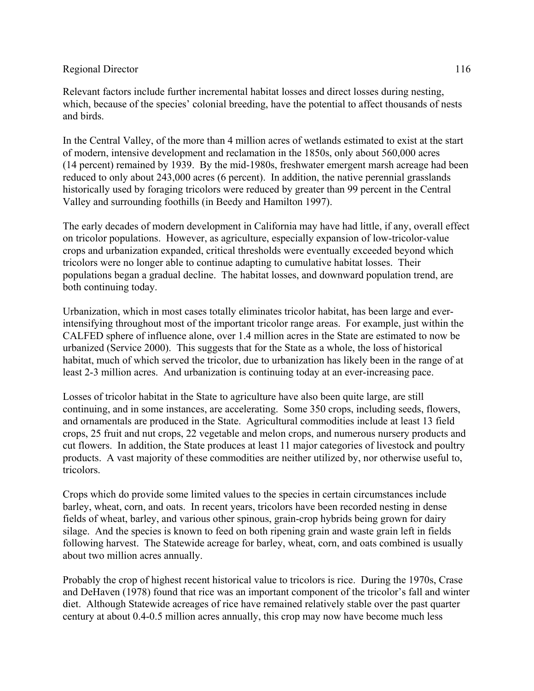Relevant factors include further incremental habitat losses and direct losses during nesting, which, because of the species' colonial breeding, have the potential to affect thousands of nests and birds.

In the Central Valley, of the more than 4 million acres of wetlands estimated to exist at the start of modern, intensive development and reclamation in the 1850s, only about 560,000 acres (14 percent) remained by 1939. By the mid-1980s, freshwater emergent marsh acreage had been reduced to only about 243,000 acres (6 percent). In addition, the native perennial grasslands historically used by foraging tricolors were reduced by greater than 99 percent in the Central Valley and surrounding foothills (in Beedy and Hamilton 1997).

The early decades of modern development in California may have had little, if any, overall effect on tricolor populations. However, as agriculture, especially expansion of low-tricolor-value crops and urbanization expanded, critical thresholds were eventually exceeded beyond which tricolors were no longer able to continue adapting to cumulative habitat losses. Their populations began a gradual decline. The habitat losses, and downward population trend, are both continuing today.

Urbanization, which in most cases totally eliminates tricolor habitat, has been large and everintensifying throughout most of the important tricolor range areas. For example, just within the CALFED sphere of influence alone, over 1.4 million acres in the State are estimated to now be urbanized (Service 2000). This suggests that for the State as a whole, the loss of historical habitat, much of which served the tricolor, due to urbanization has likely been in the range of at least 2-3 million acres. And urbanization is continuing today at an ever-increasing pace.

Losses of tricolor habitat in the State to agriculture have also been quite large, are still continuing, and in some instances, are accelerating. Some 350 crops, including seeds, flowers, and ornamentals are produced in the State. Agricultural commodities include at least 13 field crops, 25 fruit and nut crops, 22 vegetable and melon crops, and numerous nursery products and cut flowers. In addition, the State produces at least 11 major categories of livestock and poultry products. A vast majority of these commodities are neither utilized by, nor otherwise useful to, tricolors.

Crops which do provide some limited values to the species in certain circumstances include barley, wheat, corn, and oats. In recent years, tricolors have been recorded nesting in dense fields of wheat, barley, and various other spinous, grain-crop hybrids being grown for dairy silage. And the species is known to feed on both ripening grain and waste grain left in fields following harvest. The Statewide acreage for barley, wheat, corn, and oats combined is usually about two million acres annually.

Probably the crop of highest recent historical value to tricolors is rice. During the 1970s, Crase and DeHaven (1978) found that rice was an important component of the tricolor's fall and winter diet. Although Statewide acreages of rice have remained relatively stable over the past quarter century at about 0.4-0.5 million acres annually, this crop may now have become much less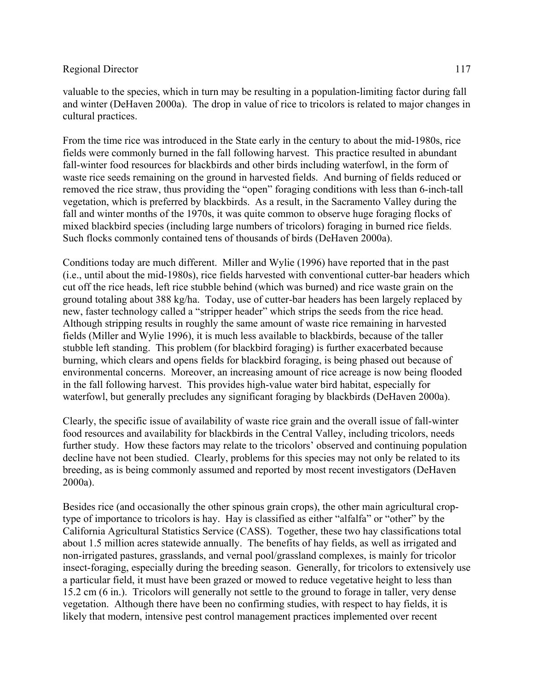valuable to the species, which in turn may be resulting in a population-limiting factor during fall and winter (DeHaven 2000a). The drop in value of rice to tricolors is related to major changes in cultural practices.

From the time rice was introduced in the State early in the century to about the mid-1980s, rice fields were commonly burned in the fall following harvest. This practice resulted in abundant fall-winter food resources for blackbirds and other birds including waterfowl, in the form of waste rice seeds remaining on the ground in harvested fields. And burning of fields reduced or removed the rice straw, thus providing the "open" foraging conditions with less than 6-inch-tall vegetation, which is preferred by blackbirds. As a result, in the Sacramento Valley during the fall and winter months of the 1970s, it was quite common to observe huge foraging flocks of mixed blackbird species (including large numbers of tricolors) foraging in burned rice fields. Such flocks commonly contained tens of thousands of birds (DeHaven 2000a).

Conditions today are much different. Miller and Wylie (1996) have reported that in the past (i.e., until about the mid-1980s), rice fields harvested with conventional cutter-bar headers which cut off the rice heads, left rice stubble behind (which was burned) and rice waste grain on the ground totaling about 388 kg/ha. Today, use of cutter-bar headers has been largely replaced by new, faster technology called a "stripper header" which strips the seeds from the rice head. Although stripping results in roughly the same amount of waste rice remaining in harvested fields (Miller and Wylie 1996), it is much less available to blackbirds, because of the taller stubble left standing. This problem (for blackbird foraging) is further exacerbated because burning, which clears and opens fields for blackbird foraging, is being phased out because of environmental concerns. Moreover, an increasing amount of rice acreage is now being flooded in the fall following harvest. This provides high-value water bird habitat, especially for waterfowl, but generally precludes any significant foraging by blackbirds (DeHaven 2000a).

Clearly, the specific issue of availability of waste rice grain and the overall issue of fall-winter food resources and availability for blackbirds in the Central Valley, including tricolors, needs further study. How these factors may relate to the tricolors' observed and continuing population decline have not been studied. Clearly, problems for this species may not only be related to its breeding, as is being commonly assumed and reported by most recent investigators (DeHaven 2000a).

Besides rice (and occasionally the other spinous grain crops), the other main agricultural croptype of importance to tricolors is hay. Hay is classified as either "alfalfa" or "other" by the California Agricultural Statistics Service (CASS). Together, these two hay classifications total about 1.5 million acres statewide annually. The benefits of hay fields, as well as irrigated and non-irrigated pastures, grasslands, and vernal pool/grassland complexes, is mainly for tricolor insect-foraging, especially during the breeding season. Generally, for tricolors to extensively use a particular field, it must have been grazed or mowed to reduce vegetative height to less than 15.2 cm (6 in.). Tricolors will generally not settle to the ground to forage in taller, very dense vegetation. Although there have been no confirming studies, with respect to hay fields, it is likely that modern, intensive pest control management practices implemented over recent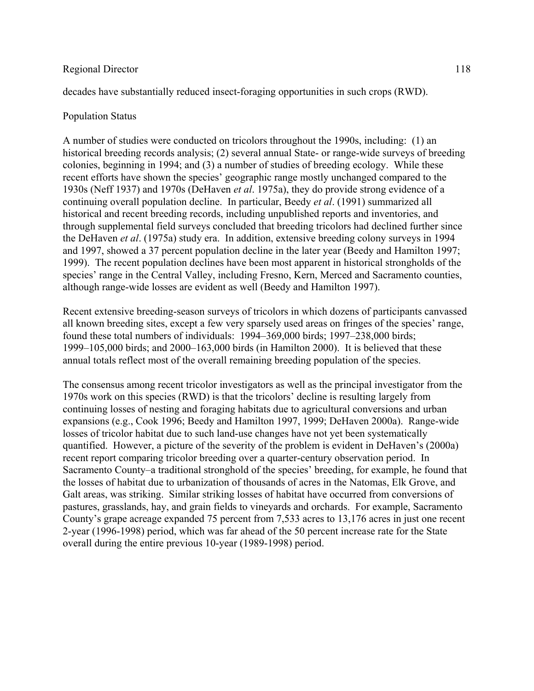decades have substantially reduced insect-foraging opportunities in such crops (RWD).

#### Population Status

A number of studies were conducted on tricolors throughout the 1990s, including: (1) an historical breeding records analysis; (2) several annual State- or range-wide surveys of breeding colonies, beginning in 1994; and (3) a number of studies of breeding ecology. While these recent efforts have shown the species' geographic range mostly unchanged compared to the 1930s (Neff 1937) and 1970s (DeHaven *et al*. 1975a), they do provide strong evidence of a continuing overall population decline. In particular, Beedy *et al*. (1991) summarized all historical and recent breeding records, including unpublished reports and inventories, and through supplemental field surveys concluded that breeding tricolors had declined further since the DeHaven *et al*. (1975a) study era. In addition, extensive breeding colony surveys in 1994 and 1997, showed a 37 percent population decline in the later year (Beedy and Hamilton 1997; 1999). The recent population declines have been most apparent in historical strongholds of the species' range in the Central Valley, including Fresno, Kern, Merced and Sacramento counties, although range-wide losses are evident as well (Beedy and Hamilton 1997).

Recent extensive breeding-season surveys of tricolors in which dozens of participants canvassed all known breeding sites, except a few very sparsely used areas on fringes of the species' range, found these total numbers of individuals: 1994–369,000 birds; 1997–238,000 birds; 1999–105,000 birds; and 2000–163,000 birds (in Hamilton 2000). It is believed that these annual totals reflect most of the overall remaining breeding population of the species.

The consensus among recent tricolor investigators as well as the principal investigator from the 1970s work on this species (RWD) is that the tricolors' decline is resulting largely from continuing losses of nesting and foraging habitats due to agricultural conversions and urban expansions (e.g., Cook 1996; Beedy and Hamilton 1997, 1999; DeHaven 2000a). Range-wide losses of tricolor habitat due to such land-use changes have not yet been systematically quantified. However, a picture of the severity of the problem is evident in DeHaven's (2000a) recent report comparing tricolor breeding over a quarter-century observation period. In Sacramento County–a traditional stronghold of the species' breeding, for example, he found that the losses of habitat due to urbanization of thousands of acres in the Natomas, Elk Grove, and Galt areas, was striking. Similar striking losses of habitat have occurred from conversions of pastures, grasslands, hay, and grain fields to vineyards and orchards. For example, Sacramento County's grape acreage expanded 75 percent from 7,533 acres to 13,176 acres in just one recent 2-year (1996-1998) period, which was far ahead of the 50 percent increase rate for the State overall during the entire previous 10-year (1989-1998) period.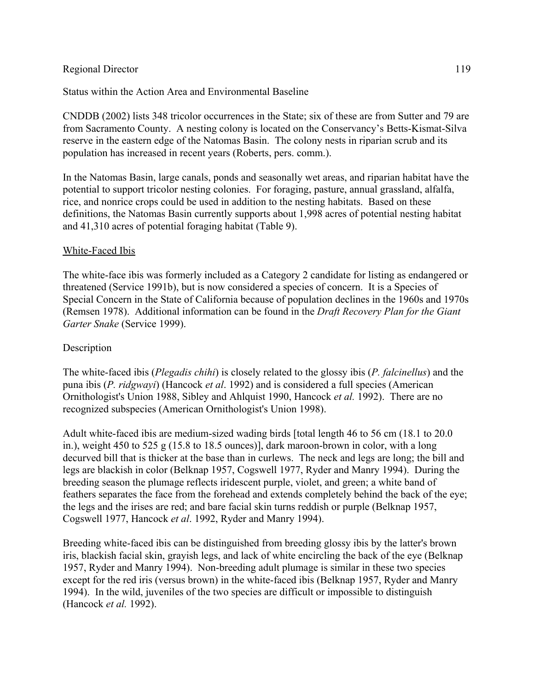# Status within the Action Area and Environmental Baseline

CNDDB (2002) lists 348 tricolor occurrences in the State; six of these are from Sutter and 79 are from Sacramento County. A nesting colony is located on the Conservancy's Betts-Kismat-Silva reserve in the eastern edge of the Natomas Basin. The colony nests in riparian scrub and its population has increased in recent years (Roberts, pers. comm.).

In the Natomas Basin, large canals, ponds and seasonally wet areas, and riparian habitat have the potential to support tricolor nesting colonies. For foraging, pasture, annual grassland, alfalfa, rice, and nonrice crops could be used in addition to the nesting habitats. Based on these definitions, the Natomas Basin currently supports about 1,998 acres of potential nesting habitat and 41,310 acres of potential foraging habitat (Table 9).

# White-Faced Ibis

The white-face ibis was formerly included as a Category 2 candidate for listing as endangered or threatened (Service 1991b), but is now considered a species of concern. It is a Species of Special Concern in the State of California because of population declines in the 1960s and 1970s (Remsen 1978). Additional information can be found in the *Draft Recovery Plan for the Giant Garter Snake* (Service 1999).

### Description

The white-faced ibis (*Plegadis chihi*) is closely related to the glossy ibis (*P. falcinellus*) and the puna ibis (*P. ridgwayi*) (Hancock *et al*. 1992) and is considered a full species (American Ornithologist's Union 1988, Sibley and Ahlquist 1990, Hancock *et al.* 1992). There are no recognized subspecies (American Ornithologist's Union 1998).

Adult white-faced ibis are medium-sized wading birds [total length 46 to 56 cm (18.1 to 20.0 in.), weight 450 to 525 g (15.8 to 18.5 ounces)], dark maroon-brown in color, with a long decurved bill that is thicker at the base than in curlews. The neck and legs are long; the bill and legs are blackish in color (Belknap 1957, Cogswell 1977, Ryder and Manry 1994). During the breeding season the plumage reflects iridescent purple, violet, and green; a white band of feathers separates the face from the forehead and extends completely behind the back of the eye; the legs and the irises are red; and bare facial skin turns reddish or purple (Belknap 1957, Cogswell 1977, Hancock *et al*. 1992, Ryder and Manry 1994).

Breeding white-faced ibis can be distinguished from breeding glossy ibis by the latter's brown iris, blackish facial skin, grayish legs, and lack of white encircling the back of the eye (Belknap 1957, Ryder and Manry 1994). Non-breeding adult plumage is similar in these two species except for the red iris (versus brown) in the white-faced ibis (Belknap 1957, Ryder and Manry 1994). In the wild, juveniles of the two species are difficult or impossible to distinguish (Hancock *et al.* 1992).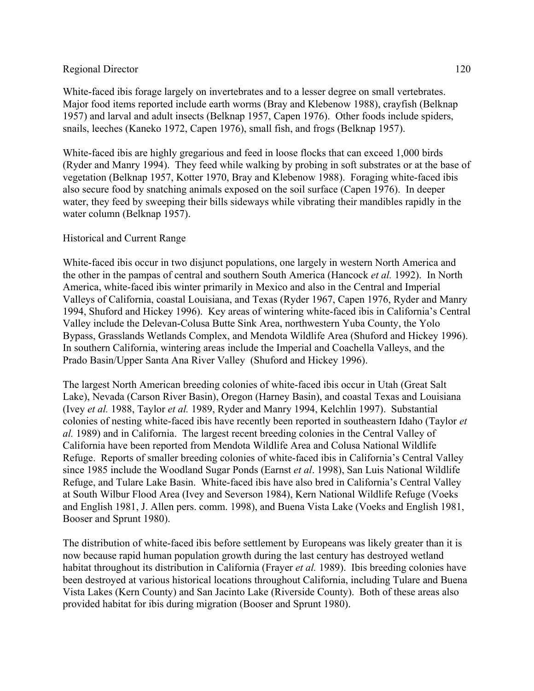White-faced ibis forage largely on invertebrates and to a lesser degree on small vertebrates. Major food items reported include earth worms (Bray and Klebenow 1988), crayfish (Belknap 1957) and larval and adult insects (Belknap 1957, Capen 1976). Other foods include spiders, snails, leeches (Kaneko 1972, Capen 1976), small fish, and frogs (Belknap 1957).

White-faced ibis are highly gregarious and feed in loose flocks that can exceed 1,000 birds (Ryder and Manry 1994). They feed while walking by probing in soft substrates or at the base of vegetation (Belknap 1957, Kotter 1970, Bray and Klebenow 1988). Foraging white-faced ibis also secure food by snatching animals exposed on the soil surface (Capen 1976). In deeper water, they feed by sweeping their bills sideways while vibrating their mandibles rapidly in the water column (Belknap 1957).

# Historical and Current Range

White-faced ibis occur in two disjunct populations, one largely in western North America and the other in the pampas of central and southern South America (Hancock *et al.* 1992). In North America, white-faced ibis winter primarily in Mexico and also in the Central and Imperial Valleys of California, coastal Louisiana, and Texas (Ryder 1967, Capen 1976, Ryder and Manry 1994, Shuford and Hickey 1996). Key areas of wintering white-faced ibis in California's Central Valley include the Delevan-Colusa Butte Sink Area, northwestern Yuba County, the Yolo Bypass, Grasslands Wetlands Complex, and Mendota Wildlife Area (Shuford and Hickey 1996). In southern California, wintering areas include the Imperial and Coachella Valleys, and the Prado Basin/Upper Santa Ana River Valley (Shuford and Hickey 1996).

The largest North American breeding colonies of white-faced ibis occur in Utah (Great Salt Lake), Nevada (Carson River Basin), Oregon (Harney Basin), and coastal Texas and Louisiana (Ivey *et al.* 1988, Taylor *et al.* 1989, Ryder and Manry 1994, Kelchlin 1997). Substantial colonies of nesting white-faced ibis have recently been reported in southeastern Idaho (Taylor *et al.* 1989) and in California. The largest recent breeding colonies in the Central Valley of California have been reported from Mendota Wildlife Area and Colusa National Wildlife Refuge. Reports of smaller breeding colonies of white-faced ibis in California's Central Valley since 1985 include the Woodland Sugar Ponds (Earnst *et al*. 1998), San Luis National Wildlife Refuge, and Tulare Lake Basin. White-faced ibis have also bred in California's Central Valley at South Wilbur Flood Area (Ivey and Severson 1984), Kern National Wildlife Refuge (Voeks and English 1981, J. Allen pers. comm. 1998), and Buena Vista Lake (Voeks and English 1981, Booser and Sprunt 1980).

The distribution of white-faced ibis before settlement by Europeans was likely greater than it is now because rapid human population growth during the last century has destroyed wetland habitat throughout its distribution in California (Frayer *et al.* 1989). Ibis breeding colonies have been destroyed at various historical locations throughout California, including Tulare and Buena Vista Lakes (Kern County) and San Jacinto Lake (Riverside County). Both of these areas also provided habitat for ibis during migration (Booser and Sprunt 1980).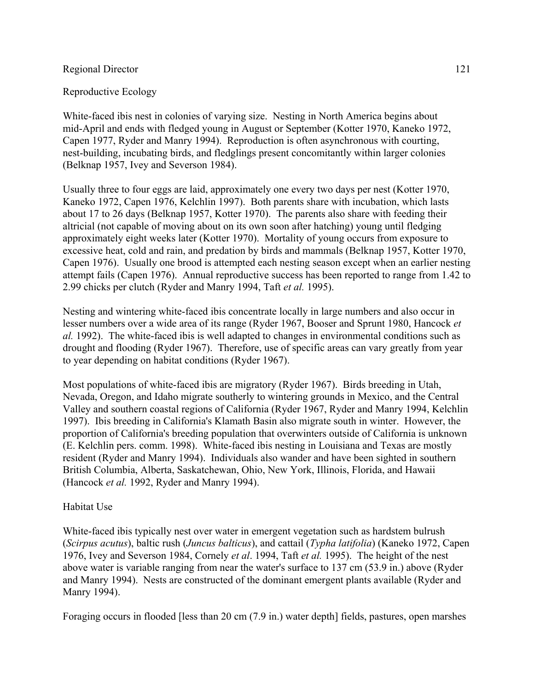# Reproductive Ecology

White-faced ibis nest in colonies of varying size. Nesting in North America begins about mid-April and ends with fledged young in August or September (Kotter 1970, Kaneko 1972, Capen 1977, Ryder and Manry 1994). Reproduction is often asynchronous with courting, nest-building, incubating birds, and fledglings present concomitantly within larger colonies (Belknap 1957, Ivey and Severson 1984).

Usually three to four eggs are laid, approximately one every two days per nest (Kotter 1970, Kaneko 1972, Capen 1976, Kelchlin 1997). Both parents share with incubation, which lasts about 17 to 26 days (Belknap 1957, Kotter 1970). The parents also share with feeding their altricial (not capable of moving about on its own soon after hatching) young until fledging approximately eight weeks later (Kotter 1970). Mortality of young occurs from exposure to excessive heat, cold and rain, and predation by birds and mammals (Belknap 1957, Kotter 1970, Capen 1976). Usually one brood is attempted each nesting season except when an earlier nesting attempt fails (Capen 1976). Annual reproductive success has been reported to range from 1.42 to 2.99 chicks per clutch (Ryder and Manry 1994, Taft *et al.* 1995).

Nesting and wintering white-faced ibis concentrate locally in large numbers and also occur in lesser numbers over a wide area of its range (Ryder 1967, Booser and Sprunt 1980, Hancock *et al.* 1992). The white-faced ibis is well adapted to changes in environmental conditions such as drought and flooding (Ryder 1967). Therefore, use of specific areas can vary greatly from year to year depending on habitat conditions (Ryder 1967).

Most populations of white-faced ibis are migratory (Ryder 1967). Birds breeding in Utah, Nevada, Oregon, and Idaho migrate southerly to wintering grounds in Mexico, and the Central Valley and southern coastal regions of California (Ryder 1967, Ryder and Manry 1994, Kelchlin 1997). Ibis breeding in California's Klamath Basin also migrate south in winter. However, the proportion of California's breeding population that overwinters outside of California is unknown (E. Kelchlin pers. comm. 1998). White-faced ibis nesting in Louisiana and Texas are mostly resident (Ryder and Manry 1994). Individuals also wander and have been sighted in southern British Columbia, Alberta, Saskatchewan, Ohio, New York, Illinois, Florida, and Hawaii (Hancock *et al.* 1992, Ryder and Manry 1994).

# Habitat Use

White-faced ibis typically nest over water in emergent vegetation such as hardstem bulrush (*Scirpus acutus*), baltic rush (*Juncus balticus*), and cattail (*Typha latifolia*) (Kaneko 1972, Capen 1976, Ivey and Severson 1984, Cornely *et al*. 1994, Taft *et al.* 1995). The height of the nest above water is variable ranging from near the water's surface to 137 cm (53.9 in.) above (Ryder and Manry 1994). Nests are constructed of the dominant emergent plants available (Ryder and Manry 1994).

Foraging occurs in flooded [less than 20 cm (7.9 in.) water depth] fields, pastures, open marshes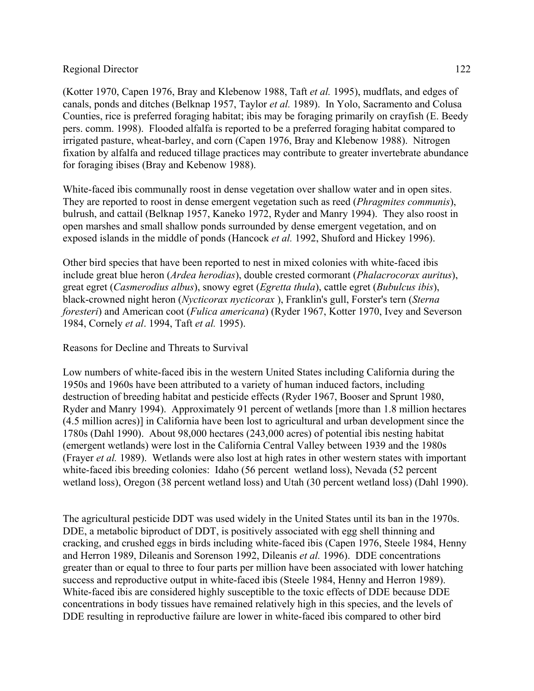(Kotter 1970, Capen 1976, Bray and Klebenow 1988, Taft *et al.* 1995), mudflats, and edges of canals, ponds and ditches (Belknap 1957, Taylor *et al.* 1989). In Yolo, Sacramento and Colusa Counties, rice is preferred foraging habitat; ibis may be foraging primarily on crayfish (E. Beedy pers. comm. 1998). Flooded alfalfa is reported to be a preferred foraging habitat compared to irrigated pasture, wheat-barley, and corn (Capen 1976, Bray and Klebenow 1988). Nitrogen fixation by alfalfa and reduced tillage practices may contribute to greater invertebrate abundance for foraging ibises (Bray and Kebenow 1988).

White-faced ibis communally roost in dense vegetation over shallow water and in open sites. They are reported to roost in dense emergent vegetation such as reed (*Phragmites communis*), bulrush, and cattail (Belknap 1957, Kaneko 1972, Ryder and Manry 1994). They also roost in open marshes and small shallow ponds surrounded by dense emergent vegetation, and on exposed islands in the middle of ponds (Hancock *et al.* 1992, Shuford and Hickey 1996).

Other bird species that have been reported to nest in mixed colonies with white-faced ibis include great blue heron (*Ardea herodias*), double crested cormorant (*Phalacrocorax auritus*), great egret (*Casmerodius albus*), snowy egret (*Egretta thula*), cattle egret (*Bubulcus ibis*), black-crowned night heron (*Nycticorax nycticorax* ), Franklin's gull, Forster's tern (*Sterna foresteri*) and American coot (*Fulica americana*) (Ryder 1967, Kotter 1970, Ivey and Severson 1984, Cornely *et al*. 1994, Taft *et al.* 1995).

Reasons for Decline and Threats to Survival

Low numbers of white-faced ibis in the western United States including California during the 1950s and 1960s have been attributed to a variety of human induced factors, including destruction of breeding habitat and pesticide effects (Ryder 1967, Booser and Sprunt 1980, Ryder and Manry 1994). Approximately 91 percent of wetlands [more than 1.8 million hectares (4.5 million acres)] in California have been lost to agricultural and urban development since the 1780s (Dahl 1990). About 98,000 hectares (243,000 acres) of potential ibis nesting habitat (emergent wetlands) were lost in the California Central Valley between 1939 and the 1980s (Frayer *et al.* 1989). Wetlands were also lost at high rates in other western states with important white-faced ibis breeding colonies: Idaho (56 percent wetland loss), Nevada (52 percent wetland loss), Oregon (38 percent wetland loss) and Utah (30 percent wetland loss) (Dahl 1990).

The agricultural pesticide DDT was used widely in the United States until its ban in the 1970s. DDE, a metabolic biproduct of DDT, is positively associated with egg shell thinning and cracking, and crushed eggs in birds including white-faced ibis (Capen 1976, Steele 1984, Henny and Herron 1989, Dileanis and Sorenson 1992, Dileanis *et al.* 1996). DDE concentrations greater than or equal to three to four parts per million have been associated with lower hatching success and reproductive output in white-faced ibis (Steele 1984, Henny and Herron 1989). White-faced ibis are considered highly susceptible to the toxic effects of DDE because DDE concentrations in body tissues have remained relatively high in this species, and the levels of DDE resulting in reproductive failure are lower in white-faced ibis compared to other bird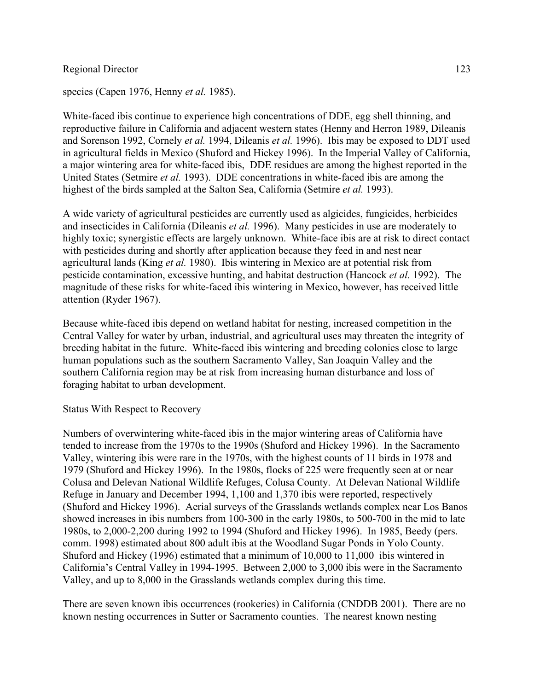species (Capen 1976, Henny *et al.* 1985).

White-faced ibis continue to experience high concentrations of DDE, egg shell thinning, and reproductive failure in California and adjacent western states (Henny and Herron 1989, Dileanis and Sorenson 1992, Cornely *et al.* 1994, Dileanis *et al.* 1996). Ibis may be exposed to DDT used in agricultural fields in Mexico (Shuford and Hickey 1996). In the Imperial Valley of California, a major wintering area for white-faced ibis, DDE residues are among the highest reported in the United States (Setmire *et al.* 1993). DDE concentrations in white-faced ibis are among the highest of the birds sampled at the Salton Sea, California (Setmire *et al.* 1993).

A wide variety of agricultural pesticides are currently used as algicides, fungicides, herbicides and insecticides in California (Dileanis *et al.* 1996). Many pesticides in use are moderately to highly toxic; synergistic effects are largely unknown. White-face ibis are at risk to direct contact with pesticides during and shortly after application because they feed in and nest near agricultural lands (King *et al.* 1980). Ibis wintering in Mexico are at potential risk from pesticide contamination, excessive hunting, and habitat destruction (Hancock *et al.* 1992). The magnitude of these risks for white-faced ibis wintering in Mexico, however, has received little attention (Ryder 1967).

Because white-faced ibis depend on wetland habitat for nesting, increased competition in the Central Valley for water by urban, industrial, and agricultural uses may threaten the integrity of breeding habitat in the future. White-faced ibis wintering and breeding colonies close to large human populations such as the southern Sacramento Valley, San Joaquin Valley and the southern California region may be at risk from increasing human disturbance and loss of foraging habitat to urban development.

Status With Respect to Recovery

Numbers of overwintering white-faced ibis in the major wintering areas of California have tended to increase from the 1970s to the 1990s (Shuford and Hickey 1996). In the Sacramento Valley, wintering ibis were rare in the 1970s, with the highest counts of 11 birds in 1978 and 1979 (Shuford and Hickey 1996). In the 1980s, flocks of 225 were frequently seen at or near Colusa and Delevan National Wildlife Refuges, Colusa County. At Delevan National Wildlife Refuge in January and December 1994, 1,100 and 1,370 ibis were reported, respectively (Shuford and Hickey 1996). Aerial surveys of the Grasslands wetlands complex near Los Banos showed increases in ibis numbers from 100-300 in the early 1980s, to 500-700 in the mid to late 1980s, to 2,000-2,200 during 1992 to 1994 (Shuford and Hickey 1996). In 1985, Beedy (pers. comm. 1998) estimated about 800 adult ibis at the Woodland Sugar Ponds in Yolo County. Shuford and Hickey (1996) estimated that a minimum of 10,000 to 11,000 ibis wintered in California's Central Valley in 1994-1995. Between 2,000 to 3,000 ibis were in the Sacramento Valley, and up to 8,000 in the Grasslands wetlands complex during this time.

There are seven known ibis occurrences (rookeries) in California (CNDDB 2001). There are no known nesting occurrences in Sutter or Sacramento counties. The nearest known nesting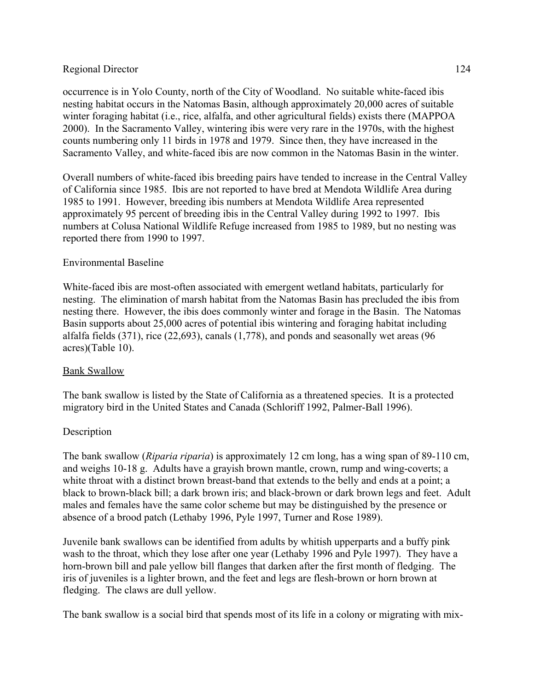occurrence is in Yolo County, north of the City of Woodland. No suitable white-faced ibis nesting habitat occurs in the Natomas Basin, although approximately 20,000 acres of suitable winter foraging habitat (i.e., rice, alfalfa, and other agricultural fields) exists there (MAPPOA 2000). In the Sacramento Valley, wintering ibis were very rare in the 1970s, with the highest counts numbering only 11 birds in 1978 and 1979. Since then, they have increased in the Sacramento Valley, and white-faced ibis are now common in the Natomas Basin in the winter.

Overall numbers of white-faced ibis breeding pairs have tended to increase in the Central Valley of California since 1985. Ibis are not reported to have bred at Mendota Wildlife Area during 1985 to 1991. However, breeding ibis numbers at Mendota Wildlife Area represented approximately 95 percent of breeding ibis in the Central Valley during 1992 to 1997. Ibis numbers at Colusa National Wildlife Refuge increased from 1985 to 1989, but no nesting was reported there from 1990 to 1997.

# Environmental Baseline

White-faced ibis are most-often associated with emergent wetland habitats, particularly for nesting. The elimination of marsh habitat from the Natomas Basin has precluded the ibis from nesting there. However, the ibis does commonly winter and forage in the Basin. The Natomas Basin supports about 25,000 acres of potential ibis wintering and foraging habitat including alfalfa fields (371), rice (22,693), canals (1,778), and ponds and seasonally wet areas (96 acres)(Table 10).

# Bank Swallow

The bank swallow is listed by the State of California as a threatened species. It is a protected migratory bird in the United States and Canada (Schloriff 1992, Palmer-Ball 1996).

# Description

The bank swallow (*Riparia riparia*) is approximately 12 cm long, has a wing span of 89-110 cm, and weighs 10-18 g. Adults have a grayish brown mantle, crown, rump and wing-coverts; a white throat with a distinct brown breast-band that extends to the belly and ends at a point; a black to brown-black bill; a dark brown iris; and black-brown or dark brown legs and feet. Adult males and females have the same color scheme but may be distinguished by the presence or absence of a brood patch (Lethaby 1996, Pyle 1997, Turner and Rose 1989).

Juvenile bank swallows can be identified from adults by whitish upperparts and a buffy pink wash to the throat, which they lose after one year (Lethaby 1996 and Pyle 1997). They have a horn-brown bill and pale yellow bill flanges that darken after the first month of fledging. The iris of juveniles is a lighter brown, and the feet and legs are flesh-brown or horn brown at fledging. The claws are dull yellow.

The bank swallow is a social bird that spends most of its life in a colony or migrating with mix-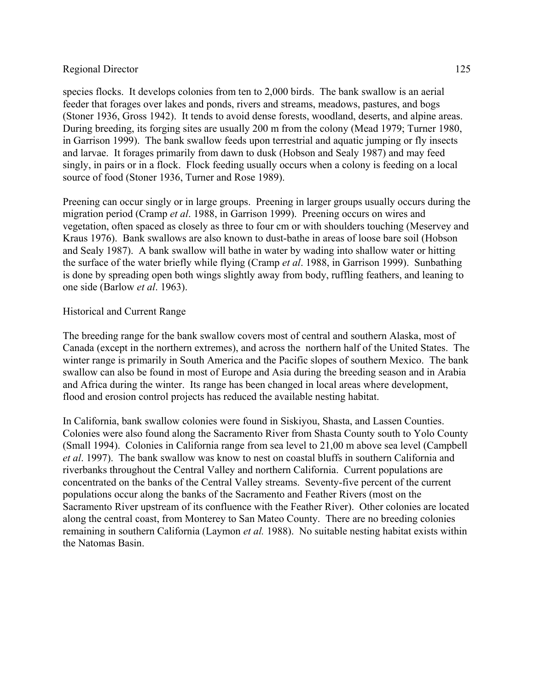species flocks. It develops colonies from ten to 2,000 birds. The bank swallow is an aerial feeder that forages over lakes and ponds, rivers and streams, meadows, pastures, and bogs (Stoner 1936, Gross 1942). It tends to avoid dense forests, woodland, deserts, and alpine areas. During breeding, its forging sites are usually 200 m from the colony (Mead 1979; Turner 1980, in Garrison 1999). The bank swallow feeds upon terrestrial and aquatic jumping or fly insects and larvae. It forages primarily from dawn to dusk (Hobson and Sealy 1987) and may feed singly, in pairs or in a flock. Flock feeding usually occurs when a colony is feeding on a local source of food (Stoner 1936, Turner and Rose 1989).

Preening can occur singly or in large groups. Preening in larger groups usually occurs during the migration period (Cramp *et al*. 1988, in Garrison 1999). Preening occurs on wires and vegetation, often spaced as closely as three to four cm or with shoulders touching (Meservey and Kraus 1976). Bank swallows are also known to dust-bathe in areas of loose bare soil (Hobson and Sealy 1987). A bank swallow will bathe in water by wading into shallow water or hitting the surface of the water briefly while flying (Cramp *et al*. 1988, in Garrison 1999). Sunbathing is done by spreading open both wings slightly away from body, ruffling feathers, and leaning to one side (Barlow *et al*. 1963).

#### Historical and Current Range

The breeding range for the bank swallow covers most of central and southern Alaska, most of Canada (except in the northern extremes), and across the northern half of the United States. The winter range is primarily in South America and the Pacific slopes of southern Mexico. The bank swallow can also be found in most of Europe and Asia during the breeding season and in Arabia and Africa during the winter. Its range has been changed in local areas where development, flood and erosion control projects has reduced the available nesting habitat.

In California, bank swallow colonies were found in Siskiyou, Shasta, and Lassen Counties. Colonies were also found along the Sacramento River from Shasta County south to Yolo County (Small 1994). Colonies in California range from sea level to 21,00 m above sea level (Campbell *et al*. 1997). The bank swallow was know to nest on coastal bluffs in southern California and riverbanks throughout the Central Valley and northern California. Current populations are concentrated on the banks of the Central Valley streams. Seventy-five percent of the current populations occur along the banks of the Sacramento and Feather Rivers (most on the Sacramento River upstream of its confluence with the Feather River). Other colonies are located along the central coast, from Monterey to San Mateo County. There are no breeding colonies remaining in southern California (Laymon *et al.* 1988). No suitable nesting habitat exists within the Natomas Basin.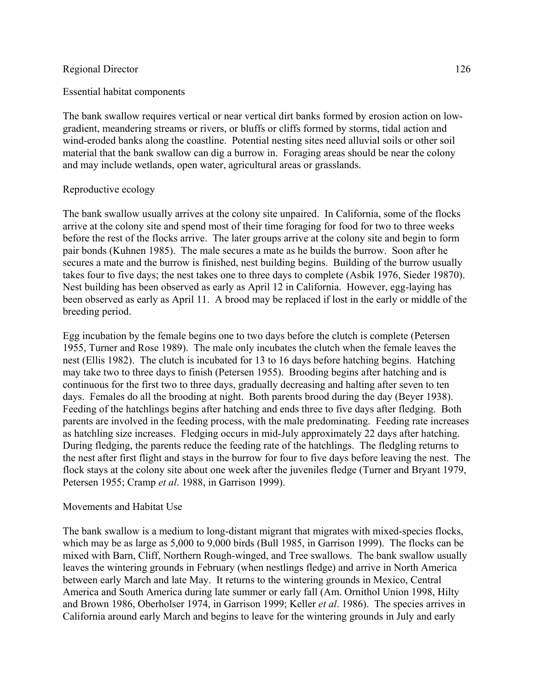#### Essential habitat components

The bank swallow requires vertical or near vertical dirt banks formed by erosion action on lowgradient, meandering streams or rivers, or bluffs or cliffs formed by storms, tidal action and wind-eroded banks along the coastline. Potential nesting sites need alluvial soils or other soil material that the bank swallow can dig a burrow in. Foraging areas should be near the colony and may include wetlands, open water, agricultural areas or grasslands.

# Reproductive ecology

The bank swallow usually arrives at the colony site unpaired. In California, some of the flocks arrive at the colony site and spend most of their time foraging for food for two to three weeks before the rest of the flocks arrive. The later groups arrive at the colony site and begin to form pair bonds (Kuhnen 1985). The male secures a mate as he builds the burrow. Soon after he secures a mate and the burrow is finished, nest building begins. Building of the burrow usually takes four to five days; the nest takes one to three days to complete (Asbik 1976, Sieder 19870). Nest building has been observed as early as April 12 in California. However, egg-laying has been observed as early as April 11. A brood may be replaced if lost in the early or middle of the breeding period.

Egg incubation by the female begins one to two days before the clutch is complete (Petersen 1955, Turner and Rose 1989). The male only incubates the clutch when the female leaves the nest (Ellis 1982). The clutch is incubated for 13 to 16 days before hatching begins. Hatching may take two to three days to finish (Petersen 1955). Brooding begins after hatching and is continuous for the first two to three days, gradually decreasing and halting after seven to ten days. Females do all the brooding at night. Both parents brood during the day (Beyer 1938). Feeding of the hatchlings begins after hatching and ends three to five days after fledging. Both parents are involved in the feeding process, with the male predominating. Feeding rate increases as hatchling size increases. Fledging occurs in mid-July approximately 22 days after hatching. During fledging, the parents reduce the feeding rate of the hatchlings. The fledgling returns to the nest after first flight and stays in the burrow for four to five days before leaving the nest. The flock stays at the colony site about one week after the juveniles fledge (Turner and Bryant 1979, Petersen 1955; Cramp *et al*. 1988, in Garrison 1999).

# Movements and Habitat Use

The bank swallow is a medium to long-distant migrant that migrates with mixed-species flocks, which may be as large as 5,000 to 9,000 birds (Bull 1985, in Garrison 1999). The flocks can be mixed with Barn, Cliff, Northern Rough-winged, and Tree swallows. The bank swallow usually leaves the wintering grounds in February (when nestlings fledge) and arrive in North America between early March and late May. It returns to the wintering grounds in Mexico, Central America and South America during late summer or early fall (Am. Ornithol Union 1998, Hilty and Brown 1986, Oberholser 1974, in Garrison 1999; Keller *et al*. 1986). The species arrives in California around early March and begins to leave for the wintering grounds in July and early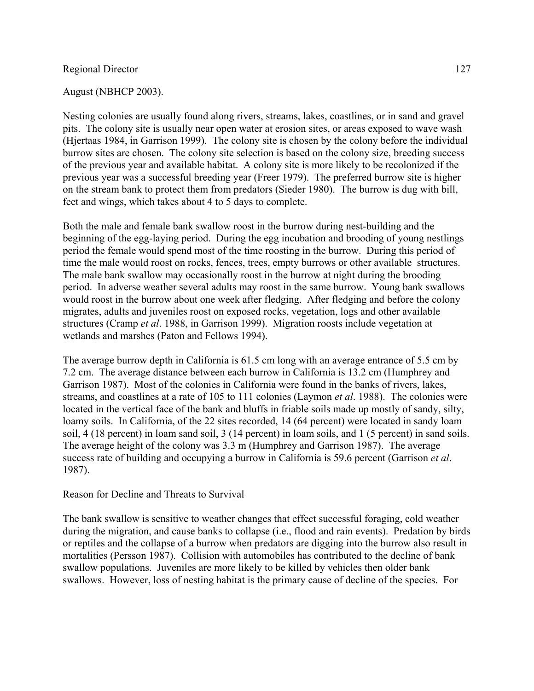#### August (NBHCP 2003).

Nesting colonies are usually found along rivers, streams, lakes, coastlines, or in sand and gravel pits. The colony site is usually near open water at erosion sites, or areas exposed to wave wash (Hjertaas 1984, in Garrison 1999). The colony site is chosen by the colony before the individual burrow sites are chosen. The colony site selection is based on the colony size, breeding success of the previous year and available habitat. A colony site is more likely to be recolonized if the previous year was a successful breeding year (Freer 1979). The preferred burrow site is higher on the stream bank to protect them from predators (Sieder 1980). The burrow is dug with bill, feet and wings, which takes about 4 to 5 days to complete.

Both the male and female bank swallow roost in the burrow during nest-building and the beginning of the egg-laying period. During the egg incubation and brooding of young nestlings period the female would spend most of the time roosting in the burrow. During this period of time the male would roost on rocks, fences, trees, empty burrows or other available structures. The male bank swallow may occasionally roost in the burrow at night during the brooding period. In adverse weather several adults may roost in the same burrow. Young bank swallows would roost in the burrow about one week after fledging. After fledging and before the colony migrates, adults and juveniles roost on exposed rocks, vegetation, logs and other available structures (Cramp *et al*. 1988, in Garrison 1999). Migration roosts include vegetation at wetlands and marshes (Paton and Fellows 1994).

The average burrow depth in California is 61.5 cm long with an average entrance of 5.5 cm by 7.2 cm. The average distance between each burrow in California is 13.2 cm (Humphrey and Garrison 1987). Most of the colonies in California were found in the banks of rivers, lakes, streams, and coastlines at a rate of 105 to 111 colonies (Laymon *et al*. 1988). The colonies were located in the vertical face of the bank and bluffs in friable soils made up mostly of sandy, silty, loamy soils. In California, of the 22 sites recorded, 14 (64 percent) were located in sandy loam soil, 4 (18 percent) in loam sand soil, 3 (14 percent) in loam soils, and 1 (5 percent) in sand soils. The average height of the colony was 3.3 m (Humphrey and Garrison 1987). The average success rate of building and occupying a burrow in California is 59.6 percent (Garrison *et al*. 1987).

# Reason for Decline and Threats to Survival

The bank swallow is sensitive to weather changes that effect successful foraging, cold weather during the migration, and cause banks to collapse (i.e., flood and rain events). Predation by birds or reptiles and the collapse of a burrow when predators are digging into the burrow also result in mortalities (Persson 1987). Collision with automobiles has contributed to the decline of bank swallow populations. Juveniles are more likely to be killed by vehicles then older bank swallows. However, loss of nesting habitat is the primary cause of decline of the species. For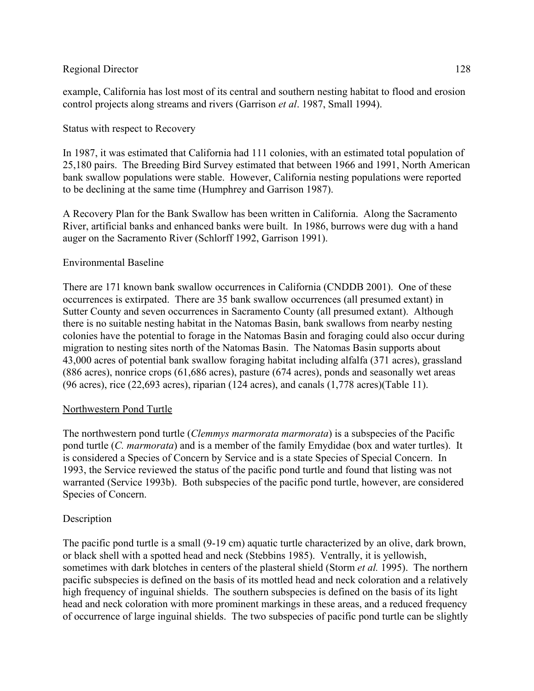example, California has lost most of its central and southern nesting habitat to flood and erosion control projects along streams and rivers (Garrison *et al*. 1987, Small 1994).

# Status with respect to Recovery

In 1987, it was estimated that California had 111 colonies, with an estimated total population of 25,180 pairs. The Breeding Bird Survey estimated that between 1966 and 1991, North American bank swallow populations were stable. However, California nesting populations were reported to be declining at the same time (Humphrey and Garrison 1987).

A Recovery Plan for the Bank Swallow has been written in California. Along the Sacramento River, artificial banks and enhanced banks were built. In 1986, burrows were dug with a hand auger on the Sacramento River (Schlorff 1992, Garrison 1991).

# Environmental Baseline

There are 171 known bank swallow occurrences in California (CNDDB 2001). One of these occurrences is extirpated. There are 35 bank swallow occurrences (all presumed extant) in Sutter County and seven occurrences in Sacramento County (all presumed extant). Although there is no suitable nesting habitat in the Natomas Basin, bank swallows from nearby nesting colonies have the potential to forage in the Natomas Basin and foraging could also occur during migration to nesting sites north of the Natomas Basin. The Natomas Basin supports about 43,000 acres of potential bank swallow foraging habitat including alfalfa (371 acres), grassland (886 acres), nonrice crops (61,686 acres), pasture (674 acres), ponds and seasonally wet areas (96 acres), rice (22,693 acres), riparian (124 acres), and canals (1,778 acres)(Table 11).

# Northwestern Pond Turtle

The northwestern pond turtle (*Clemmys marmorata marmorata*) is a subspecies of the Pacific pond turtle (*C. marmorata*) and is a member of the family Emydidae (box and water turtles). It is considered a Species of Concern by Service and is a state Species of Special Concern. In 1993, the Service reviewed the status of the pacific pond turtle and found that listing was not warranted (Service 1993b). Both subspecies of the pacific pond turtle, however, are considered Species of Concern.

# Description

The pacific pond turtle is a small (9-19 cm) aquatic turtle characterized by an olive, dark brown, or black shell with a spotted head and neck (Stebbins 1985). Ventrally, it is yellowish, sometimes with dark blotches in centers of the plasteral shield (Storm *et al.* 1995). The northern pacific subspecies is defined on the basis of its mottled head and neck coloration and a relatively high frequency of inguinal shields. The southern subspecies is defined on the basis of its light head and neck coloration with more prominent markings in these areas, and a reduced frequency of occurrence of large inguinal shields. The two subspecies of pacific pond turtle can be slightly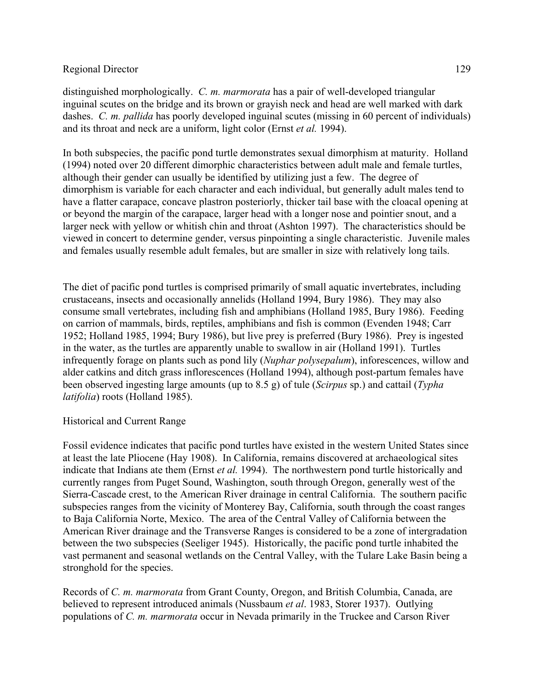distinguished morphologically. *C. m. marmorata* has a pair of well-developed triangular inguinal scutes on the bridge and its brown or grayish neck and head are well marked with dark dashes. *C. m. pallida* has poorly developed inguinal scutes (missing in 60 percent of individuals) and its throat and neck are a uniform, light color (Ernst *et al.* 1994).

In both subspecies, the pacific pond turtle demonstrates sexual dimorphism at maturity. Holland (1994) noted over 20 different dimorphic characteristics between adult male and female turtles, although their gender can usually be identified by utilizing just a few. The degree of dimorphism is variable for each character and each individual, but generally adult males tend to have a flatter carapace, concave plastron posteriorly, thicker tail base with the cloacal opening at or beyond the margin of the carapace, larger head with a longer nose and pointier snout, and a larger neck with yellow or whitish chin and throat (Ashton 1997). The characteristics should be viewed in concert to determine gender, versus pinpointing a single characteristic. Juvenile males and females usually resemble adult females, but are smaller in size with relatively long tails.

The diet of pacific pond turtles is comprised primarily of small aquatic invertebrates, including crustaceans, insects and occasionally annelids (Holland 1994, Bury 1986). They may also consume small vertebrates, including fish and amphibians (Holland 1985, Bury 1986). Feeding on carrion of mammals, birds, reptiles, amphibians and fish is common (Evenden 1948; Carr 1952; Holland 1985, 1994; Bury 1986), but live prey is preferred (Bury 1986). Prey is ingested in the water, as the turtles are apparently unable to swallow in air (Holland 1991). Turtles infrequently forage on plants such as pond lily (*Nuphar polysepalum*), inforescences, willow and alder catkins and ditch grass inflorescences (Holland 1994), although post-partum females have been observed ingesting large amounts (up to 8.5 g) of tule (*Scirpus* sp.) and cattail (*Typha latifolia*) roots (Holland 1985).

# Historical and Current Range

Fossil evidence indicates that pacific pond turtles have existed in the western United States since at least the late Pliocene (Hay 1908). In California, remains discovered at archaeological sites indicate that Indians ate them (Ernst *et al.* 1994). The northwestern pond turtle historically and currently ranges from Puget Sound, Washington, south through Oregon, generally west of the Sierra-Cascade crest, to the American River drainage in central California. The southern pacific subspecies ranges from the vicinity of Monterey Bay, California, south through the coast ranges to Baja California Norte, Mexico. The area of the Central Valley of California between the American River drainage and the Transverse Ranges is considered to be a zone of intergradation between the two subspecies (Seeliger 1945). Historically, the pacific pond turtle inhabited the vast permanent and seasonal wetlands on the Central Valley, with the Tulare Lake Basin being a stronghold for the species.

Records of *C. m. marmorata* from Grant County, Oregon, and British Columbia, Canada, are believed to represent introduced animals (Nussbaum *et al*. 1983, Storer 1937). Outlying populations of *C. m. marmorata* occur in Nevada primarily in the Truckee and Carson River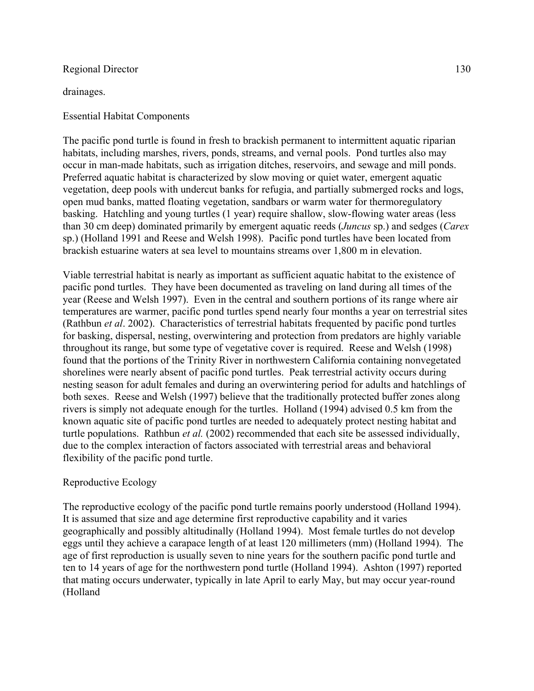drainages.

### Essential Habitat Components

The pacific pond turtle is found in fresh to brackish permanent to intermittent aquatic riparian habitats, including marshes, rivers, ponds, streams, and vernal pools. Pond turtles also may occur in man-made habitats, such as irrigation ditches, reservoirs, and sewage and mill ponds. Preferred aquatic habitat is characterized by slow moving or quiet water, emergent aquatic vegetation, deep pools with undercut banks for refugia, and partially submerged rocks and logs, open mud banks, matted floating vegetation, sandbars or warm water for thermoregulatory basking. Hatchling and young turtles (1 year) require shallow, slow-flowing water areas (less than 30 cm deep) dominated primarily by emergent aquatic reeds (*Juncus* sp.) and sedges (*Carex* sp.) (Holland 1991 and Reese and Welsh 1998). Pacific pond turtles have been located from brackish estuarine waters at sea level to mountains streams over 1,800 m in elevation.

Viable terrestrial habitat is nearly as important as sufficient aquatic habitat to the existence of pacific pond turtles. They have been documented as traveling on land during all times of the year (Reese and Welsh 1997). Even in the central and southern portions of its range where air temperatures are warmer, pacific pond turtles spend nearly four months a year on terrestrial sites (Rathbun *et al*. 2002). Characteristics of terrestrial habitats frequented by pacific pond turtles for basking, dispersal, nesting, overwintering and protection from predators are highly variable throughout its range, but some type of vegetative cover is required. Reese and Welsh (1998) found that the portions of the Trinity River in northwestern California containing nonvegetated shorelines were nearly absent of pacific pond turtles. Peak terrestrial activity occurs during nesting season for adult females and during an overwintering period for adults and hatchlings of both sexes. Reese and Welsh (1997) believe that the traditionally protected buffer zones along rivers is simply not adequate enough for the turtles. Holland (1994) advised 0.5 km from the known aquatic site of pacific pond turtles are needed to adequately protect nesting habitat and turtle populations. Rathbun *et al.* (2002) recommended that each site be assessed individually, due to the complex interaction of factors associated with terrestrial areas and behavioral flexibility of the pacific pond turtle.

# Reproductive Ecology

The reproductive ecology of the pacific pond turtle remains poorly understood (Holland 1994). It is assumed that size and age determine first reproductive capability and it varies geographically and possibly altitudinally (Holland 1994). Most female turtles do not develop eggs until they achieve a carapace length of at least 120 millimeters (mm) (Holland 1994). The age of first reproduction is usually seven to nine years for the southern pacific pond turtle and ten to 14 years of age for the northwestern pond turtle (Holland 1994). Ashton (1997) reported that mating occurs underwater, typically in late April to early May, but may occur year-round (Holland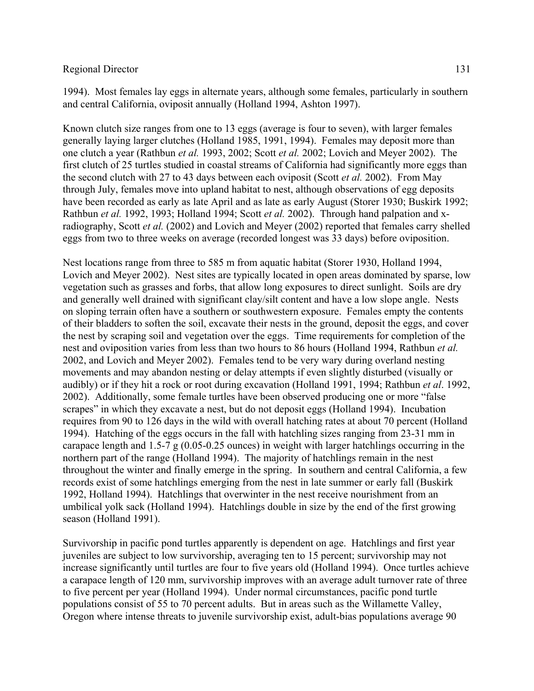1994). Most females lay eggs in alternate years, although some females, particularly in southern and central California, oviposit annually (Holland 1994, Ashton 1997).

Known clutch size ranges from one to 13 eggs (average is four to seven), with larger females generally laying larger clutches (Holland 1985, 1991, 1994). Females may deposit more than one clutch a year (Rathbun *et al.* 1993, 2002; Scott *et al.* 2002; Lovich and Meyer 2002). The first clutch of 25 turtles studied in coastal streams of California had significantly more eggs than the second clutch with 27 to 43 days between each oviposit (Scott *et al.* 2002). From May through July, females move into upland habitat to nest, although observations of egg deposits have been recorded as early as late April and as late as early August (Storer 1930; Buskirk 1992; Rathbun *et al.* 1992, 1993; Holland 1994; Scott *et al.* 2002). Through hand palpation and xradiography, Scott *et al.* (2002) and Lovich and Meyer (2002) reported that females carry shelled eggs from two to three weeks on average (recorded longest was 33 days) before oviposition.

Nest locations range from three to 585 m from aquatic habitat (Storer 1930, Holland 1994, Lovich and Meyer 2002). Nest sites are typically located in open areas dominated by sparse, low vegetation such as grasses and forbs, that allow long exposures to direct sunlight. Soils are dry and generally well drained with significant clay/silt content and have a low slope angle. Nests on sloping terrain often have a southern or southwestern exposure. Females empty the contents of their bladders to soften the soil, excavate their nests in the ground, deposit the eggs, and cover the nest by scraping soil and vegetation over the eggs. Time requirements for completion of the nest and oviposition varies from less than two hours to 86 hours (Holland 1994, Rathbun *et al.* 2002, and Lovich and Meyer 2002). Females tend to be very wary during overland nesting movements and may abandon nesting or delay attempts if even slightly disturbed (visually or audibly) or if they hit a rock or root during excavation (Holland 1991, 1994; Rathbun *et al*. 1992, 2002). Additionally, some female turtles have been observed producing one or more "false scrapes" in which they excavate a nest, but do not deposit eggs (Holland 1994). Incubation requires from 90 to 126 days in the wild with overall hatching rates at about 70 percent (Holland 1994). Hatching of the eggs occurs in the fall with hatchling sizes ranging from 23-31 mm in carapace length and 1.5-7 g (0.05-0.25 ounces) in weight with larger hatchlings occurring in the northern part of the range (Holland 1994). The majority of hatchlings remain in the nest throughout the winter and finally emerge in the spring. In southern and central California, a few records exist of some hatchlings emerging from the nest in late summer or early fall (Buskirk 1992, Holland 1994). Hatchlings that overwinter in the nest receive nourishment from an umbilical yolk sack (Holland 1994). Hatchlings double in size by the end of the first growing season (Holland 1991).

Survivorship in pacific pond turtles apparently is dependent on age. Hatchlings and first year juveniles are subject to low survivorship, averaging ten to 15 percent; survivorship may not increase significantly until turtles are four to five years old (Holland 1994). Once turtles achieve a carapace length of 120 mm, survivorship improves with an average adult turnover rate of three to five percent per year (Holland 1994). Under normal circumstances, pacific pond turtle populations consist of 55 to 70 percent adults. But in areas such as the Willamette Valley, Oregon where intense threats to juvenile survivorship exist, adult-bias populations average 90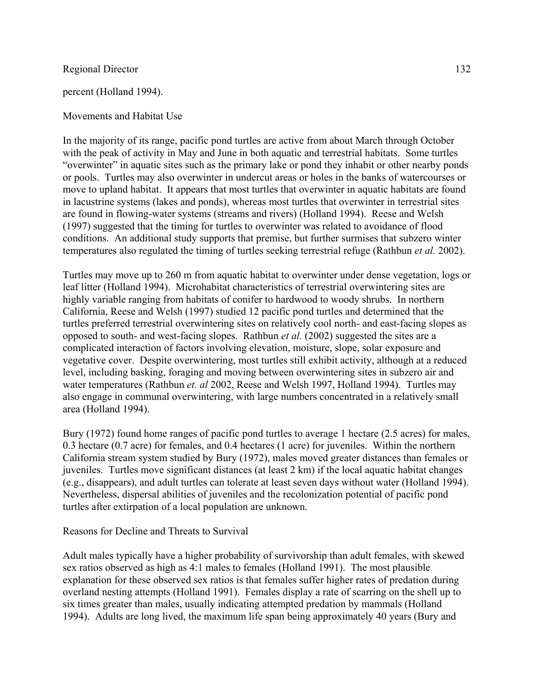#### percent (Holland 1994).

#### Movements and Habitat Use

In the majority of its range, pacific pond turtles are active from about March through October with the peak of activity in May and June in both aquatic and terrestrial habitats. Some turtles "overwinter" in aquatic sites such as the primary lake or pond they inhabit or other nearby ponds or pools. Turtles may also overwinter in undercut areas or holes in the banks of watercourses or move to upland habitat. It appears that most turtles that overwinter in aquatic habitats are found in lacustrine systems (lakes and ponds), whereas most turtles that overwinter in terrestrial sites are found in flowing-water systems (streams and rivers) (Holland 1994). Reese and Welsh (1997) suggested that the timing for turtles to overwinter was related to avoidance of flood conditions. An additional study supports that premise, but further surmises that subzero winter temperatures also regulated the timing of turtles seeking terrestrial refuge (Rathbun *et al.* 2002).

Turtles may move up to 260 m from aquatic habitat to overwinter under dense vegetation, logs or leaf litter (Holland 1994). Microhabitat characteristics of terrestrial overwintering sites are highly variable ranging from habitats of conifer to hardwood to woody shrubs. In northern California, Reese and Welsh (1997) studied 12 pacific pond turtles and determined that the turtles preferred terrestrial overwintering sites on relatively cool north- and east-facing slopes as opposed to south- and west-facing slopes. Rathbun *et al.* (2002) suggested the sites are a complicated interaction of factors involving elevation, moisture, slope, solar exposure and vegetative cover. Despite overwintering, most turtles still exhibit activity, although at a reduced level, including basking, foraging and moving between overwintering sites in subzero air and water temperatures (Rathbun *et. al* 2002, Reese and Welsh 1997, Holland 1994). Turtles may also engage in communal overwintering, with large numbers concentrated in a relatively small area (Holland 1994).

Bury (1972) found home ranges of pacific pond turtles to average 1 hectare (2.5 acres) for males, 0.3 hectare (0.7 acre) for females, and 0.4 hectares (1 acre) for juveniles. Within the northern California stream system studied by Bury (1972), males moved greater distances than females or juveniles. Turtles move significant distances (at least 2 km) if the local aquatic habitat changes (e.g., disappears), and adult turtles can tolerate at least seven days without water (Holland 1994). Nevertheless, dispersal abilities of juveniles and the recolonization potential of pacific pond turtles after extirpation of a local population are unknown.

#### Reasons for Decline and Threats to Survival

Adult males typically have a higher probability of survivorship than adult females, with skewed sex ratios observed as high as 4:1 males to females (Holland 1991). The most plausible explanation for these observed sex ratios is that females suffer higher rates of predation during overland nesting attempts (Holland 1991). Females display a rate of scarring on the shell up to six times greater than males, usually indicating attempted predation by mammals (Holland 1994). Adults are long lived, the maximum life span being approximately 40 years (Bury and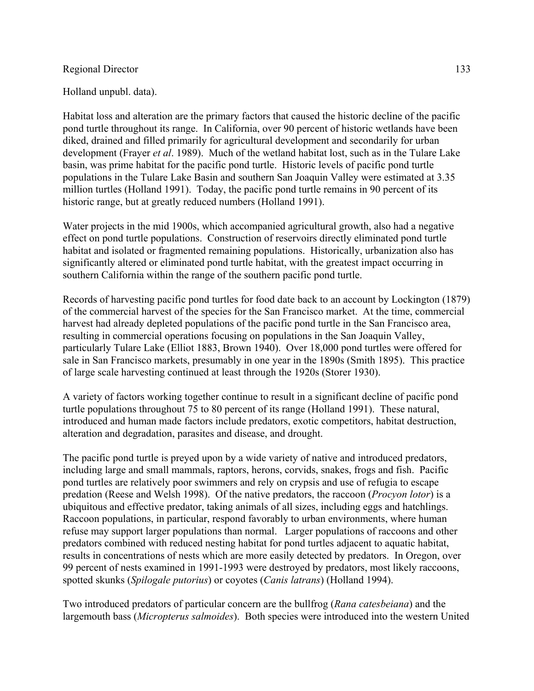Holland unpubl. data).

Habitat loss and alteration are the primary factors that caused the historic decline of the pacific pond turtle throughout its range. In California, over 90 percent of historic wetlands have been diked, drained and filled primarily for agricultural development and secondarily for urban development (Frayer *et al*. 1989). Much of the wetland habitat lost, such as in the Tulare Lake basin, was prime habitat for the pacific pond turtle. Historic levels of pacific pond turtle populations in the Tulare Lake Basin and southern San Joaquin Valley were estimated at 3.35 million turtles (Holland 1991). Today, the pacific pond turtle remains in 90 percent of its historic range, but at greatly reduced numbers (Holland 1991).

Water projects in the mid 1900s, which accompanied agricultural growth, also had a negative effect on pond turtle populations. Construction of reservoirs directly eliminated pond turtle habitat and isolated or fragmented remaining populations. Historically, urbanization also has significantly altered or eliminated pond turtle habitat, with the greatest impact occurring in southern California within the range of the southern pacific pond turtle.

Records of harvesting pacific pond turtles for food date back to an account by Lockington (1879) of the commercial harvest of the species for the San Francisco market. At the time, commercial harvest had already depleted populations of the pacific pond turtle in the San Francisco area, resulting in commercial operations focusing on populations in the San Joaquin Valley, particularly Tulare Lake (Elliot 1883, Brown 1940). Over 18,000 pond turtles were offered for sale in San Francisco markets, presumably in one year in the 1890s (Smith 1895). This practice of large scale harvesting continued at least through the 1920s (Storer 1930).

A variety of factors working together continue to result in a significant decline of pacific pond turtle populations throughout 75 to 80 percent of its range (Holland 1991). These natural, introduced and human made factors include predators, exotic competitors, habitat destruction, alteration and degradation, parasites and disease, and drought.

The pacific pond turtle is preyed upon by a wide variety of native and introduced predators, including large and small mammals, raptors, herons, corvids, snakes, frogs and fish. Pacific pond turtles are relatively poor swimmers and rely on crypsis and use of refugia to escape predation (Reese and Welsh 1998). Of the native predators, the raccoon (*Procyon lotor*) is a ubiquitous and effective predator, taking animals of all sizes, including eggs and hatchlings. Raccoon populations, in particular, respond favorably to urban environments, where human refuse may support larger populations than normal. Larger populations of raccoons and other predators combined with reduced nesting habitat for pond turtles adjacent to aquatic habitat, results in concentrations of nests which are more easily detected by predators. In Oregon, over 99 percent of nests examined in 1991-1993 were destroyed by predators, most likely raccoons, spotted skunks (*Spilogale putorius*) or coyotes (*Canis latrans*) (Holland 1994).

Two introduced predators of particular concern are the bullfrog (*Rana catesbeiana*) and the largemouth bass (*Micropterus salmoides*). Both species were introduced into the western United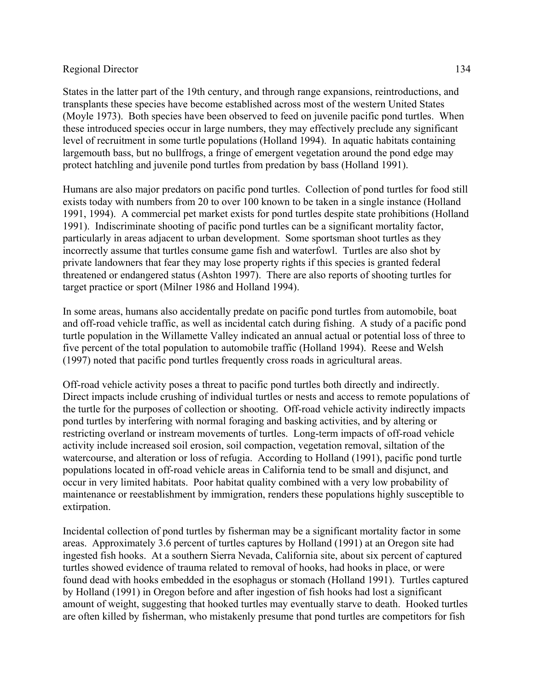States in the latter part of the 19th century, and through range expansions, reintroductions, and transplants these species have become established across most of the western United States (Moyle 1973). Both species have been observed to feed on juvenile pacific pond turtles. When these introduced species occur in large numbers, they may effectively preclude any significant level of recruitment in some turtle populations (Holland 1994). In aquatic habitats containing largemouth bass, but no bullfrogs, a fringe of emergent vegetation around the pond edge may protect hatchling and juvenile pond turtles from predation by bass (Holland 1991).

Humans are also major predators on pacific pond turtles. Collection of pond turtles for food still exists today with numbers from 20 to over 100 known to be taken in a single instance (Holland 1991, 1994). A commercial pet market exists for pond turtles despite state prohibitions (Holland 1991). Indiscriminate shooting of pacific pond turtles can be a significant mortality factor, particularly in areas adjacent to urban development. Some sportsman shoot turtles as they incorrectly assume that turtles consume game fish and waterfowl. Turtles are also shot by private landowners that fear they may lose property rights if this species is granted federal threatened or endangered status (Ashton 1997). There are also reports of shooting turtles for target practice or sport (Milner 1986 and Holland 1994).

In some areas, humans also accidentally predate on pacific pond turtles from automobile, boat and off-road vehicle traffic, as well as incidental catch during fishing. A study of a pacific pond turtle population in the Willamette Valley indicated an annual actual or potential loss of three to five percent of the total population to automobile traffic (Holland 1994). Reese and Welsh (1997) noted that pacific pond turtles frequently cross roads in agricultural areas.

Off-road vehicle activity poses a threat to pacific pond turtles both directly and indirectly. Direct impacts include crushing of individual turtles or nests and access to remote populations of the turtle for the purposes of collection or shooting. Off-road vehicle activity indirectly impacts pond turtles by interfering with normal foraging and basking activities, and by altering or restricting overland or instream movements of turtles. Long-term impacts of off-road vehicle activity include increased soil erosion, soil compaction, vegetation removal, siltation of the watercourse, and alteration or loss of refugia. According to Holland (1991), pacific pond turtle populations located in off-road vehicle areas in California tend to be small and disjunct, and occur in very limited habitats. Poor habitat quality combined with a very low probability of maintenance or reestablishment by immigration, renders these populations highly susceptible to extirpation.

Incidental collection of pond turtles by fisherman may be a significant mortality factor in some areas. Approximately 3.6 percent of turtles captures by Holland (1991) at an Oregon site had ingested fish hooks. At a southern Sierra Nevada, California site, about six percent of captured turtles showed evidence of trauma related to removal of hooks, had hooks in place, or were found dead with hooks embedded in the esophagus or stomach (Holland 1991). Turtles captured by Holland (1991) in Oregon before and after ingestion of fish hooks had lost a significant amount of weight, suggesting that hooked turtles may eventually starve to death. Hooked turtles are often killed by fisherman, who mistakenly presume that pond turtles are competitors for fish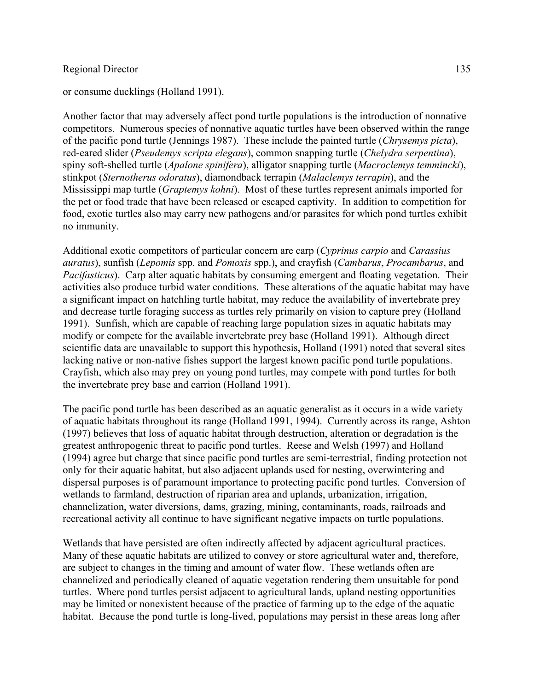or consume ducklings (Holland 1991).

Another factor that may adversely affect pond turtle populations is the introduction of nonnative competitors. Numerous species of nonnative aquatic turtles have been observed within the range of the pacific pond turtle (Jennings 1987). These include the painted turtle (*Chrysemys picta*), red-eared slider (*Pseudemys scripta elegans*), common snapping turtle (*Chelydra serpentina*), spiny soft-shelled turtle (*Apalone spinifera*), alligator snapping turtle (*Macroclemys temmincki*), stinkpot (*Sternotherus odoratus*), diamondback terrapin (*Malaclemys terrapin*), and the Mississippi map turtle (*Graptemys kohni*). Most of these turtles represent animals imported for the pet or food trade that have been released or escaped captivity. In addition to competition for food, exotic turtles also may carry new pathogens and/or parasites for which pond turtles exhibit no immunity.

Additional exotic competitors of particular concern are carp (*Cyprinus carpio* and *Carassius auratus*), sunfish (*Lepomis* spp. and *Pomoxis* spp.), and crayfish (*Cambarus*, *Procambarus*, and *Pacifasticus*). Carp alter aquatic habitats by consuming emergent and floating vegetation. Their activities also produce turbid water conditions. These alterations of the aquatic habitat may have a significant impact on hatchling turtle habitat, may reduce the availability of invertebrate prey and decrease turtle foraging success as turtles rely primarily on vision to capture prey (Holland 1991). Sunfish, which are capable of reaching large population sizes in aquatic habitats may modify or compete for the available invertebrate prey base (Holland 1991). Although direct scientific data are unavailable to support this hypothesis, Holland (1991) noted that several sites lacking native or non-native fishes support the largest known pacific pond turtle populations. Crayfish, which also may prey on young pond turtles, may compete with pond turtles for both the invertebrate prey base and carrion (Holland 1991).

The pacific pond turtle has been described as an aquatic generalist as it occurs in a wide variety of aquatic habitats throughout its range (Holland 1991, 1994). Currently across its range, Ashton (1997) believes that loss of aquatic habitat through destruction, alteration or degradation is the greatest anthropogenic threat to pacific pond turtles. Reese and Welsh (1997) and Holland (1994) agree but charge that since pacific pond turtles are semi-terrestrial, finding protection not only for their aquatic habitat, but also adjacent uplands used for nesting, overwintering and dispersal purposes is of paramount importance to protecting pacific pond turtles. Conversion of wetlands to farmland, destruction of riparian area and uplands, urbanization, irrigation, channelization, water diversions, dams, grazing, mining, contaminants, roads, railroads and recreational activity all continue to have significant negative impacts on turtle populations.

Wetlands that have persisted are often indirectly affected by adjacent agricultural practices. Many of these aquatic habitats are utilized to convey or store agricultural water and, therefore, are subject to changes in the timing and amount of water flow. These wetlands often are channelized and periodically cleaned of aquatic vegetation rendering them unsuitable for pond turtles. Where pond turtles persist adjacent to agricultural lands, upland nesting opportunities may be limited or nonexistent because of the practice of farming up to the edge of the aquatic habitat. Because the pond turtle is long-lived, populations may persist in these areas long after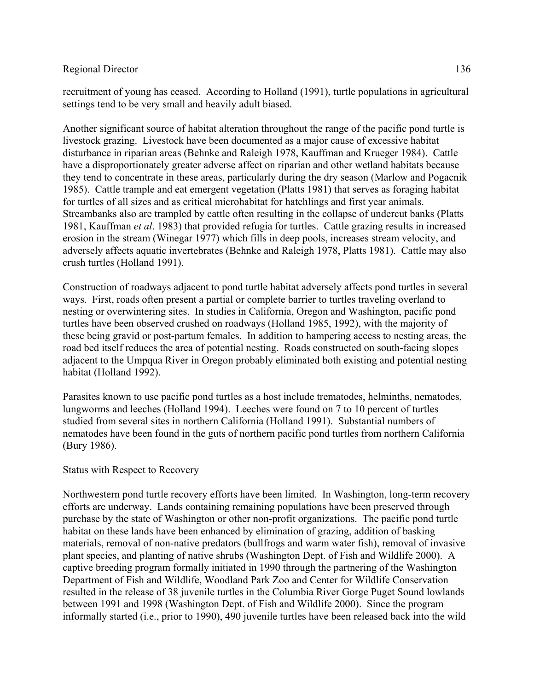recruitment of young has ceased. According to Holland (1991), turtle populations in agricultural settings tend to be very small and heavily adult biased.

Another significant source of habitat alteration throughout the range of the pacific pond turtle is livestock grazing. Livestock have been documented as a major cause of excessive habitat disturbance in riparian areas (Behnke and Raleigh 1978, Kauffman and Krueger 1984). Cattle have a disproportionately greater adverse affect on riparian and other wetland habitats because they tend to concentrate in these areas, particularly during the dry season (Marlow and Pogacnik 1985). Cattle trample and eat emergent vegetation (Platts 1981) that serves as foraging habitat for turtles of all sizes and as critical microhabitat for hatchlings and first year animals. Streambanks also are trampled by cattle often resulting in the collapse of undercut banks (Platts 1981, Kauffman *et al*. 1983) that provided refugia for turtles. Cattle grazing results in increased erosion in the stream (Winegar 1977) which fills in deep pools, increases stream velocity, and adversely affects aquatic invertebrates (Behnke and Raleigh 1978, Platts 1981). Cattle may also crush turtles (Holland 1991).

Construction of roadways adjacent to pond turtle habitat adversely affects pond turtles in several ways. First, roads often present a partial or complete barrier to turtles traveling overland to nesting or overwintering sites. In studies in California, Oregon and Washington, pacific pond turtles have been observed crushed on roadways (Holland 1985, 1992), with the majority of these being gravid or post-partum females. In addition to hampering access to nesting areas, the road bed itself reduces the area of potential nesting. Roads constructed on south-facing slopes adjacent to the Umpqua River in Oregon probably eliminated both existing and potential nesting habitat (Holland 1992).

Parasites known to use pacific pond turtles as a host include trematodes, helminths, nematodes, lungworms and leeches (Holland 1994). Leeches were found on 7 to 10 percent of turtles studied from several sites in northern California (Holland 1991). Substantial numbers of nematodes have been found in the guts of northern pacific pond turtles from northern California (Bury 1986).

# Status with Respect to Recovery

Northwestern pond turtle recovery efforts have been limited. In Washington, long-term recovery efforts are underway. Lands containing remaining populations have been preserved through purchase by the state of Washington or other non-profit organizations. The pacific pond turtle habitat on these lands have been enhanced by elimination of grazing, addition of basking materials, removal of non-native predators (bullfrogs and warm water fish), removal of invasive plant species, and planting of native shrubs (Washington Dept. of Fish and Wildlife 2000). A captive breeding program formally initiated in 1990 through the partnering of the Washington Department of Fish and Wildlife, Woodland Park Zoo and Center for Wildlife Conservation resulted in the release of 38 juvenile turtles in the Columbia River Gorge Puget Sound lowlands between 1991 and 1998 (Washington Dept. of Fish and Wildlife 2000). Since the program informally started (i.e., prior to 1990), 490 juvenile turtles have been released back into the wild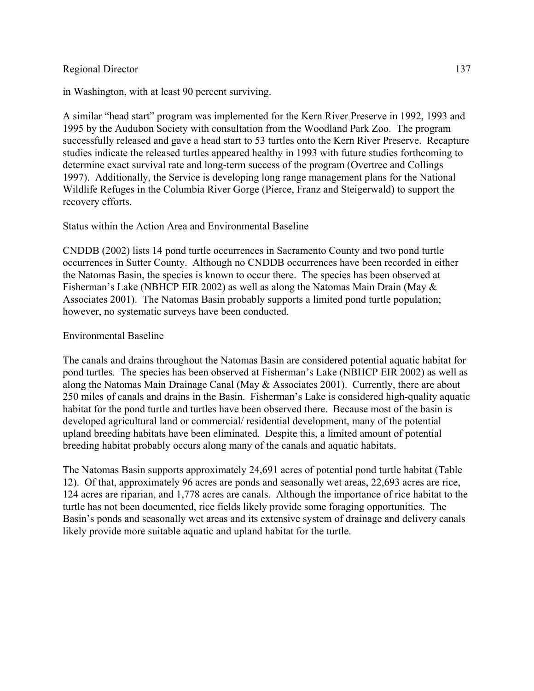in Washington, with at least 90 percent surviving.

A similar "head start" program was implemented for the Kern River Preserve in 1992, 1993 and 1995 by the Audubon Society with consultation from the Woodland Park Zoo. The program successfully released and gave a head start to 53 turtles onto the Kern River Preserve. Recapture studies indicate the released turtles appeared healthy in 1993 with future studies forthcoming to determine exact survival rate and long-term success of the program (Overtree and Collings 1997). Additionally, the Service is developing long range management plans for the National Wildlife Refuges in the Columbia River Gorge (Pierce, Franz and Steigerwald) to support the recovery efforts.

#### Status within the Action Area and Environmental Baseline

CNDDB (2002) lists 14 pond turtle occurrences in Sacramento County and two pond turtle occurrences in Sutter County. Although no CNDDB occurrences have been recorded in either the Natomas Basin, the species is known to occur there. The species has been observed at Fisherman's Lake (NBHCP EIR 2002) as well as along the Natomas Main Drain (May & Associates 2001). The Natomas Basin probably supports a limited pond turtle population; however, no systematic surveys have been conducted.

# Environmental Baseline

The canals and drains throughout the Natomas Basin are considered potential aquatic habitat for pond turtles. The species has been observed at Fisherman's Lake (NBHCP EIR 2002) as well as along the Natomas Main Drainage Canal (May & Associates 2001). Currently, there are about 250 miles of canals and drains in the Basin. Fisherman's Lake is considered high-quality aquatic habitat for the pond turtle and turtles have been observed there. Because most of the basin is developed agricultural land or commercial/ residential development, many of the potential upland breeding habitats have been eliminated. Despite this, a limited amount of potential breeding habitat probably occurs along many of the canals and aquatic habitats.

The Natomas Basin supports approximately 24,691 acres of potential pond turtle habitat (Table 12). Of that, approximately 96 acres are ponds and seasonally wet areas, 22,693 acres are rice, 124 acres are riparian, and 1,778 acres are canals. Although the importance of rice habitat to the turtle has not been documented, rice fields likely provide some foraging opportunities. The Basin's ponds and seasonally wet areas and its extensive system of drainage and delivery canals likely provide more suitable aquatic and upland habitat for the turtle.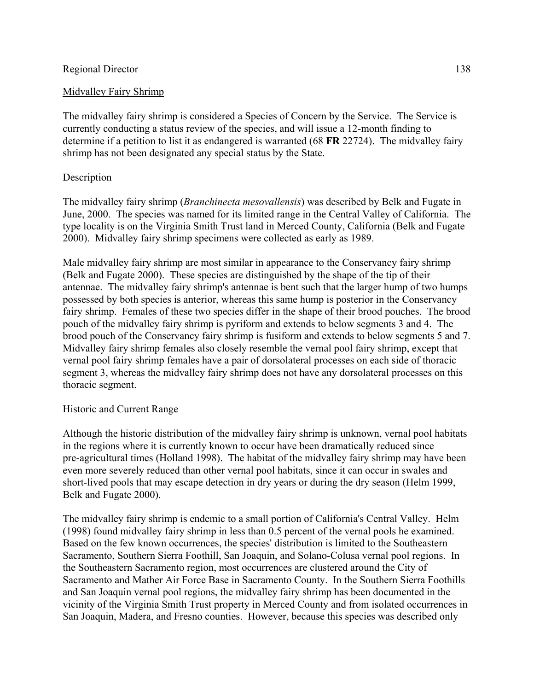### Midvalley Fairy Shrimp

The midvalley fairy shrimp is considered a Species of Concern by the Service. The Service is currently conducting a status review of the species, and will issue a 12-month finding to determine if a petition to list it as endangered is warranted (68 **FR** 22724). The midvalley fairy shrimp has not been designated any special status by the State.

# Description

The midvalley fairy shrimp (*Branchinecta mesovallensis*) was described by Belk and Fugate in June, 2000. The species was named for its limited range in the Central Valley of California. The type locality is on the Virginia Smith Trust land in Merced County, California (Belk and Fugate 2000). Midvalley fairy shrimp specimens were collected as early as 1989.

Male midvalley fairy shrimp are most similar in appearance to the Conservancy fairy shrimp (Belk and Fugate 2000). These species are distinguished by the shape of the tip of their antennae. The midvalley fairy shrimp's antennae is bent such that the larger hump of two humps possessed by both species is anterior, whereas this same hump is posterior in the Conservancy fairy shrimp. Females of these two species differ in the shape of their brood pouches. The brood pouch of the midvalley fairy shrimp is pyriform and extends to below segments 3 and 4. The brood pouch of the Conservancy fairy shrimp is fusiform and extends to below segments 5 and 7. Midvalley fairy shrimp females also closely resemble the vernal pool fairy shrimp, except that vernal pool fairy shrimp females have a pair of dorsolateral processes on each side of thoracic segment 3, whereas the midvalley fairy shrimp does not have any dorsolateral processes on this thoracic segment.

# Historic and Current Range

Although the historic distribution of the midvalley fairy shrimp is unknown, vernal pool habitats in the regions where it is currently known to occur have been dramatically reduced since pre-agricultural times (Holland 1998). The habitat of the midvalley fairy shrimp may have been even more severely reduced than other vernal pool habitats, since it can occur in swales and short-lived pools that may escape detection in dry years or during the dry season (Helm 1999, Belk and Fugate 2000).

The midvalley fairy shrimp is endemic to a small portion of California's Central Valley. Helm (1998) found midvalley fairy shrimp in less than 0.5 percent of the vernal pools he examined. Based on the few known occurrences, the species' distribution is limited to the Southeastern Sacramento, Southern Sierra Foothill, San Joaquin, and Solano-Colusa vernal pool regions. In the Southeastern Sacramento region, most occurrences are clustered around the City of Sacramento and Mather Air Force Base in Sacramento County. In the Southern Sierra Foothills and San Joaquin vernal pool regions, the midvalley fairy shrimp has been documented in the vicinity of the Virginia Smith Trust property in Merced County and from isolated occurrences in San Joaquin, Madera, and Fresno counties. However, because this species was described only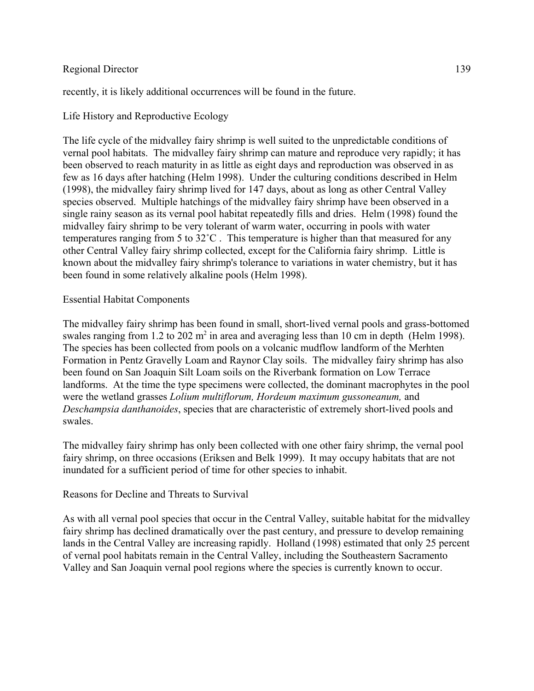recently, it is likely additional occurrences will be found in the future.

# Life History and Reproductive Ecology

The life cycle of the midvalley fairy shrimp is well suited to the unpredictable conditions of vernal pool habitats. The midvalley fairy shrimp can mature and reproduce very rapidly; it has been observed to reach maturity in as little as eight days and reproduction was observed in as few as 16 days after hatching (Helm 1998). Under the culturing conditions described in Helm (1998), the midvalley fairy shrimp lived for 147 days, about as long as other Central Valley species observed. Multiple hatchings of the midvalley fairy shrimp have been observed in a single rainy season as its vernal pool habitat repeatedly fills and dries. Helm (1998) found the midvalley fairy shrimp to be very tolerant of warm water, occurring in pools with water temperatures ranging from 5 to  $32^{\circ}$ C. This temperature is higher than that measured for any other Central Valley fairy shrimp collected, except for the California fairy shrimp. Little is known about the midvalley fairy shrimp's tolerance to variations in water chemistry, but it has been found in some relatively alkaline pools (Helm 1998).

# Essential Habitat Components

The midvalley fairy shrimp has been found in small, short-lived vernal pools and grass-bottomed swales ranging from 1.2 to 202  $m^2$  in area and averaging less than 10 cm in depth (Helm 1998). The species has been collected from pools on a volcanic mudflow landform of the Merhten Formation in Pentz Gravelly Loam and Raynor Clay soils. The midvalley fairy shrimp has also been found on San Joaquin Silt Loam soils on the Riverbank formation on Low Terrace landforms. At the time the type specimens were collected, the dominant macrophytes in the pool were the wetland grasses *Lolium multiflorum, Hordeum maximum gussoneanum,* and *Deschampsia danthanoides*, species that are characteristic of extremely short-lived pools and swales.

The midvalley fairy shrimp has only been collected with one other fairy shrimp, the vernal pool fairy shrimp, on three occasions (Eriksen and Belk 1999). It may occupy habitats that are not inundated for a sufficient period of time for other species to inhabit.

# Reasons for Decline and Threats to Survival

As with all vernal pool species that occur in the Central Valley, suitable habitat for the midvalley fairy shrimp has declined dramatically over the past century, and pressure to develop remaining lands in the Central Valley are increasing rapidly. Holland (1998) estimated that only 25 percent of vernal pool habitats remain in the Central Valley, including the Southeastern Sacramento Valley and San Joaquin vernal pool regions where the species is currently known to occur.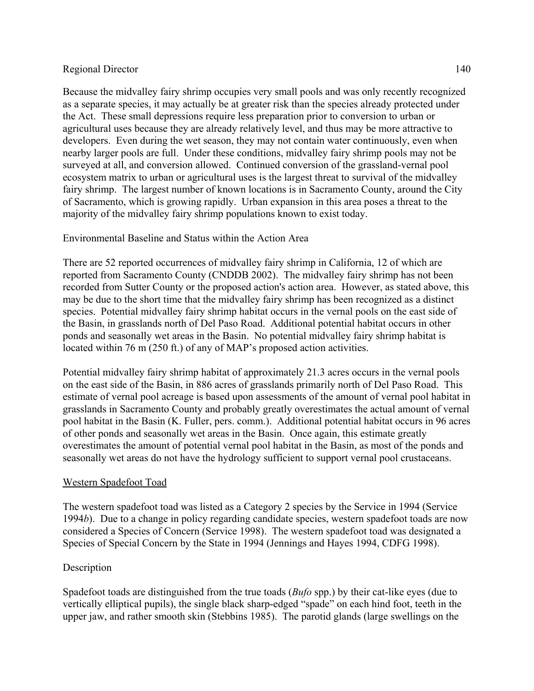Because the midvalley fairy shrimp occupies very small pools and was only recently recognized as a separate species, it may actually be at greater risk than the species already protected under the Act. These small depressions require less preparation prior to conversion to urban or agricultural uses because they are already relatively level, and thus may be more attractive to developers. Even during the wet season, they may not contain water continuously, even when nearby larger pools are full. Under these conditions, midvalley fairy shrimp pools may not be surveyed at all, and conversion allowed. Continued conversion of the grassland-vernal pool ecosystem matrix to urban or agricultural uses is the largest threat to survival of the midvalley fairy shrimp. The largest number of known locations is in Sacramento County, around the City of Sacramento, which is growing rapidly. Urban expansion in this area poses a threat to the majority of the midvalley fairy shrimp populations known to exist today.

# Environmental Baseline and Status within the Action Area

There are 52 reported occurrences of midvalley fairy shrimp in California, 12 of which are reported from Sacramento County (CNDDB 2002). The midvalley fairy shrimp has not been recorded from Sutter County or the proposed action's action area. However, as stated above, this may be due to the short time that the midvalley fairy shrimp has been recognized as a distinct species. Potential midvalley fairy shrimp habitat occurs in the vernal pools on the east side of the Basin, in grasslands north of Del Paso Road. Additional potential habitat occurs in other ponds and seasonally wet areas in the Basin. No potential midvalley fairy shrimp habitat is located within 76 m (250 ft.) of any of MAP's proposed action activities.

Potential midvalley fairy shrimp habitat of approximately 21.3 acres occurs in the vernal pools on the east side of the Basin, in 886 acres of grasslands primarily north of Del Paso Road. This estimate of vernal pool acreage is based upon assessments of the amount of vernal pool habitat in grasslands in Sacramento County and probably greatly overestimates the actual amount of vernal pool habitat in the Basin (K. Fuller, pers. comm.). Additional potential habitat occurs in 96 acres of other ponds and seasonally wet areas in the Basin. Once again, this estimate greatly overestimates the amount of potential vernal pool habitat in the Basin, as most of the ponds and seasonally wet areas do not have the hydrology sufficient to support vernal pool crustaceans.

# Western Spadefoot Toad

The western spadefoot toad was listed as a Category 2 species by the Service in 1994 (Service 1994*b*). Due to a change in policy regarding candidate species, western spadefoot toads are now considered a Species of Concern (Service 1998). The western spadefoot toad was designated a Species of Special Concern by the State in 1994 (Jennings and Hayes 1994, CDFG 1998).

# Description

Spadefoot toads are distinguished from the true toads (*Bufo* spp.) by their cat-like eyes (due to vertically elliptical pupils), the single black sharp-edged "spade" on each hind foot, teeth in the upper jaw, and rather smooth skin (Stebbins 1985). The parotid glands (large swellings on the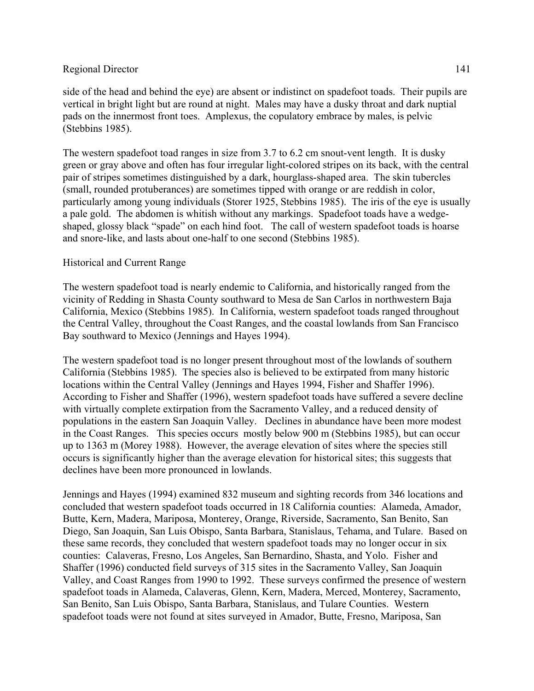side of the head and behind the eye) are absent or indistinct on spadefoot toads. Their pupils are vertical in bright light but are round at night. Males may have a dusky throat and dark nuptial pads on the innermost front toes. Amplexus, the copulatory embrace by males, is pelvic (Stebbins 1985).

The western spadefoot toad ranges in size from 3.7 to 6.2 cm snout-vent length. It is dusky green or gray above and often has four irregular light-colored stripes on its back, with the central pair of stripes sometimes distinguished by a dark, hourglass-shaped area. The skin tubercles (small, rounded protuberances) are sometimes tipped with orange or are reddish in color, particularly among young individuals (Storer 1925, Stebbins 1985). The iris of the eye is usually a pale gold. The abdomen is whitish without any markings. Spadefoot toads have a wedgeshaped, glossy black "spade" on each hind foot. The call of western spadefoot toads is hoarse and snore-like, and lasts about one-half to one second (Stebbins 1985).

# Historical and Current Range

The western spadefoot toad is nearly endemic to California, and historically ranged from the vicinity of Redding in Shasta County southward to Mesa de San Carlos in northwestern Baja California, Mexico (Stebbins 1985). In California, western spadefoot toads ranged throughout the Central Valley, throughout the Coast Ranges, and the coastal lowlands from San Francisco Bay southward to Mexico (Jennings and Hayes 1994).

The western spadefoot toad is no longer present throughout most of the lowlands of southern California (Stebbins 1985). The species also is believed to be extirpated from many historic locations within the Central Valley (Jennings and Hayes 1994, Fisher and Shaffer 1996). According to Fisher and Shaffer (1996), western spadefoot toads have suffered a severe decline with virtually complete extirpation from the Sacramento Valley, and a reduced density of populations in the eastern San Joaquin Valley. Declines in abundance have been more modest in the Coast Ranges. This species occurs mostly below 900 m (Stebbins 1985), but can occur up to 1363 m (Morey 1988). However, the average elevation of sites where the species still occurs is significantly higher than the average elevation for historical sites; this suggests that declines have been more pronounced in lowlands.

Jennings and Hayes (1994) examined 832 museum and sighting records from 346 locations and concluded that western spadefoot toads occurred in 18 California counties: Alameda, Amador, Butte, Kern, Madera, Mariposa, Monterey, Orange, Riverside, Sacramento, San Benito, San Diego, San Joaquin, San Luis Obispo, Santa Barbara, Stanislaus, Tehama, and Tulare. Based on these same records, they concluded that western spadefoot toads may no longer occur in six counties: Calaveras, Fresno, Los Angeles, San Bernardino, Shasta, and Yolo. Fisher and Shaffer (1996) conducted field surveys of 315 sites in the Sacramento Valley, San Joaquin Valley, and Coast Ranges from 1990 to 1992. These surveys confirmed the presence of western spadefoot toads in Alameda, Calaveras, Glenn, Kern, Madera, Merced, Monterey, Sacramento, San Benito, San Luis Obispo, Santa Barbara, Stanislaus, and Tulare Counties. Western spadefoot toads were not found at sites surveyed in Amador, Butte, Fresno, Mariposa, San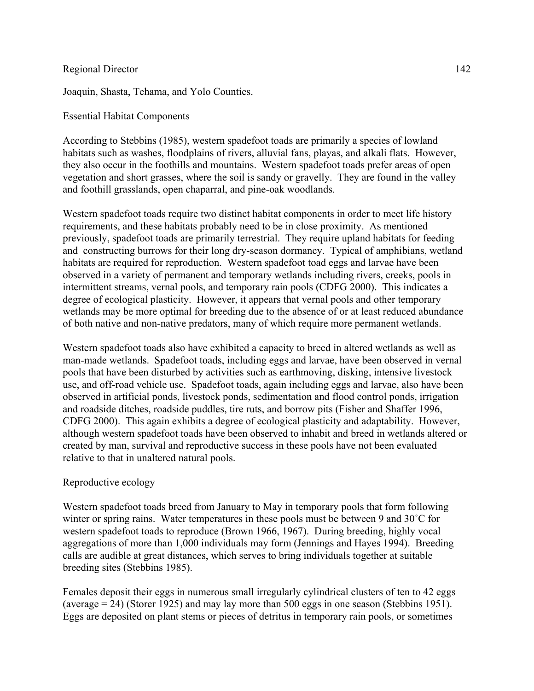Joaquin, Shasta, Tehama, and Yolo Counties.

#### Essential Habitat Components

According to Stebbins (1985), western spadefoot toads are primarily a species of lowland habitats such as washes, floodplains of rivers, alluvial fans, playas, and alkali flats. However, they also occur in the foothills and mountains. Western spadefoot toads prefer areas of open vegetation and short grasses, where the soil is sandy or gravelly. They are found in the valley and foothill grasslands, open chaparral, and pine-oak woodlands.

Western spadefoot toads require two distinct habitat components in order to meet life history requirements, and these habitats probably need to be in close proximity. As mentioned previously, spadefoot toads are primarily terrestrial. They require upland habitats for feeding and constructing burrows for their long dry-season dormancy. Typical of amphibians, wetland habitats are required for reproduction. Western spadefoot toad eggs and larvae have been observed in a variety of permanent and temporary wetlands including rivers, creeks, pools in intermittent streams, vernal pools, and temporary rain pools (CDFG 2000). This indicates a degree of ecological plasticity. However, it appears that vernal pools and other temporary wetlands may be more optimal for breeding due to the absence of or at least reduced abundance of both native and non-native predators, many of which require more permanent wetlands.

Western spadefoot toads also have exhibited a capacity to breed in altered wetlands as well as man-made wetlands. Spadefoot toads, including eggs and larvae, have been observed in vernal pools that have been disturbed by activities such as earthmoving, disking, intensive livestock use, and off-road vehicle use. Spadefoot toads, again including eggs and larvae, also have been observed in artificial ponds, livestock ponds, sedimentation and flood control ponds, irrigation and roadside ditches, roadside puddles, tire ruts, and borrow pits (Fisher and Shaffer 1996, CDFG 2000). This again exhibits a degree of ecological plasticity and adaptability. However, although western spadefoot toads have been observed to inhabit and breed in wetlands altered or created by man, survival and reproductive success in these pools have not been evaluated relative to that in unaltered natural pools.

#### Reproductive ecology

Western spadefoot toads breed from January to May in temporary pools that form following winter or spring rains. Water temperatures in these pools must be between 9 and  $30^{\circ}$ C for western spadefoot toads to reproduce (Brown 1966, 1967). During breeding, highly vocal aggregations of more than 1,000 individuals may form (Jennings and Hayes 1994). Breeding calls are audible at great distances, which serves to bring individuals together at suitable breeding sites (Stebbins 1985).

Females deposit their eggs in numerous small irregularly cylindrical clusters of ten to 42 eggs (average = 24) (Storer 1925) and may lay more than 500 eggs in one season (Stebbins 1951). Eggs are deposited on plant stems or pieces of detritus in temporary rain pools, or sometimes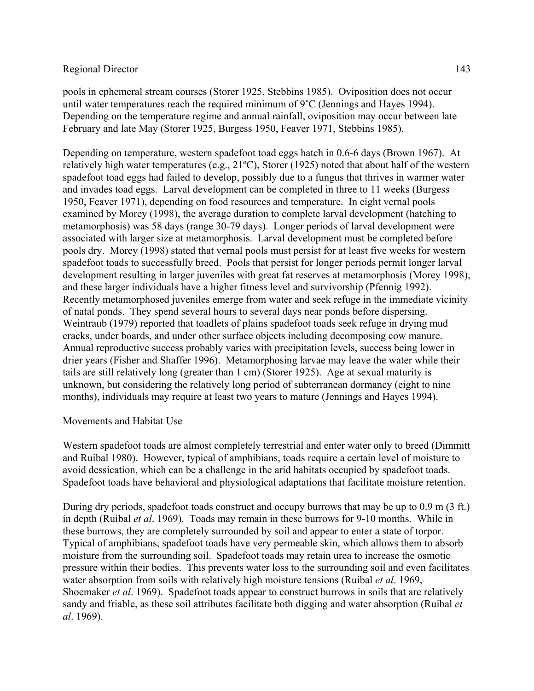pools in ephemeral stream courses (Storer 1925, Stebbins 1985). Oviposition does not occur until water temperatures reach the required minimum of  $9^{\circ}$ C (Jennings and Hayes 1994). Depending on the temperature regime and annual rainfall, oviposition may occur between late February and late May (Storer 1925, Burgess 1950, Feaver 1971, Stebbins 1985).

Depending on temperature, western spadefoot toad eggs hatch in 0.6-6 days (Brown 1967). At relatively high water temperatures (e.g., 21ºC), Storer (1925) noted that about half of the western spadefoot toad eggs had failed to develop, possibly due to a fungus that thrives in warmer water and invades toad eggs. Larval development can be completed in three to 11 weeks (Burgess 1950, Feaver 1971), depending on food resources and temperature. In eight vernal pools examined by Morey (1998), the average duration to complete larval development (hatching to metamorphosis) was 58 days (range 30-79 days). Longer periods of larval development were associated with larger size at metamorphosis. Larval development must be completed before pools dry. Morey (1998) stated that vernal pools must persist for at least five weeks for western spadefoot toads to successfully breed. Pools that persist for longer periods permit longer larval development resulting in larger juveniles with great fat reserves at metamorphosis (Morey 1998), and these larger individuals have a higher fitness level and survivorship (Pfennig 1992). Recently metamorphosed juveniles emerge from water and seek refuge in the immediate vicinity of natal ponds. They spend several hours to several days near ponds before dispersing. Weintraub (1979) reported that toadlets of plains spadefoot toads seek refuge in drying mud cracks, under boards, and under other surface objects including decomposing cow manure. Annual reproductive success probably varies with precipitation levels, success being lower in drier years (Fisher and Shaffer 1996). Metamorphosing larvae may leave the water while their tails are still relatively long (greater than 1 cm) (Storer 1925). Age at sexual maturity is unknown, but considering the relatively long period of subterranean dormancy (eight to nine months), individuals may require at least two years to mature (Jennings and Hayes 1994).

# Movements and Habitat Use

Western spadefoot toads are almost completely terrestrial and enter water only to breed (Dimmitt and Ruibal 1980). However, typical of amphibians, toads require a certain level of moisture to avoid dessication, which can be a challenge in the arid habitats occupied by spadefoot toads. Spadefoot toads have behavioral and physiological adaptations that facilitate moisture retention.

During dry periods, spadefoot toads construct and occupy burrows that may be up to 0.9 m (3 ft.) in depth (Ruibal *et al*. 1969). Toads may remain in these burrows for 9-10 months. While in these burrows, they are completely surrounded by soil and appear to enter a state of torpor. Typical of amphibians, spadefoot toads have very permeable skin, which allows them to absorb moisture from the surrounding soil. Spadefoot toads may retain urea to increase the osmotic pressure within their bodies. This prevents water loss to the surrounding soil and even facilitates water absorption from soils with relatively high moisture tensions (Ruibal *et al*. 1969, Shoemaker *et al*. 1969). Spadefoot toads appear to construct burrows in soils that are relatively sandy and friable, as these soil attributes facilitate both digging and water absorption (Ruibal *et al*. 1969).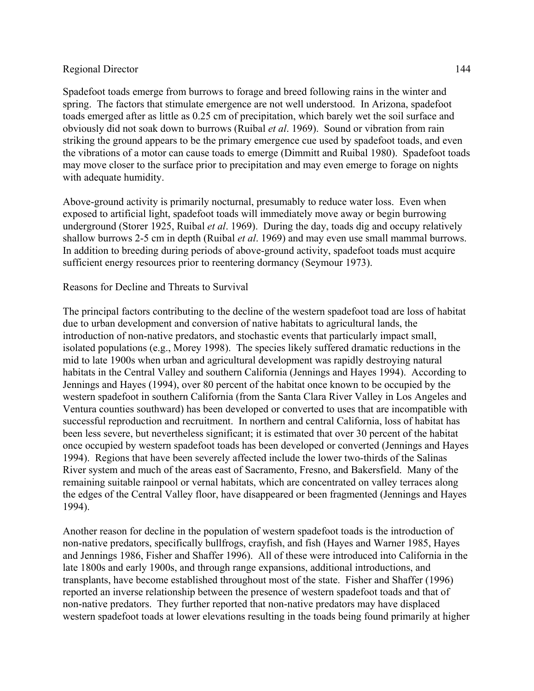Spadefoot toads emerge from burrows to forage and breed following rains in the winter and spring. The factors that stimulate emergence are not well understood. In Arizona, spadefoot toads emerged after as little as 0.25 cm of precipitation, which barely wet the soil surface and obviously did not soak down to burrows (Ruibal *et al*. 1969). Sound or vibration from rain striking the ground appears to be the primary emergence cue used by spadefoot toads, and even the vibrations of a motor can cause toads to emerge (Dimmitt and Ruibal 1980). Spadefoot toads may move closer to the surface prior to precipitation and may even emerge to forage on nights with adequate humidity.

Above-ground activity is primarily nocturnal, presumably to reduce water loss. Even when exposed to artificial light, spadefoot toads will immediately move away or begin burrowing underground (Storer 1925, Ruibal *et al*. 1969). During the day, toads dig and occupy relatively shallow burrows 2-5 cm in depth (Ruibal *et al*. 1969) and may even use small mammal burrows. In addition to breeding during periods of above-ground activity, spadefoot toads must acquire sufficient energy resources prior to reentering dormancy (Seymour 1973).

#### Reasons for Decline and Threats to Survival

The principal factors contributing to the decline of the western spadefoot toad are loss of habitat due to urban development and conversion of native habitats to agricultural lands, the introduction of non-native predators, and stochastic events that particularly impact small, isolated populations (e.g., Morey 1998). The species likely suffered dramatic reductions in the mid to late 1900s when urban and agricultural development was rapidly destroying natural habitats in the Central Valley and southern California (Jennings and Hayes 1994). According to Jennings and Hayes (1994), over 80 percent of the habitat once known to be occupied by the western spadefoot in southern California (from the Santa Clara River Valley in Los Angeles and Ventura counties southward) has been developed or converted to uses that are incompatible with successful reproduction and recruitment. In northern and central California, loss of habitat has been less severe, but nevertheless significant; it is estimated that over 30 percent of the habitat once occupied by western spadefoot toads has been developed or converted (Jennings and Hayes 1994). Regions that have been severely affected include the lower two-thirds of the Salinas River system and much of the areas east of Sacramento, Fresno, and Bakersfield. Many of the remaining suitable rainpool or vernal habitats, which are concentrated on valley terraces along the edges of the Central Valley floor, have disappeared or been fragmented (Jennings and Hayes 1994).

Another reason for decline in the population of western spadefoot toads is the introduction of non-native predators, specifically bullfrogs, crayfish, and fish (Hayes and Warner 1985, Hayes and Jennings 1986, Fisher and Shaffer 1996). All of these were introduced into California in the late 1800s and early 1900s, and through range expansions, additional introductions, and transplants, have become established throughout most of the state. Fisher and Shaffer (1996) reported an inverse relationship between the presence of western spadefoot toads and that of non-native predators. They further reported that non-native predators may have displaced western spadefoot toads at lower elevations resulting in the toads being found primarily at higher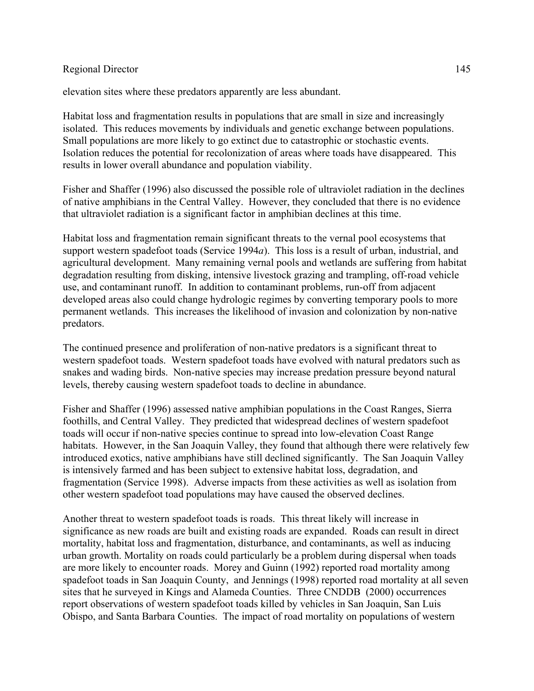elevation sites where these predators apparently are less abundant.

Habitat loss and fragmentation results in populations that are small in size and increasingly isolated. This reduces movements by individuals and genetic exchange between populations. Small populations are more likely to go extinct due to catastrophic or stochastic events. Isolation reduces the potential for recolonization of areas where toads have disappeared. This results in lower overall abundance and population viability.

Fisher and Shaffer (1996) also discussed the possible role of ultraviolet radiation in the declines of native amphibians in the Central Valley. However, they concluded that there is no evidence that ultraviolet radiation is a significant factor in amphibian declines at this time.

Habitat loss and fragmentation remain significant threats to the vernal pool ecosystems that support western spadefoot toads (Service 1994*a*). This loss is a result of urban, industrial, and agricultural development. Many remaining vernal pools and wetlands are suffering from habitat degradation resulting from disking, intensive livestock grazing and trampling, off-road vehicle use, and contaminant runoff. In addition to contaminant problems, run-off from adjacent developed areas also could change hydrologic regimes by converting temporary pools to more permanent wetlands. This increases the likelihood of invasion and colonization by non-native predators.

The continued presence and proliferation of non-native predators is a significant threat to western spadefoot toads. Western spadefoot toads have evolved with natural predators such as snakes and wading birds. Non-native species may increase predation pressure beyond natural levels, thereby causing western spadefoot toads to decline in abundance.

Fisher and Shaffer (1996) assessed native amphibian populations in the Coast Ranges, Sierra foothills, and Central Valley. They predicted that widespread declines of western spadefoot toads will occur if non-native species continue to spread into low-elevation Coast Range habitats. However, in the San Joaquin Valley, they found that although there were relatively few introduced exotics, native amphibians have still declined significantly. The San Joaquin Valley is intensively farmed and has been subject to extensive habitat loss, degradation, and fragmentation (Service 1998). Adverse impacts from these activities as well as isolation from other western spadefoot toad populations may have caused the observed declines.

Another threat to western spadefoot toads is roads. This threat likely will increase in significance as new roads are built and existing roads are expanded. Roads can result in direct mortality, habitat loss and fragmentation, disturbance, and contaminants, as well as inducing urban growth. Mortality on roads could particularly be a problem during dispersal when toads are more likely to encounter roads. Morey and Guinn (1992) reported road mortality among spadefoot toads in San Joaquin County, and Jennings (1998) reported road mortality at all seven sites that he surveyed in Kings and Alameda Counties. Three CNDDB (2000) occurrences report observations of western spadefoot toads killed by vehicles in San Joaquin, San Luis Obispo, and Santa Barbara Counties. The impact of road mortality on populations of western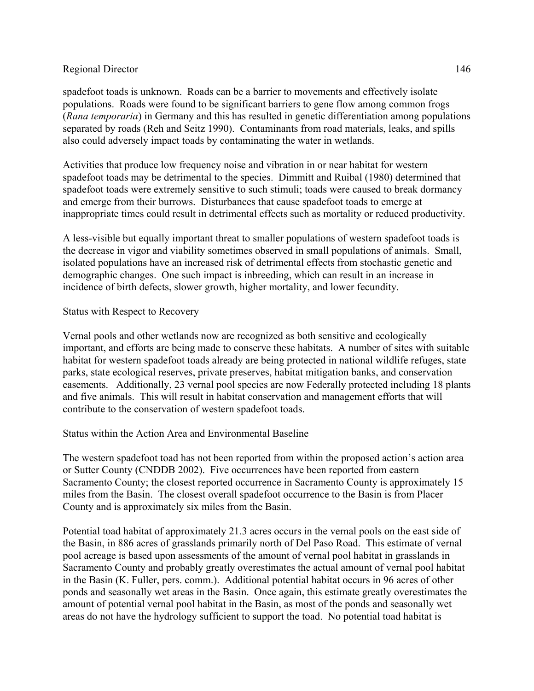spadefoot toads is unknown. Roads can be a barrier to movements and effectively isolate populations. Roads were found to be significant barriers to gene flow among common frogs (*Rana temporaria*) in Germany and this has resulted in genetic differentiation among populations separated by roads (Reh and Seitz 1990). Contaminants from road materials, leaks, and spills also could adversely impact toads by contaminating the water in wetlands.

Activities that produce low frequency noise and vibration in or near habitat for western spadefoot toads may be detrimental to the species. Dimmitt and Ruibal (1980) determined that spadefoot toads were extremely sensitive to such stimuli; toads were caused to break dormancy and emerge from their burrows. Disturbances that cause spadefoot toads to emerge at inappropriate times could result in detrimental effects such as mortality or reduced productivity.

A less-visible but equally important threat to smaller populations of western spadefoot toads is the decrease in vigor and viability sometimes observed in small populations of animals. Small, isolated populations have an increased risk of detrimental effects from stochastic genetic and demographic changes. One such impact is inbreeding, which can result in an increase in incidence of birth defects, slower growth, higher mortality, and lower fecundity.

### Status with Respect to Recovery

Vernal pools and other wetlands now are recognized as both sensitive and ecologically important, and efforts are being made to conserve these habitats. A number of sites with suitable habitat for western spadefoot toads already are being protected in national wildlife refuges, state parks, state ecological reserves, private preserves, habitat mitigation banks, and conservation easements. Additionally, 23 vernal pool species are now Federally protected including 18 plants and five animals. This will result in habitat conservation and management efforts that will contribute to the conservation of western spadefoot toads.

### Status within the Action Area and Environmental Baseline

The western spadefoot toad has not been reported from within the proposed action's action area or Sutter County (CNDDB 2002). Five occurrences have been reported from eastern Sacramento County; the closest reported occurrence in Sacramento County is approximately 15 miles from the Basin. The closest overall spadefoot occurrence to the Basin is from Placer County and is approximately six miles from the Basin.

Potential toad habitat of approximately 21.3 acres occurs in the vernal pools on the east side of the Basin, in 886 acres of grasslands primarily north of Del Paso Road. This estimate of vernal pool acreage is based upon assessments of the amount of vernal pool habitat in grasslands in Sacramento County and probably greatly overestimates the actual amount of vernal pool habitat in the Basin (K. Fuller, pers. comm.). Additional potential habitat occurs in 96 acres of other ponds and seasonally wet areas in the Basin. Once again, this estimate greatly overestimates the amount of potential vernal pool habitat in the Basin, as most of the ponds and seasonally wet areas do not have the hydrology sufficient to support the toad. No potential toad habitat is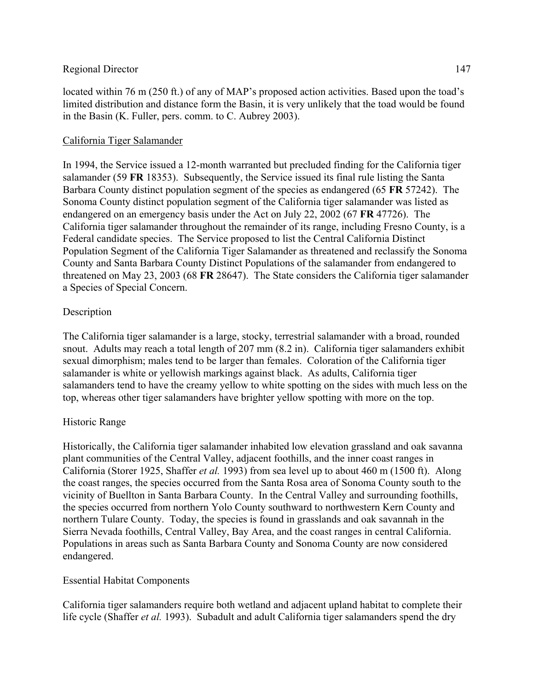located within 76 m (250 ft.) of any of MAP's proposed action activities. Based upon the toad's limited distribution and distance form the Basin, it is very unlikely that the toad would be found in the Basin (K. Fuller, pers. comm. to C. Aubrey 2003).

### California Tiger Salamander

In 1994, the Service issued a 12-month warranted but precluded finding for the California tiger salamander (59 **FR** 18353). Subsequently, the Service issued its final rule listing the Santa Barbara County distinct population segment of the species as endangered (65 **FR** 57242). The Sonoma County distinct population segment of the California tiger salamander was listed as endangered on an emergency basis under the Act on July 22, 2002 (67 **FR** 47726). The California tiger salamander throughout the remainder of its range, including Fresno County, is a Federal candidate species. The Service proposed to list the Central California Distinct Population Segment of the California Tiger Salamander as threatened and reclassify the Sonoma County and Santa Barbara County Distinct Populations of the salamander from endangered to threatened on May 23, 2003 (68 **FR** 28647). The State considers the California tiger salamander a Species of Special Concern.

### Description

The California tiger salamander is a large, stocky, terrestrial salamander with a broad, rounded snout. Adults may reach a total length of 207 mm (8.2 in). California tiger salamanders exhibit sexual dimorphism; males tend to be larger than females. Coloration of the California tiger salamander is white or yellowish markings against black. As adults, California tiger salamanders tend to have the creamy yellow to white spotting on the sides with much less on the top, whereas other tiger salamanders have brighter yellow spotting with more on the top.

### Historic Range

Historically, the California tiger salamander inhabited low elevation grassland and oak savanna plant communities of the Central Valley, adjacent foothills, and the inner coast ranges in California (Storer 1925, Shaffer *et al.* 1993) from sea level up to about 460 m (1500 ft). Along the coast ranges, the species occurred from the Santa Rosa area of Sonoma County south to the vicinity of Buellton in Santa Barbara County. In the Central Valley and surrounding foothills, the species occurred from northern Yolo County southward to northwestern Kern County and northern Tulare County. Today, the species is found in grasslands and oak savannah in the Sierra Nevada foothills, Central Valley, Bay Area, and the coast ranges in central California. Populations in areas such as Santa Barbara County and Sonoma County are now considered endangered.

## Essential Habitat Components

California tiger salamanders require both wetland and adjacent upland habitat to complete their life cycle (Shaffer *et al.* 1993). Subadult and adult California tiger salamanders spend the dry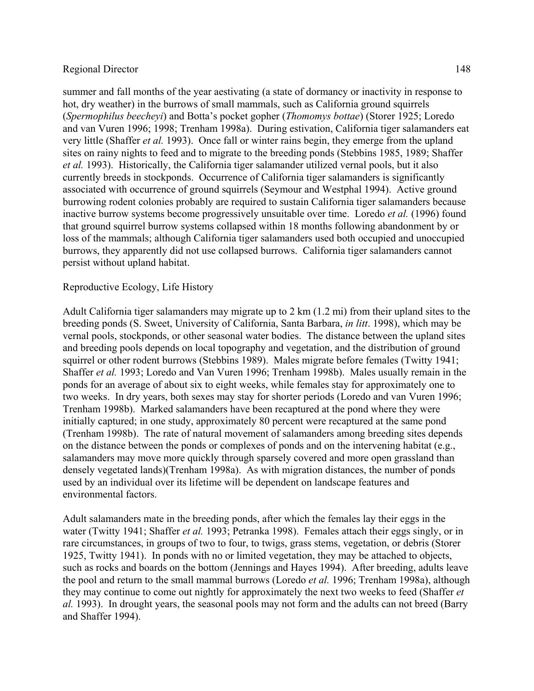summer and fall months of the year aestivating (a state of dormancy or inactivity in response to hot, dry weather) in the burrows of small mammals, such as California ground squirrels (*Spermophilus beecheyi*) and Botta's pocket gopher (*Thomomys bottae*) (Storer 1925; Loredo and van Vuren 1996; 1998; Trenham 1998a). During estivation, California tiger salamanders eat very little (Shaffer *et al.* 1993). Once fall or winter rains begin, they emerge from the upland sites on rainy nights to feed and to migrate to the breeding ponds (Stebbins 1985, 1989; Shaffer *et al.* 1993). Historically, the California tiger salamander utilized vernal pools, but it also currently breeds in stockponds. Occurrence of California tiger salamanders is significantly associated with occurrence of ground squirrels (Seymour and Westphal 1994). Active ground burrowing rodent colonies probably are required to sustain California tiger salamanders because inactive burrow systems become progressively unsuitable over time. Loredo *et al.* (1996) found that ground squirrel burrow systems collapsed within 18 months following abandonment by or loss of the mammals; although California tiger salamanders used both occupied and unoccupied burrows, they apparently did not use collapsed burrows. California tiger salamanders cannot persist without upland habitat.

#### Reproductive Ecology, Life History

Adult California tiger salamanders may migrate up to 2 km (1.2 mi) from their upland sites to the breeding ponds (S. Sweet, University of California, Santa Barbara, *in litt*. 1998), which may be vernal pools, stockponds, or other seasonal water bodies. The distance between the upland sites and breeding pools depends on local topography and vegetation, and the distribution of ground squirrel or other rodent burrows (Stebbins 1989). Males migrate before females (Twitty 1941; Shaffer *et al.* 1993; Loredo and Van Vuren 1996; Trenham 1998b). Males usually remain in the ponds for an average of about six to eight weeks, while females stay for approximately one to two weeks. In dry years, both sexes may stay for shorter periods (Loredo and van Vuren 1996; Trenham 1998b). Marked salamanders have been recaptured at the pond where they were initially captured; in one study, approximately 80 percent were recaptured at the same pond (Trenham 1998b). The rate of natural movement of salamanders among breeding sites depends on the distance between the ponds or complexes of ponds and on the intervening habitat (e.g., salamanders may move more quickly through sparsely covered and more open grassland than densely vegetated lands)(Trenham 1998a). As with migration distances, the number of ponds used by an individual over its lifetime will be dependent on landscape features and environmental factors.

Adult salamanders mate in the breeding ponds, after which the females lay their eggs in the water (Twitty 1941; Shaffer *et al.* 1993; Petranka 1998). Females attach their eggs singly, or in rare circumstances, in groups of two to four, to twigs, grass stems, vegetation, or debris (Storer 1925, Twitty 1941). In ponds with no or limited vegetation, they may be attached to objects, such as rocks and boards on the bottom (Jennings and Hayes 1994). After breeding, adults leave the pool and return to the small mammal burrows (Loredo *et al.* 1996; Trenham 1998a), although they may continue to come out nightly for approximately the next two weeks to feed (Shaffer *et al.* 1993). In drought years, the seasonal pools may not form and the adults can not breed (Barry and Shaffer 1994).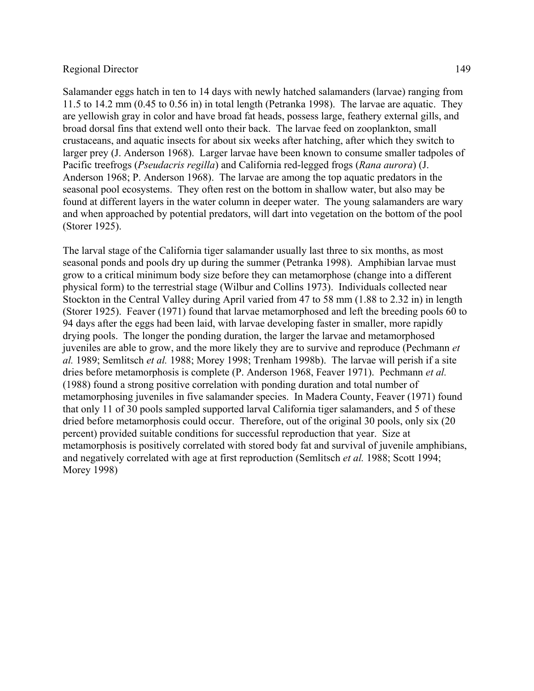Salamander eggs hatch in ten to 14 days with newly hatched salamanders (larvae) ranging from 11.5 to 14.2 mm (0.45 to 0.56 in) in total length (Petranka 1998). The larvae are aquatic. They are yellowish gray in color and have broad fat heads, possess large, feathery external gills, and broad dorsal fins that extend well onto their back. The larvae feed on zooplankton, small crustaceans, and aquatic insects for about six weeks after hatching, after which they switch to larger prey (J. Anderson 1968). Larger larvae have been known to consume smaller tadpoles of Pacific treefrogs (*Pseudacris regilla*) and California red-legged frogs (*Rana aurora*) (J. Anderson 1968; P. Anderson 1968). The larvae are among the top aquatic predators in the seasonal pool ecosystems. They often rest on the bottom in shallow water, but also may be found at different layers in the water column in deeper water. The young salamanders are wary and when approached by potential predators, will dart into vegetation on the bottom of the pool (Storer 1925).

The larval stage of the California tiger salamander usually last three to six months, as most seasonal ponds and pools dry up during the summer (Petranka 1998). Amphibian larvae must grow to a critical minimum body size before they can metamorphose (change into a different physical form) to the terrestrial stage (Wilbur and Collins 1973). Individuals collected near Stockton in the Central Valley during April varied from 47 to 58 mm (1.88 to 2.32 in) in length (Storer 1925). Feaver (1971) found that larvae metamorphosed and left the breeding pools 60 to 94 days after the eggs had been laid, with larvae developing faster in smaller, more rapidly drying pools. The longer the ponding duration, the larger the larvae and metamorphosed juveniles are able to grow, and the more likely they are to survive and reproduce (Pechmann *et al.* 1989; Semlitsch *et al.* 1988; Morey 1998; Trenham 1998b). The larvae will perish if a site dries before metamorphosis is complete (P. Anderson 1968, Feaver 1971). Pechmann *et al.* (1988) found a strong positive correlation with ponding duration and total number of metamorphosing juveniles in five salamander species. In Madera County, Feaver (1971) found that only 11 of 30 pools sampled supported larval California tiger salamanders, and 5 of these dried before metamorphosis could occur. Therefore, out of the original 30 pools, only six (20 percent) provided suitable conditions for successful reproduction that year. Size at metamorphosis is positively correlated with stored body fat and survival of juvenile amphibians, and negatively correlated with age at first reproduction (Semlitsch *et al.* 1988; Scott 1994; Morey 1998)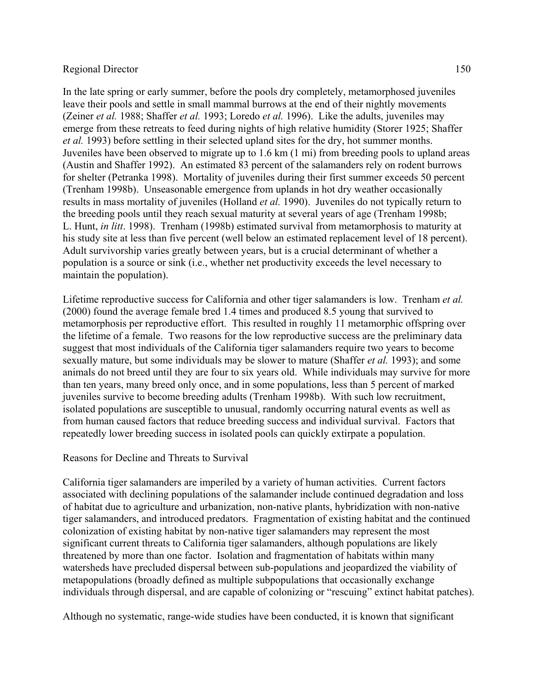In the late spring or early summer, before the pools dry completely, metamorphosed juveniles leave their pools and settle in small mammal burrows at the end of their nightly movements (Zeiner *et al.* 1988; Shaffer *et al.* 1993; Loredo *et al.* 1996). Like the adults, juveniles may emerge from these retreats to feed during nights of high relative humidity (Storer 1925; Shaffer *et al.* 1993) before settling in their selected upland sites for the dry, hot summer months. Juveniles have been observed to migrate up to 1.6 km (1 mi) from breeding pools to upland areas (Austin and Shaffer 1992). An estimated 83 percent of the salamanders rely on rodent burrows for shelter (Petranka 1998). Mortality of juveniles during their first summer exceeds 50 percent (Trenham 1998b). Unseasonable emergence from uplands in hot dry weather occasionally results in mass mortality of juveniles (Holland *et al.* 1990). Juveniles do not typically return to the breeding pools until they reach sexual maturity at several years of age (Trenham 1998b; L. Hunt, *in litt*. 1998). Trenham (1998b) estimated survival from metamorphosis to maturity at his study site at less than five percent (well below an estimated replacement level of 18 percent). Adult survivorship varies greatly between years, but is a crucial determinant of whether a population is a source or sink (i.e., whether net productivity exceeds the level necessary to maintain the population).

Lifetime reproductive success for California and other tiger salamanders is low. Trenham *et al.* (2000) found the average female bred 1.4 times and produced 8.5 young that survived to metamorphosis per reproductive effort. This resulted in roughly 11 metamorphic offspring over the lifetime of a female. Two reasons for the low reproductive success are the preliminary data suggest that most individuals of the California tiger salamanders require two years to become sexually mature, but some individuals may be slower to mature (Shaffer *et al.* 1993); and some animals do not breed until they are four to six years old. While individuals may survive for more than ten years, many breed only once, and in some populations, less than 5 percent of marked juveniles survive to become breeding adults (Trenham 1998b). With such low recruitment, isolated populations are susceptible to unusual, randomly occurring natural events as well as from human caused factors that reduce breeding success and individual survival. Factors that repeatedly lower breeding success in isolated pools can quickly extirpate a population.

Reasons for Decline and Threats to Survival

California tiger salamanders are imperiled by a variety of human activities. Current factors associated with declining populations of the salamander include continued degradation and loss of habitat due to agriculture and urbanization, non-native plants, hybridization with non-native tiger salamanders, and introduced predators. Fragmentation of existing habitat and the continued colonization of existing habitat by non-native tiger salamanders may represent the most significant current threats to California tiger salamanders, although populations are likely threatened by more than one factor. Isolation and fragmentation of habitats within many watersheds have precluded dispersal between sub-populations and jeopardized the viability of metapopulations (broadly defined as multiple subpopulations that occasionally exchange individuals through dispersal, and are capable of colonizing or "rescuing" extinct habitat patches).

Although no systematic, range-wide studies have been conducted, it is known that significant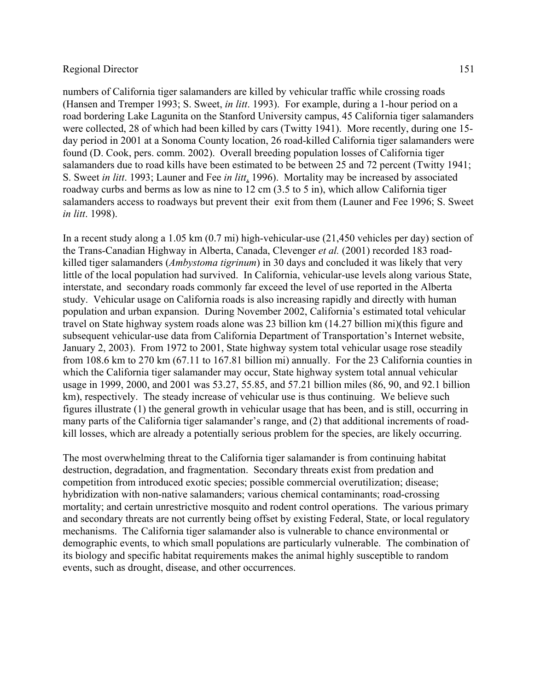numbers of California tiger salamanders are killed by vehicular traffic while crossing roads (Hansen and Tremper 1993; S. Sweet, *in litt*. 1993). For example, during a 1-hour period on a road bordering Lake Lagunita on the Stanford University campus, 45 California tiger salamanders were collected, 28 of which had been killed by cars (Twitty 1941). More recently, during one 15 day period in 2001 at a Sonoma County location, 26 road-killed California tiger salamanders were found (D. Cook, pers. comm. 2002). Overall breeding population losses of California tiger salamanders due to road kills have been estimated to be between 25 and 72 percent (Twitty 1941; S. Sweet *in litt*. 1993; Launer and Fee *in litt*. 1996). Mortality may be increased by associated roadway curbs and berms as low as nine to 12 cm (3.5 to 5 in), which allow California tiger salamanders access to roadways but prevent their exit from them (Launer and Fee 1996; S. Sweet *in litt*. 1998).

In a recent study along a 1.05 km (0.7 mi) high-vehicular-use (21,450 vehicles per day) section of the Trans-Canadian Highway in Alberta, Canada, Clevenger *et al.* (2001) recorded 183 roadkilled tiger salamanders (*Ambystoma tigrinum*) in 30 days and concluded it was likely that very little of the local population had survived. In California, vehicular-use levels along various State, interstate, and secondary roads commonly far exceed the level of use reported in the Alberta study. Vehicular usage on California roads is also increasing rapidly and directly with human population and urban expansion. During November 2002, California's estimated total vehicular travel on State highway system roads alone was 23 billion km (14.27 billion mi)(this figure and subsequent vehicular-use data from California Department of Transportation's Internet website, January 2, 2003). From 1972 to 2001, State highway system total vehicular usage rose steadily from 108.6 km to 270 km (67.11 to 167.81 billion mi) annually. For the 23 California counties in which the California tiger salamander may occur, State highway system total annual vehicular usage in 1999, 2000, and 2001 was 53.27, 55.85, and 57.21 billion miles (86, 90, and 92.1 billion km), respectively. The steady increase of vehicular use is thus continuing. We believe such figures illustrate (1) the general growth in vehicular usage that has been, and is still, occurring in many parts of the California tiger salamander's range, and (2) that additional increments of roadkill losses, which are already a potentially serious problem for the species, are likely occurring.

The most overwhelming threat to the California tiger salamander is from continuing habitat destruction, degradation, and fragmentation. Secondary threats exist from predation and competition from introduced exotic species; possible commercial overutilization; disease; hybridization with non-native salamanders; various chemical contaminants; road-crossing mortality; and certain unrestrictive mosquito and rodent control operations. The various primary and secondary threats are not currently being offset by existing Federal, State, or local regulatory mechanisms. The California tiger salamander also is vulnerable to chance environmental or demographic events, to which small populations are particularly vulnerable. The combination of its biology and specific habitat requirements makes the animal highly susceptible to random events, such as drought, disease, and other occurrences.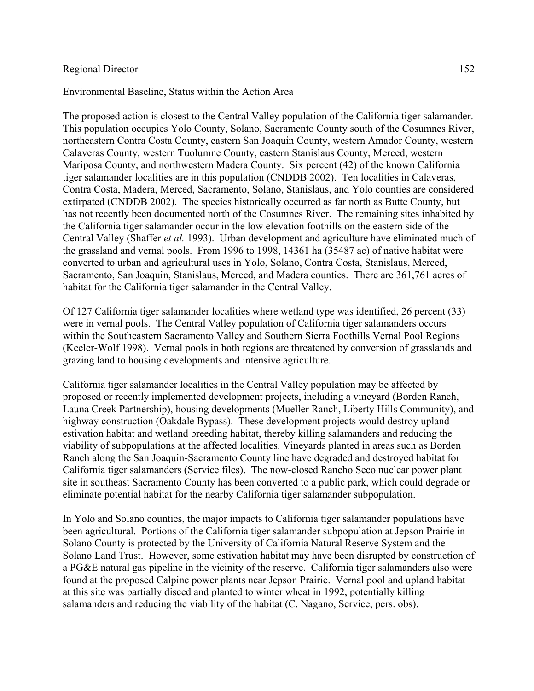#### Environmental Baseline, Status within the Action Area

The proposed action is closest to the Central Valley population of the California tiger salamander. This population occupies Yolo County, Solano, Sacramento County south of the Cosumnes River, northeastern Contra Costa County, eastern San Joaquin County, western Amador County, western Calaveras County, western Tuolumne County, eastern Stanislaus County, Merced, western Mariposa County, and northwestern Madera County. Six percent (42) of the known California tiger salamander localities are in this population (CNDDB 2002). Ten localities in Calaveras, Contra Costa, Madera, Merced, Sacramento, Solano, Stanislaus, and Yolo counties are considered extirpated (CNDDB 2002). The species historically occurred as far north as Butte County, but has not recently been documented north of the Cosumnes River. The remaining sites inhabited by the California tiger salamander occur in the low elevation foothills on the eastern side of the Central Valley (Shaffer *et al.* 1993). Urban development and agriculture have eliminated much of the grassland and vernal pools. From 1996 to 1998, 14361 ha (35487 ac) of native habitat were converted to urban and agricultural uses in Yolo, Solano, Contra Costa, Stanislaus, Merced, Sacramento, San Joaquin, Stanislaus, Merced, and Madera counties. There are 361,761 acres of habitat for the California tiger salamander in the Central Valley.

Of 127 California tiger salamander localities where wetland type was identified, 26 percent (33) were in vernal pools. The Central Valley population of California tiger salamanders occurs within the Southeastern Sacramento Valley and Southern Sierra Foothills Vernal Pool Regions (Keeler-Wolf 1998). Vernal pools in both regions are threatened by conversion of grasslands and grazing land to housing developments and intensive agriculture.

California tiger salamander localities in the Central Valley population may be affected by proposed or recently implemented development projects, including a vineyard (Borden Ranch, Launa Creek Partnership), housing developments (Mueller Ranch, Liberty Hills Community), and highway construction (Oakdale Bypass). These development projects would destroy upland estivation habitat and wetland breeding habitat, thereby killing salamanders and reducing the viability of subpopulations at the affected localities. Vineyards planted in areas such as Borden Ranch along the San Joaquin-Sacramento County line have degraded and destroyed habitat for California tiger salamanders (Service files). The now-closed Rancho Seco nuclear power plant site in southeast Sacramento County has been converted to a public park, which could degrade or eliminate potential habitat for the nearby California tiger salamander subpopulation.

In Yolo and Solano counties, the major impacts to California tiger salamander populations have been agricultural. Portions of the California tiger salamander subpopulation at Jepson Prairie in Solano County is protected by the University of California Natural Reserve System and the Solano Land Trust. However, some estivation habitat may have been disrupted by construction of a PG&E natural gas pipeline in the vicinity of the reserve. California tiger salamanders also were found at the proposed Calpine power plants near Jepson Prairie. Vernal pool and upland habitat at this site was partially disced and planted to winter wheat in 1992, potentially killing salamanders and reducing the viability of the habitat (C. Nagano, Service, pers. obs).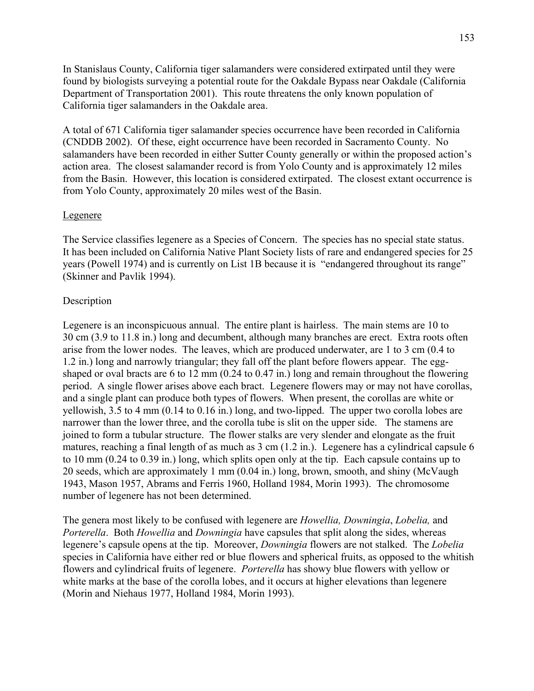In Stanislaus County, California tiger salamanders were considered extirpated until they were found by biologists surveying a potential route for the Oakdale Bypass near Oakdale (California Department of Transportation 2001). This route threatens the only known population of California tiger salamanders in the Oakdale area.

A total of 671 California tiger salamander species occurrence have been recorded in California (CNDDB 2002). Of these, eight occurrence have been recorded in Sacramento County. No salamanders have been recorded in either Sutter County generally or within the proposed action's action area. The closest salamander record is from Yolo County and is approximately 12 miles from the Basin. However, this location is considered extirpated. The closest extant occurrence is from Yolo County, approximately 20 miles west of the Basin.

### Legenere

The Service classifies legenere as a Species of Concern. The species has no special state status. It has been included on California Native Plant Society lists of rare and endangered species for 25 years (Powell 1974) and is currently on List 1B because it is "endangered throughout its range" (Skinner and Pavlik 1994).

### Description

Legenere is an inconspicuous annual. The entire plant is hairless. The main stems are 10 to 30 cm (3.9 to 11.8 in.) long and decumbent, although many branches are erect. Extra roots often arise from the lower nodes. The leaves, which are produced underwater, are 1 to 3 cm (0.4 to 1.2 in.) long and narrowly triangular; they fall off the plant before flowers appear. The eggshaped or oval bracts are 6 to 12 mm (0.24 to 0.47 in.) long and remain throughout the flowering period. A single flower arises above each bract. Legenere flowers may or may not have corollas, and a single plant can produce both types of flowers. When present, the corollas are white or yellowish, 3.5 to 4 mm (0.14 to 0.16 in.) long, and two-lipped. The upper two corolla lobes are narrower than the lower three, and the corolla tube is slit on the upper side. The stamens are joined to form a tubular structure. The flower stalks are very slender and elongate as the fruit matures, reaching a final length of as much as 3 cm (1.2 in.). Legenere has a cylindrical capsule 6 to 10 mm (0.24 to 0.39 in.) long, which splits open only at the tip. Each capsule contains up to 20 seeds, which are approximately 1 mm (0.04 in.) long, brown, smooth, and shiny (McVaugh 1943, Mason 1957, Abrams and Ferris 1960, Holland 1984, Morin 1993). The chromosome number of legenere has not been determined.

The genera most likely to be confused with legenere are *Howellia, Downingia*, *Lobelia,* and *Porterella*. Both *Howellia* and *Downingia* have capsules that split along the sides, whereas legenere's capsule opens at the tip. Moreover, *Downingia* flowers are not stalked. The *Lobelia* species in California have either red or blue flowers and spherical fruits, as opposed to the whitish flowers and cylindrical fruits of legenere. *Porterella* has showy blue flowers with yellow or white marks at the base of the corolla lobes, and it occurs at higher elevations than legenere (Morin and Niehaus 1977, Holland 1984, Morin 1993).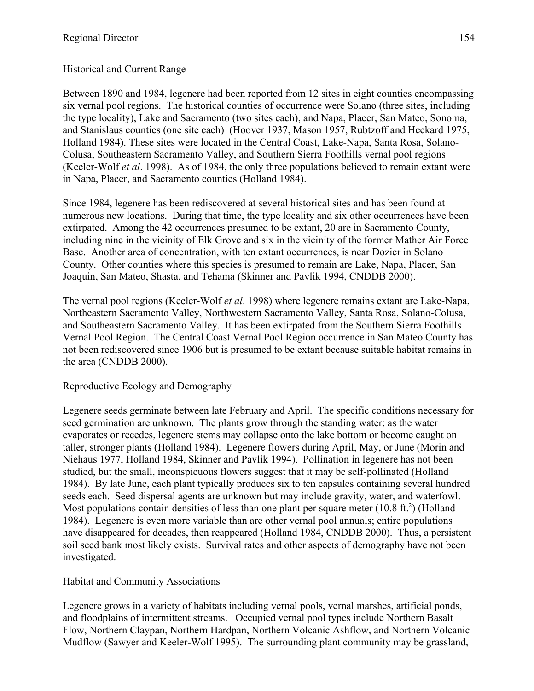# Historical and Current Range

Between 1890 and 1984, legenere had been reported from 12 sites in eight counties encompassing six vernal pool regions. The historical counties of occurrence were Solano (three sites, including the type locality), Lake and Sacramento (two sites each), and Napa, Placer, San Mateo, Sonoma, and Stanislaus counties (one site each) (Hoover 1937, Mason 1957, Rubtzoff and Heckard 1975, Holland 1984). These sites were located in the Central Coast, Lake-Napa, Santa Rosa, Solano-Colusa, Southeastern Sacramento Valley, and Southern Sierra Foothills vernal pool regions (Keeler-Wolf *et al*. 1998). As of 1984, the only three populations believed to remain extant were in Napa, Placer, and Sacramento counties (Holland 1984).

Since 1984, legenere has been rediscovered at several historical sites and has been found at numerous new locations. During that time, the type locality and six other occurrences have been extirpated. Among the 42 occurrences presumed to be extant, 20 are in Sacramento County, including nine in the vicinity of Elk Grove and six in the vicinity of the former Mather Air Force Base. Another area of concentration, with ten extant occurrences, is near Dozier in Solano County. Other counties where this species is presumed to remain are Lake, Napa, Placer, San Joaquin, San Mateo, Shasta, and Tehama (Skinner and Pavlik 1994, CNDDB 2000).

The vernal pool regions (Keeler-Wolf *et al*. 1998) where legenere remains extant are Lake-Napa, Northeastern Sacramento Valley, Northwestern Sacramento Valley, Santa Rosa, Solano-Colusa, and Southeastern Sacramento Valley. It has been extirpated from the Southern Sierra Foothills Vernal Pool Region. The Central Coast Vernal Pool Region occurrence in San Mateo County has not been rediscovered since 1906 but is presumed to be extant because suitable habitat remains in the area (CNDDB 2000).

Reproductive Ecology and Demography

Legenere seeds germinate between late February and April. The specific conditions necessary for seed germination are unknown. The plants grow through the standing water; as the water evaporates or recedes, legenere stems may collapse onto the lake bottom or become caught on taller, stronger plants (Holland 1984). Legenere flowers during April, May, or June (Morin and Niehaus 1977, Holland 1984, Skinner and Pavlik 1994). Pollination in legenere has not been studied, but the small, inconspicuous flowers suggest that it may be self-pollinated (Holland 1984). By late June, each plant typically produces six to ten capsules containing several hundred seeds each. Seed dispersal agents are unknown but may include gravity, water, and waterfowl. Most populations contain densities of less than one plant per square meter  $(10.8 \text{ ft.}^2)$  (Holland 1984). Legenere is even more variable than are other vernal pool annuals; entire populations have disappeared for decades, then reappeared (Holland 1984, CNDDB 2000). Thus, a persistent soil seed bank most likely exists. Survival rates and other aspects of demography have not been investigated.

# Habitat and Community Associations

Legenere grows in a variety of habitats including vernal pools, vernal marshes, artificial ponds, and floodplains of intermittent streams. Occupied vernal pool types include Northern Basalt Flow, Northern Claypan, Northern Hardpan, Northern Volcanic Ashflow, and Northern Volcanic Mudflow (Sawyer and Keeler-Wolf 1995). The surrounding plant community may be grassland,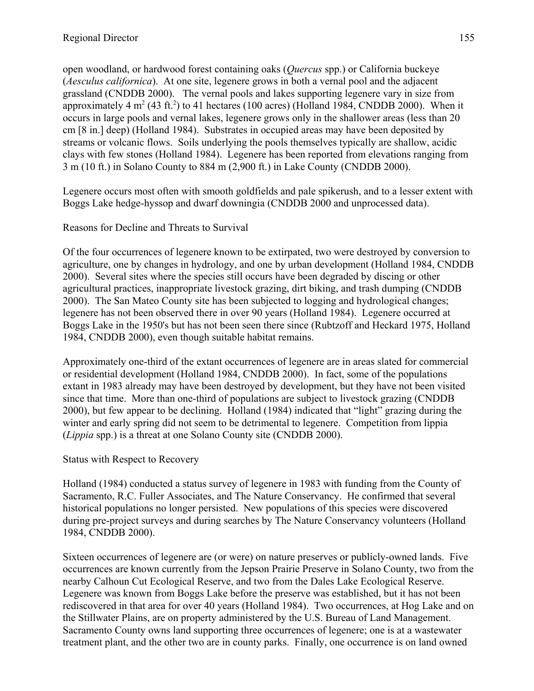open woodland, or hardwood forest containing oaks (*Quercus* spp.) or California buckeye (*Aesculus californica*). At one site, legenere grows in both a vernal pool and the adjacent grassland (CNDDB 2000). The vernal pools and lakes supporting legenere vary in size from approximately 4 m<sup>2</sup> (43 ft.<sup>2</sup>) to 41 hectares (100 acres) (Holland 1984, CNDDB 2000). When it occurs in large pools and vernal lakes, legenere grows only in the shallower areas (less than 20 cm [8 in.] deep) (Holland 1984). Substrates in occupied areas may have been deposited by streams or volcanic flows. Soils underlying the pools themselves typically are shallow, acidic clays with few stones (Holland 1984). Legenere has been reported from elevations ranging from 3 m (10 ft.) in Solano County to 884 m (2,900 ft.) in Lake County (CNDDB 2000).

Legenere occurs most often with smooth goldfields and pale spikerush, and to a lesser extent with Boggs Lake hedge-hyssop and dwarf downingia (CNDDB 2000 and unprocessed data).

Reasons for Decline and Threats to Survival

Of the four occurrences of legenere known to be extirpated, two were destroyed by conversion to agriculture, one by changes in hydrology, and one by urban development (Holland 1984, CNDDB 2000). Several sites where the species still occurs have been degraded by discing or other agricultural practices, inappropriate livestock grazing, dirt biking, and trash dumping (CNDDB 2000). The San Mateo County site has been subjected to logging and hydrological changes; legenere has not been observed there in over 90 years (Holland 1984). Legenere occurred at Boggs Lake in the 1950's but has not been seen there since (Rubtzoff and Heckard 1975, Holland 1984, CNDDB 2000), even though suitable habitat remains.

Approximately one-third of the extant occurrences of legenere are in areas slated for commercial or residential development (Holland 1984, CNDDB 2000). In fact, some of the populations extant in 1983 already may have been destroyed by development, but they have not been visited since that time. More than one-third of populations are subject to livestock grazing (CNDDB 2000), but few appear to be declining. Holland (1984) indicated that "light" grazing during the winter and early spring did not seem to be detrimental to legenere. Competition from lippia (*Lippia* spp.) is a threat at one Solano County site (CNDDB 2000).

Status with Respect to Recovery

Holland (1984) conducted a status survey of legenere in 1983 with funding from the County of Sacramento, R.C. Fuller Associates, and The Nature Conservancy. He confirmed that several historical populations no longer persisted. New populations of this species were discovered during pre-project surveys and during searches by The Nature Conservancy volunteers (Holland 1984, CNDDB 2000).

Sixteen occurrences of legenere are (or were) on nature preserves or publicly-owned lands. Five occurrences are known currently from the Jepson Prairie Preserve in Solano County, two from the nearby Calhoun Cut Ecological Reserve, and two from the Dales Lake Ecological Reserve. Legenere was known from Boggs Lake before the preserve was established, but it has not been rediscovered in that area for over 40 years (Holland 1984). Two occurrences, at Hog Lake and on the Stillwater Plains, are on property administered by the U.S. Bureau of Land Management. Sacramento County owns land supporting three occurrences of legenere; one is at a wastewater treatment plant, and the other two are in county parks. Finally, one occurrence is on land owned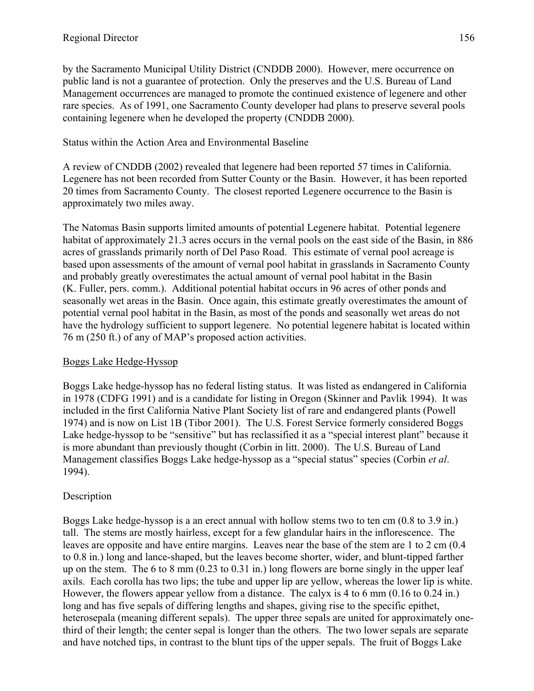by the Sacramento Municipal Utility District (CNDDB 2000). However, mere occurrence on public land is not a guarantee of protection. Only the preserves and the U.S. Bureau of Land Management occurrences are managed to promote the continued existence of legenere and other rare species. As of 1991, one Sacramento County developer had plans to preserve several pools containing legenere when he developed the property (CNDDB 2000).

## Status within the Action Area and Environmental Baseline

A review of CNDDB (2002) revealed that legenere had been reported 57 times in California. Legenere has not been recorded from Sutter County or the Basin. However, it has been reported 20 times from Sacramento County. The closest reported Legenere occurrence to the Basin is approximately two miles away.

The Natomas Basin supports limited amounts of potential Legenere habitat. Potential legenere habitat of approximately 21.3 acres occurs in the vernal pools on the east side of the Basin, in 886 acres of grasslands primarily north of Del Paso Road. This estimate of vernal pool acreage is based upon assessments of the amount of vernal pool habitat in grasslands in Sacramento County and probably greatly overestimates the actual amount of vernal pool habitat in the Basin (K. Fuller, pers. comm.). Additional potential habitat occurs in 96 acres of other ponds and seasonally wet areas in the Basin. Once again, this estimate greatly overestimates the amount of potential vernal pool habitat in the Basin, as most of the ponds and seasonally wet areas do not have the hydrology sufficient to support legenere. No potential legenere habitat is located within 76 m (250 ft.) of any of MAP's proposed action activities.

## Boggs Lake Hedge-Hyssop

Boggs Lake hedge-hyssop has no federal listing status. It was listed as endangered in California in 1978 (CDFG 1991) and is a candidate for listing in Oregon (Skinner and Pavlik 1994). It was included in the first California Native Plant Society list of rare and endangered plants (Powell 1974) and is now on List 1B (Tibor 2001). The U.S. Forest Service formerly considered Boggs Lake hedge-hyssop to be "sensitive" but has reclassified it as a "special interest plant" because it is more abundant than previously thought (Corbin in litt. 2000). The U.S. Bureau of Land Management classifies Boggs Lake hedge-hyssop as a "special status" species (Corbin *et al*. 1994).

## **Description**

Boggs Lake hedge-hyssop is a an erect annual with hollow stems two to ten cm (0.8 to 3.9 in.) tall. The stems are mostly hairless, except for a few glandular hairs in the inflorescence. The leaves are opposite and have entire margins. Leaves near the base of the stem are 1 to 2 cm (0.4 to 0.8 in.) long and lance-shaped, but the leaves become shorter, wider, and blunt-tipped farther up on the stem. The 6 to 8 mm (0.23 to 0.31 in.) long flowers are borne singly in the upper leaf axils. Each corolla has two lips; the tube and upper lip are yellow, whereas the lower lip is white. However, the flowers appear yellow from a distance. The calyx is 4 to 6 mm (0.16 to 0.24 in.) long and has five sepals of differing lengths and shapes, giving rise to the specific epithet, heterosepala (meaning different sepals). The upper three sepals are united for approximately onethird of their length; the center sepal is longer than the others. The two lower sepals are separate and have notched tips, in contrast to the blunt tips of the upper sepals. The fruit of Boggs Lake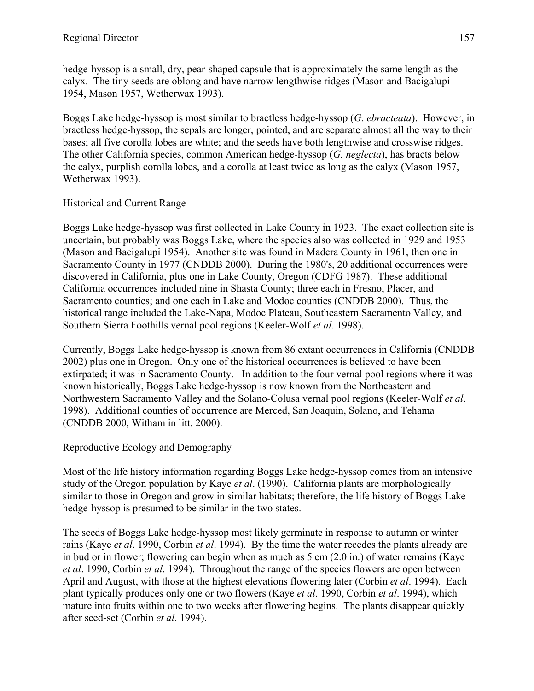hedge-hyssop is a small, dry, pear-shaped capsule that is approximately the same length as the calyx. The tiny seeds are oblong and have narrow lengthwise ridges (Mason and Bacigalupi 1954, Mason 1957, Wetherwax 1993).

Boggs Lake hedge-hyssop is most similar to bractless hedge-hyssop (*G. ebracteata*). However, in bractless hedge-hyssop, the sepals are longer, pointed, and are separate almost all the way to their bases; all five corolla lobes are white; and the seeds have both lengthwise and crosswise ridges. The other California species, common American hedge-hyssop (*G. neglecta*), has bracts below the calyx, purplish corolla lobes, and a corolla at least twice as long as the calyx (Mason 1957, Wetherwax 1993).

# Historical and Current Range

Boggs Lake hedge-hyssop was first collected in Lake County in 1923. The exact collection site is uncertain, but probably was Boggs Lake, where the species also was collected in 1929 and 1953 (Mason and Bacigalupi 1954). Another site was found in Madera County in 1961, then one in Sacramento County in 1977 (CNDDB 2000). During the 1980's, 20 additional occurrences were discovered in California, plus one in Lake County, Oregon (CDFG 1987). These additional California occurrences included nine in Shasta County; three each in Fresno, Placer, and Sacramento counties; and one each in Lake and Modoc counties (CNDDB 2000). Thus, the historical range included the Lake-Napa, Modoc Plateau, Southeastern Sacramento Valley, and Southern Sierra Foothills vernal pool regions (Keeler-Wolf *et al*. 1998).

Currently, Boggs Lake hedge-hyssop is known from 86 extant occurrences in California (CNDDB 2002) plus one in Oregon. Only one of the historical occurrences is believed to have been extirpated; it was in Sacramento County. In addition to the four vernal pool regions where it was known historically, Boggs Lake hedge-hyssop is now known from the Northeastern and Northwestern Sacramento Valley and the Solano-Colusa vernal pool regions (Keeler-Wolf *et al*. 1998). Additional counties of occurrence are Merced, San Joaquin, Solano, and Tehama (CNDDB 2000, Witham in litt. 2000).

Reproductive Ecology and Demography

Most of the life history information regarding Boggs Lake hedge-hyssop comes from an intensive study of the Oregon population by Kaye *et al*. (1990). California plants are morphologically similar to those in Oregon and grow in similar habitats; therefore, the life history of Boggs Lake hedge-hyssop is presumed to be similar in the two states.

The seeds of Boggs Lake hedge-hyssop most likely germinate in response to autumn or winter rains (Kaye *et al*. 1990, Corbin *et al*. 1994). By the time the water recedes the plants already are in bud or in flower; flowering can begin when as much as 5 cm (2.0 in.) of water remains (Kaye *et al*. 1990, Corbin *et al*. 1994). Throughout the range of the species flowers are open between April and August, with those at the highest elevations flowering later (Corbin *et al*. 1994). Each plant typically produces only one or two flowers (Kaye *et al*. 1990, Corbin *et al*. 1994), which mature into fruits within one to two weeks after flowering begins. The plants disappear quickly after seed-set (Corbin *et al*. 1994).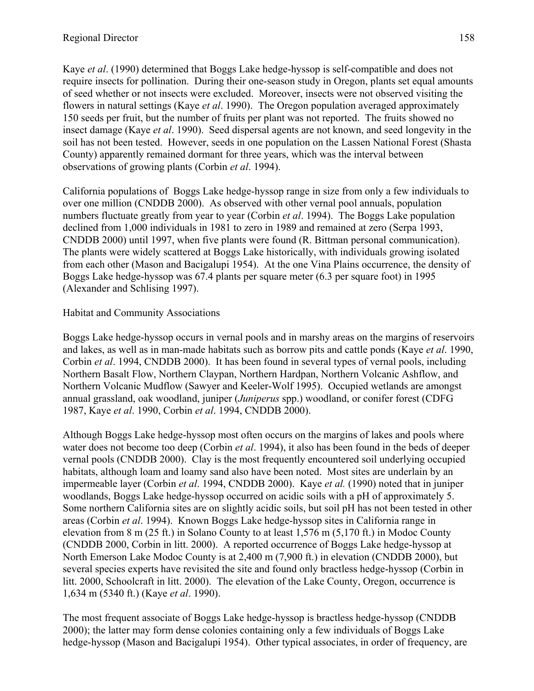Kaye *et al*. (1990) determined that Boggs Lake hedge-hyssop is self-compatible and does not require insects for pollination. During their one-season study in Oregon, plants set equal amounts of seed whether or not insects were excluded. Moreover, insects were not observed visiting the flowers in natural settings (Kaye *et al*. 1990). The Oregon population averaged approximately 150 seeds per fruit, but the number of fruits per plant was not reported. The fruits showed no insect damage (Kaye *et al*. 1990). Seed dispersal agents are not known, and seed longevity in the soil has not been tested. However, seeds in one population on the Lassen National Forest (Shasta County) apparently remained dormant for three years, which was the interval between observations of growing plants (Corbin *et al*. 1994).

California populations of Boggs Lake hedge-hyssop range in size from only a few individuals to over one million (CNDDB 2000). As observed with other vernal pool annuals, population numbers fluctuate greatly from year to year (Corbin *et al*. 1994). The Boggs Lake population declined from 1,000 individuals in 1981 to zero in 1989 and remained at zero (Serpa 1993, CNDDB 2000) until 1997, when five plants were found (R. Bittman personal communication). The plants were widely scattered at Boggs Lake historically, with individuals growing isolated from each other (Mason and Bacigalupi 1954). At the one Vina Plains occurrence, the density of Boggs Lake hedge-hyssop was 67.4 plants per square meter (6.3 per square foot) in 1995 (Alexander and Schlising 1997).

### Habitat and Community Associations

Boggs Lake hedge-hyssop occurs in vernal pools and in marshy areas on the margins of reservoirs and lakes, as well as in man-made habitats such as borrow pits and cattle ponds (Kaye *et al*. 1990, Corbin *et al*. 1994, CNDDB 2000). It has been found in several types of vernal pools, including Northern Basalt Flow, Northern Claypan, Northern Hardpan, Northern Volcanic Ashflow, and Northern Volcanic Mudflow (Sawyer and Keeler-Wolf 1995). Occupied wetlands are amongst annual grassland, oak woodland, juniper (*Juniperus* spp.) woodland, or conifer forest (CDFG 1987, Kaye *et al*. 1990, Corbin *et al*. 1994, CNDDB 2000).

Although Boggs Lake hedge-hyssop most often occurs on the margins of lakes and pools where water does not become too deep (Corbin *et al*. 1994), it also has been found in the beds of deeper vernal pools (CNDDB 2000). Clay is the most frequently encountered soil underlying occupied habitats, although loam and loamy sand also have been noted. Most sites are underlain by an impermeable layer (Corbin *et al*. 1994, CNDDB 2000). Kaye *et al.* (1990) noted that in juniper woodlands, Boggs Lake hedge-hyssop occurred on acidic soils with a pH of approximately 5. Some northern California sites are on slightly acidic soils, but soil pH has not been tested in other areas (Corbin *et al*. 1994). Known Boggs Lake hedge-hyssop sites in California range in elevation from 8 m (25 ft.) in Solano County to at least 1,576 m (5,170 ft.) in Modoc County (CNDDB 2000, Corbin in litt. 2000). A reported occurrence of Boggs Lake hedge-hyssop at North Emerson Lake Modoc County is at 2,400 m (7,900 ft.) in elevation (CNDDB 2000), but several species experts have revisited the site and found only bractless hedge-hyssop (Corbin in litt. 2000, Schoolcraft in litt. 2000). The elevation of the Lake County, Oregon, occurrence is 1,634 m (5340 ft.) (Kaye *et al*. 1990).

The most frequent associate of Boggs Lake hedge-hyssop is bractless hedge-hyssop (CNDDB 2000); the latter may form dense colonies containing only a few individuals of Boggs Lake hedge-hyssop (Mason and Bacigalupi 1954). Other typical associates, in order of frequency, are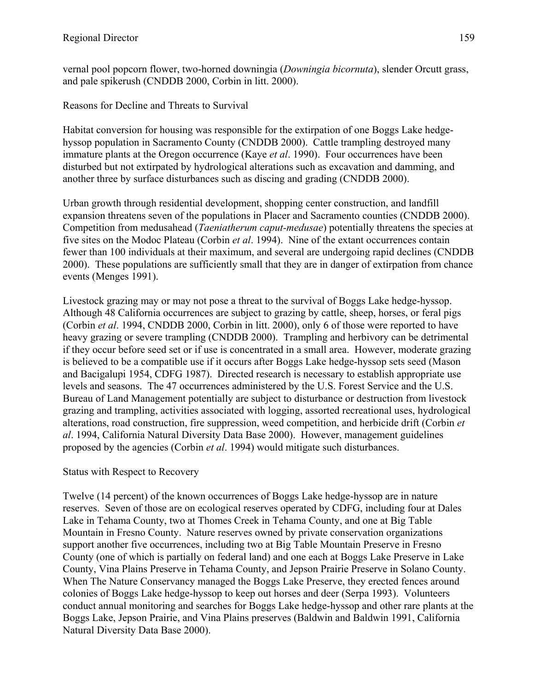vernal pool popcorn flower, two-horned downingia (*Downingia bicornuta*), slender Orcutt grass, and pale spikerush (CNDDB 2000, Corbin in litt. 2000).

Reasons for Decline and Threats to Survival

Habitat conversion for housing was responsible for the extirpation of one Boggs Lake hedgehyssop population in Sacramento County (CNDDB 2000). Cattle trampling destroyed many immature plants at the Oregon occurrence (Kaye *et al*. 1990). Four occurrences have been disturbed but not extirpated by hydrological alterations such as excavation and damming, and another three by surface disturbances such as discing and grading (CNDDB 2000).

Urban growth through residential development, shopping center construction, and landfill expansion threatens seven of the populations in Placer and Sacramento counties (CNDDB 2000). Competition from medusahead (*Taeniatherum caput-medusae*) potentially threatens the species at five sites on the Modoc Plateau (Corbin *et al*. 1994). Nine of the extant occurrences contain fewer than 100 individuals at their maximum, and several are undergoing rapid declines (CNDDB 2000). These populations are sufficiently small that they are in danger of extirpation from chance events (Menges 1991).

Livestock grazing may or may not pose a threat to the survival of Boggs Lake hedge-hyssop. Although 48 California occurrences are subject to grazing by cattle, sheep, horses, or feral pigs (Corbin *et al*. 1994, CNDDB 2000, Corbin in litt. 2000), only 6 of those were reported to have heavy grazing or severe trampling (CNDDB 2000). Trampling and herbivory can be detrimental if they occur before seed set or if use is concentrated in a small area. However, moderate grazing is believed to be a compatible use if it occurs after Boggs Lake hedge-hyssop sets seed (Mason and Bacigalupi 1954, CDFG 1987). Directed research is necessary to establish appropriate use levels and seasons. The 47 occurrences administered by the U.S. Forest Service and the U.S. Bureau of Land Management potentially are subject to disturbance or destruction from livestock grazing and trampling, activities associated with logging, assorted recreational uses, hydrological alterations, road construction, fire suppression, weed competition, and herbicide drift (Corbin *et al*. 1994, California Natural Diversity Data Base 2000). However, management guidelines proposed by the agencies (Corbin *et al*. 1994) would mitigate such disturbances.

## Status with Respect to Recovery

Twelve (14 percent) of the known occurrences of Boggs Lake hedge-hyssop are in nature reserves. Seven of those are on ecological reserves operated by CDFG, including four at Dales Lake in Tehama County, two at Thomes Creek in Tehama County, and one at Big Table Mountain in Fresno County. Nature reserves owned by private conservation organizations support another five occurrences, including two at Big Table Mountain Preserve in Fresno County (one of which is partially on federal land) and one each at Boggs Lake Preserve in Lake County, Vina Plains Preserve in Tehama County, and Jepson Prairie Preserve in Solano County. When The Nature Conservancy managed the Boggs Lake Preserve, they erected fences around colonies of Boggs Lake hedge-hyssop to keep out horses and deer (Serpa 1993). Volunteers conduct annual monitoring and searches for Boggs Lake hedge-hyssop and other rare plants at the Boggs Lake, Jepson Prairie, and Vina Plains preserves (Baldwin and Baldwin 1991, California Natural Diversity Data Base 2000).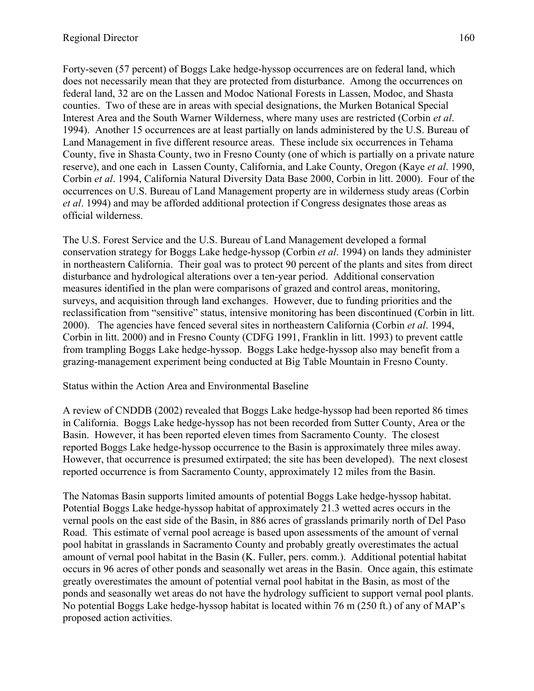Forty-seven (57 percent) of Boggs Lake hedge-hyssop occurrences are on federal land, which does not necessarily mean that they are protected from disturbance. Among the occurrences on federal land, 32 are on the Lassen and Modoc National Forests in Lassen, Modoc, and Shasta counties. Two of these are in areas with special designations, the Murken Botanical Special Interest Area and the South Warner Wilderness, where many uses are restricted (Corbin *et al*. 1994). Another 15 occurrences are at least partially on lands administered by the U.S. Bureau of Land Management in five different resource areas. These include six occurrences in Tehama County, five in Shasta County, two in Fresno County (one of which is partially on a private nature reserve), and one each in Lassen County, California, and Lake County, Oregon (Kaye *et al*. 1990, Corbin *et al*. 1994, California Natural Diversity Data Base 2000, Corbin in litt. 2000). Four of the occurrences on U.S. Bureau of Land Management property are in wilderness study areas (Corbin *et al*. 1994) and may be afforded additional protection if Congress designates those areas as official wilderness.

The U.S. Forest Service and the U.S. Bureau of Land Management developed a formal conservation strategy for Boggs Lake hedge-hyssop (Corbin *et al*. 1994) on lands they administer in northeastern California. Their goal was to protect 90 percent of the plants and sites from direct disturbance and hydrological alterations over a ten-year period. Additional conservation measures identified in the plan were comparisons of grazed and control areas, monitoring, surveys, and acquisition through land exchanges. However, due to funding priorities and the reclassification from "sensitive" status, intensive monitoring has been discontinued (Corbin in litt. 2000). The agencies have fenced several sites in northeastern California (Corbin *et al*. 1994, Corbin in litt. 2000) and in Fresno County (CDFG 1991, Franklin in litt. 1993) to prevent cattle from trampling Boggs Lake hedge-hyssop. Boggs Lake hedge-hyssop also may benefit from a grazing-management experiment being conducted at Big Table Mountain in Fresno County.

## Status within the Action Area and Environmental Baseline

A review of CNDDB (2002) revealed that Boggs Lake hedge-hyssop had been reported 86 times in California. Boggs Lake hedge-hyssop has not been recorded from Sutter County, Area or the Basin. However, it has been reported eleven times from Sacramento County. The closest reported Boggs Lake hedge-hyssop occurrence to the Basin is approximately three miles away. However, that occurrence is presumed extirpated; the site has been developed). The next closest reported occurrence is from Sacramento County, approximately 12 miles from the Basin.

The Natomas Basin supports limited amounts of potential Boggs Lake hedge-hyssop habitat. Potential Boggs Lake hedge-hyssop habitat of approximately 21.3 wetted acres occurs in the vernal pools on the east side of the Basin, in 886 acres of grasslands primarily north of Del Paso Road. This estimate of vernal pool acreage is based upon assessments of the amount of vernal pool habitat in grasslands in Sacramento County and probably greatly overestimates the actual amount of vernal pool habitat in the Basin (K. Fuller, pers. comm.). Additional potential habitat occurs in 96 acres of other ponds and seasonally wet areas in the Basin. Once again, this estimate greatly overestimates the amount of potential vernal pool habitat in the Basin, as most of the ponds and seasonally wet areas do not have the hydrology sufficient to support vernal pool plants. No potential Boggs Lake hedge-hyssop habitat is located within 76 m (250 ft.) of any of MAP's proposed action activities.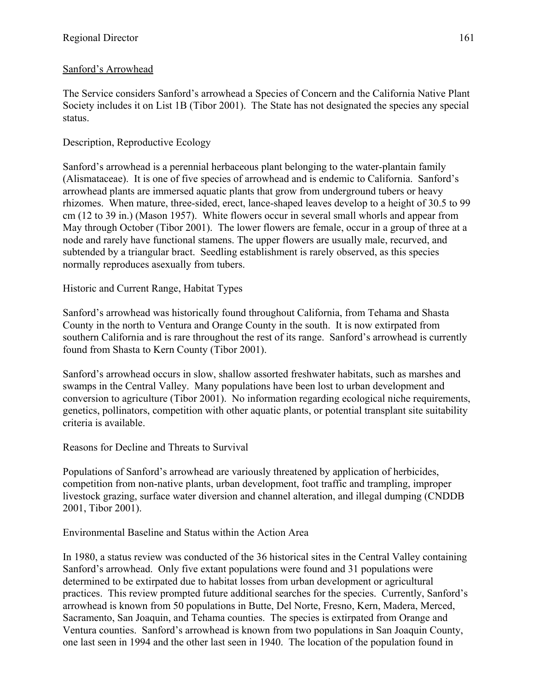## Sanford's Arrowhead

The Service considers Sanford's arrowhead a Species of Concern and the California Native Plant Society includes it on List 1B (Tibor 2001). The State has not designated the species any special status.

# Description, Reproductive Ecology

Sanford's arrowhead is a perennial herbaceous plant belonging to the water-plantain family (Alismataceae). It is one of five species of arrowhead and is endemic to California. Sanford's arrowhead plants are immersed aquatic plants that grow from underground tubers or heavy rhizomes. When mature, three-sided, erect, lance-shaped leaves develop to a height of 30.5 to 99 cm (12 to 39 in.) (Mason 1957). White flowers occur in several small whorls and appear from May through October (Tibor 2001). The lower flowers are female, occur in a group of three at a node and rarely have functional stamens. The upper flowers are usually male, recurved, and subtended by a triangular bract. Seedling establishment is rarely observed, as this species normally reproduces asexually from tubers.

Historic and Current Range, Habitat Types

Sanford's arrowhead was historically found throughout California, from Tehama and Shasta County in the north to Ventura and Orange County in the south. It is now extirpated from southern California and is rare throughout the rest of its range. Sanford's arrowhead is currently found from Shasta to Kern County (Tibor 2001).

Sanford's arrowhead occurs in slow, shallow assorted freshwater habitats, such as marshes and swamps in the Central Valley. Many populations have been lost to urban development and conversion to agriculture (Tibor 2001). No information regarding ecological niche requirements, genetics, pollinators, competition with other aquatic plants, or potential transplant site suitability criteria is available.

Reasons for Decline and Threats to Survival

Populations of Sanford's arrowhead are variously threatened by application of herbicides, competition from non-native plants, urban development, foot traffic and trampling, improper livestock grazing, surface water diversion and channel alteration, and illegal dumping (CNDDB 2001, Tibor 2001).

Environmental Baseline and Status within the Action Area

In 1980, a status review was conducted of the 36 historical sites in the Central Valley containing Sanford's arrowhead. Only five extant populations were found and 31 populations were determined to be extirpated due to habitat losses from urban development or agricultural practices. This review prompted future additional searches for the species. Currently, Sanford's arrowhead is known from 50 populations in Butte, Del Norte, Fresno, Kern, Madera, Merced, Sacramento, San Joaquin, and Tehama counties. The species is extirpated from Orange and Ventura counties. Sanford's arrowhead is known from two populations in San Joaquin County, one last seen in 1994 and the other last seen in 1940. The location of the population found in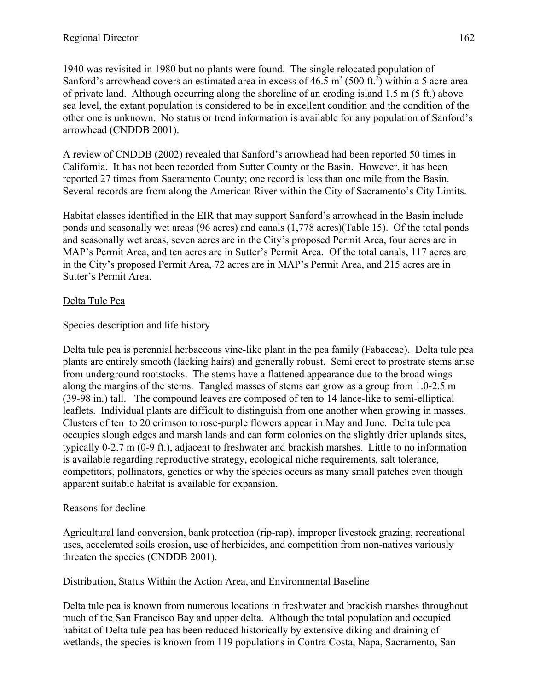1940 was revisited in 1980 but no plants were found. The single relocated population of Sanford's arrowhead covers an estimated area in excess of  $46.5 \text{ m}^2$  (500 ft.<sup>2</sup>) within a 5 acre-area of private land. Although occurring along the shoreline of an eroding island 1.5 m (5 ft.) above sea level, the extant population is considered to be in excellent condition and the condition of the other one is unknown. No status or trend information is available for any population of Sanford's arrowhead (CNDDB 2001).

A review of CNDDB (2002) revealed that Sanford's arrowhead had been reported 50 times in California. It has not been recorded from Sutter County or the Basin. However, it has been reported 27 times from Sacramento County; one record is less than one mile from the Basin. Several records are from along the American River within the City of Sacramento's City Limits.

Habitat classes identified in the EIR that may support Sanford's arrowhead in the Basin include ponds and seasonally wet areas (96 acres) and canals (1,778 acres)(Table 15). Of the total ponds and seasonally wet areas, seven acres are in the City's proposed Permit Area, four acres are in MAP's Permit Area, and ten acres are in Sutter's Permit Area. Of the total canals, 117 acres are in the City's proposed Permit Area, 72 acres are in MAP's Permit Area, and 215 acres are in Sutter's Permit Area.

## Delta Tule Pea

# Species description and life history

Delta tule pea is perennial herbaceous vine-like plant in the pea family (Fabaceae). Delta tule pea plants are entirely smooth (lacking hairs) and generally robust. Semi erect to prostrate stems arise from underground rootstocks. The stems have a flattened appearance due to the broad wings along the margins of the stems. Tangled masses of stems can grow as a group from 1.0-2.5 m (39-98 in.) tall. The compound leaves are composed of ten to 14 lance-like to semi-elliptical leaflets. Individual plants are difficult to distinguish from one another when growing in masses. Clusters of ten to 20 crimson to rose-purple flowers appear in May and June. Delta tule pea occupies slough edges and marsh lands and can form colonies on the slightly drier uplands sites, typically 0-2.7 m (0-9 ft.), adjacent to freshwater and brackish marshes. Little to no information is available regarding reproductive strategy, ecological niche requirements, salt tolerance, competitors, pollinators, genetics or why the species occurs as many small patches even though apparent suitable habitat is available for expansion.

## Reasons for decline

Agricultural land conversion, bank protection (rip-rap), improper livestock grazing, recreational uses, accelerated soils erosion, use of herbicides, and competition from non-natives variously threaten the species (CNDDB 2001).

## Distribution, Status Within the Action Area, and Environmental Baseline

Delta tule pea is known from numerous locations in freshwater and brackish marshes throughout much of the San Francisco Bay and upper delta. Although the total population and occupied habitat of Delta tule pea has been reduced historically by extensive diking and draining of wetlands, the species is known from 119 populations in Contra Costa, Napa, Sacramento, San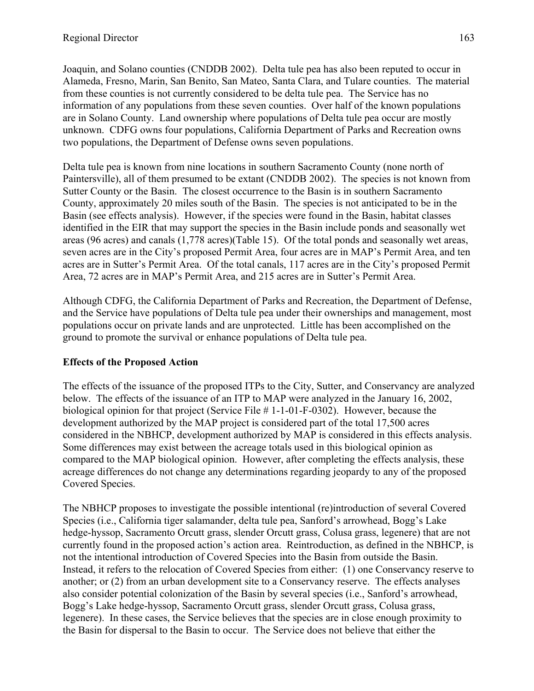Joaquin, and Solano counties (CNDDB 2002). Delta tule pea has also been reputed to occur in Alameda, Fresno, Marin, San Benito, San Mateo, Santa Clara, and Tulare counties. The material from these counties is not currently considered to be delta tule pea. The Service has no information of any populations from these seven counties. Over half of the known populations are in Solano County. Land ownership where populations of Delta tule pea occur are mostly unknown. CDFG owns four populations, California Department of Parks and Recreation owns two populations, the Department of Defense owns seven populations.

Delta tule pea is known from nine locations in southern Sacramento County (none north of Paintersville), all of them presumed to be extant (CNDDB 2002). The species is not known from Sutter County or the Basin. The closest occurrence to the Basin is in southern Sacramento County, approximately 20 miles south of the Basin. The species is not anticipated to be in the Basin (see effects analysis). However, if the species were found in the Basin, habitat classes identified in the EIR that may support the species in the Basin include ponds and seasonally wet areas (96 acres) and canals (1,778 acres)(Table 15). Of the total ponds and seasonally wet areas, seven acres are in the City's proposed Permit Area, four acres are in MAP's Permit Area, and ten acres are in Sutter's Permit Area. Of the total canals, 117 acres are in the City's proposed Permit Area, 72 acres are in MAP's Permit Area, and 215 acres are in Sutter's Permit Area.

Although CDFG, the California Department of Parks and Recreation, the Department of Defense, and the Service have populations of Delta tule pea under their ownerships and management, most populations occur on private lands and are unprotected. Little has been accomplished on the ground to promote the survival or enhance populations of Delta tule pea.

## **Effects of the Proposed Action**

The effects of the issuance of the proposed ITPs to the City, Sutter, and Conservancy are analyzed below. The effects of the issuance of an ITP to MAP were analyzed in the January 16, 2002, biological opinion for that project (Service File # 1-1-01-F-0302). However, because the development authorized by the MAP project is considered part of the total 17,500 acres considered in the NBHCP, development authorized by MAP is considered in this effects analysis. Some differences may exist between the acreage totals used in this biological opinion as compared to the MAP biological opinion. However, after completing the effects analysis, these acreage differences do not change any determinations regarding jeopardy to any of the proposed Covered Species.

The NBHCP proposes to investigate the possible intentional (re)introduction of several Covered Species (i.e., California tiger salamander, delta tule pea, Sanford's arrowhead, Bogg's Lake hedge-hyssop, Sacramento Orcutt grass, slender Orcutt grass, Colusa grass, legenere) that are not currently found in the proposed action's action area. Reintroduction, as defined in the NBHCP, is not the intentional introduction of Covered Species into the Basin from outside the Basin. Instead, it refers to the relocation of Covered Species from either: (1) one Conservancy reserve to another; or (2) from an urban development site to a Conservancy reserve. The effects analyses also consider potential colonization of the Basin by several species (i.e., Sanford's arrowhead, Bogg's Lake hedge-hyssop, Sacramento Orcutt grass, slender Orcutt grass, Colusa grass, legenere). In these cases, the Service believes that the species are in close enough proximity to the Basin for dispersal to the Basin to occur. The Service does not believe that either the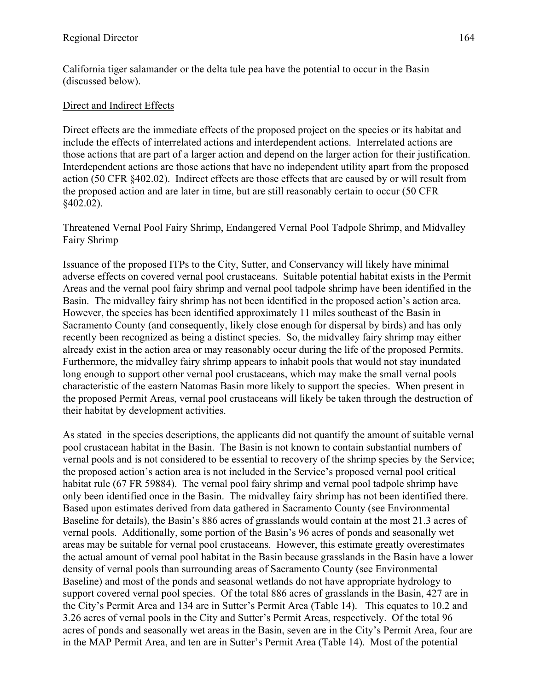California tiger salamander or the delta tule pea have the potential to occur in the Basin (discussed below).

## Direct and Indirect Effects

Direct effects are the immediate effects of the proposed project on the species or its habitat and include the effects of interrelated actions and interdependent actions. Interrelated actions are those actions that are part of a larger action and depend on the larger action for their justification. Interdependent actions are those actions that have no independent utility apart from the proposed action (50 CFR §402.02). Indirect effects are those effects that are caused by or will result from the proposed action and are later in time, but are still reasonably certain to occur (50 CFR §402.02).

Threatened Vernal Pool Fairy Shrimp, Endangered Vernal Pool Tadpole Shrimp, and Midvalley Fairy Shrimp

Issuance of the proposed ITPs to the City, Sutter, and Conservancy will likely have minimal adverse effects on covered vernal pool crustaceans. Suitable potential habitat exists in the Permit Areas and the vernal pool fairy shrimp and vernal pool tadpole shrimp have been identified in the Basin. The midvalley fairy shrimp has not been identified in the proposed action's action area. However, the species has been identified approximately 11 miles southeast of the Basin in Sacramento County (and consequently, likely close enough for dispersal by birds) and has only recently been recognized as being a distinct species. So, the midvalley fairy shrimp may either already exist in the action area or may reasonably occur during the life of the proposed Permits. Furthermore, the midvalley fairy shrimp appears to inhabit pools that would not stay inundated long enough to support other vernal pool crustaceans, which may make the small vernal pools characteristic of the eastern Natomas Basin more likely to support the species. When present in the proposed Permit Areas, vernal pool crustaceans will likely be taken through the destruction of their habitat by development activities.

As stated in the species descriptions, the applicants did not quantify the amount of suitable vernal pool crustacean habitat in the Basin. The Basin is not known to contain substantial numbers of vernal pools and is not considered to be essential to recovery of the shrimp species by the Service; the proposed action's action area is not included in the Service's proposed vernal pool critical habitat rule (67 FR 59884). The vernal pool fairy shrimp and vernal pool tadpole shrimp have only been identified once in the Basin. The midvalley fairy shrimp has not been identified there. Based upon estimates derived from data gathered in Sacramento County (see Environmental Baseline for details), the Basin's 886 acres of grasslands would contain at the most 21.3 acres of vernal pools. Additionally, some portion of the Basin's 96 acres of ponds and seasonally wet areas may be suitable for vernal pool crustaceans. However, this estimate greatly overestimates the actual amount of vernal pool habitat in the Basin because grasslands in the Basin have a lower density of vernal pools than surrounding areas of Sacramento County (see Environmental Baseline) and most of the ponds and seasonal wetlands do not have appropriate hydrology to support covered vernal pool species. Of the total 886 acres of grasslands in the Basin, 427 are in the City's Permit Area and 134 are in Sutter's Permit Area (Table 14). This equates to 10.2 and 3.26 acres of vernal pools in the City and Sutter's Permit Areas, respectively. Of the total 96 acres of ponds and seasonally wet areas in the Basin, seven are in the City's Permit Area, four are in the MAP Permit Area, and ten are in Sutter's Permit Area (Table 14). Most of the potential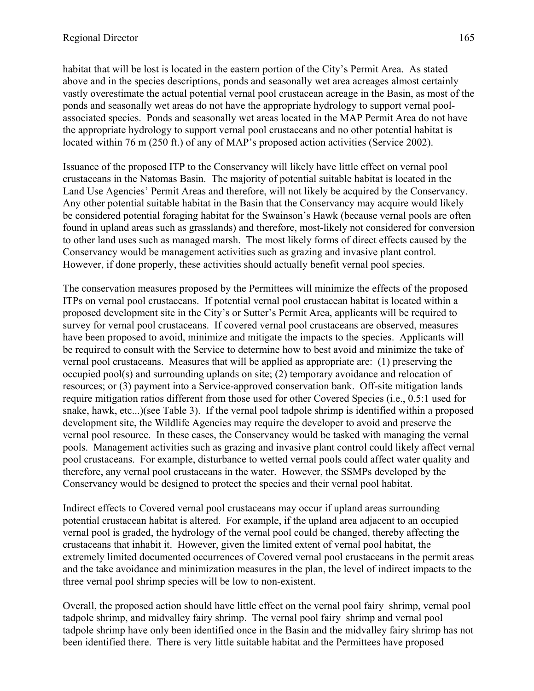habitat that will be lost is located in the eastern portion of the City's Permit Area. As stated above and in the species descriptions, ponds and seasonally wet area acreages almost certainly vastly overestimate the actual potential vernal pool crustacean acreage in the Basin, as most of the ponds and seasonally wet areas do not have the appropriate hydrology to support vernal poolassociated species. Ponds and seasonally wet areas located in the MAP Permit Area do not have the appropriate hydrology to support vernal pool crustaceans and no other potential habitat is located within 76 m (250 ft.) of any of MAP's proposed action activities (Service 2002).

Issuance of the proposed ITP to the Conservancy will likely have little effect on vernal pool crustaceans in the Natomas Basin. The majority of potential suitable habitat is located in the Land Use Agencies' Permit Areas and therefore, will not likely be acquired by the Conservancy. Any other potential suitable habitat in the Basin that the Conservancy may acquire would likely be considered potential foraging habitat for the Swainson's Hawk (because vernal pools are often found in upland areas such as grasslands) and therefore, most-likely not considered for conversion to other land uses such as managed marsh. The most likely forms of direct effects caused by the Conservancy would be management activities such as grazing and invasive plant control. However, if done properly, these activities should actually benefit vernal pool species.

The conservation measures proposed by the Permittees will minimize the effects of the proposed ITPs on vernal pool crustaceans. If potential vernal pool crustacean habitat is located within a proposed development site in the City's or Sutter's Permit Area, applicants will be required to survey for vernal pool crustaceans. If covered vernal pool crustaceans are observed, measures have been proposed to avoid, minimize and mitigate the impacts to the species. Applicants will be required to consult with the Service to determine how to best avoid and minimize the take of vernal pool crustaceans. Measures that will be applied as appropriate are: (1) preserving the occupied pool(s) and surrounding uplands on site; (2) temporary avoidance and relocation of resources; or (3) payment into a Service-approved conservation bank. Off-site mitigation lands require mitigation ratios different from those used for other Covered Species (i.e., 0.5:1 used for snake, hawk, etc...)(see Table 3). If the vernal pool tadpole shrimp is identified within a proposed development site, the Wildlife Agencies may require the developer to avoid and preserve the vernal pool resource. In these cases, the Conservancy would be tasked with managing the vernal pools. Management activities such as grazing and invasive plant control could likely affect vernal pool crustaceans. For example, disturbance to wetted vernal pools could affect water quality and therefore, any vernal pool crustaceans in the water. However, the SSMPs developed by the Conservancy would be designed to protect the species and their vernal pool habitat.

Indirect effects to Covered vernal pool crustaceans may occur if upland areas surrounding potential crustacean habitat is altered. For example, if the upland area adjacent to an occupied vernal pool is graded, the hydrology of the vernal pool could be changed, thereby affecting the crustaceans that inhabit it. However, given the limited extent of vernal pool habitat, the extremely limited documented occurrences of Covered vernal pool crustaceans in the permit areas and the take avoidance and minimization measures in the plan, the level of indirect impacts to the three vernal pool shrimp species will be low to non-existent.

Overall, the proposed action should have little effect on the vernal pool fairy shrimp, vernal pool tadpole shrimp, and midvalley fairy shrimp. The vernal pool fairy shrimp and vernal pool tadpole shrimp have only been identified once in the Basin and the midvalley fairy shrimp has not been identified there. There is very little suitable habitat and the Permittees have proposed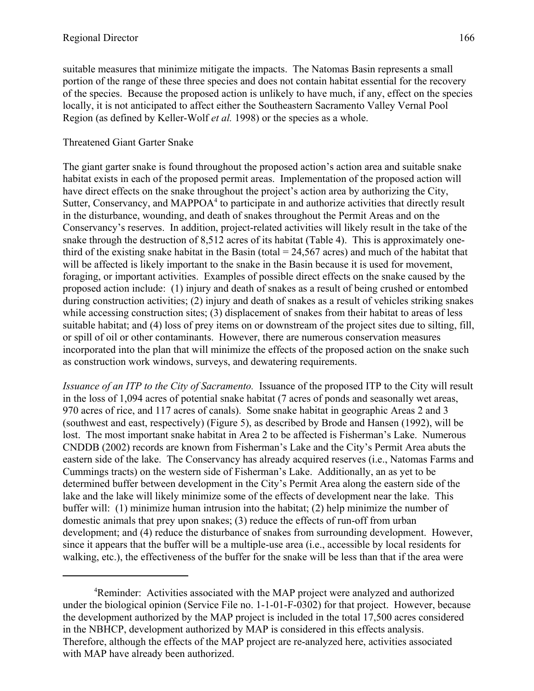suitable measures that minimize mitigate the impacts. The Natomas Basin represents a small portion of the range of these three species and does not contain habitat essential for the recovery of the species. Because the proposed action is unlikely to have much, if any, effect on the species locally, it is not anticipated to affect either the Southeastern Sacramento Valley Vernal Pool Region (as defined by Keller-Wolf *et al.* 1998) or the species as a whole.

## Threatened Giant Garter Snake

The giant garter snake is found throughout the proposed action's action area and suitable snake habitat exists in each of the proposed permit areas. Implementation of the proposed action will have direct effects on the snake throughout the project's action area by authorizing the City, Sutter, Conservancy, and MAPPOA<sup>4</sup> to participate in and authorize activities that directly result in the disturbance, wounding, and death of snakes throughout the Permit Areas and on the Conservancy's reserves. In addition, project-related activities will likely result in the take of the snake through the destruction of 8,512 acres of its habitat (Table 4). This is approximately onethird of the existing snake habitat in the Basin (total  $= 24,567$  acres) and much of the habitat that will be affected is likely important to the snake in the Basin because it is used for movement, foraging, or important activities. Examples of possible direct effects on the snake caused by the proposed action include: (1) injury and death of snakes as a result of being crushed or entombed during construction activities; (2) injury and death of snakes as a result of vehicles striking snakes while accessing construction sites; (3) displacement of snakes from their habitat to areas of less suitable habitat; and (4) loss of prey items on or downstream of the project sites due to silting, fill, or spill of oil or other contaminants. However, there are numerous conservation measures incorporated into the plan that will minimize the effects of the proposed action on the snake such as construction work windows, surveys, and dewatering requirements.

*Issuance of an ITP to the City of Sacramento.* Issuance of the proposed ITP to the City will result in the loss of 1,094 acres of potential snake habitat (7 acres of ponds and seasonally wet areas, 970 acres of rice, and 117 acres of canals). Some snake habitat in geographic Areas 2 and 3 (southwest and east, respectively) (Figure 5), as described by Brode and Hansen (1992), will be lost. The most important snake habitat in Area 2 to be affected is Fisherman's Lake. Numerous CNDDB (2002) records are known from Fisherman's Lake and the City's Permit Area abuts the eastern side of the lake. The Conservancy has already acquired reserves (i.e., Natomas Farms and Cummings tracts) on the western side of Fisherman's Lake. Additionally, an as yet to be determined buffer between development in the City's Permit Area along the eastern side of the lake and the lake will likely minimize some of the effects of development near the lake. This buffer will: (1) minimize human intrusion into the habitat; (2) help minimize the number of domestic animals that prey upon snakes; (3) reduce the effects of run-off from urban development; and (4) reduce the disturbance of snakes from surrounding development. However, since it appears that the buffer will be a multiple-use area (i.e., accessible by local residents for walking, etc.), the effectiveness of the buffer for the snake will be less than that if the area were

<sup>4</sup> Reminder: Activities associated with the MAP project were analyzed and authorized under the biological opinion (Service File no. 1-1-01-F-0302) for that project. However, because the development authorized by the MAP project is included in the total 17,500 acres considered in the NBHCP, development authorized by MAP is considered in this effects analysis. Therefore, although the effects of the MAP project are re-analyzed here, activities associated with MAP have already been authorized.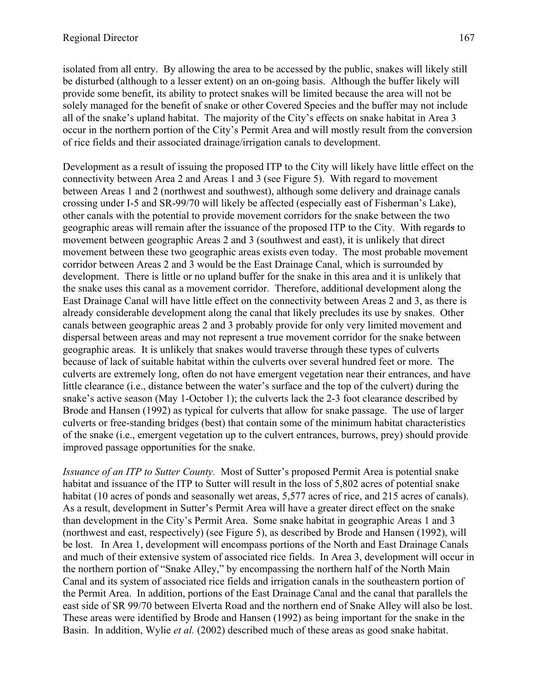isolated from all entry. By allowing the area to be accessed by the public, snakes will likely still be disturbed (although to a lesser extent) on an on-going basis. Although the buffer likely will provide some benefit, its ability to protect snakes will be limited because the area will not be solely managed for the benefit of snake or other Covered Species and the buffer may not include all of the snake's upland habitat. The majority of the City's effects on snake habitat in Area 3 occur in the northern portion of the City's Permit Area and will mostly result from the conversion of rice fields and their associated drainage/irrigation canals to development.

Development as a result of issuing the proposed ITP to the City will likely have little effect on the connectivity between Area 2 and Areas 1 and 3 (see Figure 5). With regard to movement between Areas 1 and 2 (northwest and southwest), although some delivery and drainage canals crossing under I-5 and SR-99/70 will likely be affected (especially east of Fisherman's Lake), other canals with the potential to provide movement corridors for the snake between the two geographic areas will remain after the issuance of the proposed ITP to the City. With regards to movement between geographic Areas 2 and 3 (southwest and east), it is unlikely that direct movement between these two geographic areas exists even today. The most probable movement corridor between Areas 2 and 3 would be the East Drainage Canal, which is surrounded by development. There is little or no upland buffer for the snake in this area and it is unlikely that the snake uses this canal as a movement corridor. Therefore, additional development along the East Drainage Canal will have little effect on the connectivity between Areas 2 and 3, as there is already considerable development along the canal that likely precludes its use by snakes. Other canals between geographic areas 2 and 3 probably provide for only very limited movement and dispersal between areas and may not represent a true movement corridor for the snake between geographic areas. It is unlikely that snakes would traverse through these types of culverts because of lack of suitable habitat within the culverts over several hundred feet or more. The culverts are extremely long, often do not have emergent vegetation near their entrances, and have little clearance (i.e., distance between the water's surface and the top of the culvert) during the snake's active season (May 1-October 1); the culverts lack the 2-3 foot clearance described by Brode and Hansen (1992) as typical for culverts that allow for snake passage. The use of larger culverts or free-standing bridges (best) that contain some of the minimum habitat characteristics of the snake (i.e., emergent vegetation up to the culvert entrances, burrows, prey) should provide improved passage opportunities for the snake.

*Issuance of an ITP to Sutter County.* Most of Sutter's proposed Permit Area is potential snake habitat and issuance of the ITP to Sutter will result in the loss of 5,802 acres of potential snake habitat (10 acres of ponds and seasonally wet areas, 5,577 acres of rice, and 215 acres of canals). As a result, development in Sutter's Permit Area will have a greater direct effect on the snake than development in the City's Permit Area. Some snake habitat in geographic Areas 1 and 3 (northwest and east, respectively) (see Figure 5), as described by Brode and Hansen (1992), will be lost. In Area 1, development will encompass portions of the North and East Drainage Canals and much of their extensive system of associated rice fields. In Area 3, development will occur in the northern portion of "Snake Alley," by encompassing the northern half of the North Main Canal and its system of associated rice fields and irrigation canals in the southeastern portion of the Permit Area. In addition, portions of the East Drainage Canal and the canal that parallels the east side of SR 99/70 between Elverta Road and the northern end of Snake Alley will also be lost. These areas were identified by Brode and Hansen (1992) as being important for the snake in the Basin. In addition, Wylie *et al.* (2002) described much of these areas as good snake habitat.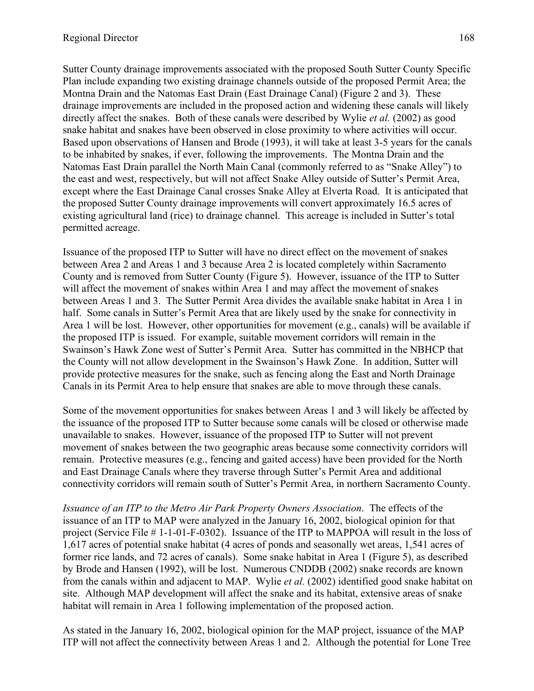Sutter County drainage improvements associated with the proposed South Sutter County Specific Plan include expanding two existing drainage channels outside of the proposed Permit Area; the Montna Drain and the Natomas East Drain (East Drainage Canal) (Figure 2 and 3). These drainage improvements are included in the proposed action and widening these canals will likely directly affect the snakes. Both of these canals were described by Wylie *et al.* (2002) as good snake habitat and snakes have been observed in close proximity to where activities will occur. Based upon observations of Hansen and Brode (1993), it will take at least 3-5 years for the canals to be inhabited by snakes, if ever, following the improvements. The Montna Drain and the Natomas East Drain parallel the North Main Canal (commonly referred to as "Snake Alley") to the east and west, respectively, but will not affect Snake Alley outside of Sutter's Permit Area, except where the East Drainage Canal crosses Snake Alley at Elverta Road. It is anticipated that the proposed Sutter County drainage improvements will convert approximately 16.5 acres of existing agricultural land (rice) to drainage channel. This acreage is included in Sutter's total permitted acreage.

Issuance of the proposed ITP to Sutter will have no direct effect on the movement of snakes between Area 2 and Areas 1 and 3 because Area 2 is located completely within Sacramento County and is removed from Sutter County (Figure 5). However, issuance of the ITP to Sutter will affect the movement of snakes within Area 1 and may affect the movement of snakes between Areas 1 and 3. The Sutter Permit Area divides the available snake habitat in Area 1 in half. Some canals in Sutter's Permit Area that are likely used by the snake for connectivity in Area 1 will be lost. However, other opportunities for movement (e.g., canals) will be available if the proposed ITP is issued. For example, suitable movement corridors will remain in the Swainson's Hawk Zone west of Sutter's Permit Area. Sutter has committed in the NBHCP that the County will not allow development in the Swainson's Hawk Zone. In addition, Sutter will provide protective measures for the snake, such as fencing along the East and North Drainage Canals in its Permit Area to help ensure that snakes are able to move through these canals.

Some of the movement opportunities for snakes between Areas 1 and 3 will likely be affected by the issuance of the proposed ITP to Sutter because some canals will be closed or otherwise made unavailable to snakes. However, issuance of the proposed ITP to Sutter will not prevent movement of snakes between the two geographic areas because some connectivity corridors will remain. Protective measures (e.g., fencing and gaited access) have been provided for the North and East Drainage Canals where they traverse through Sutter's Permit Area and additional connectivity corridors will remain south of Sutter's Permit Area, in northern Sacramento County.

*Issuance of an ITP to the Metro Air Park Property Owners Association*. The effects of the issuance of an ITP to MAP were analyzed in the January 16, 2002, biological opinion for that project (Service File # 1-1-01-F-0302). Issuance of the ITP to MAPPOA will result in the loss of 1,617 acres of potential snake habitat (4 acres of ponds and seasonally wet areas, 1,541 acres of former rice lands, and 72 acres of canals). Some snake habitat in Area 1 (Figure 5), as described by Brode and Hansen (1992), will be lost. Numerous CNDDB (2002) snake records are known from the canals within and adjacent to MAP. Wylie *et al.* (2002) identified good snake habitat on site. Although MAP development will affect the snake and its habitat, extensive areas of snake habitat will remain in Area 1 following implementation of the proposed action.

As stated in the January 16, 2002, biological opinion for the MAP project, issuance of the MAP ITP will not affect the connectivity between Areas 1 and 2. Although the potential for Lone Tree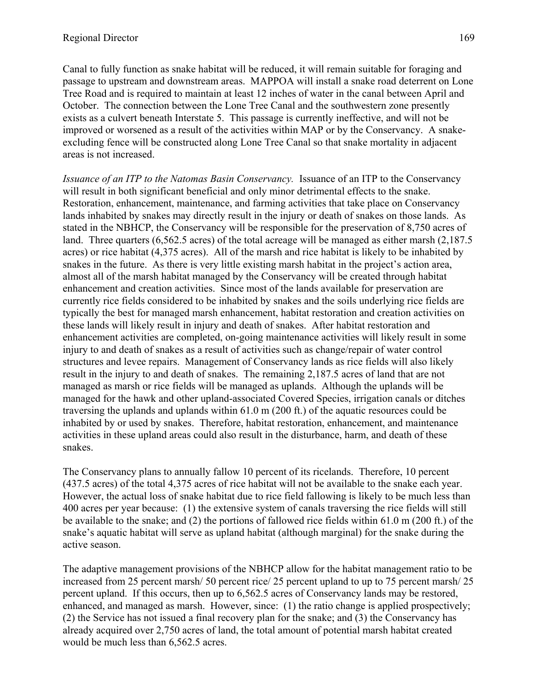Canal to fully function as snake habitat will be reduced, it will remain suitable for foraging and passage to upstream and downstream areas. MAPPOA will install a snake road deterrent on Lone Tree Road and is required to maintain at least 12 inches of water in the canal between April and October. The connection between the Lone Tree Canal and the southwestern zone presently exists as a culvert beneath Interstate 5. This passage is currently ineffective, and will not be improved or worsened as a result of the activities within MAP or by the Conservancy. A snakeexcluding fence will be constructed along Lone Tree Canal so that snake mortality in adjacent areas is not increased.

*Issuance of an ITP to the Natomas Basin Conservancy.* Issuance of an ITP to the Conservancy will result in both significant beneficial and only minor detrimental effects to the snake. Restoration, enhancement, maintenance, and farming activities that take place on Conservancy lands inhabited by snakes may directly result in the injury or death of snakes on those lands. As stated in the NBHCP, the Conservancy will be responsible for the preservation of 8,750 acres of land. Three quarters (6,562.5 acres) of the total acreage will be managed as either marsh (2,187.5) acres) or rice habitat (4,375 acres). All of the marsh and rice habitat is likely to be inhabited by snakes in the future. As there is very little existing marsh habitat in the project's action area, almost all of the marsh habitat managed by the Conservancy will be created through habitat enhancement and creation activities. Since most of the lands available for preservation are currently rice fields considered to be inhabited by snakes and the soils underlying rice fields are typically the best for managed marsh enhancement, habitat restoration and creation activities on these lands will likely result in injury and death of snakes. After habitat restoration and enhancement activities are completed, on-going maintenance activities will likely result in some injury to and death of snakes as a result of activities such as change/repair of water control structures and levee repairs. Management of Conservancy lands as rice fields will also likely result in the injury to and death of snakes. The remaining 2,187.5 acres of land that are not managed as marsh or rice fields will be managed as uplands. Although the uplands will be managed for the hawk and other upland-associated Covered Species, irrigation canals or ditches traversing the uplands and uplands within 61.0 m (200 ft.) of the aquatic resources could be inhabited by or used by snakes. Therefore, habitat restoration, enhancement, and maintenance activities in these upland areas could also result in the disturbance, harm, and death of these snakes.

The Conservancy plans to annually fallow 10 percent of its ricelands. Therefore, 10 percent (437.5 acres) of the total 4,375 acres of rice habitat will not be available to the snake each year. However, the actual loss of snake habitat due to rice field fallowing is likely to be much less than 400 acres per year because: (1) the extensive system of canals traversing the rice fields will still be available to the snake; and (2) the portions of fallowed rice fields within 61.0 m (200 ft.) of the snake's aquatic habitat will serve as upland habitat (although marginal) for the snake during the active season.

The adaptive management provisions of the NBHCP allow for the habitat management ratio to be increased from 25 percent marsh/ 50 percent rice/ 25 percent upland to up to 75 percent marsh/ 25 percent upland. If this occurs, then up to 6,562.5 acres of Conservancy lands may be restored, enhanced, and managed as marsh. However, since: (1) the ratio change is applied prospectively; (2) the Service has not issued a final recovery plan for the snake; and (3) the Conservancy has already acquired over 2,750 acres of land, the total amount of potential marsh habitat created would be much less than 6,562.5 acres.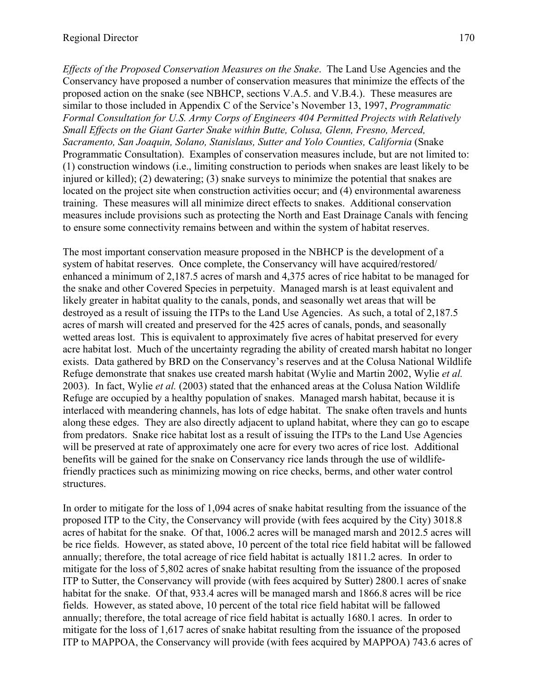*Effects of the Proposed Conservation Measures on the Snake*. The Land Use Agencies and the Conservancy have proposed a number of conservation measures that minimize the effects of the proposed action on the snake (see NBHCP, sections V.A.5. and V.B.4.). These measures are similar to those included in Appendix C of the Service's November 13, 1997, *Programmatic Formal Consultation for U.S. Army Corps of Engineers 404 Permitted Projects with Relatively Small Effects on the Giant Garter Snake within Butte, Colusa, Glenn, Fresno, Merced, Sacramento, San Joaquin, Solano, Stanislaus, Sutter and Yolo Counties, California* (Snake Programmatic Consultation). Examples of conservation measures include, but are not limited to: (1) construction windows (i.e., limiting construction to periods when snakes are least likely to be injured or killed); (2) dewatering; (3) snake surveys to minimize the potential that snakes are located on the project site when construction activities occur; and (4) environmental awareness training. These measures will all minimize direct effects to snakes. Additional conservation measures include provisions such as protecting the North and East Drainage Canals with fencing to ensure some connectivity remains between and within the system of habitat reserves.

The most important conservation measure proposed in the NBHCP is the development of a system of habitat reserves. Once complete, the Conservancy will have acquired/restored/ enhanced a minimum of 2,187.5 acres of marsh and 4,375 acres of rice habitat to be managed for the snake and other Covered Species in perpetuity. Managed marsh is at least equivalent and likely greater in habitat quality to the canals, ponds, and seasonally wet areas that will be destroyed as a result of issuing the ITPs to the Land Use Agencies. As such, a total of 2,187.5 acres of marsh will created and preserved for the 425 acres of canals, ponds, and seasonally wetted areas lost. This is equivalent to approximately five acres of habitat preserved for every acre habitat lost. Much of the uncertainty regrading the ability of created marsh habitat no longer exists. Data gathered by BRD on the Conservancy's reserves and at the Colusa National Wildlife Refuge demonstrate that snakes use created marsh habitat (Wylie and Martin 2002, Wylie *et al.* 2003). In fact, Wylie *et al.* (2003) stated that the enhanced areas at the Colusa Nation Wildlife Refuge are occupied by a healthy population of snakes. Managed marsh habitat, because it is interlaced with meandering channels, has lots of edge habitat. The snake often travels and hunts along these edges. They are also directly adjacent to upland habitat, where they can go to escape from predators. Snake rice habitat lost as a result of issuing the ITPs to the Land Use Agencies will be preserved at rate of approximately one acre for every two acres of rice lost. Additional benefits will be gained for the snake on Conservancy rice lands through the use of wildlifefriendly practices such as minimizing mowing on rice checks, berms, and other water control structures.

In order to mitigate for the loss of 1,094 acres of snake habitat resulting from the issuance of the proposed ITP to the City, the Conservancy will provide (with fees acquired by the City) 3018.8 acres of habitat for the snake. Of that, 1006.2 acres will be managed marsh and 2012.5 acres will be rice fields. However, as stated above, 10 percent of the total rice field habitat will be fallowed annually; therefore, the total acreage of rice field habitat is actually 1811.2 acres. In order to mitigate for the loss of 5,802 acres of snake habitat resulting from the issuance of the proposed ITP to Sutter, the Conservancy will provide (with fees acquired by Sutter) 2800.1 acres of snake habitat for the snake. Of that, 933.4 acres will be managed marsh and 1866.8 acres will be rice fields. However, as stated above, 10 percent of the total rice field habitat will be fallowed annually; therefore, the total acreage of rice field habitat is actually 1680.1 acres. In order to mitigate for the loss of 1,617 acres of snake habitat resulting from the issuance of the proposed ITP to MAPPOA, the Conservancy will provide (with fees acquired by MAPPOA) 743.6 acres of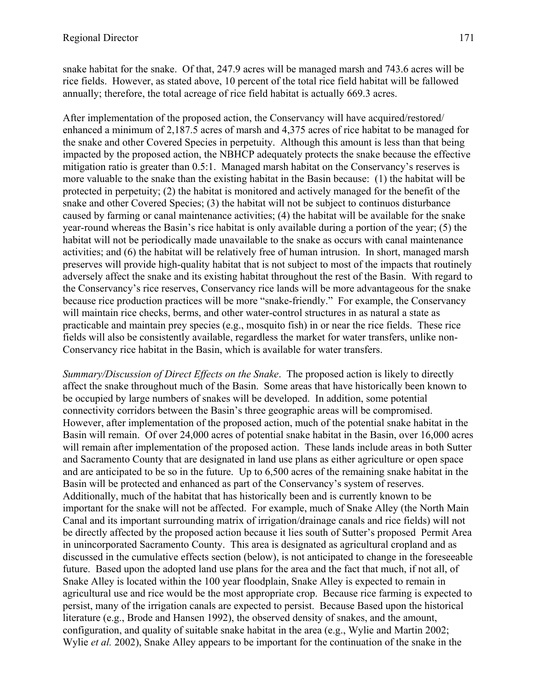snake habitat for the snake. Of that, 247.9 acres will be managed marsh and 743.6 acres will be rice fields. However, as stated above, 10 percent of the total rice field habitat will be fallowed annually; therefore, the total acreage of rice field habitat is actually 669.3 acres.

After implementation of the proposed action, the Conservancy will have acquired/restored/ enhanced a minimum of 2,187.5 acres of marsh and 4,375 acres of rice habitat to be managed for the snake and other Covered Species in perpetuity. Although this amount is less than that being impacted by the proposed action, the NBHCP adequately protects the snake because the effective mitigation ratio is greater than 0.5:1. Managed marsh habitat on the Conservancy's reserves is more valuable to the snake than the existing habitat in the Basin because: (1) the habitat will be protected in perpetuity; (2) the habitat is monitored and actively managed for the benefit of the snake and other Covered Species; (3) the habitat will not be subject to continuos disturbance caused by farming or canal maintenance activities; (4) the habitat will be available for the snake year-round whereas the Basin's rice habitat is only available during a portion of the year; (5) the habitat will not be periodically made unavailable to the snake as occurs with canal maintenance activities; and (6) the habitat will be relatively free of human intrusion. In short, managed marsh preserves will provide high-quality habitat that is not subject to most of the impacts that routinely adversely affect the snake and its existing habitat throughout the rest of the Basin. With regard to the Conservancy's rice reserves, Conservancy rice lands will be more advantageous for the snake because rice production practices will be more "snake-friendly." For example, the Conservancy will maintain rice checks, berms, and other water-control structures in as natural a state as practicable and maintain prey species (e.g., mosquito fish) in or near the rice fields. These rice fields will also be consistently available, regardless the market for water transfers, unlike non-Conservancy rice habitat in the Basin, which is available for water transfers.

*Summary/Discussion of Direct Effects on the Snake*. The proposed action is likely to directly affect the snake throughout much of the Basin. Some areas that have historically been known to be occupied by large numbers of snakes will be developed. In addition, some potential connectivity corridors between the Basin's three geographic areas will be compromised. However, after implementation of the proposed action, much of the potential snake habitat in the Basin will remain. Of over 24,000 acres of potential snake habitat in the Basin, over 16,000 acres will remain after implementation of the proposed action. These lands include areas in both Sutter and Sacramento County that are designated in land use plans as either agriculture or open space and are anticipated to be so in the future. Up to 6,500 acres of the remaining snake habitat in the Basin will be protected and enhanced as part of the Conservancy's system of reserves. Additionally, much of the habitat that has historically been and is currently known to be important for the snake will not be affected. For example, much of Snake Alley (the North Main Canal and its important surrounding matrix of irrigation/drainage canals and rice fields) will not be directly affected by the proposed action because it lies south of Sutter's proposed Permit Area in unincorporated Sacramento County. This area is designated as agricultural cropland and as discussed in the cumulative effects section (below), is not anticipated to change in the foreseeable future. Based upon the adopted land use plans for the area and the fact that much, if not all, of Snake Alley is located within the 100 year floodplain, Snake Alley is expected to remain in agricultural use and rice would be the most appropriate crop. Because rice farming is expected to persist, many of the irrigation canals are expected to persist. Because Based upon the historical literature (e.g., Brode and Hansen 1992), the observed density of snakes, and the amount, configuration, and quality of suitable snake habitat in the area (e.g., Wylie and Martin 2002; Wylie *et al.* 2002), Snake Alley appears to be important for the continuation of the snake in the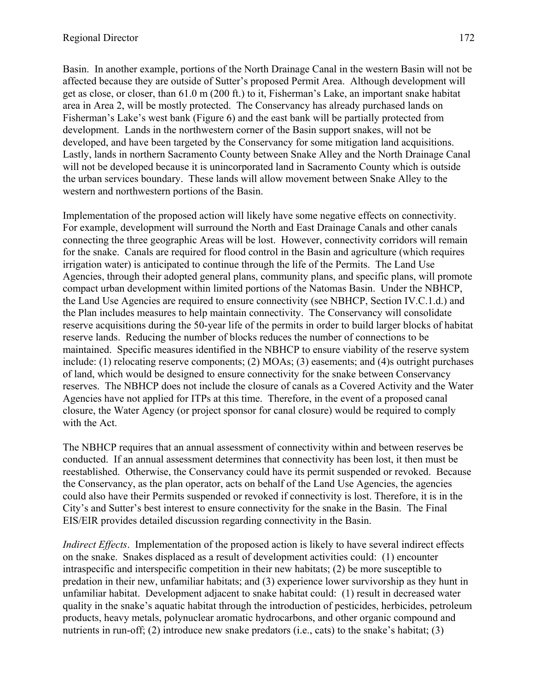Basin. In another example, portions of the North Drainage Canal in the western Basin will not be affected because they are outside of Sutter's proposed Permit Area. Although development will get as close, or closer, than 61.0 m (200 ft.) to it, Fisherman's Lake, an important snake habitat area in Area 2, will be mostly protected. The Conservancy has already purchased lands on Fisherman's Lake's west bank (Figure 6) and the east bank will be partially protected from development. Lands in the northwestern corner of the Basin support snakes, will not be developed, and have been targeted by the Conservancy for some mitigation land acquisitions. Lastly, lands in northern Sacramento County between Snake Alley and the North Drainage Canal will not be developed because it is unincorporated land in Sacramento County which is outside the urban services boundary. These lands will allow movement between Snake Alley to the western and northwestern portions of the Basin.

Implementation of the proposed action will likely have some negative effects on connectivity. For example, development will surround the North and East Drainage Canals and other canals connecting the three geographic Areas will be lost. However, connectivity corridors will remain for the snake. Canals are required for flood control in the Basin and agriculture (which requires irrigation water) is anticipated to continue through the life of the Permits. The Land Use Agencies, through their adopted general plans, community plans, and specific plans, will promote compact urban development within limited portions of the Natomas Basin. Under the NBHCP, the Land Use Agencies are required to ensure connectivity (see NBHCP, Section IV.C.1.d.) and the Plan includes measures to help maintain connectivity. The Conservancy will consolidate reserve acquisitions during the 50-year life of the permits in order to build larger blocks of habitat reserve lands. Reducing the number of blocks reduces the number of connections to be maintained. Specific measures identified in the NBHCP to ensure viability of the reserve system include: (1) relocating reserve components; (2) MOAs; (3) easements; and (4)s outright purchases of land, which would be designed to ensure connectivity for the snake between Conservancy reserves. The NBHCP does not include the closure of canals as a Covered Activity and the Water Agencies have not applied for ITPs at this time. Therefore, in the event of a proposed canal closure, the Water Agency (or project sponsor for canal closure) would be required to comply with the Act.

The NBHCP requires that an annual assessment of connectivity within and between reserves be conducted. If an annual assessment determines that connectivity has been lost, it then must be reestablished. Otherwise, the Conservancy could have its permit suspended or revoked. Because the Conservancy, as the plan operator, acts on behalf of the Land Use Agencies, the agencies could also have their Permits suspended or revoked if connectivity is lost. Therefore, it is in the City's and Sutter's best interest to ensure connectivity for the snake in the Basin. The Final EIS/EIR provides detailed discussion regarding connectivity in the Basin.

*Indirect Effects*. Implementation of the proposed action is likely to have several indirect effects on the snake. Snakes displaced as a result of development activities could: (1) encounter intraspecific and interspecific competition in their new habitats; (2) be more susceptible to predation in their new, unfamiliar habitats; and (3) experience lower survivorship as they hunt in unfamiliar habitat. Development adjacent to snake habitat could: (1) result in decreased water quality in the snake's aquatic habitat through the introduction of pesticides, herbicides, petroleum products, heavy metals, polynuclear aromatic hydrocarbons, and other organic compound and nutrients in run-off; (2) introduce new snake predators (i.e., cats) to the snake's habitat; (3)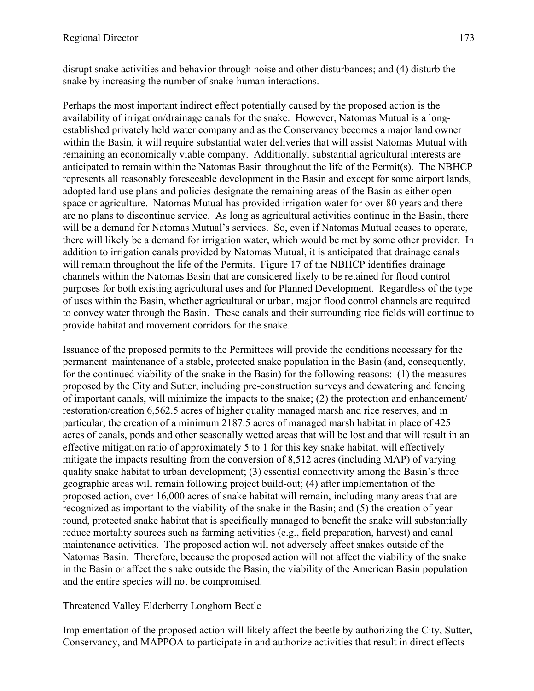disrupt snake activities and behavior through noise and other disturbances; and (4) disturb the snake by increasing the number of snake-human interactions.

Perhaps the most important indirect effect potentially caused by the proposed action is the availability of irrigation/drainage canals for the snake. However, Natomas Mutual is a longestablished privately held water company and as the Conservancy becomes a major land owner within the Basin, it will require substantial water deliveries that will assist Natomas Mutual with remaining an economically viable company. Additionally, substantial agricultural interests are anticipated to remain within the Natomas Basin throughout the life of the Permit(s). The NBHCP represents all reasonably foreseeable development in the Basin and except for some airport lands, adopted land use plans and policies designate the remaining areas of the Basin as either open space or agriculture. Natomas Mutual has provided irrigation water for over 80 years and there are no plans to discontinue service. As long as agricultural activities continue in the Basin, there will be a demand for Natomas Mutual's services. So, even if Natomas Mutual ceases to operate, there will likely be a demand for irrigation water, which would be met by some other provider. In addition to irrigation canals provided by Natomas Mutual, it is anticipated that drainage canals will remain throughout the life of the Permits. Figure 17 of the NBHCP identifies drainage channels within the Natomas Basin that are considered likely to be retained for flood control purposes for both existing agricultural uses and for Planned Development. Regardless of the type of uses within the Basin, whether agricultural or urban, major flood control channels are required to convey water through the Basin. These canals and their surrounding rice fields will continue to provide habitat and movement corridors for the snake.

Issuance of the proposed permits to the Permittees will provide the conditions necessary for the permanent maintenance of a stable, protected snake population in the Basin (and, consequently, for the continued viability of the snake in the Basin) for the following reasons: (1) the measures proposed by the City and Sutter, including pre-construction surveys and dewatering and fencing of important canals, will minimize the impacts to the snake; (2) the protection and enhancement/ restoration/creation 6,562.5 acres of higher quality managed marsh and rice reserves, and in particular, the creation of a minimum 2187.5 acres of managed marsh habitat in place of 425 acres of canals, ponds and other seasonally wetted areas that will be lost and that will result in an effective mitigation ratio of approximately 5 to 1 for this key snake habitat, will effectively mitigate the impacts resulting from the conversion of 8,512 acres (including MAP) of varying quality snake habitat to urban development; (3) essential connectivity among the Basin's three geographic areas will remain following project build-out; (4) after implementation of the proposed action, over 16,000 acres of snake habitat will remain, including many areas that are recognized as important to the viability of the snake in the Basin; and (5) the creation of year round, protected snake habitat that is specifically managed to benefit the snake will substantially reduce mortality sources such as farming activities (e.g., field preparation, harvest) and canal maintenance activities. The proposed action will not adversely affect snakes outside of the Natomas Basin. Therefore, because the proposed action will not affect the viability of the snake in the Basin or affect the snake outside the Basin, the viability of the American Basin population and the entire species will not be compromised.

Threatened Valley Elderberry Longhorn Beetle

Implementation of the proposed action will likely affect the beetle by authorizing the City, Sutter, Conservancy, and MAPPOA to participate in and authorize activities that result in direct effects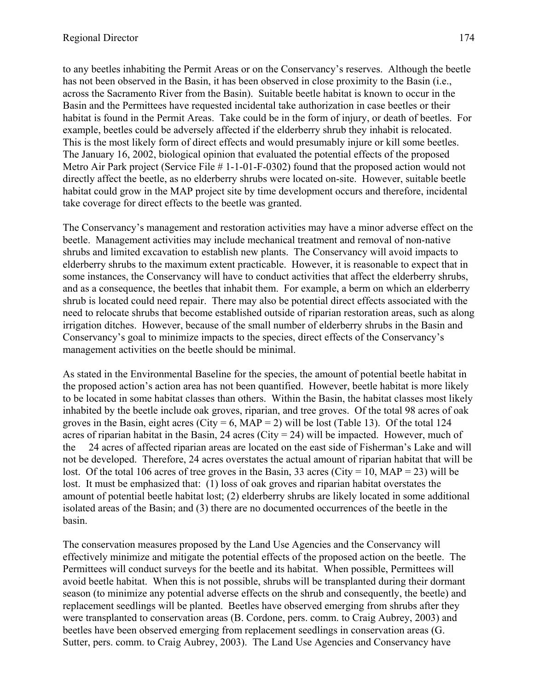to any beetles inhabiting the Permit Areas or on the Conservancy's reserves. Although the beetle has not been observed in the Basin, it has been observed in close proximity to the Basin (i.e., across the Sacramento River from the Basin). Suitable beetle habitat is known to occur in the Basin and the Permittees have requested incidental take authorization in case beetles or their habitat is found in the Permit Areas. Take could be in the form of injury, or death of beetles. For example, beetles could be adversely affected if the elderberry shrub they inhabit is relocated. This is the most likely form of direct effects and would presumably injure or kill some beetles. The January 16, 2002, biological opinion that evaluated the potential effects of the proposed Metro Air Park project (Service File # 1-1-01-F-0302) found that the proposed action would not directly affect the beetle, as no elderberry shrubs were located on-site. However, suitable beetle habitat could grow in the MAP project site by time development occurs and therefore, incidental take coverage for direct effects to the beetle was granted.

The Conservancy's management and restoration activities may have a minor adverse effect on the beetle. Management activities may include mechanical treatment and removal of non-native shrubs and limited excavation to establish new plants. The Conservancy will avoid impacts to elderberry shrubs to the maximum extent practicable. However, it is reasonable to expect that in some instances, the Conservancy will have to conduct activities that affect the elderberry shrubs, and as a consequence, the beetles that inhabit them. For example, a berm on which an elderberry shrub is located could need repair. There may also be potential direct effects associated with the need to relocate shrubs that become established outside of riparian restoration areas, such as along irrigation ditches. However, because of the small number of elderberry shrubs in the Basin and Conservancy's goal to minimize impacts to the species, direct effects of the Conservancy's management activities on the beetle should be minimal.

As stated in the Environmental Baseline for the species, the amount of potential beetle habitat in the proposed action's action area has not been quantified. However, beetle habitat is more likely to be located in some habitat classes than others. Within the Basin, the habitat classes most likely inhabited by the beetle include oak groves, riparian, and tree groves. Of the total 98 acres of oak groves in the Basin, eight acres (City = 6, MAP = 2) will be lost (Table 13). Of the total 124 acres of riparian habitat in the Basin, 24 acres (City = 24) will be impacted. However, much of the 24 acres of affected riparian areas are located on the east side of Fisherman's Lake and will not be developed. Therefore, 24 acres overstates the actual amount of riparian habitat that will be lost. Of the total 106 acres of tree groves in the Basin, 33 acres (City = 10, MAP = 23) will be lost. It must be emphasized that: (1) loss of oak groves and riparian habitat overstates the amount of potential beetle habitat lost; (2) elderberry shrubs are likely located in some additional isolated areas of the Basin; and (3) there are no documented occurrences of the beetle in the basin.

The conservation measures proposed by the Land Use Agencies and the Conservancy will effectively minimize and mitigate the potential effects of the proposed action on the beetle. The Permittees will conduct surveys for the beetle and its habitat. When possible, Permittees will avoid beetle habitat. When this is not possible, shrubs will be transplanted during their dormant season (to minimize any potential adverse effects on the shrub and consequently, the beetle) and replacement seedlings will be planted. Beetles have observed emerging from shrubs after they were transplanted to conservation areas (B. Cordone, pers. comm. to Craig Aubrey, 2003) and beetles have been observed emerging from replacement seedlings in conservation areas (G. Sutter, pers. comm. to Craig Aubrey, 2003). The Land Use Agencies and Conservancy have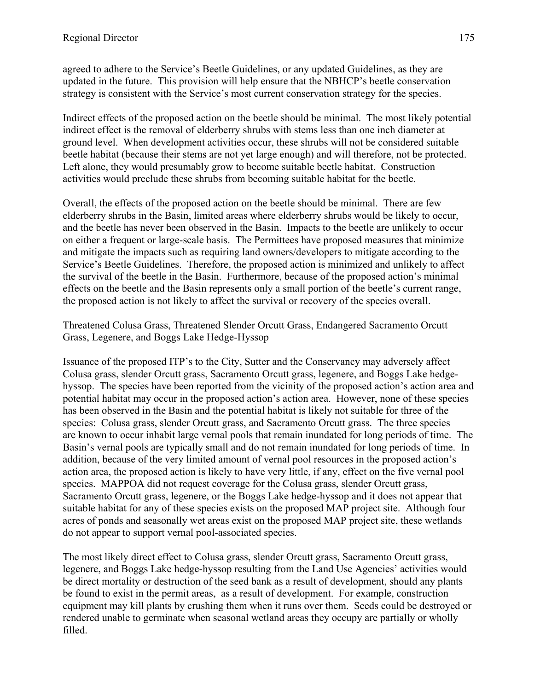agreed to adhere to the Service's Beetle Guidelines, or any updated Guidelines, as they are updated in the future. This provision will help ensure that the NBHCP's beetle conservation strategy is consistent with the Service's most current conservation strategy for the species.

Indirect effects of the proposed action on the beetle should be minimal. The most likely potential indirect effect is the removal of elderberry shrubs with stems less than one inch diameter at ground level. When development activities occur, these shrubs will not be considered suitable beetle habitat (because their stems are not yet large enough) and will therefore, not be protected. Left alone, they would presumably grow to become suitable beetle habitat. Construction activities would preclude these shrubs from becoming suitable habitat for the beetle.

Overall, the effects of the proposed action on the beetle should be minimal. There are few elderberry shrubs in the Basin, limited areas where elderberry shrubs would be likely to occur, and the beetle has never been observed in the Basin. Impacts to the beetle are unlikely to occur on either a frequent or large-scale basis. The Permittees have proposed measures that minimize and mitigate the impacts such as requiring land owners/developers to mitigate according to the Service's Beetle Guidelines. Therefore, the proposed action is minimized and unlikely to affect the survival of the beetle in the Basin. Furthermore, because of the proposed action's minimal effects on the beetle and the Basin represents only a small portion of the beetle's current range, the proposed action is not likely to affect the survival or recovery of the species overall.

Threatened Colusa Grass, Threatened Slender Orcutt Grass, Endangered Sacramento Orcutt Grass, Legenere, and Boggs Lake Hedge-Hyssop

Issuance of the proposed ITP's to the City, Sutter and the Conservancy may adversely affect Colusa grass, slender Orcutt grass, Sacramento Orcutt grass, legenere, and Boggs Lake hedgehyssop. The species have been reported from the vicinity of the proposed action's action area and potential habitat may occur in the proposed action's action area. However, none of these species has been observed in the Basin and the potential habitat is likely not suitable for three of the species: Colusa grass, slender Orcutt grass, and Sacramento Orcutt grass. The three species are known to occur inhabit large vernal pools that remain inundated for long periods of time. The Basin's vernal pools are typically small and do not remain inundated for long periods of time. In addition, because of the very limited amount of vernal pool resources in the proposed action's action area, the proposed action is likely to have very little, if any, effect on the five vernal pool species. MAPPOA did not request coverage for the Colusa grass, slender Orcutt grass, Sacramento Orcutt grass, legenere, or the Boggs Lake hedge-hyssop and it does not appear that suitable habitat for any of these species exists on the proposed MAP project site. Although four acres of ponds and seasonally wet areas exist on the proposed MAP project site, these wetlands do not appear to support vernal pool-associated species.

The most likely direct effect to Colusa grass, slender Orcutt grass, Sacramento Orcutt grass, legenere, and Boggs Lake hedge-hyssop resulting from the Land Use Agencies' activities would be direct mortality or destruction of the seed bank as a result of development, should any plants be found to exist in the permit areas, as a result of development. For example, construction equipment may kill plants by crushing them when it runs over them. Seeds could be destroyed or rendered unable to germinate when seasonal wetland areas they occupy are partially or wholly filled.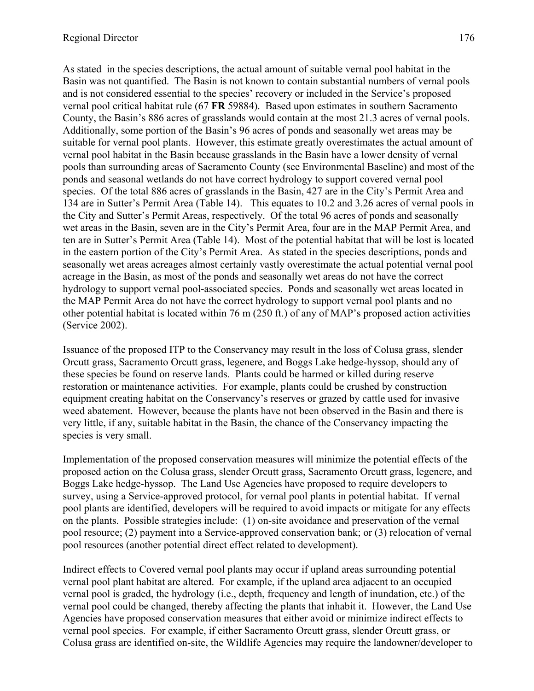As stated in the species descriptions, the actual amount of suitable vernal pool habitat in the Basin was not quantified. The Basin is not known to contain substantial numbers of vernal pools and is not considered essential to the species' recovery or included in the Service's proposed vernal pool critical habitat rule (67 **FR** 59884). Based upon estimates in southern Sacramento County, the Basin's 886 acres of grasslands would contain at the most 21.3 acres of vernal pools. Additionally, some portion of the Basin's 96 acres of ponds and seasonally wet areas may be suitable for vernal pool plants. However, this estimate greatly overestimates the actual amount of vernal pool habitat in the Basin because grasslands in the Basin have a lower density of vernal pools than surrounding areas of Sacramento County (see Environmental Baseline) and most of the ponds and seasonal wetlands do not have correct hydrology to support covered vernal pool species. Of the total 886 acres of grasslands in the Basin, 427 are in the City's Permit Area and 134 are in Sutter's Permit Area (Table 14). This equates to 10.2 and 3.26 acres of vernal pools in the City and Sutter's Permit Areas, respectively. Of the total 96 acres of ponds and seasonally wet areas in the Basin, seven are in the City's Permit Area, four are in the MAP Permit Area, and ten are in Sutter's Permit Area (Table 14). Most of the potential habitat that will be lost is located in the eastern portion of the City's Permit Area. As stated in the species descriptions, ponds and seasonally wet areas acreages almost certainly vastly overestimate the actual potential vernal pool acreage in the Basin, as most of the ponds and seasonally wet areas do not have the correct hydrology to support vernal pool-associated species. Ponds and seasonally wet areas located in the MAP Permit Area do not have the correct hydrology to support vernal pool plants and no other potential habitat is located within 76 m (250 ft.) of any of MAP's proposed action activities (Service 2002).

Issuance of the proposed ITP to the Conservancy may result in the loss of Colusa grass, slender Orcutt grass, Sacramento Orcutt grass, legenere, and Boggs Lake hedge-hyssop, should any of these species be found on reserve lands. Plants could be harmed or killed during reserve restoration or maintenance activities. For example, plants could be crushed by construction equipment creating habitat on the Conservancy's reserves or grazed by cattle used for invasive weed abatement. However, because the plants have not been observed in the Basin and there is very little, if any, suitable habitat in the Basin, the chance of the Conservancy impacting the species is very small.

Implementation of the proposed conservation measures will minimize the potential effects of the proposed action on the Colusa grass, slender Orcutt grass, Sacramento Orcutt grass, legenere, and Boggs Lake hedge-hyssop. The Land Use Agencies have proposed to require developers to survey, using a Service-approved protocol, for vernal pool plants in potential habitat. If vernal pool plants are identified, developers will be required to avoid impacts or mitigate for any effects on the plants. Possible strategies include: (1) on-site avoidance and preservation of the vernal pool resource; (2) payment into a Service-approved conservation bank; or (3) relocation of vernal pool resources (another potential direct effect related to development).

Indirect effects to Covered vernal pool plants may occur if upland areas surrounding potential vernal pool plant habitat are altered.For example, if the upland area adjacent to an occupied vernal pool is graded, the hydrology (i.e., depth, frequency and length of inundation, etc.) of the vernal pool could be changed, thereby affecting the plants that inhabit it. However, the Land Use Agencies have proposed conservation measures that either avoid or minimize indirect effects to vernal pool species. For example, if either Sacramento Orcutt grass, slender Orcutt grass, or Colusa grass are identified on-site, the Wildlife Agencies may require the landowner/developer to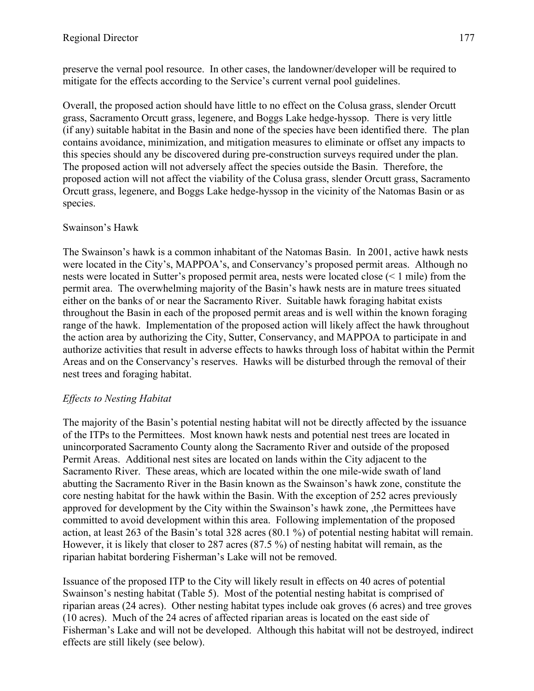preserve the vernal pool resource. In other cases, the landowner/developer will be required to mitigate for the effects according to the Service's current vernal pool guidelines.

Overall, the proposed action should have little to no effect on the Colusa grass, slender Orcutt grass, Sacramento Orcutt grass, legenere, and Boggs Lake hedge-hyssop. There is very little (if any) suitable habitat in the Basin and none of the species have been identified there. The plan contains avoidance, minimization, and mitigation measures to eliminate or offset any impacts to this species should any be discovered during pre-construction surveys required under the plan. The proposed action will not adversely affect the species outside the Basin. Therefore, the proposed action will not affect the viability of the Colusa grass, slender Orcutt grass, Sacramento Orcutt grass, legenere, and Boggs Lake hedge-hyssop in the vicinity of the Natomas Basin or as species.

## Swainson's Hawk

The Swainson's hawk is a common inhabitant of the Natomas Basin. In 2001, active hawk nests were located in the City's, MAPPOA's, and Conservancy's proposed permit areas. Although no nests were located in Sutter's proposed permit area, nests were located close (< 1 mile) from the permit area. The overwhelming majority of the Basin's hawk nests are in mature trees situated either on the banks of or near the Sacramento River. Suitable hawk foraging habitat exists throughout the Basin in each of the proposed permit areas and is well within the known foraging range of the hawk. Implementation of the proposed action will likely affect the hawk throughout the action area by authorizing the City, Sutter, Conservancy, and MAPPOA to participate in and authorize activities that result in adverse effects to hawks through loss of habitat within the Permit Areas and on the Conservancy's reserves. Hawks will be disturbed through the removal of their nest trees and foraging habitat.

## *Effects to Nesting Habitat*

The majority of the Basin's potential nesting habitat will not be directly affected by the issuance of the ITPs to the Permittees. Most known hawk nests and potential nest trees are located in unincorporated Sacramento County along the Sacramento River and outside of the proposed Permit Areas. Additional nest sites are located on lands within the City adjacent to the Sacramento River. These areas, which are located within the one mile-wide swath of land abutting the Sacramento River in the Basin known as the Swainson's hawk zone, constitute the core nesting habitat for the hawk within the Basin. With the exception of 252 acres previously approved for development by the City within the Swainson's hawk zone, ,the Permittees have committed to avoid development within this area. Following implementation of the proposed action, at least 263 of the Basin's total 328 acres (80.1 %) of potential nesting habitat will remain. However, it is likely that closer to 287 acres (87.5 %) of nesting habitat will remain, as the riparian habitat bordering Fisherman's Lake will not be removed.

Issuance of the proposed ITP to the City will likely result in effects on 40 acres of potential Swainson's nesting habitat (Table 5). Most of the potential nesting habitat is comprised of riparian areas (24 acres). Other nesting habitat types include oak groves (6 acres) and tree groves (10 acres). Much of the 24 acres of affected riparian areas is located on the east side of Fisherman's Lake and will not be developed. Although this habitat will not be destroyed, indirect effects are still likely (see below).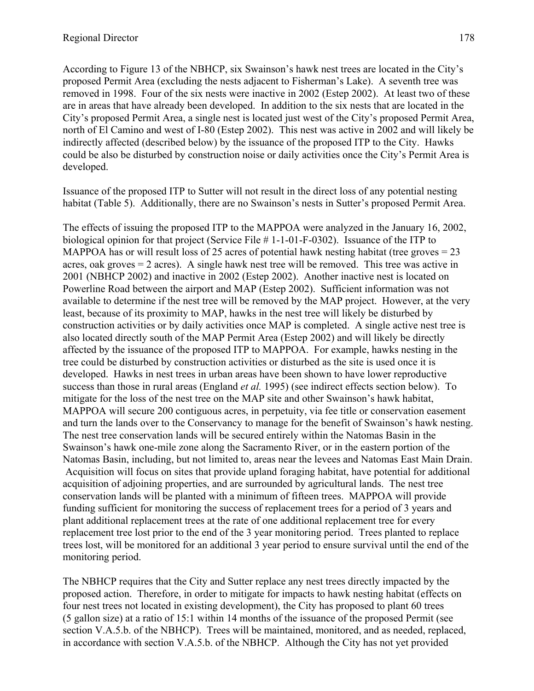According to Figure 13 of the NBHCP, six Swainson's hawk nest trees are located in the City's proposed Permit Area (excluding the nests adjacent to Fisherman's Lake). A seventh tree was removed in 1998. Four of the six nests were inactive in 2002 (Estep 2002). At least two of these are in areas that have already been developed. In addition to the six nests that are located in the City's proposed Permit Area, a single nest is located just west of the City's proposed Permit Area, north of El Camino and west of I-80 (Estep 2002). This nest was active in 2002 and will likely be indirectly affected (described below) by the issuance of the proposed ITP to the City. Hawks could be also be disturbed by construction noise or daily activities once the City's Permit Area is developed.

Issuance of the proposed ITP to Sutter will not result in the direct loss of any potential nesting habitat (Table 5). Additionally, there are no Swainson's nests in Sutter's proposed Permit Area.

The effects of issuing the proposed ITP to the MAPPOA were analyzed in the January 16, 2002, biological opinion for that project (Service File # 1-1-01-F-0302). Issuance of the ITP to MAPPOA has or will result loss of 25 acres of potential hawk nesting habitat (tree groves  $= 23$ ) acres, oak groves = 2 acres). A single hawk nest tree will be removed. This tree was active in 2001 (NBHCP 2002) and inactive in 2002 (Estep 2002). Another inactive nest is located on Powerline Road between the airport and MAP (Estep 2002). Sufficient information was not available to determine if the nest tree will be removed by the MAP project. However, at the very least, because of its proximity to MAP, hawks in the nest tree will likely be disturbed by construction activities or by daily activities once MAP is completed. A single active nest tree is also located directly south of the MAP Permit Area (Estep 2002) and will likely be directly affected by the issuance of the proposed ITP to MAPPOA. For example, hawks nesting in the tree could be disturbed by construction activities or disturbed as the site is used once it is developed. Hawks in nest trees in urban areas have been shown to have lower reproductive success than those in rural areas (England *et al.* 1995) (see indirect effects section below). To mitigate for the loss of the nest tree on the MAP site and other Swainson's hawk habitat, MAPPOA will secure 200 contiguous acres, in perpetuity, via fee title or conservation easement and turn the lands over to the Conservancy to manage for the benefit of Swainson's hawk nesting. The nest tree conservation lands will be secured entirely within the Natomas Basin in the Swainson's hawk one-mile zone along the Sacramento River, or in the eastern portion of the Natomas Basin, including, but not limited to, areas near the levees and Natomas East Main Drain. Acquisition will focus on sites that provide upland foraging habitat, have potential for additional acquisition of adjoining properties, and are surrounded by agricultural lands. The nest tree conservation lands will be planted with a minimum of fifteen trees. MAPPOA will provide funding sufficient for monitoring the success of replacement trees for a period of 3 years and plant additional replacement trees at the rate of one additional replacement tree for every replacement tree lost prior to the end of the 3 year monitoring period. Trees planted to replace trees lost, will be monitored for an additional 3 year period to ensure survival until the end of the monitoring period.

The NBHCP requires that the City and Sutter replace any nest trees directly impacted by the proposed action. Therefore, in order to mitigate for impacts to hawk nesting habitat (effects on four nest trees not located in existing development), the City has proposed to plant 60 trees (5 gallon size) at a ratio of 15:1 within 14 months of the issuance of the proposed Permit (see section V.A.5.b. of the NBHCP). Trees will be maintained, monitored, and as needed, replaced, in accordance with section V.A.5.b. of the NBHCP. Although the City has not yet provided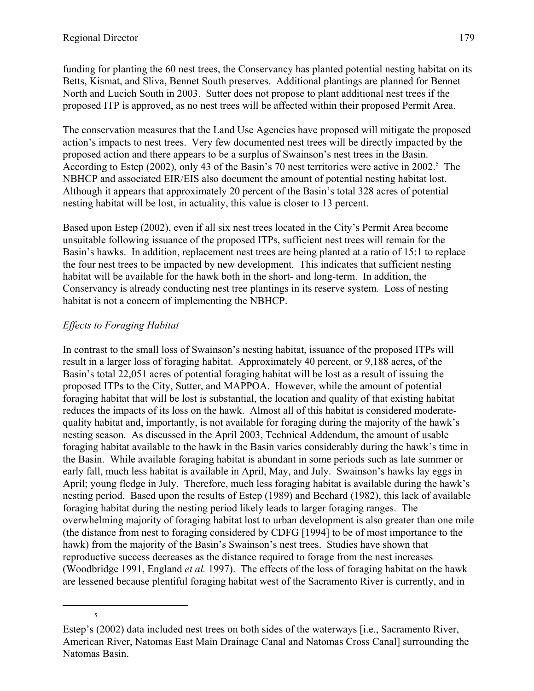funding for planting the 60 nest trees, the Conservancy has planted potential nesting habitat on its Betts, Kismat, and Sliva, Bennet South preserves. Additional plantings are planned for Bennet North and Lucich South in 2003. Sutter does not propose to plant additional nest trees if the proposed ITP is approved, as no nest trees will be affected within their proposed Permit Area.

The conservation measures that the Land Use Agencies have proposed will mitigate the proposed action's impacts to nest trees. Very few documented nest trees will be directly impacted by the proposed action and there appears to be a surplus of Swainson's nest trees in the Basin. According to Estep (2002), only 43 of the Basin's 70 nest territories were active in 2002.<sup>5</sup> The NBHCP and associated EIR/EIS also document the amount of potential nesting habitat lost. Although it appears that approximately 20 percent of the Basin's total 328 acres of potential nesting habitat will be lost, in actuality, this value is closer to 13 percent.

Based upon Estep (2002), even if all six nest trees located in the City's Permit Area become unsuitable following issuance of the proposed ITPs, sufficient nest trees will remain for the Basin's hawks. In addition, replacement nest trees are being planted at a ratio of 15:1 to replace the four nest trees to be impacted by new development. This indicates that sufficient nesting habitat will be available for the hawk both in the short- and long-term. In addition, the Conservancy is already conducting nest tree plantings in its reserve system. Loss of nesting habitat is not a concern of implementing the NBHCP.

# *Effects to Foraging Habitat*

5

In contrast to the small loss of Swainson's nesting habitat, issuance of the proposed ITPs will result in a larger loss of foraging habitat. Approximately 40 percent, or 9,188 acres, of the Basin's total 22,051 acres of potential foraging habitat will be lost as a result of issuing the proposed ITPs to the City, Sutter, and MAPPOA. However, while the amount of potential foraging habitat that will be lost is substantial, the location and quality of that existing habitat reduces the impacts of its loss on the hawk. Almost all of this habitat is considered moderatequality habitat and, importantly, is not available for foraging during the majority of the hawk's nesting season. As discussed in the April 2003, Technical Addendum, the amount of usable foraging habitat available to the hawk in the Basin varies considerably during the hawk's time in the Basin. While available foraging habitat is abundant in some periods such as late summer or early fall, much less habitat is available in April, May, and July. Swainson's hawks lay eggs in April; young fledge in July. Therefore, much less foraging habitat is available during the hawk's nesting period. Based upon the results of Estep (1989) and Bechard (1982), this lack of available foraging habitat during the nesting period likely leads to larger foraging ranges. The overwhelming majority of foraging habitat lost to urban development is also greater than one mile (the distance from nest to foraging considered by CDFG [1994] to be of most importance to the hawk) from the majority of the Basin's Swainson's nest trees. Studies have shown that reproductive success decreases as the distance required to forage from the nest increases (Woodbridge 1991, England *et al.* 1997). The effects of the loss of foraging habitat on the hawk are lessened because plentiful foraging habitat west of the Sacramento River is currently, and in

Estep's (2002) data included nest trees on both sides of the waterways [i.e., Sacramento River, American River, Natomas East Main Drainage Canal and Natomas Cross Canal] surrounding the Natomas Basin.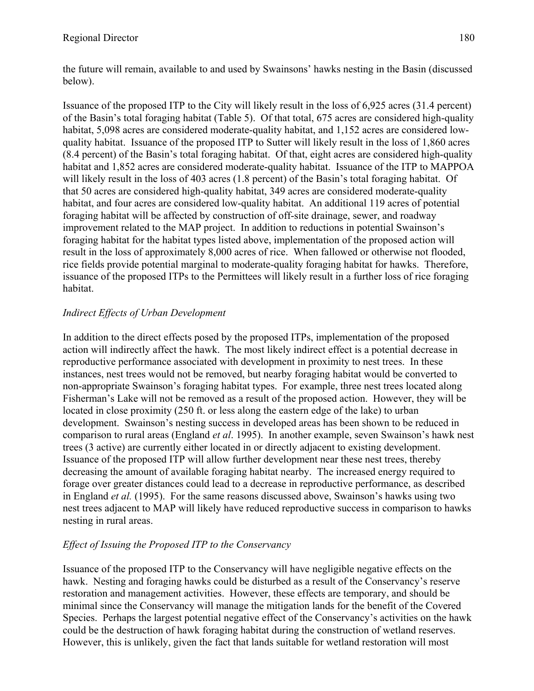the future will remain, available to and used by Swainsons' hawks nesting in the Basin (discussed below).

Issuance of the proposed ITP to the City will likely result in the loss of 6,925 acres (31.4 percent) of the Basin's total foraging habitat (Table 5). Of that total, 675 acres are considered high-quality habitat, 5,098 acres are considered moderate-quality habitat, and 1,152 acres are considered lowquality habitat. Issuance of the proposed ITP to Sutter will likely result in the loss of 1,860 acres (8.4 percent) of the Basin's total foraging habitat. Of that, eight acres are considered high-quality habitat and 1,852 acres are considered moderate-quality habitat. Issuance of the ITP to MAPPOA will likely result in the loss of 403 acres (1.8 percent) of the Basin's total foraging habitat. Of that 50 acres are considered high-quality habitat, 349 acres are considered moderate-quality habitat, and four acres are considered low-quality habitat. An additional 119 acres of potential foraging habitat will be affected by construction of off-site drainage, sewer, and roadway improvement related to the MAP project. In addition to reductions in potential Swainson's foraging habitat for the habitat types listed above, implementation of the proposed action will result in the loss of approximately 8,000 acres of rice. When fallowed or otherwise not flooded, rice fields provide potential marginal to moderate-quality foraging habitat for hawks. Therefore, issuance of the proposed ITPs to the Permittees will likely result in a further loss of rice foraging habitat.

## *Indirect Effects of Urban Development*

In addition to the direct effects posed by the proposed ITPs, implementation of the proposed action will indirectly affect the hawk. The most likely indirect effect is a potential decrease in reproductive performance associated with development in proximity to nest trees. In these instances, nest trees would not be removed, but nearby foraging habitat would be converted to non-appropriate Swainson's foraging habitat types. For example, three nest trees located along Fisherman's Lake will not be removed as a result of the proposed action. However, they will be located in close proximity (250 ft. or less along the eastern edge of the lake) to urban development. Swainson's nesting success in developed areas has been shown to be reduced in comparison to rural areas (England *et al*. 1995). In another example, seven Swainson's hawk nest trees (3 active) are currently either located in or directly adjacent to existing development. Issuance of the proposed ITP will allow further development near these nest trees, thereby decreasing the amount of available foraging habitat nearby. The increased energy required to forage over greater distances could lead to a decrease in reproductive performance, as described in England *et al.* (1995). For the same reasons discussed above, Swainson's hawks using two nest trees adjacent to MAP will likely have reduced reproductive success in comparison to hawks nesting in rural areas.

## *Effect of Issuing the Proposed ITP to the Conservancy*

Issuance of the proposed ITP to the Conservancy will have negligible negative effects on the hawk. Nesting and foraging hawks could be disturbed as a result of the Conservancy's reserve restoration and management activities. However, these effects are temporary, and should be minimal since the Conservancy will manage the mitigation lands for the benefit of the Covered Species. Perhaps the largest potential negative effect of the Conservancy's activities on the hawk could be the destruction of hawk foraging habitat during the construction of wetland reserves. However, this is unlikely, given the fact that lands suitable for wetland restoration will most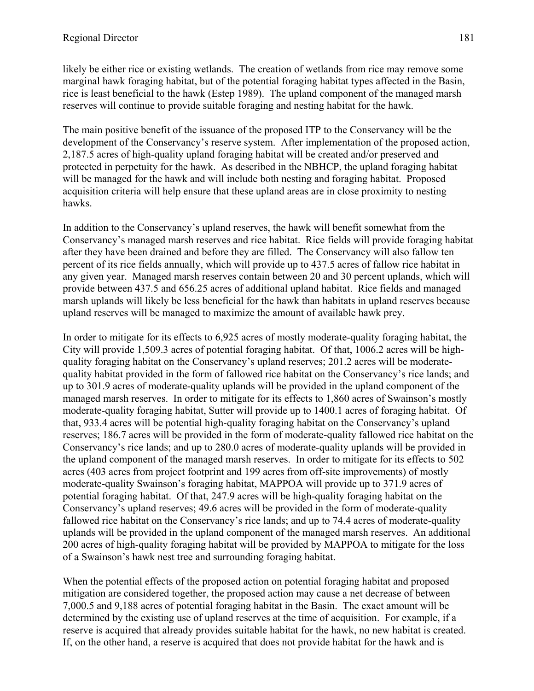likely be either rice or existing wetlands. The creation of wetlands from rice may remove some marginal hawk foraging habitat, but of the potential foraging habitat types affected in the Basin, rice is least beneficial to the hawk (Estep 1989). The upland component of the managed marsh reserves will continue to provide suitable foraging and nesting habitat for the hawk.

The main positive benefit of the issuance of the proposed ITP to the Conservancy will be the development of the Conservancy's reserve system. After implementation of the proposed action, 2,187.5 acres of high-quality upland foraging habitat will be created and/or preserved and protected in perpetuity for the hawk. As described in the NBHCP, the upland foraging habitat will be managed for the hawk and will include both nesting and foraging habitat. Proposed acquisition criteria will help ensure that these upland areas are in close proximity to nesting hawks.

In addition to the Conservancy's upland reserves, the hawk will benefit somewhat from the Conservancy's managed marsh reserves and rice habitat. Rice fields will provide foraging habitat after they have been drained and before they are filled. The Conservancy will also fallow ten percent of its rice fields annually, which will provide up to 437.5 acres of fallow rice habitat in any given year. Managed marsh reserves contain between 20 and 30 percent uplands, which will provide between 437.5 and 656.25 acres of additional upland habitat. Rice fields and managed marsh uplands will likely be less beneficial for the hawk than habitats in upland reserves because upland reserves will be managed to maximize the amount of available hawk prey.

In order to mitigate for its effects to 6,925 acres of mostly moderate-quality foraging habitat, the City will provide 1,509.3 acres of potential foraging habitat. Of that, 1006.2 acres will be highquality foraging habitat on the Conservancy's upland reserves; 201.2 acres will be moderatequality habitat provided in the form of fallowed rice habitat on the Conservancy's rice lands; and up to 301.9 acres of moderate-quality uplands will be provided in the upland component of the managed marsh reserves. In order to mitigate for its effects to 1,860 acres of Swainson's mostly moderate-quality foraging habitat, Sutter will provide up to 1400.1 acres of foraging habitat. Of that, 933.4 acres will be potential high-quality foraging habitat on the Conservancy's upland reserves; 186.7 acres will be provided in the form of moderate-quality fallowed rice habitat on the Conservancy's rice lands; and up to 280.0 acres of moderate-quality uplands will be provided in the upland component of the managed marsh reserves. In order to mitigate for its effects to 502 acres (403 acres from project footprint and 199 acres from off-site improvements) of mostly moderate-quality Swainson's foraging habitat, MAPPOA will provide up to 371.9 acres of potential foraging habitat. Of that, 247.9 acres will be high-quality foraging habitat on the Conservancy's upland reserves; 49.6 acres will be provided in the form of moderate-quality fallowed rice habitat on the Conservancy's rice lands; and up to 74.4 acres of moderate-quality uplands will be provided in the upland component of the managed marsh reserves. An additional 200 acres of high-quality foraging habitat will be provided by MAPPOA to mitigate for the loss of a Swainson's hawk nest tree and surrounding foraging habitat.

When the potential effects of the proposed action on potential foraging habitat and proposed mitigation are considered together, the proposed action may cause a net decrease of between 7,000.5 and 9,188 acres of potential foraging habitat in the Basin. The exact amount will be determined by the existing use of upland reserves at the time of acquisition. For example, if a reserve is acquired that already provides suitable habitat for the hawk, no new habitat is created. If, on the other hand, a reserve is acquired that does not provide habitat for the hawk and is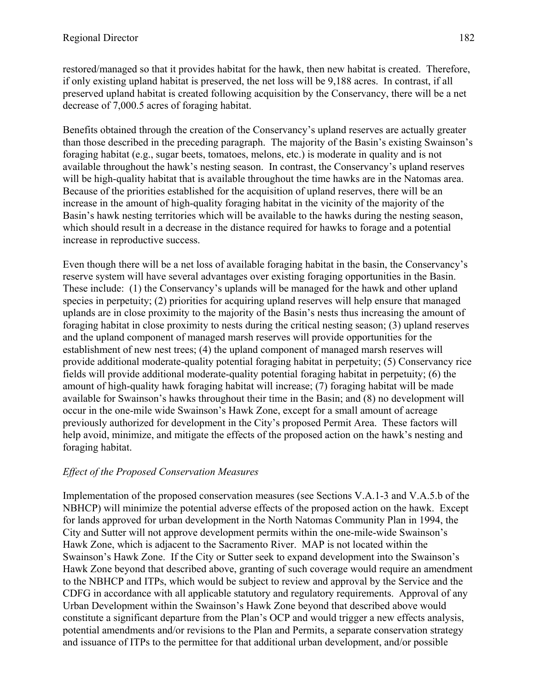restored/managed so that it provides habitat for the hawk, then new habitat is created. Therefore, if only existing upland habitat is preserved, the net loss will be 9,188 acres. In contrast, if all preserved upland habitat is created following acquisition by the Conservancy, there will be a net decrease of 7,000.5 acres of foraging habitat.

Benefits obtained through the creation of the Conservancy's upland reserves are actually greater than those described in the preceding paragraph. The majority of the Basin's existing Swainson's foraging habitat (e.g., sugar beets, tomatoes, melons, etc.) is moderate in quality and is not available throughout the hawk's nesting season. In contrast, the Conservancy's upland reserves will be high-quality habitat that is available throughout the time hawks are in the Natomas area. Because of the priorities established for the acquisition of upland reserves, there will be an increase in the amount of high-quality foraging habitat in the vicinity of the majority of the Basin's hawk nesting territories which will be available to the hawks during the nesting season, which should result in a decrease in the distance required for hawks to forage and a potential increase in reproductive success.

Even though there will be a net loss of available foraging habitat in the basin, the Conservancy's reserve system will have several advantages over existing foraging opportunities in the Basin. These include: (1) the Conservancy's uplands will be managed for the hawk and other upland species in perpetuity; (2) priorities for acquiring upland reserves will help ensure that managed uplands are in close proximity to the majority of the Basin's nests thus increasing the amount of foraging habitat in close proximity to nests during the critical nesting season; (3) upland reserves and the upland component of managed marsh reserves will provide opportunities for the establishment of new nest trees; (4) the upland component of managed marsh reserves will provide additional moderate-quality potential foraging habitat in perpetuity; (5) Conservancy rice fields will provide additional moderate-quality potential foraging habitat in perpetuity; (6) the amount of high-quality hawk foraging habitat will increase; (7) foraging habitat will be made available for Swainson's hawks throughout their time in the Basin; and (8) no development will occur in the one-mile wide Swainson's Hawk Zone, except for a small amount of acreage previously authorized for development in the City's proposed Permit Area. These factors will help avoid, minimize, and mitigate the effects of the proposed action on the hawk's nesting and foraging habitat.

## *Effect of the Proposed Conservation Measures*

Implementation of the proposed conservation measures (see Sections V.A.1-3 and V.A.5.b of the NBHCP) will minimize the potential adverse effects of the proposed action on the hawk. Except for lands approved for urban development in the North Natomas Community Plan in 1994, the City and Sutter will not approve development permits within the one-mile-wide Swainson's Hawk Zone, which is adjacent to the Sacramento River. MAP is not located within the Swainson's Hawk Zone. If the City or Sutter seek to expand development into the Swainson's Hawk Zone beyond that described above, granting of such coverage would require an amendment to the NBHCP and ITPs, which would be subject to review and approval by the Service and the CDFG in accordance with all applicable statutory and regulatory requirements. Approval of any Urban Development within the Swainson's Hawk Zone beyond that described above would constitute a significant departure from the Plan's OCP and would trigger a new effects analysis, potential amendments and/or revisions to the Plan and Permits, a separate conservation strategy and issuance of ITPs to the permittee for that additional urban development, and/or possible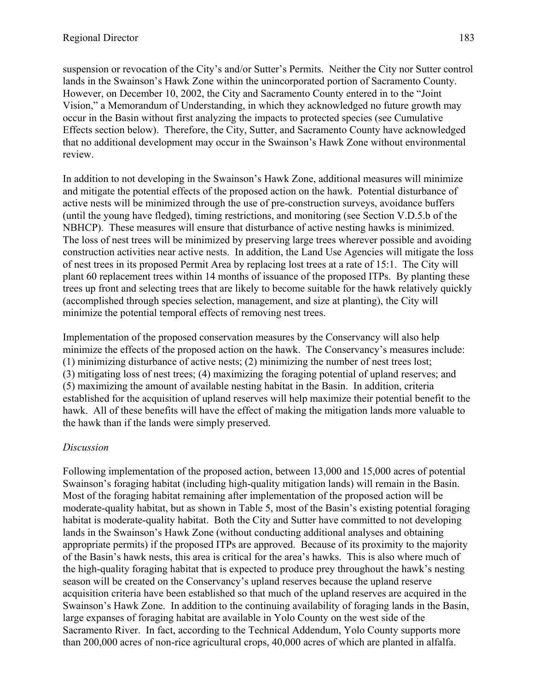suspension or revocation of the City's and/or Sutter's Permits. Neither the City nor Sutter control lands in the Swainson's Hawk Zone within the unincorporated portion of Sacramento County. However, on December 10, 2002, the City and Sacramento County entered in to the "Joint Vision," a Memorandum of Understanding, in which they acknowledged no future growth may occur in the Basin without first analyzing the impacts to protected species (see Cumulative Effects section below). Therefore, the City, Sutter, and Sacramento County have acknowledged that no additional development may occur in the Swainson's Hawk Zone without environmental review.

In addition to not developing in the Swainson's Hawk Zone, additional measures will minimize and mitigate the potential effects of the proposed action on the hawk. Potential disturbance of active nests will be minimized through the use of pre-construction surveys, avoidance buffers (until the young have fledged), timing restrictions, and monitoring (see Section V.D.5.b of the NBHCP). These measures will ensure that disturbance of active nesting hawks is minimized. The loss of nest trees will be minimized by preserving large trees wherever possible and avoiding construction activities near active nests. In addition, the Land Use Agencies will mitigate the loss of nest trees in its proposed Permit Area by replacing lost trees at a rate of 15:1. The City will plant 60 replacement trees within 14 months of issuance of the proposed ITPs. By planting these trees up front and selecting trees that are likely to become suitable for the hawk relatively quickly (accomplished through species selection, management, and size at planting), the City will minimize the potential temporal effects of removing nest trees.

Implementation of the proposed conservation measures by the Conservancy will also help minimize the effects of the proposed action on the hawk. The Conservancy's measures include: (1) minimizing disturbance of active nests; (2) minimizing the number of nest trees lost; (3) mitigating loss of nest trees; (4) maximizing the foraging potential of upland reserves; and (5) maximizing the amount of available nesting habitat in the Basin. In addition, criteria established for the acquisition of upland reserves will help maximize their potential benefit to the hawk. All of these benefits will have the effect of making the mitigation lands more valuable to the hawk than if the lands were simply preserved.

## *Discussion*

Following implementation of the proposed action, between 13,000 and 15,000 acres of potential Swainson's foraging habitat (including high-quality mitigation lands) will remain in the Basin. Most of the foraging habitat remaining after implementation of the proposed action will be moderate-quality habitat, but as shown in Table 5, most of the Basin's existing potential foraging habitat is moderate-quality habitat. Both the City and Sutter have committed to not developing lands in the Swainson's Hawk Zone (without conducting additional analyses and obtaining appropriate permits) if the proposed ITPs are approved. Because of its proximity to the majority of the Basin's hawk nests, this area is critical for the area's hawks. This is also where much of the high-quality foraging habitat that is expected to produce prey throughout the hawk's nesting season will be created on the Conservancy's upland reserves because the upland reserve acquisition criteria have been established so that much of the upland reserves are acquired in the Swainson's Hawk Zone. In addition to the continuing availability of foraging lands in the Basin, large expanses of foraging habitat are available in Yolo County on the west side of the Sacramento River. In fact, according to the Technical Addendum, Yolo County supports more than 200,000 acres of non-rice agricultural crops, 40,000 acres of which are planted in alfalfa.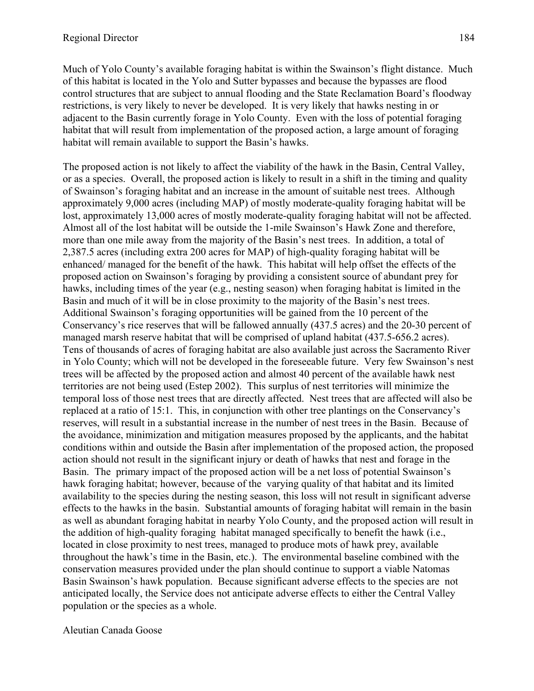Much of Yolo County's available foraging habitat is within the Swainson's flight distance. Much of this habitat is located in the Yolo and Sutter bypasses and because the bypasses are flood control structures that are subject to annual flooding and the State Reclamation Board's floodway restrictions, is very likely to never be developed. It is very likely that hawks nesting in or adjacent to the Basin currently forage in Yolo County. Even with the loss of potential foraging habitat that will result from implementation of the proposed action, a large amount of foraging habitat will remain available to support the Basin's hawks.

The proposed action is not likely to affect the viability of the hawk in the Basin, Central Valley, or as a species. Overall, the proposed action is likely to result in a shift in the timing and quality of Swainson's foraging habitat and an increase in the amount of suitable nest trees. Although approximately 9,000 acres (including MAP) of mostly moderate-quality foraging habitat will be lost, approximately 13,000 acres of mostly moderate-quality foraging habitat will not be affected. Almost all of the lost habitat will be outside the 1-mile Swainson's Hawk Zone and therefore, more than one mile away from the majority of the Basin's nest trees. In addition, a total of 2,387.5 acres (including extra 200 acres for MAP) of high-quality foraging habitat will be enhanced/ managed for the benefit of the hawk. This habitat will help offset the effects of the proposed action on Swainson's foraging by providing a consistent source of abundant prey for hawks, including times of the year (e.g., nesting season) when foraging habitat is limited in the Basin and much of it will be in close proximity to the majority of the Basin's nest trees. Additional Swainson's foraging opportunities will be gained from the 10 percent of the Conservancy's rice reserves that will be fallowed annually (437.5 acres) and the 20-30 percent of managed marsh reserve habitat that will be comprised of upland habitat (437.5-656.2 acres). Tens of thousands of acres of foraging habitat are also available just across the Sacramento River in Yolo County; which will not be developed in the foreseeable future. Very few Swainson's nest trees will be affected by the proposed action and almost 40 percent of the available hawk nest territories are not being used (Estep 2002). This surplus of nest territories will minimize the temporal loss of those nest trees that are directly affected. Nest trees that are affected will also be replaced at a ratio of 15:1. This, in conjunction with other tree plantings on the Conservancy's reserves, will result in a substantial increase in the number of nest trees in the Basin. Because of the avoidance, minimization and mitigation measures proposed by the applicants, and the habitat conditions within and outside the Basin after implementation of the proposed action, the proposed action should not result in the significant injury or death of hawks that nest and forage in the Basin. The primary impact of the proposed action will be a net loss of potential Swainson's hawk foraging habitat; however, because of the varying quality of that habitat and its limited availability to the species during the nesting season, this loss will not result in significant adverse effects to the hawks in the basin. Substantial amounts of foraging habitat will remain in the basin as well as abundant foraging habitat in nearby Yolo County, and the proposed action will result in the addition of high-quality foraging habitat managed specifically to benefit the hawk (i.e., located in close proximity to nest trees, managed to produce mots of hawk prey, available throughout the hawk's time in the Basin, etc.). The environmental baseline combined with the conservation measures provided under the plan should continue to support a viable Natomas Basin Swainson's hawk population. Because significant adverse effects to the species are not anticipated locally, the Service does not anticipate adverse effects to either the Central Valley population or the species as a whole.

Aleutian Canada Goose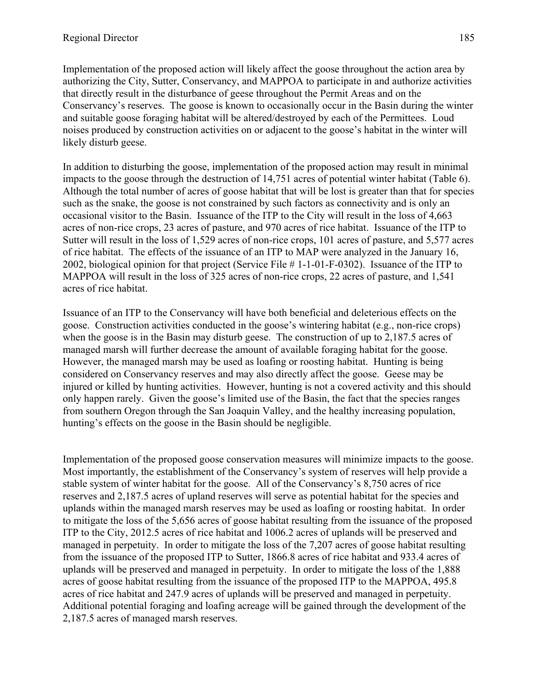Implementation of the proposed action will likely affect the goose throughout the action area by authorizing the City, Sutter, Conservancy, and MAPPOA to participate in and authorize activities that directly result in the disturbance of geese throughout the Permit Areas and on the Conservancy's reserves. The goose is known to occasionally occur in the Basin during the winter and suitable goose foraging habitat will be altered/destroyed by each of the Permittees. Loud noises produced by construction activities on or adjacent to the goose's habitat in the winter will likely disturb geese.

In addition to disturbing the goose, implementation of the proposed action may result in minimal impacts to the goose through the destruction of 14,751 acres of potential winter habitat (Table 6). Although the total number of acres of goose habitat that will be lost is greater than that for species such as the snake, the goose is not constrained by such factors as connectivity and is only an occasional visitor to the Basin. Issuance of the ITP to the City will result in the loss of 4,663 acres of non-rice crops, 23 acres of pasture, and 970 acres of rice habitat. Issuance of the ITP to Sutter will result in the loss of 1,529 acres of non-rice crops, 101 acres of pasture, and 5,577 acres of rice habitat. The effects of the issuance of an ITP to MAP were analyzed in the January 16, 2002, biological opinion for that project (Service File # 1-1-01-F-0302). Issuance of the ITP to MAPPOA will result in the loss of 325 acres of non-rice crops, 22 acres of pasture, and 1,541 acres of rice habitat.

Issuance of an ITP to the Conservancy will have both beneficial and deleterious effects on the goose. Construction activities conducted in the goose's wintering habitat (e.g., non-rice crops) when the goose is in the Basin may disturb geese. The construction of up to 2,187.5 acres of managed marsh will further decrease the amount of available foraging habitat for the goose. However, the managed marsh may be used as loafing or roosting habitat. Hunting is being considered on Conservancy reserves and may also directly affect the goose. Geese may be injured or killed by hunting activities. However, hunting is not a covered activity and this should only happen rarely. Given the goose's limited use of the Basin, the fact that the species ranges from southern Oregon through the San Joaquin Valley, and the healthy increasing population, hunting's effects on the goose in the Basin should be negligible.

Implementation of the proposed goose conservation measures will minimize impacts to the goose. Most importantly, the establishment of the Conservancy's system of reserves will help provide a stable system of winter habitat for the goose. All of the Conservancy's 8,750 acres of rice reserves and 2,187.5 acres of upland reserves will serve as potential habitat for the species and uplands within the managed marsh reserves may be used as loafing or roosting habitat. In order to mitigate the loss of the 5,656 acres of goose habitat resulting from the issuance of the proposed ITP to the City, 2012.5 acres of rice habitat and 1006.2 acres of uplands will be preserved and managed in perpetuity. In order to mitigate the loss of the 7,207 acres of goose habitat resulting from the issuance of the proposed ITP to Sutter, 1866.8 acres of rice habitat and 933.4 acres of uplands will be preserved and managed in perpetuity. In order to mitigate the loss of the 1,888 acres of goose habitat resulting from the issuance of the proposed ITP to the MAPPOA, 495.8 acres of rice habitat and 247.9 acres of uplands will be preserved and managed in perpetuity. Additional potential foraging and loafing acreage will be gained through the development of the 2,187.5 acres of managed marsh reserves.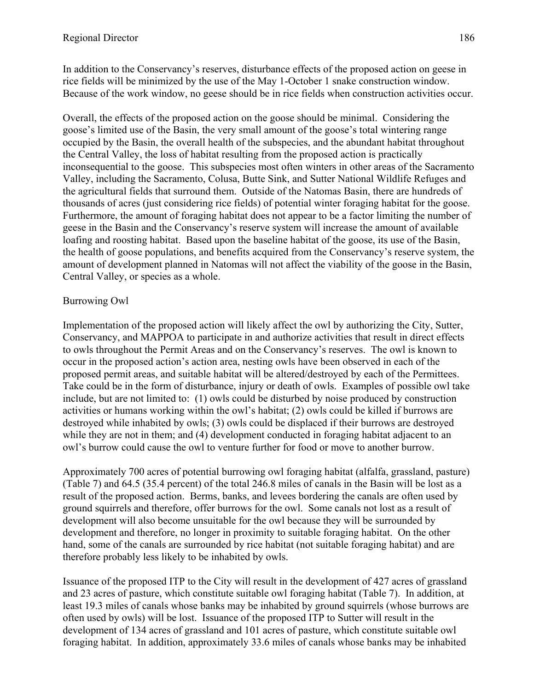In addition to the Conservancy's reserves, disturbance effects of the proposed action on geese in rice fields will be minimized by the use of the May 1-October 1 snake construction window. Because of the work window, no geese should be in rice fields when construction activities occur.

Overall, the effects of the proposed action on the goose should be minimal. Considering the goose's limited use of the Basin, the very small amount of the goose's total wintering range occupied by the Basin, the overall health of the subspecies, and the abundant habitat throughout the Central Valley, the loss of habitat resulting from the proposed action is practically inconsequential to the goose. This subspecies most often winters in other areas of the Sacramento Valley, including the Sacramento, Colusa, Butte Sink, and Sutter National Wildlife Refuges and the agricultural fields that surround them. Outside of the Natomas Basin, there are hundreds of thousands of acres (just considering rice fields) of potential winter foraging habitat for the goose. Furthermore, the amount of foraging habitat does not appear to be a factor limiting the number of geese in the Basin and the Conservancy's reserve system will increase the amount of available loafing and roosting habitat. Based upon the baseline habitat of the goose, its use of the Basin, the health of goose populations, and benefits acquired from the Conservancy's reserve system, the amount of development planned in Natomas will not affect the viability of the goose in the Basin, Central Valley, or species as a whole.

## Burrowing Owl

Implementation of the proposed action will likely affect the owl by authorizing the City, Sutter, Conservancy, and MAPPOA to participate in and authorize activities that result in direct effects to owls throughout the Permit Areas and on the Conservancy's reserves. The owl is known to occur in the proposed action's action area, nesting owls have been observed in each of the proposed permit areas, and suitable habitat will be altered/destroyed by each of the Permittees. Take could be in the form of disturbance, injury or death of owls. Examples of possible owl take include, but are not limited to: (1) owls could be disturbed by noise produced by construction activities or humans working within the owl's habitat; (2) owls could be killed if burrows are destroyed while inhabited by owls; (3) owls could be displaced if their burrows are destroyed while they are not in them; and (4) development conducted in foraging habitat adjacent to an owl's burrow could cause the owl to venture further for food or move to another burrow.

Approximately 700 acres of potential burrowing owl foraging habitat (alfalfa, grassland, pasture) (Table 7) and 64.5 (35.4 percent) of the total 246.8 miles of canals in the Basin will be lost as a result of the proposed action. Berms, banks, and levees bordering the canals are often used by ground squirrels and therefore, offer burrows for the owl. Some canals not lost as a result of development will also become unsuitable for the owl because they will be surrounded by development and therefore, no longer in proximity to suitable foraging habitat. On the other hand, some of the canals are surrounded by rice habitat (not suitable foraging habitat) and are therefore probably less likely to be inhabited by owls.

Issuance of the proposed ITP to the City will result in the development of 427 acres of grassland and 23 acres of pasture, which constitute suitable owl foraging habitat (Table 7). In addition, at least 19.3 miles of canals whose banks may be inhabited by ground squirrels (whose burrows are often used by owls) will be lost. Issuance of the proposed ITP to Sutter will result in the development of 134 acres of grassland and 101 acres of pasture, which constitute suitable owl foraging habitat. In addition, approximately 33.6 miles of canals whose banks may be inhabited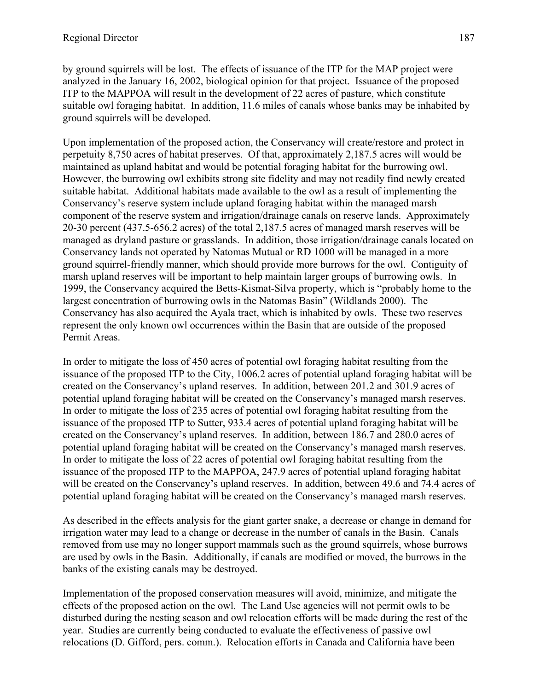by ground squirrels will be lost. The effects of issuance of the ITP for the MAP project were analyzed in the January 16, 2002, biological opinion for that project. Issuance of the proposed ITP to the MAPPOA will result in the development of 22 acres of pasture, which constitute suitable owl foraging habitat. In addition, 11.6 miles of canals whose banks may be inhabited by ground squirrels will be developed.

Upon implementation of the proposed action, the Conservancy will create/restore and protect in perpetuity 8,750 acres of habitat preserves. Of that, approximately 2,187.5 acres will would be maintained as upland habitat and would be potential foraging habitat for the burrowing owl. However, the burrowing owl exhibits strong site fidelity and may not readily find newly created suitable habitat. Additional habitats made available to the owl as a result of implementing the Conservancy's reserve system include upland foraging habitat within the managed marsh component of the reserve system and irrigation/drainage canals on reserve lands. Approximately 20-30 percent (437.5-656.2 acres) of the total 2,187.5 acres of managed marsh reserves will be managed as dryland pasture or grasslands. In addition, those irrigation/drainage canals located on Conservancy lands not operated by Natomas Mutual or RD 1000 will be managed in a more ground squirrel-friendly manner, which should provide more burrows for the owl. Contiguity of marsh upland reserves will be important to help maintain larger groups of burrowing owls. In 1999, the Conservancy acquired the Betts-Kismat-Silva property, which is "probably home to the largest concentration of burrowing owls in the Natomas Basin" (Wildlands 2000). The Conservancy has also acquired the Ayala tract, which is inhabited by owls. These two reserves represent the only known owl occurrences within the Basin that are outside of the proposed Permit Areas.

In order to mitigate the loss of 450 acres of potential owl foraging habitat resulting from the issuance of the proposed ITP to the City, 1006.2 acres of potential upland foraging habitat will be created on the Conservancy's upland reserves. In addition, between 201.2 and 301.9 acres of potential upland foraging habitat will be created on the Conservancy's managed marsh reserves. In order to mitigate the loss of 235 acres of potential owl foraging habitat resulting from the issuance of the proposed ITP to Sutter, 933.4 acres of potential upland foraging habitat will be created on the Conservancy's upland reserves. In addition, between 186.7 and 280.0 acres of potential upland foraging habitat will be created on the Conservancy's managed marsh reserves. In order to mitigate the loss of 22 acres of potential owl foraging habitat resulting from the issuance of the proposed ITP to the MAPPOA, 247.9 acres of potential upland foraging habitat will be created on the Conservancy's upland reserves. In addition, between 49.6 and 74.4 acres of potential upland foraging habitat will be created on the Conservancy's managed marsh reserves.

As described in the effects analysis for the giant garter snake, a decrease or change in demand for irrigation water may lead to a change or decrease in the number of canals in the Basin. Canals removed from use may no longer support mammals such as the ground squirrels, whose burrows are used by owls in the Basin. Additionally, if canals are modified or moved, the burrows in the banks of the existing canals may be destroyed.

Implementation of the proposed conservation measures will avoid, minimize, and mitigate the effects of the proposed action on the owl. The Land Use agencies will not permit owls to be disturbed during the nesting season and owl relocation efforts will be made during the rest of the year. Studies are currently being conducted to evaluate the effectiveness of passive owl relocations (D. Gifford, pers. comm.). Relocation efforts in Canada and California have been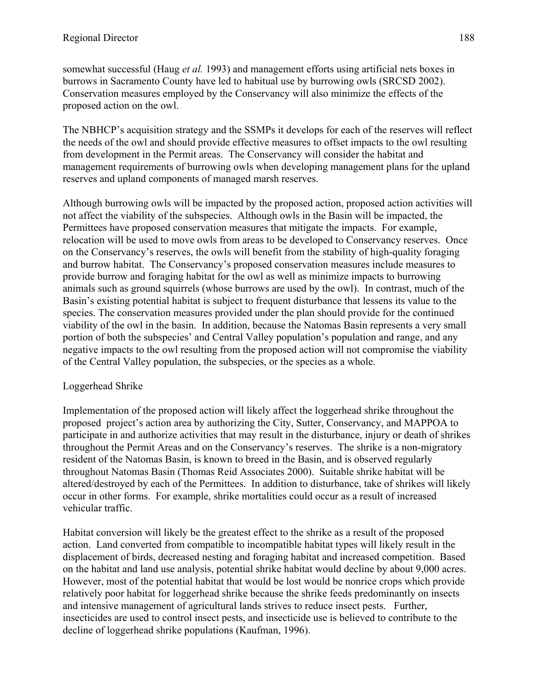somewhat successful (Haug *et al.* 1993) and management efforts using artificial nets boxes in burrows in Sacramento County have led to habitual use by burrowing owls (SRCSD 2002). Conservation measures employed by the Conservancy will also minimize the effects of the proposed action on the owl.

The NBHCP's acquisition strategy and the SSMPs it develops for each of the reserves will reflect the needs of the owl and should provide effective measures to offset impacts to the owl resulting from development in the Permit areas. The Conservancy will consider the habitat and management requirements of burrowing owls when developing management plans for the upland reserves and upland components of managed marsh reserves.

Although burrowing owls will be impacted by the proposed action, proposed action activities will not affect the viability of the subspecies. Although owls in the Basin will be impacted, the Permittees have proposed conservation measures that mitigate the impacts. For example, relocation will be used to move owls from areas to be developed to Conservancy reserves. Once on the Conservancy's reserves, the owls will benefit from the stability of high-quality foraging and burrow habitat. The Conservancy's proposed conservation measures include measures to provide burrow and foraging habitat for the owl as well as minimize impacts to burrowing animals such as ground squirrels (whose burrows are used by the owl). In contrast, much of the Basin's existing potential habitat is subject to frequent disturbance that lessens its value to the species. The conservation measures provided under the plan should provide for the continued viability of the owl in the basin. In addition, because the Natomas Basin represents a very small portion of both the subspecies' and Central Valley population's population and range, and any negative impacts to the owl resulting from the proposed action will not compromise the viability of the Central Valley population, the subspecies, or the species as a whole.

### Loggerhead Shrike

Implementation of the proposed action will likely affect the loggerhead shrike throughout the proposed project's action area by authorizing the City, Sutter, Conservancy, and MAPPOA to participate in and authorize activities that may result in the disturbance, injury or death of shrikes throughout the Permit Areas and on the Conservancy's reserves. The shrike is a non-migratory resident of the Natomas Basin, is known to breed in the Basin, and is observed regularly throughout Natomas Basin (Thomas Reid Associates 2000). Suitable shrike habitat will be altered/destroyed by each of the Permittees. In addition to disturbance, take of shrikes will likely occur in other forms. For example, shrike mortalities could occur as a result of increased vehicular traffic.

Habitat conversion will likely be the greatest effect to the shrike as a result of the proposed action. Land converted from compatible to incompatible habitat types will likely result in the displacement of birds, decreased nesting and foraging habitat and increased competition. Based on the habitat and land use analysis, potential shrike habitat would decline by about 9,000 acres. However, most of the potential habitat that would be lost would be nonrice crops which provide relatively poor habitat for loggerhead shrike because the shrike feeds predominantly on insects and intensive management of agricultural lands strives to reduce insect pests. Further, insecticides are used to control insect pests, and insecticide use is believed to contribute to the decline of loggerhead shrike populations (Kaufman, 1996).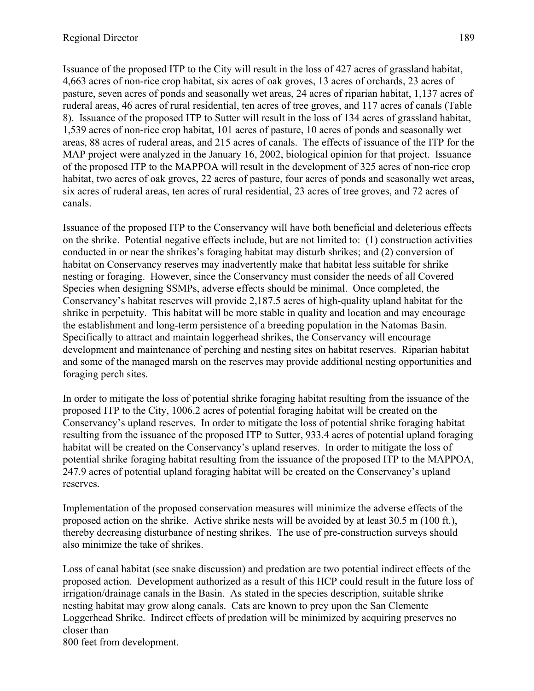Issuance of the proposed ITP to the City will result in the loss of 427 acres of grassland habitat, 4,663 acres of non-rice crop habitat, six acres of oak groves, 13 acres of orchards, 23 acres of pasture, seven acres of ponds and seasonally wet areas, 24 acres of riparian habitat, 1,137 acres of ruderal areas, 46 acres of rural residential, ten acres of tree groves, and 117 acres of canals (Table 8). Issuance of the proposed ITP to Sutter will result in the loss of 134 acres of grassland habitat, 1,539 acres of non-rice crop habitat, 101 acres of pasture, 10 acres of ponds and seasonally wet areas, 88 acres of ruderal areas, and 215 acres of canals. The effects of issuance of the ITP for the MAP project were analyzed in the January 16, 2002, biological opinion for that project. Issuance of the proposed ITP to the MAPPOA will result in the development of 325 acres of non-rice crop habitat, two acres of oak groves, 22 acres of pasture, four acres of ponds and seasonally wet areas, six acres of ruderal areas, ten acres of rural residential, 23 acres of tree groves, and 72 acres of canals.

Issuance of the proposed ITP to the Conservancy will have both beneficial and deleterious effects on the shrike. Potential negative effects include, but are not limited to: (1) construction activities conducted in or near the shrikes's foraging habitat may disturb shrikes; and (2) conversion of habitat on Conservancy reserves may inadvertently make that habitat less suitable for shrike nesting or foraging. However, since the Conservancy must consider the needs of all Covered Species when designing SSMPs, adverse effects should be minimal. Once completed, the Conservancy's habitat reserves will provide 2,187.5 acres of high-quality upland habitat for the shrike in perpetuity. This habitat will be more stable in quality and location and may encourage the establishment and long-term persistence of a breeding population in the Natomas Basin. Specifically to attract and maintain loggerhead shrikes, the Conservancy will encourage development and maintenance of perching and nesting sites on habitat reserves. Riparian habitat and some of the managed marsh on the reserves may provide additional nesting opportunities and foraging perch sites.

In order to mitigate the loss of potential shrike foraging habitat resulting from the issuance of the proposed ITP to the City, 1006.2 acres of potential foraging habitat will be created on the Conservancy's upland reserves. In order to mitigate the loss of potential shrike foraging habitat resulting from the issuance of the proposed ITP to Sutter, 933.4 acres of potential upland foraging habitat will be created on the Conservancy's upland reserves. In order to mitigate the loss of potential shrike foraging habitat resulting from the issuance of the proposed ITP to the MAPPOA, 247.9 acres of potential upland foraging habitat will be created on the Conservancy's upland reserves.

Implementation of the proposed conservation measures will minimize the adverse effects of the proposed action on the shrike. Active shrike nests will be avoided by at least 30.5 m (100 ft.), thereby decreasing disturbance of nesting shrikes. The use of pre-construction surveys should also minimize the take of shrikes.

Loss of canal habitat (see snake discussion) and predation are two potential indirect effects of the proposed action. Development authorized as a result of this HCP could result in the future loss of irrigation/drainage canals in the Basin. As stated in the species description, suitable shrike nesting habitat may grow along canals. Cats are known to prey upon the San Clemente Loggerhead Shrike. Indirect effects of predation will be minimized by acquiring preserves no closer than

800 feet from development.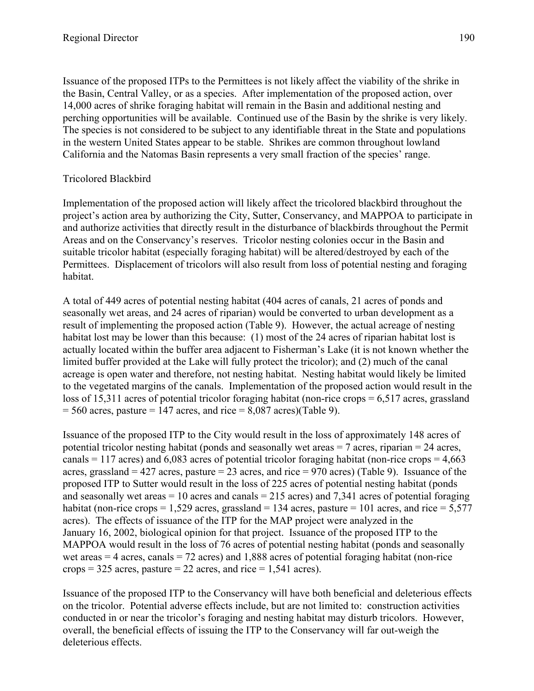Issuance of the proposed ITPs to the Permittees is not likely affect the viability of the shrike in the Basin, Central Valley, or as a species. After implementation of the proposed action, over 14,000 acres of shrike foraging habitat will remain in the Basin and additional nesting and perching opportunities will be available. Continued use of the Basin by the shrike is very likely. The species is not considered to be subject to any identifiable threat in the State and populations in the western United States appear to be stable. Shrikes are common throughout lowland California and the Natomas Basin represents a very small fraction of the species' range.

## Tricolored Blackbird

Implementation of the proposed action will likely affect the tricolored blackbird throughout the project's action area by authorizing the City, Sutter, Conservancy, and MAPPOA to participate in and authorize activities that directly result in the disturbance of blackbirds throughout the Permit Areas and on the Conservancy's reserves. Tricolor nesting colonies occur in the Basin and suitable tricolor habitat (especially foraging habitat) will be altered/destroyed by each of the Permittees. Displacement of tricolors will also result from loss of potential nesting and foraging habitat.

A total of 449 acres of potential nesting habitat (404 acres of canals, 21 acres of ponds and seasonally wet areas, and 24 acres of riparian) would be converted to urban development as a result of implementing the proposed action (Table 9). However, the actual acreage of nesting habitat lost may be lower than this because: (1) most of the 24 acres of riparian habitat lost is actually located within the buffer area adjacent to Fisherman's Lake (it is not known whether the limited buffer provided at the Lake will fully protect the tricolor); and (2) much of the canal acreage is open water and therefore, not nesting habitat. Nesting habitat would likely be limited to the vegetated margins of the canals. Implementation of the proposed action would result in the loss of 15,311 acres of potential tricolor foraging habitat (non-rice crops = 6,517 acres, grassland  $= 560$  acres, pasture  $= 147$  acres, and rice  $= 8,087$  acres)(Table 9).

Issuance of the proposed ITP to the City would result in the loss of approximately 148 acres of potential tricolor nesting habitat (ponds and seasonally wet areas  $= 7$  acres, riparian  $= 24$  acres, canals  $= 117$  acres) and 6,083 acres of potential tricolor foraging habitat (non-rice crops  $= 4,663$ acres, grassland = 427 acres, pasture = 23 acres, and rice = 970 acres) (Table 9). Issuance of the proposed ITP to Sutter would result in the loss of 225 acres of potential nesting habitat (ponds and seasonally wet areas  $= 10$  acres and canals  $= 215$  acres) and 7,341 acres of potential foraging habitat (non-rice crops = 1,529 acres, grassland = 134 acres, pasture = 101 acres, and rice = 5,577 acres). The effects of issuance of the ITP for the MAP project were analyzed in the January 16, 2002, biological opinion for that project. Issuance of the proposed ITP to the MAPPOA would result in the loss of 76 acres of potential nesting habitat (ponds and seasonally wet areas  $= 4$  acres, canals  $= 72$  acres) and 1,888 acres of potential foraging habitat (non-rice crops =  $325$  acres, pasture =  $22$  acres, and rice =  $1,541$  acres).

Issuance of the proposed ITP to the Conservancy will have both beneficial and deleterious effects on the tricolor. Potential adverse effects include, but are not limited to: construction activities conducted in or near the tricolor's foraging and nesting habitat may disturb tricolors. However, overall, the beneficial effects of issuing the ITP to the Conservancy will far out-weigh the deleterious effects.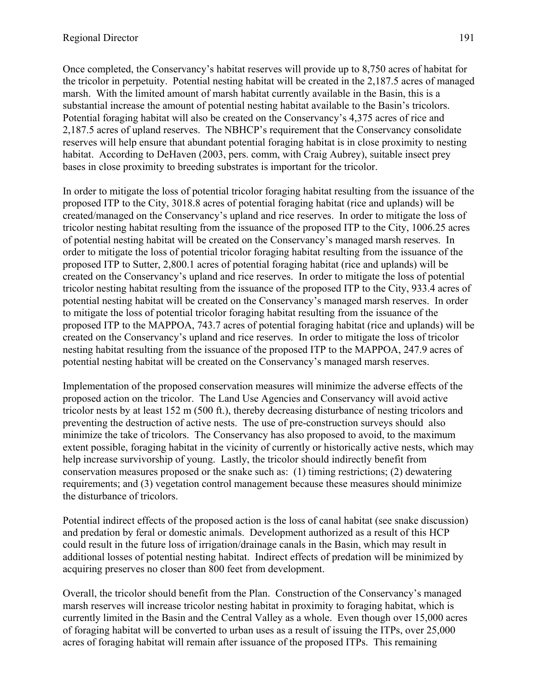Once completed, the Conservancy's habitat reserves will provide up to 8,750 acres of habitat for the tricolor in perpetuity. Potential nesting habitat will be created in the 2,187.5 acres of managed marsh. With the limited amount of marsh habitat currently available in the Basin, this is a substantial increase the amount of potential nesting habitat available to the Basin's tricolors. Potential foraging habitat will also be created on the Conservancy's 4,375 acres of rice and 2,187.5 acres of upland reserves. The NBHCP's requirement that the Conservancy consolidate reserves will help ensure that abundant potential foraging habitat is in close proximity to nesting habitat. According to DeHaven (2003, pers. comm, with Craig Aubrey), suitable insect prey bases in close proximity to breeding substrates is important for the tricolor.

In order to mitigate the loss of potential tricolor foraging habitat resulting from the issuance of the proposed ITP to the City, 3018.8 acres of potential foraging habitat (rice and uplands) will be created/managed on the Conservancy's upland and rice reserves. In order to mitigate the loss of tricolor nesting habitat resulting from the issuance of the proposed ITP to the City, 1006.25 acres of potential nesting habitat will be created on the Conservancy's managed marsh reserves. In order to mitigate the loss of potential tricolor foraging habitat resulting from the issuance of the proposed ITP to Sutter, 2,800.1 acres of potential foraging habitat (rice and uplands) will be created on the Conservancy's upland and rice reserves. In order to mitigate the loss of potential tricolor nesting habitat resulting from the issuance of the proposed ITP to the City, 933.4 acres of potential nesting habitat will be created on the Conservancy's managed marsh reserves. In order to mitigate the loss of potential tricolor foraging habitat resulting from the issuance of the proposed ITP to the MAPPOA, 743.7 acres of potential foraging habitat (rice and uplands) will be created on the Conservancy's upland and rice reserves. In order to mitigate the loss of tricolor nesting habitat resulting from the issuance of the proposed ITP to the MAPPOA, 247.9 acres of potential nesting habitat will be created on the Conservancy's managed marsh reserves.

Implementation of the proposed conservation measures will minimize the adverse effects of the proposed action on the tricolor. The Land Use Agencies and Conservancy will avoid active tricolor nests by at least 152 m (500 ft.), thereby decreasing disturbance of nesting tricolors and preventing the destruction of active nests. The use of pre-construction surveys should also minimize the take of tricolors. The Conservancy has also proposed to avoid, to the maximum extent possible, foraging habitat in the vicinity of currently or historically active nests, which may help increase survivorship of young. Lastly, the tricolor should indirectly benefit from conservation measures proposed or the snake such as: (1) timing restrictions; (2) dewatering requirements; and (3) vegetation control management because these measures should minimize the disturbance of tricolors.

Potential indirect effects of the proposed action is the loss of canal habitat (see snake discussion) and predation by feral or domestic animals. Development authorized as a result of this HCP could result in the future loss of irrigation/drainage canals in the Basin, which may result in additional losses of potential nesting habitat. Indirect effects of predation will be minimized by acquiring preserves no closer than 800 feet from development.

Overall, the tricolor should benefit from the Plan. Construction of the Conservancy's managed marsh reserves will increase tricolor nesting habitat in proximity to foraging habitat, which is currently limited in the Basin and the Central Valley as a whole. Even though over 15,000 acres of foraging habitat will be converted to urban uses as a result of issuing the ITPs, over 25,000 acres of foraging habitat will remain after issuance of the proposed ITPs. This remaining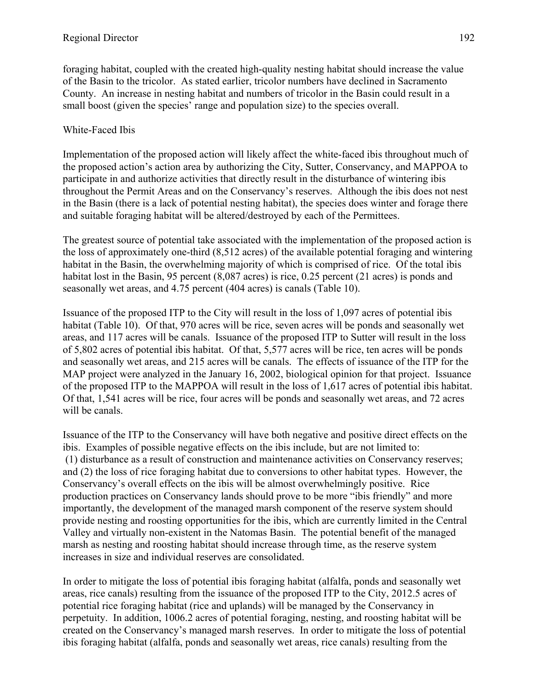foraging habitat, coupled with the created high-quality nesting habitat should increase the value of the Basin to the tricolor. As stated earlier, tricolor numbers have declined in Sacramento County. An increase in nesting habitat and numbers of tricolor in the Basin could result in a small boost (given the species' range and population size) to the species overall.

## White-Faced Ibis

Implementation of the proposed action will likely affect the white-faced ibis throughout much of the proposed action's action area by authorizing the City, Sutter, Conservancy, and MAPPOA to participate in and authorize activities that directly result in the disturbance of wintering ibis throughout the Permit Areas and on the Conservancy's reserves. Although the ibis does not nest in the Basin (there is a lack of potential nesting habitat), the species does winter and forage there and suitable foraging habitat will be altered/destroyed by each of the Permittees.

The greatest source of potential take associated with the implementation of the proposed action is the loss of approximately one-third (8,512 acres) of the available potential foraging and wintering habitat in the Basin, the overwhelming majority of which is comprised of rice. Of the total ibis habitat lost in the Basin, 95 percent (8,087 acres) is rice, 0.25 percent (21 acres) is ponds and seasonally wet areas, and 4.75 percent (404 acres) is canals (Table 10).

Issuance of the proposed ITP to the City will result in the loss of 1,097 acres of potential ibis habitat (Table 10). Of that, 970 acres will be rice, seven acres will be ponds and seasonally wet areas, and 117 acres will be canals. Issuance of the proposed ITP to Sutter will result in the loss of 5,802 acres of potential ibis habitat. Of that, 5,577 acres will be rice, ten acres will be ponds and seasonally wet areas, and 215 acres will be canals. The effects of issuance of the ITP for the MAP project were analyzed in the January 16, 2002, biological opinion for that project. Issuance of the proposed ITP to the MAPPOA will result in the loss of 1,617 acres of potential ibis habitat. Of that, 1,541 acres will be rice, four acres will be ponds and seasonally wet areas, and 72 acres will be canals.

Issuance of the ITP to the Conservancy will have both negative and positive direct effects on the ibis. Examples of possible negative effects on the ibis include, but are not limited to: (1) disturbance as a result of construction and maintenance activities on Conservancy reserves; and (2) the loss of rice foraging habitat due to conversions to other habitat types. However, the Conservancy's overall effects on the ibis will be almost overwhelmingly positive. Rice production practices on Conservancy lands should prove to be more "ibis friendly" and more importantly, the development of the managed marsh component of the reserve system should provide nesting and roosting opportunities for the ibis, which are currently limited in the Central Valley and virtually non-existent in the Natomas Basin. The potential benefit of the managed marsh as nesting and roosting habitat should increase through time, as the reserve system increases in size and individual reserves are consolidated.

In order to mitigate the loss of potential ibis foraging habitat (alfalfa, ponds and seasonally wet areas, rice canals) resulting from the issuance of the proposed ITP to the City, 2012.5 acres of potential rice foraging habitat (rice and uplands) will be managed by the Conservancy in perpetuity. In addition, 1006.2 acres of potential foraging, nesting, and roosting habitat will be created on the Conservancy's managed marsh reserves. In order to mitigate the loss of potential ibis foraging habitat (alfalfa, ponds and seasonally wet areas, rice canals) resulting from the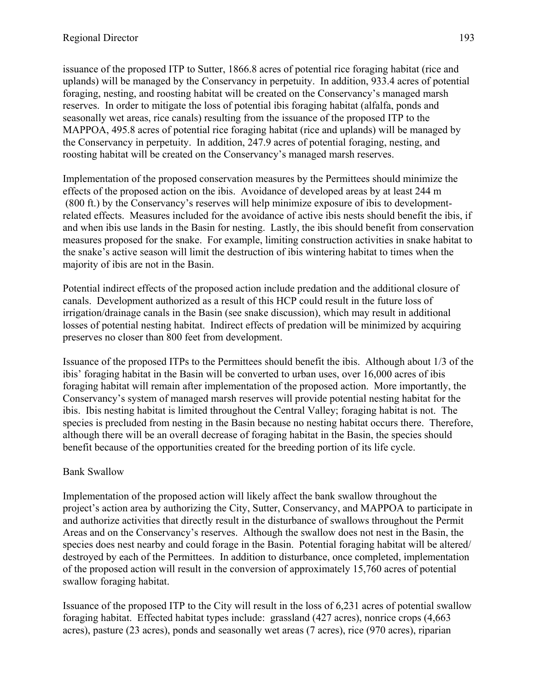issuance of the proposed ITP to Sutter, 1866.8 acres of potential rice foraging habitat (rice and uplands) will be managed by the Conservancy in perpetuity. In addition, 933.4 acres of potential foraging, nesting, and roosting habitat will be created on the Conservancy's managed marsh reserves. In order to mitigate the loss of potential ibis foraging habitat (alfalfa, ponds and seasonally wet areas, rice canals) resulting from the issuance of the proposed ITP to the MAPPOA, 495.8 acres of potential rice foraging habitat (rice and uplands) will be managed by the Conservancy in perpetuity. In addition, 247.9 acres of potential foraging, nesting, and roosting habitat will be created on the Conservancy's managed marsh reserves.

Implementation of the proposed conservation measures by the Permittees should minimize the effects of the proposed action on the ibis. Avoidance of developed areas by at least 244 m (800 ft.) by the Conservancy's reserves will help minimize exposure of ibis to developmentrelated effects. Measures included for the avoidance of active ibis nests should benefit the ibis, if and when ibis use lands in the Basin for nesting. Lastly, the ibis should benefit from conservation measures proposed for the snake. For example, limiting construction activities in snake habitat to the snake's active season will limit the destruction of ibis wintering habitat to times when the majority of ibis are not in the Basin.

Potential indirect effects of the proposed action include predation and the additional closure of canals. Development authorized as a result of this HCP could result in the future loss of irrigation/drainage canals in the Basin (see snake discussion), which may result in additional losses of potential nesting habitat. Indirect effects of predation will be minimized by acquiring preserves no closer than 800 feet from development.

Issuance of the proposed ITPs to the Permittees should benefit the ibis. Although about 1/3 of the ibis' foraging habitat in the Basin will be converted to urban uses, over 16,000 acres of ibis foraging habitat will remain after implementation of the proposed action. More importantly, the Conservancy's system of managed marsh reserves will provide potential nesting habitat for the ibis. Ibis nesting habitat is limited throughout the Central Valley; foraging habitat is not. The species is precluded from nesting in the Basin because no nesting habitat occurs there. Therefore, although there will be an overall decrease of foraging habitat in the Basin, the species should benefit because of the opportunities created for the breeding portion of its life cycle.

# Bank Swallow

Implementation of the proposed action will likely affect the bank swallow throughout the project's action area by authorizing the City, Sutter, Conservancy, and MAPPOA to participate in and authorize activities that directly result in the disturbance of swallows throughout the Permit Areas and on the Conservancy's reserves. Although the swallow does not nest in the Basin, the species does nest nearby and could forage in the Basin. Potential foraging habitat will be altered/ destroyed by each of the Permittees. In addition to disturbance, once completed, implementation of the proposed action will result in the conversion of approximately 15,760 acres of potential swallow foraging habitat.

Issuance of the proposed ITP to the City will result in the loss of 6,231 acres of potential swallow foraging habitat. Effected habitat types include: grassland (427 acres), nonrice crops (4,663 acres), pasture (23 acres), ponds and seasonally wet areas (7 acres), rice (970 acres), riparian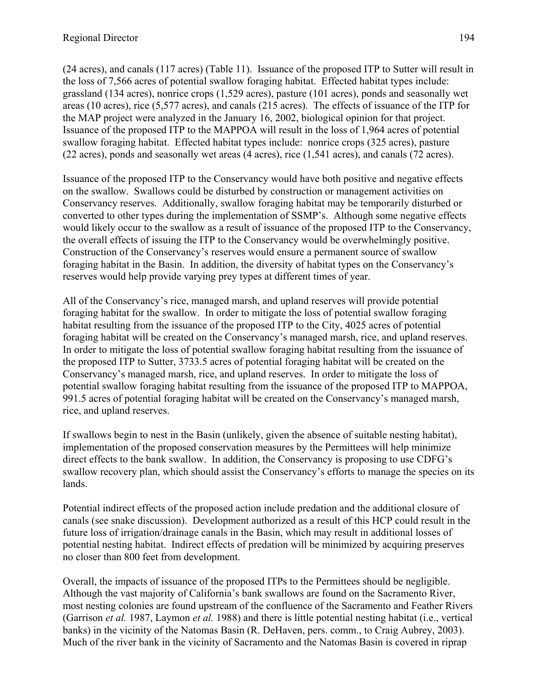(24 acres), and canals (117 acres) (Table 11). Issuance of the proposed ITP to Sutter will result in the loss of 7,566 acres of potential swallow foraging habitat. Effected habitat types include: grassland (134 acres), nonrice crops (1,529 acres), pasture (101 acres), ponds and seasonally wet areas (10 acres), rice (5,577 acres), and canals (215 acres). The effects of issuance of the ITP for the MAP project were analyzed in the January 16, 2002, biological opinion for that project. Issuance of the proposed ITP to the MAPPOA will result in the loss of 1,964 acres of potential swallow foraging habitat. Effected habitat types include: nonrice crops (325 acres), pasture (22 acres), ponds and seasonally wet areas (4 acres), rice (1,541 acres), and canals (72 acres).

Issuance of the proposed ITP to the Conservancy would have both positive and negative effects on the swallow. Swallows could be disturbed by construction or management activities on Conservancy reserves. Additionally, swallow foraging habitat may be temporarily disturbed or converted to other types during the implementation of SSMP's. Although some negative effects would likely occur to the swallow as a result of issuance of the proposed ITP to the Conservancy, the overall effects of issuing the ITP to the Conservancy would be overwhelmingly positive. Construction of the Conservancy's reserves would ensure a permanent source of swallow foraging habitat in the Basin. In addition, the diversity of habitat types on the Conservancy's reserves would help provide varying prey types at different times of year.

All of the Conservancy's rice, managed marsh, and upland reserves will provide potential foraging habitat for the swallow. In order to mitigate the loss of potential swallow foraging habitat resulting from the issuance of the proposed ITP to the City, 4025 acres of potential foraging habitat will be created on the Conservancy's managed marsh, rice, and upland reserves. In order to mitigate the loss of potential swallow foraging habitat resulting from the issuance of the proposed ITP to Sutter, 3733.5 acres of potential foraging habitat will be created on the Conservancy's managed marsh, rice, and upland reserves. In order to mitigate the loss of potential swallow foraging habitat resulting from the issuance of the proposed ITP to MAPPOA, 991.5 acres of potential foraging habitat will be created on the Conservancy's managed marsh, rice, and upland reserves.

If swallows begin to nest in the Basin (unlikely, given the absence of suitable nesting habitat), implementation of the proposed conservation measures by the Permittees will help minimize direct effects to the bank swallow. In addition, the Conservancy is proposing to use CDFG's swallow recovery plan, which should assist the Conservancy's efforts to manage the species on its lands.

Potential indirect effects of the proposed action include predation and the additional closure of canals (see snake discussion). Development authorized as a result of this HCP could result in the future loss of irrigation/drainage canals in the Basin, which may result in additional losses of potential nesting habitat. Indirect effects of predation will be minimized by acquiring preserves no closer than 800 feet from development.

Overall, the impacts of issuance of the proposed ITPs to the Permittees should be negligible. Although the vast majority of California's bank swallows are found on the Sacramento River, most nesting colonies are found upstream of the confluence of the Sacramento and Feather Rivers (Garrison *et al.* 1987, Laymon *et al.* 1988) and there is little potential nesting habitat (i.e., vertical banks) in the vicinity of the Natomas Basin (R. DeHaven, pers. comm., to Craig Aubrey, 2003). Much of the river bank in the vicinity of Sacramento and the Natomas Basin is covered in riprap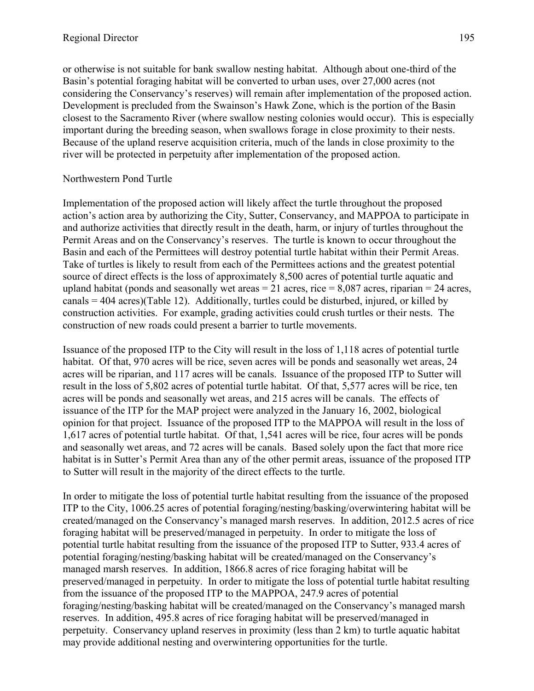or otherwise is not suitable for bank swallow nesting habitat. Although about one-third of the Basin's potential foraging habitat will be converted to urban uses, over 27,000 acres (not considering the Conservancy's reserves) will remain after implementation of the proposed action. Development is precluded from the Swainson's Hawk Zone, which is the portion of the Basin closest to the Sacramento River (where swallow nesting colonies would occur). This is especially important during the breeding season, when swallows forage in close proximity to their nests. Because of the upland reserve acquisition criteria, much of the lands in close proximity to the river will be protected in perpetuity after implementation of the proposed action.

### Northwestern Pond Turtle

Implementation of the proposed action will likely affect the turtle throughout the proposed action's action area by authorizing the City, Sutter, Conservancy, and MAPPOA to participate in and authorize activities that directly result in the death, harm, or injury of turtles throughout the Permit Areas and on the Conservancy's reserves. The turtle is known to occur throughout the Basin and each of the Permittees will destroy potential turtle habitat within their Permit Areas. Take of turtles is likely to result from each of the Permittees actions and the greatest potential source of direct effects is the loss of approximately 8,500 acres of potential turtle aquatic and upland habitat (ponds and seasonally wet areas  $= 21$  acres, rice  $= 8.087$  acres, riparian  $= 24$  acres, canals = 404 acres)(Table 12). Additionally, turtles could be disturbed, injured, or killed by construction activities. For example, grading activities could crush turtles or their nests. The construction of new roads could present a barrier to turtle movements.

Issuance of the proposed ITP to the City will result in the loss of 1,118 acres of potential turtle habitat. Of that, 970 acres will be rice, seven acres will be ponds and seasonally wet areas, 24 acres will be riparian, and 117 acres will be canals. Issuance of the proposed ITP to Sutter will result in the loss of 5,802 acres of potential turtle habitat. Of that, 5,577 acres will be rice, ten acres will be ponds and seasonally wet areas, and 215 acres will be canals. The effects of issuance of the ITP for the MAP project were analyzed in the January 16, 2002, biological opinion for that project. Issuance of the proposed ITP to the MAPPOA will result in the loss of 1,617 acres of potential turtle habitat. Of that, 1,541 acres will be rice, four acres will be ponds and seasonally wet areas, and 72 acres will be canals. Based solely upon the fact that more rice habitat is in Sutter's Permit Area than any of the other permit areas, issuance of the proposed ITP to Sutter will result in the majority of the direct effects to the turtle.

In order to mitigate the loss of potential turtle habitat resulting from the issuance of the proposed ITP to the City, 1006.25 acres of potential foraging/nesting/basking/overwintering habitat will be created/managed on the Conservancy's managed marsh reserves. In addition, 2012.5 acres of rice foraging habitat will be preserved/managed in perpetuity. In order to mitigate the loss of potential turtle habitat resulting from the issuance of the proposed ITP to Sutter, 933.4 acres of potential foraging/nesting/basking habitat will be created/managed on the Conservancy's managed marsh reserves. In addition, 1866.8 acres of rice foraging habitat will be preserved/managed in perpetuity. In order to mitigate the loss of potential turtle habitat resulting from the issuance of the proposed ITP to the MAPPOA, 247.9 acres of potential foraging/nesting/basking habitat will be created/managed on the Conservancy's managed marsh reserves. In addition, 495.8 acres of rice foraging habitat will be preserved/managed in perpetuity. Conservancy upland reserves in proximity (less than 2 km) to turtle aquatic habitat may provide additional nesting and overwintering opportunities for the turtle.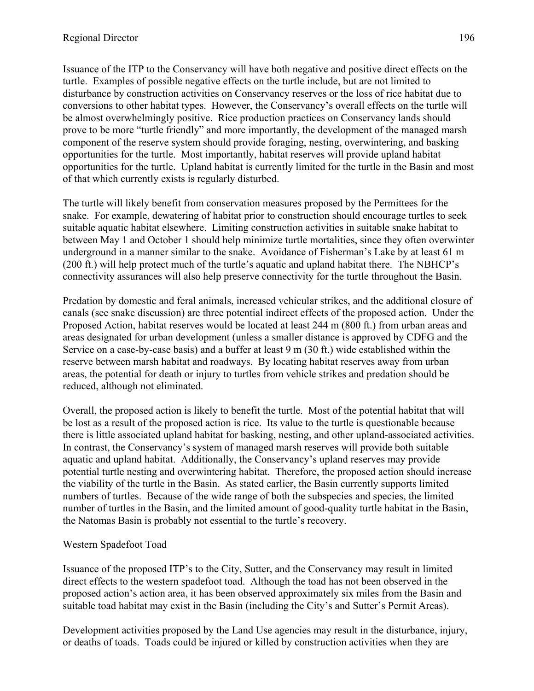Issuance of the ITP to the Conservancy will have both negative and positive direct effects on the turtle. Examples of possible negative effects on the turtle include, but are not limited to disturbance by construction activities on Conservancy reserves or the loss of rice habitat due to conversions to other habitat types. However, the Conservancy's overall effects on the turtle will be almost overwhelmingly positive. Rice production practices on Conservancy lands should prove to be more "turtle friendly" and more importantly, the development of the managed marsh component of the reserve system should provide foraging, nesting, overwintering, and basking opportunities for the turtle. Most importantly, habitat reserves will provide upland habitat opportunities for the turtle. Upland habitat is currently limited for the turtle in the Basin and most of that which currently exists is regularly disturbed.

The turtle will likely benefit from conservation measures proposed by the Permittees for the snake. For example, dewatering of habitat prior to construction should encourage turtles to seek suitable aquatic habitat elsewhere. Limiting construction activities in suitable snake habitat to between May 1 and October 1 should help minimize turtle mortalities, since they often overwinter underground in a manner similar to the snake. Avoidance of Fisherman's Lake by at least 61 m (200 ft.) will help protect much of the turtle's aquatic and upland habitat there. The NBHCP's connectivity assurances will also help preserve connectivity for the turtle throughout the Basin.

Predation by domestic and feral animals, increased vehicular strikes, and the additional closure of canals (see snake discussion) are three potential indirect effects of the proposed action. Under the Proposed Action, habitat reserves would be located at least 244 m (800 ft.) from urban areas and areas designated for urban development (unless a smaller distance is approved by CDFG and the Service on a case-by-case basis) and a buffer at least 9 m (30 ft.) wide established within the reserve between marsh habitat and roadways. By locating habitat reserves away from urban areas, the potential for death or injury to turtles from vehicle strikes and predation should be reduced, although not eliminated.

Overall, the proposed action is likely to benefit the turtle. Most of the potential habitat that will be lost as a result of the proposed action is rice. Its value to the turtle is questionable because there is little associated upland habitat for basking, nesting, and other upland-associated activities. In contrast, the Conservancy's system of managed marsh reserves will provide both suitable aquatic and upland habitat. Additionally, the Conservancy's upland reserves may provide potential turtle nesting and overwintering habitat. Therefore, the proposed action should increase the viability of the turtle in the Basin. As stated earlier, the Basin currently supports limited numbers of turtles. Because of the wide range of both the subspecies and species, the limited number of turtles in the Basin, and the limited amount of good-quality turtle habitat in the Basin, the Natomas Basin is probably not essential to the turtle's recovery.

### Western Spadefoot Toad

Issuance of the proposed ITP's to the City, Sutter, and the Conservancy may result in limited direct effects to the western spadefoot toad. Although the toad has not been observed in the proposed action's action area, it has been observed approximately six miles from the Basin and suitable toad habitat may exist in the Basin (including the City's and Sutter's Permit Areas).

Development activities proposed by the Land Use agencies may result in the disturbance, injury, or deaths of toads. Toads could be injured or killed by construction activities when they are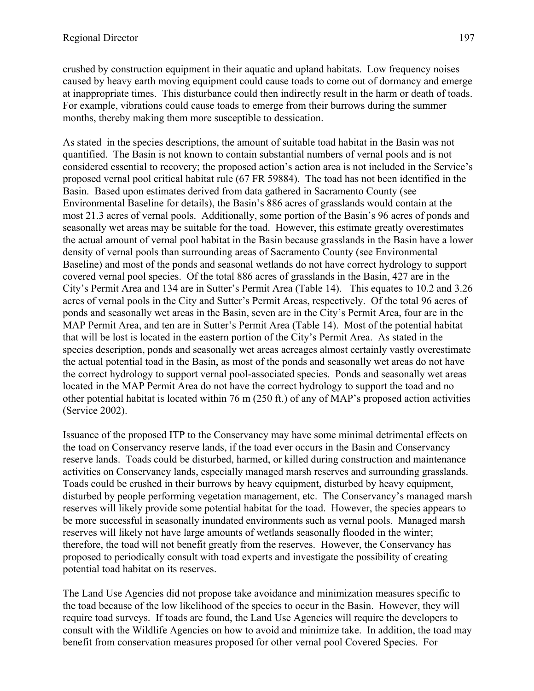crushed by construction equipment in their aquatic and upland habitats. Low frequency noises caused by heavy earth moving equipment could cause toads to come out of dormancy and emerge at inappropriate times. This disturbance could then indirectly result in the harm or death of toads. For example, vibrations could cause toads to emerge from their burrows during the summer months, thereby making them more susceptible to dessication.

As stated in the species descriptions, the amount of suitable toad habitat in the Basin was not quantified. The Basin is not known to contain substantial numbers of vernal pools and is not considered essential to recovery; the proposed action's action area is not included in the Service's proposed vernal pool critical habitat rule (67 FR 59884). The toad has not been identified in the Basin. Based upon estimates derived from data gathered in Sacramento County (see Environmental Baseline for details), the Basin's 886 acres of grasslands would contain at the most 21.3 acres of vernal pools. Additionally, some portion of the Basin's 96 acres of ponds and seasonally wet areas may be suitable for the toad. However, this estimate greatly overestimates the actual amount of vernal pool habitat in the Basin because grasslands in the Basin have a lower density of vernal pools than surrounding areas of Sacramento County (see Environmental Baseline) and most of the ponds and seasonal wetlands do not have correct hydrology to support covered vernal pool species. Of the total 886 acres of grasslands in the Basin, 427 are in the City's Permit Area and 134 are in Sutter's Permit Area (Table 14). This equates to 10.2 and 3.26 acres of vernal pools in the City and Sutter's Permit Areas, respectively. Of the total 96 acres of ponds and seasonally wet areas in the Basin, seven are in the City's Permit Area, four are in the MAP Permit Area, and ten are in Sutter's Permit Area (Table 14). Most of the potential habitat that will be lost is located in the eastern portion of the City's Permit Area. As stated in the species description, ponds and seasonally wet areas acreages almost certainly vastly overestimate the actual potential toad in the Basin, as most of the ponds and seasonally wet areas do not have the correct hydrology to support vernal pool-associated species. Ponds and seasonally wet areas located in the MAP Permit Area do not have the correct hydrology to support the toad and no other potential habitat is located within 76 m (250 ft.) of any of MAP's proposed action activities (Service 2002).

Issuance of the proposed ITP to the Conservancy may have some minimal detrimental effects on the toad on Conservancy reserve lands, if the toad ever occurs in the Basin and Conservancy reserve lands. Toads could be disturbed, harmed, or killed during construction and maintenance activities on Conservancy lands, especially managed marsh reserves and surrounding grasslands. Toads could be crushed in their burrows by heavy equipment, disturbed by heavy equipment, disturbed by people performing vegetation management, etc. The Conservancy's managed marsh reserves will likely provide some potential habitat for the toad. However, the species appears to be more successful in seasonally inundated environments such as vernal pools. Managed marsh reserves will likely not have large amounts of wetlands seasonally flooded in the winter; therefore, the toad will not benefit greatly from the reserves. However, the Conservancy has proposed to periodically consult with toad experts and investigate the possibility of creating potential toad habitat on its reserves.

The Land Use Agencies did not propose take avoidance and minimization measures specific to the toad because of the low likelihood of the species to occur in the Basin. However, they will require toad surveys. If toads are found, the Land Use Agencies will require the developers to consult with the Wildlife Agencies on how to avoid and minimize take. In addition, the toad may benefit from conservation measures proposed for other vernal pool Covered Species. For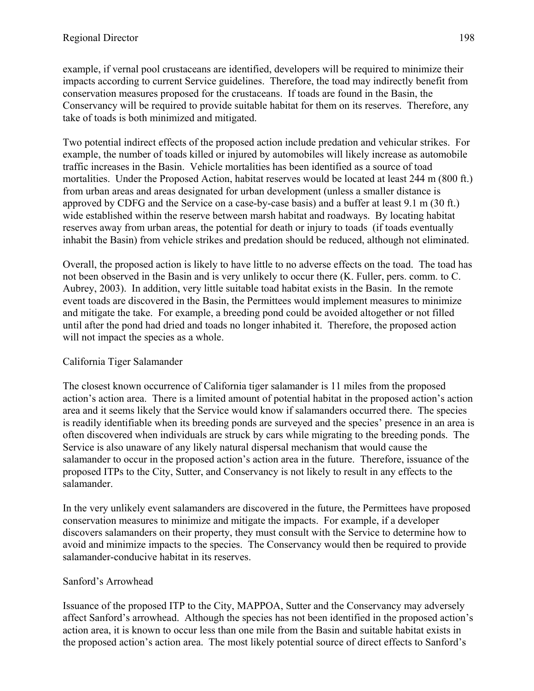example, if vernal pool crustaceans are identified, developers will be required to minimize their impacts according to current Service guidelines. Therefore, the toad may indirectly benefit from conservation measures proposed for the crustaceans. If toads are found in the Basin, the Conservancy will be required to provide suitable habitat for them on its reserves. Therefore, any take of toads is both minimized and mitigated.

Two potential indirect effects of the proposed action include predation and vehicular strikes. For example, the number of toads killed or injured by automobiles will likely increase as automobile traffic increases in the Basin. Vehicle mortalities has been identified as a source of toad mortalities. Under the Proposed Action, habitat reserves would be located at least 244 m (800 ft.) from urban areas and areas designated for urban development (unless a smaller distance is approved by CDFG and the Service on a case-by-case basis) and a buffer at least 9.1 m (30 ft.) wide established within the reserve between marsh habitat and roadways. By locating habitat reserves away from urban areas, the potential for death or injury to toads (if toads eventually inhabit the Basin) from vehicle strikes and predation should be reduced, although not eliminated.

Overall, the proposed action is likely to have little to no adverse effects on the toad. The toad has not been observed in the Basin and is very unlikely to occur there (K. Fuller, pers. comm. to C. Aubrey, 2003). In addition, very little suitable toad habitat exists in the Basin. In the remote event toads are discovered in the Basin, the Permittees would implement measures to minimize and mitigate the take. For example, a breeding pond could be avoided altogether or not filled until after the pond had dried and toads no longer inhabited it. Therefore, the proposed action will not impact the species as a whole.

## California Tiger Salamander

The closest known occurrence of California tiger salamander is 11 miles from the proposed action's action area. There is a limited amount of potential habitat in the proposed action's action area and it seems likely that the Service would know if salamanders occurred there. The species is readily identifiable when its breeding ponds are surveyed and the species' presence in an area is often discovered when individuals are struck by cars while migrating to the breeding ponds. The Service is also unaware of any likely natural dispersal mechanism that would cause the salamander to occur in the proposed action's action area in the future. Therefore, issuance of the proposed ITPs to the City, Sutter, and Conservancy is not likely to result in any effects to the salamander.

In the very unlikely event salamanders are discovered in the future, the Permittees have proposed conservation measures to minimize and mitigate the impacts. For example, if a developer discovers salamanders on their property, they must consult with the Service to determine how to avoid and minimize impacts to the species. The Conservancy would then be required to provide salamander-conducive habitat in its reserves.

## Sanford's Arrowhead

Issuance of the proposed ITP to the City, MAPPOA, Sutter and the Conservancy may adversely affect Sanford's arrowhead. Although the species has not been identified in the proposed action's action area, it is known to occur less than one mile from the Basin and suitable habitat exists in the proposed action's action area. The most likely potential source of direct effects to Sanford's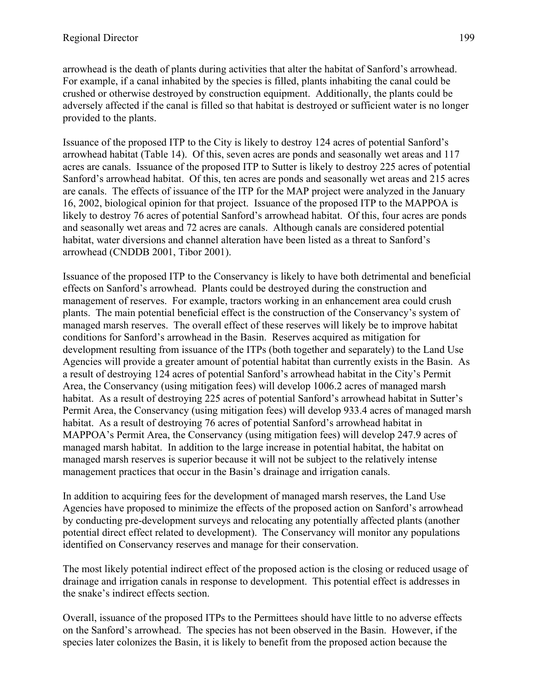arrowhead is the death of plants during activities that alter the habitat of Sanford's arrowhead. For example, if a canal inhabited by the species is filled, plants inhabiting the canal could be crushed or otherwise destroyed by construction equipment. Additionally, the plants could be adversely affected if the canal is filled so that habitat is destroyed or sufficient water is no longer provided to the plants.

Issuance of the proposed ITP to the City is likely to destroy 124 acres of potential Sanford's arrowhead habitat (Table 14). Of this, seven acres are ponds and seasonally wet areas and 117 acres are canals. Issuance of the proposed ITP to Sutter is likely to destroy 225 acres of potential Sanford's arrowhead habitat. Of this, ten acres are ponds and seasonally wet areas and 215 acres are canals. The effects of issuance of the ITP for the MAP project were analyzed in the January 16, 2002, biological opinion for that project. Issuance of the proposed ITP to the MAPPOA is likely to destroy 76 acres of potential Sanford's arrowhead habitat. Of this, four acres are ponds and seasonally wet areas and 72 acres are canals. Although canals are considered potential habitat, water diversions and channel alteration have been listed as a threat to Sanford's arrowhead (CNDDB 2001, Tibor 2001).

Issuance of the proposed ITP to the Conservancy is likely to have both detrimental and beneficial effects on Sanford's arrowhead. Plants could be destroyed during the construction and management of reserves. For example, tractors working in an enhancement area could crush plants. The main potential beneficial effect is the construction of the Conservancy's system of managed marsh reserves. The overall effect of these reserves will likely be to improve habitat conditions for Sanford's arrowhead in the Basin. Reserves acquired as mitigation for development resulting from issuance of the ITPs (both together and separately) to the Land Use Agencies will provide a greater amount of potential habitat than currently exists in the Basin. As a result of destroying 124 acres of potential Sanford's arrowhead habitat in the City's Permit Area, the Conservancy (using mitigation fees) will develop 1006.2 acres of managed marsh habitat. As a result of destroying 225 acres of potential Sanford's arrowhead habitat in Sutter's Permit Area, the Conservancy (using mitigation fees) will develop 933.4 acres of managed marsh habitat. As a result of destroying 76 acres of potential Sanford's arrowhead habitat in MAPPOA's Permit Area, the Conservancy (using mitigation fees) will develop 247.9 acres of managed marsh habitat. In addition to the large increase in potential habitat, the habitat on managed marsh reserves is superior because it will not be subject to the relatively intense management practices that occur in the Basin's drainage and irrigation canals.

In addition to acquiring fees for the development of managed marsh reserves, the Land Use Agencies have proposed to minimize the effects of the proposed action on Sanford's arrowhead by conducting pre-development surveys and relocating any potentially affected plants (another potential direct effect related to development). The Conservancy will monitor any populations identified on Conservancy reserves and manage for their conservation.

The most likely potential indirect effect of the proposed action is the closing or reduced usage of drainage and irrigation canals in response to development. This potential effect is addresses in the snake's indirect effects section.

Overall, issuance of the proposed ITPs to the Permittees should have little to no adverse effects on the Sanford's arrowhead. The species has not been observed in the Basin. However, if the species later colonizes the Basin, it is likely to benefit from the proposed action because the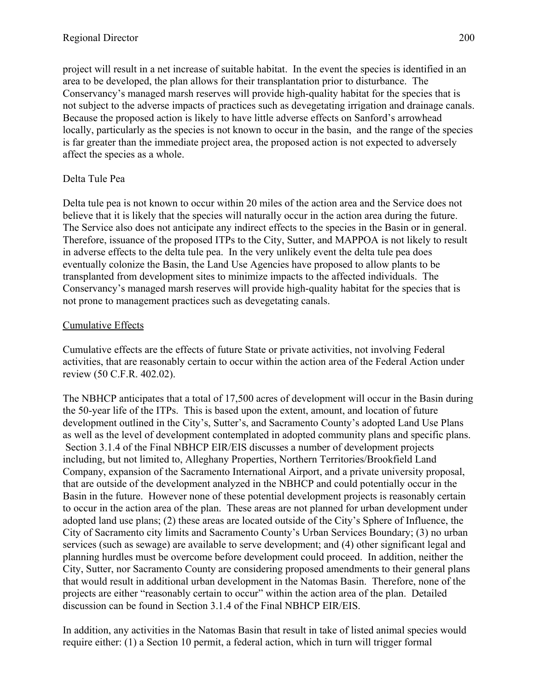project will result in a net increase of suitable habitat. In the event the species is identified in an area to be developed, the plan allows for their transplantation prior to disturbance. The Conservancy's managed marsh reserves will provide high-quality habitat for the species that is not subject to the adverse impacts of practices such as devegetating irrigation and drainage canals. Because the proposed action is likely to have little adverse effects on Sanford's arrowhead locally, particularly as the species is not known to occur in the basin, and the range of the species is far greater than the immediate project area, the proposed action is not expected to adversely affect the species as a whole.

## Delta Tule Pea

Delta tule pea is not known to occur within 20 miles of the action area and the Service does not believe that it is likely that the species will naturally occur in the action area during the future. The Service also does not anticipate any indirect effects to the species in the Basin or in general. Therefore, issuance of the proposed ITPs to the City, Sutter, and MAPPOA is not likely to result in adverse effects to the delta tule pea. In the very unlikely event the delta tule pea does eventually colonize the Basin, the Land Use Agencies have proposed to allow plants to be transplanted from development sites to minimize impacts to the affected individuals. The Conservancy's managed marsh reserves will provide high-quality habitat for the species that is not prone to management practices such as devegetating canals.

## Cumulative Effects

Cumulative effects are the effects of future State or private activities, not involving Federal activities, that are reasonably certain to occur within the action area of the Federal Action under review (50 C.F.R. 402.02).

The NBHCP anticipates that a total of 17,500 acres of development will occur in the Basin during the 50-year life of the ITPs. This is based upon the extent, amount, and location of future development outlined in the City's, Sutter's, and Sacramento County's adopted Land Use Plans as well as the level of development contemplated in adopted community plans and specific plans. Section 3.1.4 of the Final NBHCP EIR/EIS discusses a number of development projects including, but not limited to, Alleghany Properties, Northern Territories/Brookfield Land Company, expansion of the Sacramento International Airport, and a private university proposal, that are outside of the development analyzed in the NBHCP and could potentially occur in the Basin in the future. However none of these potential development projects is reasonably certain to occur in the action area of the plan. These areas are not planned for urban development under adopted land use plans; (2) these areas are located outside of the City's Sphere of Influence, the City of Sacramento city limits and Sacramento County's Urban Services Boundary; (3) no urban services (such as sewage) are available to serve development; and (4) other significant legal and planning hurdles must be overcome before development could proceed. In addition, neither the City, Sutter, nor Sacramento County are considering proposed amendments to their general plans that would result in additional urban development in the Natomas Basin. Therefore, none of the projects are either "reasonably certain to occur" within the action area of the plan. Detailed discussion can be found in Section 3.1.4 of the Final NBHCP EIR/EIS.

In addition, any activities in the Natomas Basin that result in take of listed animal species would require either: (1) a Section 10 permit, a federal action, which in turn will trigger formal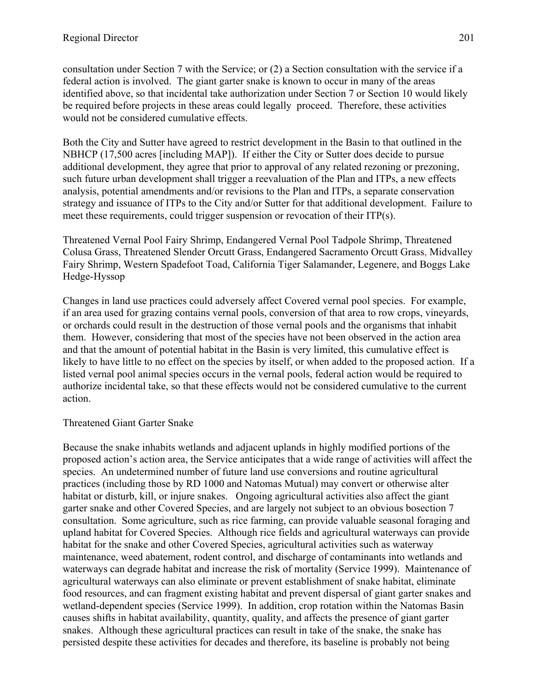consultation under Section 7 with the Service; or (2) a Section consultation with the service if a federal action is involved. The giant garter snake is known to occur in many of the areas identified above, so that incidental take authorization under Section 7 or Section 10 would likely be required before projects in these areas could legally proceed. Therefore, these activities would not be considered cumulative effects.

Both the City and Sutter have agreed to restrict development in the Basin to that outlined in the NBHCP (17,500 acres [including MAP]). If either the City or Sutter does decide to pursue additional development, they agree that prior to approval of any related rezoning or prezoning, such future urban development shall trigger a reevaluation of the Plan and ITPs, a new effects analysis, potential amendments and/or revisions to the Plan and ITPs, a separate conservation strategy and issuance of ITPs to the City and/or Sutter for that additional development. Failure to meet these requirements, could trigger suspension or revocation of their ITP(s).

Threatened Vernal Pool Fairy Shrimp, Endangered Vernal Pool Tadpole Shrimp, Threatened Colusa Grass, Threatened Slender Orcutt Grass, Endangered Sacramento Orcutt Grass, Midvalley Fairy Shrimp, Western Spadefoot Toad, California Tiger Salamander, Legenere, and Boggs Lake Hedge-Hyssop

Changes in land use practices could adversely affect Covered vernal pool species. For example, if an area used for grazing contains vernal pools, conversion of that area to row crops, vineyards, or orchards could result in the destruction of those vernal pools and the organisms that inhabit them. However, considering that most of the species have not been observed in the action area and that the amount of potential habitat in the Basin is very limited, this cumulative effect is likely to have little to no effect on the species by itself, or when added to the proposed action. If a listed vernal pool animal species occurs in the vernal pools, federal action would be required to authorize incidental take, so that these effects would not be considered cumulative to the current action.

### Threatened Giant Garter Snake

Because the snake inhabits wetlands and adjacent uplands in highly modified portions of the proposed action's action area, the Service anticipates that a wide range of activities will affect the species. An undetermined number of future land use conversions and routine agricultural practices (including those by RD 1000 and Natomas Mutual) may convert or otherwise alter habitat or disturb, kill, or injure snakes. Ongoing agricultural activities also affect the giant garter snake and other Covered Species, and are largely not subject to an obvious bosection 7 consultation. Some agriculture, such as rice farming, can provide valuable seasonal foraging and upland habitat for Covered Species. Although rice fields and agricultural waterways can provide habitat for the snake and other Covered Species, agricultural activities such as waterway maintenance, weed abatement, rodent control, and discharge of contaminants into wetlands and waterways can degrade habitat and increase the risk of mortality (Service 1999). Maintenance of agricultural waterways can also eliminate or prevent establishment of snake habitat, eliminate food resources, and can fragment existing habitat and prevent dispersal of giant garter snakes and wetland-dependent species (Service 1999). In addition, crop rotation within the Natomas Basin causes shifts in habitat availability, quantity, quality, and affects the presence of giant garter snakes. Although these agricultural practices can result in take of the snake, the snake has persisted despite these activities for decades and therefore, its baseline is probably not being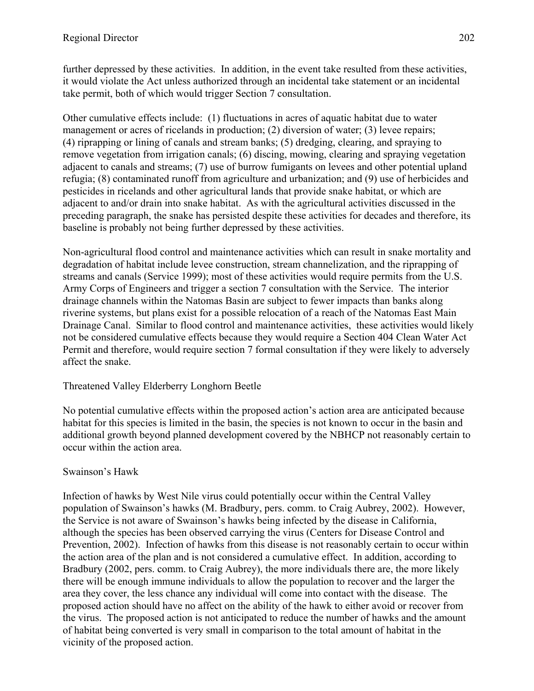further depressed by these activities. In addition, in the event take resulted from these activities, it would violate the Act unless authorized through an incidental take statement or an incidental take permit, both of which would trigger Section 7 consultation.

Other cumulative effects include: (1) fluctuations in acres of aquatic habitat due to water management or acres of ricelands in production; (2) diversion of water; (3) levee repairs; (4) riprapping or lining of canals and stream banks; (5) dredging, clearing, and spraying to remove vegetation from irrigation canals; (6) discing, mowing, clearing and spraying vegetation adjacent to canals and streams; (7) use of burrow fumigants on levees and other potential upland refugia; (8) contaminated runoff from agriculture and urbanization; and (9) use of herbicides and pesticides in ricelands and other agricultural lands that provide snake habitat, or which are adjacent to and/or drain into snake habitat. As with the agricultural activities discussed in the preceding paragraph, the snake has persisted despite these activities for decades and therefore, its baseline is probably not being further depressed by these activities.

Non-agricultural flood control and maintenance activities which can result in snake mortality and degradation of habitat include levee construction, stream channelization, and the riprapping of streams and canals (Service 1999); most of these activities would require permits from the U.S. Army Corps of Engineers and trigger a section 7 consultation with the Service. The interior drainage channels within the Natomas Basin are subject to fewer impacts than banks along riverine systems, but plans exist for a possible relocation of a reach of the Natomas East Main Drainage Canal. Similar to flood control and maintenance activities, these activities would likely not be considered cumulative effects because they would require a Section 404 Clean Water Act Permit and therefore, would require section 7 formal consultation if they were likely to adversely affect the snake.

## Threatened Valley Elderberry Longhorn Beetle

No potential cumulative effects within the proposed action's action area are anticipated because habitat for this species is limited in the basin, the species is not known to occur in the basin and additional growth beyond planned development covered by the NBHCP not reasonably certain to occur within the action area.

## Swainson's Hawk

Infection of hawks by West Nile virus could potentially occur within the Central Valley population of Swainson's hawks (M. Bradbury, pers. comm. to Craig Aubrey, 2002). However, the Service is not aware of Swainson's hawks being infected by the disease in California, although the species has been observed carrying the virus (Centers for Disease Control and Prevention, 2002). Infection of hawks from this disease is not reasonably certain to occur within the action area of the plan and is not considered a cumulative effect. In addition, according to Bradbury (2002, pers. comm. to Craig Aubrey), the more individuals there are, the more likely there will be enough immune individuals to allow the population to recover and the larger the area they cover, the less chance any individual will come into contact with the disease. The proposed action should have no affect on the ability of the hawk to either avoid or recover from the virus. The proposed action is not anticipated to reduce the number of hawks and the amount of habitat being converted is very small in comparison to the total amount of habitat in the vicinity of the proposed action.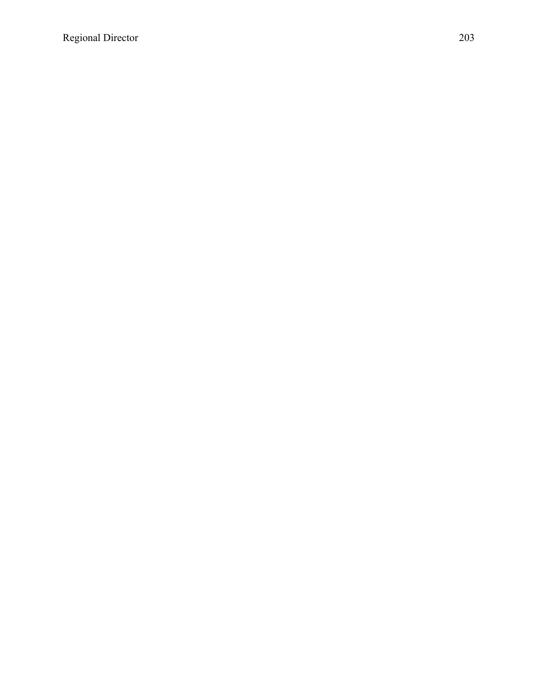Regional Director 203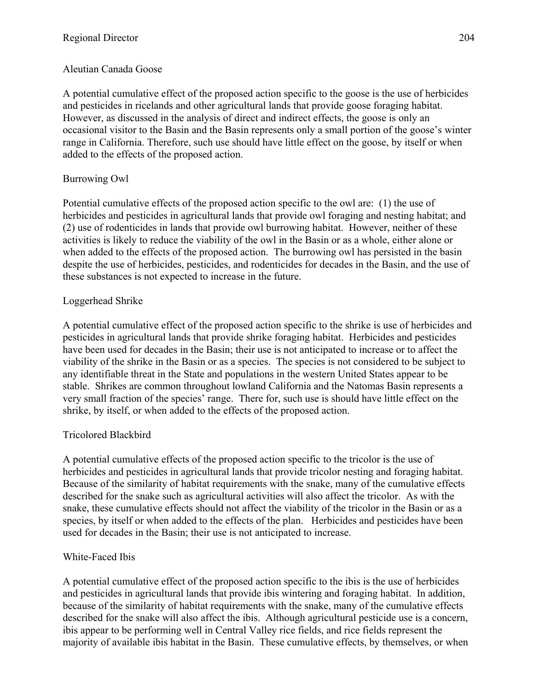# Aleutian Canada Goose

A potential cumulative effect of the proposed action specific to the goose is the use of herbicides and pesticides in ricelands and other agricultural lands that provide goose foraging habitat. However, as discussed in the analysis of direct and indirect effects, the goose is only an occasional visitor to the Basin and the Basin represents only a small portion of the goose's winter range in California. Therefore, such use should have little effect on the goose, by itself or when added to the effects of the proposed action.

# Burrowing Owl

Potential cumulative effects of the proposed action specific to the owl are: (1) the use of herbicides and pesticides in agricultural lands that provide owl foraging and nesting habitat; and (2) use of rodenticides in lands that provide owl burrowing habitat. However, neither of these activities is likely to reduce the viability of the owl in the Basin or as a whole, either alone or when added to the effects of the proposed action. The burrowing owl has persisted in the basin despite the use of herbicides, pesticides, and rodenticides for decades in the Basin, and the use of these substances is not expected to increase in the future.

# Loggerhead Shrike

A potential cumulative effect of the proposed action specific to the shrike is use of herbicides and pesticides in agricultural lands that provide shrike foraging habitat. Herbicides and pesticides have been used for decades in the Basin; their use is not anticipated to increase or to affect the viability of the shrike in the Basin or as a species. The species is not considered to be subject to any identifiable threat in the State and populations in the western United States appear to be stable. Shrikes are common throughout lowland California and the Natomas Basin represents a very small fraction of the species' range. There for, such use is should have little effect on the shrike, by itself, or when added to the effects of the proposed action.

# Tricolored Blackbird

A potential cumulative effects of the proposed action specific to the tricolor is the use of herbicides and pesticides in agricultural lands that provide tricolor nesting and foraging habitat. Because of the similarity of habitat requirements with the snake, many of the cumulative effects described for the snake such as agricultural activities will also affect the tricolor. As with the snake, these cumulative effects should not affect the viability of the tricolor in the Basin or as a species, by itself or when added to the effects of the plan. Herbicides and pesticides have been used for decades in the Basin; their use is not anticipated to increase.

## White-Faced Ibis

A potential cumulative effect of the proposed action specific to the ibis is the use of herbicides and pesticides in agricultural lands that provide ibis wintering and foraging habitat. In addition, because of the similarity of habitat requirements with the snake, many of the cumulative effects described for the snake will also affect the ibis. Although agricultural pesticide use is a concern, ibis appear to be performing well in Central Valley rice fields, and rice fields represent the majority of available ibis habitat in the Basin. These cumulative effects, by themselves, or when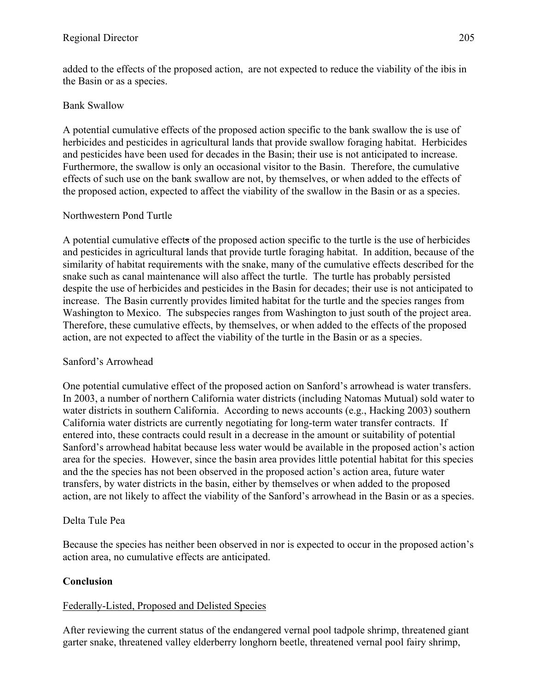added to the effects of the proposed action, are not expected to reduce the viability of the ibis in the Basin or as a species.

# Bank Swallow

A potential cumulative effects of the proposed action specific to the bank swallow the is use of herbicides and pesticides in agricultural lands that provide swallow foraging habitat. Herbicides and pesticides have been used for decades in the Basin; their use is not anticipated to increase. Furthermore, the swallow is only an occasional visitor to the Basin. Therefore, the cumulative effects of such use on the bank swallow are not, by themselves, or when added to the effects of the proposed action, expected to affect the viability of the swallow in the Basin or as a species.

# Northwestern Pond Turtle

A potential cumulative effects of the proposed action specific to the turtle is the use of herbicides and pesticides in agricultural lands that provide turtle foraging habitat. In addition, because of the similarity of habitat requirements with the snake, many of the cumulative effects described for the snake such as canal maintenance will also affect the turtle. The turtle has probably persisted despite the use of herbicides and pesticides in the Basin for decades; their use is not anticipated to increase. The Basin currently provides limited habitat for the turtle and the species ranges from Washington to Mexico. The subspecies ranges from Washington to just south of the project area. Therefore, these cumulative effects, by themselves, or when added to the effects of the proposed action, are not expected to affect the viability of the turtle in the Basin or as a species.

## Sanford's Arrowhead

One potential cumulative effect of the proposed action on Sanford's arrowhead is water transfers. In 2003, a number of northern California water districts (including Natomas Mutual) sold water to water districts in southern California. According to news accounts (e.g., Hacking 2003) southern California water districts are currently negotiating for long-term water transfer contracts. If entered into, these contracts could result in a decrease in the amount or suitability of potential Sanford's arrowhead habitat because less water would be available in the proposed action's action area for the species. However, since the basin area provides little potential habitat for this species and the the species has not been observed in the proposed action's action area, future water transfers, by water districts in the basin, either by themselves or when added to the proposed action, are not likely to affect the viability of the Sanford's arrowhead in the Basin or as a species.

# Delta Tule Pea

Because the species has neither been observed in nor is expected to occur in the proposed action's action area, no cumulative effects are anticipated.

# **Conclusion**

# Federally-Listed, Proposed and Delisted Species

After reviewing the current status of the endangered vernal pool tadpole shrimp, threatened giant garter snake, threatened valley elderberry longhorn beetle, threatened vernal pool fairy shrimp,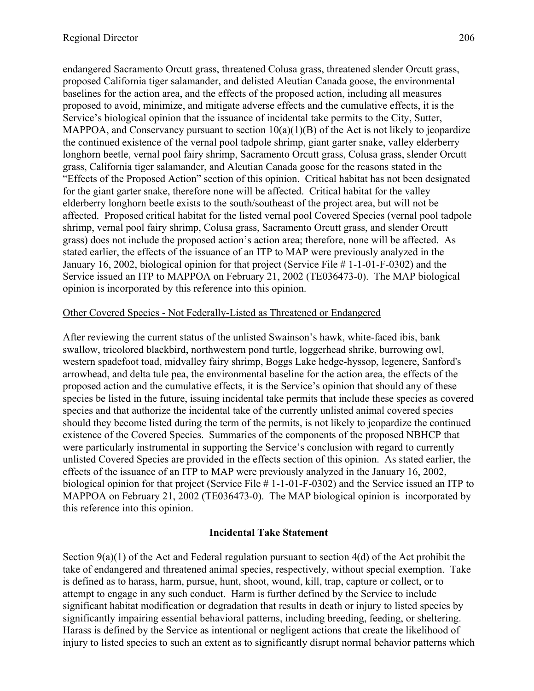endangered Sacramento Orcutt grass, threatened Colusa grass, threatened slender Orcutt grass, proposed California tiger salamander, and delisted Aleutian Canada goose, the environmental baselines for the action area, and the effects of the proposed action, including all measures proposed to avoid, minimize, and mitigate adverse effects and the cumulative effects, it is the Service's biological opinion that the issuance of incidental take permits to the City, Sutter, MAPPOA, and Conservancy pursuant to section  $10(a)(1)(B)$  of the Act is not likely to jeopardize the continued existence of the vernal pool tadpole shrimp, giant garter snake, valley elderberry longhorn beetle, vernal pool fairy shrimp, Sacramento Orcutt grass, Colusa grass, slender Orcutt grass, California tiger salamander, and Aleutian Canada goose for the reasons stated in the "Effects of the Proposed Action" section of this opinion. Critical habitat has not been designated for the giant garter snake, therefore none will be affected. Critical habitat for the valley elderberry longhorn beetle exists to the south/southeast of the project area, but will not be affected. Proposed critical habitat for the listed vernal pool Covered Species (vernal pool tadpole shrimp, vernal pool fairy shrimp, Colusa grass, Sacramento Orcutt grass, and slender Orcutt grass) does not include the proposed action's action area; therefore, none will be affected. As stated earlier, the effects of the issuance of an ITP to MAP were previously analyzed in the January 16, 2002, biological opinion for that project (Service File # 1-1-01-F-0302) and the Service issued an ITP to MAPPOA on February 21, 2002 (TE036473-0). The MAP biological opinion is incorporated by this reference into this opinion.

#### Other Covered Species - Not Federally-Listed as Threatened or Endangered

After reviewing the current status of the unlisted Swainson's hawk, white-faced ibis, bank swallow, tricolored blackbird, northwestern pond turtle, loggerhead shrike, burrowing owl, western spadefoot toad, midvalley fairy shrimp, Boggs Lake hedge-hyssop, legenere, Sanford's arrowhead, and delta tule pea, the environmental baseline for the action area, the effects of the proposed action and the cumulative effects, it is the Service's opinion that should any of these species be listed in the future, issuing incidental take permits that include these species as covered species and that authorize the incidental take of the currently unlisted animal covered species should they become listed during the term of the permits, is not likely to jeopardize the continued existence of the Covered Species. Summaries of the components of the proposed NBHCP that were particularly instrumental in supporting the Service's conclusion with regard to currently unlisted Covered Species are provided in the effects section of this opinion. As stated earlier, the effects of the issuance of an ITP to MAP were previously analyzed in the January 16, 2002, biological opinion for that project (Service File # 1-1-01-F-0302) and the Service issued an ITP to MAPPOA on February 21, 2002 (TE036473-0). The MAP biological opinion is incorporated by this reference into this opinion.

#### **Incidental Take Statement**

Section 9(a)(1) of the Act and Federal regulation pursuant to section 4(d) of the Act prohibit the take of endangered and threatened animal species, respectively, without special exemption. Take is defined as to harass, harm, pursue, hunt, shoot, wound, kill, trap, capture or collect, or to attempt to engage in any such conduct. Harm is further defined by the Service to include significant habitat modification or degradation that results in death or injury to listed species by significantly impairing essential behavioral patterns, including breeding, feeding, or sheltering. Harass is defined by the Service as intentional or negligent actions that create the likelihood of injury to listed species to such an extent as to significantly disrupt normal behavior patterns which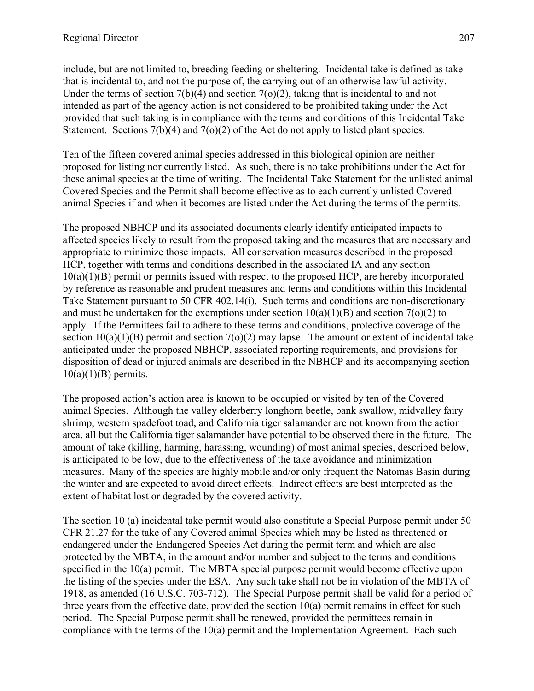include, but are not limited to, breeding feeding or sheltering. Incidental take is defined as take that is incidental to, and not the purpose of, the carrying out of an otherwise lawful activity. Under the terms of section  $7(b)(4)$  and section  $7(o)(2)$ , taking that is incidental to and not intended as part of the agency action is not considered to be prohibited taking under the Act provided that such taking is in compliance with the terms and conditions of this Incidental Take Statement. Sections 7(b)(4) and 7(o)(2) of the Act do not apply to listed plant species.

Ten of the fifteen covered animal species addressed in this biological opinion are neither proposed for listing nor currently listed. As such, there is no take prohibitions under the Act for these animal species at the time of writing. The Incidental Take Statement for the unlisted animal Covered Species and the Permit shall become effective as to each currently unlisted Covered animal Species if and when it becomes are listed under the Act during the terms of the permits.

The proposed NBHCP and its associated documents clearly identify anticipated impacts to affected species likely to result from the proposed taking and the measures that are necessary and appropriate to minimize those impacts. All conservation measures described in the proposed HCP, together with terms and conditions described in the associated IA and any section 10(a)(1)(B) permit or permits issued with respect to the proposed HCP, are hereby incorporated by reference as reasonable and prudent measures and terms and conditions within this Incidental Take Statement pursuant to 50 CFR 402.14(i). Such terms and conditions are non-discretionary and must be undertaken for the exemptions under section  $10(a)(1)(B)$  and section  $7(o)(2)$  to apply. If the Permittees fail to adhere to these terms and conditions, protective coverage of the section  $10(a)(1)(B)$  permit and section  $7(0)(2)$  may lapse. The amount or extent of incidental take anticipated under the proposed NBHCP, associated reporting requirements, and provisions for disposition of dead or injured animals are described in the NBHCP and its accompanying section  $10(a)(1)(B)$  permits.

The proposed action's action area is known to be occupied or visited by ten of the Covered animal Species. Although the valley elderberry longhorn beetle, bank swallow, midvalley fairy shrimp, western spadefoot toad, and California tiger salamander are not known from the action area, all but the California tiger salamander have potential to be observed there in the future. The amount of take (killing, harming, harassing, wounding) of most animal species, described below, is anticipated to be low, due to the effectiveness of the take avoidance and minimization measures. Many of the species are highly mobile and/or only frequent the Natomas Basin during the winter and are expected to avoid direct effects. Indirect effects are best interpreted as the extent of habitat lost or degraded by the covered activity.

The section 10 (a) incidental take permit would also constitute a Special Purpose permit under 50 CFR 21.27 for the take of any Covered animal Species which may be listed as threatened or endangered under the Endangered Species Act during the permit term and which are also protected by the MBTA, in the amount and/or number and subject to the terms and conditions specified in the 10(a) permit. The MBTA special purpose permit would become effective upon the listing of the species under the ESA. Any such take shall not be in violation of the MBTA of 1918, as amended (16 U.S.C. 703-712). The Special Purpose permit shall be valid for a period of three years from the effective date, provided the section 10(a) permit remains in effect for such period. The Special Purpose permit shall be renewed, provided the permittees remain in compliance with the terms of the 10(a) permit and the Implementation Agreement. Each such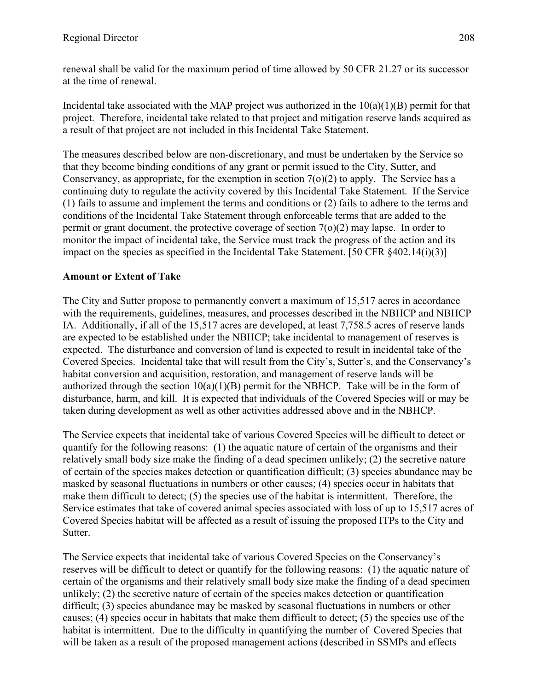renewal shall be valid for the maximum period of time allowed by 50 CFR 21.27 or its successor at the time of renewal.

Incidental take associated with the MAP project was authorized in the  $10(a)(1)(B)$  permit for that project. Therefore, incidental take related to that project and mitigation reserve lands acquired as a result of that project are not included in this Incidental Take Statement.

The measures described below are non-discretionary, and must be undertaken by the Service so that they become binding conditions of any grant or permit issued to the City, Sutter, and Conservancy, as appropriate, for the exemption in section  $7<sub>O</sub>(2)$  to apply. The Service has a continuing duty to regulate the activity covered by this Incidental Take Statement. If the Service (1) fails to assume and implement the terms and conditions or (2) fails to adhere to the terms and conditions of the Incidental Take Statement through enforceable terms that are added to the permit or grant document, the protective coverage of section 7(o)(2) may lapse. In order to monitor the impact of incidental take, the Service must track the progress of the action and its impact on the species as specified in the Incidental Take Statement. [50 CFR  $\S 402.14(i)(3)$ ]

# **Amount or Extent of Take**

The City and Sutter propose to permanently convert a maximum of 15,517 acres in accordance with the requirements, guidelines, measures, and processes described in the NBHCP and NBHCP IA. Additionally, if all of the 15,517 acres are developed, at least 7,758.5 acres of reserve lands are expected to be established under the NBHCP; take incidental to management of reserves is expected. The disturbance and conversion of land is expected to result in incidental take of the Covered Species. Incidental take that will result from the City's, Sutter's, and the Conservancy's habitat conversion and acquisition, restoration, and management of reserve lands will be authorized through the section  $10(a)(1)(B)$  permit for the NBHCP. Take will be in the form of disturbance, harm, and kill. It is expected that individuals of the Covered Species will or may be taken during development as well as other activities addressed above and in the NBHCP.

The Service expects that incidental take of various Covered Species will be difficult to detect or quantify for the following reasons: (1) the aquatic nature of certain of the organisms and their relatively small body size make the finding of a dead specimen unlikely; (2) the secretive nature of certain of the species makes detection or quantification difficult; (3) species abundance may be masked by seasonal fluctuations in numbers or other causes; (4) species occur in habitats that make them difficult to detect; (5) the species use of the habitat is intermittent. Therefore, the Service estimates that take of covered animal species associated with loss of up to 15,517 acres of Covered Species habitat will be affected as a result of issuing the proposed ITPs to the City and Sutter.

The Service expects that incidental take of various Covered Species on the Conservancy's reserves will be difficult to detect or quantify for the following reasons: (1) the aquatic nature of certain of the organisms and their relatively small body size make the finding of a dead specimen unlikely; (2) the secretive nature of certain of the species makes detection or quantification difficult; (3) species abundance may be masked by seasonal fluctuations in numbers or other causes; (4) species occur in habitats that make them difficult to detect; (5) the species use of the habitat is intermittent. Due to the difficulty in quantifying the number of Covered Species that will be taken as a result of the proposed management actions (described in SSMPs and effects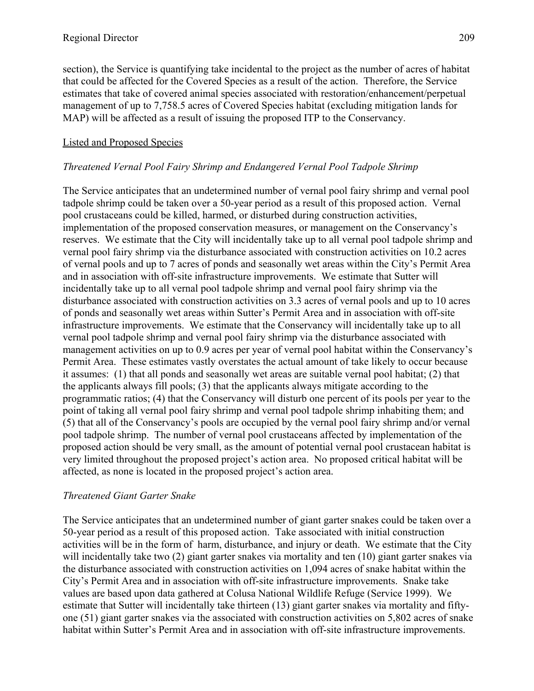section), the Service is quantifying take incidental to the project as the number of acres of habitat that could be affected for the Covered Species as a result of the action. Therefore, the Service estimates that take of covered animal species associated with restoration/enhancement/perpetual management of up to 7,758.5 acres of Covered Species habitat (excluding mitigation lands for MAP) will be affected as a result of issuing the proposed ITP to the Conservancy.

## Listed and Proposed Species

## *Threatened Vernal Pool Fairy Shrimp and Endangered Vernal Pool Tadpole Shrimp*

The Service anticipates that an undetermined number of vernal pool fairy shrimp and vernal pool tadpole shrimp could be taken over a 50-year period as a result of this proposed action. Vernal pool crustaceans could be killed, harmed, or disturbed during construction activities, implementation of the proposed conservation measures, or management on the Conservancy's reserves. We estimate that the City will incidentally take up to all vernal pool tadpole shrimp and vernal pool fairy shrimp via the disturbance associated with construction activities on 10.2 acres of vernal pools and up to 7 acres of ponds and seasonally wet areas within the City's Permit Area and in association with off-site infrastructure improvements. We estimate that Sutter will incidentally take up to all vernal pool tadpole shrimp and vernal pool fairy shrimp via the disturbance associated with construction activities on 3.3 acres of vernal pools and up to 10 acres of ponds and seasonally wet areas within Sutter's Permit Area and in association with off-site infrastructure improvements. We estimate that the Conservancy will incidentally take up to all vernal pool tadpole shrimp and vernal pool fairy shrimp via the disturbance associated with management activities on up to 0.9 acres per year of vernal pool habitat within the Conservancy's Permit Area. These estimates vastly overstates the actual amount of take likely to occur because it assumes: (1) that all ponds and seasonally wet areas are suitable vernal pool habitat; (2) that the applicants always fill pools; (3) that the applicants always mitigate according to the programmatic ratios; (4) that the Conservancy will disturb one percent of its pools per year to the point of taking all vernal pool fairy shrimp and vernal pool tadpole shrimp inhabiting them; and (5) that all of the Conservancy's pools are occupied by the vernal pool fairy shrimp and/or vernal pool tadpole shrimp. The number of vernal pool crustaceans affected by implementation of the proposed action should be very small, as the amount of potential vernal pool crustacean habitat is very limited throughout the proposed project's action area. No proposed critical habitat will be affected, as none is located in the proposed project's action area.

### *Threatened Giant Garter Snake*

The Service anticipates that an undetermined number of giant garter snakes could be taken over a 50-year period as a result of this proposed action. Take associated with initial construction activities will be in the form of harm, disturbance, and injury or death. We estimate that the City will incidentally take two (2) giant garter snakes via mortality and ten (10) giant garter snakes via the disturbance associated with construction activities on 1,094 acres of snake habitat within the City's Permit Area and in association with off-site infrastructure improvements. Snake take values are based upon data gathered at Colusa National Wildlife Refuge (Service 1999). We estimate that Sutter will incidentally take thirteen (13) giant garter snakes via mortality and fiftyone (51) giant garter snakes via the associated with construction activities on 5,802 acres of snake habitat within Sutter's Permit Area and in association with off-site infrastructure improvements.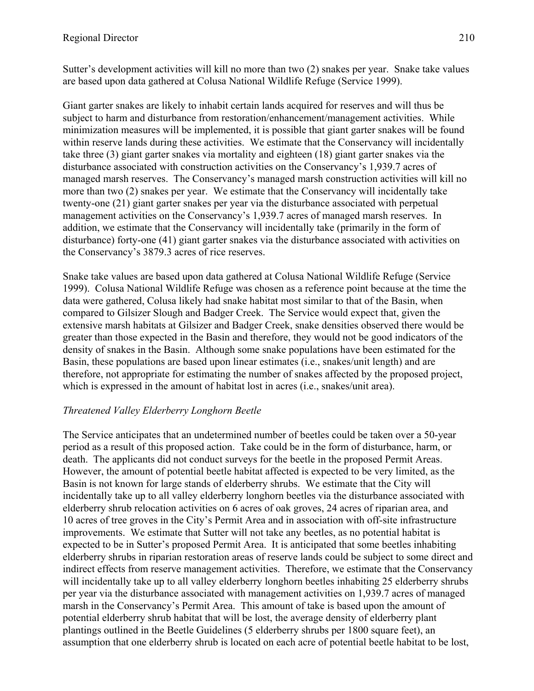Sutter's development activities will kill no more than two (2) snakes per year. Snake take values are based upon data gathered at Colusa National Wildlife Refuge (Service 1999).

Giant garter snakes are likely to inhabit certain lands acquired for reserves and will thus be subject to harm and disturbance from restoration/enhancement/management activities. While minimization measures will be implemented, it is possible that giant garter snakes will be found within reserve lands during these activities. We estimate that the Conservancy will incidentally take three (3) giant garter snakes via mortality and eighteen (18) giant garter snakes via the disturbance associated with construction activities on the Conservancy's 1,939.7 acres of managed marsh reserves. The Conservancy's managed marsh construction activities will kill no more than two (2) snakes per year. We estimate that the Conservancy will incidentally take twenty-one (21) giant garter snakes per year via the disturbance associated with perpetual management activities on the Conservancy's 1,939.7 acres of managed marsh reserves. In addition, we estimate that the Conservancy will incidentally take (primarily in the form of disturbance) forty-one (41) giant garter snakes via the disturbance associated with activities on the Conservancy's 3879.3 acres of rice reserves.

Snake take values are based upon data gathered at Colusa National Wildlife Refuge (Service 1999). Colusa National Wildlife Refuge was chosen as a reference point because at the time the data were gathered, Colusa likely had snake habitat most similar to that of the Basin, when compared to Gilsizer Slough and Badger Creek. The Service would expect that, given the extensive marsh habitats at Gilsizer and Badger Creek, snake densities observed there would be greater than those expected in the Basin and therefore, they would not be good indicators of the density of snakes in the Basin. Although some snake populations have been estimated for the Basin, these populations are based upon linear estimates (i.e., snakes/unit length) and are therefore, not appropriate for estimating the number of snakes affected by the proposed project, which is expressed in the amount of habitat lost in acres (i.e., snakes/unit area).

## *Threatened Valley Elderberry Longhorn Beetle*

The Service anticipates that an undetermined number of beetles could be taken over a 50-year period as a result of this proposed action. Take could be in the form of disturbance, harm, or death. The applicants did not conduct surveys for the beetle in the proposed Permit Areas. However, the amount of potential beetle habitat affected is expected to be very limited, as the Basin is not known for large stands of elderberry shrubs. We estimate that the City will incidentally take up to all valley elderberry longhorn beetles via the disturbance associated with elderberry shrub relocation activities on 6 acres of oak groves, 24 acres of riparian area, and 10 acres of tree groves in the City's Permit Area and in association with off-site infrastructure improvements. We estimate that Sutter will not take any beetles, as no potential habitat is expected to be in Sutter's proposed Permit Area. It is anticipated that some beetles inhabiting elderberry shrubs in riparian restoration areas of reserve lands could be subject to some direct and indirect effects from reserve management activities. Therefore, we estimate that the Conservancy will incidentally take up to all valley elderberry longhorn beetles inhabiting 25 elderberry shrubs per year via the disturbance associated with management activities on 1,939.7 acres of managed marsh in the Conservancy's Permit Area. This amount of take is based upon the amount of potential elderberry shrub habitat that will be lost, the average density of elderberry plant plantings outlined in the Beetle Guidelines (5 elderberry shrubs per 1800 square feet), an assumption that one elderberry shrub is located on each acre of potential beetle habitat to be lost,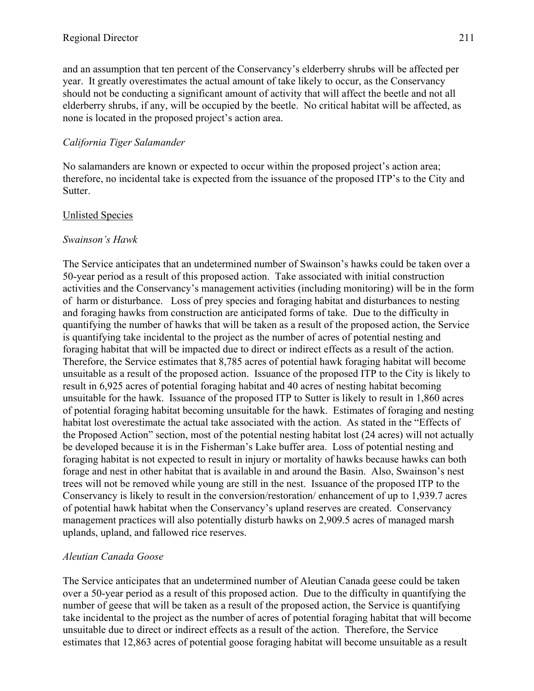and an assumption that ten percent of the Conservancy's elderberry shrubs will be affected per year. It greatly overestimates the actual amount of take likely to occur, as the Conservancy should not be conducting a significant amount of activity that will affect the beetle and not all elderberry shrubs, if any, will be occupied by the beetle. No critical habitat will be affected, as none is located in the proposed project's action area.

## *California Tiger Salamander*

No salamanders are known or expected to occur within the proposed project's action area; therefore, no incidental take is expected from the issuance of the proposed ITP's to the City and Sutter.

### Unlisted Species

### *Swainson's Hawk*

The Service anticipates that an undetermined number of Swainson's hawks could be taken over a 50-year period as a result of this proposed action. Take associated with initial construction activities and the Conservancy's management activities (including monitoring) will be in the form of harm or disturbance. Loss of prey species and foraging habitat and disturbances to nesting and foraging hawks from construction are anticipated forms of take. Due to the difficulty in quantifying the number of hawks that will be taken as a result of the proposed action, the Service is quantifying take incidental to the project as the number of acres of potential nesting and foraging habitat that will be impacted due to direct or indirect effects as a result of the action. Therefore, the Service estimates that 8,785 acres of potential hawk foraging habitat will become unsuitable as a result of the proposed action. Issuance of the proposed ITP to the City is likely to result in 6,925 acres of potential foraging habitat and 40 acres of nesting habitat becoming unsuitable for the hawk. Issuance of the proposed ITP to Sutter is likely to result in 1,860 acres of potential foraging habitat becoming unsuitable for the hawk. Estimates of foraging and nesting habitat lost overestimate the actual take associated with the action. As stated in the "Effects of the Proposed Action" section, most of the potential nesting habitat lost (24 acres) will not actually be developed because it is in the Fisherman's Lake buffer area. Loss of potential nesting and foraging habitat is not expected to result in injury or mortality of hawks because hawks can both forage and nest in other habitat that is available in and around the Basin. Also, Swainson's nest trees will not be removed while young are still in the nest. Issuance of the proposed ITP to the Conservancy is likely to result in the conversion/restoration/ enhancement of up to 1,939.7 acres of potential hawk habitat when the Conservancy's upland reserves are created. Conservancy management practices will also potentially disturb hawks on 2,909.5 acres of managed marsh uplands, upland, and fallowed rice reserves.

## *Aleutian Canada Goose*

The Service anticipates that an undetermined number of Aleutian Canada geese could be taken over a 50-year period as a result of this proposed action. Due to the difficulty in quantifying the number of geese that will be taken as a result of the proposed action, the Service is quantifying take incidental to the project as the number of acres of potential foraging habitat that will become unsuitable due to direct or indirect effects as a result of the action. Therefore, the Service estimates that 12,863 acres of potential goose foraging habitat will become unsuitable as a result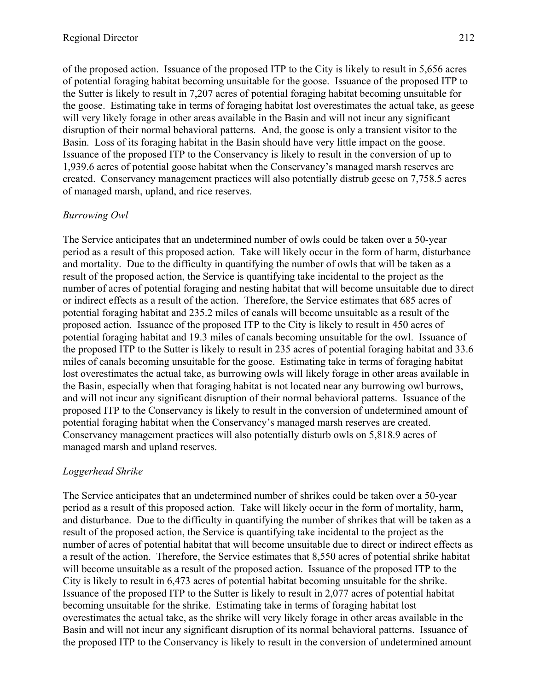of the proposed action. Issuance of the proposed ITP to the City is likely to result in 5,656 acres of potential foraging habitat becoming unsuitable for the goose. Issuance of the proposed ITP to the Sutter is likely to result in 7,207 acres of potential foraging habitat becoming unsuitable for the goose. Estimating take in terms of foraging habitat lost overestimates the actual take, as geese will very likely forage in other areas available in the Basin and will not incur any significant disruption of their normal behavioral patterns. And, the goose is only a transient visitor to the Basin. Loss of its foraging habitat in the Basin should have very little impact on the goose. Issuance of the proposed ITP to the Conservancy is likely to result in the conversion of up to 1,939.6 acres of potential goose habitat when the Conservancy's managed marsh reserves are created. Conservancy management practices will also potentially distrub geese on 7,758.5 acres of managed marsh, upland, and rice reserves.

## *Burrowing Owl*

The Service anticipates that an undetermined number of owls could be taken over a 50-year period as a result of this proposed action. Take will likely occur in the form of harm, disturbance and mortality. Due to the difficulty in quantifying the number of owls that will be taken as a result of the proposed action, the Service is quantifying take incidental to the project as the number of acres of potential foraging and nesting habitat that will become unsuitable due to direct or indirect effects as a result of the action. Therefore, the Service estimates that 685 acres of potential foraging habitat and 235.2 miles of canals will become unsuitable as a result of the proposed action. Issuance of the proposed ITP to the City is likely to result in 450 acres of potential foraging habitat and 19.3 miles of canals becoming unsuitable for the owl. Issuance of the proposed ITP to the Sutter is likely to result in 235 acres of potential foraging habitat and 33.6 miles of canals becoming unsuitable for the goose. Estimating take in terms of foraging habitat lost overestimates the actual take, as burrowing owls will likely forage in other areas available in the Basin, especially when that foraging habitat is not located near any burrowing owl burrows, and will not incur any significant disruption of their normal behavioral patterns. Issuance of the proposed ITP to the Conservancy is likely to result in the conversion of undetermined amount of potential foraging habitat when the Conservancy's managed marsh reserves are created. Conservancy management practices will also potentially disturb owls on 5,818.9 acres of managed marsh and upland reserves.

## *Loggerhead Shrike*

The Service anticipates that an undetermined number of shrikes could be taken over a 50-year period as a result of this proposed action. Take will likely occur in the form of mortality, harm, and disturbance. Due to the difficulty in quantifying the number of shrikes that will be taken as a result of the proposed action, the Service is quantifying take incidental to the project as the number of acres of potential habitat that will become unsuitable due to direct or indirect effects as a result of the action. Therefore, the Service estimates that 8,550 acres of potential shrike habitat will become unsuitable as a result of the proposed action. Issuance of the proposed ITP to the City is likely to result in 6,473 acres of potential habitat becoming unsuitable for the shrike. Issuance of the proposed ITP to the Sutter is likely to result in 2,077 acres of potential habitat becoming unsuitable for the shrike. Estimating take in terms of foraging habitat lost overestimates the actual take, as the shrike will very likely forage in other areas available in the Basin and will not incur any significant disruption of its normal behavioral patterns. Issuance of the proposed ITP to the Conservancy is likely to result in the conversion of undetermined amount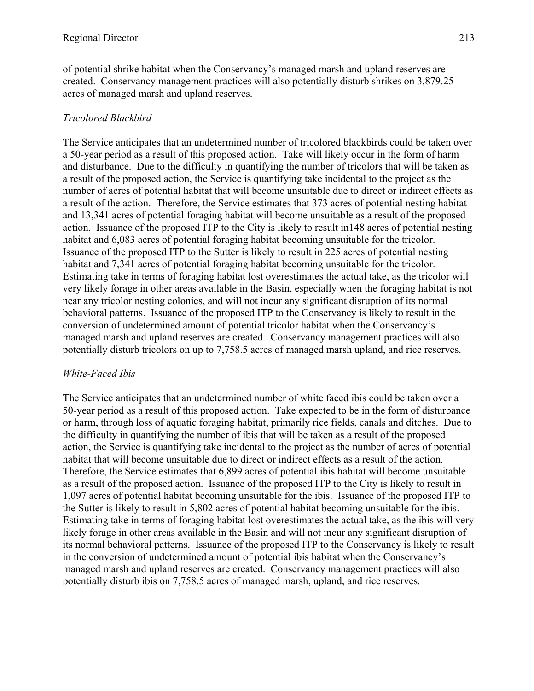of potential shrike habitat when the Conservancy's managed marsh and upland reserves are created. Conservancy management practices will also potentially disturb shrikes on 3,879.25 acres of managed marsh and upland reserves.

## *Tricolored Blackbird*

The Service anticipates that an undetermined number of tricolored blackbirds could be taken over a 50-year period as a result of this proposed action. Take will likely occur in the form of harm and disturbance. Due to the difficulty in quantifying the number of tricolors that will be taken as a result of the proposed action, the Service is quantifying take incidental to the project as the number of acres of potential habitat that will become unsuitable due to direct or indirect effects as a result of the action. Therefore, the Service estimates that 373 acres of potential nesting habitat and 13,341 acres of potential foraging habitat will become unsuitable as a result of the proposed action. Issuance of the proposed ITP to the City is likely to result in148 acres of potential nesting habitat and 6,083 acres of potential foraging habitat becoming unsuitable for the tricolor. Issuance of the proposed ITP to the Sutter is likely to result in 225 acres of potential nesting habitat and 7,341 acres of potential foraging habitat becoming unsuitable for the tricolor. Estimating take in terms of foraging habitat lost overestimates the actual take, as the tricolor will very likely forage in other areas available in the Basin, especially when the foraging habitat is not near any tricolor nesting colonies, and will not incur any significant disruption of its normal behavioral patterns. Issuance of the proposed ITP to the Conservancy is likely to result in the conversion of undetermined amount of potential tricolor habitat when the Conservancy's managed marsh and upland reserves are created. Conservancy management practices will also potentially disturb tricolors on up to 7,758.5 acres of managed marsh upland, and rice reserves.

## *White-Faced Ibis*

The Service anticipates that an undetermined number of white faced ibis could be taken over a 50-year period as a result of this proposed action. Take expected to be in the form of disturbance or harm, through loss of aquatic foraging habitat, primarily rice fields, canals and ditches. Due to the difficulty in quantifying the number of ibis that will be taken as a result of the proposed action, the Service is quantifying take incidental to the project as the number of acres of potential habitat that will become unsuitable due to direct or indirect effects as a result of the action. Therefore, the Service estimates that 6,899 acres of potential ibis habitat will become unsuitable as a result of the proposed action. Issuance of the proposed ITP to the City is likely to result in 1,097 acres of potential habitat becoming unsuitable for the ibis. Issuance of the proposed ITP to the Sutter is likely to result in 5,802 acres of potential habitat becoming unsuitable for the ibis. Estimating take in terms of foraging habitat lost overestimates the actual take, as the ibis will very likely forage in other areas available in the Basin and will not incur any significant disruption of its normal behavioral patterns. Issuance of the proposed ITP to the Conservancy is likely to result in the conversion of undetermined amount of potential ibis habitat when the Conservancy's managed marsh and upland reserves are created. Conservancy management practices will also potentially disturb ibis on 7,758.5 acres of managed marsh, upland, and rice reserves.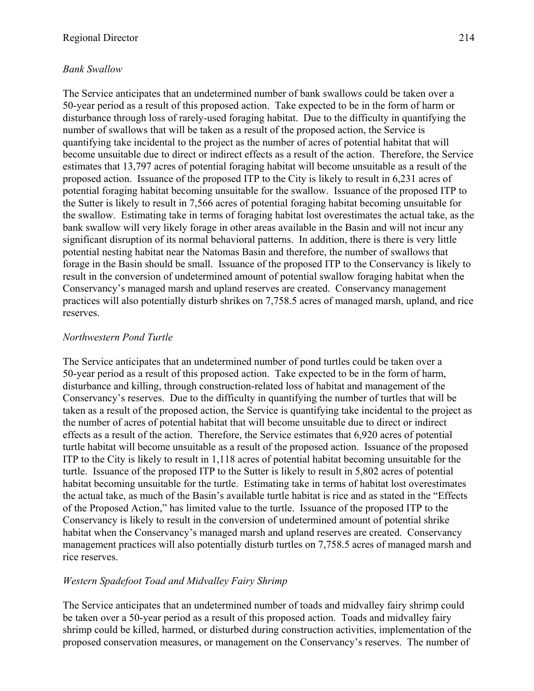## *Bank Swallow*

The Service anticipates that an undetermined number of bank swallows could be taken over a 50-year period as a result of this proposed action. Take expected to be in the form of harm or disturbance through loss of rarely-used foraging habitat. Due to the difficulty in quantifying the number of swallows that will be taken as a result of the proposed action, the Service is quantifying take incidental to the project as the number of acres of potential habitat that will become unsuitable due to direct or indirect effects as a result of the action. Therefore, the Service estimates that 13,797 acres of potential foraging habitat will become unsuitable as a result of the proposed action. Issuance of the proposed ITP to the City is likely to result in 6,231 acres of potential foraging habitat becoming unsuitable for the swallow. Issuance of the proposed ITP to the Sutter is likely to result in 7,566 acres of potential foraging habitat becoming unsuitable for the swallow. Estimating take in terms of foraging habitat lost overestimates the actual take, as the bank swallow will very likely forage in other areas available in the Basin and will not incur any significant disruption of its normal behavioral patterns. In addition, there is there is very little potential nesting habitat near the Natomas Basin and therefore, the number of swallows that forage in the Basin should be small. Issuance of the proposed ITP to the Conservancy is likely to result in the conversion of undetermined amount of potential swallow foraging habitat when the Conservancy's managed marsh and upland reserves are created. Conservancy management practices will also potentially disturb shrikes on 7,758.5 acres of managed marsh, upland, and rice reserves.

## *Northwestern Pond Turtle*

The Service anticipates that an undetermined number of pond turtles could be taken over a 50-year period as a result of this proposed action. Take expected to be in the form of harm, disturbance and killing, through construction-related loss of habitat and management of the Conservancy's reserves. Due to the difficulty in quantifying the number of turtles that will be taken as a result of the proposed action, the Service is quantifying take incidental to the project as the number of acres of potential habitat that will become unsuitable due to direct or indirect effects as a result of the action. Therefore, the Service estimates that 6,920 acres of potential turtle habitat will become unsuitable as a result of the proposed action. Issuance of the proposed ITP to the City is likely to result in 1,118 acres of potential habitat becoming unsuitable for the turtle. Issuance of the proposed ITP to the Sutter is likely to result in 5,802 acres of potential habitat becoming unsuitable for the turtle. Estimating take in terms of habitat lost overestimates the actual take, as much of the Basin's available turtle habitat is rice and as stated in the "Effects of the Proposed Action," has limited value to the turtle. Issuance of the proposed ITP to the Conservancy is likely to result in the conversion of undetermined amount of potential shrike habitat when the Conservancy's managed marsh and upland reserves are created. Conservancy management practices will also potentially disturb turtles on 7,758.5 acres of managed marsh and rice reserves.

## *Western Spadefoot Toad and Midvalley Fairy Shrimp*

The Service anticipates that an undetermined number of toads and midvalley fairy shrimp could be taken over a 50-year period as a result of this proposed action. Toads and midvalley fairy shrimp could be killed, harmed, or disturbed during construction activities, implementation of the proposed conservation measures, or management on the Conservancy's reserves. The number of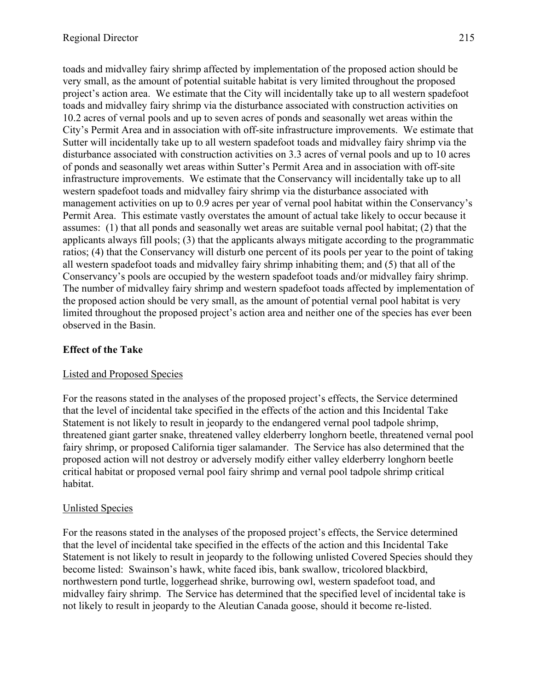toads and midvalley fairy shrimp affected by implementation of the proposed action should be very small, as the amount of potential suitable habitat is very limited throughout the proposed project's action area. We estimate that the City will incidentally take up to all western spadefoot toads and midvalley fairy shrimp via the disturbance associated with construction activities on 10.2 acres of vernal pools and up to seven acres of ponds and seasonally wet areas within the City's Permit Area and in association with off-site infrastructure improvements. We estimate that Sutter will incidentally take up to all western spadefoot toads and midvalley fairy shrimp via the disturbance associated with construction activities on 3.3 acres of vernal pools and up to 10 acres of ponds and seasonally wet areas within Sutter's Permit Area and in association with off-site infrastructure improvements. We estimate that the Conservancy will incidentally take up to all western spadefoot toads and midvalley fairy shrimp via the disturbance associated with management activities on up to 0.9 acres per year of vernal pool habitat within the Conservancy's Permit Area. This estimate vastly overstates the amount of actual take likely to occur because it assumes: (1) that all ponds and seasonally wet areas are suitable vernal pool habitat; (2) that the applicants always fill pools; (3) that the applicants always mitigate according to the programmatic ratios; (4) that the Conservancy will disturb one percent of its pools per year to the point of taking all western spadefoot toads and midvalley fairy shrimp inhabiting them; and (5) that all of the Conservancy's pools are occupied by the western spadefoot toads and/or midvalley fairy shrimp. The number of midvalley fairy shrimp and western spadefoot toads affected by implementation of the proposed action should be very small, as the amount of potential vernal pool habitat is very limited throughout the proposed project's action area and neither one of the species has ever been observed in the Basin.

## **Effect of the Take**

### Listed and Proposed Species

For the reasons stated in the analyses of the proposed project's effects, the Service determined that the level of incidental take specified in the effects of the action and this Incidental Take Statement is not likely to result in jeopardy to the endangered vernal pool tadpole shrimp, threatened giant garter snake, threatened valley elderberry longhorn beetle, threatened vernal pool fairy shrimp, or proposed California tiger salamander. The Service has also determined that the proposed action will not destroy or adversely modify either valley elderberry longhorn beetle critical habitat or proposed vernal pool fairy shrimp and vernal pool tadpole shrimp critical habitat.

### Unlisted Species

For the reasons stated in the analyses of the proposed project's effects, the Service determined that the level of incidental take specified in the effects of the action and this Incidental Take Statement is not likely to result in jeopardy to the following unlisted Covered Species should they become listed: Swainson's hawk, white faced ibis, bank swallow, tricolored blackbird, northwestern pond turtle, loggerhead shrike, burrowing owl, western spadefoot toad, and midvalley fairy shrimp. The Service has determined that the specified level of incidental take is not likely to result in jeopardy to the Aleutian Canada goose, should it become re-listed.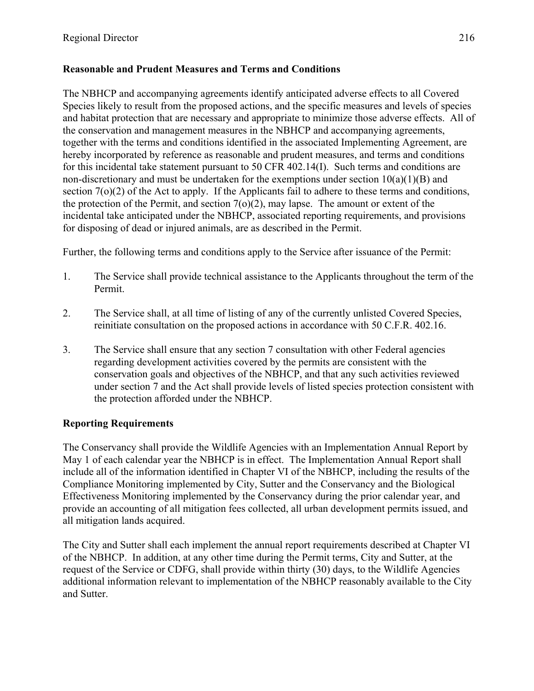# **Reasonable and Prudent Measures and Terms and Conditions**

The NBHCP and accompanying agreements identify anticipated adverse effects to all Covered Species likely to result from the proposed actions, and the specific measures and levels of species and habitat protection that are necessary and appropriate to minimize those adverse effects. All of the conservation and management measures in the NBHCP and accompanying agreements, together with the terms and conditions identified in the associated Implementing Agreement, are hereby incorporated by reference as reasonable and prudent measures, and terms and conditions for this incidental take statement pursuant to 50 CFR 402.14(I). Such terms and conditions are non-discretionary and must be undertaken for the exemptions under section  $10(a)(1)(B)$  and section 7(o)(2) of the Act to apply. If the Applicants fail to adhere to these terms and conditions, the protection of the Permit, and section  $7(0)(2)$ , may lapse. The amount or extent of the incidental take anticipated under the NBHCP, associated reporting requirements, and provisions for disposing of dead or injured animals, are as described in the Permit.

Further, the following terms and conditions apply to the Service after issuance of the Permit:

- 1. The Service shall provide technical assistance to the Applicants throughout the term of the Permit.
- 2. The Service shall, at all time of listing of any of the currently unlisted Covered Species, reinitiate consultation on the proposed actions in accordance with 50 C.F.R. 402.16.
- 3. The Service shall ensure that any section 7 consultation with other Federal agencies regarding development activities covered by the permits are consistent with the conservation goals and objectives of the NBHCP, and that any such activities reviewed under section 7 and the Act shall provide levels of listed species protection consistent with the protection afforded under the NBHCP.

## **Reporting Requirements**

The Conservancy shall provide the Wildlife Agencies with an Implementation Annual Report by May 1 of each calendar year the NBHCP is in effect. The Implementation Annual Report shall include all of the information identified in Chapter VI of the NBHCP, including the results of the Compliance Monitoring implemented by City, Sutter and the Conservancy and the Biological Effectiveness Monitoring implemented by the Conservancy during the prior calendar year, and provide an accounting of all mitigation fees collected, all urban development permits issued, and all mitigation lands acquired.

The City and Sutter shall each implement the annual report requirements described at Chapter VI of the NBHCP. In addition, at any other time during the Permit terms, City and Sutter, at the request of the Service or CDFG, shall provide within thirty (30) days, to the Wildlife Agencies additional information relevant to implementation of the NBHCP reasonably available to the City and Sutter.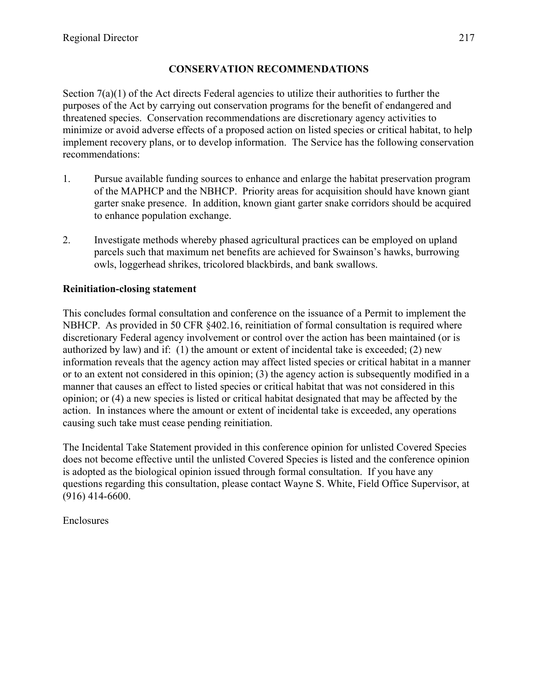# **CONSERVATION RECOMMENDATIONS**

Section  $7(a)(1)$  of the Act directs Federal agencies to utilize their authorities to further the purposes of the Act by carrying out conservation programs for the benefit of endangered and threatened species. Conservation recommendations are discretionary agency activities to minimize or avoid adverse effects of a proposed action on listed species or critical habitat, to help implement recovery plans, or to develop information. The Service has the following conservation recommendations:

- 1. Pursue available funding sources to enhance and enlarge the habitat preservation program of the MAPHCP and the NBHCP. Priority areas for acquisition should have known giant garter snake presence. In addition, known giant garter snake corridors should be acquired to enhance population exchange.
- 2. Investigate methods whereby phased agricultural practices can be employed on upland parcels such that maximum net benefits are achieved for Swainson's hawks, burrowing owls, loggerhead shrikes, tricolored blackbirds, and bank swallows.

# **Reinitiation-closing statement**

This concludes formal consultation and conference on the issuance of a Permit to implement the NBHCP. As provided in 50 CFR §402.16, reinitiation of formal consultation is required where discretionary Federal agency involvement or control over the action has been maintained (or is authorized by law) and if: (1) the amount or extent of incidental take is exceeded; (2) new information reveals that the agency action may affect listed species or critical habitat in a manner or to an extent not considered in this opinion; (3) the agency action is subsequently modified in a manner that causes an effect to listed species or critical habitat that was not considered in this opinion; or (4) a new species is listed or critical habitat designated that may be affected by the action. In instances where the amount or extent of incidental take is exceeded, any operations causing such take must cease pending reinitiation.

The Incidental Take Statement provided in this conference opinion for unlisted Covered Species does not become effective until the unlisted Covered Species is listed and the conference opinion is adopted as the biological opinion issued through formal consultation. If you have any questions regarding this consultation, please contact Wayne S. White, Field Office Supervisor, at (916) 414-6600.

Enclosures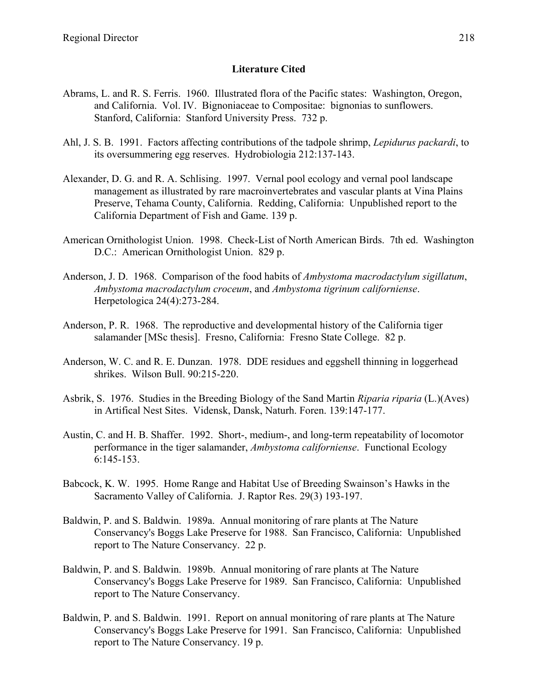### **Literature Cited**

- Abrams, L. and R. S. Ferris. 1960. Illustrated flora of the Pacific states: Washington, Oregon, and California. Vol. IV. Bignoniaceae to Compositae: bignonias to sunflowers. Stanford, California: Stanford University Press. 732 p.
- Ahl, J. S. B. 1991. Factors affecting contributions of the tadpole shrimp, *Lepidurus packardi*, to its oversummering egg reserves. Hydrobiologia 212:137-143.
- Alexander, D. G. and R. A. Schlising. 1997. Vernal pool ecology and vernal pool landscape management as illustrated by rare macroinvertebrates and vascular plants at Vina Plains Preserve, Tehama County, California. Redding, California: Unpublished report to the California Department of Fish and Game. 139 p.
- American Ornithologist Union. 1998. Check-List of North American Birds. 7th ed. Washington D.C.: American Ornithologist Union. 829 p.
- Anderson, J. D. 1968. Comparison of the food habits of *Ambystoma macrodactylum sigillatum*, *Ambystoma macrodactylum croceum*, and *Ambystoma tigrinum californiense*. Herpetologica 24(4):273-284.
- Anderson, P. R. 1968. The reproductive and developmental history of the California tiger salamander [MSc thesis]. Fresno, California: Fresno State College. 82 p.
- Anderson, W. C. and R. E. Dunzan. 1978. DDE residues and eggshell thinning in loggerhead shrikes. Wilson Bull. 90:215-220.
- Asbrik, S. 1976. Studies in the Breeding Biology of the Sand Martin *Riparia riparia* (L.)(Aves) in Artifical Nest Sites. Vidensk, Dansk, Naturh. Foren. 139:147-177.
- Austin, C. and H. B. Shaffer. 1992. Short-, medium-, and long-term repeatability of locomotor performance in the tiger salamander, *Ambystoma californiense*. Functional Ecology 6:145-153.
- Babcock, K. W. 1995. Home Range and Habitat Use of Breeding Swainson's Hawks in the Sacramento Valley of California. J. Raptor Res. 29(3) 193-197.
- Baldwin, P. and S. Baldwin. 1989a. Annual monitoring of rare plants at The Nature Conservancy's Boggs Lake Preserve for 1988. San Francisco, California: Unpublished report to The Nature Conservancy. 22 p.
- Baldwin, P. and S. Baldwin. 1989b. Annual monitoring of rare plants at The Nature Conservancy's Boggs Lake Preserve for 1989. San Francisco, California: Unpublished report to The Nature Conservancy.
- Baldwin, P. and S. Baldwin. 1991. Report on annual monitoring of rare plants at The Nature Conservancy's Boggs Lake Preserve for 1991. San Francisco, California: Unpublished report to The Nature Conservancy. 19 p.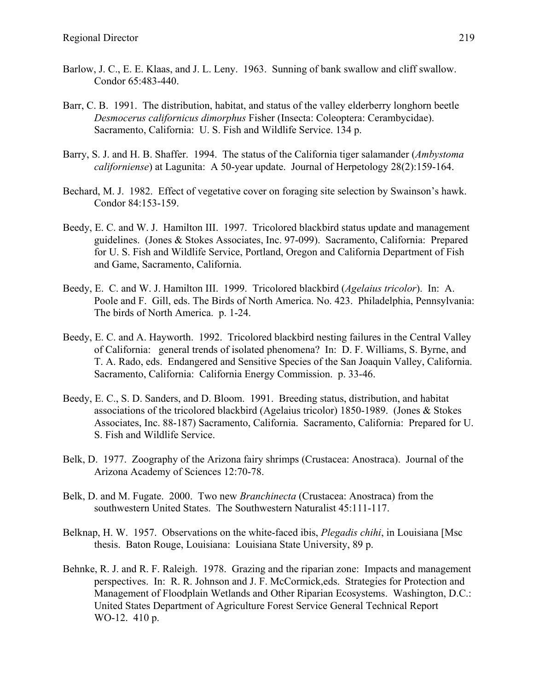- Barlow, J. C., E. E. Klaas, and J. L. Leny. 1963. Sunning of bank swallow and cliff swallow. Condor 65:483-440.
- Barr, C. B. 1991. The distribution, habitat, and status of the valley elderberry longhorn beetle *Desmocerus californicus dimorphus* Fisher (Insecta: Coleoptera: Cerambycidae). Sacramento, California: U. S. Fish and Wildlife Service. 134 p.
- Barry, S. J. and H. B. Shaffer. 1994. The status of the California tiger salamander (*Ambystoma californiense*) at Lagunita: A 50-year update. Journal of Herpetology 28(2):159-164.
- Bechard, M. J. 1982. Effect of vegetative cover on foraging site selection by Swainson's hawk. Condor 84:153-159.
- Beedy, E. C. and W. J. Hamilton III. 1997. Tricolored blackbird status update and management guidelines. (Jones & Stokes Associates, Inc. 97-099). Sacramento, California: Prepared for U. S. Fish and Wildlife Service, Portland, Oregon and California Department of Fish and Game, Sacramento, California.
- Beedy, E. C. and W. J. Hamilton III. 1999. Tricolored blackbird (*Agelaius tricolor*). In: A. Poole and F. Gill, eds. The Birds of North America. No. 423. Philadelphia, Pennsylvania: The birds of North America. p. 1-24.
- Beedy, E. C. and A. Hayworth. 1992. Tricolored blackbird nesting failures in the Central Valley of California: general trends of isolated phenomena? In: D. F. Williams, S. Byrne, and T. A. Rado, eds. Endangered and Sensitive Species of the San Joaquin Valley, California. Sacramento, California: California Energy Commission. p. 33-46.
- Beedy, E. C., S. D. Sanders, and D. Bloom. 1991. Breeding status, distribution, and habitat associations of the tricolored blackbird (Agelaius tricolor) 1850-1989. (Jones & Stokes Associates, Inc. 88-187) Sacramento, California. Sacramento, California: Prepared for U. S. Fish and Wildlife Service.
- Belk, D. 1977. Zoography of the Arizona fairy shrimps (Crustacea: Anostraca). Journal of the Arizona Academy of Sciences 12:70-78.
- Belk, D. and M. Fugate. 2000. Two new *Branchinecta* (Crustacea: Anostraca) from the southwestern United States. The Southwestern Naturalist 45:111-117.
- Belknap, H. W. 1957. Observations on the white-faced ibis, *Plegadis chihi*, in Louisiana [Msc thesis. Baton Rouge, Louisiana: Louisiana State University, 89 p.
- Behnke, R. J. and R. F. Raleigh. 1978. Grazing and the riparian zone: Impacts and management perspectives. In: R. R. Johnson and J. F. McCormick,eds. Strategies for Protection and Management of Floodplain Wetlands and Other Riparian Ecosystems. Washington, D.C.: United States Department of Agriculture Forest Service General Technical Report WO-12. 410 p.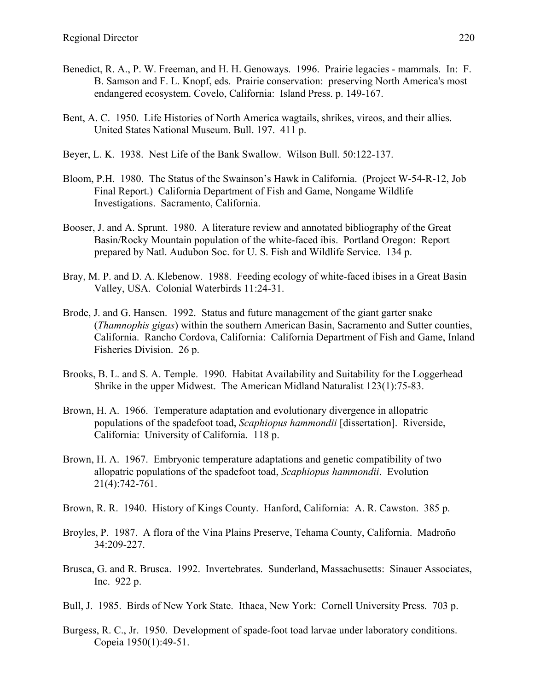- Benedict, R. A., P. W. Freeman, and H. H. Genoways. 1996. Prairie legacies mammals. In: F. B. Samson and F. L. Knopf, eds. Prairie conservation: preserving North America's most endangered ecosystem. Covelo, California: Island Press. p. 149-167.
- Bent, A. C. 1950. Life Histories of North America wagtails, shrikes, vireos, and their allies. United States National Museum. Bull. 197. 411 p.
- Beyer, L. K. 1938. Nest Life of the Bank Swallow. Wilson Bull. 50:122-137.
- Bloom, P.H. 1980. The Status of the Swainson's Hawk in California. (Project W-54-R-12, Job Final Report.) California Department of Fish and Game, Nongame Wildlife Investigations. Sacramento, California.
- Booser, J. and A. Sprunt. 1980. A literature review and annotated bibliography of the Great Basin/Rocky Mountain population of the white-faced ibis. Portland Oregon: Report prepared by Natl. Audubon Soc. for U. S. Fish and Wildlife Service. 134 p.
- Bray, M. P. and D. A. Klebenow. 1988. Feeding ecology of white-faced ibises in a Great Basin Valley, USA. Colonial Waterbirds 11:24-31.
- Brode, J. and G. Hansen. 1992. Status and future management of the giant garter snake (*Thamnophis gigas*) within the southern American Basin, Sacramento and Sutter counties, California. Rancho Cordova, California: California Department of Fish and Game, Inland Fisheries Division. 26 p.
- Brooks, B. L. and S. A. Temple. 1990. Habitat Availability and Suitability for the Loggerhead Shrike in the upper Midwest. The American Midland Naturalist 123(1):75-83.
- Brown, H. A. 1966. Temperature adaptation and evolutionary divergence in allopatric populations of the spadefoot toad, *Scaphiopus hammondii* [dissertation]. Riverside, California: University of California. 118 p.
- Brown, H. A. 1967. Embryonic temperature adaptations and genetic compatibility of two allopatric populations of the spadefoot toad, *Scaphiopus hammondii*. Evolution 21(4):742-761.
- Brown, R. R. 1940. History of Kings County. Hanford, California: A. R. Cawston. 385 p.
- Broyles, P. 1987. A flora of the Vina Plains Preserve, Tehama County, California. Madroño 34:209-227.
- Brusca, G. and R. Brusca. 1992. Invertebrates. Sunderland, Massachusetts: Sinauer Associates, Inc. 922 p.
- Bull, J. 1985. Birds of New York State. Ithaca, New York: Cornell University Press. 703 p.
- Burgess, R. C., Jr. 1950. Development of spade-foot toad larvae under laboratory conditions. Copeia 1950(1):49-51.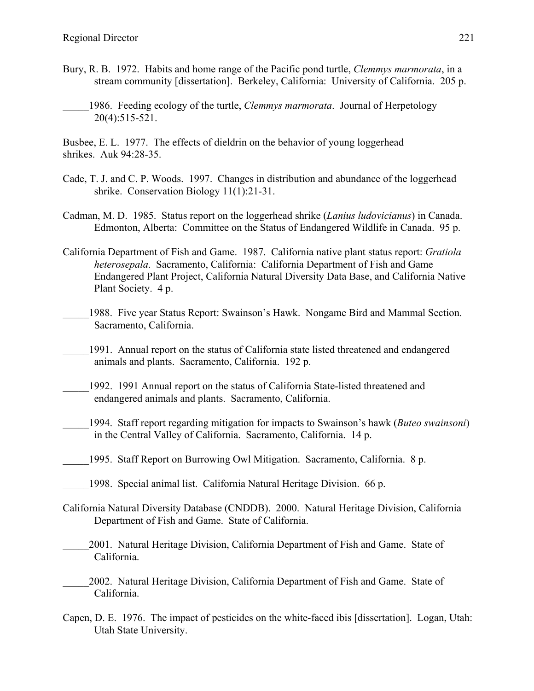- Bury, R. B. 1972. Habits and home range of the Pacific pond turtle, *Clemmys marmorata*, in a stream community [dissertation]. Berkeley, California: University of California. 205 p.
	- \_\_\_\_\_1986. Feeding ecology of the turtle, *Clemmys marmorata*. Journal of Herpetology 20(4):515-521.

Busbee, E. L. 1977. The effects of dieldrin on the behavior of young loggerhead shrikes. Auk 94:28-35.

- Cade, T. J. and C. P. Woods. 1997. Changes in distribution and abundance of the loggerhead shrike. Conservation Biology 11(1):21-31.
- Cadman, M. D. 1985. Status report on the loggerhead shrike (*Lanius ludovicianus*) in Canada. Edmonton, Alberta: Committee on the Status of Endangered Wildlife in Canada. 95 p.
- California Department of Fish and Game. 1987. California native plant status report: *Gratiola heterosepala*. Sacramento, California: California Department of Fish and Game Endangered Plant Project, California Natural Diversity Data Base, and California Native Plant Society. 4 p.
- 1988. Five year Status Report: Swainson's Hawk. Nongame Bird and Mammal Section. Sacramento, California.
- 1991. Annual report on the status of California state listed threatened and endangered animals and plants. Sacramento, California. 192 p.
- \_\_\_\_\_1992. 1991 Annual report on the status of California State-listed threatened and endangered animals and plants. Sacramento, California.
- \_\_\_\_\_1994. Staff report regarding mitigation for impacts to Swainson's hawk (*Buteo swainsoni*) in the Central Valley of California. Sacramento, California. 14 p.
- \_\_\_\_\_1995. Staff Report on Burrowing Owl Mitigation. Sacramento, California. 8 p.

- California Natural Diversity Database (CNDDB). 2000. Natural Heritage Division, California Department of Fish and Game. State of California.
	- 2001. Natural Heritage Division, California Department of Fish and Game. State of California.
	- 2002. Natural Heritage Division, California Department of Fish and Game. State of California.
- Capen, D. E. 1976. The impact of pesticides on the white-faced ibis [dissertation]. Logan, Utah: Utah State University.

\_\_\_\_\_1998. Special animal list. California Natural Heritage Division. 66 p.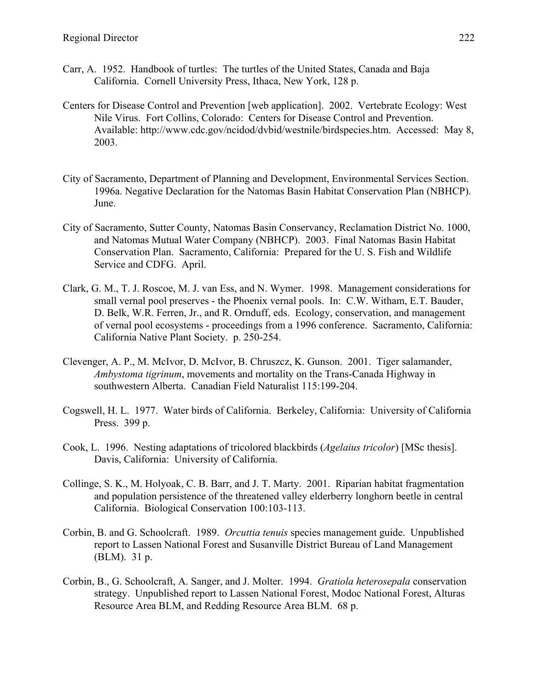- Carr, A. 1952. Handbook of turtles: The turtles of the United States, Canada and Baja California. Cornell University Press, Ithaca, New York, 128 p.
- Centers for Disease Control and Prevention [web application]. 2002. Vertebrate Ecology: West Nile Virus. Fort Collins, Colorado: Centers for Disease Control and Prevention. Available: http://www.cdc.gov/ncidod/dvbid/westnile/birdspecies.htm. Accessed: May 8, 2003.
- City of Sacramento, Department of Planning and Development, Environmental Services Section. 1996a. Negative Declaration for the Natomas Basin Habitat Conservation Plan (NBHCP). June.
- City of Sacramento, Sutter County, Natomas Basin Conservancy, Reclamation District No. 1000, and Natomas Mutual Water Company (NBHCP). 2003. Final Natomas Basin Habitat Conservation Plan. Sacramento, California: Prepared for the U. S. Fish and Wildlife Service and CDFG. April.
- Clark, G. M., T. J. Roscoe, M. J. van Ess, and N. Wymer. 1998. Management considerations for small vernal pool preserves - the Phoenix vernal pools. In: C.W. Witham, E.T. Bauder, D. Belk, W.R. Ferren, Jr., and R. Ornduff, eds. Ecology, conservation, and management of vernal pool ecosystems - proceedings from a 1996 conference. Sacramento, California: California Native Plant Society. p. 250-254.
- Clevenger, A. P., M. McIvor, D. McIvor, B. Chruszcz, K. Gunson. 2001. Tiger salamander, *Ambystoma tigrinum*, movements and mortality on the Trans-Canada Highway in southwestern Alberta. Canadian Field Naturalist 115:199-204.
- Cogswell, H. L. 1977. Water birds of California. Berkeley, California: University of California Press. 399 p.
- Cook, L. 1996. Nesting adaptations of tricolored blackbirds (*Agelaius tricolor*) [MSc thesis]. Davis, California: University of California.
- Collinge, S. K., M. Holyoak, C. B. Barr, and J. T. Marty. 2001. Riparian habitat fragmentation and population persistence of the threatened valley elderberry longhorn beetle in central California. Biological Conservation 100:103-113.
- Corbin, B. and G. Schoolcraft. 1989. *Orcuttia tenuis* species management guide. Unpublished report to Lassen National Forest and Susanville District Bureau of Land Management (BLM). 31 p.
- Corbin, B., G. Schoolcraft, A. Sanger, and J. Molter. 1994. *Gratiola heterosepala* conservation strategy. Unpublished report to Lassen National Forest, Modoc National Forest, Alturas Resource Area BLM, and Redding Resource Area BLM. 68 p.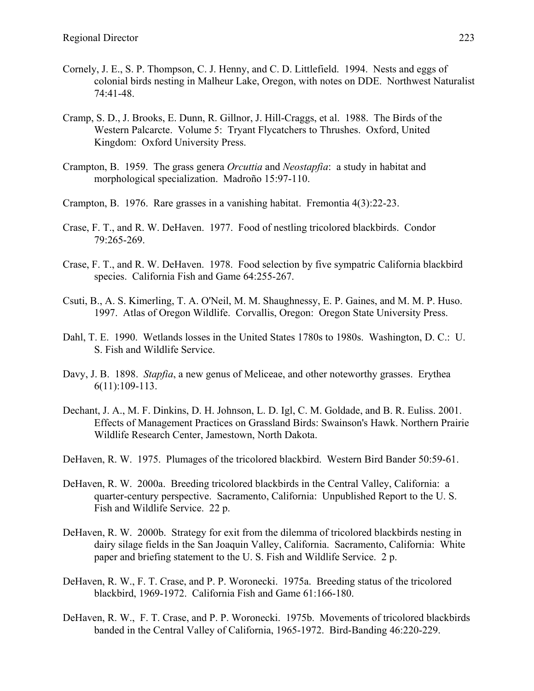- Cornely, J. E., S. P. Thompson, C. J. Henny, and C. D. Littlefield. 1994. Nests and eggs of colonial birds nesting in Malheur Lake, Oregon, with notes on DDE. Northwest Naturalist 74:41-48.
- Cramp, S. D., J. Brooks, E. Dunn, R. Gillnor, J. Hill-Craggs, et al. 1988. The Birds of the Western Palcarcte. Volume 5: Tryant Flycatchers to Thrushes. Oxford, United Kingdom: Oxford University Press.
- Crampton, B. 1959. The grass genera *Orcuttia* and *Neostapfia*: a study in habitat and morphological specialization. Madroño 15:97-110.
- Crampton, B. 1976. Rare grasses in a vanishing habitat. Fremontia 4(3):22-23.
- Crase, F. T., and R. W. DeHaven. 1977. Food of nestling tricolored blackbirds. Condor 79:265-269.
- Crase, F. T., and R. W. DeHaven. 1978. Food selection by five sympatric California blackbird species. California Fish and Game 64:255-267.
- Csuti, B., A. S. Kimerling, T. A. O'Neil, M. M. Shaughnessy, E. P. Gaines, and M. M. P. Huso. 1997. Atlas of Oregon Wildlife. Corvallis, Oregon: Oregon State University Press.
- Dahl, T. E. 1990. Wetlands losses in the United States 1780s to 1980s. Washington, D. C.: U. S. Fish and Wildlife Service.
- Davy, J. B. 1898. *Stapfia*, a new genus of Meliceae, and other noteworthy grasses. Erythea 6(11):109-113.
- Dechant, J. A., M. F. Dinkins, D. H. Johnson, L. D. Igl, C. M. Goldade, and B. R. Euliss. 2001. Effects of Management Practices on Grassland Birds: Swainson's Hawk. Northern Prairie Wildlife Research Center, Jamestown, North Dakota.
- DeHaven, R. W. 1975. Plumages of the tricolored blackbird. Western Bird Bander 50:59-61.
- DeHaven, R. W. 2000a. Breeding tricolored blackbirds in the Central Valley, California: a quarter-century perspective. Sacramento, California: Unpublished Report to the U. S. Fish and Wildlife Service. 22 p.
- DeHaven, R. W. 2000b. Strategy for exit from the dilemma of tricolored blackbirds nesting in dairy silage fields in the San Joaquin Valley, California. Sacramento, California: White paper and briefing statement to the U. S. Fish and Wildlife Service. 2 p.
- DeHaven, R. W., F. T. Crase, and P. P. Woronecki. 1975a. Breeding status of the tricolored blackbird, 1969-1972. California Fish and Game 61:166-180.
- DeHaven, R. W., F. T. Crase, and P. P. Woronecki. 1975b. Movements of tricolored blackbirds banded in the Central Valley of California, 1965-1972. Bird-Banding 46:220-229.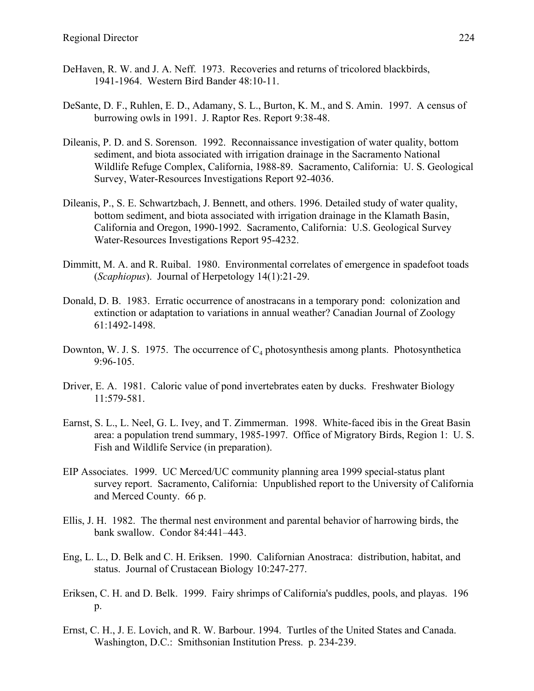- DeHaven, R. W. and J. A. Neff. 1973. Recoveries and returns of tricolored blackbirds, 1941-1964. Western Bird Bander 48:10-11.
- DeSante, D. F., Ruhlen, E. D., Adamany, S. L., Burton, K. M., and S. Amin. 1997. A census of burrowing owls in 1991. J. Raptor Res. Report 9:38-48.
- Dileanis, P. D. and S. Sorenson. 1992. Reconnaissance investigation of water quality, bottom sediment, and biota associated with irrigation drainage in the Sacramento National Wildlife Refuge Complex, California, 1988-89. Sacramento, California: U. S. Geological Survey, Water-Resources Investigations Report 92-4036.
- Dileanis, P., S. E. Schwartzbach, J. Bennett, and others. 1996. Detailed study of water quality, bottom sediment, and biota associated with irrigation drainage in the Klamath Basin, California and Oregon, 1990-1992. Sacramento, California: U.S. Geological Survey Water-Resources Investigations Report 95-4232.
- Dimmitt, M. A. and R. Ruibal. 1980. Environmental correlates of emergence in spadefoot toads (*Scaphiopus*). Journal of Herpetology 14(1):21-29.
- Donald, D. B. 1983. Erratic occurrence of anostracans in a temporary pond: colonization and extinction or adaptation to variations in annual weather? Canadian Journal of Zoology 61:1492-1498.
- Downton, W. J. S. 1975. The occurrence of  $C_4$  photosynthesis among plants. Photosynthetica 9:96-105.
- Driver, E. A. 1981. Caloric value of pond invertebrates eaten by ducks. Freshwater Biology 11:579-581.
- Earnst, S. L., L. Neel, G. L. Ivey, and T. Zimmerman. 1998. White-faced ibis in the Great Basin area: a population trend summary, 1985-1997. Office of Migratory Birds, Region 1: U. S. Fish and Wildlife Service (in preparation).
- EIP Associates. 1999. UC Merced/UC community planning area 1999 special-status plant survey report. Sacramento, California: Unpublished report to the University of California and Merced County. 66 p.
- Ellis, J. H. 1982. The thermal nest environment and parental behavior of harrowing birds, the bank swallow. Condor 84:441–443.
- Eng, L. L., D. Belk and C. H. Eriksen. 1990. Californian Anostraca: distribution, habitat, and status. Journal of Crustacean Biology 10:247-277.
- Eriksen, C. H. and D. Belk. 1999. Fairy shrimps of California's puddles, pools, and playas. 196 p.
- Ernst, C. H., J. E. Lovich, and R. W. Barbour. 1994. Turtles of the United States and Canada. Washington, D.C.: Smithsonian Institution Press. p. 234-239.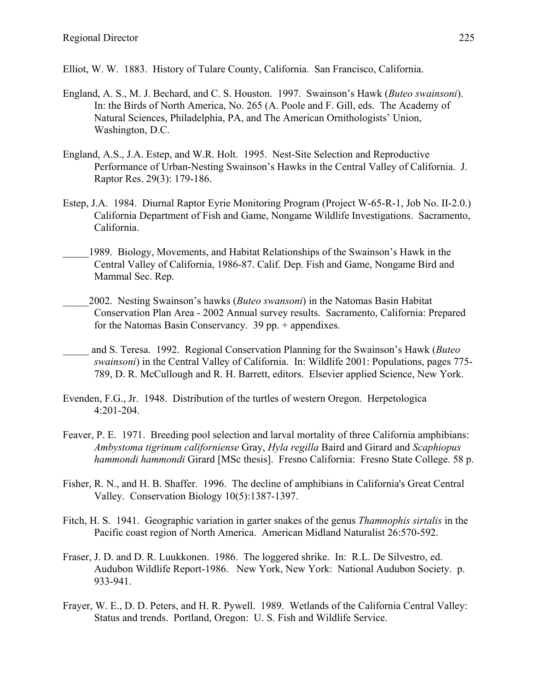Elliot, W. W. 1883. History of Tulare County, California. San Francisco, California.

- England, A. S., M. J. Bechard, and C. S. Houston. 1997. Swainson's Hawk (*Buteo swainsoni*). In: the Birds of North America, No. 265 (A. Poole and F. Gill, eds. The Academy of Natural Sciences, Philadelphia, PA, and The American Ornithologists' Union, Washington, D.C.
- England, A.S., J.A. Estep, and W.R. Holt. 1995. Nest-Site Selection and Reproductive Performance of Urban-Nesting Swainson's Hawks in the Central Valley of California. J. Raptor Res. 29(3): 179-186.
- Estep, J.A. 1984. Diurnal Raptor Eyrie Monitoring Program (Project W-65-R-1, Job No. II-2.0.) California Department of Fish and Game, Nongame Wildlife Investigations. Sacramento, California.
- 1989. Biology, Movements, and Habitat Relationships of the Swainson's Hawk in the Central Valley of California, 1986-87. Calif. Dep. Fish and Game, Nongame Bird and Mammal Sec. Rep.
	- \_\_\_\_\_2002. Nesting Swainson's hawks (*Buteo swansoni*) in the Natomas Basin Habitat Conservation Plan Area - 2002 Annual survey results. Sacramento, California: Prepared for the Natomas Basin Conservancy. 39 pp. + appendixes.
- \_\_\_\_\_ and S. Teresa. 1992. Regional Conservation Planning for the Swainson's Hawk (*Buteo swainsoni*) in the Central Valley of California. In: Wildlife 2001: Populations, pages 775- 789, D. R. McCullough and R. H. Barrett, editors. Elsevier applied Science, New York.
- Evenden, F.G., Jr. 1948. Distribution of the turtles of western Oregon. Herpetologica 4:201-204.
- Feaver, P. E. 1971. Breeding pool selection and larval mortality of three California amphibians: *Ambystoma tigrinum californiense* Gray, *Hyla regilla* Baird and Girard and *Scaphiopus hammondi hammondi* Girard [MSc thesis]. Fresno California: Fresno State College. 58 p.
- Fisher, R. N., and H. B. Shaffer. 1996. The decline of amphibians in California's Great Central Valley. Conservation Biology 10(5):1387-1397.
- Fitch, H. S. 1941. Geographic variation in garter snakes of the genus *Thamnophis sirtalis* in the Pacific coast region of North America. American Midland Naturalist 26:570-592.
- Fraser, J. D. and D. R. Luukkonen. 1986. The loggered shrike. In: R.L. De Silvestro, ed. Audubon Wildlife Report-1986. New York, New York: National Audubon Society. p. 933-941.
- Frayer, W. E., D. D. Peters, and H. R. Pywell. 1989. Wetlands of the California Central Valley: Status and trends. Portland, Oregon: U. S. Fish and Wildlife Service.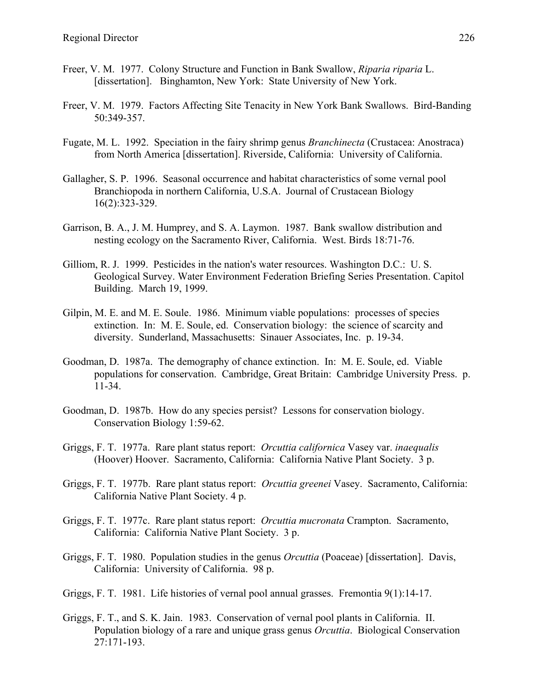- Freer, V. M. 1977. Colony Structure and Function in Bank Swallow, *Riparia riparia* L. [dissertation]. Binghamton, New York: State University of New York.
- Freer, V. M. 1979. Factors Affecting Site Tenacity in New York Bank Swallows. Bird-Banding 50:349-357.
- Fugate, M. L. 1992. Speciation in the fairy shrimp genus *Branchinecta* (Crustacea: Anostraca) from North America [dissertation]. Riverside, California: University of California.
- Gallagher, S. P. 1996. Seasonal occurrence and habitat characteristics of some vernal pool Branchiopoda in northern California, U.S.A. Journal of Crustacean Biology 16(2):323-329.
- Garrison, B. A., J. M. Humprey, and S. A. Laymon. 1987. Bank swallow distribution and nesting ecology on the Sacramento River, California. West. Birds 18:71-76.
- Gilliom, R. J. 1999. Pesticides in the nation's water resources. Washington D.C.: U. S. Geological Survey. Water Environment Federation Briefing Series Presentation. Capitol Building. March 19, 1999.
- Gilpin, M. E. and M. E. Soule. 1986. Minimum viable populations: processes of species extinction. In: M. E. Soule, ed. Conservation biology: the science of scarcity and diversity. Sunderland, Massachusetts: Sinauer Associates, Inc. p. 19-34.
- Goodman, D. 1987a. The demography of chance extinction. In: M. E. Soule, ed. Viable populations for conservation. Cambridge, Great Britain: Cambridge University Press. p. 11-34.
- Goodman, D. 1987b. How do any species persist? Lessons for conservation biology. Conservation Biology 1:59-62.
- Griggs, F. T. 1977a. Rare plant status report: *Orcuttia californica* Vasey var. *inaequalis* (Hoover) Hoover. Sacramento, California: California Native Plant Society. 3 p.
- Griggs, F. T. 1977b. Rare plant status report: *Orcuttia greenei* Vasey. Sacramento, California: California Native Plant Society. 4 p.
- Griggs, F. T. 1977c. Rare plant status report: *Orcuttia mucronata* Crampton. Sacramento, California: California Native Plant Society. 3 p.
- Griggs, F. T. 1980. Population studies in the genus *Orcuttia* (Poaceae) [dissertation]. Davis, California: University of California. 98 p.
- Griggs, F. T. 1981. Life histories of vernal pool annual grasses. Fremontia 9(1):14-17.
- Griggs, F. T., and S. K. Jain. 1983. Conservation of vernal pool plants in California. II. Population biology of a rare and unique grass genus *Orcuttia*. Biological Conservation 27:171-193.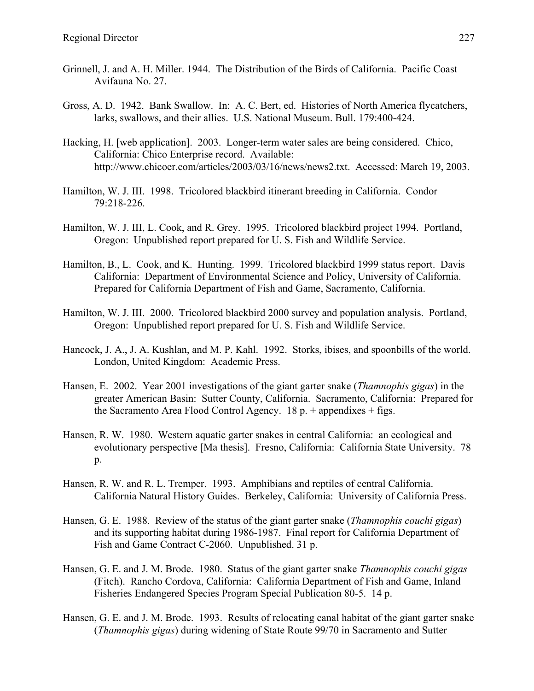- Grinnell, J. and A. H. Miller. 1944. The Distribution of the Birds of California. Pacific Coast Avifauna No. 27.
- Gross, A. D. 1942. Bank Swallow. In: A. C. Bert, ed. Histories of North America flycatchers, larks, swallows, and their allies. U.S. National Museum. Bull. 179:400-424.
- Hacking, H. [web application]. 2003. Longer-term water sales are being considered. Chico, California: Chico Enterprise record. Available: http://www.chicoer.com/articles/2003/03/16/news/news2.txt. Accessed: March 19, 2003.
- Hamilton, W. J. III. 1998. Tricolored blackbird itinerant breeding in California. Condor 79:218-226.
- Hamilton, W. J. III, L. Cook, and R. Grey. 1995. Tricolored blackbird project 1994. Portland, Oregon: Unpublished report prepared for U. S. Fish and Wildlife Service.
- Hamilton, B., L. Cook, and K. Hunting. 1999. Tricolored blackbird 1999 status report. Davis California: Department of Environmental Science and Policy, University of California. Prepared for California Department of Fish and Game, Sacramento, California.
- Hamilton, W. J. III. 2000. Tricolored blackbird 2000 survey and population analysis. Portland, Oregon: Unpublished report prepared for U. S. Fish and Wildlife Service.
- Hancock, J. A., J. A. Kushlan, and M. P. Kahl. 1992. Storks, ibises, and spoonbills of the world. London, United Kingdom: Academic Press.
- Hansen, E. 2002. Year 2001 investigations of the giant garter snake (*Thamnophis gigas*) in the greater American Basin: Sutter County, California. Sacramento, California: Prepared for the Sacramento Area Flood Control Agency. 18 p. + appendixes + figs.
- Hansen, R. W. 1980. Western aquatic garter snakes in central California: an ecological and evolutionary perspective [Ma thesis]. Fresno, California: California State University. 78 p.
- Hansen, R. W. and R. L. Tremper. 1993. Amphibians and reptiles of central California. California Natural History Guides. Berkeley, California: University of California Press.
- Hansen, G. E. 1988. Review of the status of the giant garter snake (*Thamnophis couchi gigas*) and its supporting habitat during 1986-1987. Final report for California Department of Fish and Game Contract C-2060. Unpublished. 31 p.
- Hansen, G. E. and J. M. Brode. 1980. Status of the giant garter snake *Thamnophis couchi gigas* (Fitch). Rancho Cordova, California: California Department of Fish and Game, Inland Fisheries Endangered Species Program Special Publication 80-5. 14 p.
- Hansen, G. E. and J. M. Brode. 1993. Results of relocating canal habitat of the giant garter snake (*Thamnophis gigas*) during widening of State Route 99/70 in Sacramento and Sutter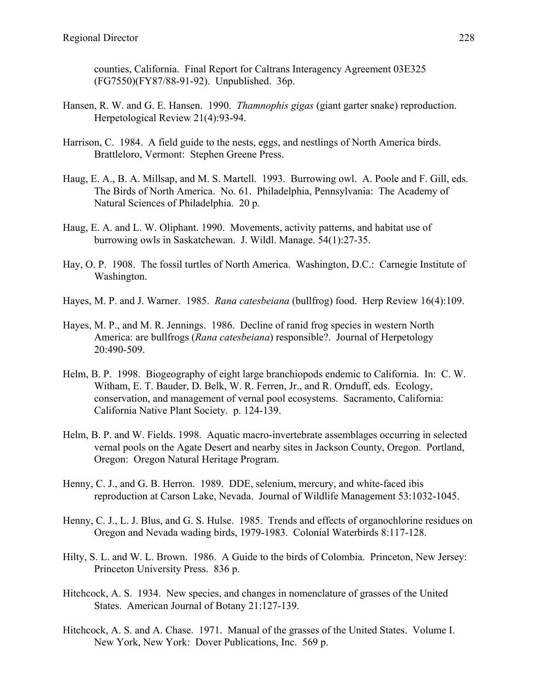counties, California. Final Report for Caltrans Interagency Agreement 03E325 (FG7550)(FY87/88-91-92). Unpublished. 36p.

- Hansen, R. W. and G. E. Hansen. 1990. *Thamnophis gigas* (giant garter snake) reproduction. Herpetological Review 21(4):93-94.
- Harrison, C. 1984. A field guide to the nests, eggs, and nestlings of North America birds. Brattleloro, Vermont: Stephen Greene Press.
- Haug, E. A., B. A. Millsap, and M. S. Martell. 1993. Burrowing owl. A. Poole and F. Gill, eds. The Birds of North America. No. 61. Philadelphia, Pennsylvania: The Academy of Natural Sciences of Philadelphia. 20 p.
- Haug, E. A. and L. W. Oliphant. 1990. Movements, activity patterns, and habitat use of burrowing owls in Saskatchewan. J. Wildl. Manage. 54(1):27-35.
- Hay, O. P. 1908. The fossil turtles of North America. Washington, D.C.: Carnegie Institute of Washington.
- Hayes, M. P. and J. Warner. 1985. *Rana catesbeiana* (bullfrog) food. Herp Review 16(4):109.
- Hayes, M. P., and M. R. Jennings. 1986. Decline of ranid frog species in western North America: are bullfrogs (*Rana catesbeiana*) responsible?. Journal of Herpetology 20:490-509.
- Helm, B. P. 1998. Biogeography of eight large branchiopods endemic to California. In: C. W. Witham, E. T. Bauder, D. Belk, W. R. Ferren, Jr., and R. Ornduff, eds. Ecology, conservation, and management of vernal pool ecosystems. Sacramento, California: California Native Plant Society. p. 124-139.
- Helm, B. P. and W. Fields. 1998. Aquatic macro-invertebrate assemblages occurring in selected vernal pools on the Agate Desert and nearby sites in Jackson County, Oregon. Portland, Oregon: Oregon Natural Heritage Program.
- Henny, C. J., and G. B. Herron. 1989. DDE, selenium, mercury, and white-faced ibis reproduction at Carson Lake, Nevada. Journal of Wildlife Management 53:1032-1045.
- Henny, C. J., L. J. Blus, and G. S. Hulse. 1985. Trends and effects of organochlorine residues on Oregon and Nevada wading birds, 1979-1983. Colonial Waterbirds 8:117-128.
- Hilty, S. L. and W. L. Brown. 1986. A Guide to the birds of Colombia. Princeton, New Jersey: Princeton University Press. 836 p.
- Hitchcock, A. S. 1934. New species, and changes in nomenclature of grasses of the United States. American Journal of Botany 21:127-139.
- Hitchcock, A. S. and A. Chase. 1971. Manual of the grasses of the United States. Volume I. New York, New York: Dover Publications, Inc. 569 p.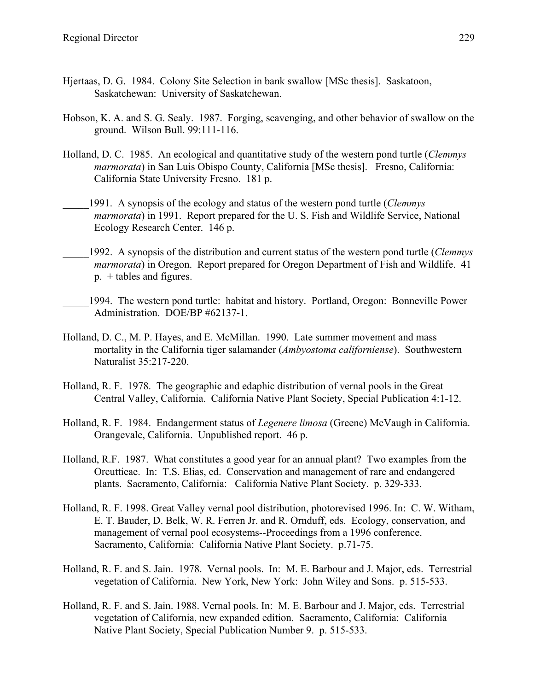- Hjertaas, D. G. 1984. Colony Site Selection in bank swallow [MSc thesis]. Saskatoon, Saskatchewan: University of Saskatchewan.
- Hobson, K. A. and S. G. Sealy. 1987. Forging, scavenging, and other behavior of swallow on the ground. Wilson Bull. 99:111-116.
- Holland, D. C. 1985. An ecological and quantitative study of the western pond turtle (*Clemmys marmorata*) in San Luis Obispo County, California [MSc thesis]. Fresno, California: California State University Fresno. 181 p.
- \_\_\_\_\_1991. A synopsis of the ecology and status of the western pond turtle (*Clemmys marmorata*) in 1991. Report prepared for the U. S. Fish and Wildlife Service, National Ecology Research Center. 146 p.
- \_\_\_\_\_1992. A synopsis of the distribution and current status of the western pond turtle (*Clemmys marmorata*) in Oregon. Report prepared for Oregon Department of Fish and Wildlife. 41 p. + tables and figures.
- \_\_\_\_\_1994. The western pond turtle: habitat and history. Portland, Oregon: Bonneville Power Administration. DOE/BP #62137-1.
- Holland, D. C., M. P. Hayes, and E. McMillan. 1990. Late summer movement and mass mortality in the California tiger salamander (*Ambyostoma californiense*). Southwestern Naturalist 35:217-220.
- Holland, R. F. 1978. The geographic and edaphic distribution of vernal pools in the Great Central Valley, California. California Native Plant Society, Special Publication 4:1-12.
- Holland, R. F. 1984. Endangerment status of *Legenere limosa* (Greene) McVaugh in California. Orangevale, California. Unpublished report. 46 p.
- Holland, R.F. 1987. What constitutes a good year for an annual plant? Two examples from the Orcuttieae. In: T.S. Elias, ed. Conservation and management of rare and endangered plants. Sacramento, California: California Native Plant Society. p. 329-333.
- Holland, R. F. 1998. Great Valley vernal pool distribution, photorevised 1996. In: C. W. Witham, E. T. Bauder, D. Belk, W. R. Ferren Jr. and R. Ornduff, eds. Ecology, conservation, and management of vernal pool ecosystems--Proceedings from a 1996 conference. Sacramento, California: California Native Plant Society. p.71-75.
- Holland, R. F. and S. Jain. 1978. Vernal pools. In: M. E. Barbour and J. Major, eds. Terrestrial vegetation of California. New York, New York: John Wiley and Sons. p. 515-533.
- Holland, R. F. and S. Jain. 1988. Vernal pools. In: M. E. Barbour and J. Major, eds. Terrestrial vegetation of California, new expanded edition. Sacramento, California: California Native Plant Society, Special Publication Number 9. p. 515-533.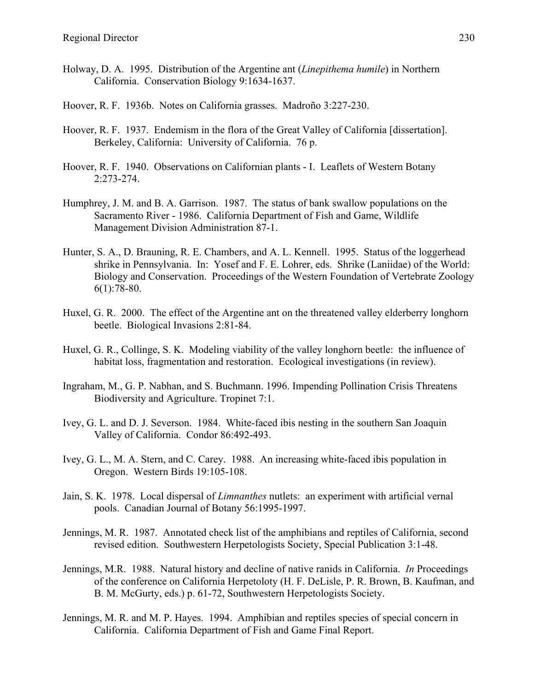- Holway, D. A. 1995. Distribution of the Argentine ant (*Linepithema humile*) in Northern California. Conservation Biology 9:1634-1637.
- Hoover, R. F. 1936b. Notes on California grasses. Madroño 3:227-230.
- Hoover, R. F. 1937. Endemism in the flora of the Great Valley of California [dissertation]. Berkeley, California: University of California. 76 p.
- Hoover, R. F. 1940. Observations on Californian plants I. Leaflets of Western Botany 2:273-274.
- Humphrey, J. M. and B. A. Garrison. 1987. The status of bank swallow populations on the Sacramento River - 1986. California Department of Fish and Game, Wildlife Management Division Administration 87-1.
- Hunter, S. A., D. Brauning, R. E. Chambers, and A. L. Kennell. 1995. Status of the loggerhead shrike in Pennsylvania. In: Yosef and F. E. Lohrer, eds. Shrike (Laniidae) of the World: Biology and Conservation. Proceedings of the Western Foundation of Vertebrate Zoology  $6(1)$ :78-80.
- Huxel, G. R. 2000. The effect of the Argentine ant on the threatened valley elderberry longhorn beetle. Biological Invasions 2:81-84.
- Huxel, G. R., Collinge, S. K. Modeling viability of the valley longhorn beetle: the influence of habitat loss, fragmentation and restoration. Ecological investigations (in review).
- Ingraham, M., G. P. Nabhan, and S. Buchmann. 1996. Impending Pollination Crisis Threatens Biodiversity and Agriculture. Tropinet 7:1.
- Ivey, G. L. and D. J. Severson. 1984. White-faced ibis nesting in the southern San Joaquin Valley of California. Condor 86:492-493.
- Ivey, G. L., M. A. Stern, and C. Carey. 1988. An increasing white-faced ibis population in Oregon. Western Birds 19:105-108.
- Jain, S. K. 1978. Local dispersal of *Limnanthes* nutlets: an experiment with artificial vernal pools. Canadian Journal of Botany 56:1995-1997.
- Jennings, M. R. 1987. Annotated check list of the amphibians and reptiles of California, second revised edition. Southwestern Herpetologists Society, Special Publication 3:1-48.
- Jennings, M.R. 1988. Natural history and decline of native ranids in California. *In* Proceedings of the conference on California Herpetoloty (H. F. DeLisle, P. R. Brown, B. Kaufman, and B. M. McGurty, eds.) p. 61-72, Southwestern Herpetologists Society.
- Jennings, M. R. and M. P. Hayes. 1994. Amphibian and reptiles species of special concern in California. California Department of Fish and Game Final Report.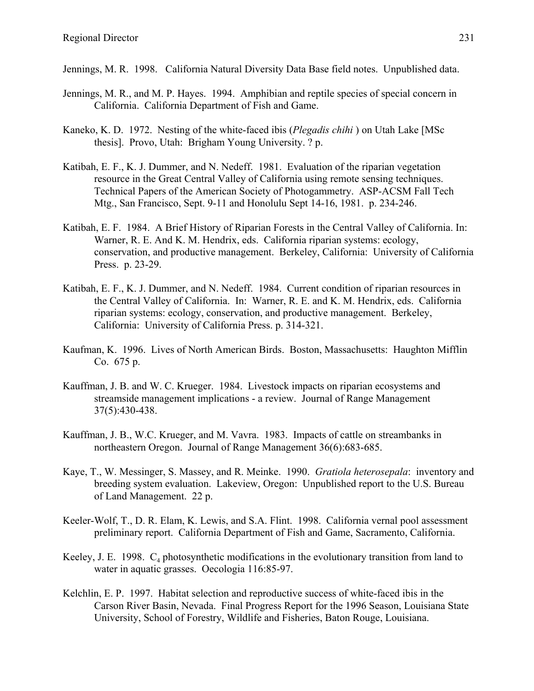Jennings, M. R. 1998. California Natural Diversity Data Base field notes. Unpublished data.

- Jennings, M. R., and M. P. Hayes. 1994. Amphibian and reptile species of special concern in California. California Department of Fish and Game.
- Kaneko, K. D. 1972. Nesting of the white-faced ibis (*Plegadis chihi* ) on Utah Lake [MSc thesis]. Provo, Utah: Brigham Young University. ? p.
- Katibah, E. F., K. J. Dummer, and N. Nedeff. 1981. Evaluation of the riparian vegetation resource in the Great Central Valley of California using remote sensing techniques. Technical Papers of the American Society of Photogammetry. ASP-ACSM Fall Tech Mtg., San Francisco, Sept. 9-11 and Honolulu Sept 14-16, 1981. p. 234-246.
- Katibah, E. F. 1984. A Brief History of Riparian Forests in the Central Valley of California. In: Warner, R. E. And K. M. Hendrix, eds. California riparian systems: ecology, conservation, and productive management. Berkeley, California: University of California Press. p. 23-29.
- Katibah, E. F., K. J. Dummer, and N. Nedeff. 1984. Current condition of riparian resources in the Central Valley of California. In: Warner, R. E. and K. M. Hendrix, eds. California riparian systems: ecology, conservation, and productive management. Berkeley, California: University of California Press. p. 314-321.
- Kaufman, K. 1996. Lives of North American Birds. Boston, Massachusetts: Haughton Mifflin Co. 675 p.
- Kauffman, J. B. and W. C. Krueger. 1984. Livestock impacts on riparian ecosystems and streamside management implications - a review. Journal of Range Management 37(5):430-438.
- Kauffman, J. B., W.C. Krueger, and M. Vavra. 1983. Impacts of cattle on streambanks in northeastern Oregon. Journal of Range Management 36(6):683-685.
- Kaye, T., W. Messinger, S. Massey, and R. Meinke. 1990. *Gratiola heterosepala*: inventory and breeding system evaluation. Lakeview, Oregon: Unpublished report to the U.S. Bureau of Land Management. 22 p.
- Keeler-Wolf, T., D. R. Elam, K. Lewis, and S.A. Flint. 1998. California vernal pool assessment preliminary report. California Department of Fish and Game, Sacramento, California.
- Keeley, J. E. 1998.  $C_4$  photosynthetic modifications in the evolutionary transition from land to water in aquatic grasses. Oecologia 116:85-97.
- Kelchlin, E. P. 1997. Habitat selection and reproductive success of white-faced ibis in the Carson River Basin, Nevada. Final Progress Report for the 1996 Season, Louisiana State University, School of Forestry, Wildlife and Fisheries, Baton Rouge, Louisiana.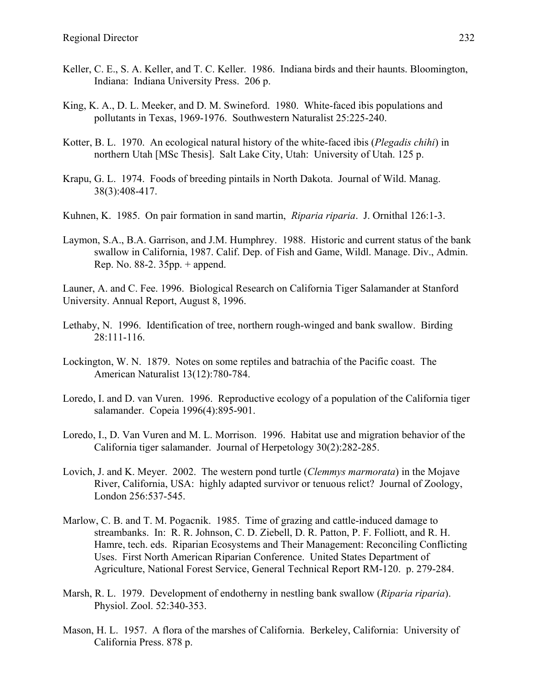- Keller, C. E., S. A. Keller, and T. C. Keller. 1986. Indiana birds and their haunts. Bloomington, Indiana: Indiana University Press. 206 p.
- King, K. A., D. L. Meeker, and D. M. Swineford. 1980. White-faced ibis populations and pollutants in Texas, 1969-1976. Southwestern Naturalist 25:225-240.
- Kotter, B. L. 1970. An ecological natural history of the white-faced ibis (*Plegadis chihi*) in northern Utah [MSc Thesis]. Salt Lake City, Utah: University of Utah. 125 p.
- Krapu, G. L. 1974. Foods of breeding pintails in North Dakota. Journal of Wild. Manag. 38(3):408-417.
- Kuhnen, K. 1985. On pair formation in sand martin, *Riparia riparia*. J. Ornithal 126:1-3.
- Laymon, S.A., B.A. Garrison, and J.M. Humphrey. 1988. Historic and current status of the bank swallow in California, 1987. Calif. Dep. of Fish and Game, Wildl. Manage. Div., Admin. Rep. No. 88-2. 35pp. + append.

Launer, A. and C. Fee. 1996. Biological Research on California Tiger Salamander at Stanford University. Annual Report, August 8, 1996.

- Lethaby, N. 1996. Identification of tree, northern rough-winged and bank swallow. Birding 28:111-116.
- Lockington, W. N. 1879. Notes on some reptiles and batrachia of the Pacific coast. The American Naturalist 13(12):780-784.
- Loredo, I. and D. van Vuren. 1996. Reproductive ecology of a population of the California tiger salamander. Copeia 1996(4):895-901.
- Loredo, I., D. Van Vuren and M. L. Morrison. 1996. Habitat use and migration behavior of the California tiger salamander. Journal of Herpetology 30(2):282-285.
- Lovich, J. and K. Meyer. 2002. The western pond turtle (*Clemmys marmorata*) in the Mojave River, California, USA: highly adapted survivor or tenuous relict? Journal of Zoology, London 256:537-545.
- Marlow, C. B. and T. M. Pogacnik. 1985. Time of grazing and cattle-induced damage to streambanks. In: R. R. Johnson, C. D. Ziebell, D. R. Patton, P. F. Folliott, and R. H. Hamre, tech. eds. Riparian Ecosystems and Their Management: Reconciling Conflicting Uses. First North American Riparian Conference. United States Department of Agriculture, National Forest Service, General Technical Report RM-120. p. 279-284.
- Marsh, R. L. 1979. Development of endotherny in nestling bank swallow (*Riparia riparia*). Physiol. Zool. 52:340-353.
- Mason, H. L. 1957. A flora of the marshes of California. Berkeley, California: University of California Press. 878 p.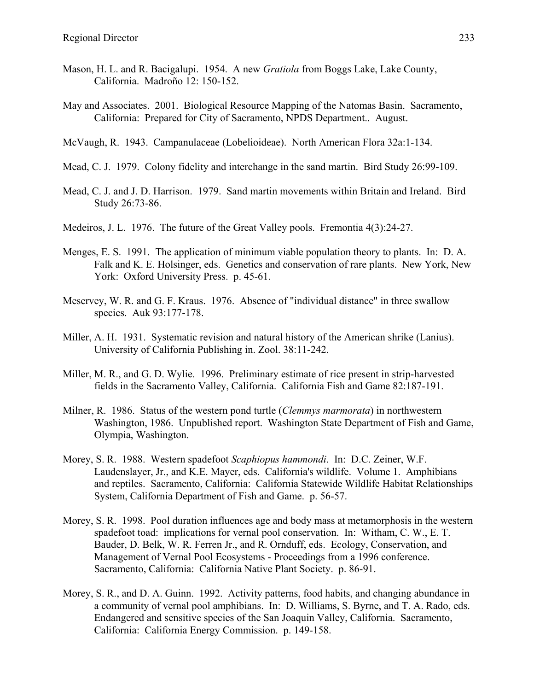- Mason, H. L. and R. Bacigalupi. 1954. A new *Gratiola* from Boggs Lake, Lake County, California. Madroño 12: 150-152.
- May and Associates. 2001. Biological Resource Mapping of the Natomas Basin. Sacramento, California: Prepared for City of Sacramento, NPDS Department.. August.
- McVaugh, R. 1943. Campanulaceae (Lobelioideae). North American Flora 32a:1-134.
- Mead, C. J. 1979. Colony fidelity and interchange in the sand martin. Bird Study 26:99-109.
- Mead, C. J. and J. D. Harrison. 1979. Sand martin movements within Britain and Ireland. Bird Study 26:73-86.
- Medeiros, J. L. 1976. The future of the Great Valley pools. Fremontia 4(3):24-27.
- Menges, E. S. 1991. The application of minimum viable population theory to plants. In: D. A. Falk and K. E. Holsinger, eds. Genetics and conservation of rare plants. New York, New York: Oxford University Press. p. 45-61.
- Meservey, W. R. and G. F. Kraus. 1976. Absence of "individual distance" in three swallow species. Auk 93:177-178.
- Miller, A. H. 1931. Systematic revision and natural history of the American shrike (Lanius). University of California Publishing in. Zool. 38:11-242.
- Miller, M. R., and G. D. Wylie. 1996. Preliminary estimate of rice present in strip-harvested fields in the Sacramento Valley, California. California Fish and Game 82:187-191.
- Milner, R. 1986. Status of the western pond turtle (*Clemmys marmorata*) in northwestern Washington, 1986. Unpublished report. Washington State Department of Fish and Game, Olympia, Washington.
- Morey, S. R. 1988. Western spadefoot *Scaphiopus hammondi*. In: D.C. Zeiner, W.F. Laudenslayer, Jr., and K.E. Mayer, eds. California's wildlife. Volume 1. Amphibians and reptiles. Sacramento, California: California Statewide Wildlife Habitat Relationships System, California Department of Fish and Game. p. 56-57.
- Morey, S. R. 1998. Pool duration influences age and body mass at metamorphosis in the western spadefoot toad: implications for vernal pool conservation. In: Witham, C. W., E. T. Bauder, D. Belk, W. R. Ferren Jr., and R. Ornduff, eds. Ecology, Conservation, and Management of Vernal Pool Ecosystems - Proceedings from a 1996 conference. Sacramento, California: California Native Plant Society. p. 86-91.
- Morey, S. R., and D. A. Guinn. 1992. Activity patterns, food habits, and changing abundance in a community of vernal pool amphibians. In: D. Williams, S. Byrne, and T. A. Rado, eds. Endangered and sensitive species of the San Joaquin Valley, California. Sacramento, California: California Energy Commission. p. 149-158.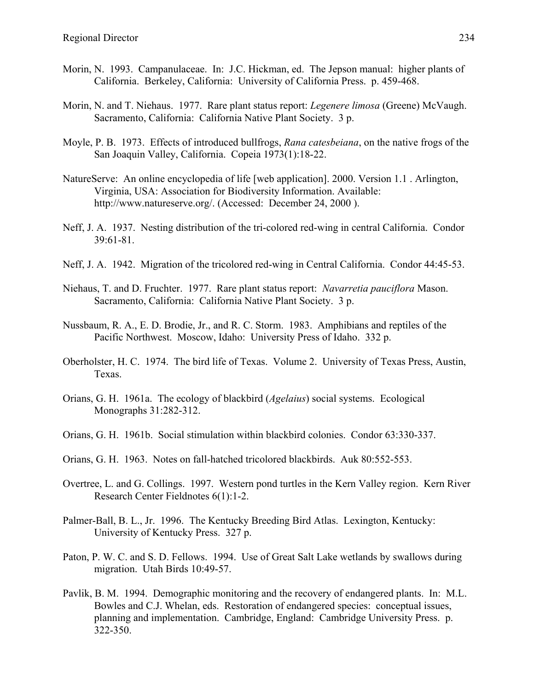- Morin, N. 1993. Campanulaceae. In: J.C. Hickman, ed. The Jepson manual: higher plants of California. Berkeley, California: University of California Press. p. 459-468.
- Morin, N. and T. Niehaus. 1977. Rare plant status report: *Legenere limosa* (Greene) McVaugh. Sacramento, California: California Native Plant Society. 3 p.
- Moyle, P. B. 1973. Effects of introduced bullfrogs, *Rana catesbeiana*, on the native frogs of the San Joaquin Valley, California. Copeia 1973(1):18-22.
- NatureServe: An online encyclopedia of life [web application]. 2000. Version 1.1 . Arlington, Virginia, USA: Association for Biodiversity Information. Available: http://www.natureserve.org/. (Accessed: December 24, 2000 ).
- Neff, J. A. 1937. Nesting distribution of the tri-colored red-wing in central California. Condor 39:61-81.
- Neff, J. A. 1942. Migration of the tricolored red-wing in Central California. Condor 44:45-53.
- Niehaus, T. and D. Fruchter. 1977. Rare plant status report: *Navarretia pauciflora* Mason. Sacramento, California: California Native Plant Society. 3 p.
- Nussbaum, R. A., E. D. Brodie, Jr., and R. C. Storm. 1983. Amphibians and reptiles of the Pacific Northwest. Moscow, Idaho: University Press of Idaho. 332 p.
- Oberholster, H. C. 1974. The bird life of Texas. Volume 2. University of Texas Press, Austin, Texas.
- Orians, G. H. 1961a. The ecology of blackbird (*Agelaius*) social systems. Ecological Monographs 31:282-312.
- Orians, G. H. 1961b. Social stimulation within blackbird colonies. Condor 63:330-337.
- Orians, G. H. 1963. Notes on fall-hatched tricolored blackbirds. Auk 80:552-553.
- Overtree, L. and G. Collings. 1997. Western pond turtles in the Kern Valley region. Kern River Research Center Fieldnotes 6(1):1-2.
- Palmer-Ball, B. L., Jr. 1996. The Kentucky Breeding Bird Atlas. Lexington, Kentucky: University of Kentucky Press. 327 p.
- Paton, P. W. C. and S. D. Fellows. 1994. Use of Great Salt Lake wetlands by swallows during migration. Utah Birds 10:49-57.
- Pavlik, B. M. 1994. Demographic monitoring and the recovery of endangered plants. In: M.L. Bowles and C.J. Whelan, eds. Restoration of endangered species: conceptual issues, planning and implementation. Cambridge, England: Cambridge University Press. p. 322-350.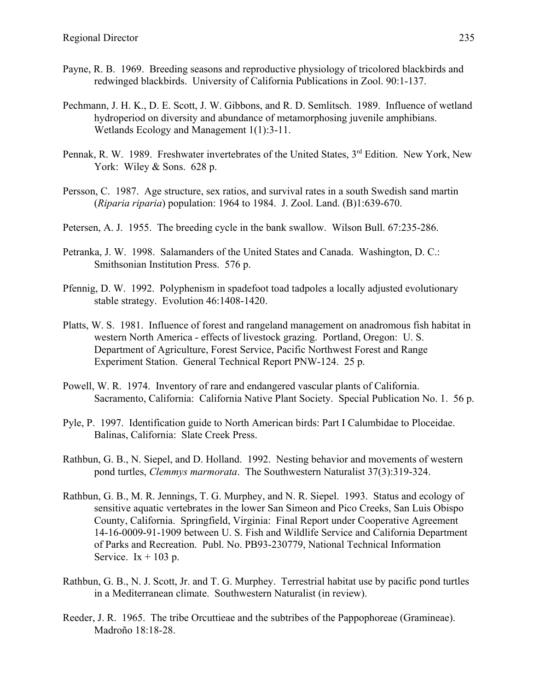- Payne, R. B. 1969. Breeding seasons and reproductive physiology of tricolored blackbirds and redwinged blackbirds. University of California Publications in Zool. 90:1-137.
- Pechmann, J. H. K., D. E. Scott, J. W. Gibbons, and R. D. Semlitsch. 1989. Influence of wetland hydroperiod on diversity and abundance of metamorphosing juvenile amphibians. Wetlands Ecology and Management 1(1):3-11.
- Pennak, R. W. 1989. Freshwater invertebrates of the United States, 3<sup>rd</sup> Edition. New York, New York: Wiley & Sons. 628 p.
- Persson, C. 1987. Age structure, sex ratios, and survival rates in a south Swedish sand martin (*Riparia riparia*) population: 1964 to 1984. J. Zool. Land. (B)1:639-670.
- Petersen, A. J. 1955. The breeding cycle in the bank swallow. Wilson Bull. 67:235-286.
- Petranka, J. W. 1998. Salamanders of the United States and Canada. Washington, D. C.: Smithsonian Institution Press. 576 p.
- Pfennig, D. W. 1992. Polyphenism in spadefoot toad tadpoles a locally adjusted evolutionary stable strategy. Evolution 46:1408-1420.
- Platts, W. S. 1981. Influence of forest and rangeland management on anadromous fish habitat in western North America - effects of livestock grazing. Portland, Oregon: U. S. Department of Agriculture, Forest Service, Pacific Northwest Forest and Range Experiment Station. General Technical Report PNW-124. 25 p.
- Powell, W. R. 1974. Inventory of rare and endangered vascular plants of California. Sacramento, California: California Native Plant Society. Special Publication No. 1. 56 p.
- Pyle, P. 1997. Identification guide to North American birds: Part I Calumbidae to Ploceidae. Balinas, California: Slate Creek Press.
- Rathbun, G. B., N. Siepel, and D. Holland. 1992. Nesting behavior and movements of western pond turtles, *Clemmys marmorata*. The Southwestern Naturalist 37(3):319-324.
- Rathbun, G. B., M. R. Jennings, T. G. Murphey, and N. R. Siepel. 1993. Status and ecology of sensitive aquatic vertebrates in the lower San Simeon and Pico Creeks, San Luis Obispo County, California. Springfield, Virginia: Final Report under Cooperative Agreement 14-16-0009-91-1909 between U. S. Fish and Wildlife Service and California Department of Parks and Recreation. Publ. No. PB93-230779, National Technical Information Service.  $Ix + 103 p$ .
- Rathbun, G. B., N. J. Scott, Jr. and T. G. Murphey. Terrestrial habitat use by pacific pond turtles in a Mediterranean climate. Southwestern Naturalist (in review).
- Reeder, J. R. 1965. The tribe Orcuttieae and the subtribes of the Pappophoreae (Gramineae). Madroño 18:18-28.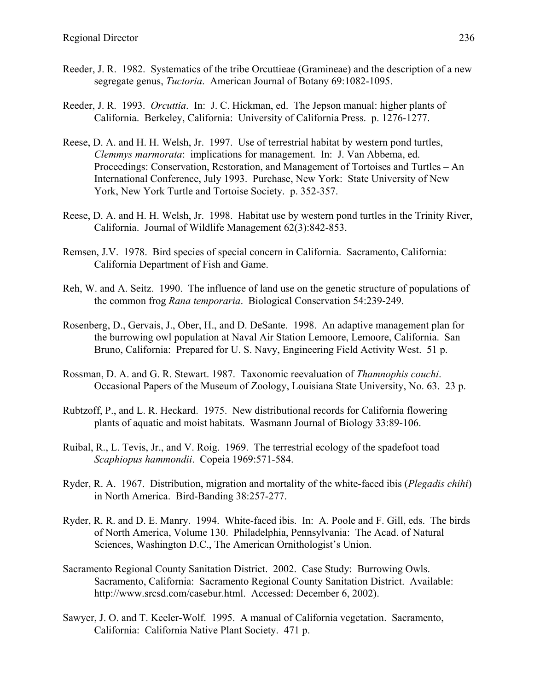- Reeder, J. R. 1982. Systematics of the tribe Orcuttieae (Gramineae) and the description of a new segregate genus, *Tuctoria*. American Journal of Botany 69:1082-1095.
- Reeder, J. R. 1993. *Orcuttia*. In: J. C. Hickman, ed. The Jepson manual: higher plants of California. Berkeley, California: University of California Press. p. 1276-1277.
- Reese, D. A. and H. H. Welsh, Jr. 1997. Use of terrestrial habitat by western pond turtles, *Clemmys marmorata*: implications for management. In: J. Van Abbema, ed. Proceedings: Conservation, Restoration, and Management of Tortoises and Turtles – An International Conference, July 1993. Purchase, New York: State University of New York, New York Turtle and Tortoise Society. p. 352-357.
- Reese, D. A. and H. H. Welsh, Jr. 1998. Habitat use by western pond turtles in the Trinity River, California. Journal of Wildlife Management 62(3):842-853.
- Remsen, J.V. 1978. Bird species of special concern in California. Sacramento, California: California Department of Fish and Game.
- Reh, W. and A. Seitz. 1990. The influence of land use on the genetic structure of populations of the common frog *Rana temporaria*. Biological Conservation 54:239-249.
- Rosenberg, D., Gervais, J., Ober, H., and D. DeSante. 1998. An adaptive management plan for the burrowing owl population at Naval Air Station Lemoore, Lemoore, California. San Bruno, California: Prepared for U. S. Navy, Engineering Field Activity West. 51 p.
- Rossman, D. A. and G. R. Stewart. 1987. Taxonomic reevaluation of *Thamnophis couchi*. Occasional Papers of the Museum of Zoology, Louisiana State University, No. 63. 23 p.
- Rubtzoff, P., and L. R. Heckard. 1975. New distributional records for California flowering plants of aquatic and moist habitats. Wasmann Journal of Biology 33:89-106.
- Ruibal, R., L. Tevis, Jr., and V. Roig. 1969. The terrestrial ecology of the spadefoot toad *Scaphiopus hammondii*. Copeia 1969:571-584.
- Ryder, R. A. 1967. Distribution, migration and mortality of the white-faced ibis (*Plegadis chihi*) in North America. Bird-Banding 38:257-277.
- Ryder, R. R. and D. E. Manry. 1994. White-faced ibis. In: A. Poole and F. Gill, eds. The birds of North America, Volume 130. Philadelphia, Pennsylvania: The Acad. of Natural Sciences, Washington D.C., The American Ornithologist's Union.
- Sacramento Regional County Sanitation District. 2002. Case Study: Burrowing Owls. Sacramento, California: Sacramento Regional County Sanitation District. Available: http://www.srcsd.com/casebur.html. Accessed: December 6, 2002).
- Sawyer, J. O. and T. Keeler-Wolf. 1995. A manual of California vegetation. Sacramento, California: California Native Plant Society. 471 p.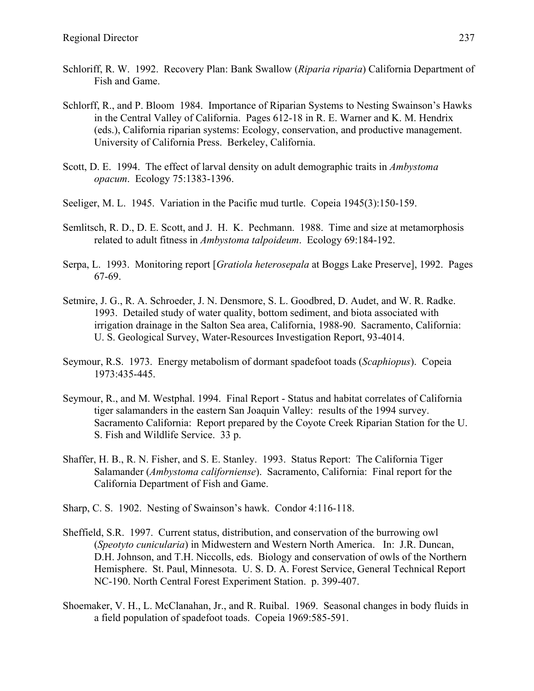- Schloriff, R. W. 1992. Recovery Plan: Bank Swallow (*Riparia riparia*) California Department of Fish and Game.
- Schlorff, R., and P. Bloom 1984. Importance of Riparian Systems to Nesting Swainson's Hawks in the Central Valley of California. Pages 612-18 in R. E. Warner and K. M. Hendrix (eds.), California riparian systems: Ecology, conservation, and productive management. University of California Press. Berkeley, California.
- Scott, D. E. 1994. The effect of larval density on adult demographic traits in *Ambystoma opacum*. Ecology 75:1383-1396.
- Seeliger, M. L. 1945. Variation in the Pacific mud turtle. Copeia 1945(3):150-159.
- Semlitsch, R. D., D. E. Scott, and J. H. K. Pechmann. 1988. Time and size at metamorphosis related to adult fitness in *Ambystoma talpoideum*. Ecology 69:184-192.
- Serpa, L. 1993. Monitoring report [*Gratiola heterosepala* at Boggs Lake Preserve], 1992. Pages 67-69.
- Setmire, J. G., R. A. Schroeder, J. N. Densmore, S. L. Goodbred, D. Audet, and W. R. Radke. 1993. Detailed study of water quality, bottom sediment, and biota associated with irrigation drainage in the Salton Sea area, California, 1988-90. Sacramento, California: U. S. Geological Survey, Water-Resources Investigation Report, 93-4014.
- Seymour, R.S. 1973. Energy metabolism of dormant spadefoot toads (*Scaphiopus*). Copeia 1973:435-445.
- Seymour, R., and M. Westphal. 1994. Final Report Status and habitat correlates of California tiger salamanders in the eastern San Joaquin Valley: results of the 1994 survey. Sacramento California: Report prepared by the Coyote Creek Riparian Station for the U. S. Fish and Wildlife Service. 33 p.
- Shaffer, H. B., R. N. Fisher, and S. E. Stanley. 1993. Status Report: The California Tiger Salamander (*Ambystoma californiense*). Sacramento, California: Final report for the California Department of Fish and Game.
- Sharp, C. S. 1902. Nesting of Swainson's hawk. Condor 4:116-118.
- Sheffield, S.R. 1997. Current status, distribution, and conservation of the burrowing owl (*Speotyto cunicularia*) in Midwestern and Western North America. In: J.R. Duncan, D.H. Johnson, and T.H. Niccolls, eds. Biology and conservation of owls of the Northern Hemisphere. St. Paul, Minnesota. U. S. D. A. Forest Service, General Technical Report NC-190. North Central Forest Experiment Station. p. 399-407.
- Shoemaker, V. H., L. McClanahan, Jr., and R. Ruibal. 1969. Seasonal changes in body fluids in a field population of spadefoot toads. Copeia 1969:585-591.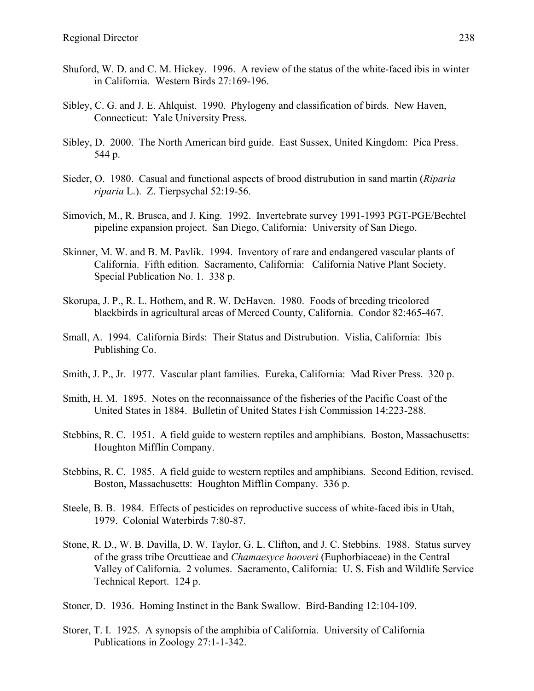- Shuford, W. D. and C. M. Hickey. 1996. A review of the status of the white-faced ibis in winter in California. Western Birds 27:169-196.
- Sibley, C. G. and J. E. Ahlquist. 1990. Phylogeny and classification of birds. New Haven, Connecticut: Yale University Press.
- Sibley, D. 2000. The North American bird guide. East Sussex, United Kingdom: Pica Press. 544 p.
- Sieder, O. 1980. Casual and functional aspects of brood distrubution in sand martin (*Riparia riparia* L.). Z. Tierpsychal 52:19-56.
- Simovich, M., R. Brusca, and J. King. 1992. Invertebrate survey 1991-1993 PGT-PGE/Bechtel pipeline expansion project. San Diego, California: University of San Diego.
- Skinner, M. W. and B. M. Pavlik. 1994. Inventory of rare and endangered vascular plants of California. Fifth edition. Sacramento, California: California Native Plant Society. Special Publication No. 1. 338 p.
- Skorupa, J. P., R. L. Hothem, and R. W. DeHaven. 1980. Foods of breeding tricolored blackbirds in agricultural areas of Merced County, California. Condor 82:465-467.
- Small, A. 1994. California Birds: Their Status and Distrubution. Vislia, California: Ibis Publishing Co.
- Smith, J. P., Jr. 1977. Vascular plant families. Eureka, California: Mad River Press. 320 p.
- Smith, H. M. 1895. Notes on the reconnaissance of the fisheries of the Pacific Coast of the United States in 1884. Bulletin of United States Fish Commission 14:223-288.
- Stebbins, R. C. 1951. A field guide to western reptiles and amphibians. Boston, Massachusetts: Houghton Mifflin Company.
- Stebbins, R. C. 1985. A field guide to western reptiles and amphibians. Second Edition, revised. Boston, Massachusetts: Houghton Mifflin Company. 336 p.
- Steele, B. B. 1984. Effects of pesticides on reproductive success of white-faced ibis in Utah, 1979. Colonial Waterbirds 7:80-87.
- Stone, R. D., W. B. Davilla, D. W. Taylor, G. L. Clifton, and J. C. Stebbins. 1988. Status survey of the grass tribe Orcuttieae and *Chamaesyce hooveri* (Euphorbiaceae) in the Central Valley of California. 2 volumes. Sacramento, California: U. S. Fish and Wildlife Service Technical Report. 124 p.
- Stoner, D. 1936. Homing Instinct in the Bank Swallow. Bird-Banding 12:104-109.
- Storer, T. I. 1925. A synopsis of the amphibia of California. University of California Publications in Zoology 27:1-1-342.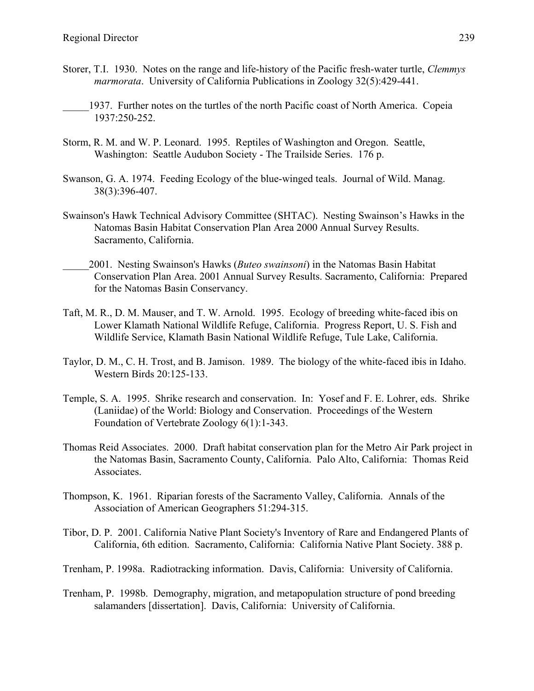- Storer, T.I. 1930. Notes on the range and life-history of the Pacific fresh-water turtle, *Clemmys marmorata*. University of California Publications in Zoology 32(5):429-441.
	- \_\_\_\_\_1937. Further notes on the turtles of the north Pacific coast of North America. Copeia 1937:250-252.
- Storm, R. M. and W. P. Leonard. 1995. Reptiles of Washington and Oregon. Seattle, Washington: Seattle Audubon Society - The Trailside Series. 176 p.
- Swanson, G. A. 1974. Feeding Ecology of the blue-winged teals. Journal of Wild. Manag. 38(3):396-407.
- Swainson's Hawk Technical Advisory Committee (SHTAC). Nesting Swainson's Hawks in the Natomas Basin Habitat Conservation Plan Area 2000 Annual Survey Results. Sacramento, California.
	- \_\_\_\_\_2001. Nesting Swainson's Hawks (*Buteo swainsoni*) in the Natomas Basin Habitat Conservation Plan Area. 2001 Annual Survey Results. Sacramento, California: Prepared for the Natomas Basin Conservancy.
- Taft, M. R., D. M. Mauser, and T. W. Arnold. 1995. Ecology of breeding white-faced ibis on Lower Klamath National Wildlife Refuge, California. Progress Report, U. S. Fish and Wildlife Service, Klamath Basin National Wildlife Refuge, Tule Lake, California.
- Taylor, D. M., C. H. Trost, and B. Jamison. 1989. The biology of the white-faced ibis in Idaho. Western Birds 20:125-133.
- Temple, S. A. 1995. Shrike research and conservation. In: Yosef and F. E. Lohrer, eds. Shrike (Laniidae) of the World: Biology and Conservation. Proceedings of the Western Foundation of Vertebrate Zoology 6(1):1-343.
- Thomas Reid Associates. 2000. Draft habitat conservation plan for the Metro Air Park project in the Natomas Basin, Sacramento County, California. Palo Alto, California: Thomas Reid Associates.
- Thompson, K. 1961. Riparian forests of the Sacramento Valley, California. Annals of the Association of American Geographers 51:294-315.
- Tibor, D. P. 2001. California Native Plant Society's Inventory of Rare and Endangered Plants of California, 6th edition. Sacramento, California: California Native Plant Society. 388 p.
- Trenham, P. 1998a. Radiotracking information. Davis, California: University of California.
- Trenham, P. 1998b. Demography, migration, and metapopulation structure of pond breeding salamanders [dissertation]. Davis, California: University of California.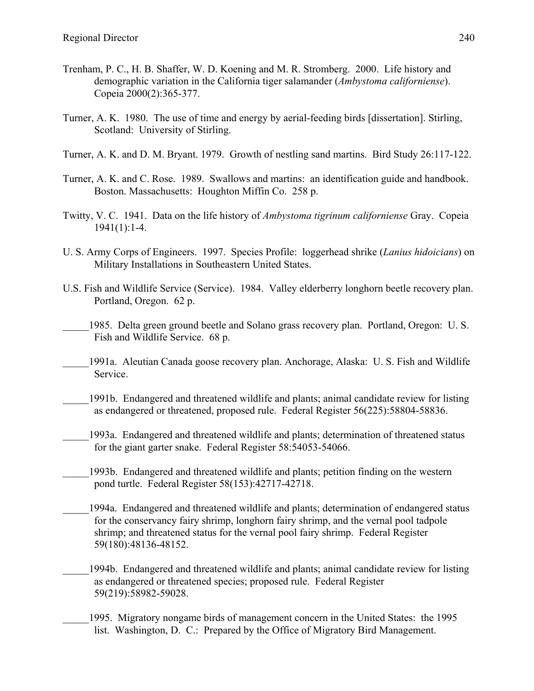- Trenham, P. C., H. B. Shaffer, W. D. Koening and M. R. Stromberg. 2000. Life history and demographic variation in the California tiger salamander (*Ambystoma californiense*). Copeia 2000(2):365-377.
- Turner, A. K. 1980. The use of time and energy by aerial-feeding birds [dissertation]. Stirling, Scotland: University of Stirling.
- Turner, A. K. and D. M. Bryant. 1979. Growth of nestling sand martins. Bird Study 26:117-122.
- Turner, A. K. and C. Rose. 1989. Swallows and martins: an identification guide and handbook. Boston. Massachusetts: Houghton Miffin Co. 258 p.
- Twitty, V. C. 1941. Data on the life history of *Ambystoma tigrinum californiense* Gray. Copeia  $1941(1):1-4.$
- U. S. Army Corps of Engineers. 1997. Species Profile: loggerhead shrike (*Lanius hidoicians*) on Military Installations in Southeastern United States.
- U.S. Fish and Wildlife Service (Service). 1984. Valley elderberry longhorn beetle recovery plan. Portland, Oregon. 62 p.
- 1985. Delta green ground beetle and Solano grass recovery plan. Portland, Oregon: U.S. Fish and Wildlife Service. 68 p.
- \_\_\_\_\_1991a. Aleutian Canada goose recovery plan. Anchorage, Alaska: U. S. Fish and Wildlife Service.
- 1991b. Endangered and threatened wildlife and plants; animal candidate review for listing as endangered or threatened, proposed rule. Federal Register 56(225):58804-58836.
- 1993a. Endangered and threatened wildlife and plants; determination of threatened status for the giant garter snake. Federal Register 58:54053-54066.
	- \_\_\_\_\_1993b. Endangered and threatened wildlife and plants; petition finding on the western pond turtle. Federal Register 58(153):42717-42718.
- \_\_\_\_\_1994a. Endangered and threatened wildlife and plants; determination of endangered status for the conservancy fairy shrimp, longhorn fairy shrimp, and the vernal pool tadpole shrimp; and threatened status for the vernal pool fairy shrimp. Federal Register 59(180):48136-48152.
- 1994b. Endangered and threatened wildlife and plants; animal candidate review for listing as endangered or threatened species; proposed rule. Federal Register 59(219):58982-59028.
	- \_\_\_\_\_1995. Migratory nongame birds of management concern in the United States: the 1995 list. Washington, D. C.: Prepared by the Office of Migratory Bird Management.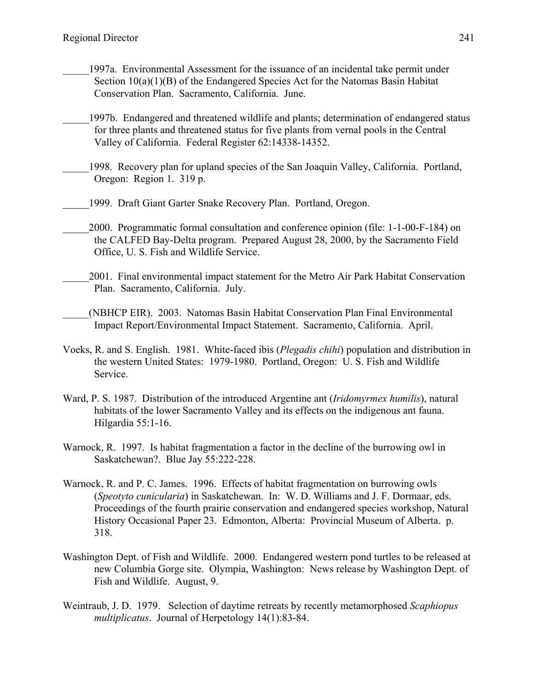- 1997a. Environmental Assessment for the issuance of an incidental take permit under Section 10(a)(1)(B) of the Endangered Species Act for the Natomas Basin Habitat Conservation Plan. Sacramento, California. June.
- 1997b. Endangered and threatened wildlife and plants; determination of endangered status for three plants and threatened status for five plants from vernal pools in the Central Valley of California. Federal Register 62:14338-14352.
- 1998. Recovery plan for upland species of the San Joaquin Valley, California. Portland, Oregon: Region 1. 319 p.
- \_\_\_\_\_1999. Draft Giant Garter Snake Recovery Plan. Portland, Oregon.
- \_\_\_\_\_2000. Programmatic formal consultation and conference opinion (file: 1-1-00-F-184) on the CALFED Bay-Delta program. Prepared August 28, 2000, by the Sacramento Field Office, U. S. Fish and Wildlife Service.
- \_\_\_\_\_2001. Final environmental impact statement for the Metro Air Park Habitat Conservation Plan. Sacramento, California. July.
- \_\_\_\_\_(NBHCP EIR). 2003. Natomas Basin Habitat Conservation Plan Final Environmental Impact Report/Environmental Impact Statement. Sacramento, California. April.
- Voeks, R. and S. English. 1981. White-faced ibis (*Plegadis chihi*) population and distribution in the western United States: 1979-1980. Portland, Oregon: U. S. Fish and Wildlife Service.
- Ward, P. S. 1987. Distribution of the introduced Argentine ant (*Iridomyrmex humilis*), natural habitats of the lower Sacramento Valley and its effects on the indigenous ant fauna. Hilgardia 55:1-16.
- Warnock, R. 1997. Is habitat fragmentation a factor in the decline of the burrowing owl in Saskatchewan?. Blue Jay 55:222-228.
- Warnock, R. and P. C. James. 1996. Effects of habitat fragmentation on burrowing owls (*Speotyto cunicularia*) in Saskatchewan. In: W. D. Williams and J. F. Dormaar, eds. Proceedings of the fourth prairie conservation and endangered species workshop, Natural History Occasional Paper 23. Edmonton, Alberta: Provincial Museum of Alberta. p. 318.
- Washington Dept. of Fish and Wildlife. 2000. Endangered western pond turtles to be released at new Columbia Gorge site. Olympia, Washington: News release by Washington Dept. of Fish and Wildlife. August, 9.
- Weintraub, J. D. 1979. Selection of daytime retreats by recently metamorphosed *Scaphiopus multiplicatus*. Journal of Herpetology 14(1):83-84.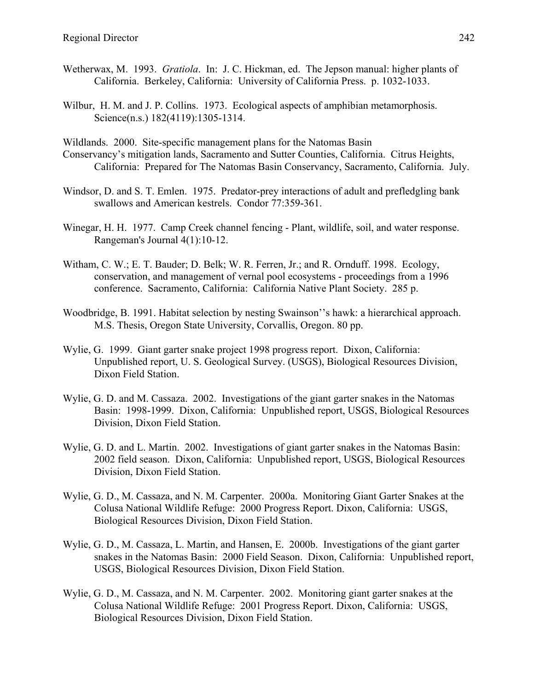- Wetherwax, M. 1993. *Gratiola*. In: J. C. Hickman, ed. The Jepson manual: higher plants of California. Berkeley, California: University of California Press. p. 1032-1033.
- Wilbur, H. M. and J. P. Collins. 1973. Ecological aspects of amphibian metamorphosis. Science(n.s.) 182(4119):1305-1314.
- Wildlands. 2000. Site-specific management plans for the Natomas Basin
- Conservancy's mitigation lands, Sacramento and Sutter Counties, California. Citrus Heights, California: Prepared for The Natomas Basin Conservancy, Sacramento, California. July.
- Windsor, D. and S. T. Emlen. 1975. Predator-prey interactions of adult and prefledgling bank swallows and American kestrels. Condor 77:359-361.
- Winegar, H. H. 1977. Camp Creek channel fencing Plant, wildlife, soil, and water response. Rangeman's Journal 4(1):10-12.
- Witham, C. W.; E. T. Bauder; D. Belk; W. R. Ferren, Jr.; and R. Ornduff. 1998. Ecology, conservation, and management of vernal pool ecosystems - proceedings from a 1996 conference. Sacramento, California: California Native Plant Society. 285 p.
- Woodbridge, B. 1991. Habitat selection by nesting Swainson''s hawk: a hierarchical approach. M.S. Thesis, Oregon State University, Corvallis, Oregon. 80 pp.
- Wylie, G. 1999. Giant garter snake project 1998 progress report. Dixon, California: Unpublished report, U. S. Geological Survey. (USGS), Biological Resources Division, Dixon Field Station.
- Wylie, G. D. and M. Cassaza. 2002. Investigations of the giant garter snakes in the Natomas Basin: 1998-1999. Dixon, California: Unpublished report, USGS, Biological Resources Division, Dixon Field Station.
- Wylie, G. D. and L. Martin. 2002. Investigations of giant garter snakes in the Natomas Basin: 2002 field season. Dixon, California: Unpublished report, USGS, Biological Resources Division, Dixon Field Station.
- Wylie, G. D., M. Cassaza, and N. M. Carpenter. 2000a. Monitoring Giant Garter Snakes at the Colusa National Wildlife Refuge: 2000 Progress Report. Dixon, California: USGS, Biological Resources Division, Dixon Field Station.
- Wylie, G. D., M. Cassaza, L. Martin, and Hansen, E. 2000b. Investigations of the giant garter snakes in the Natomas Basin: 2000 Field Season. Dixon, California: Unpublished report, USGS, Biological Resources Division, Dixon Field Station.
- Wylie, G. D., M. Cassaza, and N. M. Carpenter. 2002. Monitoring giant garter snakes at the Colusa National Wildlife Refuge: 2001 Progress Report. Dixon, California: USGS, Biological Resources Division, Dixon Field Station.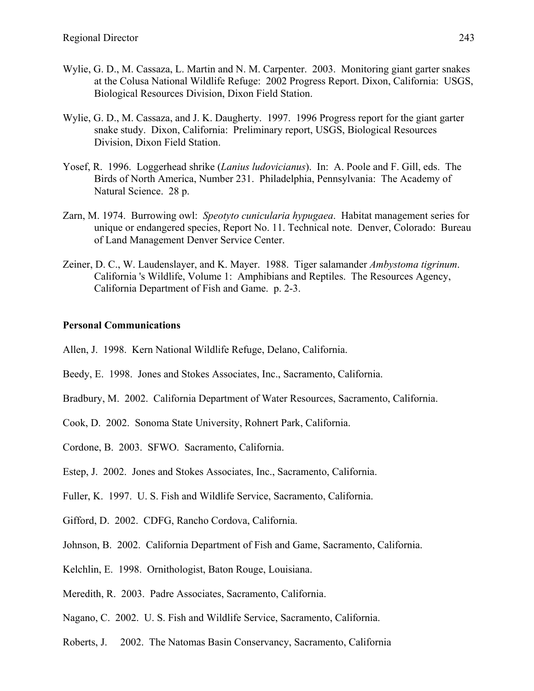- Wylie, G. D., M. Cassaza, L. Martin and N. M. Carpenter. 2003. Monitoring giant garter snakes at the Colusa National Wildlife Refuge: 2002 Progress Report. Dixon, California: USGS, Biological Resources Division, Dixon Field Station.
- Wylie, G. D., M. Cassaza, and J. K. Daugherty. 1997. 1996 Progress report for the giant garter snake study. Dixon, California: Preliminary report, USGS, Biological Resources Division, Dixon Field Station.
- Yosef, R. 1996. Loggerhead shrike (*Lanius ludovicianus*). In: A. Poole and F. Gill, eds. The Birds of North America, Number 231. Philadelphia, Pennsylvania: The Academy of Natural Science. 28 p.
- Zarn, M. 1974. Burrowing owl: *Speotyto cunicularia hypugaea*. Habitat management series for unique or endangered species, Report No. 11. Technical note. Denver, Colorado: Bureau of Land Management Denver Service Center.
- Zeiner, D. C., W. Laudenslayer, and K. Mayer. 1988. Tiger salamander *Ambystoma tigrinum*. California 's Wildlife, Volume 1: Amphibians and Reptiles. The Resources Agency, California Department of Fish and Game. p. 2-3.

#### **Personal Communications**

- Allen, J. 1998. Kern National Wildlife Refuge, Delano, California.
- Beedy, E. 1998. Jones and Stokes Associates, Inc., Sacramento, California.
- Bradbury, M. 2002. California Department of Water Resources, Sacramento, California.
- Cook, D. 2002. Sonoma State University, Rohnert Park, California.
- Cordone, B. 2003. SFWO. Sacramento, California.
- Estep, J. 2002. Jones and Stokes Associates, Inc., Sacramento, California.
- Fuller, K. 1997. U. S. Fish and Wildlife Service, Sacramento, California.
- Gifford, D. 2002. CDFG, Rancho Cordova, California.
- Johnson, B. 2002. California Department of Fish and Game, Sacramento, California.
- Kelchlin, E. 1998. Ornithologist, Baton Rouge, Louisiana.
- Meredith, R. 2003. Padre Associates, Sacramento, California.
- Nagano, C. 2002. U. S. Fish and Wildlife Service, Sacramento, California.
- Roberts, J. 2002. The Natomas Basin Conservancy, Sacramento, California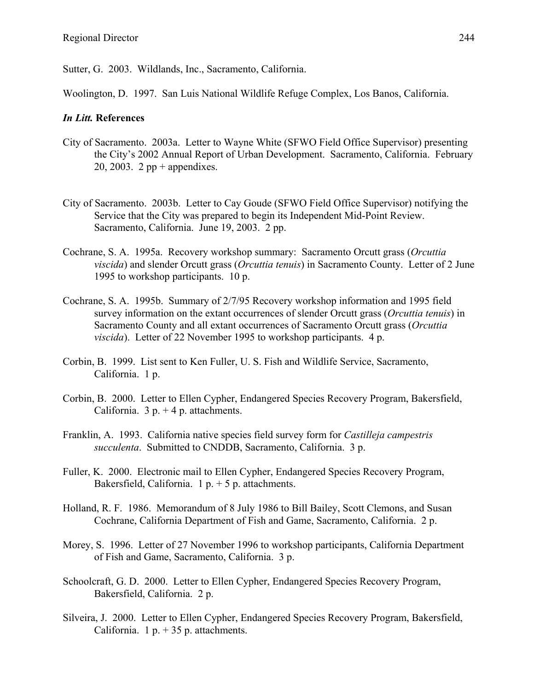Sutter, G. 2003. Wildlands, Inc., Sacramento, California.

Woolington, D. 1997. San Luis National Wildlife Refuge Complex, Los Banos, California.

### *In Litt.* **References**

- City of Sacramento. 2003a. Letter to Wayne White (SFWO Field Office Supervisor) presenting the City's 2002 Annual Report of Urban Development. Sacramento, California. February 20, 2003. 2 pp + appendixes.
- City of Sacramento. 2003b. Letter to Cay Goude (SFWO Field Office Supervisor) notifying the Service that the City was prepared to begin its Independent Mid-Point Review. Sacramento, California. June 19, 2003. 2 pp.
- Cochrane, S. A. 1995a. Recovery workshop summary: Sacramento Orcutt grass (*Orcuttia viscida*) and slender Orcutt grass (*Orcuttia tenuis*) in Sacramento County. Letter of 2 June 1995 to workshop participants. 10 p.
- Cochrane, S. A. 1995b. Summary of 2/7/95 Recovery workshop information and 1995 field survey information on the extant occurrences of slender Orcutt grass (*Orcuttia tenuis*) in Sacramento County and all extant occurrences of Sacramento Orcutt grass (*Orcuttia viscida*). Letter of 22 November 1995 to workshop participants. 4 p.
- Corbin, B. 1999. List sent to Ken Fuller, U. S. Fish and Wildlife Service, Sacramento, California. 1 p.
- Corbin, B. 2000. Letter to Ellen Cypher, Endangered Species Recovery Program, Bakersfield, California.  $3 p + 4 p$ . attachments.
- Franklin, A. 1993. California native species field survey form for *Castilleja campestris succulenta*. Submitted to CNDDB, Sacramento, California. 3 p.
- Fuller, K. 2000. Electronic mail to Ellen Cypher, Endangered Species Recovery Program, Bakersfield, California.  $1 p. + 5 p.$  attachments.
- Holland, R. F. 1986. Memorandum of 8 July 1986 to Bill Bailey, Scott Clemons, and Susan Cochrane, California Department of Fish and Game, Sacramento, California. 2 p.
- Morey, S. 1996. Letter of 27 November 1996 to workshop participants, California Department of Fish and Game, Sacramento, California. 3 p.
- Schoolcraft, G. D. 2000. Letter to Ellen Cypher, Endangered Species Recovery Program, Bakersfield, California. 2 p.
- Silveira, J. 2000. Letter to Ellen Cypher, Endangered Species Recovery Program, Bakersfield, California. 1 p.  $+35$  p. attachments.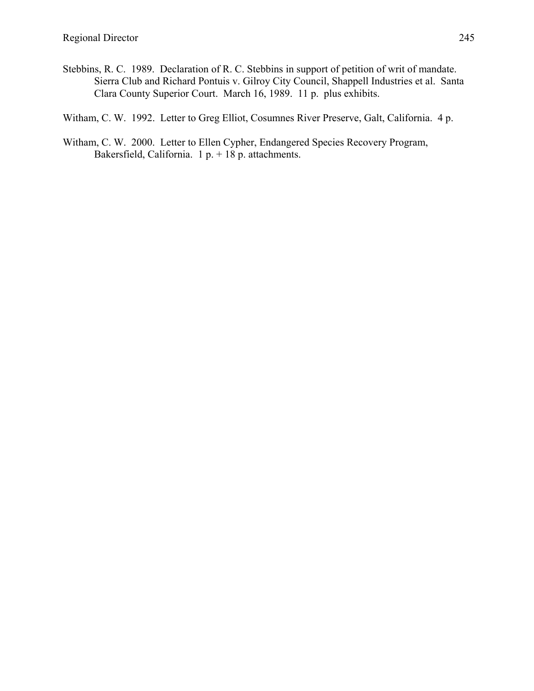Stebbins, R. C. 1989. Declaration of R. C. Stebbins in support of petition of writ of mandate. Sierra Club and Richard Pontuis v. Gilroy City Council, Shappell Industries et al. Santa Clara County Superior Court. March 16, 1989. 11 p. plus exhibits.

Witham, C. W. 1992. Letter to Greg Elliot, Cosumnes River Preserve, Galt, California. 4 p.

Witham, C. W. 2000. Letter to Ellen Cypher, Endangered Species Recovery Program, Bakersfield, California.  $1 p. + 18 p.$  attachments.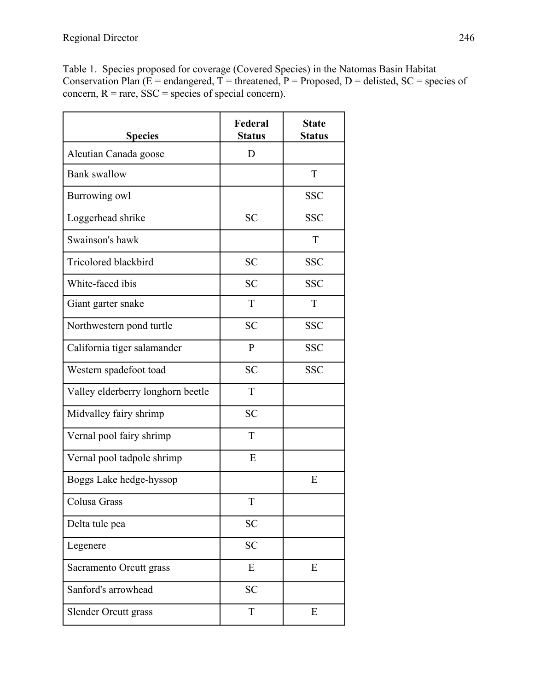Table 1. Species proposed for coverage (Covered Species) in the Natomas Basin Habitat Conservation Plan ( $\vec{E}$  = endangered,  $\vec{T}$  = threatened,  $\vec{P}$  = Proposed,  $\vec{D}$  = delisted,  $\vec{SC}$  = species of concern,  $R = \text{rare}, \overrightarrow{SSC} = \text{species of special concern}.$ 

| <b>Species</b>                    | Federal<br><b>Status</b> | <b>State</b><br><b>Status</b> |
|-----------------------------------|--------------------------|-------------------------------|
| Aleutian Canada goose             | D                        |                               |
| <b>Bank</b> swallow               |                          | T                             |
| Burrowing owl                     |                          | <b>SSC</b>                    |
| Loggerhead shrike                 | <b>SC</b>                | <b>SSC</b>                    |
| Swainson's hawk                   |                          | T                             |
| Tricolored blackbird              | <b>SC</b>                | <b>SSC</b>                    |
| White-faced ibis                  | <b>SC</b>                | <b>SSC</b>                    |
| Giant garter snake                | T                        | T                             |
| Northwestern pond turtle          | <b>SC</b>                | <b>SSC</b>                    |
| California tiger salamander       | $\mathbf{P}$             | <b>SSC</b>                    |
| Western spadefoot toad            | <b>SC</b>                | <b>SSC</b>                    |
| Valley elderberry longhorn beetle | T                        |                               |
| Midvalley fairy shrimp            | <b>SC</b>                |                               |
| Vernal pool fairy shrimp          | T                        |                               |
| Vernal pool tadpole shrimp        | E                        |                               |
| Boggs Lake hedge-hyssop           |                          | E                             |
| Colusa Grass                      | T                        |                               |
| Delta tule pea                    | <b>SC</b>                |                               |
| Legenere                          | <b>SC</b>                |                               |
| Sacramento Orcutt grass           | E                        | E                             |
| Sanford's arrowhead               | <b>SC</b>                |                               |
| Slender Orcutt grass              | T                        | E                             |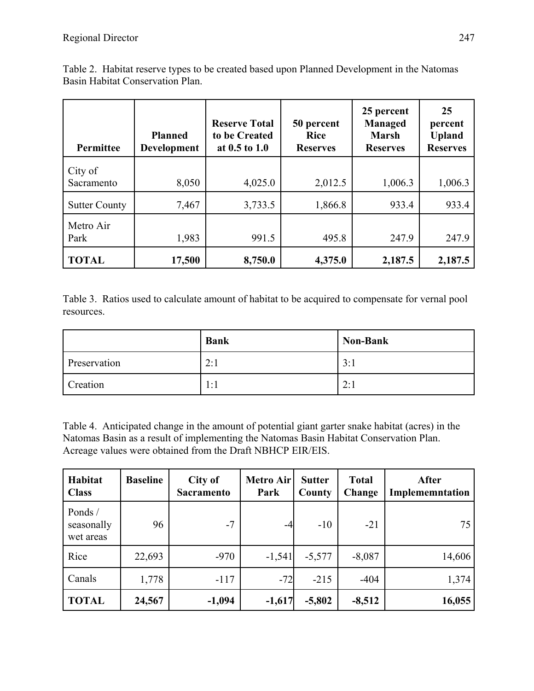| Permittee             | <b>Planned</b><br>Development | <b>Reserve Total</b><br>to be Created<br>at 0.5 to 1.0 | 50 percent<br><b>Rice</b><br><b>Reserves</b> | 25 percent<br><b>Managed</b><br><b>Marsh</b><br><b>Reserves</b> | 25<br>percent<br><b>Upland</b><br><b>Reserves</b> |
|-----------------------|-------------------------------|--------------------------------------------------------|----------------------------------------------|-----------------------------------------------------------------|---------------------------------------------------|
| City of<br>Sacramento | 8,050                         | 4,025.0                                                | 2,012.5                                      | 1,006.3                                                         | 1,006.3                                           |
| <b>Sutter County</b>  | 7,467                         | 3,733.5                                                | 1,866.8                                      | 933.4                                                           | 933.4                                             |
| Metro Air<br>Park     | 1,983                         | 991.5                                                  | 495.8                                        | 247.9                                                           | 247.9                                             |
| <b>TOTAL</b>          | 17,500                        | 8,750.0                                                | 4,375.0                                      | 2,187.5                                                         | 2,187.5                                           |

Table 2. Habitat reserve types to be created based upon Planned Development in the Natomas Basin Habitat Conservation Plan.

Table 3. Ratios used to calculate amount of habitat to be acquired to compensate for vernal pool resources.

|              | <b>Bank</b> | <b>Non-Bank</b>         |
|--------------|-------------|-------------------------|
| Preservation | 2:1         | 3:1                     |
| Creation     | 1:1         | $\gamma$ .<br>$\sim$ .1 |

Table 4. Anticipated change in the amount of potential giant garter snake habitat (acres) in the Natomas Basin as a result of implementing the Natomas Basin Habitat Conservation Plan. Acreage values were obtained from the Draft NBHCP EIR/EIS.

| Habitat<br><b>Class</b>            | <b>Baseline</b> | City of<br><b>Sacramento</b> | Metro Air<br>Park | <b>Sutter</b><br>County | <b>Total</b><br>Change | After<br>Implememntation |
|------------------------------------|-----------------|------------------------------|-------------------|-------------------------|------------------------|--------------------------|
| Ponds /<br>seasonally<br>wet areas | 96              | $-7$                         | -4                | $-10$                   | $-21$                  | 75                       |
| Rice                               | 22,693          | $-970$                       | $-1,541$          | $-5,577$                | $-8,087$               | 14,606                   |
| Canals                             | 1,778           | $-117$                       | $-72$             | $-215$                  | $-404$                 | 1,374                    |
| <b>TOTAL</b>                       | 24,567          | $-1,094$                     | $-1,617$          | $-5,802$                | $-8,512$               | 16,055                   |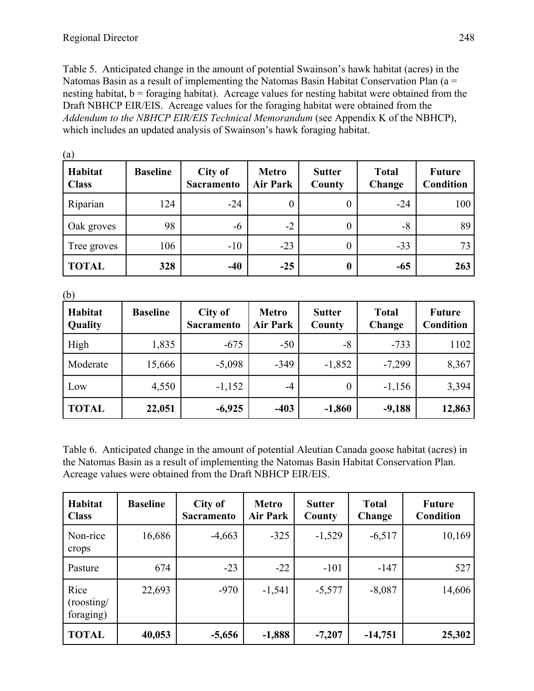Table 5. Anticipated change in the amount of potential Swainson's hawk habitat (acres) in the Natomas Basin as a result of implementing the Natomas Basin Habitat Conservation Plan (a = nesting habitat,  $b =$  foraging habitat). Acreage values for nesting habitat were obtained from the Draft NBHCP EIR/EIS. Acreage values for the foraging habitat were obtained from the *Addendum to the NBHCP EIR/EIS Technical Memorandum* (see Appendix K of the NBHCP), which includes an updated analysis of Swainson's hawk foraging habitat.

| (a)                     |                 |                              |                                 |                         |                        |                                   |
|-------------------------|-----------------|------------------------------|---------------------------------|-------------------------|------------------------|-----------------------------------|
| Habitat<br><b>Class</b> | <b>Baseline</b> | City of<br><b>Sacramento</b> | <b>Metro</b><br><b>Air Park</b> | <b>Sutter</b><br>County | <b>Total</b><br>Change | <b>Future</b><br><b>Condition</b> |
| Riparian                | 124             | $-24$                        |                                 | $\boldsymbol{0}$        | $-24$                  | 100                               |
| Oak groves              | 98              | -6                           | $-2$                            | $\theta$                | -8                     | 89                                |
| Tree groves             | 106             | $-10$                        | $-23$                           | $\overline{0}$          | $-33$                  | 73                                |
| <b>TOTAL</b>            | 328             | $-40$                        | $-25$                           | $\boldsymbol{0}$        | $-65$                  | 263                               |

(b) **Habitat Quality Baseline City of Sacramento Metro Air Park Sutter County Total Change Future Condition** High | 1,835 | -675 | -50 | -8 | -733 | 1102 Moderate 15,666 -5,098 -349 -1,852 -7,299 8,367 Low |  $4,550$   $-1,152$   $-4$  0  $-1,156$  3,394 TOTAL | 22,051 | -6,925 | -403 | -1,860 | -9,188 | 12,863

Table 6. Anticipated change in the amount of potential Aleutian Canada goose habitat (acres) in the Natomas Basin as a result of implementing the Natomas Basin Habitat Conservation Plan. Acreage values were obtained from the Draft NBHCP EIR/EIS.

| Habitat<br><b>Class</b>         | <b>Baseline</b> | City of<br><b>Sacramento</b> | <b>Metro</b><br><b>Air Park</b> | <b>Sutter</b><br>County | <b>Total</b><br>Change | <b>Future</b><br><b>Condition</b> |
|---------------------------------|-----------------|------------------------------|---------------------------------|-------------------------|------------------------|-----------------------------------|
| Non-rice<br>crops               | 16,686          | $-4,663$                     | $-325$                          | $-1,529$                | $-6,517$               | 10,169                            |
| Pasture                         | 674             | $-23$                        | $-22$                           | $-101$                  | $-147$                 | 527                               |
| Rice<br>(roosting/<br>foraging) | 22,693          | $-970$                       | $-1,541$                        | $-5,577$                | $-8,087$               | 14,606                            |
| <b>TOTAL</b>                    | 40,053          | $-5,656$                     | $-1,888$                        | $-7,207$                | $-14,751$              | 25,302                            |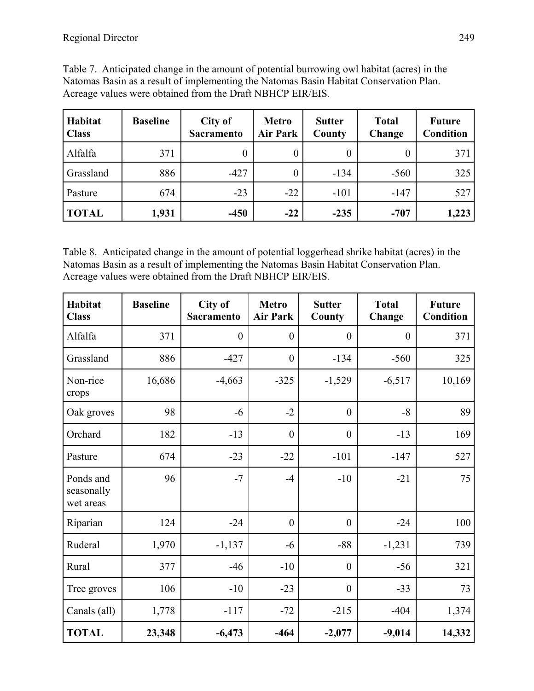|                                                                                        | Table 7. Anticipated change in the amount of potential burrowing owl habitat (acres) in the |                                                            |  |  |  |  |  |  |  |
|----------------------------------------------------------------------------------------|---------------------------------------------------------------------------------------------|------------------------------------------------------------|--|--|--|--|--|--|--|
| Natomas Basin as a result of implementing the Natomas Basin Habitat Conservation Plan. |                                                                                             |                                                            |  |  |  |  |  |  |  |
|                                                                                        |                                                                                             | Acreage values were obtained from the Draft NBHCP EIR/EIS. |  |  |  |  |  |  |  |
|                                                                                        |                                                                                             |                                                            |  |  |  |  |  |  |  |
|                                                                                        |                                                                                             |                                                            |  |  |  |  |  |  |  |

| Habitat<br><b>Class</b> | <b>Baseline</b> | City of<br><b>Sacramento</b> | <b>Metro</b><br><b>Air Park</b> | <b>Sutter</b><br>County | <b>Total</b><br>Change | <b>Future</b><br>Condition |
|-------------------------|-----------------|------------------------------|---------------------------------|-------------------------|------------------------|----------------------------|
| Alfalfa                 | 371             |                              |                                 |                         |                        | 371                        |
| Grassland               | 886             | $-427$                       | 0                               | $-134$                  | $-560$                 | 325                        |
| Pasture                 | 674             | $-23$                        | $-22$                           | $-101$                  | $-147$                 | 527                        |
| <b>TOTAL</b>            | 1,931           | $-450$                       | $-22$                           | $-235$                  | $-707$                 | 1,223                      |

Table 8. Anticipated change in the amount of potential loggerhead shrike habitat (acres) in the Natomas Basin as a result of implementing the Natomas Basin Habitat Conservation Plan. Acreage values were obtained from the Draft NBHCP EIR/EIS.

| <b>Habitat</b><br><b>Class</b>       | <b>Baseline</b> | City of<br><b>Sacramento</b> | <b>Metro</b><br><b>Air Park</b> | <b>Sutter</b><br>County | <b>Total</b><br>Change | <b>Future</b><br><b>Condition</b> |
|--------------------------------------|-----------------|------------------------------|---------------------------------|-------------------------|------------------------|-----------------------------------|
| Alfalfa                              | 371             | $\boldsymbol{0}$             | $\theta$                        | $\overline{0}$          | $\overline{0}$         | 371                               |
| Grassland                            | 886             | $-427$                       | $\boldsymbol{0}$                | $-134$                  | $-560$                 | 325                               |
| Non-rice<br>crops                    | 16,686          | $-4,663$                     | $-325$                          | $-1,529$                | $-6,517$               | 10,169                            |
| Oak groves                           | 98              | $-6$                         | $-2$                            | $\boldsymbol{0}$        | $-8$                   | 89                                |
| Orchard                              | 182             | $-13$                        | $\mathbf{0}$                    | $\overline{0}$          | $-13$                  | 169                               |
| Pasture                              | 674             | $-23$                        | $-22$                           | $-101$                  | $-147$                 | 527                               |
| Ponds and<br>seasonally<br>wet areas | 96              | $-7$                         | $-4$                            | $-10$                   | $-21$                  | 75                                |
| Riparian                             | 124             | $-24$                        | $\theta$                        | $\theta$                | $-24$                  | 100                               |
| Ruderal                              | 1,970           | $-1,137$                     | $-6$                            | $-88$                   | $-1,231$               | 739                               |
| Rural                                | 377             | $-46$                        | $-10$                           | $\theta$                | $-56$                  | 321                               |
| Tree groves                          | 106             | $-10$                        | $-23$                           | $\mathbf{0}$            | $-33$                  | 73                                |
| Canals (all)                         | 1,778           | $-117$                       | $-72$                           | $-215$                  | $-404$                 | 1,374                             |
| <b>TOTAL</b>                         | 23,348          | $-6,473$                     | $-464$                          | $-2,077$                | $-9,014$               | 14,332                            |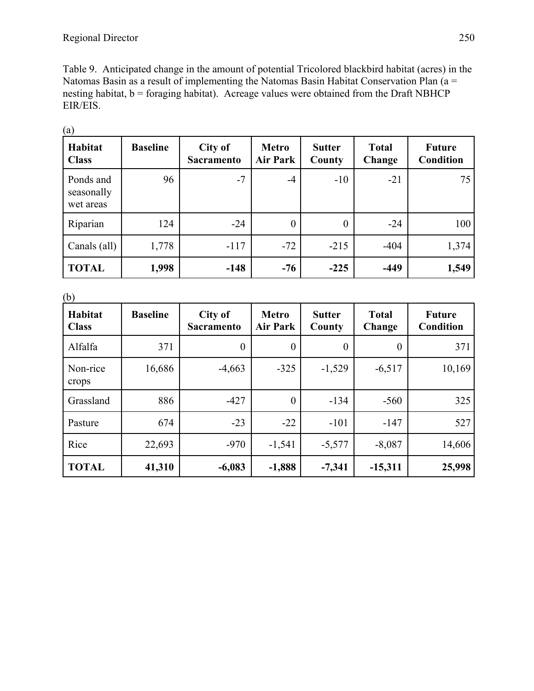Table 9. Anticipated change in the amount of potential Tricolored blackbird habitat (acres) in the Natomas Basin as a result of implementing the Natomas Basin Habitat Conservation Plan (a = nesting habitat,  $b =$  foraging habitat). Acreage values were obtained from the Draft NBHCP EIR/EIS.

| (a)                                  |                 |                              |                                 |                         |                        |                                   |
|--------------------------------------|-----------------|------------------------------|---------------------------------|-------------------------|------------------------|-----------------------------------|
| Habitat<br><b>Class</b>              | <b>Baseline</b> | City of<br><b>Sacramento</b> | <b>Metro</b><br><b>Air Park</b> | <b>Sutter</b><br>County | <b>Total</b><br>Change | <b>Future</b><br><b>Condition</b> |
| Ponds and<br>seasonally<br>wet areas | 96              | $-7$                         | -4                              | $-10$                   | $-21$                  | 75                                |
| Riparian                             | 124             | $-24$                        | $\theta$                        | 0                       | $-24$                  | 100                               |
| Canals (all)                         | 1,778           | $-117$                       | $-72$                           | $-215$                  | $-404$                 | 1,374                             |
| <b>TOTAL</b>                         | 1,998           | $-148$                       | $-76$                           | $-225$                  | $-449$                 | 1,549                             |

(b)

| $\mathbf{v}$<br>Habitat<br><b>Class</b> | <b>Baseline</b> | City of<br><b>Sacramento</b> | <b>Metro</b><br><b>Air Park</b> | <b>Sutter</b><br>County | <b>Total</b><br>Change | <b>Future</b><br><b>Condition</b> |
|-----------------------------------------|-----------------|------------------------------|---------------------------------|-------------------------|------------------------|-----------------------------------|
| Alfalfa                                 | 371             | $\boldsymbol{0}$             | $\theta$                        | $\theta$                | $\overline{0}$         | 371                               |
| Non-rice<br>crops                       | 16,686          | $-4,663$                     | $-325$                          | $-1,529$                | $-6,517$               | 10,169                            |
| Grassland                               | 886             | $-427$                       | $\theta$                        | $-134$                  | $-560$                 | 325                               |
| Pasture                                 | 674             | $-23$                        | $-22$                           | $-101$                  | $-147$                 | 527                               |
| Rice                                    | 22,693          | $-970$                       | $-1,541$                        | $-5,577$                | $-8,087$               | 14,606                            |
| <b>TOTAL</b>                            | 41,310          | $-6,083$                     | $-1,888$                        | $-7,341$                | $-15,311$              | 25,998                            |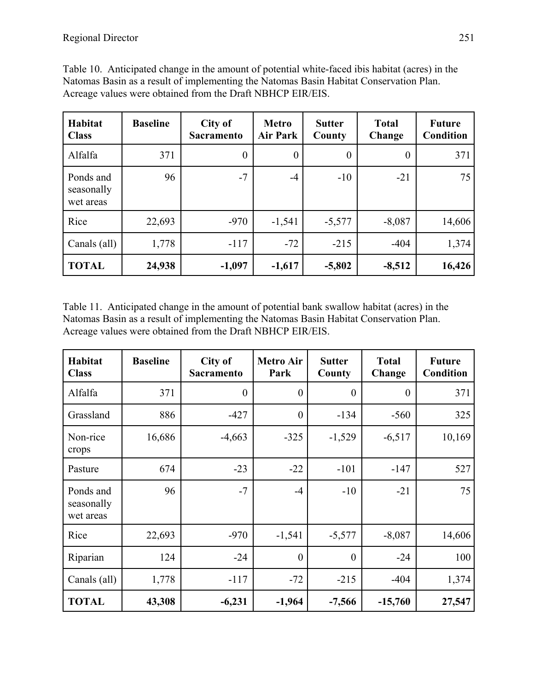| Habitat<br><b>Class</b>              | <b>Baseline</b> | City of<br><b>Sacramento</b> | <b>Metro</b><br><b>Air Park</b> | <b>Sutter</b><br>County | <b>Total</b><br>Change | <b>Future</b><br><b>Condition</b> |
|--------------------------------------|-----------------|------------------------------|---------------------------------|-------------------------|------------------------|-----------------------------------|
| Alfalfa                              | 371             | $\theta$                     | $\theta$                        | $\boldsymbol{0}$        | $\boldsymbol{0}$       | 371                               |
| Ponds and<br>seasonally<br>wet areas | 96              | $-7$                         | -4                              | $-10$                   | $-21$                  | 75                                |
| Rice                                 | 22,693          | $-970$                       | $-1,541$                        | $-5,577$                | $-8,087$               | 14,606                            |
| Canals (all)                         | 1,778           | $-117$                       | $-72$                           | $-215$                  | $-404$                 | 1,374                             |
| <b>TOTAL</b>                         | 24,938          | $-1,097$                     | $-1,617$                        | $-5,802$                | $-8,512$               | 16,426                            |

Table 10. Anticipated change in the amount of potential white-faced ibis habitat (acres) in the Natomas Basin as a result of implementing the Natomas Basin Habitat Conservation Plan. Acreage values were obtained from the Draft NBHCP EIR/EIS.

Table 11. Anticipated change in the amount of potential bank swallow habitat (acres) in the Natomas Basin as a result of implementing the Natomas Basin Habitat Conservation Plan. Acreage values were obtained from the Draft NBHCP EIR/EIS.

| <b>Habitat</b><br><b>Class</b>       | <b>Baseline</b> | City of<br><b>Sacramento</b> | <b>Metro Air</b><br>Park | <b>Sutter</b><br>County | <b>Total</b><br>Change | <b>Future</b><br>Condition |
|--------------------------------------|-----------------|------------------------------|--------------------------|-------------------------|------------------------|----------------------------|
| Alfalfa                              | 371             | $\overline{0}$               | $\overline{0}$           | $\theta$                | $\overline{0}$         | 371                        |
| Grassland                            | 886             | $-427$                       | $\theta$                 | $-134$                  | $-560$                 | 325                        |
| Non-rice<br>crops                    | 16,686          | $-4,663$                     | $-325$                   | $-1,529$                | $-6,517$               | 10,169                     |
| Pasture                              | 674             | $-23$                        | $-22$                    | $-101$                  | $-147$                 | 527                        |
| Ponds and<br>seasonally<br>wet areas | 96              | $-7$                         | $-4$                     | $-10$                   | $-21$                  | 75                         |
| Rice                                 | 22,693          | $-970$                       | $-1,541$                 | $-5,577$                | $-8,087$               | 14,606                     |
| Riparian                             | 124             | $-24$                        | $\overline{0}$           | $\theta$                | $-24$                  | 100                        |
| Canals (all)                         | 1,778           | $-117$                       | $-72$                    | $-215$                  | $-404$                 | 1,374                      |
| <b>TOTAL</b>                         | 43,308          | $-6,231$                     | $-1,964$                 | $-7,566$                | $-15,760$              | 27,547                     |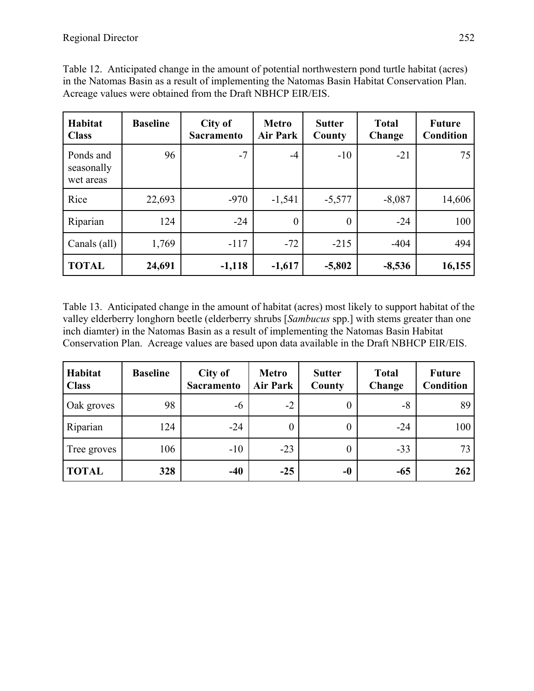| Table 12. Anticipated change in the amount of potential northwestern pond turtle habitat (acres) |
|--------------------------------------------------------------------------------------------------|
| in the Natomas Basin as a result of implementing the Natomas Basin Habitat Conservation Plan.    |
| Acreage values were obtained from the Draft NBHCP EIR/EIS.                                       |

| Habitat<br><b>Class</b>              | <b>Baseline</b> | City of<br><b>Sacramento</b> | <b>Metro</b><br><b>Air Park</b> | <b>Sutter</b><br>County | <b>Total</b><br>Change | <b>Future</b><br>Condition |
|--------------------------------------|-----------------|------------------------------|---------------------------------|-------------------------|------------------------|----------------------------|
| Ponds and<br>seasonally<br>wet areas | 96              | $-7$                         | $-4$                            | $-10$                   | $-21$                  | 75                         |
| Rice                                 | 22,693          | $-970$                       | $-1,541$                        | $-5,577$                | $-8,087$               | 14,606                     |
| Riparian                             | 124             | $-24$                        | $\theta$                        | $\overline{0}$          | $-24$                  | 100                        |
| Canals (all)                         | 1,769           | $-117$                       | $-72$                           | $-215$                  | $-404$                 | 494                        |
| <b>TOTAL</b>                         | 24,691          | $-1,118$                     | $-1,617$                        | $-5,802$                | $-8,536$               | 16,155                     |

Table 13. Anticipated change in the amount of habitat (acres) most likely to support habitat of the valley elderberry longhorn beetle (elderberry shrubs [*Sambucus* spp.] with stems greater than one inch diamter) in the Natomas Basin as a result of implementing the Natomas Basin Habitat Conservation Plan. Acreage values are based upon data available in the Draft NBHCP EIR/EIS.

| Habitat<br><b>Class</b> | <b>Baseline</b> | City of<br><b>Sacramento</b> | <b>Metro</b><br><b>Air Park</b> | <b>Sutter</b><br>County | <b>Total</b><br>Change | <b>Future</b><br><b>Condition</b> |
|-------------------------|-----------------|------------------------------|---------------------------------|-------------------------|------------------------|-----------------------------------|
| Oak groves              | 98              | -6                           | $-2$                            | U                       | $-8$                   | 89                                |
| Riparian                | 124             | $-24$                        |                                 | U                       | $-24$                  | 100                               |
| Tree groves             | 106             | $-10$                        | $-23$                           | 0                       | $-33$                  | 73                                |
| <b>TOTAL</b>            | 328             | $-40$                        | $-25$                           | $-0$                    | $-65$                  | 262                               |